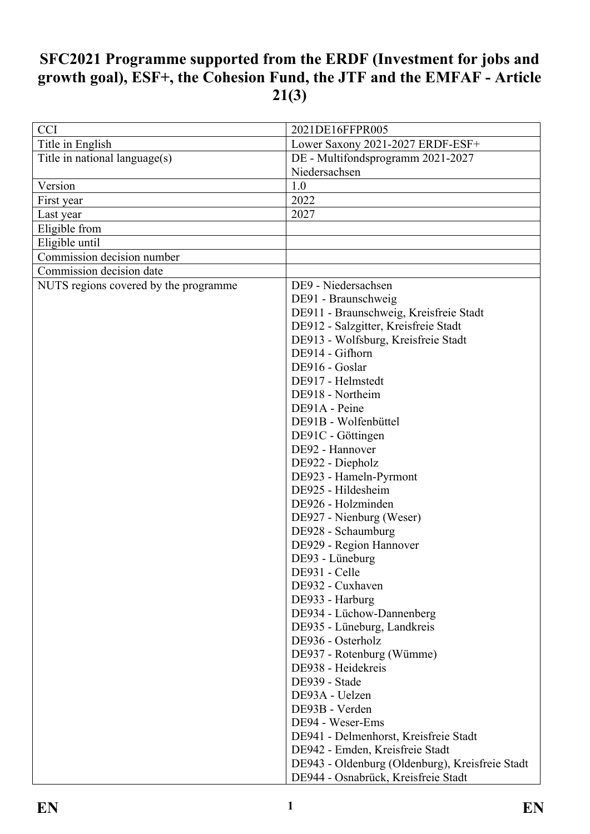# **SFC2021 Programme supported from the ERDF (Investment for jobs and growth goal), ESF+, the Cohesion Fund, the JTF and the EMFAF - Article 21(3)**

| <b>CCI</b>                            | 2021DE16FFPR005                                 |  |
|---------------------------------------|-------------------------------------------------|--|
| Title in English                      | Lower Saxony 2021-2027 ERDF-ESF+                |  |
| Title in national language(s)         | DE - Multifondsprogramm 2021-2027               |  |
| Niedersachsen<br>Version<br>1.0       |                                                 |  |
|                                       |                                                 |  |
| First year                            | 2022                                            |  |
| Last year                             | 2027                                            |  |
| Eligible from                         |                                                 |  |
| Eligible until                        |                                                 |  |
| Commission decision number            |                                                 |  |
| Commission decision date              |                                                 |  |
| NUTS regions covered by the programme | DE9 - Niedersachsen                             |  |
|                                       | DE91 - Braunschweig                             |  |
|                                       | DE911 - Braunschweig, Kreisfreie Stadt          |  |
|                                       | DE912 - Salzgitter, Kreisfreie Stadt            |  |
|                                       | DE913 - Wolfsburg, Kreisfreie Stadt             |  |
|                                       | DE914 - Gifhorn                                 |  |
|                                       | DE916 - Goslar                                  |  |
|                                       | DE917 - Helmstedt                               |  |
|                                       | DE918 - Northeim                                |  |
|                                       | DE91A - Peine                                   |  |
|                                       | DE91B - Wolfenbüttel                            |  |
|                                       | DE91C - Göttingen                               |  |
|                                       | DE92 - Hannover                                 |  |
|                                       | DE922 - Diepholz                                |  |
|                                       | DE923 - Hameln-Pyrmont                          |  |
|                                       | DE925 - Hildesheim                              |  |
|                                       | DE926 - Holzminden                              |  |
|                                       | DE927 - Nienburg (Weser)                        |  |
|                                       | DE928 - Schaumburg                              |  |
|                                       | DE929 - Region Hannover                         |  |
|                                       | DE93 - Lüneburg                                 |  |
|                                       | DE931 - Celle                                   |  |
|                                       | DE932 - Cuxhaven                                |  |
|                                       | DE933 - Harburg                                 |  |
|                                       | DE934 - Lüchow-Dannenberg                       |  |
|                                       | DE935 - Lüneburg, Landkreis                     |  |
|                                       | DE936 - Osterholz                               |  |
|                                       | DE937 - Rotenburg (Wümme)                       |  |
|                                       | DE938 - Heidekreis                              |  |
|                                       | DE939 - Stade                                   |  |
|                                       | DE93A - Uelzen                                  |  |
|                                       | DE93B - Verden                                  |  |
|                                       | DE94 - Weser-Ems                                |  |
|                                       | DE941 - Delmenhorst, Kreisfreie Stadt           |  |
|                                       | DE942 - Emden, Kreisfreie Stadt                 |  |
|                                       | DE943 - Oldenburg (Oldenburg), Kreisfreie Stadt |  |
|                                       | DE944 - Osnabrück, Kreisfreie Stadt             |  |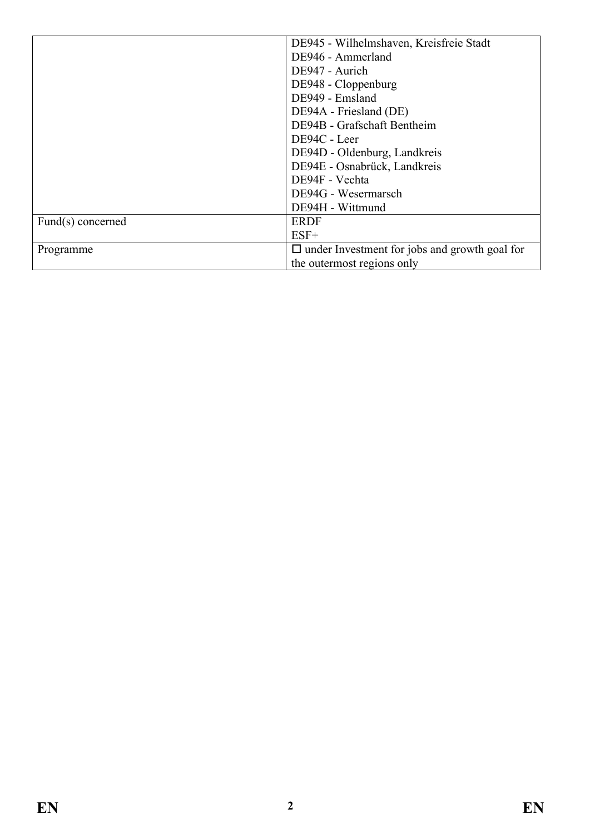| DE945 - Wilhelmshaven, Kreisfreie Stadt |                                                      |  |
|-----------------------------------------|------------------------------------------------------|--|
|                                         | DE946 - Ammerland                                    |  |
|                                         | DE947 - Aurich                                       |  |
|                                         | DE948 - Cloppenburg                                  |  |
|                                         | DE949 - Emsland                                      |  |
|                                         | DE94A - Friesland (DE)                               |  |
|                                         | DE94B - Grafschaft Bentheim                          |  |
|                                         | DE94C - Leer                                         |  |
|                                         | DE94D - Oldenburg, Landkreis                         |  |
|                                         | DE94E - Osnabrück, Landkreis                         |  |
|                                         | DE94F - Vechta                                       |  |
|                                         | DE94G - Wesermarsch                                  |  |
|                                         | DE94H - Wittmund                                     |  |
| Fund(s) concerned                       | <b>ERDF</b>                                          |  |
|                                         | $ESF+$                                               |  |
| Programme                               | $\Box$ under Investment for jobs and growth goal for |  |
|                                         | the outermost regions only                           |  |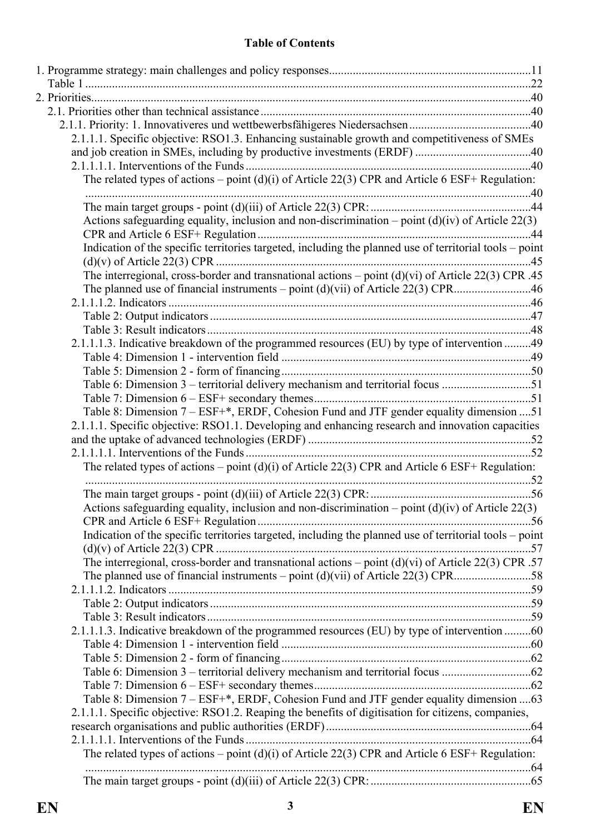#### **Table of Contents**

| 2.1.1.1. Specific objective: RSO1.3. Enhancing sustainable growth and competitiveness of SMEs           |  |
|---------------------------------------------------------------------------------------------------------|--|
|                                                                                                         |  |
|                                                                                                         |  |
| The related types of actions – point (d)(i) of Article 22(3) CPR and Article 6 ESF+ Regulation:         |  |
|                                                                                                         |  |
| Actions safeguarding equality, inclusion and non-discrimination – point $(d)(iv)$ of Article 22(3)      |  |
|                                                                                                         |  |
| Indication of the specific territories targeted, including the planned use of territorial tools – point |  |
|                                                                                                         |  |
| The interregional, cross-border and transnational actions – point $(d)(vi)$ of Article 22(3) CPR .45    |  |
|                                                                                                         |  |
|                                                                                                         |  |
|                                                                                                         |  |
|                                                                                                         |  |
| 2.1.1.1.3. Indicative breakdown of the programmed resources (EU) by type of intervention 49             |  |
|                                                                                                         |  |
|                                                                                                         |  |
| Table 6: Dimension 3 – territorial delivery mechanism and territorial focus 51                          |  |
|                                                                                                         |  |
| Table 8: Dimension 7 – ESF+*, ERDF, Cohesion Fund and JTF gender equality dimension  51                 |  |
| 2.1.1.1. Specific objective: RSO1.1. Developing and enhancing research and innovation capacities        |  |
|                                                                                                         |  |
|                                                                                                         |  |
| The related types of actions – point (d)(i) of Article 22(3) CPR and Article 6 ESF+ Regulation:         |  |
|                                                                                                         |  |
| Actions safeguarding equality, inclusion and non-discrimination – point $(d)(iv)$ of Article 22(3)      |  |
| Indication of the specific territories targeted, including the planned use of territorial tools – point |  |
|                                                                                                         |  |
| The interregional, cross-border and transnational actions – point $(d)(vi)$ of Article 22(3) CPR .57    |  |
|                                                                                                         |  |
|                                                                                                         |  |
|                                                                                                         |  |
| 2.1.1.1.3. Indicative breakdown of the programmed resources (EU) by type of intervention 60             |  |
|                                                                                                         |  |
|                                                                                                         |  |
|                                                                                                         |  |
|                                                                                                         |  |
| Table 8: Dimension 7 – ESF+*, ERDF, Cohesion Fund and JTF gender equality dimension 63                  |  |
| 2.1.1.1. Specific objective: RSO1.2. Reaping the benefits of digitisation for citizens, companies,      |  |
|                                                                                                         |  |
|                                                                                                         |  |
| The related types of actions – point $(d)(i)$ of Article 22(3) CPR and Article 6 ESF+ Regulation:       |  |
|                                                                                                         |  |
|                                                                                                         |  |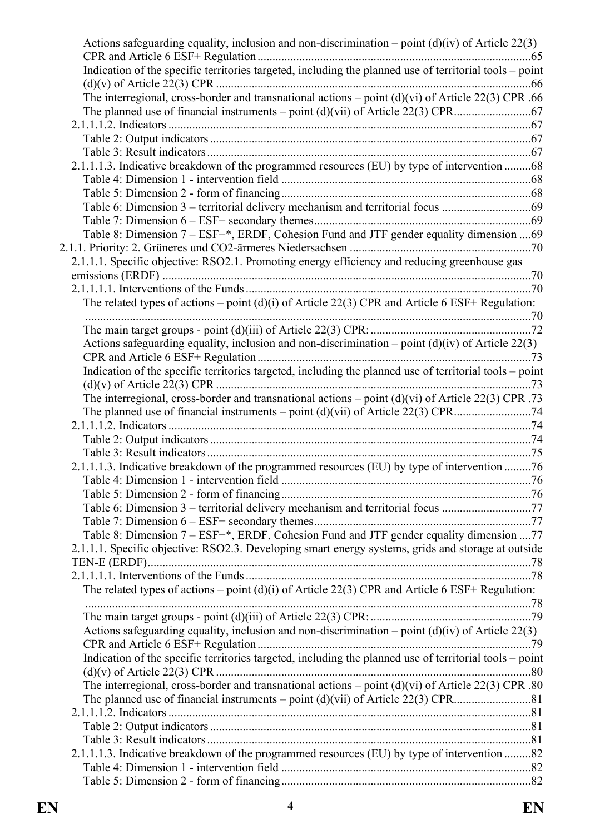| Actions safeguarding equality, inclusion and non-discrimination – point $(d)(iv)$ of Article 22(3)      |  |
|---------------------------------------------------------------------------------------------------------|--|
|                                                                                                         |  |
| Indication of the specific territories targeted, including the planned use of territorial tools – point |  |
| The interregional, cross-border and transnational actions – point $(d)(vi)$ of Article 22(3) CPR .66    |  |
|                                                                                                         |  |
|                                                                                                         |  |
|                                                                                                         |  |
|                                                                                                         |  |
| 2.1.1.1.3. Indicative breakdown of the programmed resources (EU) by type of intervention 68             |  |
|                                                                                                         |  |
|                                                                                                         |  |
|                                                                                                         |  |
|                                                                                                         |  |
| Table 8: Dimension 7 – ESF+*, ERDF, Cohesion Fund and JTF gender equality dimension 69                  |  |
|                                                                                                         |  |
| 2.1.1.1. Specific objective: RSO2.1. Promoting energy efficiency and reducing greenhouse gas            |  |
|                                                                                                         |  |
|                                                                                                         |  |
| The related types of actions – point (d)(i) of Article 22(3) CPR and Article 6 ESF+ Regulation:         |  |
|                                                                                                         |  |
|                                                                                                         |  |
| Actions safeguarding equality, inclusion and non-discrimination – point $(d)(iv)$ of Article 22(3)      |  |
|                                                                                                         |  |
| Indication of the specific territories targeted, including the planned use of territorial tools - point |  |
|                                                                                                         |  |
| The interregional, cross-border and transnational actions – point $(d)(vi)$ of Article 22(3) CPR .73    |  |
|                                                                                                         |  |
|                                                                                                         |  |
|                                                                                                         |  |
|                                                                                                         |  |
| 2.1.1.1.3. Indicative breakdown of the programmed resources (EU) by type of intervention 76             |  |
|                                                                                                         |  |
|                                                                                                         |  |
| Table 6: Dimension 3 – territorial delivery mechanism and territorial focus 77                          |  |
|                                                                                                         |  |
| Table 8: Dimension 7 – ESF+*, ERDF, Cohesion Fund and JTF gender equality dimension  77                 |  |
| 2.1.1.1. Specific objective: RSO2.3. Developing smart energy systems, grids and storage at outside      |  |
|                                                                                                         |  |
|                                                                                                         |  |
| The related types of actions – point (d)(i) of Article 22(3) CPR and Article 6 ESF+ Regulation:         |  |
|                                                                                                         |  |
|                                                                                                         |  |
| Actions safeguarding equality, inclusion and non-discrimination – point $(d)(iv)$ of Article 22(3)      |  |
|                                                                                                         |  |
| Indication of the specific territories targeted, including the planned use of territorial tools - point |  |
|                                                                                                         |  |
| The interregional, cross-border and transnational actions – point $(d)(vi)$ of Article 22(3) CPR .80    |  |
|                                                                                                         |  |
|                                                                                                         |  |
|                                                                                                         |  |
|                                                                                                         |  |
| 2.1.1.1.3. Indicative breakdown of the programmed resources (EU) by type of intervention 82             |  |
|                                                                                                         |  |
|                                                                                                         |  |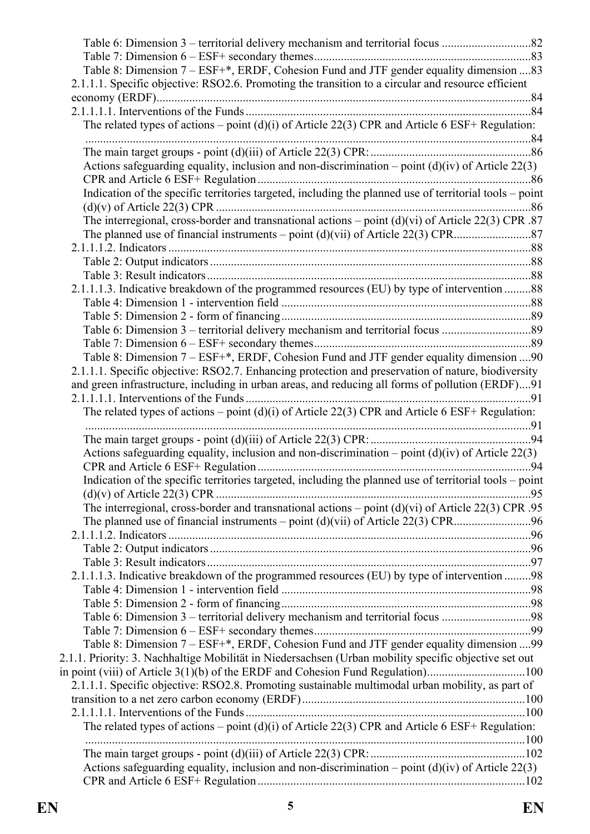| Table 8: Dimension 7 – ESF+*, ERDF, Cohesion Fund and JTF gender equality dimension 83<br>2.1.1.1. Specific objective: RSO2.6. Promoting the transition to a circular and resource efficient |  |
|----------------------------------------------------------------------------------------------------------------------------------------------------------------------------------------------|--|
|                                                                                                                                                                                              |  |
| The related types of actions – point (d)(i) of Article 22(3) CPR and Article 6 ESF+ Regulation:                                                                                              |  |
|                                                                                                                                                                                              |  |
|                                                                                                                                                                                              |  |
| Actions safeguarding equality, inclusion and non-discrimination – point $(d)(iv)$ of Article 22(3)                                                                                           |  |
|                                                                                                                                                                                              |  |
| Indication of the specific territories targeted, including the planned use of territorial tools - point                                                                                      |  |
|                                                                                                                                                                                              |  |
| The interregional, cross-border and transnational actions - point $(d)(vi)$ of Article 22(3) CPR .87                                                                                         |  |
|                                                                                                                                                                                              |  |
|                                                                                                                                                                                              |  |
|                                                                                                                                                                                              |  |
|                                                                                                                                                                                              |  |
| 2.1.1.1.3. Indicative breakdown of the programmed resources (EU) by type of intervention 88                                                                                                  |  |
|                                                                                                                                                                                              |  |
|                                                                                                                                                                                              |  |
|                                                                                                                                                                                              |  |
|                                                                                                                                                                                              |  |
| Table 8: Dimension 7 – ESF+*, ERDF, Cohesion Fund and JTF gender equality dimension  90                                                                                                      |  |
| 2.1.1.1. Specific objective: RSO2.7. Enhancing protection and preservation of nature, biodiversity                                                                                           |  |
| and green infrastructure, including in urban areas, and reducing all forms of pollution (ERDF)91                                                                                             |  |
| The related types of actions – point (d)(i) of Article 22(3) CPR and Article 6 ESF+ Regulation:                                                                                              |  |
|                                                                                                                                                                                              |  |
|                                                                                                                                                                                              |  |
| Actions safeguarding equality, inclusion and non-discrimination – point $(d)(iv)$ of Article 22(3)                                                                                           |  |
|                                                                                                                                                                                              |  |
| Indication of the specific territories targeted, including the planned use of territorial tools – point                                                                                      |  |
|                                                                                                                                                                                              |  |
| The interregional, cross-border and transnational actions – point $(d)(vi)$ of Article 22(3) CPR .95                                                                                         |  |
|                                                                                                                                                                                              |  |
|                                                                                                                                                                                              |  |
|                                                                                                                                                                                              |  |
|                                                                                                                                                                                              |  |
| 2.1.1.1.3. Indicative breakdown of the programmed resources (EU) by type of intervention 98                                                                                                  |  |
|                                                                                                                                                                                              |  |
|                                                                                                                                                                                              |  |
| Table 6: Dimension 3 – territorial delivery mechanism and territorial focus 98                                                                                                               |  |
| Table 8: Dimension 7 – ESF+*, ERDF, Cohesion Fund and JTF gender equality dimension  99                                                                                                      |  |
| 2.1.1. Priority: 3. Nachhaltige Mobilität in Niedersachsen (Urban mobility specific objective set out                                                                                        |  |
| in point (viii) of Article 3(1)(b) of the ERDF and Cohesion Fund Regulation)100                                                                                                              |  |
| 2.1.1.1. Specific objective: RSO2.8. Promoting sustainable multimodal urban mobility, as part of                                                                                             |  |
|                                                                                                                                                                                              |  |
|                                                                                                                                                                                              |  |
| The related types of actions – point (d)(i) of Article 22(3) CPR and Article 6 ESF+ Regulation:                                                                                              |  |
|                                                                                                                                                                                              |  |
|                                                                                                                                                                                              |  |
| Actions safeguarding equality, inclusion and non-discrimination – point $(d)(iv)$ of Article 22(3)                                                                                           |  |
|                                                                                                                                                                                              |  |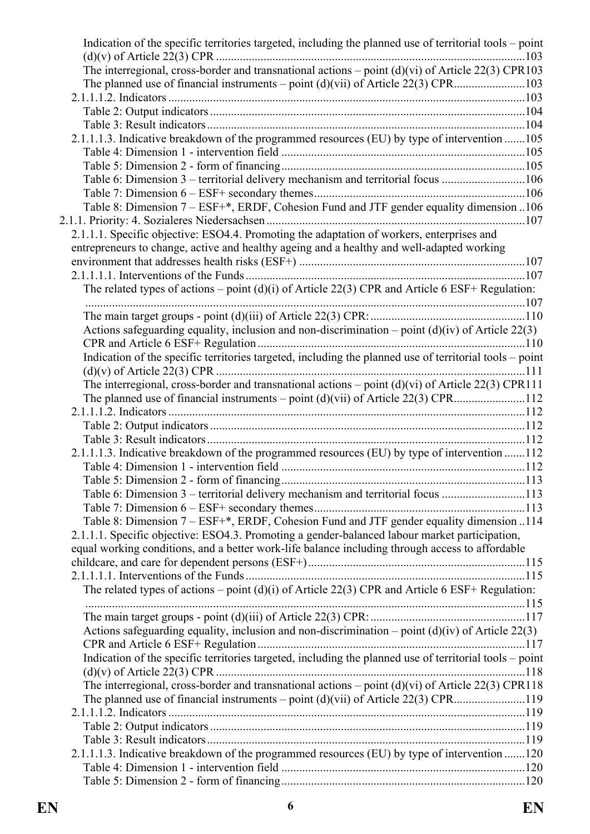| Indication of the specific territories targeted, including the planned use of territorial tools – point |     |
|---------------------------------------------------------------------------------------------------------|-----|
| The interregional, cross-border and transnational actions – point $(d)(vi)$ of Article 22(3) CPR103     |     |
|                                                                                                         |     |
|                                                                                                         |     |
|                                                                                                         |     |
|                                                                                                         |     |
| 2.1.1.1.3. Indicative breakdown of the programmed resources (EU) by type of intervention 105            |     |
|                                                                                                         |     |
|                                                                                                         |     |
| Table 6: Dimension 3 – territorial delivery mechanism and territorial focus 106                         |     |
|                                                                                                         |     |
| Table 8: Dimension 7 – ESF+*, ERDF, Cohesion Fund and JTF gender equality dimension 106                 |     |
|                                                                                                         |     |
| 2.1.1.1. Specific objective: ESO4.4. Promoting the adaptation of workers, enterprises and               |     |
| entrepreneurs to change, active and healthy ageing and a healthy and well-adapted working               |     |
|                                                                                                         |     |
|                                                                                                         | 107 |
| The related types of actions – point (d)(i) of Article 22(3) CPR and Article 6 ESF+ Regulation:         |     |
|                                                                                                         |     |
|                                                                                                         |     |
| Actions safeguarding equality, inclusion and non-discrimination – point $(d)(iv)$ of Article 22(3)      |     |
|                                                                                                         |     |
| Indication of the specific territories targeted, including the planned use of territorial tools - point |     |
|                                                                                                         |     |
| The interregional, cross-border and transnational actions – point $(d)(vi)$ of Article 22(3) CPR111     |     |
| The planned use of financial instruments – point $(d)(vi)$ of Article 22(3) CPR112                      |     |
|                                                                                                         |     |
|                                                                                                         |     |
|                                                                                                         |     |
| 2.1.1.1.3. Indicative breakdown of the programmed resources (EU) by type of intervention 112            |     |
|                                                                                                         |     |
|                                                                                                         |     |
| Table 6: Dimension 3 – territorial delivery mechanism and territorial focus 113                         |     |
|                                                                                                         |     |
| Table 8: Dimension 7 - ESF+*, ERDF, Cohesion Fund and JTF gender equality dimension 114                 |     |
| 2.1.1.1. Specific objective: ESO4.3. Promoting a gender-balanced labour market participation,           |     |
| equal working conditions, and a better work-life balance including through access to affordable         |     |
|                                                                                                         |     |
|                                                                                                         |     |
| The related types of actions – point $(d)(i)$ of Article 22(3) CPR and Article 6 ESF+ Regulation:       |     |
|                                                                                                         |     |
|                                                                                                         |     |
| Actions safeguarding equality, inclusion and non-discrimination – point $(d)(iv)$ of Article 22(3)      |     |
|                                                                                                         |     |
| Indication of the specific territories targeted, including the planned use of territorial tools - point |     |
|                                                                                                         |     |
| The interregional, cross-border and transnational actions – point $(d)(vi)$ of Article 22(3) CPR118     |     |
|                                                                                                         |     |
|                                                                                                         |     |
|                                                                                                         |     |
|                                                                                                         |     |
| 2.1.1.1.3. Indicative breakdown of the programmed resources (EU) by type of intervention 120            |     |
|                                                                                                         |     |
|                                                                                                         |     |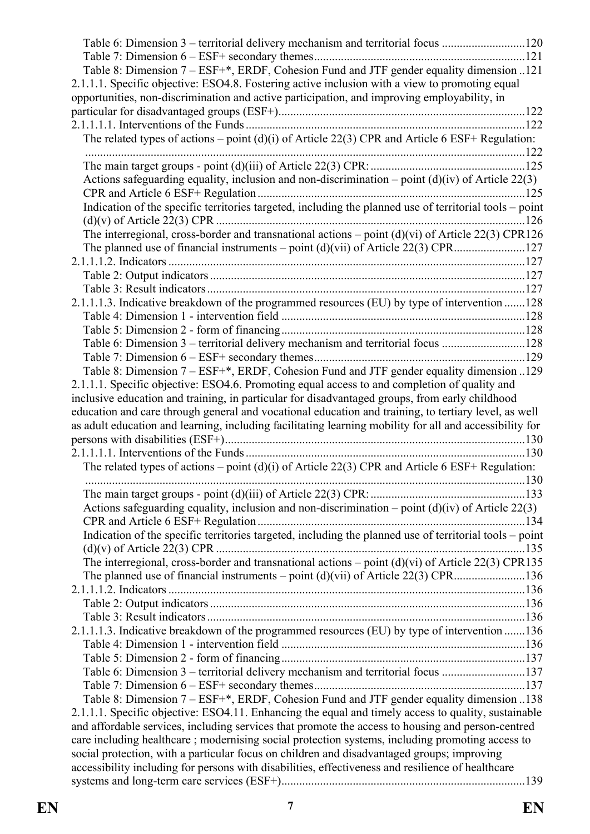| Table 6: Dimension 3 – territorial delivery mechanism and territorial focus 120<br>Table 8: Dimension 7 – ESF+*, ERDF, Cohesion Fund and JTF gender equality dimension 121<br>2.1.1.1. Specific objective: ESO4.8. Fostering active inclusion with a view to promoting equal<br>opportunities, non-discrimination and active participation, and improving employability, in |  |
|-----------------------------------------------------------------------------------------------------------------------------------------------------------------------------------------------------------------------------------------------------------------------------------------------------------------------------------------------------------------------------|--|
| The related types of actions – point (d)(i) of Article 22(3) CPR and Article 6 ESF+ Regulation:                                                                                                                                                                                                                                                                             |  |
|                                                                                                                                                                                                                                                                                                                                                                             |  |
| Actions safeguarding equality, inclusion and non-discrimination – point $(d)(iv)$ of Article 22(3)                                                                                                                                                                                                                                                                          |  |
| Indication of the specific territories targeted, including the planned use of territorial tools - point                                                                                                                                                                                                                                                                     |  |
| The interregional, cross-border and transnational actions - point (d)(vi) of Article 22(3) CPR126                                                                                                                                                                                                                                                                           |  |
|                                                                                                                                                                                                                                                                                                                                                                             |  |
|                                                                                                                                                                                                                                                                                                                                                                             |  |
|                                                                                                                                                                                                                                                                                                                                                                             |  |
|                                                                                                                                                                                                                                                                                                                                                                             |  |
| 2.1.1.1.3. Indicative breakdown of the programmed resources (EU) by type of intervention 128                                                                                                                                                                                                                                                                                |  |
|                                                                                                                                                                                                                                                                                                                                                                             |  |
| Table 6: Dimension 3 – territorial delivery mechanism and territorial focus 128                                                                                                                                                                                                                                                                                             |  |
|                                                                                                                                                                                                                                                                                                                                                                             |  |
| Table 8: Dimension 7 – ESF+*, ERDF, Cohesion Fund and JTF gender equality dimension 129                                                                                                                                                                                                                                                                                     |  |
| 2.1.1.1. Specific objective: ESO4.6. Promoting equal access to and completion of quality and<br>inclusive education and training, in particular for disadvantaged groups, from early childhood<br>education and care through general and vocational education and training, to tertiary level, as well                                                                      |  |
| as adult education and learning, including facilitating learning mobility for all and accessibility for                                                                                                                                                                                                                                                                     |  |
|                                                                                                                                                                                                                                                                                                                                                                             |  |
|                                                                                                                                                                                                                                                                                                                                                                             |  |
| The related types of actions – point (d)(i) of Article 22(3) CPR and Article 6 ESF+ Regulation:                                                                                                                                                                                                                                                                             |  |
|                                                                                                                                                                                                                                                                                                                                                                             |  |
| Actions safeguarding equality, inclusion and non-discrimination – point $(d)(iv)$ of Article 22(3)                                                                                                                                                                                                                                                                          |  |
|                                                                                                                                                                                                                                                                                                                                                                             |  |
| Indication of the specific territories targeted, including the planned use of territorial tools - point                                                                                                                                                                                                                                                                     |  |
|                                                                                                                                                                                                                                                                                                                                                                             |  |
| The interregional, cross-border and transnational actions – point $(d)(vi)$ of Article 22(3) CPR135                                                                                                                                                                                                                                                                         |  |
|                                                                                                                                                                                                                                                                                                                                                                             |  |
|                                                                                                                                                                                                                                                                                                                                                                             |  |
|                                                                                                                                                                                                                                                                                                                                                                             |  |
|                                                                                                                                                                                                                                                                                                                                                                             |  |
| 2.1.1.1.3. Indicative breakdown of the programmed resources (EU) by type of intervention 136                                                                                                                                                                                                                                                                                |  |
|                                                                                                                                                                                                                                                                                                                                                                             |  |
| Table 6: Dimension 3 – territorial delivery mechanism and territorial focus 137                                                                                                                                                                                                                                                                                             |  |
|                                                                                                                                                                                                                                                                                                                                                                             |  |
| Table 8: Dimension 7 – ESF+*, ERDF, Cohesion Fund and JTF gender equality dimension 138                                                                                                                                                                                                                                                                                     |  |
| 2.1.1.1. Specific objective: ESO4.11. Enhancing the equal and timely access to quality, sustainable                                                                                                                                                                                                                                                                         |  |
| and affordable services, including services that promote the access to housing and person-centred                                                                                                                                                                                                                                                                           |  |
| care including healthcare; modernising social protection systems, including promoting access to                                                                                                                                                                                                                                                                             |  |
| social protection, with a particular focus on children and disadvantaged groups; improving                                                                                                                                                                                                                                                                                  |  |
| accessibility including for persons with disabilities, effectiveness and resilience of healthcare                                                                                                                                                                                                                                                                           |  |
|                                                                                                                                                                                                                                                                                                                                                                             |  |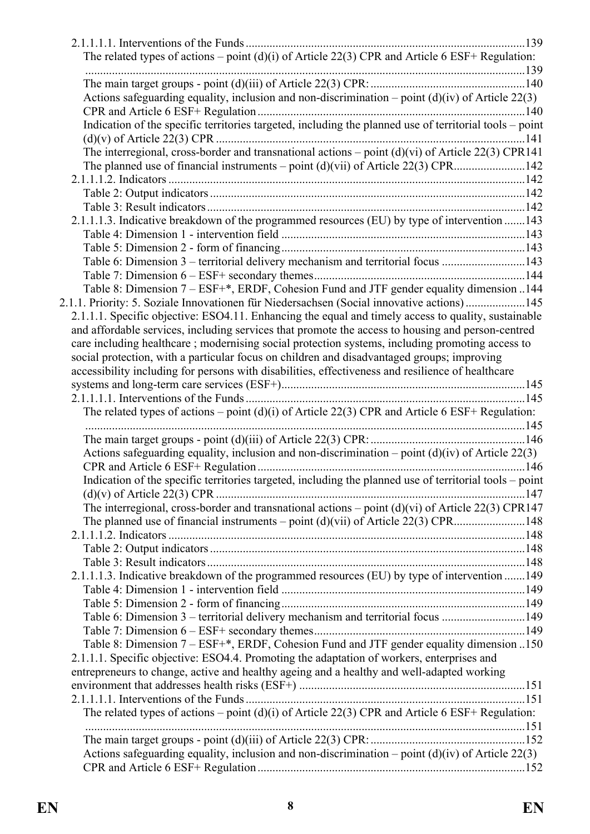| Actions safeguarding equality, inclusion and non-discrimination – point $(d)(iv)$ of Article 22(3)                                                                                                       |  |
|----------------------------------------------------------------------------------------------------------------------------------------------------------------------------------------------------------|--|
| Indication of the specific territories targeted, including the planned use of territorial tools - point                                                                                                  |  |
| The interregional, cross-border and transnational actions $-$ point (d)(vi) of Article 22(3) CPR141                                                                                                      |  |
| The planned use of financial instruments – point $(d)(vi)$ of Article 22(3) CPR142                                                                                                                       |  |
|                                                                                                                                                                                                          |  |
|                                                                                                                                                                                                          |  |
|                                                                                                                                                                                                          |  |
| 2.1.1.1.3. Indicative breakdown of the programmed resources (EU) by type of intervention 143                                                                                                             |  |
|                                                                                                                                                                                                          |  |
|                                                                                                                                                                                                          |  |
| Table 6: Dimension 3 – territorial delivery mechanism and territorial focus 143                                                                                                                          |  |
|                                                                                                                                                                                                          |  |
| Table 8: Dimension 7 – ESF+*, ERDF, Cohesion Fund and JTF gender equality dimension 144                                                                                                                  |  |
| 2.1.1. Priority: 5. Soziale Innovationen für Niedersachsen (Social innovative actions)145                                                                                                                |  |
| 2.1.1.1. Specific objective: ESO4.11. Enhancing the equal and timely access to quality, sustainable<br>and affordable services, including services that promote the access to housing and person-centred |  |
| care including healthcare; modernising social protection systems, including promoting access to                                                                                                          |  |
| social protection, with a particular focus on children and disadvantaged groups; improving                                                                                                               |  |
| accessibility including for persons with disabilities, effectiveness and resilience of healthcare                                                                                                        |  |
|                                                                                                                                                                                                          |  |
|                                                                                                                                                                                                          |  |
| The related types of actions – point $(d)(i)$ of Article 22(3) CPR and Article 6 ESF+ Regulation:                                                                                                        |  |
|                                                                                                                                                                                                          |  |
| Actions safeguarding equality, inclusion and non-discrimination – point $(d)(iv)$ of Article 22(3)                                                                                                       |  |
| Indication of the specific territories targeted, including the planned use of territorial tools – point                                                                                                  |  |
| The interregional, cross-border and transnational actions – point $(d)(vi)$ of Article 22(3) CPR147                                                                                                      |  |
|                                                                                                                                                                                                          |  |
|                                                                                                                                                                                                          |  |
|                                                                                                                                                                                                          |  |
| 2.1.1.1.3. Indicative breakdown of the programmed resources (EU) by type of intervention 149                                                                                                             |  |
|                                                                                                                                                                                                          |  |
|                                                                                                                                                                                                          |  |
|                                                                                                                                                                                                          |  |
|                                                                                                                                                                                                          |  |
| Table 6: Dimension 3 – territorial delivery mechanism and territorial focus 149                                                                                                                          |  |
|                                                                                                                                                                                                          |  |
| Table 8: Dimension 7 – ESF+*, ERDF, Cohesion Fund and JTF gender equality dimension 150<br>2.1.1.1. Specific objective: ESO4.4. Promoting the adaptation of workers, enterprises and                     |  |
| entrepreneurs to change, active and healthy ageing and a healthy and well-adapted working                                                                                                                |  |
|                                                                                                                                                                                                          |  |
|                                                                                                                                                                                                          |  |
| The related types of actions – point (d)(i) of Article 22(3) CPR and Article 6 ESF+ Regulation:                                                                                                          |  |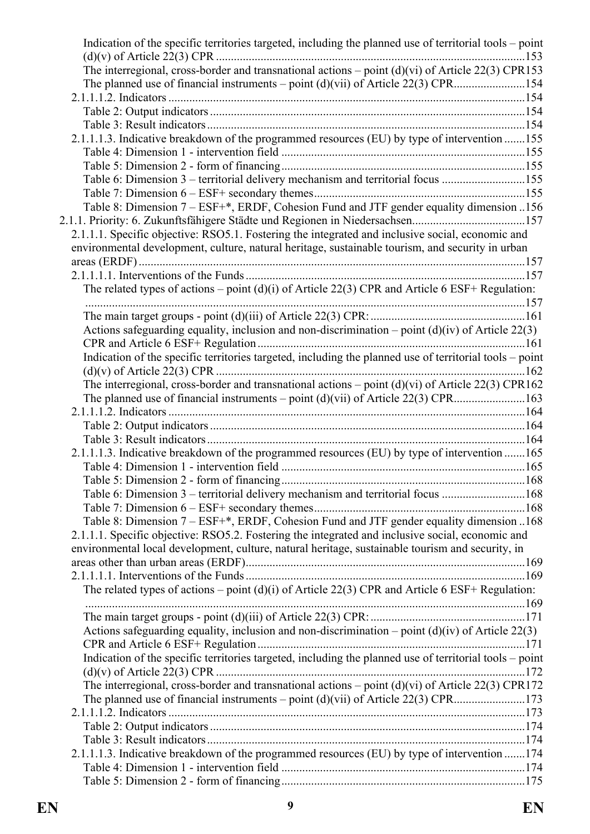| Indication of the specific territories targeted, including the planned use of territorial tools – point |  |
|---------------------------------------------------------------------------------------------------------|--|
|                                                                                                         |  |
| The interregional, cross-border and transnational actions – point $(d)(vi)$ of Article 22(3) CPR153     |  |
|                                                                                                         |  |
|                                                                                                         |  |
|                                                                                                         |  |
| 2.1.1.1.3. Indicative breakdown of the programmed resources (EU) by type of intervention 155            |  |
|                                                                                                         |  |
|                                                                                                         |  |
| Table 6: Dimension 3 – territorial delivery mechanism and territorial focus 155                         |  |
|                                                                                                         |  |
| Table 8: Dimension 7 – ESF+*, ERDF, Cohesion Fund and JTF gender equality dimension 156                 |  |
| 2.1.1. Priority: 6. Zukunftsfähigere Städte und Regionen in Niedersachsen157                            |  |
| 2.1.1.1. Specific objective: RSO5.1. Fostering the integrated and inclusive social, economic and        |  |
| environmental development, culture, natural heritage, sustainable tourism, and security in urban        |  |
|                                                                                                         |  |
|                                                                                                         |  |
| The related types of actions – point (d)(i) of Article 22(3) CPR and Article 6 ESF+ Regulation:         |  |
|                                                                                                         |  |
|                                                                                                         |  |
| Actions safeguarding equality, inclusion and non-discrimination – point $(d)(iv)$ of Article 22(3)      |  |
|                                                                                                         |  |
| Indication of the specific territories targeted, including the planned use of territorial tools - point |  |
|                                                                                                         |  |
| The interregional, cross-border and transnational actions – point $(d)(vi)$ of Article 22(3) CPR162     |  |
|                                                                                                         |  |
|                                                                                                         |  |
|                                                                                                         |  |
|                                                                                                         |  |
| 2.1.1.1.3. Indicative breakdown of the programmed resources (EU) by type of intervention 165            |  |
|                                                                                                         |  |
|                                                                                                         |  |
| Table 6: Dimension 3 – territorial delivery mechanism and territorial focus 168                         |  |
|                                                                                                         |  |
| Table 8: Dimension 7 - ESF+*, ERDF, Cohesion Fund and JTF gender equality dimension 168                 |  |
| 2.1.1.1. Specific objective: RSO5.2. Fostering the integrated and inclusive social, economic and        |  |
| environmental local development, culture, natural heritage, sustainable tourism and security, in        |  |
|                                                                                                         |  |
| The related types of actions – point $(d)(i)$ of Article 22(3) CPR and Article 6 ESF+ Regulation:       |  |
|                                                                                                         |  |
|                                                                                                         |  |
| Actions safeguarding equality, inclusion and non-discrimination – point $(d)(iv)$ of Article 22(3)      |  |
|                                                                                                         |  |
| Indication of the specific territories targeted, including the planned use of territorial tools - point |  |
|                                                                                                         |  |
| The interregional, cross-border and transnational actions – point $(d)(vi)$ of Article 22(3) CPR172     |  |
|                                                                                                         |  |
|                                                                                                         |  |
|                                                                                                         |  |
|                                                                                                         |  |
| 2.1.1.1.3. Indicative breakdown of the programmed resources (EU) by type of intervention 174            |  |
|                                                                                                         |  |
|                                                                                                         |  |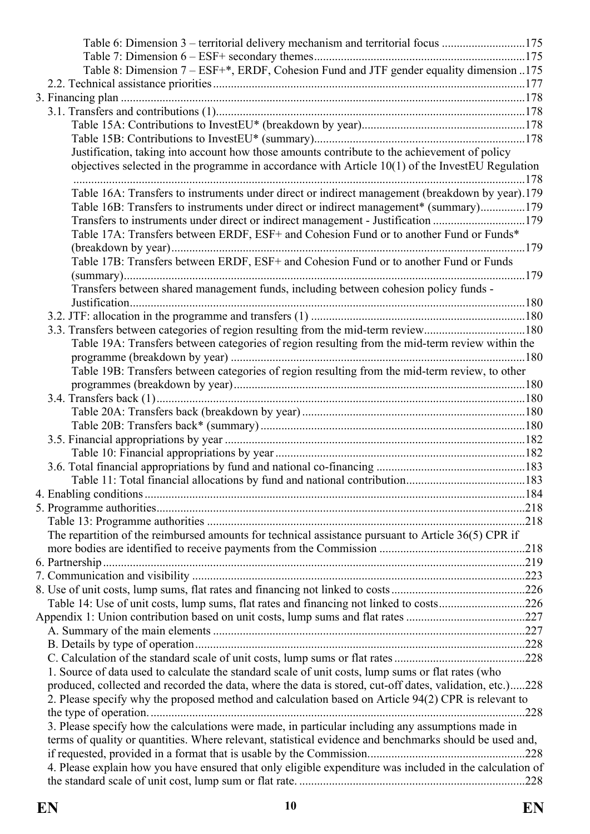| Table 6: Dimension 3 – territorial delivery mechanism and territorial focus 175                          |      |
|----------------------------------------------------------------------------------------------------------|------|
|                                                                                                          |      |
| Table 8: Dimension 7 – ESF+*, ERDF, Cohesion Fund and JTF gender equality dimension 175                  |      |
|                                                                                                          |      |
|                                                                                                          |      |
|                                                                                                          |      |
|                                                                                                          |      |
|                                                                                                          |      |
| Justification, taking into account how those amounts contribute to the achievement of policy             |      |
| objectives selected in the programme in accordance with Article $10(1)$ of the InvestEU Regulation       |      |
|                                                                                                          |      |
| Table 16A: Transfers to instruments under direct or indirect management (breakdown by year).179          |      |
| Table 16B: Transfers to instruments under direct or indirect management* (summary)179                    |      |
| Transfers to instruments under direct or indirect management - Justification 179                         |      |
| Table 17A: Transfers between ERDF, ESF+ and Cohesion Fund or to another Fund or Funds*                   |      |
|                                                                                                          |      |
| Table 17B: Transfers between ERDF, ESF+ and Cohesion Fund or to another Fund or Funds                    |      |
|                                                                                                          |      |
| Transfers between shared management funds, including between cohesion policy funds -                     |      |
|                                                                                                          |      |
|                                                                                                          |      |
| 3.3. Transfers between categories of region resulting from the mid-term review180                        |      |
| Table 19A: Transfers between categories of region resulting from the mid-term review within the          |      |
|                                                                                                          |      |
| Table 19B: Transfers between categories of region resulting from the mid-term review, to other           |      |
|                                                                                                          |      |
|                                                                                                          |      |
|                                                                                                          |      |
|                                                                                                          |      |
|                                                                                                          |      |
|                                                                                                          |      |
|                                                                                                          |      |
|                                                                                                          |      |
|                                                                                                          |      |
|                                                                                                          |      |
|                                                                                                          |      |
|                                                                                                          |      |
| The repartition of the reimbursed amounts for technical assistance pursuant to Article 36(5) CPR if      |      |
|                                                                                                          |      |
|                                                                                                          |      |
|                                                                                                          |      |
|                                                                                                          |      |
| Table 14: Use of unit costs, lump sums, flat rates and financing not linked to costs226                  |      |
|                                                                                                          |      |
|                                                                                                          |      |
|                                                                                                          |      |
|                                                                                                          |      |
| 1. Source of data used to calculate the standard scale of unit costs, lump sums or flat rates (who       |      |
| produced, collected and recorded the data, where the data is stored, cut-off dates, validation, etc.)228 |      |
| 2. Please specify why the proposed method and calculation based on Article 94(2) CPR is relevant to      |      |
|                                                                                                          | .228 |
| 3. Please specify how the calculations were made, in particular including any assumptions made in        |      |
| terms of quality or quantities. Where relevant, statistical evidence and benchmarks should be used and,  |      |
|                                                                                                          |      |
| 4. Please explain how you have ensured that only eligible expenditure was included in the calculation of |      |
|                                                                                                          |      |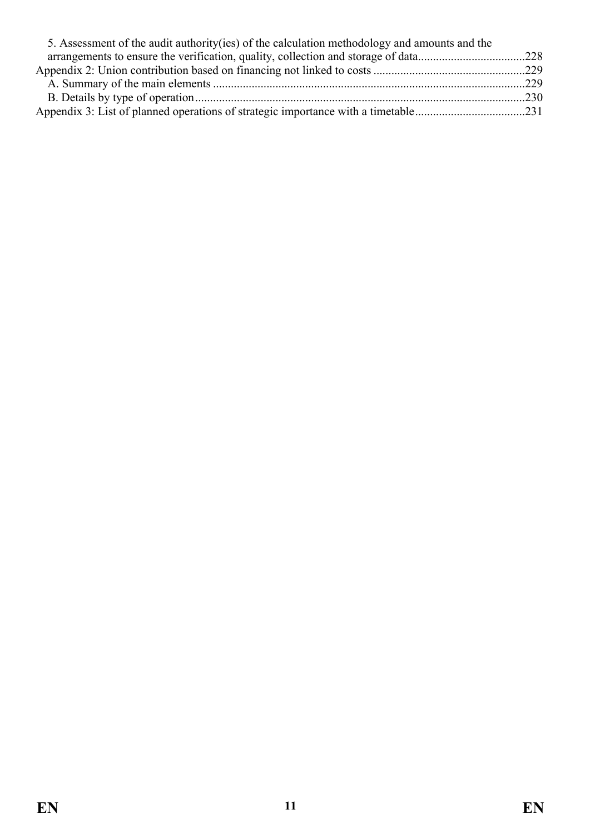| 5. Assessment of the audit authority (ies) of the calculation methodology and amounts and the |  |
|-----------------------------------------------------------------------------------------------|--|
|                                                                                               |  |
|                                                                                               |  |
|                                                                                               |  |
|                                                                                               |  |
|                                                                                               |  |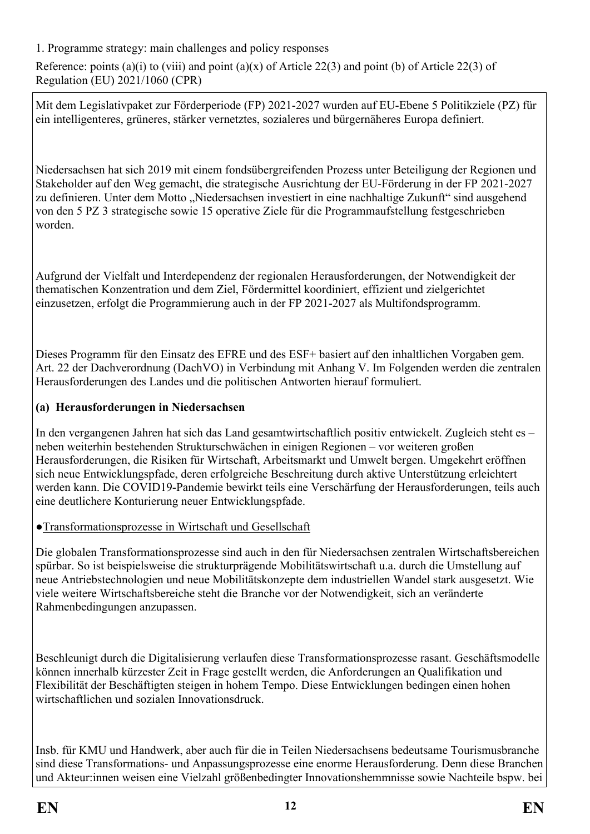<span id="page-11-0"></span>1. Programme strategy: main challenges and policy responses

Reference: points (a)(i) to (viii) and point (a)(x) of Article 22(3) and point (b) of Article 22(3) of Regulation (EU) 2021/1060 (CPR)

Mit dem Legislativpaket zur Förderperiode (FP) 2021-2027 wurden auf EU-Ebene 5 Politikziele (PZ) für ein intelligenteres, grüneres, stärker vernetztes, sozialeres und bürgernäheres Europa definiert.

Niedersachsen hat sich 2019 mit einem fondsübergreifenden Prozess unter Beteiligung der Regionen und Stakeholder auf den Weg gemacht, die strategische Ausrichtung der EU-Förderung in der FP 2021-2027 zu definieren. Unter dem Motto "Niedersachsen investiert in eine nachhaltige Zukunft" sind ausgehend von den 5 PZ 3 strategische sowie 15 operative Ziele für die Programmaufstellung festgeschrieben worden.

Aufgrund der Vielfalt und Interdependenz der regionalen Herausforderungen, der Notwendigkeit der thematischen Konzentration und dem Ziel, Fördermittel koordiniert, effizient und zielgerichtet einzusetzen, erfolgt die Programmierung auch in der FP 2021-2027 als Multifondsprogramm.

Dieses Programm für den Einsatz des EFRE und des ESF+ basiert auf den inhaltlichen Vorgaben gem. Art. 22 der Dachverordnung (DachVO) in Verbindung mit Anhang V. Im Folgenden werden die zentralen Herausforderungen des Landes und die politischen Antworten hierauf formuliert.

#### **(a) Herausforderungen in Niedersachsen**

In den vergangenen Jahren hat sich das Land gesamtwirtschaftlich positiv entwickelt. Zugleich steht es – neben weiterhin bestehenden Strukturschwächen in einigen Regionen – vor weiteren großen Herausforderungen, die Risiken für Wirtschaft, Arbeitsmarkt und Umwelt bergen. Umgekehrt eröffnen sich neue Entwicklungspfade, deren erfolgreiche Beschreitung durch aktive Unterstützung erleichtert werden kann. Die COVID19-Pandemie bewirkt teils eine Verschärfung der Herausforderungen, teils auch eine deutlichere Konturierung neuer Entwicklungspfade.

#### ●Transformationsprozesse in Wirtschaft und Gesellschaft

Die globalen Transformationsprozesse sind auch in den für Niedersachsen zentralen Wirtschaftsbereichen spürbar. So ist beispielsweise die strukturprägende Mobilitätswirtschaft u.a. durch die Umstellung auf neue Antriebstechnologien und neue Mobilitätskonzepte dem industriellen Wandel stark ausgesetzt. Wie viele weitere Wirtschaftsbereiche steht die Branche vor der Notwendigkeit, sich an veränderte Rahmenbedingungen anzupassen.

Beschleunigt durch die Digitalisierung verlaufen diese Transformationsprozesse rasant. Geschäftsmodelle können innerhalb kürzester Zeit in Frage gestellt werden, die Anforderungen an Qualifikation und Flexibilität der Beschäftigten steigen in hohem Tempo. Diese Entwicklungen bedingen einen hohen wirtschaftlichen und sozialen Innovationsdruck.

Insb. für KMU und Handwerk, aber auch für die in Teilen Niedersachsens bedeutsame Tourismusbranche sind diese Transformations- und Anpassungsprozesse eine enorme Herausforderung. Denn diese Branchen und Akteur:innen weisen eine Vielzahl größenbedingter Innovationshemmnisse sowie Nachteile bspw. bei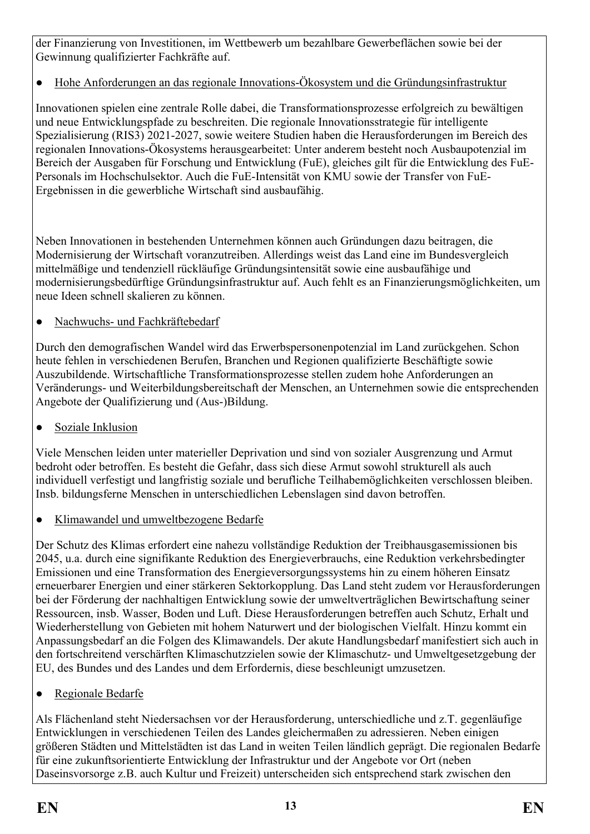der Finanzierung von Investitionen, im Wettbewerb um bezahlbare Gewerbeflächen sowie bei der Gewinnung qualifizierter Fachkräfte auf.

● Hohe Anforderungen an das regionale Innovations-Ökosystem und die Gründungsinfrastruktur

Innovationen spielen eine zentrale Rolle dabei, die Transformationsprozesse erfolgreich zu bewältigen und neue Entwicklungspfade zu beschreiten. Die regionale Innovationsstrategie für intelligente Spezialisierung (RIS3) 2021-2027, sowie weitere Studien haben die Herausforderungen im Bereich des regionalen Innovations-Ökosystems herausgearbeitet: Unter anderem besteht noch Ausbaupotenzial im Bereich der Ausgaben für Forschung und Entwicklung (FuE), gleiches gilt für die Entwicklung des FuE-Personals im Hochschulsektor. Auch die FuE-Intensität von KMU sowie der Transfer von FuE-Ergebnissen in die gewerbliche Wirtschaft sind ausbaufähig.

Neben Innovationen in bestehenden Unternehmen können auch Gründungen dazu beitragen, die Modernisierung der Wirtschaft voranzutreiben. Allerdings weist das Land eine im Bundesvergleich mittelmäßige und tendenziell rückläufige Gründungsintensität sowie eine ausbaufähige und modernisierungsbedürftige Gründungsinfrastruktur auf. Auch fehlt es an Finanzierungsmöglichkeiten, um neue Ideen schnell skalieren zu können.

● Nachwuchs- und Fachkräftebedarf

Durch den demografischen Wandel wird das Erwerbspersonenpotenzial im Land zurückgehen. Schon heute fehlen in verschiedenen Berufen, Branchen und Regionen qualifizierte Beschäftigte sowie Auszubildende. Wirtschaftliche Transformationsprozesse stellen zudem hohe Anforderungen an Veränderungs- und Weiterbildungsbereitschaft der Menschen, an Unternehmen sowie die entsprechenden Angebote der Qualifizierung und (Aus-)Bildung.

• Soziale Inklusion

Viele Menschen leiden unter materieller Deprivation und sind von sozialer Ausgrenzung und Armut bedroht oder betroffen. Es besteht die Gefahr, dass sich diese Armut sowohl strukturell als auch individuell verfestigt und langfristig soziale und berufliche Teilhabemöglichkeiten verschlossen bleiben. Insb. bildungsferne Menschen in unterschiedlichen Lebenslagen sind davon betroffen.

● Klimawandel und umweltbezogene Bedarfe

Der Schutz des Klimas erfordert eine nahezu vollständige Reduktion der Treibhausgasemissionen bis 2045, u.a. durch eine signifikante Reduktion des Energieverbrauchs, eine Reduktion verkehrsbedingter Emissionen und eine Transformation des Energieversorgungssystems hin zu einem höheren Einsatz erneuerbarer Energien und einer stärkeren Sektorkopplung. Das Land steht zudem vor Herausforderungen bei der Förderung der nachhaltigen Entwicklung sowie der umweltverträglichen Bewirtschaftung seiner Ressourcen, insb. Wasser, Boden und Luft. Diese Herausforderungen betreffen auch Schutz, Erhalt und Wiederherstellung von Gebieten mit hohem Naturwert und der biologischen Vielfalt. Hinzu kommt ein Anpassungsbedarf an die Folgen des Klimawandels. Der akute Handlungsbedarf manifestiert sich auch in den fortschreitend verschärften Klimaschutzzielen sowie der Klimaschutz- und Umweltgesetzgebung der EU, des Bundes und des Landes und dem Erfordernis, diese beschleunigt umzusetzen.

● Regionale Bedarfe

Als Flächenland steht Niedersachsen vor der Herausforderung, unterschiedliche und z.T. gegenläufige Entwicklungen in verschiedenen Teilen des Landes gleichermaßen zu adressieren. Neben einigen größeren Städten und Mittelstädten ist das Land in weiten Teilen ländlich geprägt. Die regionalen Bedarfe für eine zukunftsorientierte Entwicklung der Infrastruktur und der Angebote vor Ort (neben Daseinsvorsorge z.B. auch Kultur und Freizeit) unterscheiden sich entsprechend stark zwischen den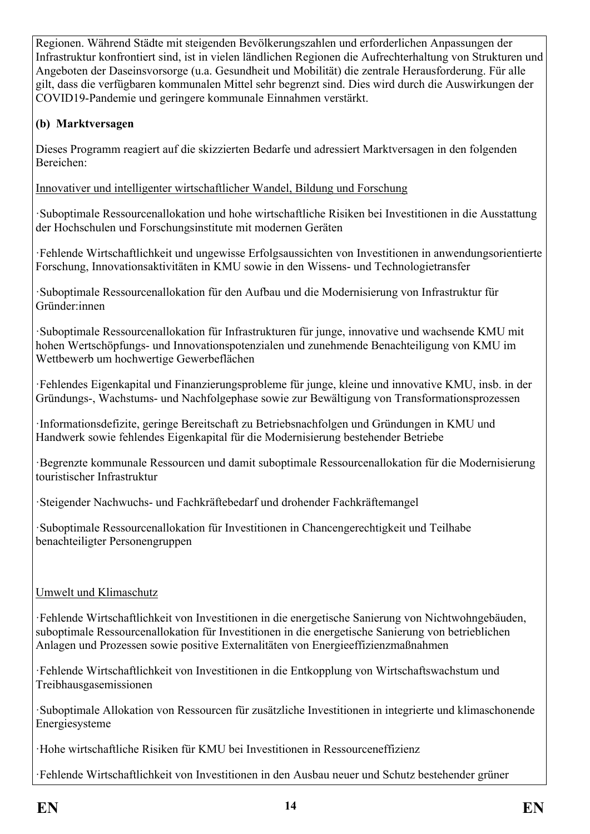Regionen. Während Städte mit steigenden Bevölkerungszahlen und erforderlichen Anpassungen der Infrastruktur konfrontiert sind, ist in vielen ländlichen Regionen die Aufrechterhaltung von Strukturen und Angeboten der Daseinsvorsorge (u.a. Gesundheit und Mobilität) die zentrale Herausforderung. Für alle gilt, dass die verfügbaren kommunalen Mittel sehr begrenzt sind. Dies wird durch die Auswirkungen der COVID19-Pandemie und geringere kommunale Einnahmen verstärkt.

### **(b) Marktversagen**

Dieses Programm reagiert auf die skizzierten Bedarfe und adressiert Marktversagen in den folgenden Bereichen:

Innovativer und intelligenter wirtschaftlicher Wandel, Bildung und Forschung

·Suboptimale Ressourcenallokation und hohe wirtschaftliche Risiken bei Investitionen in die Ausstattung der Hochschulen und Forschungsinstitute mit modernen Geräten

·Fehlende Wirtschaftlichkeit und ungewisse Erfolgsaussichten von Investitionen in anwendungsorientierte Forschung, Innovationsaktivitäten in KMU sowie in den Wissens- und Technologietransfer

·Suboptimale Ressourcenallokation für den Aufbau und die Modernisierung von Infrastruktur für Gründer:innen

·Suboptimale Ressourcenallokation für Infrastrukturen für junge, innovative und wachsende KMU mit hohen Wertschöpfungs- und Innovationspotenzialen und zunehmende Benachteiligung von KMU im Wettbewerb um hochwertige Gewerbeflächen

·Fehlendes Eigenkapital und Finanzierungsprobleme für junge, kleine und innovative KMU, insb. in der Gründungs-, Wachstums- und Nachfolgephase sowie zur Bewältigung von Transformationsprozessen

·Informationsdefizite, geringe Bereitschaft zu Betriebsnachfolgen und Gründungen in KMU und Handwerk sowie fehlendes Eigenkapital für die Modernisierung bestehender Betriebe

·Begrenzte kommunale Ressourcen und damit suboptimale Ressourcenallokation für die Modernisierung touristischer Infrastruktur

·Steigender Nachwuchs- und Fachkräftebedarf und drohender Fachkräftemangel

·Suboptimale Ressourcenallokation für Investitionen in Chancengerechtigkeit und Teilhabe benachteiligter Personengruppen

#### Umwelt und Klimaschutz

·Fehlende Wirtschaftlichkeit von Investitionen in die energetische Sanierung von Nichtwohngebäuden, suboptimale Ressourcenallokation für Investitionen in die energetische Sanierung von betrieblichen Anlagen und Prozessen sowie positive Externalitäten von Energieeffizienzmaßnahmen

·Fehlende Wirtschaftlichkeit von Investitionen in die Entkopplung von Wirtschaftswachstum und Treibhausgasemissionen

·Suboptimale Allokation von Ressourcen für zusätzliche Investitionen in integrierte und klimaschonende Energiesysteme

·Hohe wirtschaftliche Risiken für KMU bei Investitionen in Ressourceneffizienz

·Fehlende Wirtschaftlichkeit von Investitionen in den Ausbau neuer und Schutz bestehender grüner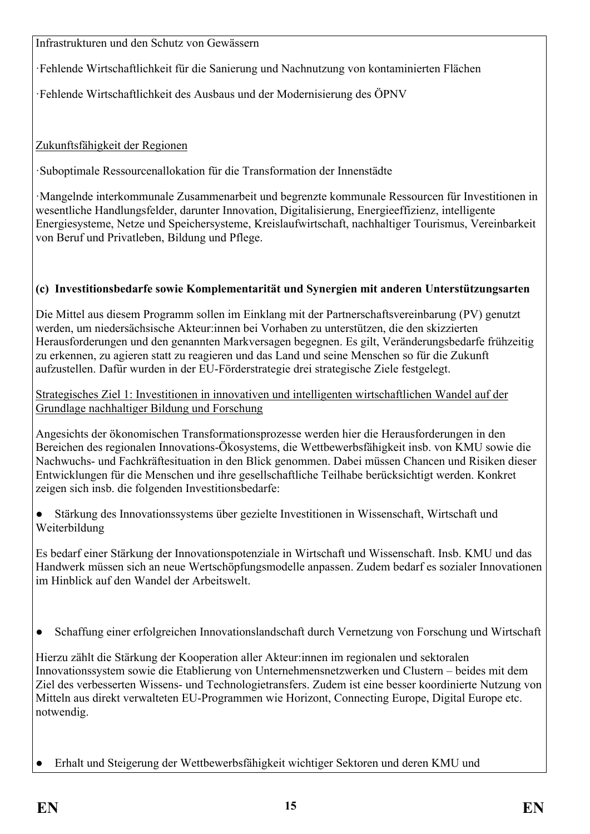Infrastrukturen und den Schutz von Gewässern

·Fehlende Wirtschaftlichkeit für die Sanierung und Nachnutzung von kontaminierten Flächen

·Fehlende Wirtschaftlichkeit des Ausbaus und der Modernisierung des ÖPNV

## Zukunftsfähigkeit der Regionen

·Suboptimale Ressourcenallokation für die Transformation der Innenstädte

·Mangelnde interkommunale Zusammenarbeit und begrenzte kommunale Ressourcen für Investitionen in wesentliche Handlungsfelder, darunter Innovation, Digitalisierung, Energieeffizienz, intelligente Energiesysteme, Netze und Speichersysteme, Kreislaufwirtschaft, nachhaltiger Tourismus, Vereinbarkeit von Beruf und Privatleben, Bildung und Pflege.

## **(c) Investitionsbedarfe sowie Komplementarität und Synergien mit anderen Unterstützungsarten**

Die Mittel aus diesem Programm sollen im Einklang mit der Partnerschaftsvereinbarung (PV) genutzt werden, um niedersächsische Akteur:innen bei Vorhaben zu unterstützen, die den skizzierten Herausforderungen und den genannten Markversagen begegnen. Es gilt, Veränderungsbedarfe frühzeitig zu erkennen, zu agieren statt zu reagieren und das Land und seine Menschen so für die Zukunft aufzustellen. Dafür wurden in der EU-Förderstrategie drei strategische Ziele festgelegt.

Strategisches Ziel 1: Investitionen in innovativen und intelligenten wirtschaftlichen Wandel auf der Grundlage nachhaltiger Bildung und Forschung

Angesichts der ökonomischen Transformationsprozesse werden hier die Herausforderungen in den Bereichen des regionalen Innovations-Ökosystems, die Wettbewerbsfähigkeit insb. von KMU sowie die Nachwuchs- und Fachkräftesituation in den Blick genommen. Dabei müssen Chancen und Risiken dieser Entwicklungen für die Menschen und ihre gesellschaftliche Teilhabe berücksichtigt werden. Konkret zeigen sich insb. die folgenden Investitionsbedarfe:

Stärkung des Innovationssystems über gezielte Investitionen in Wissenschaft, Wirtschaft und Weiterbildung

Es bedarf einer Stärkung der Innovationspotenziale in Wirtschaft und Wissenschaft. Insb. KMU und das Handwerk müssen sich an neue Wertschöpfungsmodelle anpassen. Zudem bedarf es sozialer Innovationen im Hinblick auf den Wandel der Arbeitswelt.

● Schaffung einer erfolgreichen Innovationslandschaft durch Vernetzung von Forschung und Wirtschaft

Hierzu zählt die Stärkung der Kooperation aller Akteur:innen im regionalen und sektoralen Innovationssystem sowie die Etablierung von Unternehmensnetzwerken und Clustern – beides mit dem Ziel des verbesserten Wissens- und Technologietransfers. Zudem ist eine besser koordinierte Nutzung von Mitteln aus direkt verwalteten EU-Programmen wie Horizont, Connecting Europe, Digital Europe etc. notwendig.

Erhalt und Steigerung der Wettbewerbsfähigkeit wichtiger Sektoren und deren KMU und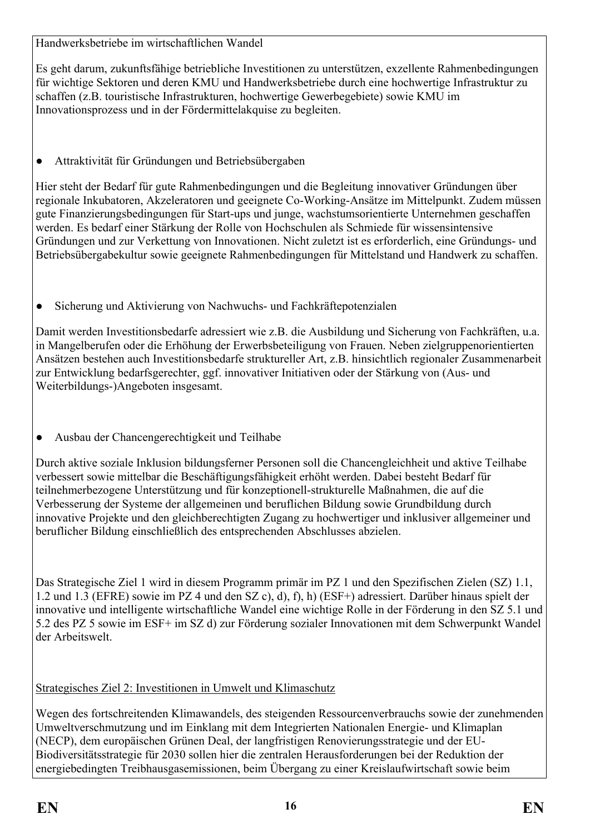Handwerksbetriebe im wirtschaftlichen Wandel

Es geht darum, zukunftsfähige betriebliche Investitionen zu unterstützen, exzellente Rahmenbedingungen für wichtige Sektoren und deren KMU und Handwerksbetriebe durch eine hochwertige Infrastruktur zu schaffen (z.B. touristische Infrastrukturen, hochwertige Gewerbegebiete) sowie KMU im Innovationsprozess und in der Fördermittelakquise zu begleiten.

● Attraktivität für Gründungen und Betriebsübergaben

Hier steht der Bedarf für gute Rahmenbedingungen und die Begleitung innovativer Gründungen über regionale Inkubatoren, Akzeleratoren und geeignete Co-Working-Ansätze im Mittelpunkt. Zudem müssen gute Finanzierungsbedingungen für Start-ups und junge, wachstumsorientierte Unternehmen geschaffen werden. Es bedarf einer Stärkung der Rolle von Hochschulen als Schmiede für wissensintensive Gründungen und zur Verkettung von Innovationen. Nicht zuletzt ist es erforderlich, eine Gründungs- und Betriebsübergabekultur sowie geeignete Rahmenbedingungen für Mittelstand und Handwerk zu schaffen.

• Sicherung und Aktivierung von Nachwuchs- und Fachkräftepotenzialen

Damit werden Investitionsbedarfe adressiert wie z.B. die Ausbildung und Sicherung von Fachkräften, u.a. in Mangelberufen oder die Erhöhung der Erwerbsbeteiligung von Frauen. Neben zielgruppenorientierten Ansätzen bestehen auch Investitionsbedarfe struktureller Art, z.B. hinsichtlich regionaler Zusammenarbeit zur Entwicklung bedarfsgerechter, ggf. innovativer Initiativen oder der Stärkung von (Aus- und Weiterbildungs-)Angeboten insgesamt.

● Ausbau der Chancengerechtigkeit und Teilhabe

Durch aktive soziale Inklusion bildungsferner Personen soll die Chancengleichheit und aktive Teilhabe verbessert sowie mittelbar die Beschäftigungsfähigkeit erhöht werden. Dabei besteht Bedarf für teilnehmerbezogene Unterstützung und für konzeptionell-strukturelle Maßnahmen, die auf die Verbesserung der Systeme der allgemeinen und beruflichen Bildung sowie Grundbildung durch innovative Projekte und den gleichberechtigten Zugang zu hochwertiger und inklusiver allgemeiner und beruflicher Bildung einschließlich des entsprechenden Abschlusses abzielen.

Das Strategische Ziel 1 wird in diesem Programm primär im PZ 1 und den Spezifischen Zielen (SZ) 1.1, 1.2 und 1.3 (EFRE) sowie im PZ 4 und den SZ c), d), f), h) (ESF+) adressiert. Darüber hinaus spielt der innovative und intelligente wirtschaftliche Wandel eine wichtige Rolle in der Förderung in den SZ 5.1 und 5.2 des PZ 5 sowie im ESF+ im SZ d) zur Förderung sozialer Innovationen mit dem Schwerpunkt Wandel der Arbeitswelt.

## Strategisches Ziel 2: Investitionen in Umwelt und Klimaschutz

Wegen des fortschreitenden Klimawandels, des steigenden Ressourcenverbrauchs sowie der zunehmenden Umweltverschmutzung und im Einklang mit dem Integrierten Nationalen Energie- und Klimaplan (NECP), dem europäischen Grünen Deal, der langfristigen Renovierungsstrategie und der EU-Biodiversitätsstrategie für 2030 sollen hier die zentralen Herausforderungen bei der Reduktion der energiebedingten Treibhausgasemissionen, beim Übergang zu einer Kreislaufwirtschaft sowie beim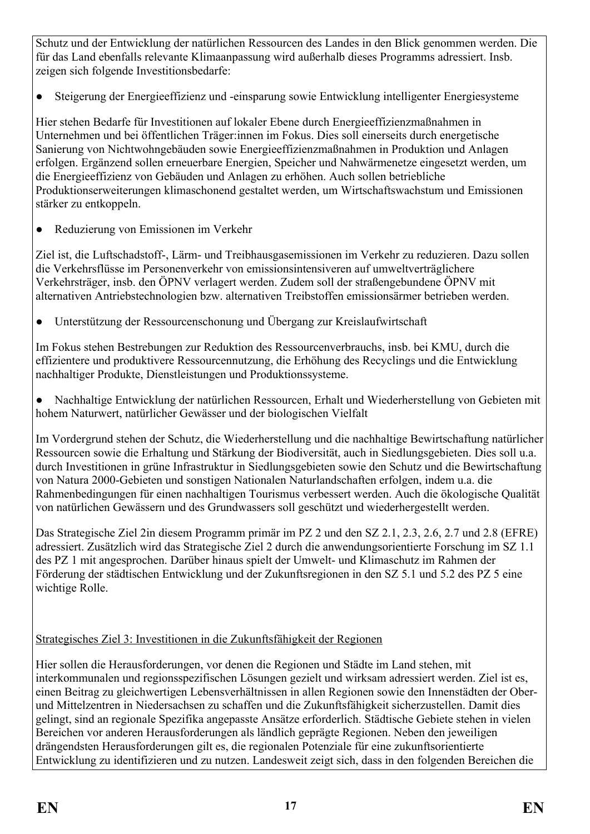Schutz und der Entwicklung der natürlichen Ressourcen des Landes in den Blick genommen werden. Die für das Land ebenfalls relevante Klimaanpassung wird außerhalb dieses Programms adressiert. Insb. zeigen sich folgende Investitionsbedarfe:

● Steigerung der Energieeffizienz und -einsparung sowie Entwicklung intelligenter Energiesysteme

Hier stehen Bedarfe für Investitionen auf lokaler Ebene durch Energieeffizienzmaßnahmen in Unternehmen und bei öffentlichen Träger:innen im Fokus. Dies soll einerseits durch energetische Sanierung von Nichtwohngebäuden sowie Energieeffizienzmaßnahmen in Produktion und Anlagen erfolgen. Ergänzend sollen erneuerbare Energien, Speicher und Nahwärmenetze eingesetzt werden, um die Energieeffizienz von Gebäuden und Anlagen zu erhöhen. Auch sollen betriebliche Produktionserweiterungen klimaschonend gestaltet werden, um Wirtschaftswachstum und Emissionen stärker zu entkoppeln.

● Reduzierung von Emissionen im Verkehr

Ziel ist, die Luftschadstoff-, Lärm- und Treibhausgasemissionen im Verkehr zu reduzieren. Dazu sollen die Verkehrsflüsse im Personenverkehr von emissionsintensiveren auf umweltverträglichere Verkehrsträger, insb. den ÖPNV verlagert werden. Zudem soll der straßengebundene ÖPNV mit alternativen Antriebstechnologien bzw. alternativen Treibstoffen emissionsärmer betrieben werden.

● Unterstützung der Ressourcenschonung und Übergang zur Kreislaufwirtschaft

Im Fokus stehen Bestrebungen zur Reduktion des Ressourcenverbrauchs, insb. bei KMU, durch die effizientere und produktivere Ressourcennutzung, die Erhöhung des Recyclings und die Entwicklung nachhaltiger Produkte, Dienstleistungen und Produktionssysteme.

Nachhaltige Entwicklung der natürlichen Ressourcen, Erhalt und Wiederherstellung von Gebieten mit hohem Naturwert, natürlicher Gewässer und der biologischen Vielfalt

Im Vordergrund stehen der Schutz, die Wiederherstellung und die nachhaltige Bewirtschaftung natürlicher Ressourcen sowie die Erhaltung und Stärkung der Biodiversität, auch in Siedlungsgebieten. Dies soll u.a. durch Investitionen in grüne Infrastruktur in Siedlungsgebieten sowie den Schutz und die Bewirtschaftung von Natura 2000-Gebieten und sonstigen Nationalen Naturlandschaften erfolgen, indem u.a. die Rahmenbedingungen für einen nachhaltigen Tourismus verbessert werden. Auch die ökologische Qualität von natürlichen Gewässern und des Grundwassers soll geschützt und wiederhergestellt werden.

Das Strategische Ziel 2in diesem Programm primär im PZ 2 und den SZ 2.1, 2.3, 2.6, 2.7 und 2.8 (EFRE) adressiert. Zusätzlich wird das Strategische Ziel 2 durch die anwendungsorientierte Forschung im SZ 1.1 des PZ 1 mit angesprochen. Darüber hinaus spielt der Umwelt- und Klimaschutz im Rahmen der Förderung der städtischen Entwicklung und der Zukunftsregionen in den SZ 5.1 und 5.2 des PZ 5 eine wichtige Rolle.

#### Strategisches Ziel 3: Investitionen in die Zukunftsfähigkeit der Regionen

Hier sollen die Herausforderungen, vor denen die Regionen und Städte im Land stehen, mit interkommunalen und regionsspezifischen Lösungen gezielt und wirksam adressiert werden. Ziel ist es, einen Beitrag zu gleichwertigen Lebensverhältnissen in allen Regionen sowie den Innenstädten der Oberund Mittelzentren in Niedersachsen zu schaffen und die Zukunftsfähigkeit sicherzustellen. Damit dies gelingt, sind an regionale Spezifika angepasste Ansätze erforderlich. Städtische Gebiete stehen in vielen Bereichen vor anderen Herausforderungen als ländlich geprägte Regionen. Neben den jeweiligen drängendsten Herausforderungen gilt es, die regionalen Potenziale für eine zukunftsorientierte Entwicklung zu identifizieren und zu nutzen. Landesweit zeigt sich, dass in den folgenden Bereichen die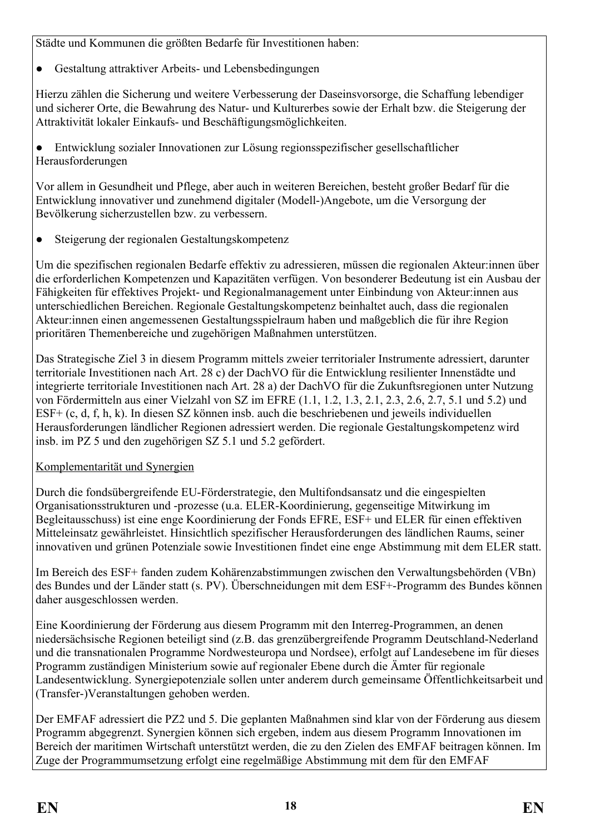Städte und Kommunen die größten Bedarfe für Investitionen haben:

• Gestaltung attraktiver Arbeits- und Lebensbedingungen

Hierzu zählen die Sicherung und weitere Verbesserung der Daseinsvorsorge, die Schaffung lebendiger und sicherer Orte, die Bewahrung des Natur- und Kulturerbes sowie der Erhalt bzw. die Steigerung der Attraktivität lokaler Einkaufs- und Beschäftigungsmöglichkeiten.

● Entwicklung sozialer Innovationen zur Lösung regionsspezifischer gesellschaftlicher Herausforderungen

Vor allem in Gesundheit und Pflege, aber auch in weiteren Bereichen, besteht großer Bedarf für die Entwicklung innovativer und zunehmend digitaler (Modell-)Angebote, um die Versorgung der Bevölkerung sicherzustellen bzw. zu verbessern.

● Steigerung der regionalen Gestaltungskompetenz

Um die spezifischen regionalen Bedarfe effektiv zu adressieren, müssen die regionalen Akteur:innen über die erforderlichen Kompetenzen und Kapazitäten verfügen. Von besonderer Bedeutung ist ein Ausbau der Fähigkeiten für effektives Projekt- und Regionalmanagement unter Einbindung von Akteur:innen aus unterschiedlichen Bereichen. Regionale Gestaltungskompetenz beinhaltet auch, dass die regionalen Akteur:innen einen angemessenen Gestaltungsspielraum haben und maßgeblich die für ihre Region prioritären Themenbereiche und zugehörigen Maßnahmen unterstützen.

Das Strategische Ziel 3 in diesem Programm mittels zweier territorialer Instrumente adressiert, darunter territoriale Investitionen nach Art. 28 c) der DachVO für die Entwicklung resilienter Innenstädte und integrierte territoriale Investitionen nach Art. 28 a) der DachVO für die Zukunftsregionen unter Nutzung von Fördermitteln aus einer Vielzahl von SZ im EFRE (1.1, 1.2, 1.3, 2.1, 2.3, 2.6, 2.7, 5.1 und 5.2) und ESF+ (c, d, f, h, k). In diesen SZ können insb. auch die beschriebenen und jeweils individuellen Herausforderungen ländlicher Regionen adressiert werden. Die regionale Gestaltungskompetenz wird insb. im PZ 5 und den zugehörigen SZ 5.1 und 5.2 gefördert.

#### Komplementarität und Synergien

Durch die fondsübergreifende EU-Förderstrategie, den Multifondsansatz und die eingespielten Organisationsstrukturen und -prozesse (u.a. ELER-Koordinierung, gegenseitige Mitwirkung im Begleitausschuss) ist eine enge Koordinierung der Fonds EFRE, ESF+ und ELER für einen effektiven Mitteleinsatz gewährleistet. Hinsichtlich spezifischer Herausforderungen des ländlichen Raums, seiner innovativen und grünen Potenziale sowie Investitionen findet eine enge Abstimmung mit dem ELER statt.

Im Bereich des ESF+ fanden zudem Kohärenzabstimmungen zwischen den Verwaltungsbehörden (VBn) des Bundes und der Länder statt (s. PV). Überschneidungen mit dem ESF+-Programm des Bundes können daher ausgeschlossen werden.

Eine Koordinierung der Förderung aus diesem Programm mit den Interreg-Programmen, an denen niedersächsische Regionen beteiligt sind (z.B. das grenzübergreifende Programm Deutschland-Nederland und die transnationalen Programme Nordwesteuropa und Nordsee), erfolgt auf Landesebene im für dieses Programm zuständigen Ministerium sowie auf regionaler Ebene durch die Ämter für regionale Landesentwicklung. Synergiepotenziale sollen unter anderem durch gemeinsame Öffentlichkeitsarbeit und (Transfer-)Veranstaltungen gehoben werden.

Der EMFAF adressiert die PZ2 und 5. Die geplanten Maßnahmen sind klar von der Förderung aus diesem Programm abgegrenzt. Synergien können sich ergeben, indem aus diesem Programm Innovationen im Bereich der maritimen Wirtschaft unterstützt werden, die zu den Zielen des EMFAF beitragen können. Im Zuge der Programmumsetzung erfolgt eine regelmäßige Abstimmung mit dem für den EMFAF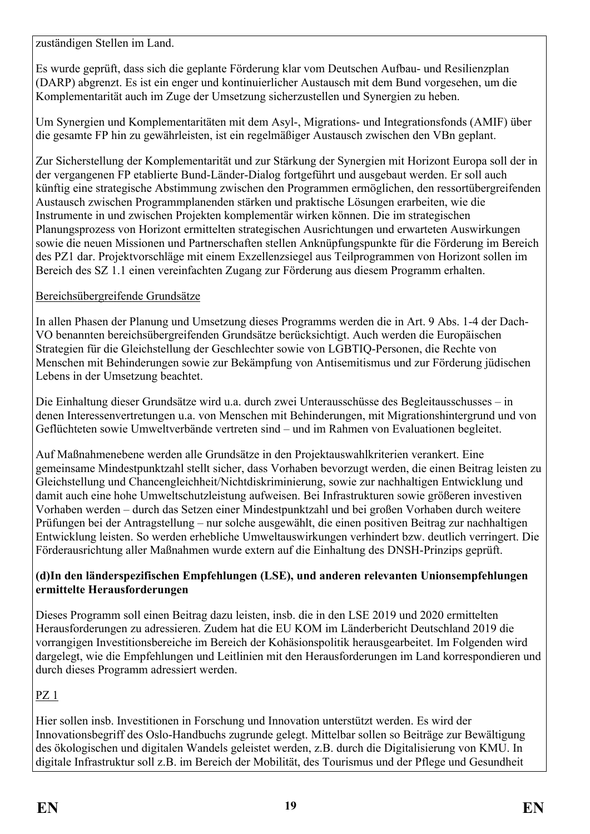zuständigen Stellen im Land.

Es wurde geprüft, dass sich die geplante Förderung klar vom Deutschen Aufbau- und Resilienzplan (DARP) abgrenzt. Es ist ein enger und kontinuierlicher Austausch mit dem Bund vorgesehen, um die Komplementarität auch im Zuge der Umsetzung sicherzustellen und Synergien zu heben.

Um Synergien und Komplementaritäten mit dem Asyl-, Migrations- und Integrationsfonds (AMIF) über die gesamte FP hin zu gewährleisten, ist ein regelmäßiger Austausch zwischen den VBn geplant.

Zur Sicherstellung der Komplementarität und zur Stärkung der Synergien mit Horizont Europa soll der in der vergangenen FP etablierte Bund-Länder-Dialog fortgeführt und ausgebaut werden. Er soll auch künftig eine strategische Abstimmung zwischen den Programmen ermöglichen, den ressortübergreifenden Austausch zwischen Programmplanenden stärken und praktische Lösungen erarbeiten, wie die Instrumente in und zwischen Projekten komplementär wirken können. Die im strategischen Planungsprozess von Horizont ermittelten strategischen Ausrichtungen und erwarteten Auswirkungen sowie die neuen Missionen und Partnerschaften stellen Anknüpfungspunkte für die Förderung im Bereich des PZ1 dar. Projektvorschläge mit einem Exzellenzsiegel aus Teilprogrammen von Horizont sollen im Bereich des SZ 1.1 einen vereinfachten Zugang zur Förderung aus diesem Programm erhalten.

#### Bereichsübergreifende Grundsätze

In allen Phasen der Planung und Umsetzung dieses Programms werden die in Art. 9 Abs. 1-4 der Dach-VO benannten bereichsübergreifenden Grundsätze berücksichtigt. Auch werden die Europäischen Strategien für die Gleichstellung der Geschlechter sowie von LGBTIQ-Personen, die Rechte von Menschen mit Behinderungen sowie zur Bekämpfung von Antisemitismus und zur Förderung jüdischen Lebens in der Umsetzung beachtet.

Die Einhaltung dieser Grundsätze wird u.a. durch zwei Unterausschüsse des Begleitausschusses – in denen Interessenvertretungen u.a. von Menschen mit Behinderungen, mit Migrationshintergrund und von Geflüchteten sowie Umweltverbände vertreten sind – und im Rahmen von Evaluationen begleitet.

Auf Maßnahmenebene werden alle Grundsätze in den Projektauswahlkriterien verankert. Eine gemeinsame Mindestpunktzahl stellt sicher, dass Vorhaben bevorzugt werden, die einen Beitrag leisten zu Gleichstellung und Chancengleichheit/Nichtdiskriminierung, sowie zur nachhaltigen Entwicklung und damit auch eine hohe Umweltschutzleistung aufweisen. Bei Infrastrukturen sowie größeren investiven Vorhaben werden – durch das Setzen einer Mindestpunktzahl und bei großen Vorhaben durch weitere Prüfungen bei der Antragstellung – nur solche ausgewählt, die einen positiven Beitrag zur nachhaltigen Entwicklung leisten. So werden erhebliche Umweltauswirkungen verhindert bzw. deutlich verringert. Die Förderausrichtung aller Maßnahmen wurde extern auf die Einhaltung des DNSH-Prinzips geprüft.

#### **(d)In den länderspezifischen Empfehlungen (LSE), und anderen relevanten Unionsempfehlungen ermittelte Herausforderungen**

Dieses Programm soll einen Beitrag dazu leisten, insb. die in den LSE 2019 und 2020 ermittelten Herausforderungen zu adressieren. Zudem hat die EU KOM im Länderbericht Deutschland 2019 die vorrangigen Investitionsbereiche im Bereich der Kohäsionspolitik herausgearbeitet. Im Folgenden wird dargelegt, wie die Empfehlungen und Leitlinien mit den Herausforderungen im Land korrespondieren und durch dieses Programm adressiert werden.

## PZ 1

Hier sollen insb. Investitionen in Forschung und Innovation unterstützt werden. Es wird der Innovationsbegriff des Oslo-Handbuchs zugrunde gelegt. Mittelbar sollen so Beiträge zur Bewältigung des ökologischen und digitalen Wandels geleistet werden, z.B. durch die Digitalisierung von KMU. In digitale Infrastruktur soll z.B. im Bereich der Mobilität, des Tourismus und der Pflege und Gesundheit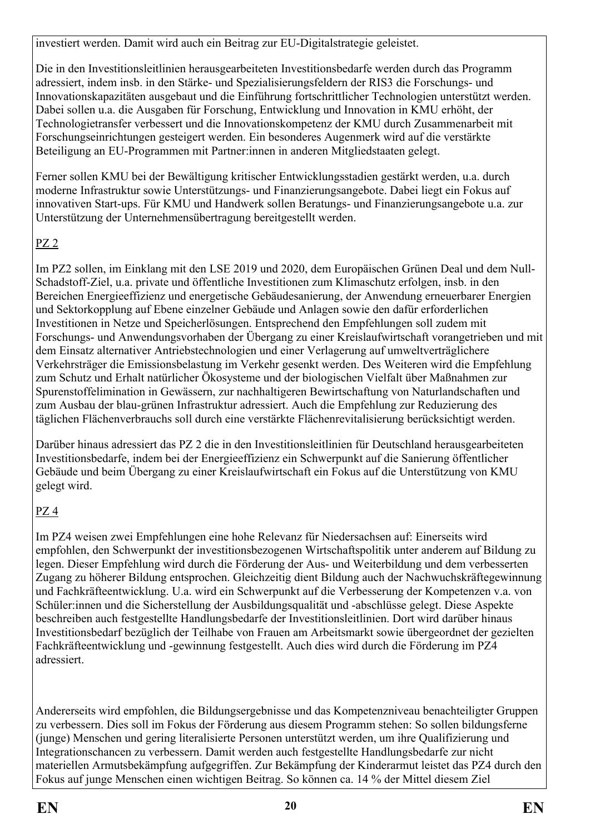investiert werden. Damit wird auch ein Beitrag zur EU-Digitalstrategie geleistet.

Die in den Investitionsleitlinien herausgearbeiteten Investitionsbedarfe werden durch das Programm adressiert, indem insb. in den Stärke- und Spezialisierungsfeldern der RIS3 die Forschungs- und Innovationskapazitäten ausgebaut und die Einführung fortschrittlicher Technologien unterstützt werden. Dabei sollen u.a. die Ausgaben für Forschung, Entwicklung und Innovation in KMU erhöht, der Technologietransfer verbessert und die Innovationskompetenz der KMU durch Zusammenarbeit mit Forschungseinrichtungen gesteigert werden. Ein besonderes Augenmerk wird auf die verstärkte Beteiligung an EU-Programmen mit Partner:innen in anderen Mitgliedstaaten gelegt.

Ferner sollen KMU bei der Bewältigung kritischer Entwicklungsstadien gestärkt werden, u.a. durch moderne Infrastruktur sowie Unterstützungs- und Finanzierungsangebote. Dabei liegt ein Fokus auf innovativen Start-ups. Für KMU und Handwerk sollen Beratungs- und Finanzierungsangebote u.a. zur Unterstützung der Unternehmensübertragung bereitgestellt werden.

## PZ 2

Im PZ2 sollen, im Einklang mit den LSE 2019 und 2020, dem Europäischen Grünen Deal und dem Null-Schadstoff-Ziel, u.a. private und öffentliche Investitionen zum Klimaschutz erfolgen, insb. in den Bereichen Energieeffizienz und energetische Gebäudesanierung, der Anwendung erneuerbarer Energien und Sektorkopplung auf Ebene einzelner Gebäude und Anlagen sowie den dafür erforderlichen Investitionen in Netze und Speicherlösungen. Entsprechend den Empfehlungen soll zudem mit Forschungs- und Anwendungsvorhaben der Übergang zu einer Kreislaufwirtschaft vorangetrieben und mit dem Einsatz alternativer Antriebstechnologien und einer Verlagerung auf umweltverträglichere Verkehrsträger die Emissionsbelastung im Verkehr gesenkt werden. Des Weiteren wird die Empfehlung zum Schutz und Erhalt natürlicher Ökosysteme und der biologischen Vielfalt über Maßnahmen zur Spurenstoffelimination in Gewässern, zur nachhaltigeren Bewirtschaftung von Naturlandschaften und zum Ausbau der blau-grünen Infrastruktur adressiert. Auch die Empfehlung zur Reduzierung des täglichen Flächenverbrauchs soll durch eine verstärkte Flächenrevitalisierung berücksichtigt werden.

Darüber hinaus adressiert das PZ 2 die in den Investitionsleitlinien für Deutschland herausgearbeiteten Investitionsbedarfe, indem bei der Energieeffizienz ein Schwerpunkt auf die Sanierung öffentlicher Gebäude und beim Übergang zu einer Kreislaufwirtschaft ein Fokus auf die Unterstützung von KMU gelegt wird.

## PZ 4

Im PZ4 weisen zwei Empfehlungen eine hohe Relevanz für Niedersachsen auf: Einerseits wird empfohlen, den Schwerpunkt der investitionsbezogenen Wirtschaftspolitik unter anderem auf Bildung zu legen. Dieser Empfehlung wird durch die Förderung der Aus- und Weiterbildung und dem verbesserten Zugang zu höherer Bildung entsprochen. Gleichzeitig dient Bildung auch der Nachwuchskräftegewinnung und Fachkräfteentwicklung. U.a. wird ein Schwerpunkt auf die Verbesserung der Kompetenzen v.a. von Schüler:innen und die Sicherstellung der Ausbildungsqualität und -abschlüsse gelegt. Diese Aspekte beschreiben auch festgestellte Handlungsbedarfe der Investitionsleitlinien. Dort wird darüber hinaus Investitionsbedarf bezüglich der Teilhabe von Frauen am Arbeitsmarkt sowie übergeordnet der gezielten Fachkräfteentwicklung und -gewinnung festgestellt. Auch dies wird durch die Förderung im PZ4 adressiert.

Andererseits wird empfohlen, die Bildungsergebnisse und das Kompetenzniveau benachteiligter Gruppen zu verbessern. Dies soll im Fokus der Förderung aus diesem Programm stehen: So sollen bildungsferne (junge) Menschen und gering literalisierte Personen unterstützt werden, um ihre Qualifizierung und Integrationschancen zu verbessern. Damit werden auch festgestellte Handlungsbedarfe zur nicht materiellen Armutsbekämpfung aufgegriffen. Zur Bekämpfung der Kinderarmut leistet das PZ4 durch den Fokus auf junge Menschen einen wichtigen Beitrag. So können ca. 14 % der Mittel diesem Ziel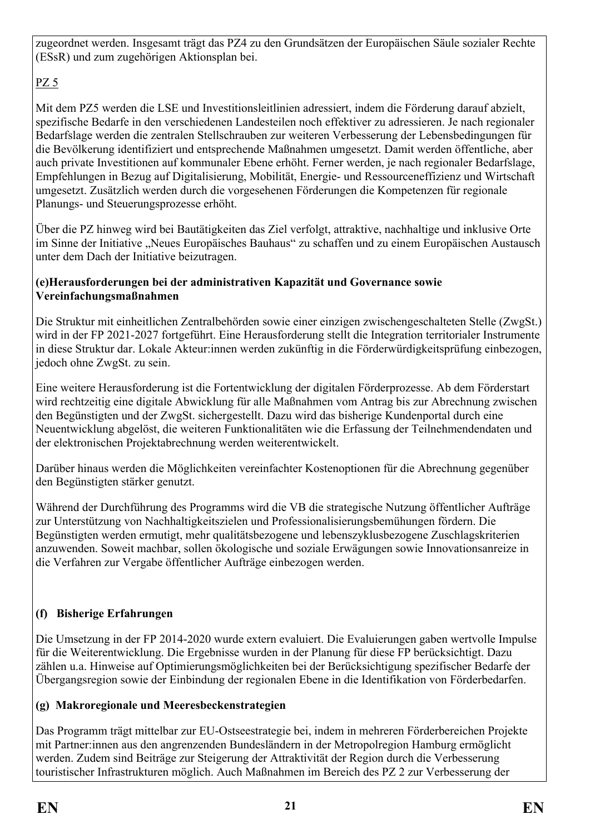zugeordnet werden. Insgesamt trägt das PZ4 zu den Grundsätzen der Europäischen Säule sozialer Rechte (ESsR) und zum zugehörigen Aktionsplan bei.

## PZ 5

Mit dem PZ5 werden die LSE und Investitionsleitlinien adressiert, indem die Förderung darauf abzielt, spezifische Bedarfe in den verschiedenen Landesteilen noch effektiver zu adressieren. Je nach regionaler Bedarfslage werden die zentralen Stellschrauben zur weiteren Verbesserung der Lebensbedingungen für die Bevölkerung identifiziert und entsprechende Maßnahmen umgesetzt. Damit werden öffentliche, aber auch private Investitionen auf kommunaler Ebene erhöht. Ferner werden, je nach regionaler Bedarfslage, Empfehlungen in Bezug auf Digitalisierung, Mobilität, Energie- und Ressourceneffizienz und Wirtschaft umgesetzt. Zusätzlich werden durch die vorgesehenen Förderungen die Kompetenzen für regionale Planungs- und Steuerungsprozesse erhöht.

Über die PZ hinweg wird bei Bautätigkeiten das Ziel verfolgt, attraktive, nachhaltige und inklusive Orte im Sinne der Initiative "Neues Europäisches Bauhaus" zu schaffen und zu einem Europäischen Austausch unter dem Dach der Initiative beizutragen.

#### **(e)Herausforderungen bei der administrativen Kapazität und Governance sowie Vereinfachungsmaßnahmen**

Die Struktur mit einheitlichen Zentralbehörden sowie einer einzigen zwischengeschalteten Stelle (ZwgSt.) wird in der FP 2021-2027 fortgeführt. Eine Herausforderung stellt die Integration territorialer Instrumente in diese Struktur dar. Lokale Akteur:innen werden zukünftig in die Förderwürdigkeitsprüfung einbezogen, jedoch ohne ZwgSt. zu sein.

Eine weitere Herausforderung ist die Fortentwicklung der digitalen Förderprozesse. Ab dem Förderstart wird rechtzeitig eine digitale Abwicklung für alle Maßnahmen vom Antrag bis zur Abrechnung zwischen den Begünstigten und der ZwgSt. sichergestellt. Dazu wird das bisherige Kundenportal durch eine Neuentwicklung abgelöst, die weiteren Funktionalitäten wie die Erfassung der Teilnehmendendaten und der elektronischen Projektabrechnung werden weiterentwickelt.

Darüber hinaus werden die Möglichkeiten vereinfachter Kostenoptionen für die Abrechnung gegenüber den Begünstigten stärker genutzt.

Während der Durchführung des Programms wird die VB die strategische Nutzung öffentlicher Aufträge zur Unterstützung von Nachhaltigkeitszielen und Professionalisierungsbemühungen fördern. Die Begünstigten werden ermutigt, mehr qualitätsbezogene und lebenszyklusbezogene Zuschlagskriterien anzuwenden. Soweit machbar, sollen ökologische und soziale Erwägungen sowie Innovationsanreize in die Verfahren zur Vergabe öffentlicher Aufträge einbezogen werden.

## **(f) Bisherige Erfahrungen**

Die Umsetzung in der FP 2014-2020 wurde extern evaluiert. Die Evaluierungen gaben wertvolle Impulse für die Weiterentwicklung. Die Ergebnisse wurden in der Planung für diese FP berücksichtigt. Dazu zählen u.a. Hinweise auf Optimierungsmöglichkeiten bei der Berücksichtigung spezifischer Bedarfe der Übergangsregion sowie der Einbindung der regionalen Ebene in die Identifikation von Förderbedarfen.

## **(g) Makroregionale und Meeresbeckenstrategien**

Das Programm trägt mittelbar zur EU-Ostseestrategie bei, indem in mehreren Förderbereichen Projekte mit Partner:innen aus den angrenzenden Bundesländern in der Metropolregion Hamburg ermöglicht werden. Zudem sind Beiträge zur Steigerung der Attraktivität der Region durch die Verbesserung touristischer Infrastrukturen möglich. Auch Maßnahmen im Bereich des PZ 2 zur Verbesserung der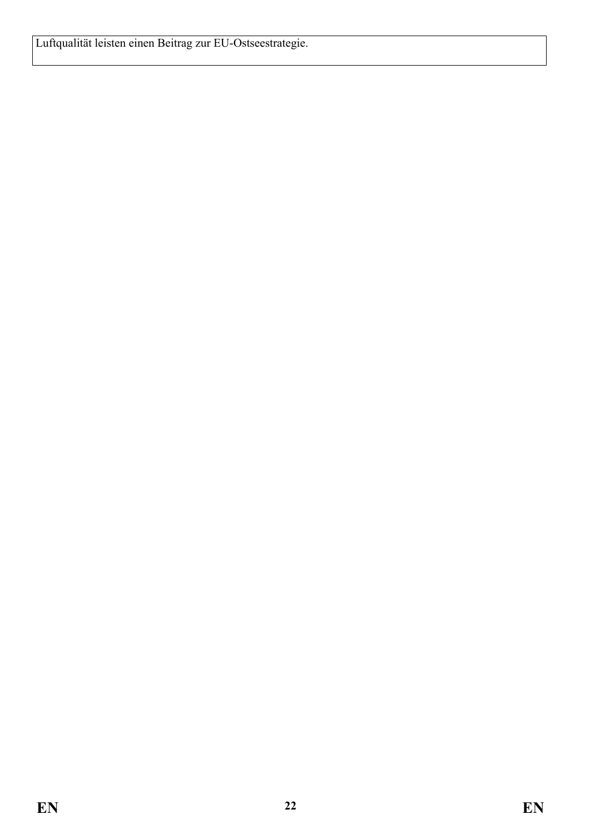Luftqualität leisten einen Beitrag zur EU-Ostseestrategie.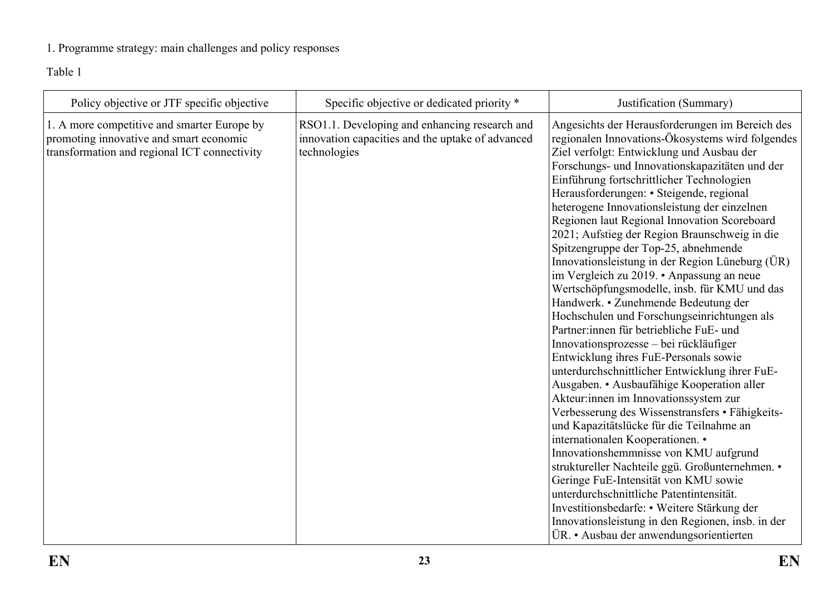## 1. Programme strategy: main challenges and policy responses

Table 1

<span id="page-22-0"></span>

| Policy objective or JTF specific objective                                                                                             | Specific objective or dedicated priority *                                                                        | Justification (Summary)                                                                                                                                                                                                                                                                                                                                                                                                                                                                                                                                                                                                                                                                                                                                                                                                                                                                                                                                                                                                                                                                                                                                                                                                                                                                                                                                                                                                     |
|----------------------------------------------------------------------------------------------------------------------------------------|-------------------------------------------------------------------------------------------------------------------|-----------------------------------------------------------------------------------------------------------------------------------------------------------------------------------------------------------------------------------------------------------------------------------------------------------------------------------------------------------------------------------------------------------------------------------------------------------------------------------------------------------------------------------------------------------------------------------------------------------------------------------------------------------------------------------------------------------------------------------------------------------------------------------------------------------------------------------------------------------------------------------------------------------------------------------------------------------------------------------------------------------------------------------------------------------------------------------------------------------------------------------------------------------------------------------------------------------------------------------------------------------------------------------------------------------------------------------------------------------------------------------------------------------------------------|
| 1. A more competitive and smarter Europe by<br>promoting innovative and smart economic<br>transformation and regional ICT connectivity | RSO1.1. Developing and enhancing research and<br>innovation capacities and the uptake of advanced<br>technologies | Angesichts der Herausforderungen im Bereich des<br>regionalen Innovations-Ökosystems wird folgendes<br>Ziel verfolgt: Entwicklung und Ausbau der<br>Forschungs- und Innovationskapazitäten und der<br>Einführung fortschrittlicher Technologien<br>Herausforderungen: • Steigende, regional<br>heterogene Innovationsleistung der einzelnen<br>Regionen laut Regional Innovation Scoreboard<br>2021; Aufstieg der Region Braunschweig in die<br>Spitzengruppe der Top-25, abnehmende<br>Innovation sleistung in der Region Lüneburg (ÜR)<br>im Vergleich zu 2019. • Anpassung an neue<br>Wertschöpfungsmodelle, insb. für KMU und das<br>Handwerk. • Zunehmende Bedeutung der<br>Hochschulen und Forschungseinrichtungen als<br>Partner: innen für betriebliche FuE- und<br>Innovationsprozesse - bei rückläufiger<br>Entwicklung ihres FuE-Personals sowie<br>unterdurchschnittlicher Entwicklung ihrer FuE-<br>Ausgaben. • Ausbaufähige Kooperation aller<br>Akteur:innen im Innovationssystem zur<br>Verbesserung des Wissenstransfers · Fähigkeits-<br>und Kapazitätslücke für die Teilnahme an<br>internationalen Kooperationen. •<br>Innovationshemmnisse von KMU aufgrund<br>struktureller Nachteile ggü. Großunternehmen. •<br>Geringe FuE-Intensität von KMU sowie<br>unterdurchschnittliche Patentintensität.<br>Investitionsbedarfe: • Weitere Stärkung der<br>Innovationsleistung in den Regionen, insb. in der |
|                                                                                                                                        |                                                                                                                   | ÜR. • Ausbau der anwendungsorientierten                                                                                                                                                                                                                                                                                                                                                                                                                                                                                                                                                                                                                                                                                                                                                                                                                                                                                                                                                                                                                                                                                                                                                                                                                                                                                                                                                                                     |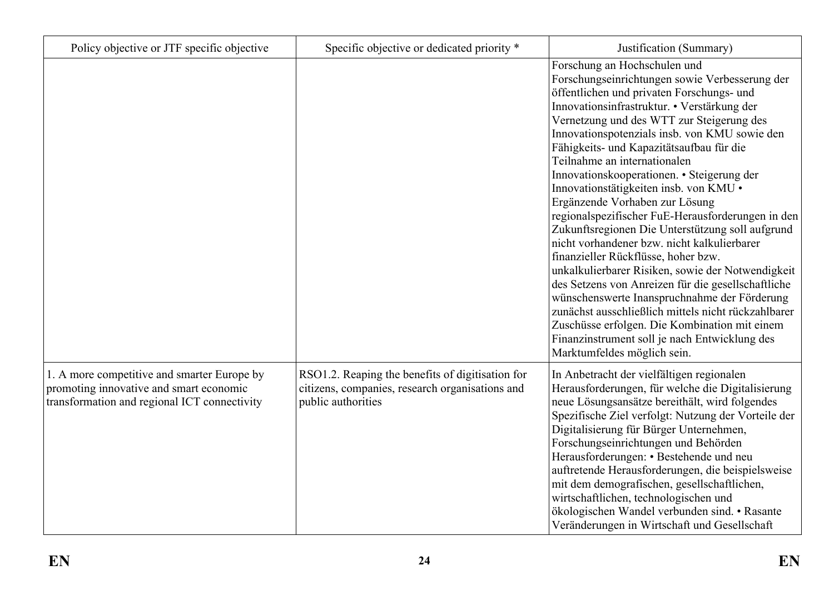| Policy objective or JTF specific objective                                                                                             | Specific objective or dedicated priority *                                                                                | Justification (Summary)                                                                                                                                                                                                                                                                                                                                                                                                                                                                                                                                                                                                                                                                                                                                                                                                                                                                                                                                                                                                          |
|----------------------------------------------------------------------------------------------------------------------------------------|---------------------------------------------------------------------------------------------------------------------------|----------------------------------------------------------------------------------------------------------------------------------------------------------------------------------------------------------------------------------------------------------------------------------------------------------------------------------------------------------------------------------------------------------------------------------------------------------------------------------------------------------------------------------------------------------------------------------------------------------------------------------------------------------------------------------------------------------------------------------------------------------------------------------------------------------------------------------------------------------------------------------------------------------------------------------------------------------------------------------------------------------------------------------|
|                                                                                                                                        |                                                                                                                           | Forschung an Hochschulen und<br>Forschungseinrichtungen sowie Verbesserung der<br>öffentlichen und privaten Forschungs- und<br>Innovationsinfrastruktur. • Verstärkung der<br>Vernetzung und des WTT zur Steigerung des<br>Innovationspotenzials insb. von KMU sowie den<br>Fähigkeits- und Kapazitätsaufbau für die<br>Teilnahme an internationalen<br>Innovationskooperationen. • Steigerung der<br>Innovationstätigkeiten insb. von KMU ·<br>Ergänzende Vorhaben zur Lösung<br>regionalspezifischer FuE-Herausforderungen in den<br>Zukunftsregionen Die Unterstützung soll aufgrund<br>nicht vorhandener bzw. nicht kalkulierbarer<br>finanzieller Rückflüsse, hoher bzw.<br>unkalkulierbarer Risiken, sowie der Notwendigkeit<br>des Setzens von Anreizen für die gesellschaftliche<br>wünschenswerte Inanspruchnahme der Förderung<br>zunächst ausschließlich mittels nicht rückzahlbarer<br>Zuschüsse erfolgen. Die Kombination mit einem<br>Finanzinstrument soll je nach Entwicklung des<br>Marktumfeldes möglich sein. |
| 1. A more competitive and smarter Europe by<br>promoting innovative and smart economic<br>transformation and regional ICT connectivity | RSO1.2. Reaping the benefits of digitisation for<br>citizens, companies, research organisations and<br>public authorities | In Anbetracht der vielfältigen regionalen<br>Herausforderungen, für welche die Digitalisierung<br>neue Lösungsansätze bereithält, wird folgendes<br>Spezifische Ziel verfolgt: Nutzung der Vorteile der<br>Digitalisierung für Bürger Unternehmen,<br>Forschungseinrichtungen und Behörden<br>Herausforderungen: • Bestehende und neu<br>auftretende Herausforderungen, die beispielsweise<br>mit dem demografischen, gesellschaftlichen,<br>wirtschaftlichen, technologischen und<br>ökologischen Wandel verbunden sind. • Rasante<br>Veränderungen in Wirtschaft und Gesellschaft                                                                                                                                                                                                                                                                                                                                                                                                                                              |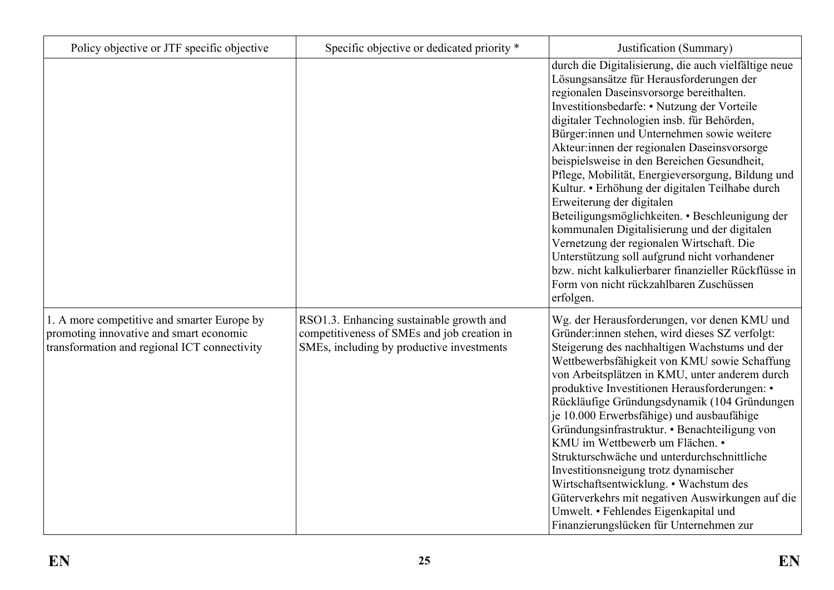| Policy objective or JTF specific objective                                                                                             | Specific objective or dedicated priority *                                                                                           | Justification (Summary)                                                                                                                                                                                                                                                                                                                                                                                                                                                                                                                                                                                                                                                                                                                                                                                                                      |
|----------------------------------------------------------------------------------------------------------------------------------------|--------------------------------------------------------------------------------------------------------------------------------------|----------------------------------------------------------------------------------------------------------------------------------------------------------------------------------------------------------------------------------------------------------------------------------------------------------------------------------------------------------------------------------------------------------------------------------------------------------------------------------------------------------------------------------------------------------------------------------------------------------------------------------------------------------------------------------------------------------------------------------------------------------------------------------------------------------------------------------------------|
|                                                                                                                                        |                                                                                                                                      | durch die Digitalisierung, die auch vielfältige neue<br>Lösungsansätze für Herausforderungen der<br>regionalen Daseinsvorsorge bereithalten.<br>Investitionsbedarfe: • Nutzung der Vorteile<br>digitaler Technologien insb. für Behörden,<br>Bürger:innen und Unternehmen sowie weitere<br>Akteur: innen der regionalen Daseinsvorsorge<br>beispielsweise in den Bereichen Gesundheit,<br>Pflege, Mobilität, Energieversorgung, Bildung und<br>Kultur. • Erhöhung der digitalen Teilhabe durch<br>Erweiterung der digitalen<br>Beteiligungsmöglichkeiten. • Beschleunigung der<br>kommunalen Digitalisierung und der digitalen<br>Vernetzung der regionalen Wirtschaft. Die<br>Unterstützung soll aufgrund nicht vorhandener<br>bzw. nicht kalkulierbarer finanzieller Rückflüsse in<br>Form von nicht rückzahlbaren Zuschüssen<br>erfolgen. |
| 1. A more competitive and smarter Europe by<br>promoting innovative and smart economic<br>transformation and regional ICT connectivity | RSO1.3. Enhancing sustainable growth and<br>competitiveness of SMEs and job creation in<br>SMEs, including by productive investments | Wg. der Herausforderungen, vor denen KMU und<br>Gründer: innen stehen, wird dieses SZ verfolgt:<br>Steigerung des nachhaltigen Wachstums und der<br>Wettbewerbsfähigkeit von KMU sowie Schaffung<br>von Arbeitsplätzen in KMU, unter anderem durch<br>produktive Investitionen Herausforderungen: •<br>Rückläufige Gründungsdynamik (104 Gründungen<br>je 10.000 Erwerbsfähige) und ausbaufähige<br>Gründungsinfrastruktur. • Benachteiligung von<br>KMU im Wettbewerb um Flächen. •<br>Strukturschwäche und unterdurchschnittliche<br>Investitionsneigung trotz dynamischer<br>Wirtschaftsentwicklung. • Wachstum des<br>Güterverkehrs mit negativen Auswirkungen auf die<br>Umwelt. • Fehlendes Eigenkapital und<br>Finanzierungslücken für Unternehmen zur                                                                                |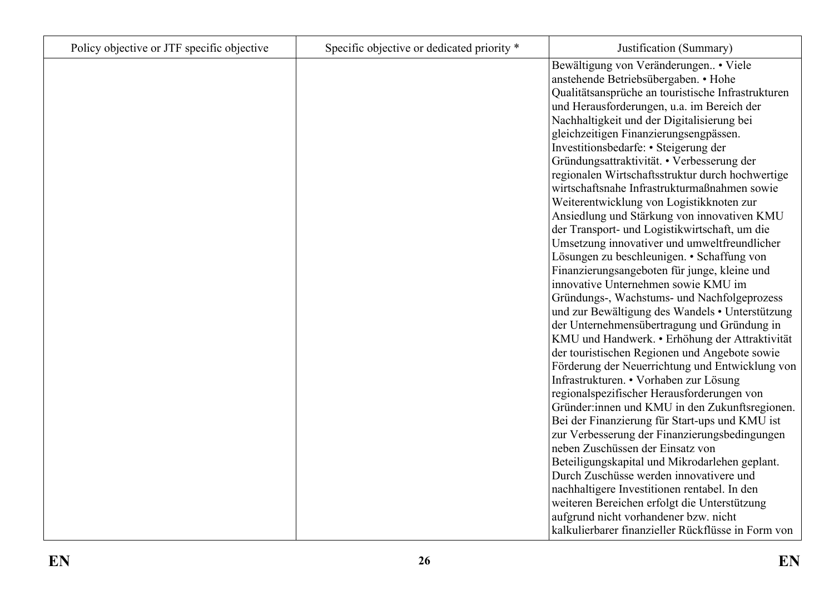| Policy objective or JTF specific objective | Specific objective or dedicated priority * | Justification (Summary)                            |
|--------------------------------------------|--------------------------------------------|----------------------------------------------------|
|                                            |                                            | Bewältigung von Veränderungen. • Viele             |
|                                            |                                            | anstehende Betriebsübergaben. • Hohe               |
|                                            |                                            | Qualitätsansprüche an touristische Infrastrukturen |
|                                            |                                            | und Herausforderungen, u.a. im Bereich der         |
|                                            |                                            | Nachhaltigkeit und der Digitalisierung bei         |
|                                            |                                            | gleichzeitigen Finanzierungsengpässen.             |
|                                            |                                            | Investitionsbedarfe: • Steigerung der              |
|                                            |                                            | Gründungsattraktivität. • Verbesserung der         |
|                                            |                                            | regionalen Wirtschaftsstruktur durch hochwertige   |
|                                            |                                            | wirtschaftsnahe Infrastrukturmaßnahmen sowie       |
|                                            |                                            | Weiterentwicklung von Logistikknoten zur           |
|                                            |                                            | Ansiedlung und Stärkung von innovativen KMU        |
|                                            |                                            | der Transport- und Logistikwirtschaft, um die      |
|                                            |                                            | Umsetzung innovativer und umweltfreundlicher       |
|                                            |                                            | Lösungen zu beschleunigen. • Schaffung von         |
|                                            |                                            | Finanzierungsangeboten für junge, kleine und       |
|                                            |                                            | innovative Unternehmen sowie KMU im                |
|                                            |                                            | Gründungs-, Wachstums- und Nachfolgeprozess        |
|                                            |                                            | und zur Bewältigung des Wandels • Unterstützung    |
|                                            |                                            | der Unternehmensübertragung und Gründung in        |
|                                            |                                            | KMU und Handwerk. • Erhöhung der Attraktivität     |
|                                            |                                            | der touristischen Regionen und Angebote sowie      |
|                                            |                                            | Förderung der Neuerrichtung und Entwicklung von    |
|                                            |                                            | Infrastrukturen. • Vorhaben zur Lösung             |
|                                            |                                            | regionalspezifischer Herausforderungen von         |
|                                            |                                            | Gründer: innen und KMU in den Zukunftsregionen.    |
|                                            |                                            | Bei der Finanzierung für Start-ups und KMU ist     |
|                                            |                                            | zur Verbesserung der Finanzierungsbedingungen      |
|                                            |                                            | neben Zuschüssen der Einsatz von                   |
|                                            |                                            | Beteiligungskapital und Mikrodarlehen geplant.     |
|                                            |                                            | Durch Zuschüsse werden innovativere und            |
|                                            |                                            | nachhaltigere Investitionen rentabel. In den       |
|                                            |                                            | weiteren Bereichen erfolgt die Unterstützung       |
|                                            |                                            | aufgrund nicht vorhandener bzw. nicht              |
|                                            |                                            | kalkulierbarer finanzieller Rückflüsse in Form von |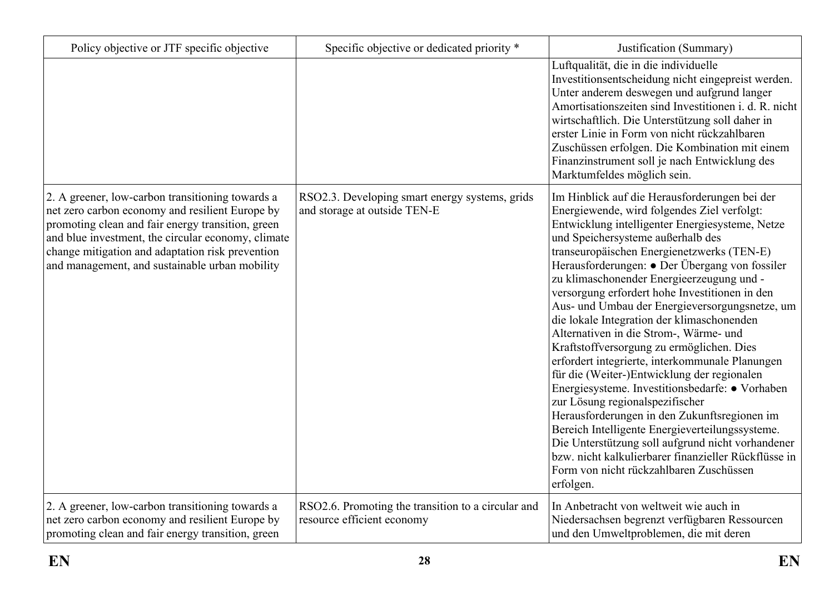| Policy objective or JTF specific objective                                                                                                                                                                                                                                                                           | Specific objective or dedicated priority *                                       | Justification (Summary)                                                                                                                                                                                                                                                                                                                                                                                                                                                                                                                                                                                                                                                                                                                                                                                                                                                                                                                                                                                                                    |
|----------------------------------------------------------------------------------------------------------------------------------------------------------------------------------------------------------------------------------------------------------------------------------------------------------------------|----------------------------------------------------------------------------------|--------------------------------------------------------------------------------------------------------------------------------------------------------------------------------------------------------------------------------------------------------------------------------------------------------------------------------------------------------------------------------------------------------------------------------------------------------------------------------------------------------------------------------------------------------------------------------------------------------------------------------------------------------------------------------------------------------------------------------------------------------------------------------------------------------------------------------------------------------------------------------------------------------------------------------------------------------------------------------------------------------------------------------------------|
|                                                                                                                                                                                                                                                                                                                      |                                                                                  | Luftqualität, die in die individuelle<br>Investitionsentscheidung nicht eingepreist werden.<br>Unter anderem deswegen und aufgrund langer<br>Amortisationszeiten sind Investitionen i. d. R. nicht<br>wirtschaftlich. Die Unterstützung soll daher in<br>erster Linie in Form von nicht rückzahlbaren<br>Zuschüssen erfolgen. Die Kombination mit einem<br>Finanzinstrument soll je nach Entwicklung des<br>Marktumfeldes möglich sein.                                                                                                                                                                                                                                                                                                                                                                                                                                                                                                                                                                                                    |
| 2. A greener, low-carbon transitioning towards a<br>net zero carbon economy and resilient Europe by<br>promoting clean and fair energy transition, green<br>and blue investment, the circular economy, climate<br>change mitigation and adaptation risk prevention<br>and management, and sustainable urban mobility | RSO2.3. Developing smart energy systems, grids<br>and storage at outside TEN-E   | Im Hinblick auf die Herausforderungen bei der<br>Energiewende, wird folgendes Ziel verfolgt:<br>Entwicklung intelligenter Energiesysteme, Netze<br>und Speichersysteme außerhalb des<br>transeuropäischen Energienetzwerks (TEN-E)<br>Herausforderungen: • Der Übergang von fossiler<br>zu klimaschonender Energieerzeugung und -<br>versorgung erfordert hohe Investitionen in den<br>Aus- und Umbau der Energieversorgungsnetze, um<br>die lokale Integration der klimaschonenden<br>Alternativen in die Strom-, Wärme- und<br>Kraftstoffversorgung zu ermöglichen. Dies<br>erfordert integrierte, interkommunale Planungen<br>für die (Weiter-)Entwicklung der regionalen<br>Energiesysteme. Investitionsbedarfe: • Vorhaben<br>zur Lösung regionalspezifischer<br>Herausforderungen in den Zukunftsregionen im<br>Bereich Intelligente Energieverteilungssysteme.<br>Die Unterstützung soll aufgrund nicht vorhandener<br>bzw. nicht kalkulierbarer finanzieller Rückflüsse in<br>Form von nicht rückzahlbaren Zuschüssen<br>erfolgen. |
| 2. A greener, low-carbon transitioning towards a<br>net zero carbon economy and resilient Europe by<br>promoting clean and fair energy transition, green                                                                                                                                                             | RSO2.6. Promoting the transition to a circular and<br>resource efficient economy | In Anbetracht von weltweit wie auch in<br>Niedersachsen begrenzt verfügbaren Ressourcen<br>und den Umweltproblemen, die mit deren                                                                                                                                                                                                                                                                                                                                                                                                                                                                                                                                                                                                                                                                                                                                                                                                                                                                                                          |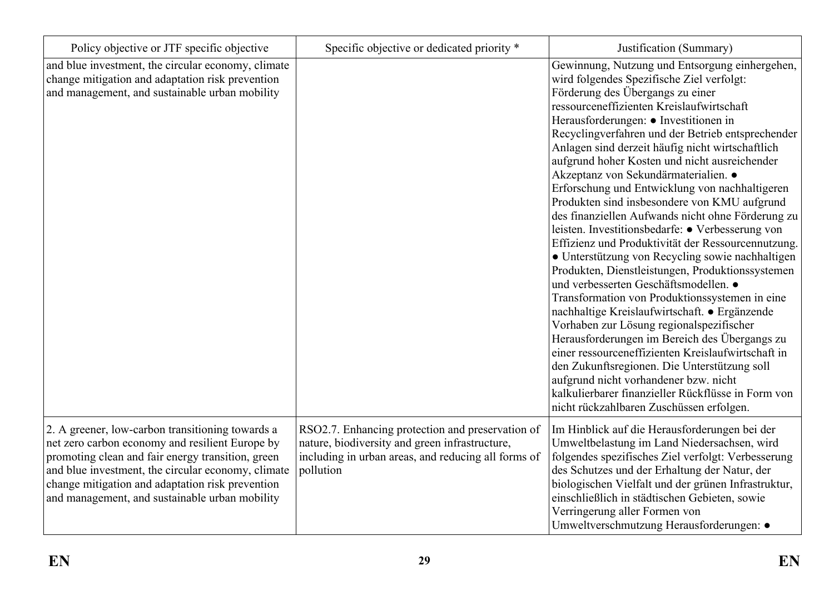| Policy objective or JTF specific objective                                                                                                                                                                                                                                                                           | Specific objective or dedicated priority *                                                                                                                             | Justification (Summary)                                                                                                                                                                                                                                                                                                                                                                                                                                                                                                                                                                                                                                                                                                                                                                                                                                                                                                                                                                                                                                                                                                                                                                                                                                                                    |
|----------------------------------------------------------------------------------------------------------------------------------------------------------------------------------------------------------------------------------------------------------------------------------------------------------------------|------------------------------------------------------------------------------------------------------------------------------------------------------------------------|--------------------------------------------------------------------------------------------------------------------------------------------------------------------------------------------------------------------------------------------------------------------------------------------------------------------------------------------------------------------------------------------------------------------------------------------------------------------------------------------------------------------------------------------------------------------------------------------------------------------------------------------------------------------------------------------------------------------------------------------------------------------------------------------------------------------------------------------------------------------------------------------------------------------------------------------------------------------------------------------------------------------------------------------------------------------------------------------------------------------------------------------------------------------------------------------------------------------------------------------------------------------------------------------|
| and blue investment, the circular economy, climate<br>change mitigation and adaptation risk prevention<br>and management, and sustainable urban mobility                                                                                                                                                             |                                                                                                                                                                        | Gewinnung, Nutzung und Entsorgung einhergehen,<br>wird folgendes Spezifische Ziel verfolgt:<br>Förderung des Übergangs zu einer<br>ressourceneffizienten Kreislaufwirtschaft<br>Herausforderungen: • Investitionen in<br>Recyclingverfahren und der Betrieb entsprechender<br>Anlagen sind derzeit häufig nicht wirtschaftlich<br>aufgrund hoher Kosten und nicht ausreichender<br>Akzeptanz von Sekundärmaterialien. ·<br>Erforschung und Entwicklung von nachhaltigeren<br>Produkten sind insbesondere von KMU aufgrund<br>des finanziellen Aufwands nicht ohne Förderung zu<br>leisten. Investitionsbedarfe: • Verbesserung von<br>Effizienz und Produktivität der Ressourcennutzung.<br>• Unterstützung von Recycling sowie nachhaltigen<br>Produkten, Dienstleistungen, Produktionssystemen<br>und verbesserten Geschäftsmodellen. •<br>Transformation von Produktionssystemen in eine<br>nachhaltige Kreislaufwirtschaft. • Ergänzende<br>Vorhaben zur Lösung regionalspezifischer<br>Herausforderungen im Bereich des Übergangs zu<br>einer ressourceneffizienten Kreislaufwirtschaft in<br>den Zukunftsregionen. Die Unterstützung soll<br>aufgrund nicht vorhandener bzw. nicht<br>kalkulierbarer finanzieller Rückflüsse in Form von<br>nicht rückzahlbaren Zuschüssen erfolgen. |
| 2. A greener, low-carbon transitioning towards a<br>net zero carbon economy and resilient Europe by<br>promoting clean and fair energy transition, green<br>and blue investment, the circular economy, climate<br>change mitigation and adaptation risk prevention<br>and management, and sustainable urban mobility | RSO2.7. Enhancing protection and preservation of<br>nature, biodiversity and green infrastructure,<br>including in urban areas, and reducing all forms of<br>pollution | Im Hinblick auf die Herausforderungen bei der<br>Umweltbelastung im Land Niedersachsen, wird<br>folgendes spezifisches Ziel verfolgt: Verbesserung<br>des Schutzes und der Erhaltung der Natur, der<br>biologischen Vielfalt und der grünen Infrastruktur,<br>einschließlich in städtischen Gebieten, sowie<br>Verringerung aller Formen von<br>Umweltverschmutzung Herausforderungen: ·                                                                                                                                                                                                                                                                                                                                                                                                                                                                                                                                                                                                                                                                                                                                                                                                                                                                                                   |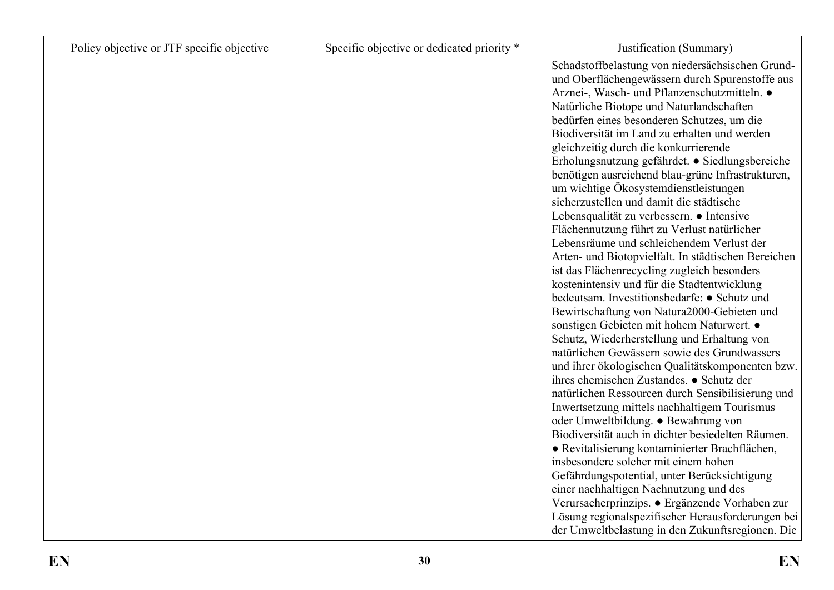| Policy objective or JTF specific objective | Specific objective or dedicated priority * | Justification (Summary)                             |
|--------------------------------------------|--------------------------------------------|-----------------------------------------------------|
|                                            |                                            | Schadstoffbelastung von niedersächsischen Grund-    |
|                                            |                                            | und Oberflächengewässern durch Spurenstoffe aus     |
|                                            |                                            | Arznei-, Wasch- und Pflanzenschutzmitteln. ·        |
|                                            |                                            | Natürliche Biotope und Naturlandschaften            |
|                                            |                                            | bedürfen eines besonderen Schutzes, um die          |
|                                            |                                            | Biodiversität im Land zu erhalten und werden        |
|                                            |                                            | gleichzeitig durch die konkurrierende               |
|                                            |                                            | Erholungsnutzung gefährdet. • Siedlungsbereiche     |
|                                            |                                            | benötigen ausreichend blau-grüne Infrastrukturen,   |
|                                            |                                            | um wichtige Ökosystemdienstleistungen               |
|                                            |                                            | sicherzustellen und damit die städtische            |
|                                            |                                            | Lebensqualität zu verbessern. • Intensive           |
|                                            |                                            | Flächennutzung führt zu Verlust natürlicher         |
|                                            |                                            | Lebensräume und schleichendem Verlust der           |
|                                            |                                            | Arten- und Biotopvielfalt. In städtischen Bereichen |
|                                            |                                            | ist das Flächenrecycling zugleich besonders         |
|                                            |                                            | kostenintensiv und für die Stadtentwicklung         |
|                                            |                                            | bedeutsam. Investitionsbedarfe: • Schutz und        |
|                                            |                                            | Bewirtschaftung von Natura2000-Gebieten und         |
|                                            |                                            | sonstigen Gebieten mit hohem Naturwert. ·           |
|                                            |                                            | Schutz, Wiederherstellung und Erhaltung von         |
|                                            |                                            | natürlichen Gewässern sowie des Grundwassers        |
|                                            |                                            | und ihrer ökologischen Qualitätskomponenten bzw.    |
|                                            |                                            | ihres chemischen Zustandes. ● Schutz der            |
|                                            |                                            | natürlichen Ressourcen durch Sensibilisierung und   |
|                                            |                                            | Inwertsetzung mittels nachhaltigem Tourismus        |
|                                            |                                            | oder Umweltbildung. • Bewahrung von                 |
|                                            |                                            | Biodiversität auch in dichter besiedelten Räumen.   |
|                                            |                                            | • Revitalisierung kontaminierter Brachflächen,      |
|                                            |                                            | insbesondere solcher mit einem hohen                |
|                                            |                                            | Gefährdungspotential, unter Berücksichtigung        |
|                                            |                                            | einer nachhaltigen Nachnutzung und des              |
|                                            |                                            | Verursacherprinzips. • Ergänzende Vorhaben zur      |
|                                            |                                            | Lösung regionalspezifischer Herausforderungen bei   |
|                                            |                                            | der Umweltbelastung in den Zukunftsregionen. Die    |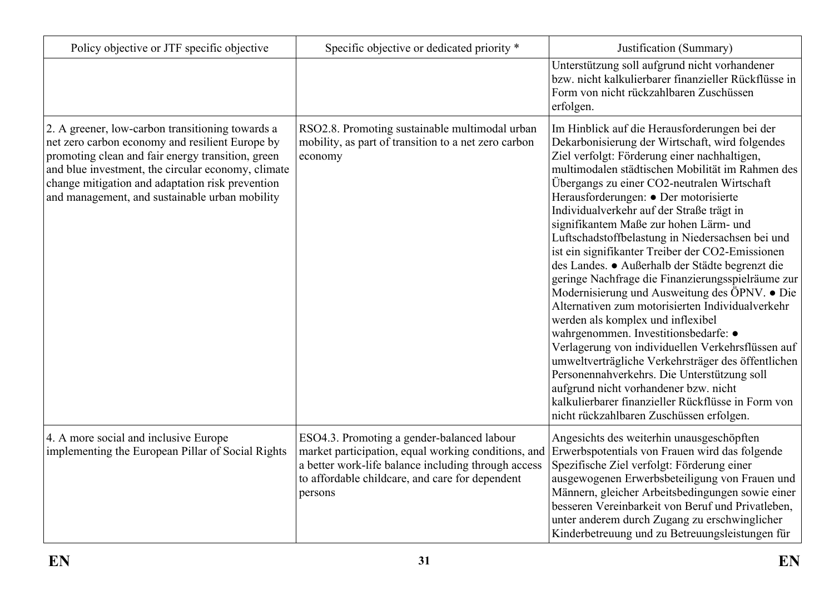| Policy objective or JTF specific objective                                                                                                                                                                                                                                                                           | Specific objective or dedicated priority *                                                                                                                                                                             | Justification (Summary)                                                                                                                                                                                                                                                                                                                                                                                                                                                                                                                                                                                                                                                                                                                                                                                                                                                                                                                                                                                                                                                                    |
|----------------------------------------------------------------------------------------------------------------------------------------------------------------------------------------------------------------------------------------------------------------------------------------------------------------------|------------------------------------------------------------------------------------------------------------------------------------------------------------------------------------------------------------------------|--------------------------------------------------------------------------------------------------------------------------------------------------------------------------------------------------------------------------------------------------------------------------------------------------------------------------------------------------------------------------------------------------------------------------------------------------------------------------------------------------------------------------------------------------------------------------------------------------------------------------------------------------------------------------------------------------------------------------------------------------------------------------------------------------------------------------------------------------------------------------------------------------------------------------------------------------------------------------------------------------------------------------------------------------------------------------------------------|
|                                                                                                                                                                                                                                                                                                                      |                                                                                                                                                                                                                        | Unterstützung soll aufgrund nicht vorhandener<br>bzw. nicht kalkulierbarer finanzieller Rückflüsse in<br>Form von nicht rückzahlbaren Zuschüssen<br>erfolgen.                                                                                                                                                                                                                                                                                                                                                                                                                                                                                                                                                                                                                                                                                                                                                                                                                                                                                                                              |
| 2. A greener, low-carbon transitioning towards a<br>net zero carbon economy and resilient Europe by<br>promoting clean and fair energy transition, green<br>and blue investment, the circular economy, climate<br>change mitigation and adaptation risk prevention<br>and management, and sustainable urban mobility | RSO2.8. Promoting sustainable multimodal urban<br>mobility, as part of transition to a net zero carbon<br>economy                                                                                                      | Im Hinblick auf die Herausforderungen bei der<br>Dekarbonisierung der Wirtschaft, wird folgendes<br>Ziel verfolgt: Förderung einer nachhaltigen,<br>multimodalen städtischen Mobilität im Rahmen des<br>Übergangs zu einer CO2-neutralen Wirtschaft<br>Herausforderungen: • Der motorisierte<br>Individualverkehr auf der Straße trägt in<br>signifikantem Maße zur hohen Lärm- und<br>Luftschadstoffbelastung in Niedersachsen bei und<br>ist ein signifikanter Treiber der CO2-Emissionen<br>des Landes. • Außerhalb der Städte begrenzt die<br>geringe Nachfrage die Finanzierungsspielräume zur<br>Modernisierung und Ausweitung des ÖPNV. • Die<br>Alternativen zum motorisierten Individualverkehr<br>werden als komplex und inflexibel<br>wahrgenommen. Investitionsbedarfe: •<br>Verlagerung von individuellen Verkehrsflüssen auf<br>umweltverträgliche Verkehrsträger des öffentlichen<br>Personennahverkehrs. Die Unterstützung soll<br>aufgrund nicht vorhandener bzw. nicht<br>kalkulierbarer finanzieller Rückflüsse in Form von<br>nicht rückzahlbaren Zuschüssen erfolgen. |
| 4. A more social and inclusive Europe<br>implementing the European Pillar of Social Rights                                                                                                                                                                                                                           | ESO4.3. Promoting a gender-balanced labour<br>market participation, equal working conditions, and<br>a better work-life balance including through access<br>to affordable childcare, and care for dependent<br>persons | Angesichts des weiterhin unausgeschöpften<br>Erwerbspotentials von Frauen wird das folgende<br>Spezifische Ziel verfolgt: Förderung einer<br>ausgewogenen Erwerbsbeteiligung von Frauen und<br>Männern, gleicher Arbeitsbedingungen sowie einer<br>besseren Vereinbarkeit von Beruf und Privatleben,<br>unter anderem durch Zugang zu erschwinglicher<br>Kinderbetreuung und zu Betreuungsleistungen für                                                                                                                                                                                                                                                                                                                                                                                                                                                                                                                                                                                                                                                                                   |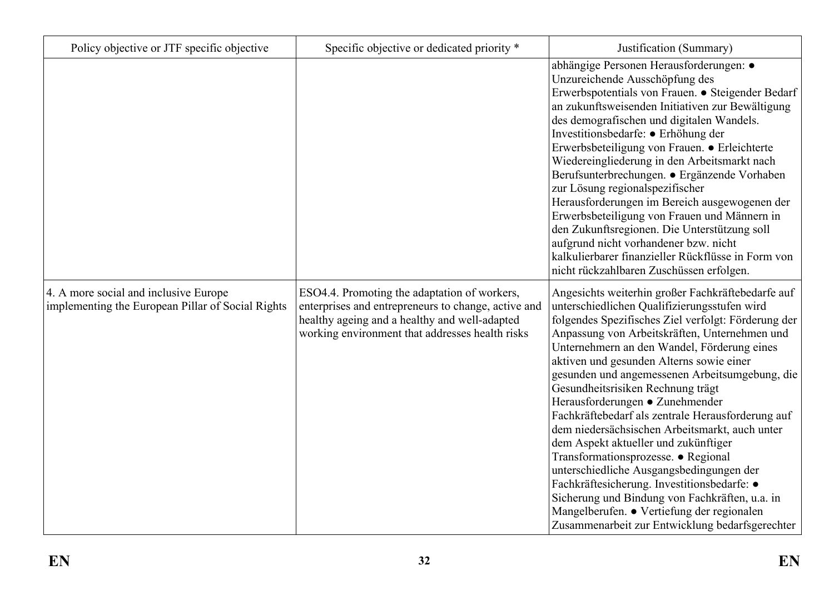| Policy objective or JTF specific objective                                                 | Specific objective or dedicated priority *                                                                                                                                                              | Justification (Summary)                                                                                                                                                                                                                                                                                                                                                                                                                                                                                                                                                                                                                                                                                                                                                                                                                                            |
|--------------------------------------------------------------------------------------------|---------------------------------------------------------------------------------------------------------------------------------------------------------------------------------------------------------|--------------------------------------------------------------------------------------------------------------------------------------------------------------------------------------------------------------------------------------------------------------------------------------------------------------------------------------------------------------------------------------------------------------------------------------------------------------------------------------------------------------------------------------------------------------------------------------------------------------------------------------------------------------------------------------------------------------------------------------------------------------------------------------------------------------------------------------------------------------------|
|                                                                                            |                                                                                                                                                                                                         | abhängige Personen Herausforderungen: ·<br>Unzureichende Ausschöpfung des<br>Erwerbspotentials von Frauen. · Steigender Bedarf<br>an zukunftsweisenden Initiativen zur Bewältigung<br>des demografischen und digitalen Wandels.<br>Investitionsbedarfe: • Erhöhung der<br>Erwerbsbeteiligung von Frauen. • Erleichterte<br>Wiedereingliederung in den Arbeitsmarkt nach<br>Berufsunterbrechungen. • Ergänzende Vorhaben<br>zur Lösung regionalspezifischer<br>Herausforderungen im Bereich ausgewogenen der<br>Erwerbsbeteiligung von Frauen und Männern in<br>den Zukunftsregionen. Die Unterstützung soll<br>aufgrund nicht vorhandener bzw. nicht<br>kalkulierbarer finanzieller Rückflüsse in Form von<br>nicht rückzahlbaren Zuschüssen erfolgen.                                                                                                             |
| 4. A more social and inclusive Europe<br>implementing the European Pillar of Social Rights | ESO4.4. Promoting the adaptation of workers,<br>enterprises and entrepreneurs to change, active and<br>healthy ageing and a healthy and well-adapted<br>working environment that addresses health risks | Angesichts weiterhin großer Fachkräftebedarfe auf<br>unterschiedlichen Qualifizierungsstufen wird<br>folgendes Spezifisches Ziel verfolgt: Förderung der<br>Anpassung von Arbeitskräften, Unternehmen und<br>Unternehmern an den Wandel, Förderung eines<br>aktiven und gesunden Alterns sowie einer<br>gesunden und angemessenen Arbeitsumgebung, die<br>Gesundheitsrisiken Rechnung trägt<br>Herausforderungen • Zunehmender<br>Fachkräftebedarf als zentrale Herausforderung auf<br>dem niedersächsischen Arbeitsmarkt, auch unter<br>dem Aspekt aktueller und zukünftiger<br>Transformationsprozesse. • Regional<br>unterschiedliche Ausgangsbedingungen der<br>Fachkräftesicherung. Investitionsbedarfe: •<br>Sicherung und Bindung von Fachkräften, u.a. in<br>Mangelberufen. • Vertiefung der regionalen<br>Zusammenarbeit zur Entwicklung bedarfsgerechter |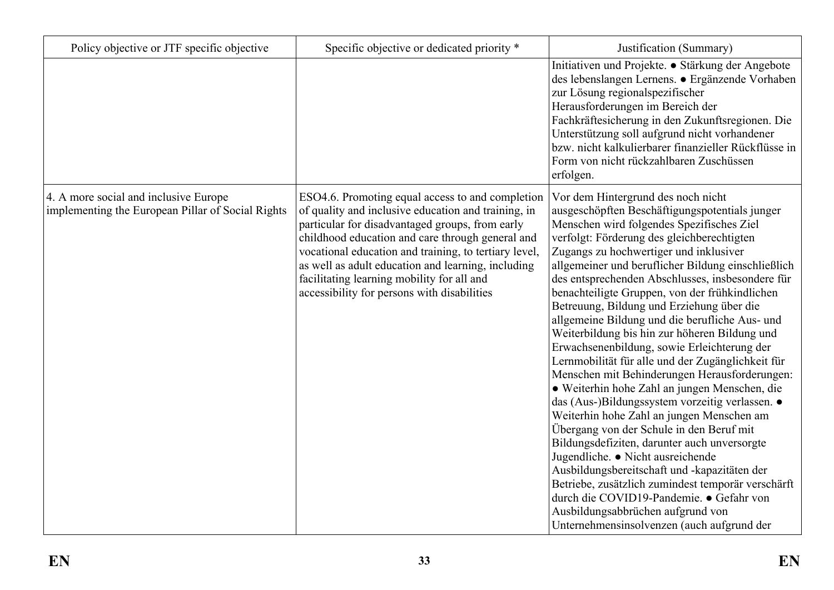| Policy objective or JTF specific objective                                                 | Specific objective or dedicated priority *                                                                                                                                                                                                                                                                                                                                                                                 | Justification (Summary)                                                                                                                                                                                                                                                                                                                                                                                                                                                                                                                                                                                                                                                                                                                                                                                                                                                                                                                                                                                                                                                                                                                                                                                           |
|--------------------------------------------------------------------------------------------|----------------------------------------------------------------------------------------------------------------------------------------------------------------------------------------------------------------------------------------------------------------------------------------------------------------------------------------------------------------------------------------------------------------------------|-------------------------------------------------------------------------------------------------------------------------------------------------------------------------------------------------------------------------------------------------------------------------------------------------------------------------------------------------------------------------------------------------------------------------------------------------------------------------------------------------------------------------------------------------------------------------------------------------------------------------------------------------------------------------------------------------------------------------------------------------------------------------------------------------------------------------------------------------------------------------------------------------------------------------------------------------------------------------------------------------------------------------------------------------------------------------------------------------------------------------------------------------------------------------------------------------------------------|
|                                                                                            |                                                                                                                                                                                                                                                                                                                                                                                                                            | Initiativen und Projekte. • Stärkung der Angebote<br>des lebenslangen Lernens. • Ergänzende Vorhaben<br>zur Lösung regionalspezifischer<br>Herausforderungen im Bereich der<br>Fachkräftesicherung in den Zukunftsregionen. Die<br>Unterstützung soll aufgrund nicht vorhandener<br>bzw. nicht kalkulierbarer finanzieller Rückflüsse in<br>Form von nicht rückzahlbaren Zuschüssen<br>erfolgen.                                                                                                                                                                                                                                                                                                                                                                                                                                                                                                                                                                                                                                                                                                                                                                                                                  |
| 4. A more social and inclusive Europe<br>implementing the European Pillar of Social Rights | ESO4.6. Promoting equal access to and completion<br>of quality and inclusive education and training, in<br>particular for disadvantaged groups, from early<br>childhood education and care through general and<br>vocational education and training, to tertiary level,<br>as well as adult education and learning, including<br>facilitating learning mobility for all and<br>accessibility for persons with disabilities | Vor dem Hintergrund des noch nicht<br>ausgeschöpften Beschäftigungspotentials junger<br>Menschen wird folgendes Spezifisches Ziel<br>verfolgt: Förderung des gleichberechtigten<br>Zugangs zu hochwertiger und inklusiver<br>allgemeiner und beruflicher Bildung einschließlich<br>des entsprechenden Abschlusses, insbesondere für<br>benachteiligte Gruppen, von der frühkindlichen<br>Betreuung, Bildung und Erziehung über die<br>allgemeine Bildung und die berufliche Aus- und<br>Weiterbildung bis hin zur höheren Bildung und<br>Erwachsenenbildung, sowie Erleichterung der<br>Lernmobilität für alle und der Zugänglichkeit für<br>Menschen mit Behinderungen Herausforderungen:<br>· Weiterhin hohe Zahl an jungen Menschen, die<br>das (Aus-)Bildungssystem vorzeitig verlassen. ·<br>Weiterhin hohe Zahl an jungen Menschen am<br>Übergang von der Schule in den Beruf mit<br>Bildungsdefiziten, darunter auch unversorgte<br>Jugendliche. · Nicht ausreichende<br>Ausbildungsbereitschaft und -kapazitäten der<br>Betriebe, zusätzlich zumindest temporär verschärft<br>durch die COVID19-Pandemie. • Gefahr von<br>Ausbildungsabbrüchen aufgrund von<br>Unternehmensinsolvenzen (auch aufgrund der |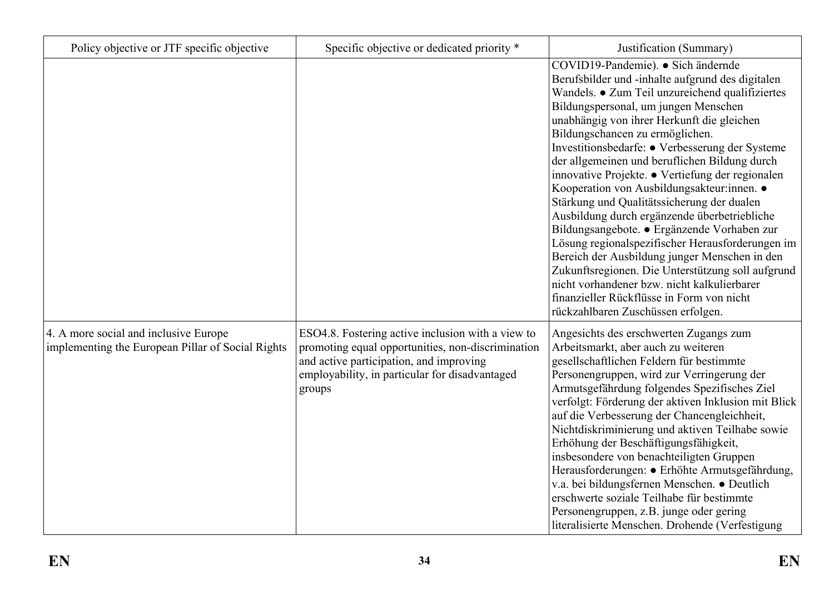| Policy objective or JTF specific objective                                                 | Specific objective or dedicated priority *                                                                                                                                                                    | Justification (Summary)                                                                                                                                                                                                                                                                                                                                                                                                                                                                                                                                                                                                                                                                                                                                                                                                                                                                                           |
|--------------------------------------------------------------------------------------------|---------------------------------------------------------------------------------------------------------------------------------------------------------------------------------------------------------------|-------------------------------------------------------------------------------------------------------------------------------------------------------------------------------------------------------------------------------------------------------------------------------------------------------------------------------------------------------------------------------------------------------------------------------------------------------------------------------------------------------------------------------------------------------------------------------------------------------------------------------------------------------------------------------------------------------------------------------------------------------------------------------------------------------------------------------------------------------------------------------------------------------------------|
|                                                                                            |                                                                                                                                                                                                               | COVID19-Pandemie). · Sich ändernde<br>Berufsbilder und -inhalte aufgrund des digitalen<br>Wandels. • Zum Teil unzureichend qualifiziertes<br>Bildungspersonal, um jungen Menschen<br>unabhängig von ihrer Herkunft die gleichen<br>Bildungschancen zu ermöglichen.<br>Investitionsbedarfe: • Verbesserung der Systeme<br>der allgemeinen und beruflichen Bildung durch<br>innovative Projekte. · Vertiefung der regionalen<br>Kooperation von Ausbildungsakteur:innen. •<br>Stärkung und Qualitätssicherung der dualen<br>Ausbildung durch ergänzende überbetriebliche<br>Bildungsangebote. · Ergänzende Vorhaben zur<br>Lösung regionalspezifischer Herausforderungen im<br>Bereich der Ausbildung junger Menschen in den<br>Zukunftsregionen. Die Unterstützung soll aufgrund<br>nicht vorhandener bzw. nicht kalkulierbarer<br>finanzieller Rückflüsse in Form von nicht<br>rückzahlbaren Zuschüssen erfolgen. |
| 4. A more social and inclusive Europe<br>implementing the European Pillar of Social Rights | ESO4.8. Fostering active inclusion with a view to<br>promoting equal opportunities, non-discrimination<br>and active participation, and improving<br>employability, in particular for disadvantaged<br>groups | Angesichts des erschwerten Zugangs zum<br>Arbeitsmarkt, aber auch zu weiteren<br>gesellschaftlichen Feldern für bestimmte<br>Personengruppen, wird zur Verringerung der<br>Armutsgefährdung folgendes Spezifisches Ziel<br>verfolgt: Förderung der aktiven Inklusion mit Blick<br>auf die Verbesserung der Chancengleichheit,<br>Nichtdiskriminierung und aktiven Teilhabe sowie<br>Erhöhung der Beschäftigungsfähigkeit,<br>insbesondere von benachteiligten Gruppen<br>Herausforderungen: · Erhöhte Armutsgefährdung,<br>v.a. bei bildungsfernen Menschen. • Deutlich<br>erschwerte soziale Teilhabe für bestimmte<br>Personengruppen, z.B. junge oder gering<br>literalisierte Menschen. Drohende (Verfestigung                                                                                                                                                                                                |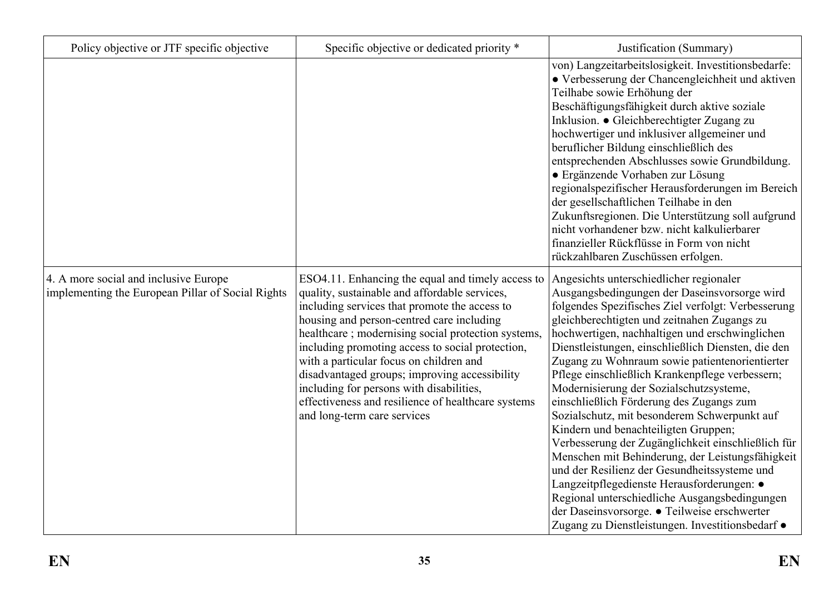| Policy objective or JTF specific objective                                                 | Specific objective or dedicated priority *                                                                                                                                                                                                                                                                                                                                                                                                                                                                                              | Justification (Summary)                                                                                                                                                                                                                                                                                                                                                                                                                                                                                                                                                                                                                                                                                                                                                                                                                                                                                                                               |
|--------------------------------------------------------------------------------------------|-----------------------------------------------------------------------------------------------------------------------------------------------------------------------------------------------------------------------------------------------------------------------------------------------------------------------------------------------------------------------------------------------------------------------------------------------------------------------------------------------------------------------------------------|-------------------------------------------------------------------------------------------------------------------------------------------------------------------------------------------------------------------------------------------------------------------------------------------------------------------------------------------------------------------------------------------------------------------------------------------------------------------------------------------------------------------------------------------------------------------------------------------------------------------------------------------------------------------------------------------------------------------------------------------------------------------------------------------------------------------------------------------------------------------------------------------------------------------------------------------------------|
|                                                                                            |                                                                                                                                                                                                                                                                                                                                                                                                                                                                                                                                         | von) Langzeitarbeitslosigkeit. Investitionsbedarfe:<br>• Verbesserung der Chancengleichheit und aktiven<br>Teilhabe sowie Erhöhung der<br>Beschäftigungsfähigkeit durch aktive soziale<br>Inklusion. • Gleichberechtigter Zugang zu<br>hochwertiger und inklusiver allgemeiner und<br>beruflicher Bildung einschließlich des<br>entsprechenden Abschlusses sowie Grundbildung.<br>• Ergänzende Vorhaben zur Lösung<br>regionalspezifischer Herausforderungen im Bereich<br>der gesellschaftlichen Teilhabe in den<br>Zukunftsregionen. Die Unterstützung soll aufgrund<br>nicht vorhandener bzw. nicht kalkulierbarer<br>finanzieller Rückflüsse in Form von nicht<br>rückzahlbaren Zuschüssen erfolgen.                                                                                                                                                                                                                                              |
| 4. A more social and inclusive Europe<br>implementing the European Pillar of Social Rights | ESO4.11. Enhancing the equal and timely access to<br>quality, sustainable and affordable services,<br>including services that promote the access to<br>housing and person-centred care including<br>healthcare; modernising social protection systems,<br>including promoting access to social protection,<br>with a particular focus on children and<br>disadvantaged groups; improving accessibility<br>including for persons with disabilities,<br>effectiveness and resilience of healthcare systems<br>and long-term care services | Angesichts unterschiedlicher regionaler<br>Ausgangsbedingungen der Daseinsvorsorge wird<br>folgendes Spezifisches Ziel verfolgt: Verbesserung<br>gleichberechtigten und zeitnahen Zugangs zu<br>hochwertigen, nachhaltigen und erschwinglichen<br>Dienstleistungen, einschließlich Diensten, die den<br>Zugang zu Wohnraum sowie patientenorientierter<br>Pflege einschließlich Krankenpflege verbessern;<br>Modernisierung der Sozialschutzsysteme,<br>einschließlich Förderung des Zugangs zum<br>Sozialschutz, mit besonderem Schwerpunkt auf<br>Kindern und benachteiligten Gruppen;<br>Verbesserung der Zugänglichkeit einschließlich für<br>Menschen mit Behinderung, der Leistungsfähigkeit<br>und der Resilienz der Gesundheitssysteme und<br>Langzeitpflegedienste Herausforderungen: ·<br>Regional unterschiedliche Ausgangsbedingungen<br>der Daseinsvorsorge. • Teilweise erschwerter<br>Zugang zu Dienstleistungen. Investitionsbedarf • |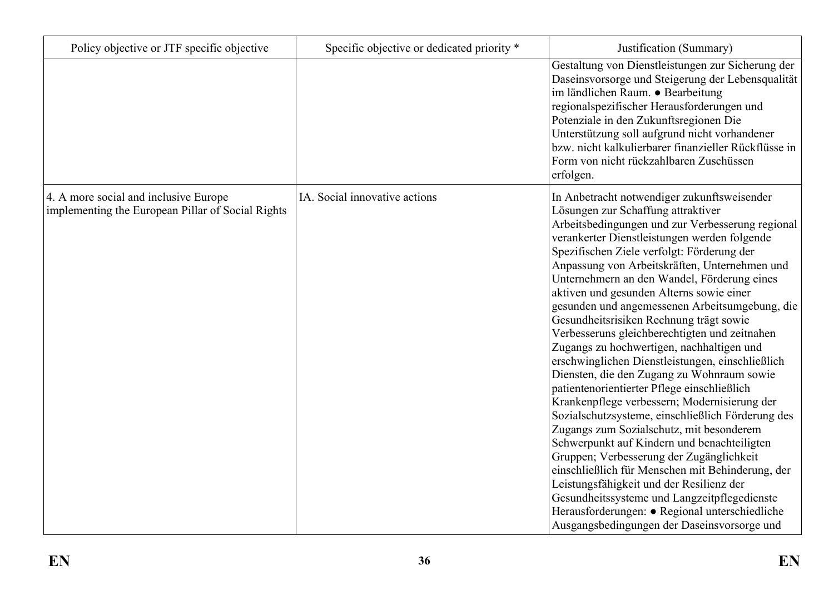| Policy objective or JTF specific objective                                                 | Specific objective or dedicated priority * | Justification (Summary)                                                                                                                                                                                                                                                                                                                                                                                                                                                                                                                                                                                                                                                                                                                                                                                                                                                                                                                                                                                                                                                                                                                                                                                                  |
|--------------------------------------------------------------------------------------------|--------------------------------------------|--------------------------------------------------------------------------------------------------------------------------------------------------------------------------------------------------------------------------------------------------------------------------------------------------------------------------------------------------------------------------------------------------------------------------------------------------------------------------------------------------------------------------------------------------------------------------------------------------------------------------------------------------------------------------------------------------------------------------------------------------------------------------------------------------------------------------------------------------------------------------------------------------------------------------------------------------------------------------------------------------------------------------------------------------------------------------------------------------------------------------------------------------------------------------------------------------------------------------|
|                                                                                            |                                            | Gestaltung von Dienstleistungen zur Sicherung der<br>Daseinsvorsorge und Steigerung der Lebensqualität<br>im ländlichen Raum. · Bearbeitung<br>regionalspezifischer Herausforderungen und<br>Potenziale in den Zukunftsregionen Die<br>Unterstützung soll aufgrund nicht vorhandener<br>bzw. nicht kalkulierbarer finanzieller Rückflüsse in<br>Form von nicht rückzahlbaren Zuschüssen<br>erfolgen.                                                                                                                                                                                                                                                                                                                                                                                                                                                                                                                                                                                                                                                                                                                                                                                                                     |
| 4. A more social and inclusive Europe<br>implementing the European Pillar of Social Rights | IA. Social innovative actions              | In Anbetracht notwendiger zukunftsweisender<br>Lösungen zur Schaffung attraktiver<br>Arbeitsbedingungen und zur Verbesserung regional<br>verankerter Dienstleistungen werden folgende<br>Spezifischen Ziele verfolgt: Förderung der<br>Anpassung von Arbeitskräften, Unternehmen und<br>Unternehmern an den Wandel, Förderung eines<br>aktiven und gesunden Alterns sowie einer<br>gesunden und angemessenen Arbeitsumgebung, die<br>Gesundheitsrisiken Rechnung trägt sowie<br>Verbesseruns gleichberechtigten und zeitnahen<br>Zugangs zu hochwertigen, nachhaltigen und<br>erschwinglichen Dienstleistungen, einschließlich<br>Diensten, die den Zugang zu Wohnraum sowie<br>patientenorientierter Pflege einschließlich<br>Krankenpflege verbessern; Modernisierung der<br>Sozialschutzsysteme, einschließlich Förderung des<br>Zugangs zum Sozialschutz, mit besonderem<br>Schwerpunkt auf Kindern und benachteiligten<br>Gruppen; Verbesserung der Zugänglichkeit<br>einschließlich für Menschen mit Behinderung, der<br>Leistungsfähigkeit und der Resilienz der<br>Gesundheitssysteme und Langzeitpflegedienste<br>Herausforderungen: · Regional unterschiedliche<br>Ausgangsbedingungen der Daseinsvorsorge und |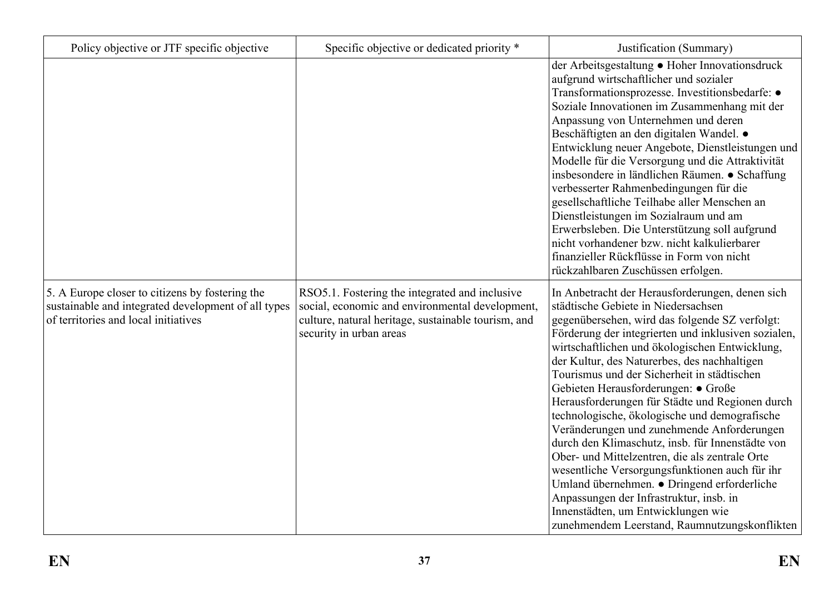| Policy objective or JTF specific objective                                                                                                     | Specific objective or dedicated priority *                                                                                                                                          | Justification (Summary)                                                                                                                                                                                                                                                                                                                                                                                                                                                                                                                                                                                                                                                                                                                                                                                                                                                            |
|------------------------------------------------------------------------------------------------------------------------------------------------|-------------------------------------------------------------------------------------------------------------------------------------------------------------------------------------|------------------------------------------------------------------------------------------------------------------------------------------------------------------------------------------------------------------------------------------------------------------------------------------------------------------------------------------------------------------------------------------------------------------------------------------------------------------------------------------------------------------------------------------------------------------------------------------------------------------------------------------------------------------------------------------------------------------------------------------------------------------------------------------------------------------------------------------------------------------------------------|
|                                                                                                                                                |                                                                                                                                                                                     | der Arbeitsgestaltung • Hoher Innovationsdruck<br>aufgrund wirtschaftlicher und sozialer<br>Transformationsprozesse. Investitionsbedarfe: ·<br>Soziale Innovationen im Zusammenhang mit der<br>Anpassung von Unternehmen und deren<br>Beschäftigten an den digitalen Wandel. •<br>Entwicklung neuer Angebote, Dienstleistungen und<br>Modelle für die Versorgung und die Attraktivität<br>insbesondere in ländlichen Räumen. • Schaffung<br>verbesserter Rahmenbedingungen für die<br>gesellschaftliche Teilhabe aller Menschen an<br>Dienstleistungen im Sozialraum und am<br>Erwerbsleben. Die Unterstützung soll aufgrund<br>nicht vorhandener bzw. nicht kalkulierbarer<br>finanzieller Rückflüsse in Form von nicht<br>rückzahlbaren Zuschüssen erfolgen.                                                                                                                     |
| 5. A Europe closer to citizens by fostering the<br>sustainable and integrated development of all types<br>of territories and local initiatives | RSO5.1. Fostering the integrated and inclusive<br>social, economic and environmental development,<br>culture, natural heritage, sustainable tourism, and<br>security in urban areas | In Anbetracht der Herausforderungen, denen sich<br>städtische Gebiete in Niedersachsen<br>gegenübersehen, wird das folgende SZ verfolgt:<br>Förderung der integrierten und inklusiven sozialen,<br>wirtschaftlichen und ökologischen Entwicklung,<br>der Kultur, des Naturerbes, des nachhaltigen<br>Tourismus und der Sicherheit in städtischen<br>Gebieten Herausforderungen: • Große<br>Herausforderungen für Städte und Regionen durch<br>technologische, ökologische und demografische<br>Veränderungen und zunehmende Anforderungen<br>durch den Klimaschutz, insb. für Innenstädte von<br>Ober- und Mittelzentren, die als zentrale Orte<br>wesentliche Versorgungsfunktionen auch für ihr<br>Umland übernehmen. • Dringend erforderliche<br>Anpassungen der Infrastruktur, insb. in<br>Innenstädten, um Entwicklungen wie<br>zunehmendem Leerstand, Raumnutzungskonflikten |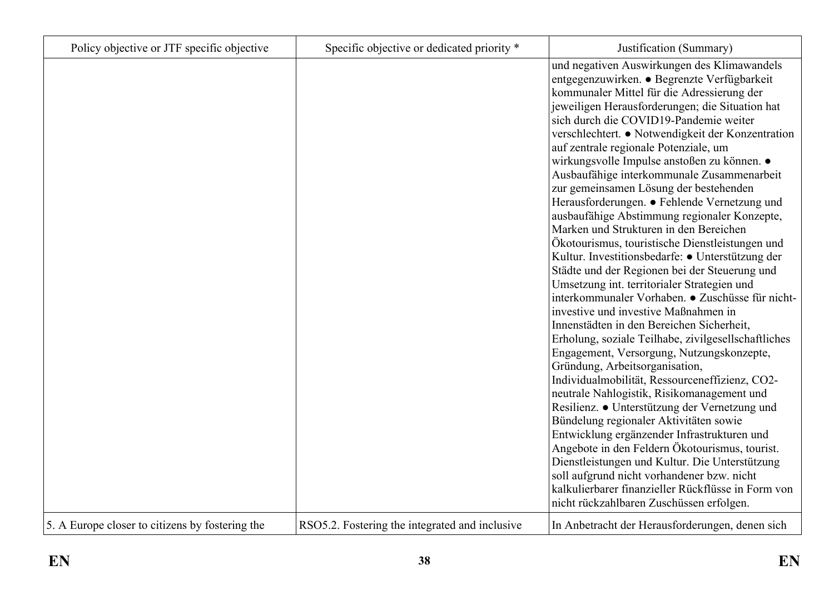| Policy objective or JTF specific objective      | Specific objective or dedicated priority *     | Justification (Summary)                                                                                                                                                                                                                                                                                                                                                                                                                                                                                                                                                                                                                                                                                                                                                                                                                                                                                                                                                                                                                                                                                                                                                                                                                                                                                                                                                                                                                                                                                                                                      |
|-------------------------------------------------|------------------------------------------------|--------------------------------------------------------------------------------------------------------------------------------------------------------------------------------------------------------------------------------------------------------------------------------------------------------------------------------------------------------------------------------------------------------------------------------------------------------------------------------------------------------------------------------------------------------------------------------------------------------------------------------------------------------------------------------------------------------------------------------------------------------------------------------------------------------------------------------------------------------------------------------------------------------------------------------------------------------------------------------------------------------------------------------------------------------------------------------------------------------------------------------------------------------------------------------------------------------------------------------------------------------------------------------------------------------------------------------------------------------------------------------------------------------------------------------------------------------------------------------------------------------------------------------------------------------------|
|                                                 |                                                | und negativen Auswirkungen des Klimawandels<br>entgegenzuwirken. • Begrenzte Verfügbarkeit<br>kommunaler Mittel für die Adressierung der<br>jeweiligen Herausforderungen; die Situation hat<br>sich durch die COVID19-Pandemie weiter<br>verschlechtert. ● Notwendigkeit der Konzentration<br>auf zentrale regionale Potenziale, um<br>wirkungsvolle Impulse anstoßen zu können. ●<br>Ausbaufähige interkommunale Zusammenarbeit<br>zur gemeinsamen Lösung der bestehenden<br>Herausforderungen. • Fehlende Vernetzung und<br>ausbaufähige Abstimmung regionaler Konzepte,<br>Marken und Strukturen in den Bereichen<br>Ökotourismus, touristische Dienstleistungen und<br>Kultur. Investitionsbedarfe: • Unterstützung der<br>Städte und der Regionen bei der Steuerung und<br>Umsetzung int. territorialer Strategien und<br>interkommunaler Vorhaben. • Zuschüsse für nicht-<br>investive und investive Maßnahmen in<br>Innenstädten in den Bereichen Sicherheit,<br>Erholung, soziale Teilhabe, zivilgesellschaftliches<br>Engagement, Versorgung, Nutzungskonzepte,<br>Gründung, Arbeitsorganisation,<br>Individualmobilität, Ressourceneffizienz, CO2-<br>neutrale Nahlogistik, Risikomanagement und<br>Resilienz. • Unterstützung der Vernetzung und<br>Bündelung regionaler Aktivitäten sowie<br>Entwicklung ergänzender Infrastrukturen und<br>Angebote in den Feldern Ökotourismus, tourist.<br>Dienstleistungen und Kultur. Die Unterstützung<br>soll aufgrund nicht vorhandener bzw. nicht<br>kalkulierbarer finanzieller Rückflüsse in Form von |
| 5. A Europe closer to citizens by fostering the | RSO5.2. Fostering the integrated and inclusive | nicht rückzahlbaren Zuschüssen erfolgen.<br>In Anbetracht der Herausforderungen, denen sich                                                                                                                                                                                                                                                                                                                                                                                                                                                                                                                                                                                                                                                                                                                                                                                                                                                                                                                                                                                                                                                                                                                                                                                                                                                                                                                                                                                                                                                                  |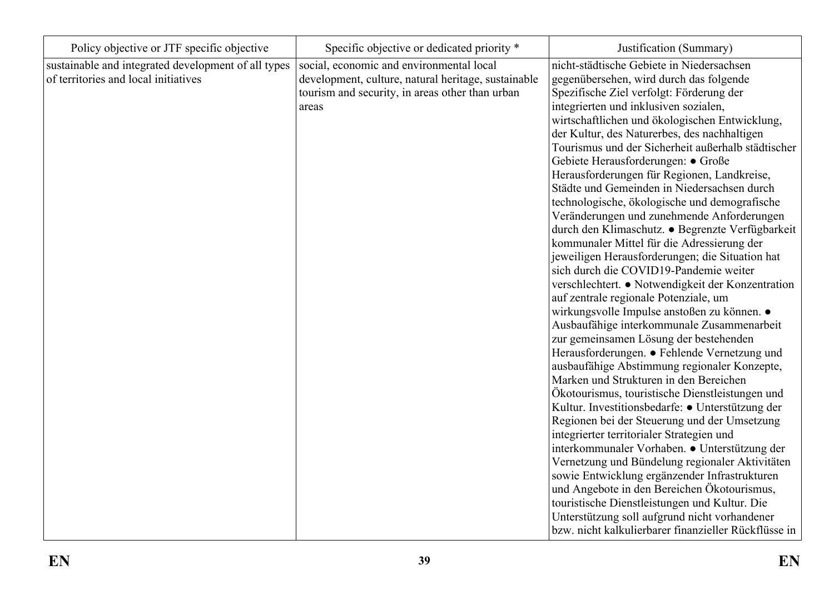| Policy objective or JTF specific objective                                                  | Specific objective or dedicated priority *                                                                                                                  | Justification (Summary)                                                                                                                                                                                                                                                                                                                                                                                                                                                                                                                                                                                                                                                                                                                                                                                                                                                                                                                                                                                                                                                                                                                                                                                                                                                                                                                                                                                                                                                                                     |
|---------------------------------------------------------------------------------------------|-------------------------------------------------------------------------------------------------------------------------------------------------------------|-------------------------------------------------------------------------------------------------------------------------------------------------------------------------------------------------------------------------------------------------------------------------------------------------------------------------------------------------------------------------------------------------------------------------------------------------------------------------------------------------------------------------------------------------------------------------------------------------------------------------------------------------------------------------------------------------------------------------------------------------------------------------------------------------------------------------------------------------------------------------------------------------------------------------------------------------------------------------------------------------------------------------------------------------------------------------------------------------------------------------------------------------------------------------------------------------------------------------------------------------------------------------------------------------------------------------------------------------------------------------------------------------------------------------------------------------------------------------------------------------------------|
| sustainable and integrated development of all types<br>of territories and local initiatives | social, economic and environmental local<br>development, culture, natural heritage, sustainable<br>tourism and security, in areas other than urban<br>areas | nicht-städtische Gebiete in Niedersachsen<br>gegenübersehen, wird durch das folgende<br>Spezifische Ziel verfolgt: Förderung der<br>integrierten und inklusiven sozialen,<br>wirtschaftlichen und ökologischen Entwicklung,<br>der Kultur, des Naturerbes, des nachhaltigen<br>Tourismus und der Sicherheit außerhalb städtischer<br>Gebiete Herausforderungen: · Große<br>Herausforderungen für Regionen, Landkreise,<br>Städte und Gemeinden in Niedersachsen durch<br>technologische, ökologische und demografische<br>Veränderungen und zunehmende Anforderungen<br>durch den Klimaschutz. · Begrenzte Verfügbarkeit<br>kommunaler Mittel für die Adressierung der<br>jeweiligen Herausforderungen; die Situation hat<br>sich durch die COVID19-Pandemie weiter<br>verschlechtert. • Notwendigkeit der Konzentration<br>auf zentrale regionale Potenziale, um<br>wirkungsvolle Impulse anstoßen zu können. ●<br>Ausbaufähige interkommunale Zusammenarbeit<br>zur gemeinsamen Lösung der bestehenden<br>Herausforderungen. • Fehlende Vernetzung und<br>ausbaufähige Abstimmung regionaler Konzepte,<br>Marken und Strukturen in den Bereichen<br>Ökotourismus, touristische Dienstleistungen und<br>Kultur. Investitionsbedarfe: · Unterstützung der<br>Regionen bei der Steuerung und der Umsetzung<br>integrierter territorialer Strategien und<br>interkommunaler Vorhaben. • Unterstützung der<br>Vernetzung und Bündelung regionaler Aktivitäten<br>sowie Entwicklung ergänzender Infrastrukturen |
|                                                                                             |                                                                                                                                                             | und Angebote in den Bereichen Ökotourismus,<br>touristische Dienstleistungen und Kultur. Die<br>Unterstützung soll aufgrund nicht vorhandener                                                                                                                                                                                                                                                                                                                                                                                                                                                                                                                                                                                                                                                                                                                                                                                                                                                                                                                                                                                                                                                                                                                                                                                                                                                                                                                                                               |
|                                                                                             |                                                                                                                                                             | bzw. nicht kalkulierbarer finanzieller Rückflüsse in                                                                                                                                                                                                                                                                                                                                                                                                                                                                                                                                                                                                                                                                                                                                                                                                                                                                                                                                                                                                                                                                                                                                                                                                                                                                                                                                                                                                                                                        |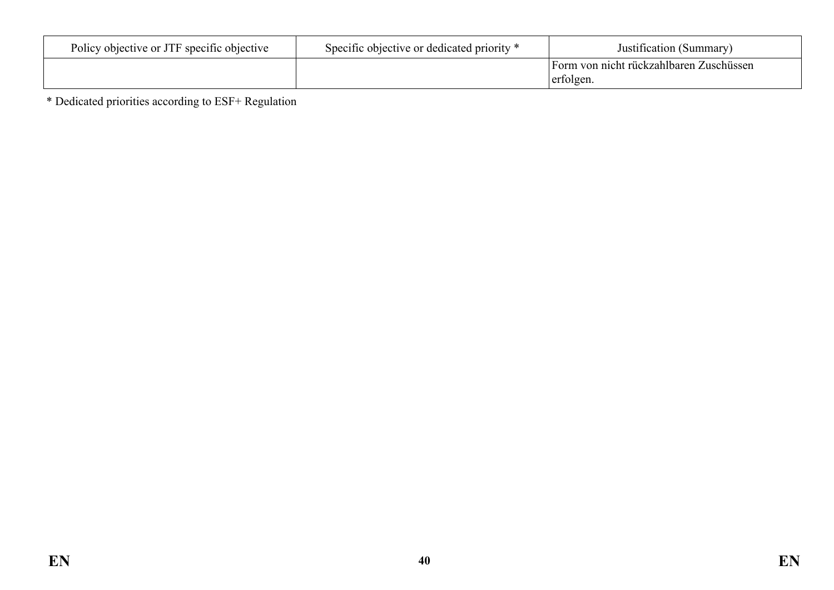| Policy objective or JTF specific objective | Specific objective or dedicated priority * | Justification (Summary)                              |
|--------------------------------------------|--------------------------------------------|------------------------------------------------------|
|                                            |                                            | Form von nicht rückzahlbaren Zuschüssen<br>erfolgen. |

\* Dedicated priorities according to ESF+ Regulation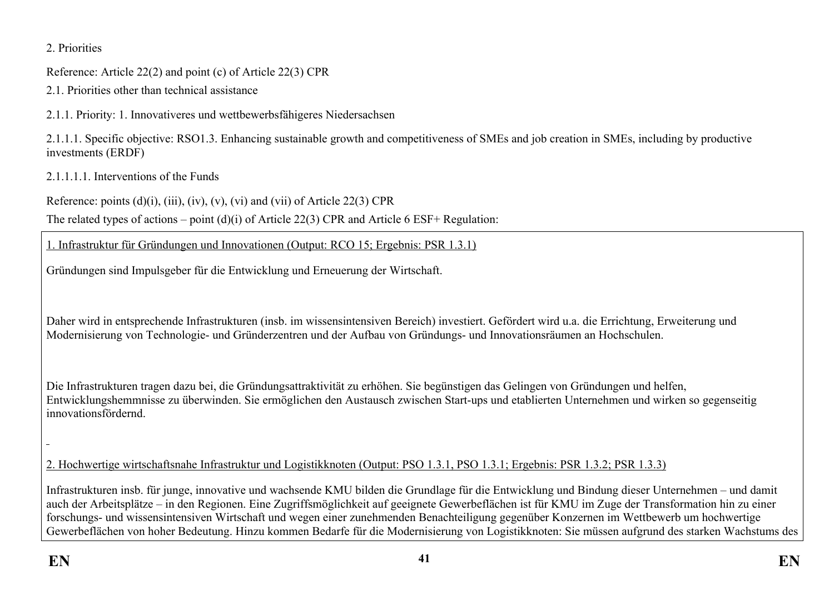### 2. Priorities

Reference: Article 22(2) and point (c) of Article 22(3) CPR

2.1. Priorities other than technical assistance

2.1.1. Priority: 1. Innovativeres und wettbewerbsfähigeres Niedersachsen

2.1.1.1. Specific objective: RSO1.3. Enhancing sustainable growth and competitiveness of SMEs and job creation in SMEs, including by productive investments (ERDF)

2.1.1.1.1. Interventions of the Funds

Reference: points  $(d)(i)$ ,  $(iii)$ ,  $(iv)$ ,  $(v)$ ,  $(vi)$  and  $(vii)$  of Article 22(3) CPR

The related types of actions – point (d)(i) of Article 22(3) CPR and Article 6 ESF+ Regulation:

1. Infrastruktur für Gründungen und Innovationen (Output: RCO 15; Ergebnis: PSR 1.3.1)

Gründungen sind Impulsgeber für die Entwicklung und Erneuerung der Wirtschaft.

Daher wird in entsprechende Infrastrukturen (insb. im wissensintensiven Bereich) investiert. Gefördert wird u.a. die Errichtung, Erweiterung und Modernisierung von Technologie- und Gründerzentren und der Aufbau von Gründungs- und Innovationsräumen an Hochschulen.

Die Infrastrukturen tragen dazu bei, die Gründungsattraktivität zu erhöhen. Sie begünstigen das Gelingen von Gründungen und helfen, Entwicklungshemmnisse zu überwinden. Sie ermöglichen den Austausch zwischen Start-ups und etablierten Unternehmen und wirken so gegenseitig innovationsfördernd.

2. Hochwertige wirtschaftsnahe Infrastruktur und Logistikknoten (Output: PSO 1.3.1, PSO 1.3.1; Ergebnis: PSR 1.3.2; PSR 1.3.3)

Infrastrukturen insb. für junge, innovative und wachsende KMU bilden die Grundlage für die Entwicklung und Bindung dieser Unternehmen – und damit auch der Arbeitsplätze – in den Regionen. Eine Zugriffsmöglichkeit auf geeignete Gewerbeflächen ist für KMU im Zuge der Transformation hin zu einer forschungs- und wissensintensiven Wirtschaft und wegen einer zunehmenden Benachteiligung gegenüber Konzernen im Wettbewerb um hochwertige Gewerbeflächen von hoher Bedeutung. Hinzu kommen Bedarfe für die Modernisierung von Logistikknoten: Sie müssen aufgrund des starken Wachstums des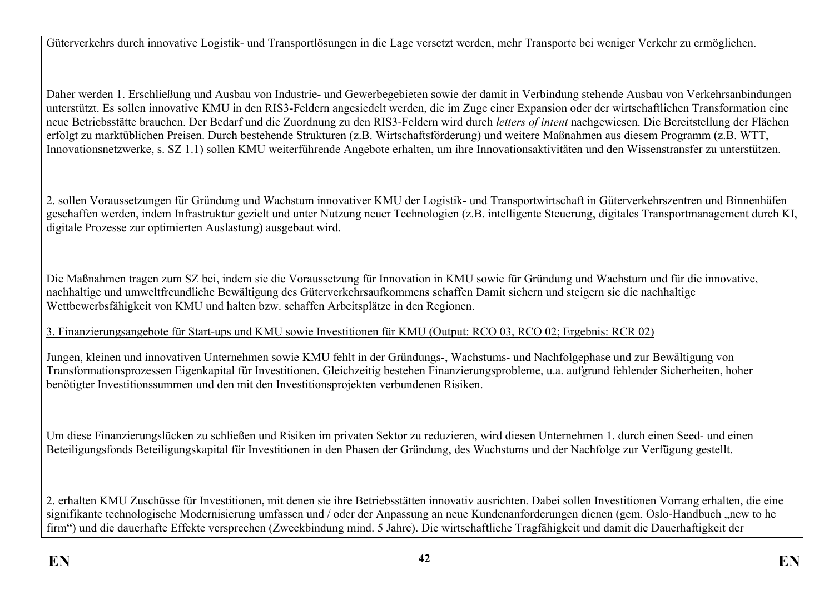Güterverkehrs durch innovative Logistik- und Transportlösungen in die Lage versetzt werden, mehr Transporte bei weniger Verkehr zu ermöglichen.

Daher werden 1. Erschließung und Ausbau von Industrie- und Gewerbegebieten sowie der damit in Verbindung stehende Ausbau von Verkehrsanbindungen unterstützt. Es sollen innovative KMU in den RIS3-Feldern angesiedelt werden, die im Zuge einer Expansion oder der wirtschaftlichen Transformation eine neue Betriebsstätte brauchen. Der Bedarf und die Zuordnung zu den RIS3-Feldern wird durch *letters of intent* nachgewiesen. Die Bereitstellung der Flächen erfolgt zu marktüblichen Preisen. Durch bestehende Strukturen (z.B. Wirtschaftsförderung) und weitere Maßnahmen aus diesem Programm (z.B. WTT, Innovationsnetzwerke, s. SZ 1.1) sollen KMU weiterführende Angebote erhalten, um ihre Innovationsaktivitäten und den Wissenstransfer zu unterstützen.

2. sollen Voraussetzungen für Gründung und Wachstum innovativer KMU der Logistik- und Transportwirtschaft in Güterverkehrszentren und Binnenhäfen geschaffen werden, indem Infrastruktur gezielt und unter Nutzung neuer Technologien (z.B. intelligente Steuerung, digitales Transportmanagement durch KI, digitale Prozesse zur optimierten Auslastung) ausgebaut wird.

Die Maßnahmen tragen zum SZ bei, indem sie die Voraussetzung für Innovation in KMU sowie für Gründung und Wachstum und für die innovative, nachhaltige und umweltfreundliche Bewältigung des Güterverkehrsaufkommens schaffen Damit sichern und steigern sie die nachhaltige Wettbewerbsfähigkeit von KMU und halten bzw. schaffen Arbeitsplätze in den Regionen.

3. Finanzierungsangebote für Start-ups und KMU sowie Investitionen für KMU (Output: RCO 03, RCO 02; Ergebnis: RCR 02)

Jungen, kleinen und innovativen Unternehmen sowie KMU fehlt in der Gründungs-, Wachstums- und Nachfolgephase und zur Bewältigung von Transformationsprozessen Eigenkapital für Investitionen. Gleichzeitig bestehen Finanzierungsprobleme, u.a. aufgrund fehlender Sicherheiten, hoher benötigter Investitionssummen und den mit den Investitionsprojekten verbundenen Risiken.

Um diese Finanzierungslücken zu schließen und Risiken im privaten Sektor zu reduzieren, wird diesen Unternehmen 1. durch einen Seed- und einen Beteiligungsfonds Beteiligungskapital für Investitionen in den Phasen der Gründung, des Wachstums und der Nachfolge zur Verfügung gestellt.

2. erhalten KMU Zuschüsse für Investitionen, mit denen sie ihre Betriebsstätten innovativ ausrichten. Dabei sollen Investitionen Vorrang erhalten, die eine signifikante technologische Modernisierung umfassen und / oder der Anpassung an neue Kundenanforderungen dienen (gem. Oslo-Handbuch "new to he firm") und die dauerhafte Effekte versprechen (Zweckbindung mind. 5 Jahre). Die wirtschaftliche Tragfähigkeit und damit die Dauerhaftigkeit der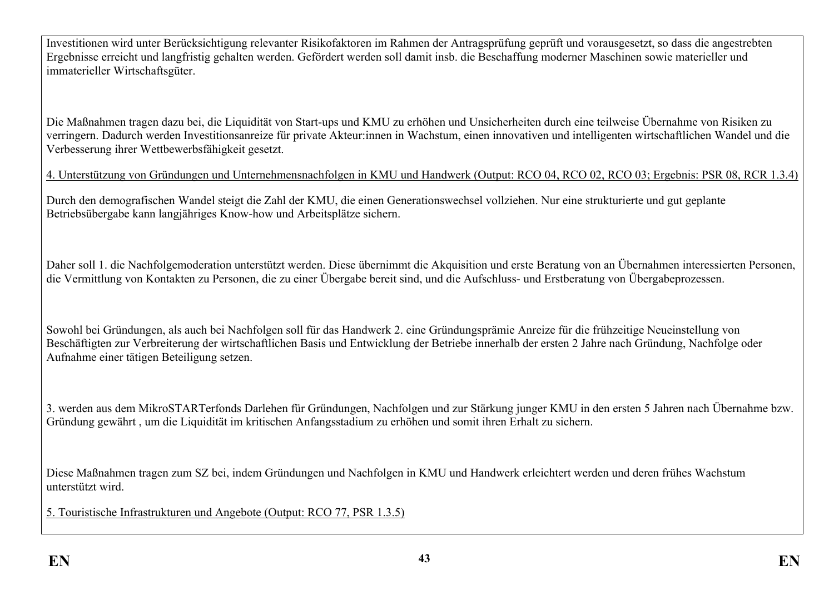Investitionen wird unter Berücksichtigung relevanter Risikofaktoren im Rahmen der Antragsprüfung geprüft und vorausgesetzt, so dass die angestrebten Ergebnisse erreicht und langfristig gehalten werden. Gefördert werden soll damit insb. die Beschaffung moderner Maschinen sowie materieller und immaterieller Wirtschaftsgüter.

Die Maßnahmen tragen dazu bei, die Liquidität von Start-ups und KMU zu erhöhen und Unsicherheiten durch eine teilweise Übernahme von Risiken zu verringern. Dadurch werden Investitionsanreize für private Akteur:innen in Wachstum, einen innovativen und intelligenten wirtschaftlichen Wandel und die Verbesserung ihrer Wettbewerbsfähigkeit gesetzt.

4. Unterstützung von Gründungen und Unternehmensnachfolgen in KMU und Handwerk (Output: RCO 04, RCO 02, RCO 03; Ergebnis: PSR 08, RCR 1.3.4)

Durch den demografischen Wandel steigt die Zahl der KMU, die einen Generationswechsel vollziehen. Nur eine strukturierte und gut geplante Betriebsübergabe kann langjähriges Know-how und Arbeitsplätze sichern.

Daher soll 1. die Nachfolgemoderation unterstützt werden. Diese übernimmt die Akquisition und erste Beratung von an Übernahmen interessierten Personen, die Vermittlung von Kontakten zu Personen, die zu einer Übergabe bereit sind, und die Aufschluss- und Erstberatung von Übergabeprozessen.

Sowohl bei Gründungen, als auch bei Nachfolgen soll für das Handwerk 2. eine Gründungsprämie Anreize für die frühzeitige Neueinstellung von Beschäftigten zur Verbreiterung der wirtschaftlichen Basis und Entwicklung der Betriebe innerhalb der ersten 2 Jahre nach Gründung, Nachfolge oder Aufnahme einer tätigen Beteiligung setzen.

3. werden aus dem MikroSTARTerfonds Darlehen für Gründungen, Nachfolgen und zur Stärkung junger KMU in den ersten 5 Jahren nach Übernahme bzw. Gründung gewährt , um die Liquidität im kritischen Anfangsstadium zu erhöhen und somit ihren Erhalt zu sichern.

Diese Maßnahmen tragen zum SZ bei, indem Gründungen und Nachfolgen in KMU und Handwerk erleichtert werden und deren frühes Wachstum unterstützt wird.

5. Touristische Infrastrukturen und Angebote (Output: RCO 77, PSR 1.3.5)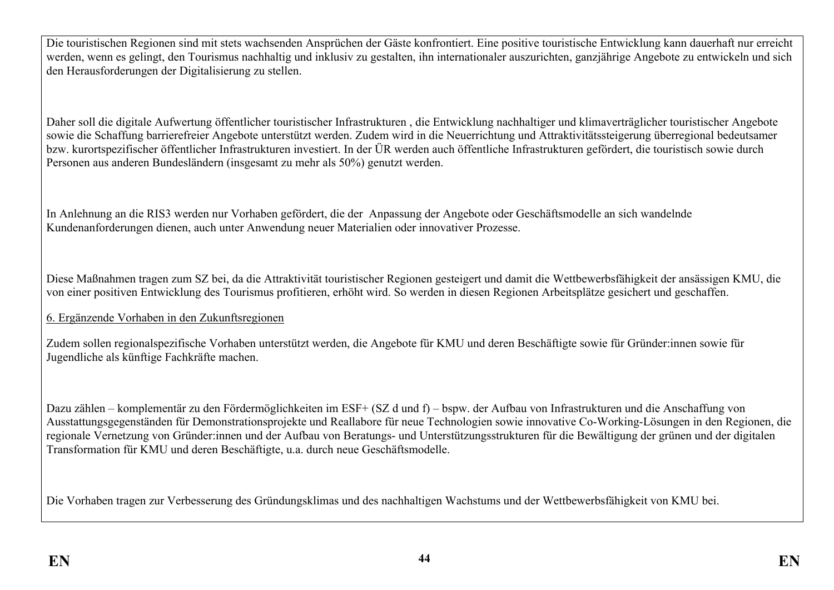Die touristischen Regionen sind mit stets wachsenden Ansprüchen der Gäste konfrontiert. Eine positive touristische Entwicklung kann dauerhaft nur erreicht werden, wenn es gelingt, den Tourismus nachhaltig und inklusiv zu gestalten, ihn internationaler auszurichten, ganzjährige Angebote zu entwickeln und sich den Herausforderungen der Digitalisierung zu stellen.

Daher soll die digitale Aufwertung öffentlicher touristischer Infrastrukturen , die Entwicklung nachhaltiger und klimaverträglicher touristischer Angebote sowie die Schaffung barrierefreier Angebote unterstützt werden. Zudem wird in die Neuerrichtung und Attraktivitätssteigerung überregional bedeutsamer bzw. kurortspezifischer öffentlicher Infrastrukturen investiert. In der ÜR werden auch öffentliche Infrastrukturen gefördert, die touristisch sowie durch Personen aus anderen Bundesländern (insgesamt zu mehr als 50%) genutzt werden.

In Anlehnung an die RIS3 werden nur Vorhaben gefördert, die der Anpassung der Angebote oder Geschäftsmodelle an sich wandelnde Kundenanforderungen dienen, auch unter Anwendung neuer Materialien oder innovativer Prozesse.

Diese Maßnahmen tragen zum SZ bei, da die Attraktivität touristischer Regionen gesteigert und damit die Wettbewerbsfähigkeit der ansässigen KMU, die von einer positiven Entwicklung des Tourismus profitieren, erhöht wird. So werden in diesen Regionen Arbeitsplätze gesichert und geschaffen.

6. Ergänzende Vorhaben in den Zukunftsregionen

Zudem sollen regionalspezifische Vorhaben unterstützt werden, die Angebote für KMU und deren Beschäftigte sowie für Gründer:innen sowie für Jugendliche als künftige Fachkräfte machen.

Dazu zählen – komplementär zu den Fördermöglichkeiten im ESF+ (SZ d und f) – bspw. der Aufbau von Infrastrukturen und die Anschaffung von Ausstattungsgegenständen für Demonstrationsprojekte und Reallabore für neue Technologien sowie innovative Co-Working-Lösungen in den Regionen, die regionale Vernetzung von Gründer:innen und der Aufbau von Beratungs- und Unterstützungsstrukturen für die Bewältigung der grünen und der digitalen Transformation für KMU und deren Beschäftigte, u.a. durch neue Geschäftsmodelle.

Die Vorhaben tragen zur Verbesserung des Gründungsklimas und des nachhaltigen Wachstums und der Wettbewerbsfähigkeit von KMU bei.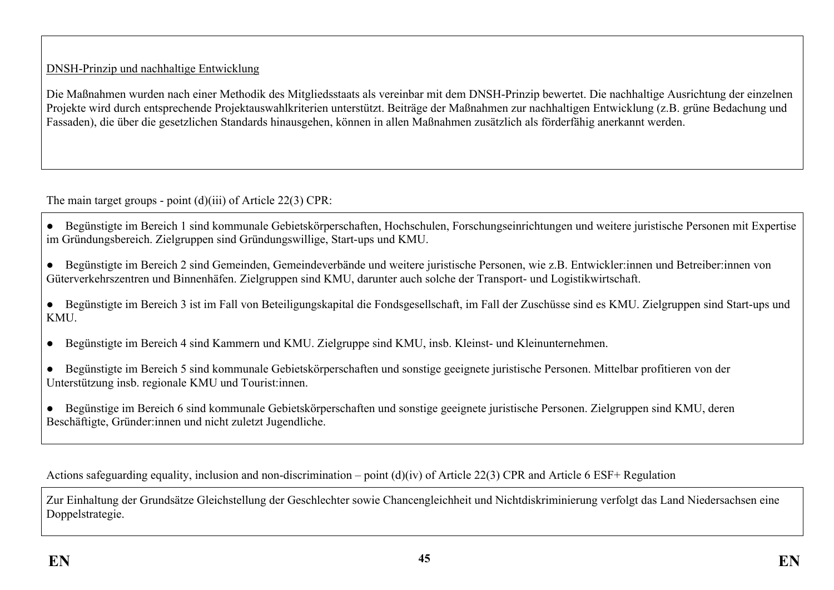### DNSH-Prinzip und nachhaltige Entwicklung

Die Maßnahmen wurden nach einer Methodik des Mitgliedsstaats als vereinbar mit dem DNSH-Prinzip bewertet. Die nachhaltige Ausrichtung der einzelnen Projekte wird durch entsprechende Projektauswahlkriterien unterstützt. Beiträge der Maßnahmen zur nachhaltigen Entwicklung (z.B. grüne Bedachung und Fassaden), die über die gesetzlichen Standards hinausgehen, können in allen Maßnahmen zusätzlich als förderfähig anerkannt werden.

The main target groups - point (d)(iii) of Article 22(3) CPR:

- Begünstigte im Bereich 1 sind kommunale Gebietskörperschaften, Hochschulen, Forschungseinrichtungen und weitere juristische Personen mit Expertise im Gründungsbereich. Zielgruppen sind Gründungswillige, Start-ups und KMU.
- Begünstigte im Bereich 2 sind Gemeinden, Gemeindeverbände und weitere juristische Personen, wie z.B. Entwickler:innen und Betreiber:innen von Güterverkehrszentren und Binnenhäfen. Zielgruppen sind KMU, darunter auch solche der Transport- und Logistikwirtschaft.
- Begünstigte im Bereich 3 ist im Fall von Beteiligungskapital die Fondsgesellschaft, im Fall der Zuschüsse sind es KMU. Zielgruppen sind Start-ups und **KMU**
- Begünstigte im Bereich 4 sind Kammern und KMU. Zielgruppe sind KMU, insb. Kleinst- und Kleinunternehmen.
- Begünstigte im Bereich 5 sind kommunale Gebietskörperschaften und sonstige geeignete juristische Personen. Mittelbar profitieren von der Unterstützung insb. regionale KMU und Tourist:innen.
- Begünstige im Bereich 6 sind kommunale Gebietskörperschaften und sonstige geeignete juristische Personen. Zielgruppen sind KMU, deren Beschäftigte, Gründer:innen und nicht zuletzt Jugendliche.

Actions safeguarding equality, inclusion and non-discrimination – point (d)(iv) of Article 22(3) CPR and Article 6 ESF+ Regulation

Zur Einhaltung der Grundsätze Gleichstellung der Geschlechter sowie Chancengleichheit und Nichtdiskriminierung verfolgt das Land Niedersachsen eine Doppelstrategie.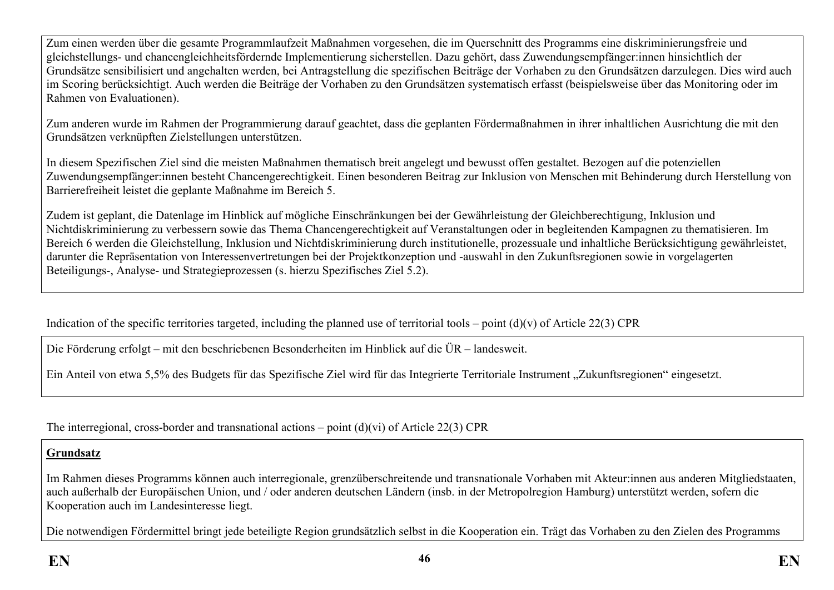Zum einen werden über die gesamte Programmlaufzeit Maßnahmen vorgesehen, die im Querschnitt des Programms eine diskriminierungsfreie und gleichstellungs- und chancengleichheitsfördernde Implementierung sicherstellen. Dazu gehört, dass Zuwendungsempfänger:innen hinsichtlich der Grundsätze sensibilisiert und angehalten werden, bei Antragstellung die spezifischen Beiträge der Vorhaben zu den Grundsätzen darzulegen. Dies wird auch im Scoring berücksichtigt. Auch werden die Beiträge der Vorhaben zu den Grundsätzen systematisch erfasst (beispielsweise über das Monitoring oder im Rahmen von Evaluationen).

Zum anderen wurde im Rahmen der Programmierung darauf geachtet, dass die geplanten Fördermaßnahmen in ihrer inhaltlichen Ausrichtung die mit den Grundsätzen verknüpften Zielstellungen unterstützen.

In diesem Spezifischen Ziel sind die meisten Maßnahmen thematisch breit angelegt und bewusst offen gestaltet. Bezogen auf die potenziellen Zuwendungsempfänger:innen besteht Chancengerechtigkeit. Einen besonderen Beitrag zur Inklusion von Menschen mit Behinderung durch Herstellung von Barrierefreiheit leistet die geplante Maßnahme im Bereich 5.

Zudem ist geplant, die Datenlage im Hinblick auf mögliche Einschränkungen bei der Gewährleistung der Gleichberechtigung, Inklusion und Nichtdiskriminierung zu verbessern sowie das Thema Chancengerechtigkeit auf Veranstaltungen oder in begleitenden Kampagnen zu thematisieren. Im Bereich 6 werden die Gleichstellung, Inklusion und Nichtdiskriminierung durch institutionelle, prozessuale und inhaltliche Berücksichtigung gewährleistet, darunter die Repräsentation von Interessenvertretungen bei der Projektkonzeption und -auswahl in den Zukunftsregionen sowie in vorgelagerten Beteiligungs-, Analyse- und Strategieprozessen (s. hierzu Spezifisches Ziel 5.2).

Indication of the specific territories targeted, including the planned use of territorial tools – point  $(d)(v)$  of Article 22(3) CPR

Die Förderung erfolgt – mit den beschriebenen Besonderheiten im Hinblick auf die ÜR – landesweit.

Ein Anteil von etwa 5.5% des Budgets für das Spezifische Ziel wird für das Integrierte Territoriale Instrument "Zukunftsregionen" eingesetzt.

The interregional, cross-border and transnational actions – point  $(d)(vi)$  of Article 22(3) CPR

### **Grundsatz**

Im Rahmen dieses Programms können auch interregionale, grenzüberschreitende und transnationale Vorhaben mit Akteur:innen aus anderen Mitgliedstaaten, auch außerhalb der Europäischen Union, und / oder anderen deutschen Ländern (insb. in der Metropolregion Hamburg) unterstützt werden, sofern die Kooperation auch im Landesinteresse liegt.

Die notwendigen Fördermittel bringt jede beteiligte Region grundsätzlich selbst in die Kooperation ein. Trägt das Vorhaben zu den Zielen des Programms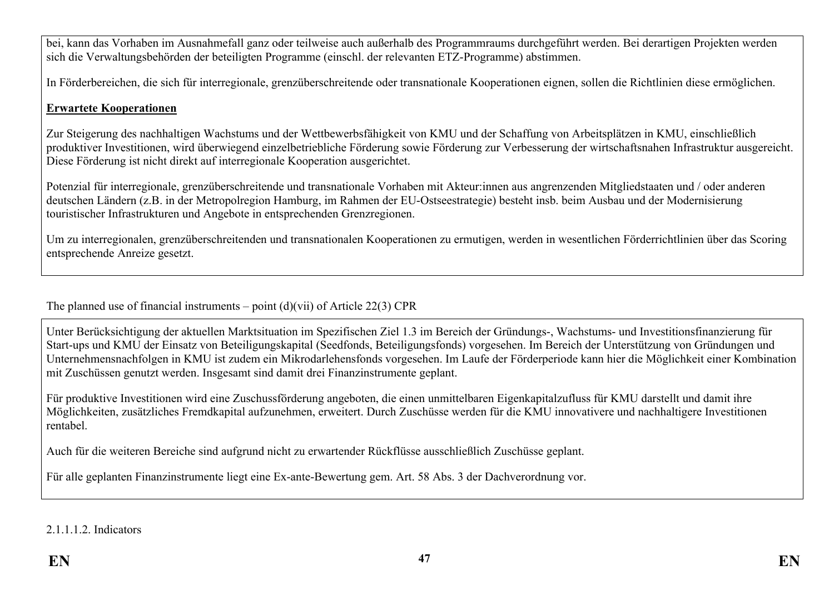bei, kann das Vorhaben im Ausnahmefall ganz oder teilweise auch außerhalb des Programmraums durchgeführt werden. Bei derartigen Projekten werden sich die Verwaltungsbehörden der beteiligten Programme (einschl. der relevanten ETZ-Programme) abstimmen.

In Förderbereichen, die sich für interregionale, grenzüberschreitende oder transnationale Kooperationen eignen, sollen die Richtlinien diese ermöglichen.

#### **Erwartete Kooperationen**

Zur Steigerung des nachhaltigen Wachstums und der Wettbewerbsfähigkeit von KMU und der Schaffung von Arbeitsplätzen in KMU, einschließlich produktiver Investitionen, wird überwiegend einzelbetriebliche Förderung sowie Förderung zur Verbesserung der wirtschaftsnahen Infrastruktur ausgereicht. Diese Förderung ist nicht direkt auf interregionale Kooperation ausgerichtet.

Potenzial für interregionale, grenzüberschreitende und transnationale Vorhaben mit Akteur:innen aus angrenzenden Mitgliedstaaten und / oder anderen deutschen Ländern (z.B. in der Metropolregion Hamburg, im Rahmen der EU-Ostseestrategie) besteht insb. beim Ausbau und der Modernisierung touristischer Infrastrukturen und Angebote in entsprechenden Grenzregionen.

Um zu interregionalen, grenzüberschreitenden und transnationalen Kooperationen zu ermutigen, werden in wesentlichen Förderrichtlinien über das Scoring entsprechende Anreize gesetzt.

The planned use of financial instruments – point  $(d)(\n{\rm vii})$  of Article 22(3) CPR

Unter Berücksichtigung der aktuellen Marktsituation im Spezifischen Ziel 1.3 im Bereich der Gründungs-, Wachstums- und Investitionsfinanzierung für Start-ups und KMU der Einsatz von Beteiligungskapital (Seedfonds, Beteiligungsfonds) vorgesehen. Im Bereich der Unterstützung von Gründungen und Unternehmensnachfolgen in KMU ist zudem ein Mikrodarlehensfonds vorgesehen. Im Laufe der Förderperiode kann hier die Möglichkeit einer Kombination mit Zuschüssen genutzt werden. Insgesamt sind damit drei Finanzinstrumente geplant.

Für produktive Investitionen wird eine Zuschussförderung angeboten, die einen unmittelbaren Eigenkapitalzufluss für KMU darstellt und damit ihre Möglichkeiten, zusätzliches Fremdkapital aufzunehmen, erweitert. Durch Zuschüsse werden für die KMU innovativere und nachhaltigere Investitionen rentabel.

Auch für die weiteren Bereiche sind aufgrund nicht zu erwartender Rückflüsse ausschließlich Zuschüsse geplant.

Für alle geplanten Finanzinstrumente liegt eine Ex-ante-Bewertung gem. Art. 58 Abs. 3 der Dachverordnung vor.

2.1.1.1.2. Indicators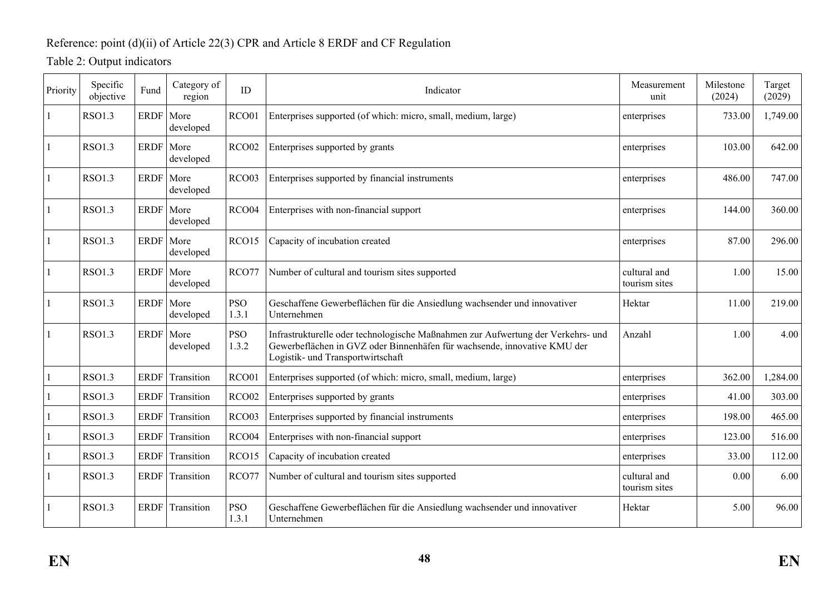## Reference: point (d)(ii) of Article 22(3) CPR and Article 8 ERDF and CF Regulation

# Table 2: Output indicators

| Priority | Specific<br>objective | Fund        | Category of<br>region    | ID                  | Indicator                                                                                                                                                                                         | Measurement<br>unit           | Milestone<br>(2024) | Target<br>(2029) |
|----------|-----------------------|-------------|--------------------------|---------------------|---------------------------------------------------------------------------------------------------------------------------------------------------------------------------------------------------|-------------------------------|---------------------|------------------|
|          | <b>RSO1.3</b>         | ERDF   More | developed                | RCO01               | Enterprises supported (of which: micro, small, medium, large)                                                                                                                                     | enterprises                   | 733.00              | 1,749.00         |
|          | <b>RSO1.3</b>         | <b>ERDF</b> | More<br>developed        | RCO <sub>02</sub>   | Enterprises supported by grants                                                                                                                                                                   | enterprises                   | 103.00              | 642.00           |
|          | <b>RSO1.3</b>         | <b>ERDF</b> | More<br>developed        | RCO <sub>03</sub>   | Enterprises supported by financial instruments                                                                                                                                                    | enterprises                   | 486.00              | 747.00           |
|          | <b>RSO1.3</b>         | <b>ERDF</b> | More<br>developed        | RCO04               | Enterprises with non-financial support                                                                                                                                                            | enterprises                   | 144.00              | 360.00           |
|          | <b>RSO1.3</b>         | <b>ERDF</b> | More<br>developed        | RCO15               | Capacity of incubation created                                                                                                                                                                    | enterprises                   | 87.00               | 296.00           |
|          | <b>RSO1.3</b>         | <b>ERDF</b> | More<br>developed        | RCO77               | Number of cultural and tourism sites supported                                                                                                                                                    | cultural and<br>tourism sites | 1.00                | 15.00            |
|          | <b>RSO1.3</b>         |             | ERDF   More<br>developed | <b>PSO</b><br>1.3.1 | Geschaffene Gewerbeflächen für die Ansiedlung wachsender und innovativer<br>Unternehmen                                                                                                           | Hektar                        | 11.00               | 219.00           |
|          | <b>RSO1.3</b>         | <b>ERDF</b> | More<br>developed        | <b>PSO</b><br>1.3.2 | Infrastrukturelle oder technologische Maßnahmen zur Aufwertung der Verkehrs- und<br>Gewerbeflächen in GVZ oder Binnenhäfen für wachsende, innovative KMU der<br>Logistik- und Transportwirtschaft | Anzahl                        | 1.00                | 4.00             |
|          | <b>RSO1.3</b>         | <b>ERDF</b> | Transition               | RCO01               | Enterprises supported (of which: micro, small, medium, large)                                                                                                                                     | enterprises                   | 362.00              | 1,284.00         |
|          | <b>RSO1.3</b>         | <b>ERDF</b> | Transition               | RCO <sub>02</sub>   | Enterprises supported by grants                                                                                                                                                                   | enterprises                   | 41.00               | 303.00           |
|          | <b>RSO1.3</b>         | <b>ERDF</b> | Transition               | RCO <sub>03</sub>   | Enterprises supported by financial instruments                                                                                                                                                    | enterprises                   | 198.00              | 465.00           |
|          | <b>RSO1.3</b>         | <b>ERDF</b> | Transition               | RCO04               | Enterprises with non-financial support                                                                                                                                                            | enterprises                   | 123.00              | 516.00           |
|          | <b>RSO1.3</b>         | ERDF        | Transition               | RCO15               | Capacity of incubation created                                                                                                                                                                    | enterprises                   | 33.00               | 112.00           |
|          | <b>RSO1.3</b>         | <b>ERDF</b> | Transition               | RCO77               | Number of cultural and tourism sites supported                                                                                                                                                    | cultural and<br>tourism sites | 0.00                | 6.00             |
|          | <b>RSO1.3</b>         | <b>ERDF</b> | Transition               | <b>PSO</b><br>1.3.1 | Geschaffene Gewerbeflächen für die Ansiedlung wachsender und innovativer<br>Unternehmen                                                                                                           | Hektar                        | 5.00                | 96.00            |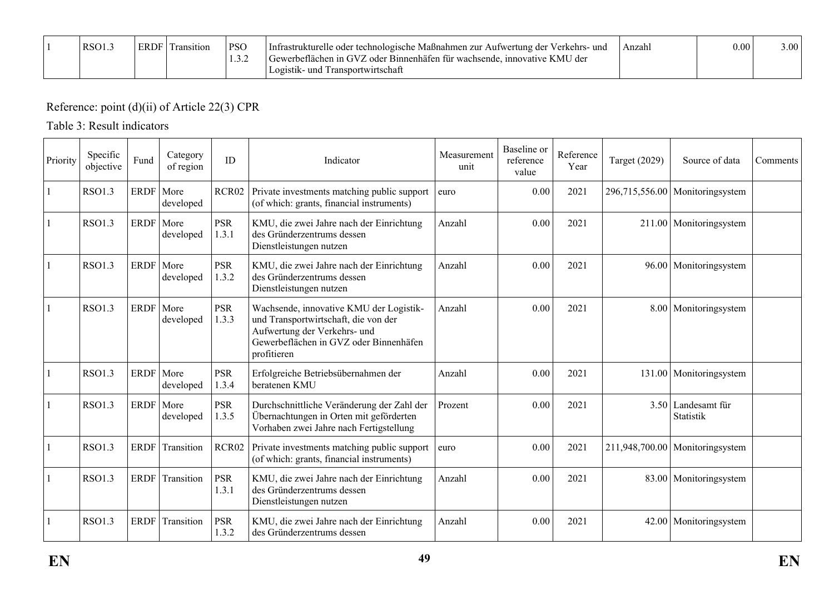|  | RSO1. | <b>ERDF</b> | t ransition | <b>PSO</b><br>$\sqrt{2}$<br>1.J.Z | Infrastrukturelle oder technologische Maßnahmen zur Aufwertung der Verkehrs- und<br>Gewerbeflächen in GVZ oder Binnenhäfen für wachsende, innovative KMU der<br>l Transportwirtschaft<br>- und<br>Logistik- | Anzahl | 0.00 | 3.00 <sub>1</sub> |
|--|-------|-------------|-------------|-----------------------------------|-------------------------------------------------------------------------------------------------------------------------------------------------------------------------------------------------------------|--------|------|-------------------|
|--|-------|-------------|-------------|-----------------------------------|-------------------------------------------------------------------------------------------------------------------------------------------------------------------------------------------------------------|--------|------|-------------------|

# Reference: point (d)(ii) of Article 22(3) CPR

### Table 3: Result indicators

| Priority | Specific<br>objective | Fund        | Category<br>of region    | ID                  | Indicator                                                                                                                                                                | Measurement<br>unit | Baseline or<br>reference<br>value | Reference<br>Year | <b>Target (2029)</b> | Source of data                    | Comments |
|----------|-----------------------|-------------|--------------------------|---------------------|--------------------------------------------------------------------------------------------------------------------------------------------------------------------------|---------------------|-----------------------------------|-------------------|----------------------|-----------------------------------|----------|
|          | <b>RSO1.3</b>         | ERDF More   | developed                | RCR02               | Private investments matching public support<br>(of which: grants, financial instruments)                                                                                 | euro                | 0.00                              | 2021              |                      | $296,715,556.00$ Monitoringsystem |          |
|          | <b>RSO1.3</b>         |             | ERDF More<br>developed   | <b>PSR</b><br>1.3.1 | KMU, die zwei Jahre nach der Einrichtung<br>des Gründerzentrums dessen<br>Dienstleistungen nutzen                                                                        | Anzahl              | 0.00                              | 2021              |                      | 211.00   Monitoringsystem         |          |
|          | <b>RSO1.3</b>         |             | ERDF More<br>developed   | <b>PSR</b><br>1.3.2 | KMU, die zwei Jahre nach der Einrichtung<br>des Gründerzentrums dessen<br>Dienstleistungen nutzen                                                                        | Anzahl              | 0.00                              | 2021              |                      | 96.00   Monitoringsystem          |          |
|          | <b>RSO1.3</b>         |             | ERDF   More<br>developed | <b>PSR</b><br>1.3.3 | Wachsende, innovative KMU der Logistik-<br>und Transportwirtschaft, die von der<br>Aufwertung der Verkehrs- und<br>Gewerbeflächen in GVZ oder Binnenhäfen<br>profitieren | Anzahl              | 0.00                              | 2021              |                      | 8.00 Monitoringsystem             |          |
|          | <b>RSO1.3</b>         |             | ERDF More<br>developed   | <b>PSR</b><br>1.3.4 | Erfolgreiche Betriebsübernahmen der<br>beratenen KMU                                                                                                                     | Anzahl              | 0.00                              | 2021              |                      | 131.00 Monitoringsystem           |          |
|          | <b>RSO1.3</b>         |             | ERDF More<br>developed   | <b>PSR</b><br>1.3.5 | Durchschnittliche Veränderung der Zahl der<br>Übernachtungen in Orten mit geförderten<br>Vorhaben zwei Jahre nach Fertigstellung                                         | Prozent             | 0.00                              | 2021              |                      | 3.50 Landesamt für<br>Statistik   |          |
|          | <b>RSO1.3</b>         | <b>ERDF</b> | Transition               | RCR02               | Private investments matching public support<br>(of which: grants, financial instruments)                                                                                 | euro                | 0.00                              | 2021              |                      | $211,948,700.00$ Monitoringsystem |          |
|          | RSO1.3                | <b>ERDF</b> | Transition               | <b>PSR</b><br>1.3.1 | KMU, die zwei Jahre nach der Einrichtung<br>des Gründerzentrums dessen<br>Dienstleistungen nutzen                                                                        | Anzahl              | 0.00                              | 2021              |                      | 83.00   Monitoringsystem          |          |
|          | <b>RSO1.3</b>         | <b>ERDF</b> | Transition               | <b>PSR</b><br>1.3.2 | KMU, die zwei Jahre nach der Einrichtung<br>des Gründerzentrums dessen                                                                                                   | Anzahl              | 0.00                              | 2021              |                      | 42.00   Monitoringsystem          |          |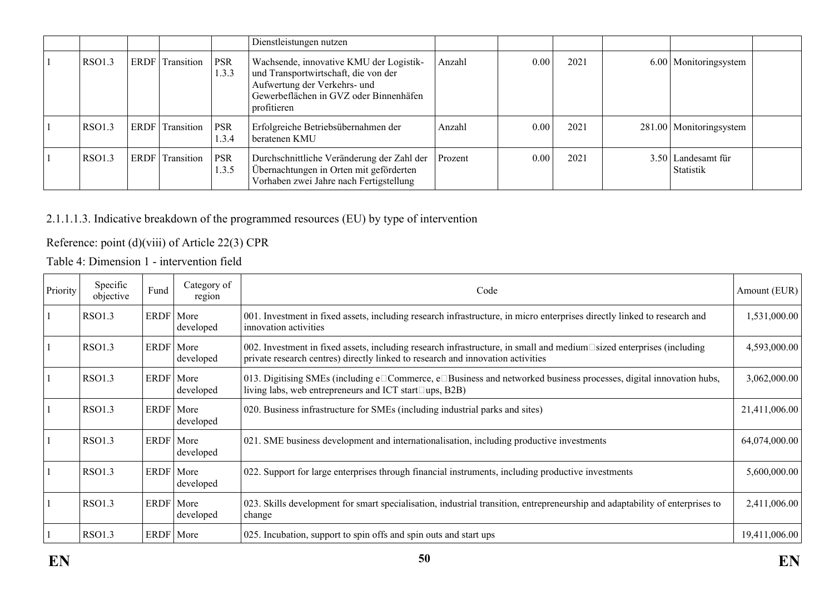|               |                 |                     | Dienstleistungen nutzen                                                                                                                                                  |         |      |      |                                 |  |
|---------------|-----------------|---------------------|--------------------------------------------------------------------------------------------------------------------------------------------------------------------------|---------|------|------|---------------------------------|--|
| <b>RSO1.3</b> | ERDF Transition | <b>PSR</b><br>1.3.3 | Wachsende, innovative KMU der Logistik-<br>und Transportwirtschaft, die von der<br>Aufwertung der Verkehrs- und<br>Gewerbeflächen in GVZ oder Binnenhäfen<br>profitieren | Anzahl  | 0.00 | 2021 | 6.00   Monitoringsystem         |  |
| <b>RSO1.3</b> | ERDF Transition | <b>PSR</b><br>1.3.4 | Erfolgreiche Betriebsübernahmen der<br>beratenen KMU                                                                                                                     | Anzahl  | 0.00 | 2021 | 281.00   Monitoringsystem       |  |
| <b>RSO1.3</b> | ERDF Transition | <b>PSR</b><br>1.3.5 | Durchschnittliche Veränderung der Zahl der<br>Übernachtungen in Orten mit geförderten<br>Vorhaben zwei Jahre nach Fertigstellung                                         | Prozent | 0.00 | 2021 | 3.50 Landesamt für<br>Statistik |  |

## 2.1.1.1.3. Indicative breakdown of the programmed resources (EU) by type of intervention

### Reference: point (d)(viii) of Article 22(3) CPR

Table 4: Dimension 1 - intervention field

| Priority | Specific<br>objective | Fund        | Category of<br>region | Code                                                                                                                                                                                                    | Amount (EUR)  |
|----------|-----------------------|-------------|-----------------------|---------------------------------------------------------------------------------------------------------------------------------------------------------------------------------------------------------|---------------|
|          | RSO1.3                | ERDF   More | developed             | 001. Investment in fixed assets, including research infrastructure, in micro enterprises directly linked to research and<br>innovation activities                                                       | 1,531,000.00  |
|          | <b>RSO1.3</b>         | ERDF More   | developed             | 002. Investment in fixed assets, including research infrastructure, in small and medium□sized enterprises (including<br>private research centres) directly linked to research and innovation activities | 4,593,000.00  |
|          | <b>RSO1.3</b>         | ERDF   More | developed             | 013. Digitising SMEs (including e□Commerce, e□Business and networked business processes, digital innovation hubs,<br>living labs, web entrepreneurs and ICT start $\square$ ups, B2B)                   | 3,062,000.00  |
|          | RSO1.3                | ERDF   More | developed             | 020. Business infrastructure for SMEs (including industrial parks and sites)                                                                                                                            | 21,411,006.00 |
|          | <b>RSO1.3</b>         | ERDF   More | developed             | 021. SME business development and internationalisation, including productive investments                                                                                                                | 64,074,000.00 |
|          | RSO1.3                | ERDF More   | developed             | 022. Support for large enterprises through financial instruments, including productive investments                                                                                                      | 5,600,000.00  |
|          | RSO1.3                | ERDF   More | developed             | 023. Skills development for smart specialisation, industrial transition, entrepreneurship and adaptability of enterprises to<br>change                                                                  | 2,411,006.00  |
|          | <b>RSO1.3</b>         | ERDF   More |                       | 025. Incubation, support to spin offs and spin outs and start ups                                                                                                                                       | 19,411,006.00 |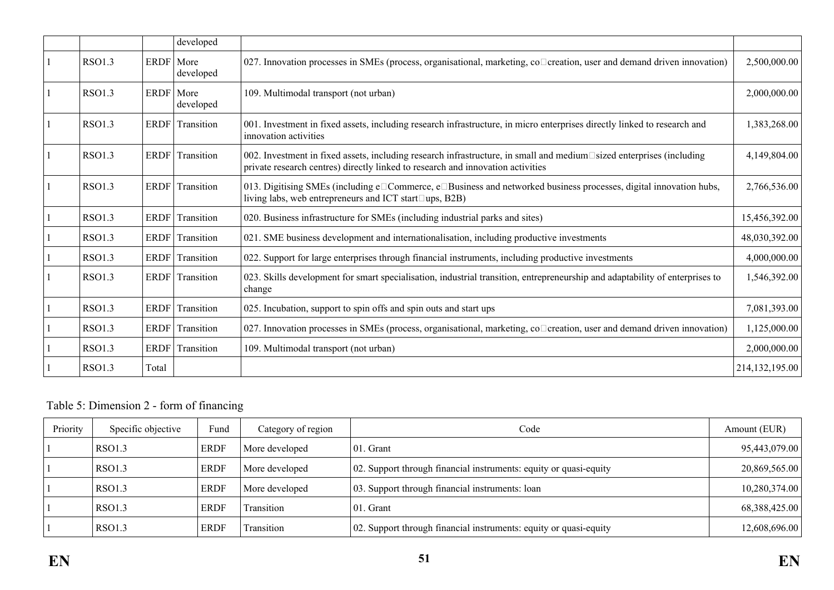|               |             | developed  |                                                                                                                                                                                                         |                  |
|---------------|-------------|------------|---------------------------------------------------------------------------------------------------------------------------------------------------------------------------------------------------------|------------------|
| RSO1.3        | ERDF   More | developed  | 027. Innovation processes in SMEs (process, organisational, marketing, co <sup>-</sup> creation, user and demand driven innovation)                                                                     | 2,500,000.00     |
| <b>RSO1.3</b> | ERDF More   | developed  | 109. Multimodal transport (not urban)                                                                                                                                                                   | 2,000,000.00     |
| <b>RSO1.3</b> | ERDF        | Transition | 001. Investment in fixed assets, including research infrastructure, in micro enterprises directly linked to research and<br>innovation activities                                                       | 1,383,268.00     |
| <b>RSO1.3</b> | ERDF        | Transition | 002. Investment in fixed assets, including research infrastructure, in small and medium□sized enterprises (including<br>private research centres) directly linked to research and innovation activities | 4,149,804.00     |
| <b>RSO1.3</b> | ERDF        | Transition | 013. Digitising SMEs (including e□Commerce, e□Business and networked business processes, digital innovation hubs,<br>living labs, web entrepreneurs and ICT start□ups, B2B)                             | 2,766,536.00     |
| <b>RSO1.3</b> | <b>ERDF</b> | Transition | 020. Business infrastructure for SMEs (including industrial parks and sites)                                                                                                                            | 15,456,392.00    |
| <b>RSO1.3</b> | <b>ERDF</b> | Transition | 021. SME business development and internationalisation, including productive investments                                                                                                                | 48,030,392.00    |
| <b>RSO1.3</b> | ERDF        | Transition | 022. Support for large enterprises through financial instruments, including productive investments                                                                                                      | 4,000,000.00     |
| <b>RSO1.3</b> | ERDF        | Transition | 023. Skills development for smart specialisation, industrial transition, entrepreneurship and adaptability of enterprises to<br>change                                                                  | 1,546,392.00     |
| <b>RSO1.3</b> | ERDF        | Transition | 025. Incubation, support to spin offs and spin outs and start ups                                                                                                                                       | 7,081,393.00     |
| RSO1.3        | <b>ERDF</b> | Transition | 027. Innovation processes in SMEs (process, organisational, marketing, co <sup>-</sup> creation, user and demand driven innovation)                                                                     | 1,125,000.00     |
| <b>RSO1.3</b> | <b>ERDF</b> | Transition | 109. Multimodal transport (not urban)                                                                                                                                                                   | 2,000,000.00     |
| <b>RSO1.3</b> | Total       |            |                                                                                                                                                                                                         | 214, 132, 195.00 |

Table 5: Dimension 2 - form of financing

| Priority | Specific objective | Fund        | Category of region | Code                                                              | Amount (EUR)  |
|----------|--------------------|-------------|--------------------|-------------------------------------------------------------------|---------------|
|          | RSO1.3             | <b>ERDF</b> | More developed     | $01.$ Grant                                                       | 95,443,079.00 |
|          | RSO1.3             | <b>ERDF</b> | More developed     | 02. Support through financial instruments: equity or quasi-equity | 20,869,565.00 |
|          | RSO1.3             | <b>ERDF</b> | More developed     | 03. Support through financial instruments: loan                   | 10,280,374.00 |
|          | RSO1.3             | <b>ERDF</b> | Transition         | $01.$ Grant                                                       | 68,388,425.00 |
|          | <b>RSO1.3</b>      | <b>ERDF</b> | Transition         | 02. Support through financial instruments: equity or quasi-equity | 12,608,696.00 |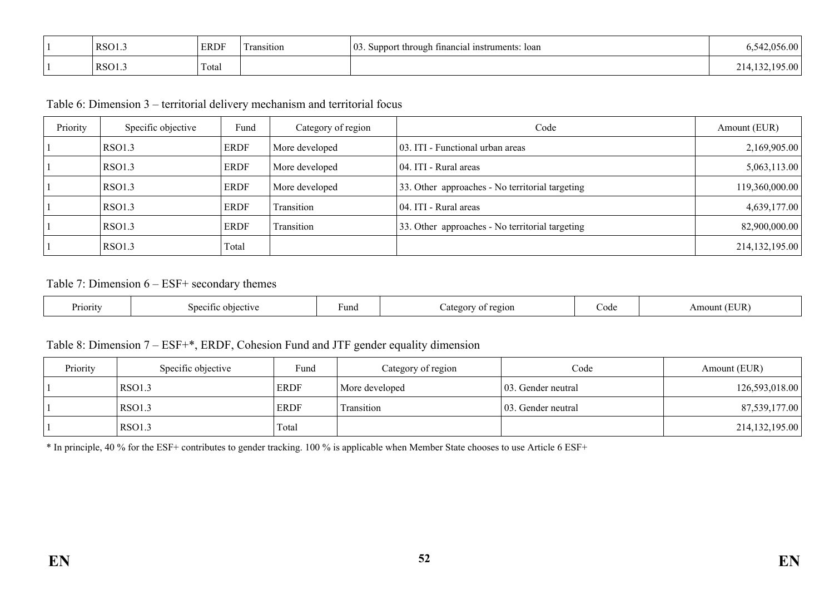| RSO1.3 | <b>ERDF</b> | $\sim$<br>l ransıtıon | $\vert$ 03.<br>"t through financial instruments:<br>loan<br>Support | ,00<br>しっし |
|--------|-------------|-----------------------|---------------------------------------------------------------------|------------|
| RSO1.  | Total       |                       |                                                                     | <u>. .</u> |

Table 6: Dimension 3 – territorial delivery mechanism and territorial focus

| Priority | Specific objective | Fund        | Category of region | Code                                            | Amount (EUR)     |
|----------|--------------------|-------------|--------------------|-------------------------------------------------|------------------|
|          | RSO1.3             | <b>ERDF</b> | More developed     | 03. ITI - Functional urban areas                | 2,169,905.00     |
|          | <b>RSO1.3</b>      | <b>ERDF</b> | More developed     | 04. ITI - Rural areas                           | 5,063,113.00     |
|          | RSO1.3             | <b>ERDF</b> | More developed     | 33. Other approaches - No territorial targeting | 119,360,000.00   |
|          | <b>RSO1.3</b>      | <b>ERDF</b> | Transition         | 04. ITI - Rural areas                           | 4,639,177.00     |
|          | <b>RSO1.3</b>      | <b>ERDF</b> | Transition         | 33. Other approaches - No territorial targeting | 82,900,000.00    |
|          | RSO1.3             | Total       |                    |                                                 | 214, 132, 195.00 |

#### Table 7: Dimension 6 – ESF+ secondary themes

| Priority<br>≧†1Vt<br>١n<br>,,, | Fund | region<br>ורוסי<br>. | code | JR<br>ווור<br><b>AII</b> |
|--------------------------------|------|----------------------|------|--------------------------|
|--------------------------------|------|----------------------|------|--------------------------|

#### Table 8: Dimension 7 – ESF+\*, ERDF, Cohesion Fund and JTF gender equality dimension

| Priority | Specific objective | Fund        | Category of region | Code                | Amount (EUR)   |
|----------|--------------------|-------------|--------------------|---------------------|----------------|
|          | RSO1.3             | <b>ERDF</b> | More developed     | 103. Gender neutral | 126,593,018.00 |
|          | RSO1.3             | ERDF        | Transition         | 103. Gender neutral | 87,539,177.00  |
|          | RSO1.3             | Total       |                    |                     | 214,132,195.00 |

\* In principle, 40 % for the ESF+ contributes to gender tracking. 100 % is applicable when Member State chooses to use Article 6 ESF+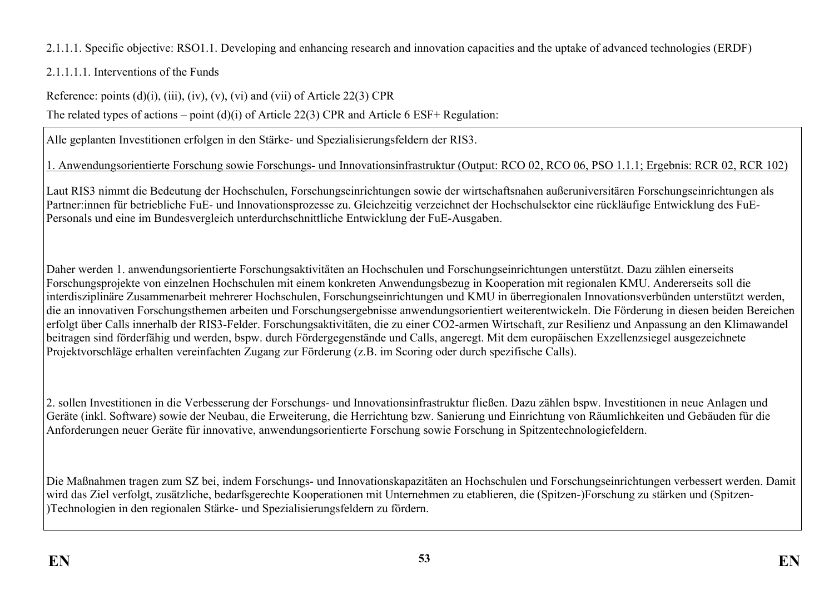2.1.1.1. Specific objective: RSO1.1. Developing and enhancing research and innovation capacities and the uptake of advanced technologies (ERDF)

2.1.1.1.1. Interventions of the Funds

Reference: points  $(d)(i)$ ,  $(iii)$ ,  $(iv)$ ,  $(v)$ ,  $(vi)$  and  $(vii)$  of Article 22(3) CPR

The related types of actions – point (d)(i) of Article 22(3) CPR and Article 6 ESF+ Regulation:

Alle geplanten Investitionen erfolgen in den Stärke- und Spezialisierungsfeldern der RIS3.

1. Anwendungsorientierte Forschung sowie Forschungs- und Innovationsinfrastruktur (Output: RCO 02, RCO 06, PSO 1.1.1; Ergebnis: RCR 02, RCR 102)

Laut RIS3 nimmt die Bedeutung der Hochschulen, Forschungseinrichtungen sowie der wirtschaftsnahen außeruniversitären Forschungseinrichtungen als Partner:innen für betriebliche FuE- und Innovationsprozesse zu. Gleichzeitig verzeichnet der Hochschulsektor eine rückläufige Entwicklung des FuE-Personals und eine im Bundesvergleich unterdurchschnittliche Entwicklung der FuE-Ausgaben.

Daher werden 1. anwendungsorientierte Forschungsaktivitäten an Hochschulen und Forschungseinrichtungen unterstützt. Dazu zählen einerseits Forschungsprojekte von einzelnen Hochschulen mit einem konkreten Anwendungsbezug in Kooperation mit regionalen KMU. Andererseits soll die interdisziplinäre Zusammenarbeit mehrerer Hochschulen, Forschungseinrichtungen und KMU in überregionalen Innovationsverbünden unterstützt werden, die an innovativen Forschungsthemen arbeiten und Forschungsergebnisse anwendungsorientiert weiterentwickeln. Die Förderung in diesen beiden Bereichen erfolgt über Calls innerhalb der RIS3-Felder. Forschungsaktivitäten, die zu einer CO2-armen Wirtschaft, zur Resilienz und Anpassung an den Klimawandel beitragen sind förderfähig und werden, bspw. durch Fördergegenstände und Calls, angeregt. Mit dem europäischen Exzellenzsiegel ausgezeichnete Projektvorschläge erhalten vereinfachten Zugang zur Förderung (z.B. im Scoring oder durch spezifische Calls).

2. sollen Investitionen in die Verbesserung der Forschungs- und Innovationsinfrastruktur fließen. Dazu zählen bspw. Investitionen in neue Anlagen und Geräte (inkl. Software) sowie der Neubau, die Erweiterung, die Herrichtung bzw. Sanierung und Einrichtung von Räumlichkeiten und Gebäuden für die Anforderungen neuer Geräte für innovative, anwendungsorientierte Forschung sowie Forschung in Spitzentechnologiefeldern.

Die Maßnahmen tragen zum SZ bei, indem Forschungs- und Innovationskapazitäten an Hochschulen und Forschungseinrichtungen verbessert werden. Damit wird das Ziel verfolgt, zusätzliche, bedarfsgerechte Kooperationen mit Unternehmen zu etablieren, die (Spitzen-)Forschung zu stärken und (Spitzen- )Technologien in den regionalen Stärke- und Spezialisierungsfeldern zu fördern.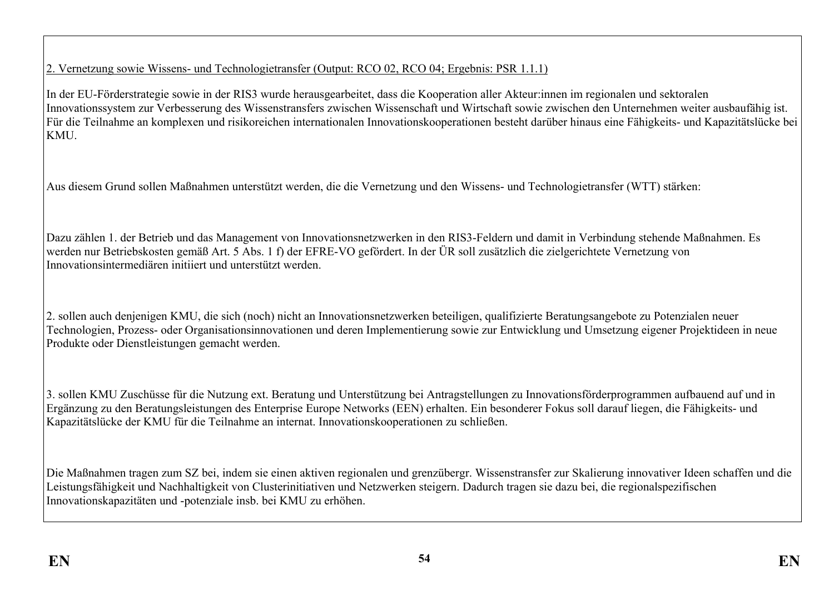### 2. Vernetzung sowie Wissens- und Technologietransfer (Output: RCO 02, RCO 04; Ergebnis: PSR 1.1.1)

In der EU-Förderstrategie sowie in der RIS3 wurde herausgearbeitet, dass die Kooperation aller Akteur:innen im regionalen und sektoralen Innovationssystem zur Verbesserung des Wissenstransfers zwischen Wissenschaft und Wirtschaft sowie zwischen den Unternehmen weiter ausbaufähig ist. Für die Teilnahme an komplexen und risikoreichen internationalen Innovationskooperationen besteht darüber hinaus eine Fähigkeits- und Kapazitätslücke bei **KMU** 

Aus diesem Grund sollen Maßnahmen unterstützt werden, die die Vernetzung und den Wissens- und Technologietransfer (WTT) stärken:

Dazu zählen 1. der Betrieb und das Management von Innovationsnetzwerken in den RIS3-Feldern und damit in Verbindung stehende Maßnahmen. Es werden nur Betriebskosten gemäß Art. 5 Abs. 1 f) der EFRE-VO gefördert. In der ÜR soll zusätzlich die zielgerichtete Vernetzung von Innovationsintermediären initiiert und unterstützt werden.

2. sollen auch denjenigen KMU, die sich (noch) nicht an Innovationsnetzwerken beteiligen, qualifizierte Beratungsangebote zu Potenzialen neuer Technologien, Prozess- oder Organisationsinnovationen und deren Implementierung sowie zur Entwicklung und Umsetzung eigener Projektideen in neue Produkte oder Dienstleistungen gemacht werden.

3. sollen KMU Zuschüsse für die Nutzung ext. Beratung und Unterstützung bei Antragstellungen zu Innovationsförderprogrammen aufbauend auf und in Ergänzung zu den Beratungsleistungen des Enterprise Europe Networks (EEN) erhalten. Ein besonderer Fokus soll darauf liegen, die Fähigkeits- und Kapazitätslücke der KMU für die Teilnahme an internat. Innovationskooperationen zu schließen.

Die Maßnahmen tragen zum SZ bei, indem sie einen aktiven regionalen und grenzübergr. Wissenstransfer zur Skalierung innovativer Ideen schaffen und die Leistungsfähigkeit und Nachhaltigkeit von Clusterinitiativen und Netzwerken steigern. Dadurch tragen sie dazu bei, die regionalspezifischen Innovationskapazitäten und -potenziale insb. bei KMU zu erhöhen.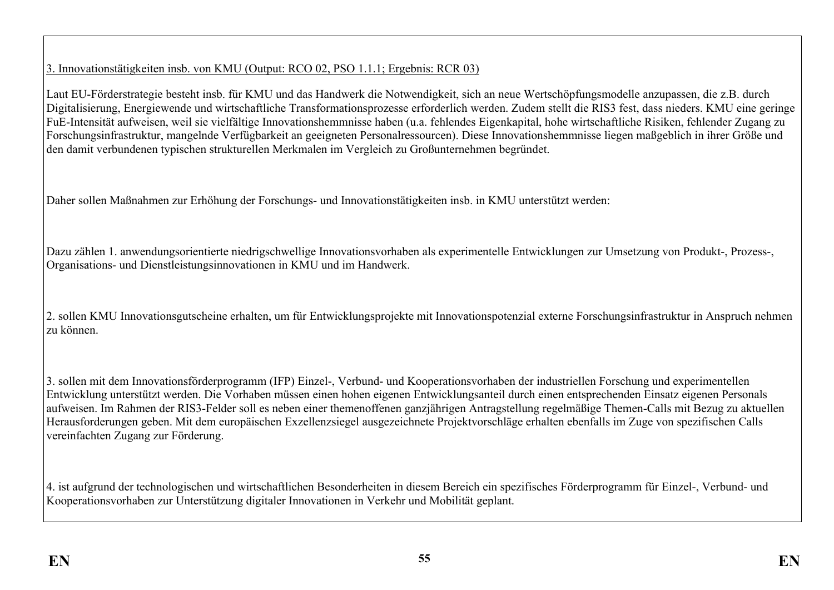### 3. Innovationstätigkeiten insb. von KMU (Output: RCO 02, PSO 1.1.1; Ergebnis: RCR 03)

Laut EU-Förderstrategie besteht insb. für KMU und das Handwerk die Notwendigkeit, sich an neue Wertschöpfungsmodelle anzupassen, die z.B. durch Digitalisierung, Energiewende und wirtschaftliche Transformationsprozesse erforderlich werden. Zudem stellt die RIS3 fest, dass nieders. KMU eine geringe FuE-Intensität aufweisen, weil sie vielfältige Innovationshemmnisse haben (u.a. fehlendes Eigenkapital, hohe wirtschaftliche Risiken, fehlender Zugang zu Forschungsinfrastruktur, mangelnde Verfügbarkeit an geeigneten Personalressourcen). Diese Innovationshemmnisse liegen maßgeblich in ihrer Größe und den damit verbundenen typischen strukturellen Merkmalen im Vergleich zu Großunternehmen begründet.

Daher sollen Maßnahmen zur Erhöhung der Forschungs- und Innovationstätigkeiten insb. in KMU unterstützt werden:

Dazu zählen 1. anwendungsorientierte niedrigschwellige Innovationsvorhaben als experimentelle Entwicklungen zur Umsetzung von Produkt-, Prozess-, Organisations- und Dienstleistungsinnovationen in KMU und im Handwerk.

2. sollen KMU Innovationsgutscheine erhalten, um für Entwicklungsprojekte mit Innovationspotenzial externe Forschungsinfrastruktur in Anspruch nehmen zu können.

3. sollen mit dem Innovationsförderprogramm (IFP) Einzel-, Verbund- und Kooperationsvorhaben der industriellen Forschung und experimentellen Entwicklung unterstützt werden. Die Vorhaben müssen einen hohen eigenen Entwicklungsanteil durch einen entsprechenden Einsatz eigenen Personals aufweisen. Im Rahmen der RIS3-Felder soll es neben einer themenoffenen ganzjährigen Antragstellung regelmäßige Themen-Calls mit Bezug zu aktuellen Herausforderungen geben. Mit dem europäischen Exzellenzsiegel ausgezeichnete Projektvorschläge erhalten ebenfalls im Zuge von spezifischen Calls vereinfachten Zugang zur Förderung.

4. ist aufgrund der technologischen und wirtschaftlichen Besonderheiten in diesem Bereich ein spezifisches Förderprogramm für Einzel-, Verbund- und Kooperationsvorhaben zur Unterstützung digitaler Innovationen in Verkehr und Mobilität geplant.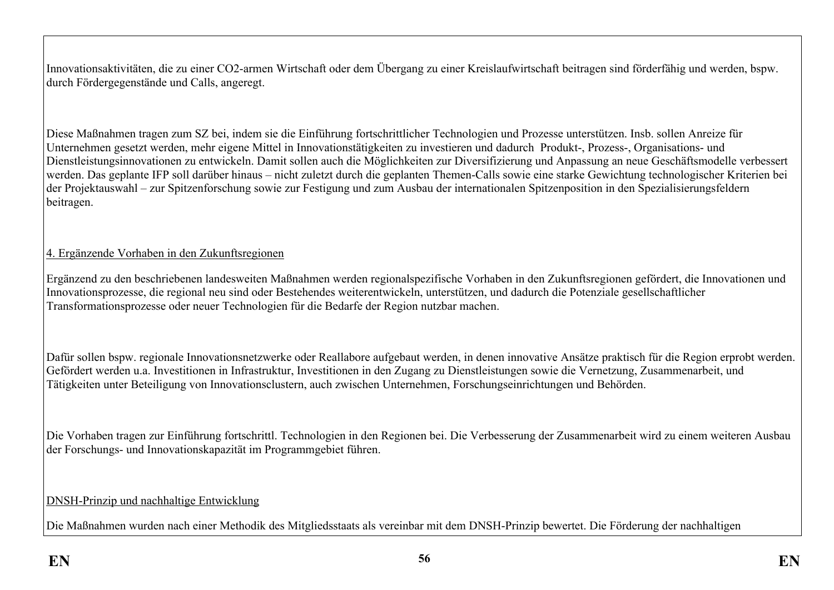Innovationsaktivitäten, die zu einer CO2-armen Wirtschaft oder dem Übergang zu einer Kreislaufwirtschaft beitragen sind förderfähig und werden, bspw. durch Fördergegenstände und Calls, angeregt.

Diese Maßnahmen tragen zum SZ bei, indem sie die Einführung fortschrittlicher Technologien und Prozesse unterstützen. Insb. sollen Anreize für Unternehmen gesetzt werden, mehr eigene Mittel in Innovationstätigkeiten zu investieren und dadurch Produkt-, Prozess-, Organisations- und Dienstleistungsinnovationen zu entwickeln. Damit sollen auch die Möglichkeiten zur Diversifizierung und Anpassung an neue Geschäftsmodelle verbessert werden. Das geplante IFP soll darüber hinaus – nicht zuletzt durch die geplanten Themen-Calls sowie eine starke Gewichtung technologischer Kriterien bei der Projektauswahl – zur Spitzenforschung sowie zur Festigung und zum Ausbau der internationalen Spitzenposition in den Spezialisierungsfeldern beitragen.

### 4. Ergänzende Vorhaben in den Zukunftsregionen

Ergänzend zu den beschriebenen landesweiten Maßnahmen werden regionalspezifische Vorhaben in den Zukunftsregionen gefördert, die Innovationen und Innovationsprozesse, die regional neu sind oder Bestehendes weiterentwickeln, unterstützen, und dadurch die Potenziale gesellschaftlicher Transformationsprozesse oder neuer Technologien für die Bedarfe der Region nutzbar machen.

Dafür sollen bspw. regionale Innovationsnetzwerke oder Reallabore aufgebaut werden, in denen innovative Ansätze praktisch für die Region erprobt werden. Gefördert werden u.a. Investitionen in Infrastruktur, Investitionen in den Zugang zu Dienstleistungen sowie die Vernetzung, Zusammenarbeit, und Tätigkeiten unter Beteiligung von Innovationsclustern, auch zwischen Unternehmen, Forschungseinrichtungen und Behörden.

Die Vorhaben tragen zur Einführung fortschrittl. Technologien in den Regionen bei. Die Verbesserung der Zusammenarbeit wird zu einem weiteren Ausbau der Forschungs- und Innovationskapazität im Programmgebiet führen.

#### DNSH-Prinzip und nachhaltige Entwicklung

Die Maßnahmen wurden nach einer Methodik des Mitgliedsstaats als vereinbar mit dem DNSH-Prinzip bewertet. Die Förderung der nachhaltigen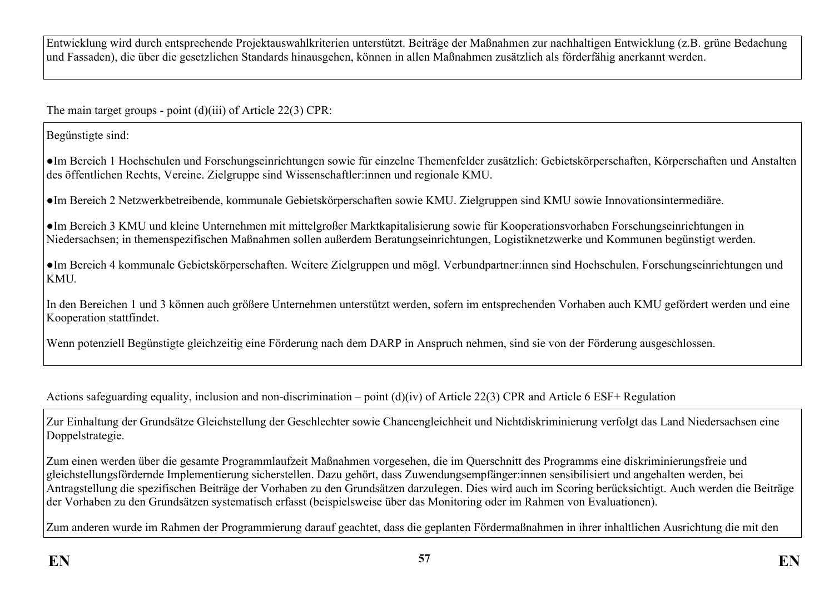Entwicklung wird durch entsprechende Projektauswahlkriterien unterstützt. Beiträge der Maßnahmen zur nachhaltigen Entwicklung (z.B. grüne Bedachung und Fassaden), die über die gesetzlichen Standards hinausgehen, können in allen Maßnahmen zusätzlich als förderfähig anerkannt werden.

The main target groups - point (d)(iii) of Article 22(3) CPR:

Begünstigte sind:

●Im Bereich 1 Hochschulen und Forschungseinrichtungen sowie für einzelne Themenfelder zusätzlich: Gebietskörperschaften, Körperschaften und Anstalten des öffentlichen Rechts, Vereine. Zielgruppe sind Wissenschaftler:innen und regionale KMU.

●Im Bereich 2 Netzwerkbetreibende, kommunale Gebietskörperschaften sowie KMU. Zielgruppen sind KMU sowie Innovationsintermediäre.

●Im Bereich 3 KMU und kleine Unternehmen mit mittelgroßer Marktkapitalisierung sowie für Kooperationsvorhaben Forschungseinrichtungen in Niedersachsen; in themenspezifischen Maßnahmen sollen außerdem Beratungseinrichtungen, Logistiknetzwerke und Kommunen begünstigt werden.

●Im Bereich 4 kommunale Gebietskörperschaften. Weitere Zielgruppen und mögl. Verbundpartner:innen sind Hochschulen, Forschungseinrichtungen und KMU*.*

In den Bereichen 1 und 3 können auch größere Unternehmen unterstützt werden, sofern im entsprechenden Vorhaben auch KMU gefördert werden und eine Kooperation stattfindet.

Wenn potenziell Begünstigte gleichzeitig eine Förderung nach dem DARP in Anspruch nehmen, sind sie von der Förderung ausgeschlossen.

Actions safeguarding equality, inclusion and non-discrimination – point (d)(iv) of Article 22(3) CPR and Article 6 ESF+ Regulation

Zur Einhaltung der Grundsätze Gleichstellung der Geschlechter sowie Chancengleichheit und Nichtdiskriminierung verfolgt das Land Niedersachsen eine Doppelstrategie.

Zum einen werden über die gesamte Programmlaufzeit Maßnahmen vorgesehen, die im Querschnitt des Programms eine diskriminierungsfreie und gleichstellungsfördernde Implementierung sicherstellen. Dazu gehört, dass Zuwendungsempfänger:innen sensibilisiert und angehalten werden, bei Antragstellung die spezifischen Beiträge der Vorhaben zu den Grundsätzen darzulegen. Dies wird auch im Scoring berücksichtigt. Auch werden die Beiträge der Vorhaben zu den Grundsätzen systematisch erfasst (beispielsweise über das Monitoring oder im Rahmen von Evaluationen).

Zum anderen wurde im Rahmen der Programmierung darauf geachtet, dass die geplanten Fördermaßnahmen in ihrer inhaltlichen Ausrichtung die mit den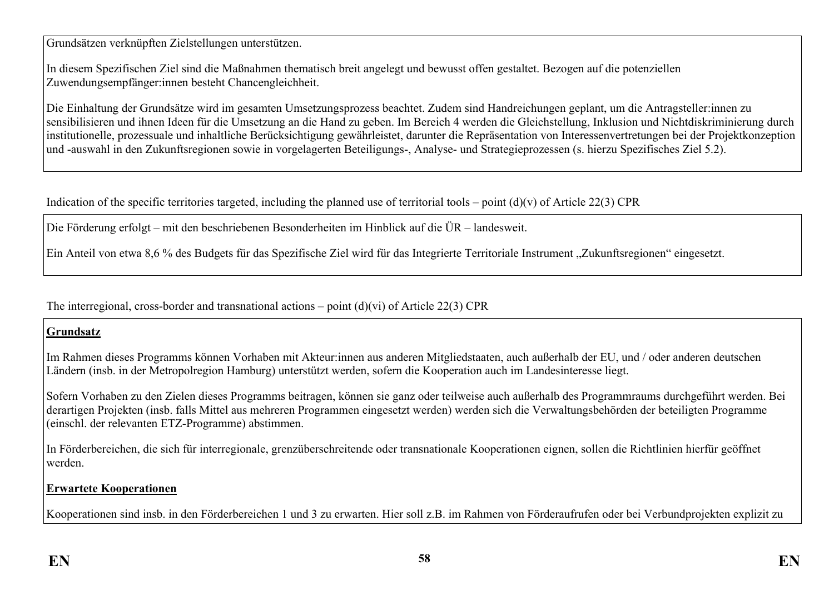Grundsätzen verknüpften Zielstellungen unterstützen.

In diesem Spezifischen Ziel sind die Maßnahmen thematisch breit angelegt und bewusst offen gestaltet. Bezogen auf die potenziellen Zuwendungsempfänger:innen besteht Chancengleichheit.

Die Einhaltung der Grundsätze wird im gesamten Umsetzungsprozess beachtet. Zudem sind Handreichungen geplant, um die Antragsteller:innen zu sensibilisieren und ihnen Ideen für die Umsetzung an die Hand zu geben. Im Bereich 4 werden die Gleichstellung, Inklusion und Nichtdiskriminierung durch institutionelle, prozessuale und inhaltliche Berücksichtigung gewährleistet, darunter die Repräsentation von Interessenvertretungen bei der Projektkonzeption und -auswahl in den Zukunftsregionen sowie in vorgelagerten Beteiligungs-, Analyse- und Strategieprozessen (s. hierzu Spezifisches Ziel 5.2).

Indication of the specific territories targeted, including the planned use of territorial tools – point  $(d)(v)$  of Article 22(3) CPR

Die Förderung erfolgt – mit den beschriebenen Besonderheiten im Hinblick auf die ÜR – landesweit.

Ein Anteil von etwa 8,6 % des Budgets für das Spezifische Ziel wird für das Integrierte Territoriale Instrument "Zukunftsregionen" eingesetzt.

The interregional, cross-border and transnational actions – point  $(d)(vi)$  of Article 22(3) CPR

#### **Grundsatz**

Im Rahmen dieses Programms können Vorhaben mit Akteur:innen aus anderen Mitgliedstaaten, auch außerhalb der EU, und / oder anderen deutschen Ländern (insb. in der Metropolregion Hamburg) unterstützt werden, sofern die Kooperation auch im Landesinteresse liegt.

Sofern Vorhaben zu den Zielen dieses Programms beitragen, können sie ganz oder teilweise auch außerhalb des Programmraums durchgeführt werden. Bei derartigen Projekten (insb. falls Mittel aus mehreren Programmen eingesetzt werden) werden sich die Verwaltungsbehörden der beteiligten Programme (einschl. der relevanten ETZ-Programme) abstimmen.

In Förderbereichen, die sich für interregionale, grenzüberschreitende oder transnationale Kooperationen eignen, sollen die Richtlinien hierfür geöffnet werden.

#### **Erwartete Kooperationen**

Kooperationen sind insb. in den Förderbereichen 1 und 3 zu erwarten. Hier soll z.B. im Rahmen von Förderaufrufen oder bei Verbundprojekten explizit zu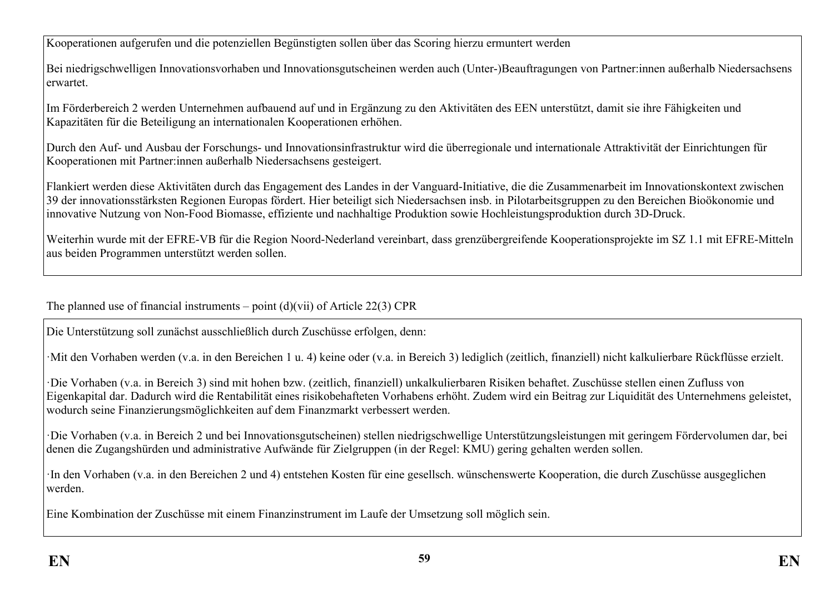Kooperationen aufgerufen und die potenziellen Begünstigten sollen über das Scoring hierzu ermuntert werden

Bei niedrigschwelligen Innovationsvorhaben und Innovationsgutscheinen werden auch (Unter-)Beauftragungen von Partner:innen außerhalb Niedersachsens erwartet.

Im Förderbereich 2 werden Unternehmen aufbauend auf und in Ergänzung zu den Aktivitäten des EEN unterstützt, damit sie ihre Fähigkeiten und Kapazitäten für die Beteiligung an internationalen Kooperationen erhöhen.

Durch den Auf- und Ausbau der Forschungs- und Innovationsinfrastruktur wird die überregionale und internationale Attraktivität der Einrichtungen für Kooperationen mit Partner:innen außerhalb Niedersachsens gesteigert.

Flankiert werden diese Aktivitäten durch das Engagement des Landes in der Vanguard-Initiative, die die Zusammenarbeit im Innovationskontext zwischen 39 der innovationsstärksten Regionen Europas fördert. Hier beteiligt sich Niedersachsen insb. in Pilotarbeitsgruppen zu den Bereichen Bioökonomie und innovative Nutzung von Non-Food Biomasse, effiziente und nachhaltige Produktion sowie Hochleistungsproduktion durch 3D-Druck.

Weiterhin wurde mit der EFRE-VB für die Region Noord-Nederland vereinbart, dass grenzübergreifende Kooperationsprojekte im SZ 1.1 mit EFRE-Mitteln aus beiden Programmen unterstützt werden sollen.

The planned use of financial instruments – point  $(d)(\n{\rm vii})$  of Article 22(3) CPR

Die Unterstützung soll zunächst ausschließlich durch Zuschüsse erfolgen, denn:

·Mit den Vorhaben werden (v.a. in den Bereichen 1 u. 4) keine oder (v.a. in Bereich 3) lediglich (zeitlich, finanziell) nicht kalkulierbare Rückflüsse erzielt.

·Die Vorhaben (v.a. in Bereich 3) sind mit hohen bzw. (zeitlich, finanziell) unkalkulierbaren Risiken behaftet. Zuschüsse stellen einen Zufluss von Eigenkapital dar. Dadurch wird die Rentabilität eines risikobehafteten Vorhabens erhöht. Zudem wird ein Beitrag zur Liquidität des Unternehmens geleistet, wodurch seine Finanzierungsmöglichkeiten auf dem Finanzmarkt verbessert werden.

·Die Vorhaben (v.a. in Bereich 2 und bei Innovationsgutscheinen) stellen niedrigschwellige Unterstützungsleistungen mit geringem Fördervolumen dar, bei denen die Zugangshürden und administrative Aufwände für Zielgruppen (in der Regel: KMU) gering gehalten werden sollen.

·In den Vorhaben (v.a. in den Bereichen 2 und 4) entstehen Kosten für eine gesellsch. wünschenswerte Kooperation, die durch Zuschüsse ausgeglichen werden.

Eine Kombination der Zuschüsse mit einem Finanzinstrument im Laufe der Umsetzung soll möglich sein.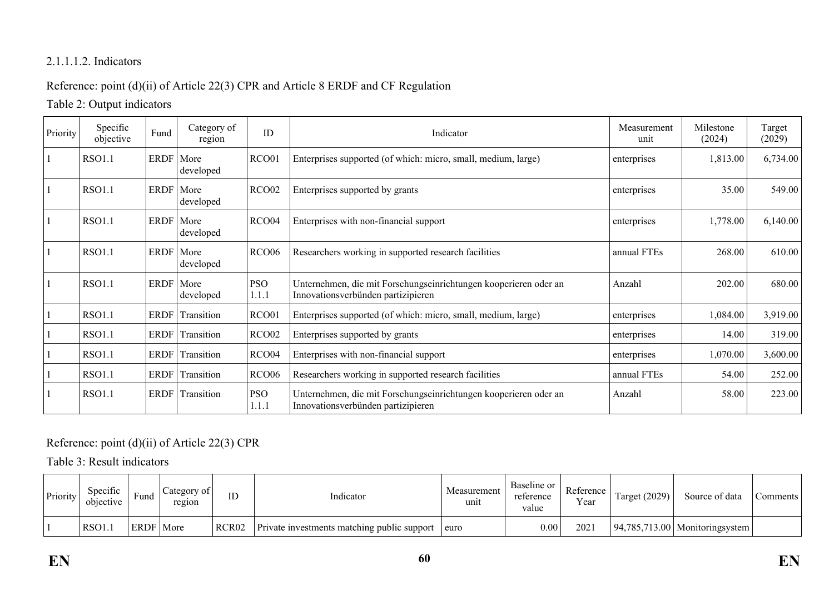### 2.1.1.1.2. Indicators

### Reference: point (d)(ii) of Article 22(3) CPR and Article 8 ERDF and CF Regulation

Table 2: Output indicators

| Priority | Specific<br>objective | Fund        | Category of<br>region    | ID                  | Indicator                                                                                              | Measurement<br>unit | Milestone<br>(2024) | Target<br>(2029) |
|----------|-----------------------|-------------|--------------------------|---------------------|--------------------------------------------------------------------------------------------------------|---------------------|---------------------|------------------|
|          | <b>RSO1.1</b>         | ERDF        | More<br>developed        | RCO01               | Enterprises supported (of which: micro, small, medium, large)                                          | enterprises         | 1,813.00            | 6,734.00         |
|          | <b>RSO1.1</b>         | ERDF        | More<br>developed        | RCO <sub>02</sub>   | Enterprises supported by grants                                                                        | enterprises         | 35.00               | 549.00           |
|          | <b>RSO1.1</b>         |             | ERDF More<br>developed   | RCO04               | Enterprises with non-financial support                                                                 | enterprises         | 1,778.00            | 6,140.00         |
|          | <b>RSO1.1</b>         | <b>ERDF</b> | More<br>developed        | <b>RCO06</b>        | Researchers working in supported research facilities                                                   | annual FTEs         | 268.00              | 610.00           |
|          | <b>RSO1.1</b>         |             | ERDF   More<br>developed | <b>PSO</b><br>1.1.1 | Unternehmen, die mit Forschungseinrichtungen kooperieren oder an<br>Innovationsverbünden partizipieren | Anzahl              | 202.00              | 680.00           |
|          | <b>RSO1.1</b>         | <b>ERDF</b> | Transition               | RCO01               | Enterprises supported (of which: micro, small, medium, large)                                          | enterprises         | 1,084.00            | 3,919.00         |
|          | <b>RSO1.1</b>         | <b>ERDF</b> | Transition               | RCO <sub>02</sub>   | Enterprises supported by grants                                                                        | enterprises         | 14.00               | 319.00           |
|          | <b>RSO1.1</b>         | <b>ERDF</b> | Transition               | RCO <sub>04</sub>   | Enterprises with non-financial support                                                                 | enterprises         | 1,070.00            | 3,600.00         |
|          | <b>RSO1.1</b>         | <b>ERDF</b> | Transition               | <b>RCO06</b>        | Researchers working in supported research facilities                                                   | annual FTEs         | 54.00               | 252.00           |
|          | <b>RSO1.1</b>         | <b>ERDF</b> | Transition               | <b>PSO</b><br>1.1.1 | Unternehmen, die mit Forschungseinrichtungen kooperieren oder an<br>Innovationsverbünden partizipieren | Anzahl              | 58.00               | 223.00           |

### Reference: point (d)(ii) of Article 22(3) CPR

Table 3: Result indicators

| Priority | <b>Specific</b><br>objective | Fund        | Category of<br>region | ID                | Indicator                                   | Measurement<br>unit | Baseline or<br>reference<br>value | Reference  <br>Year | <b>Target (2029)</b> | Source of data                           | Comments ' |
|----------|------------------------------|-------------|-----------------------|-------------------|---------------------------------------------|---------------------|-----------------------------------|---------------------|----------------------|------------------------------------------|------------|
|          | RSO1.                        | ERDF   More |                       | RCR <sub>02</sub> | Private investments matching public support | euro                | 0.00                              | 202                 |                      | $\vert$ 94,785,713.00   Monitoringsystem |            |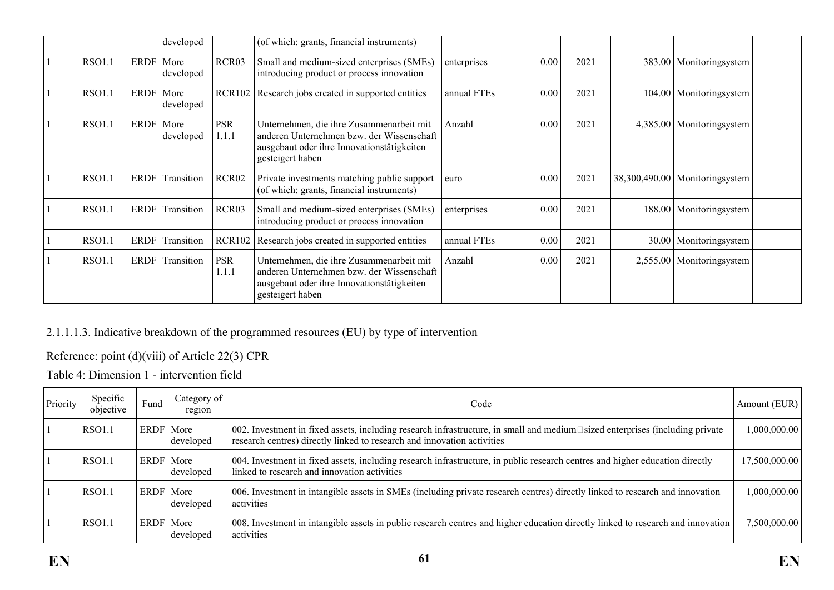|               |             | developed                |                     | (of which: grants, financial instruments)                                                                                                               |             |      |      |       |                                  |  |
|---------------|-------------|--------------------------|---------------------|---------------------------------------------------------------------------------------------------------------------------------------------------------|-------------|------|------|-------|----------------------------------|--|
| <b>RSO1.1</b> | ERDF   More | developed                | RCR03               | Small and medium-sized enterprises (SMEs)<br>introducing product or process innovation                                                                  | enterprises | 0.00 | 2021 |       | 383.00   Monitoringsystem        |  |
| <b>RSO1.1</b> |             | ERDF   More<br>developed | <b>RCR102</b>       | Research jobs created in supported entities                                                                                                             | annual FTEs | 0.00 | 2021 |       | 104.00   Monitoringsystem        |  |
| <b>RSO1.1</b> |             | ERDF   More<br>developed | <b>PSR</b><br>1.1.1 | Unternehmen, die ihre Zusammenarbeit mit<br>anderen Unternehmen bzw. der Wissenschaft<br>ausgebaut oder ihre Innovationstätigkeiten<br>gesteigert haben | Anzahl      | 0.00 | 2021 |       | 4,385.00   Monitoringsystem      |  |
| <b>RSO1.1</b> | ERDF        | Transition               | RCR <sub>02</sub>   | Private investments matching public support<br>(of which: grants, financial instruments)                                                                | euro        | 0.00 | 2021 |       | 38,300,490.00   Monitoringsystem |  |
| <b>RSO1.1</b> | <b>ERDF</b> | Transition               | RCR03               | Small and medium-sized enterprises (SMEs)<br>introducing product or process innovation                                                                  | enterprises | 0.00 | 2021 |       | 188.00   Monitoringsystem        |  |
| <b>RSO1.1</b> | <b>ERDF</b> | Transition               | <b>RCR102</b>       | Research jobs created in supported entities                                                                                                             | annual FTEs | 0.00 | 2021 | 30.00 | Monitoringsystem                 |  |
| <b>RSO1.1</b> | ERDF        | Transition               | <b>PSR</b><br>1.1.1 | Unternehmen, die ihre Zusammenarbeit mit<br>anderen Unternehmen bzw. der Wissenschaft<br>ausgebaut oder ihre Innovationstätigkeiten<br>gesteigert haben | Anzahl      | 0.00 | 2021 |       | 2,555.00   Monitoringsystem      |  |

### 2.1.1.1.3. Indicative breakdown of the programmed resources (EU) by type of intervention

## Reference: point (d)(viii) of Article 22(3) CPR

Table 4: Dimension 1 - intervention field

| Priority | Specific<br>objective | Fund        | Category of<br>region | Code                                                                                                                                                                                                    | Amount (EUR)  |
|----------|-----------------------|-------------|-----------------------|---------------------------------------------------------------------------------------------------------------------------------------------------------------------------------------------------------|---------------|
|          | <b>RSO1.1</b>         | ERDF   More | developed             | 002. Investment in fixed assets, including research infrastructure, in small and medium□sized enterprises (including private<br>research centres) directly linked to research and innovation activities | 000,000.00    |
|          | <b>RSO1.1</b>         | ERDF   More | developed             | 004. Investment in fixed assets, including research infrastructure, in public research centres and higher education directly<br>linked to research and innovation activities                            | 17,500,000.00 |
|          | <b>RSO1.1</b>         | ERDF        | More<br>developed     | 006. Investment in intangible assets in SMEs (including private research centres) directly linked to research and innovation<br>activities                                                              | 00,000,000,   |
|          | <b>RSO1.1</b>         | ERDF   More | developed             | 008. Investment in intangible assets in public research centres and higher education directly linked to research and innovation<br>activities                                                           | 7,500,000.00  |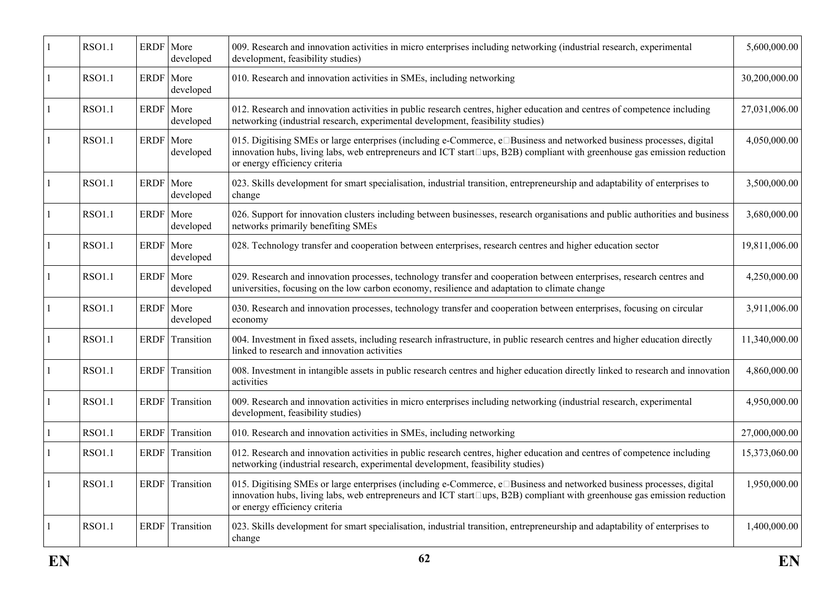|              | <b>RSO1.1</b> | ERDF      | More<br>developed      | 009. Research and innovation activities in micro enterprises including networking (industrial research, experimental<br>development, feasibility studies)                                                                                                                                 | 5,600,000.00  |
|--------------|---------------|-----------|------------------------|-------------------------------------------------------------------------------------------------------------------------------------------------------------------------------------------------------------------------------------------------------------------------------------------|---------------|
| 1            | <b>RSO1.1</b> | ERDF      | More<br>developed      | 010. Research and innovation activities in SMEs, including networking                                                                                                                                                                                                                     | 30,200,000.00 |
|              | <b>RSO1.1</b> | ERDF      | More<br>developed      | 012. Research and innovation activities in public research centres, higher education and centres of competence including<br>networking (industrial research, experimental development, feasibility studies)                                                                               | 27,031,006.00 |
|              | <b>RSO1.1</b> | ERDF      | More<br>developed      | 015. Digitising SMEs or large enterprises (including e-Commerce, e□Business and networked business processes, digital<br>innovation hubs, living labs, web entrepreneurs and ICT start $\Box$ ups, B2B) compliant with greenhouse gas emission reduction<br>or energy efficiency criteria | 4,050,000.00  |
|              | <b>RSO1.1</b> | ERDF      | More<br>developed      | 023. Skills development for smart specialisation, industrial transition, entrepreneurship and adaptability of enterprises to<br>change                                                                                                                                                    | 3,500,000.00  |
|              | <b>RSO1.1</b> | ERDF More | developed              | 026. Support for innovation clusters including between businesses, research organisations and public authorities and business<br>networks primarily benefiting SMEs                                                                                                                       | 3,680,000.00  |
| 1            | <b>RSO1.1</b> | ERDF      | More<br>developed      | 028. Technology transfer and cooperation between enterprises, research centres and higher education sector                                                                                                                                                                                | 19,811,006.00 |
|              | <b>RSO1.1</b> | ERDF More | developed              | 029. Research and innovation processes, technology transfer and cooperation between enterprises, research centres and<br>universities, focusing on the low carbon economy, resilience and adaptation to climate change                                                                    | 4,250,000.00  |
|              | <b>RSO1.1</b> | ERDF More | developed              | 030. Research and innovation processes, technology transfer and cooperation between enterprises, focusing on circular<br>economy                                                                                                                                                          | 3,911,006.00  |
| 1            | <b>RSO1.1</b> |           | <b>ERDF</b> Transition | 004. Investment in fixed assets, including research infrastructure, in public research centres and higher education directly<br>linked to research and innovation activities                                                                                                              | 11,340,000.00 |
| $\mathbf{1}$ | <b>RSO1.1</b> | ERDF      | Transition             | 008. Investment in intangible assets in public research centres and higher education directly linked to research and innovation<br>activities                                                                                                                                             | 4,860,000.00  |
|              | <b>RSO1.1</b> | ERDF      | Transition             | 009. Research and innovation activities in micro enterprises including networking (industrial research, experimental<br>development, feasibility studies)                                                                                                                                 | 4,950,000.00  |
|              | <b>RSO1.1</b> | ERDF      | Transition             | 010. Research and innovation activities in SMEs, including networking                                                                                                                                                                                                                     | 27,000,000.00 |
|              | <b>RSO1.1</b> |           | ERDF Transition        | 012. Research and innovation activities in public research centres, higher education and centres of competence including<br>networking (industrial research, experimental development, feasibility studies)                                                                               | 15,373,060.00 |
|              | <b>RSO1.1</b> |           | ERDF Transition        | 015. Digitising SMEs or large enterprises (including e-Commerce, e□Business and networked business processes, digital<br>innovation hubs, living labs, web entrepreneurs and ICT start□ups, B2B) compliant with greenhouse gas emission reduction<br>or energy efficiency criteria        | 1,950,000.00  |
|              | <b>RSO1.1</b> | ERDF      | Transition             | 023. Skills development for smart specialisation, industrial transition, entrepreneurship and adaptability of enterprises to<br>change                                                                                                                                                    | 1,400,000.00  |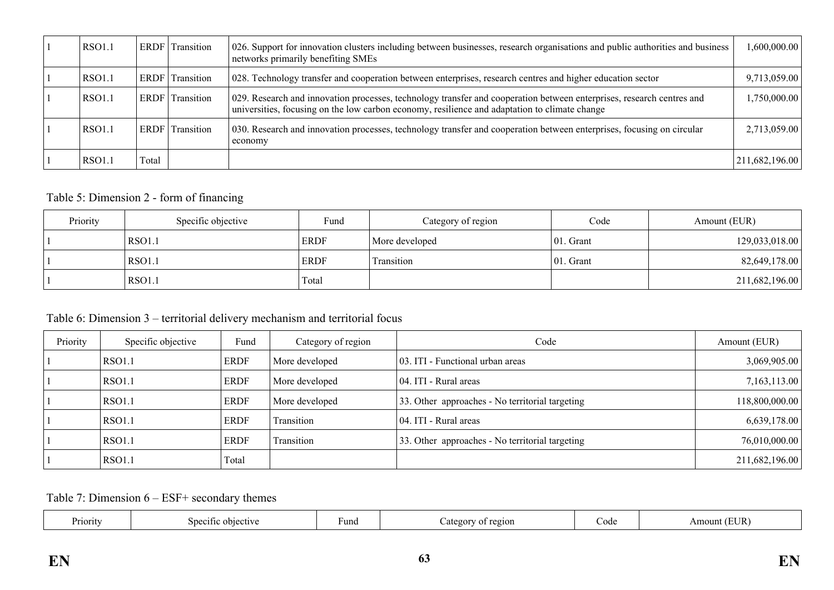| <b>RSO1.1</b> | <b>ERDF</b> | Transition | 026. Support for innovation clusters including between businesses, research organisations and public authorities and business<br>networks primarily benefiting SMEs                                                    | 1,600,000.00   |
|---------------|-------------|------------|------------------------------------------------------------------------------------------------------------------------------------------------------------------------------------------------------------------------|----------------|
| <b>RSO1.1</b> | <b>ERDF</b> | Transition | 028. Technology transfer and cooperation between enterprises, research centres and higher education sector                                                                                                             | 9,713,059.00   |
| <b>RSO1.1</b> | ERDF        | Transition | 029. Research and innovation processes, technology transfer and cooperation between enterprises, research centres and<br>universities, focusing on the low carbon economy, resilience and adaptation to climate change | 1,750,000.00   |
| <b>RSO1.1</b> | <b>ERDF</b> | Transition | 030. Research and innovation processes, technology transfer and cooperation between enterprises, focusing on circular<br>economy                                                                                       | 2,713,059.00   |
| <b>RSO1.1</b> | Total       |            |                                                                                                                                                                                                                        | 211,682,196.00 |

### Table 5: Dimension 2 - form of financing

| Priority | Specific objective | Fund        | Category of region | Code          | Amount (EUR)   |
|----------|--------------------|-------------|--------------------|---------------|----------------|
|          | <b>RSO1.1</b>      | <b>ERDF</b> | More developed     | $ 01.$ Grant  | 129,033,018.00 |
|          | <b>RSO1.1</b>      | <b>ERDF</b> | <b>Transition</b>  | $ 01$ . Grant | 82,649,178.00  |
|          | <b>RSO1.1</b>      | Total       |                    |               | 211,682,196.00 |

### Table 6: Dimension 3 – territorial delivery mechanism and territorial focus

| Priority | Specific objective | Fund        | Category of region | Code                                            | Amount (EUR)   |
|----------|--------------------|-------------|--------------------|-------------------------------------------------|----------------|
|          | RSO1.1             | <b>ERDF</b> | More developed     | 03. ITI - Functional urban areas                | 3,069,905.00   |
|          | RSO1.1             | <b>ERDF</b> | More developed     | 04. ITI - Rural areas                           | 7,163,113.00   |
|          | <b>RSO1.1</b>      | <b>ERDF</b> | More developed     | 33. Other approaches - No territorial targeting | 118,800,000.00 |
|          | <b>RSO1.1</b>      | <b>ERDF</b> | Transition         | 04. ITI - Rural areas                           | 6,639,178.00   |
|          | <b>RSO1.1</b>      | <b>ERDF</b> | Transition         | 33. Other approaches - No territorial targeting | 76,010,000.00  |
|          | RSO1.1             | Total       |                    |                                                 | 211,682,196.00 |

Table 7: Dimension 6 – ESF+ secondary themes

| Priority<br>objec<br>etiva<br>sneciti | ∙und | `2101<br>ates<br>O1. | code | -н.<br>$\sim$<br>NIM). |  |
|---------------------------------------|------|----------------------|------|------------------------|--|
|---------------------------------------|------|----------------------|------|------------------------|--|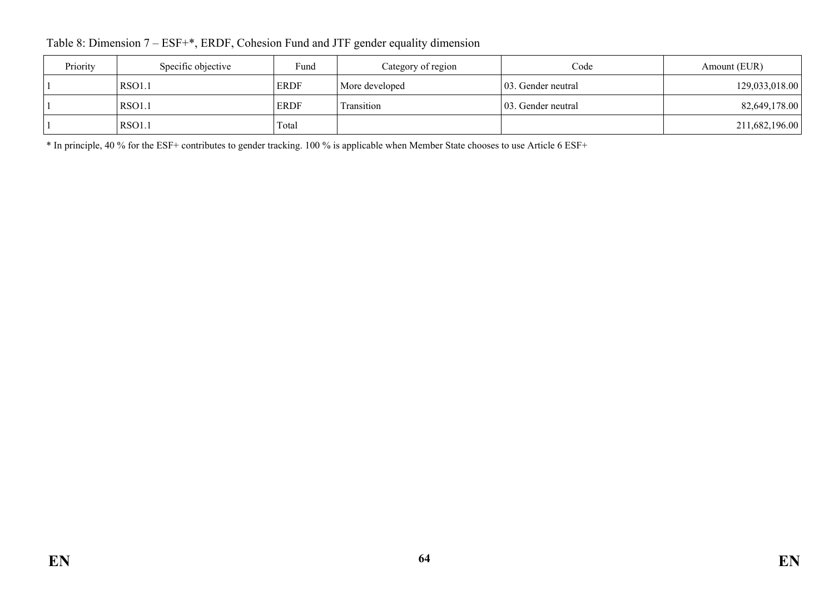Table 8: Dimension 7 – ESF+\*, ERDF, Cohesion Fund and JTF gender equality dimension

| Priority | Specific objective | Fund        | Category of region | Code                | Amount (EUR)   |
|----------|--------------------|-------------|--------------------|---------------------|----------------|
|          | <b>RSO1.1</b>      | <b>ERDF</b> | More developed     | 103. Gender neutral | 129,033,018.00 |
|          | <b>RSO1.1</b>      | <b>ERDF</b> | Transition         | 103. Gender neutral | 82,649,178.00  |
|          | <b>RSO1.1</b>      | Total       |                    |                     | 211,682,196.00 |

\* In principle, 40 % for the ESF+ contributes to gender tracking. 100 % is applicable when Member State chooses to use Article 6 ESF+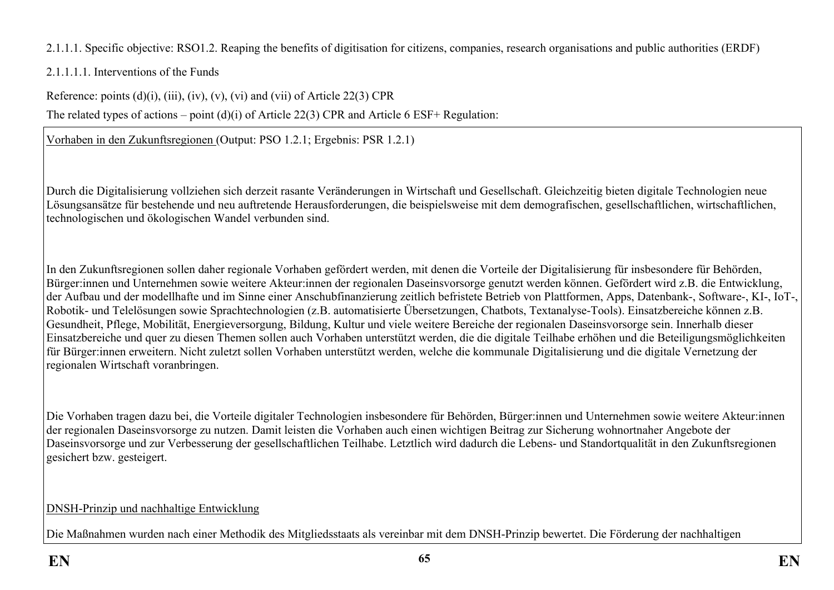2.1.1.1. Specific objective: RSO1.2. Reaping the benefits of digitisation for citizens, companies, research organisations and public authorities (ERDF)

2.1.1.1.1. Interventions of the Funds

Reference: points  $(d)(i)$ ,  $(iii)$ ,  $(iv)$ ,  $(v)$ ,  $(vi)$  and  $(vii)$  of Article 22(3) CPR

The related types of actions – point (d)(i) of Article 22(3) CPR and Article 6 ESF+ Regulation:

Vorhaben in den Zukunftsregionen (Output: PSO 1.2.1; Ergebnis: PSR 1.2.1)

Durch die Digitalisierung vollziehen sich derzeit rasante Veränderungen in Wirtschaft und Gesellschaft. Gleichzeitig bieten digitale Technologien neue Lösungsansätze für bestehende und neu auftretende Herausforderungen, die beispielsweise mit dem demografischen, gesellschaftlichen, wirtschaftlichen, technologischen und ökologischen Wandel verbunden sind.

In den Zukunftsregionen sollen daher regionale Vorhaben gefördert werden, mit denen die Vorteile der Digitalisierung für insbesondere für Behörden, Bürger:innen und Unternehmen sowie weitere Akteur:innen der regionalen Daseinsvorsorge genutzt werden können. Gefördert wird z.B. die Entwicklung, der Aufbau und der modellhafte und im Sinne einer Anschubfinanzierung zeitlich befristete Betrieb von Plattformen, Apps, Datenbank-, Software-, KI-, IoT-, Robotik- und Telelösungen sowie Sprachtechnologien (z.B. automatisierte Übersetzungen, Chatbots, Textanalyse-Tools). Einsatzbereiche können z.B. Gesundheit, Pflege, Mobilität, Energieversorgung, Bildung, Kultur und viele weitere Bereiche der regionalen Daseinsvorsorge sein. Innerhalb dieser Einsatzbereiche und quer zu diesen Themen sollen auch Vorhaben unterstützt werden, die die digitale Teilhabe erhöhen und die Beteiligungsmöglichkeiten für Bürger:innen erweitern. Nicht zuletzt sollen Vorhaben unterstützt werden, welche die kommunale Digitalisierung und die digitale Vernetzung der regionalen Wirtschaft voranbringen.

Die Vorhaben tragen dazu bei, die Vorteile digitaler Technologien insbesondere für Behörden, Bürger:innen und Unternehmen sowie weitere Akteur:innen der regionalen Daseinsvorsorge zu nutzen. Damit leisten die Vorhaben auch einen wichtigen Beitrag zur Sicherung wohnortnaher Angebote der Daseinsvorsorge und zur Verbesserung der gesellschaftlichen Teilhabe. Letztlich wird dadurch die Lebens- und Standortqualität in den Zukunftsregionen gesichert bzw. gesteigert.

### DNSH-Prinzip und nachhaltige Entwicklung

Die Maßnahmen wurden nach einer Methodik des Mitgliedsstaats als vereinbar mit dem DNSH-Prinzip bewertet. Die Förderung der nachhaltigen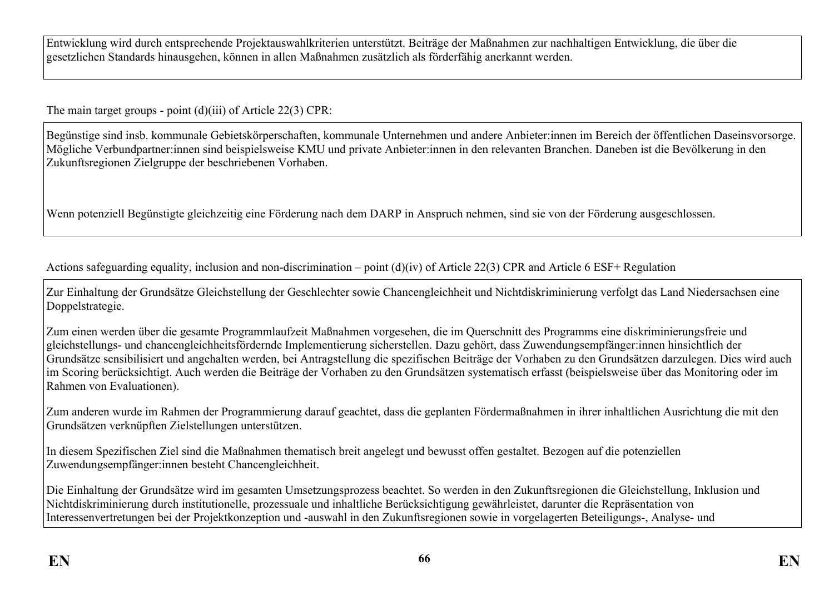Entwicklung wird durch entsprechende Projektauswahlkriterien unterstützt. Beiträge der Maßnahmen zur nachhaltigen Entwicklung, die über die gesetzlichen Standards hinausgehen, können in allen Maßnahmen zusätzlich als förderfähig anerkannt werden.

The main target groups - point (d)(iii) of Article 22(3) CPR:

Begünstige sind insb. kommunale Gebietskörperschaften, kommunale Unternehmen und andere Anbieter:innen im Bereich der öffentlichen Daseinsvorsorge. Mögliche Verbundpartner:innen sind beispielsweise KMU und private Anbieter:innen in den relevanten Branchen. Daneben ist die Bevölkerung in den Zukunftsregionen Zielgruppe der beschriebenen Vorhaben.

Wenn potenziell Begünstigte gleichzeitig eine Förderung nach dem DARP in Anspruch nehmen, sind sie von der Förderung ausgeschlossen.

Actions safeguarding equality, inclusion and non-discrimination – point (d)(iv) of Article 22(3) CPR and Article 6 ESF+ Regulation

Zur Einhaltung der Grundsätze Gleichstellung der Geschlechter sowie Chancengleichheit und Nichtdiskriminierung verfolgt das Land Niedersachsen eine Doppelstrategie.

Zum einen werden über die gesamte Programmlaufzeit Maßnahmen vorgesehen, die im Querschnitt des Programms eine diskriminierungsfreie und gleichstellungs- und chancengleichheitsfördernde Implementierung sicherstellen. Dazu gehört, dass Zuwendungsempfänger:innen hinsichtlich der Grundsätze sensibilisiert und angehalten werden, bei Antragstellung die spezifischen Beiträge der Vorhaben zu den Grundsätzen darzulegen. Dies wird auch im Scoring berücksichtigt. Auch werden die Beiträge der Vorhaben zu den Grundsätzen systematisch erfasst (beispielsweise über das Monitoring oder im Rahmen von Evaluationen).

Zum anderen wurde im Rahmen der Programmierung darauf geachtet, dass die geplanten Fördermaßnahmen in ihrer inhaltlichen Ausrichtung die mit den Grundsätzen verknüpften Zielstellungen unterstützen.

In diesem Spezifischen Ziel sind die Maßnahmen thematisch breit angelegt und bewusst offen gestaltet. Bezogen auf die potenziellen Zuwendungsempfänger:innen besteht Chancengleichheit.

Die Einhaltung der Grundsätze wird im gesamten Umsetzungsprozess beachtet. So werden in den Zukunftsregionen die Gleichstellung, Inklusion und Nichtdiskriminierung durch institutionelle, prozessuale und inhaltliche Berücksichtigung gewährleistet, darunter die Repräsentation von Interessenvertretungen bei der Projektkonzeption und -auswahl in den Zukunftsregionen sowie in vorgelagerten Beteiligungs-, Analyse- und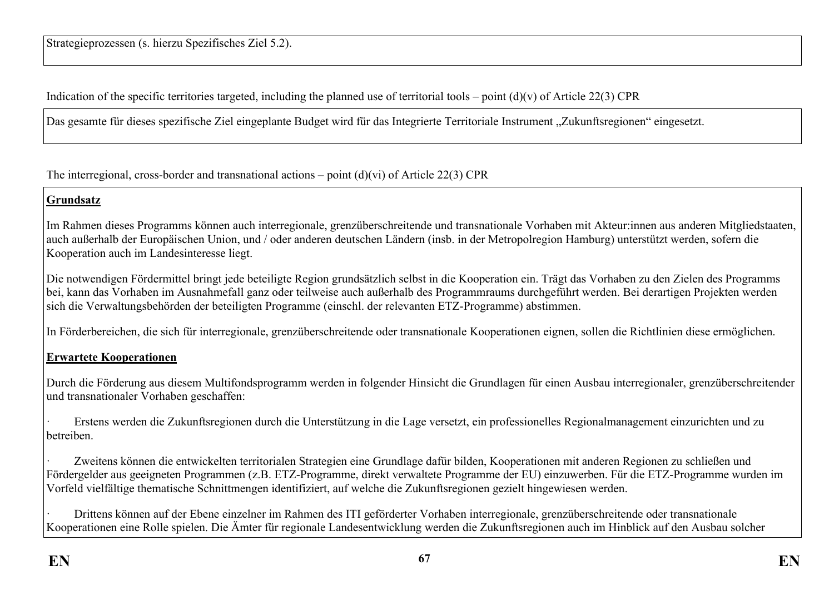Indication of the specific territories targeted, including the planned use of territorial tools – point  $(d)(v)$  of Article 22(3) CPR

Das gesamte für dieses spezifische Ziel eingeplante Budget wird für das Integrierte Territoriale Instrument "Zukunftsregionen" eingesetzt.

The interregional, cross-border and transnational actions – point  $(d)(vi)$  of Article 22(3) CPR

### **Grundsatz**

Im Rahmen dieses Programms können auch interregionale, grenzüberschreitende und transnationale Vorhaben mit Akteur:innen aus anderen Mitgliedstaaten, auch außerhalb der Europäischen Union, und / oder anderen deutschen Ländern (insb. in der Metropolregion Hamburg) unterstützt werden, sofern die Kooperation auch im Landesinteresse liegt.

Die notwendigen Fördermittel bringt jede beteiligte Region grundsätzlich selbst in die Kooperation ein. Trägt das Vorhaben zu den Zielen des Programms bei, kann das Vorhaben im Ausnahmefall ganz oder teilweise auch außerhalb des Programmraums durchgeführt werden. Bei derartigen Projekten werden sich die Verwaltungsbehörden der beteiligten Programme (einschl. der relevanten ETZ-Programme) abstimmen.

In Förderbereichen, die sich für interregionale, grenzüberschreitende oder transnationale Kooperationen eignen, sollen die Richtlinien diese ermöglichen.

### **Erwartete Kooperationen**

Durch die Förderung aus diesem Multifondsprogramm werden in folgender Hinsicht die Grundlagen für einen Ausbau interregionaler, grenzüberschreitender und transnationaler Vorhaben geschaffen:

· Erstens werden die Zukunftsregionen durch die Unterstützung in die Lage versetzt, ein professionelles Regionalmanagement einzurichten und zu betreiben.

Zweitens können die entwickelten territorialen Strategien eine Grundlage dafür bilden, Kooperationen mit anderen Regionen zu schließen und Fördergelder aus geeigneten Programmen (z.B. ETZ-Programme, direkt verwaltete Programme der EU) einzuwerben. Für die ETZ-Programme wurden im Vorfeld vielfältige thematische Schnittmengen identifiziert, auf welche die Zukunftsregionen gezielt hingewiesen werden.

· Drittens können auf der Ebene einzelner im Rahmen des ITI geförderter Vorhaben interregionale, grenzüberschreitende oder transnationale Kooperationen eine Rolle spielen. Die Ämter für regionale Landesentwicklung werden die Zukunftsregionen auch im Hinblick auf den Ausbau solcher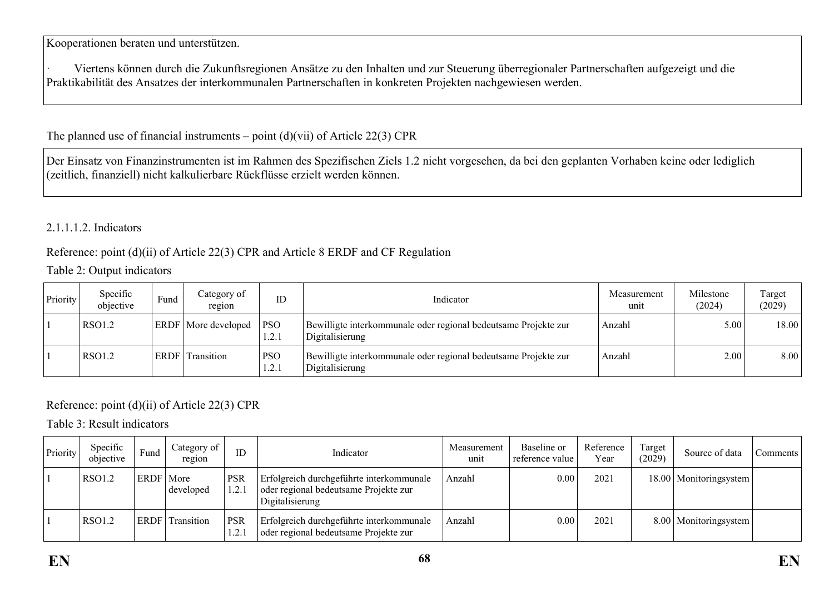Kooperationen beraten und unterstützen.

· Viertens können durch die Zukunftsregionen Ansätze zu den Inhalten und zur Steuerung überregionaler Partnerschaften aufgezeigt und die Praktikabilität des Ansatzes der interkommunalen Partnerschaften in konkreten Projekten nachgewiesen werden.

### The planned use of financial instruments – point  $(d)(\n{\rm vii})$  of Article 22(3) CPR

Der Einsatz von Finanzinstrumenten ist im Rahmen des Spezifischen Ziels 1.2 nicht vorgesehen, da bei den geplanten Vorhaben keine oder lediglich (zeitlich, finanziell) nicht kalkulierbare Rückflüsse erzielt werden können.

### 2.1.1.1.2. Indicators

#### Reference: point (d)(ii) of Article 22(3) CPR and Article 8 ERDF and CF Regulation

#### Table 2: Output indicators

| Priority | Specific<br>objective | Fund        | Category of<br>region      | ID                  | Indicator                                                                          | Measurement<br>unit | Milestone<br>(2024) | Target<br>(2029) |
|----------|-----------------------|-------------|----------------------------|---------------------|------------------------------------------------------------------------------------|---------------------|---------------------|------------------|
|          | RSO1.2                |             | <b>ERDF</b> More developed | <b>PSO</b><br>1.2.1 | Bewilligte interkommunale oder regional bedeutsame Projekte zur<br>Digitalisierung | Anzahl              | 5.00                | 18.00            |
|          | RSO1.2                | <b>ERDF</b> | Transition                 | <b>PSO</b><br>1.2.1 | Bewilligte interkommunale oder regional bedeutsame Projekte zur<br>Digitalisierung | Anzahl              | 2.00                | 8.00             |

### Reference: point (d)(ii) of Article 22(3) CPR

Table 3: Result indicators

| Priority | Specific<br>objective | Fund        | Category of<br>region | ID                 | Indicator                                                                                            | Measurement<br>unit | Baseline or<br>reference value | Reference<br>Year | Target<br>(2029) | Source of data           | Comments |
|----------|-----------------------|-------------|-----------------------|--------------------|------------------------------------------------------------------------------------------------------|---------------------|--------------------------------|-------------------|------------------|--------------------------|----------|
|          | RSO1.2                | ERDF   More | developed             | <b>PSR</b><br>1.2. | Erfolgreich durchgeführte interkommunale<br>oder regional bedeutsame Projekte zur<br>Digitalisierung | Anzahl              | 0.00                           | 2021              |                  | 18.00   Monitoringsystem |          |
|          | RSO1.2                | ERDF        | Transition            | <b>PSR</b><br>1.2. | Erfolgreich durchgeführte interkommunale<br>oder regional bedeutsame Projekte zur                    | Anzahl              | 0.00                           | 2021              |                  | 8.00   Monitoringsystem  |          |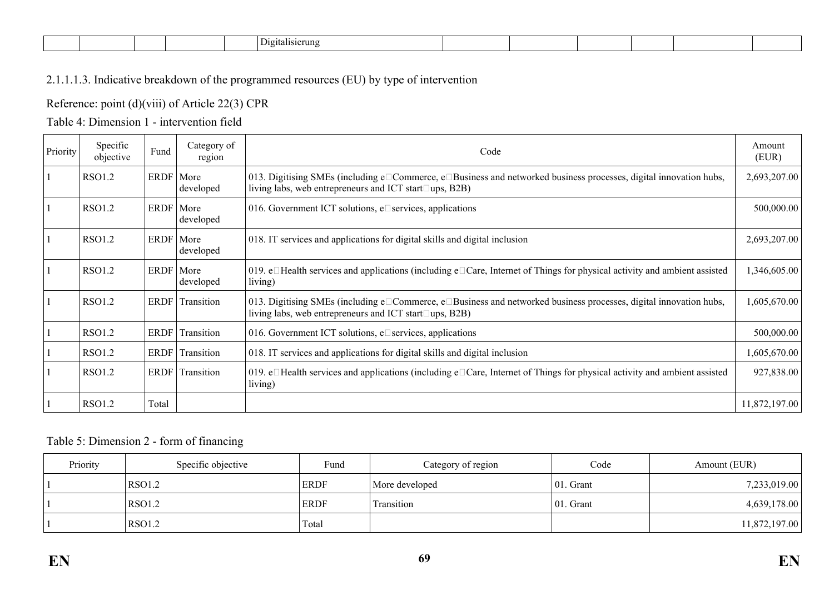|  |  |  |  |  |  | -<br>'ierung |  |  |  |  |  |  |
|--|--|--|--|--|--|--------------|--|--|--|--|--|--|
|--|--|--|--|--|--|--------------|--|--|--|--|--|--|

### 2.1.1.1.3. Indicative breakdown of the programmed resources (EU) by type of intervention

### Reference: point (d)(viii) of Article 22(3) CPR

### Table 4: Dimension 1 - intervention field

| Priority | Specific<br>objective | Fund        | Category of<br>region | Code                                                                                                                                                                                  | Amount<br>(EUR) |
|----------|-----------------------|-------------|-----------------------|---------------------------------------------------------------------------------------------------------------------------------------------------------------------------------------|-----------------|
|          | RSO1.2                | ERDF   More | developed             | 013. Digitising SMEs (including e□Commerce, e□Business and networked business processes, digital innovation hubs,<br>living labs, web entrepreneurs and ICT start $\square$ ups, B2B) | 2,693,207.00    |
|          | <b>RSO1.2</b>         | ERDF   More | developed             | 016. Government ICT solutions, $e^{\square}$ services, applications                                                                                                                   | 500,000.00      |
|          | RSO1.2                | ERDF   More | developed             | 018. IT services and applications for digital skills and digital inclusion                                                                                                            | 2,693,207.00    |
|          | RSO1.2                | ERDF   More | developed             | 019. $e\Box$ Health services and applications (including $e\Box$ Care, Internet of Things for physical activity and ambient assisted<br>living)                                       | 1,346,605.00    |
|          | RSO1.2                |             | ERDF Transition       | 013. Digitising SMEs (including e□Commerce, e□Business and networked business processes, digital innovation hubs,<br>living labs, web entrepreneurs and ICT start $\square$ ups, B2B) | ,605,670.00     |
|          | <b>RSO1.2</b>         | ERDF        | Transition            | 016. Government ICT solutions, $e^{\square}$ services, applications                                                                                                                   | 500,000.00      |
|          | <b>RSO1.2</b>         |             | ERDF Transition       | 018. IT services and applications for digital skills and digital inclusion                                                                                                            | 1,605,670.00    |
|          | RSO1.2                |             | ERDF Transition       | 019. $e\Box$ Health services and applications (including $e\Box$ Care, Internet of Things for physical activity and ambient assisted<br>living)                                       | 927,838.00      |
|          | RSO1.2                | Total       |                       |                                                                                                                                                                                       | 11,872,197.00   |

#### Table 5: Dimension 2 - form of financing

| Priority | Specific objective | Fund        | Category of region | Code          | Amount (EUR)  |
|----------|--------------------|-------------|--------------------|---------------|---------------|
|          | RSO1.2             | <b>ERDF</b> | More developed     | $ 01$ . Grant | 7,233,019.00  |
|          | RSO1.2             | <b>ERDF</b> | Fransition         | 01. Grant     | 4,639,178.00  |
|          | RSO1.2             | Total       |                    |               | 11,872,197.00 |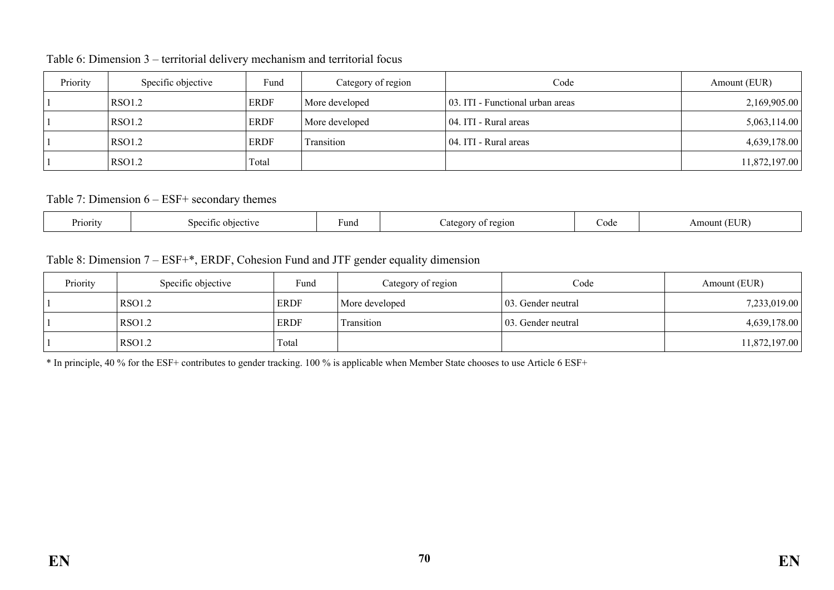| Priority | Specific objective | Fund        | Category of region | Code                             | Amount (EUR)  |
|----------|--------------------|-------------|--------------------|----------------------------------|---------------|
|          | RSO1.2             | <b>ERDF</b> | More developed     | 03. ITI - Functional urban areas | 2,169,905.00  |
|          | RSO1.2             | <b>ERDF</b> | More developed     | 04. ITI - Rural areas            | 5,063,114.00  |
|          | RSO1.2             | ERDF        | Transition         | 04. ITI - Rural areas            | 4,639,178.00  |
|          | RSO1.2             | Total       |                    |                                  | 11,872,197.00 |

Table 6: Dimension 3 – territorial delivery mechanism and territorial focus

Table 7: Dimension 6 – ESF+ secondary themes

| Priority<br>objective<br>Sneciti | --<br><sup>L</sup> una<br>region | Code | $\cdot$ TD $\cdot$<br>٦۱.<br>$\cdots$ |
|----------------------------------|----------------------------------|------|---------------------------------------|
|----------------------------------|----------------------------------|------|---------------------------------------|

## Table 8: Dimension 7 – ESF+\*, ERDF, Cohesion Fund and JTF gender equality dimension

| Priority | Specific objective | Fund        | Category of region | Code                | Amount (EUR)  |
|----------|--------------------|-------------|--------------------|---------------------|---------------|
|          | RSO1.2             | <b>ERDF</b> | More developed     | 103. Gender neutral | 7,233,019.00  |
|          | RSO1.2             | <b>ERDF</b> | Transition         | 103. Gender neutral | 4,639,178.00  |
|          | RSO1.2             | Total       |                    |                     | 11,872,197.00 |

\* In principle, 40 % for the ESF+ contributes to gender tracking. 100 % is applicable when Member State chooses to use Article 6 ESF+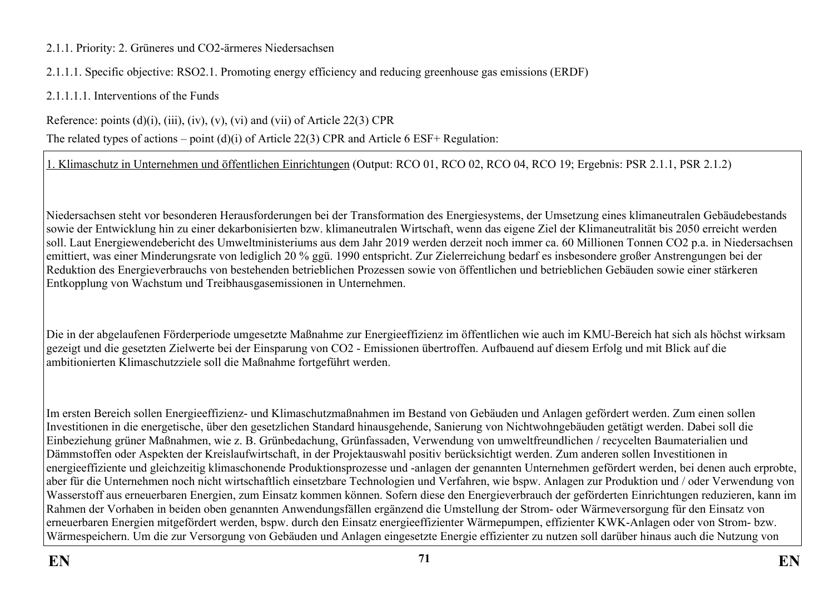### 2.1.1. Priority: 2. Grüneres und CO2-ärmeres Niedersachsen

2.1.1.1. Specific objective: RSO2.1. Promoting energy efficiency and reducing greenhouse gas emissions (ERDF)

2.1.1.1.1. Interventions of the Funds

Reference: points  $(d)(i)$ ,  $(iii)$ ,  $(iv)$ ,  $(v)$ ,  $(vi)$  and  $(vii)$  of Article 22(3) CPR

The related types of actions – point (d)(i) of Article 22(3) CPR and Article 6 ESF+ Regulation:

1. Klimaschutz in Unternehmen und öffentlichen Einrichtungen (Output: RCO 01, RCO 02, RCO 04, RCO 19; Ergebnis: PSR 2.1.1, PSR 2.1.2)

Niedersachsen steht vor besonderen Herausforderungen bei der Transformation des Energiesystems, der Umsetzung eines klimaneutralen Gebäudebestands sowie der Entwicklung hin zu einer dekarbonisierten bzw. klimaneutralen Wirtschaft, wenn das eigene Ziel der Klimaneutralität bis 2050 erreicht werden soll. Laut Energiewendebericht des Umweltministeriums aus dem Jahr 2019 werden derzeit noch immer ca. 60 Millionen Tonnen CO2 p.a. in Niedersachsen emittiert, was einer Minderungsrate von lediglich 20 % ggü. 1990 entspricht. Zur Zielerreichung bedarf es insbesondere großer Anstrengungen bei der Reduktion des Energieverbrauchs von bestehenden betrieblichen Prozessen sowie von öffentlichen und betrieblichen Gebäuden sowie einer stärkeren Entkopplung von Wachstum und Treibhausgasemissionen in Unternehmen.

Die in der abgelaufenen Förderperiode umgesetzte Maßnahme zur Energieeffizienz im öffentlichen wie auch im KMU-Bereich hat sich als höchst wirksam gezeigt und die gesetzten Zielwerte bei der Einsparung von CO2 - Emissionen übertroffen. Aufbauend auf diesem Erfolg und mit Blick auf die ambitionierten Klimaschutzziele soll die Maßnahme fortgeführt werden.

Im ersten Bereich sollen Energieeffizienz- und Klimaschutzmaßnahmen im Bestand von Gebäuden und Anlagen gefördert werden. Zum einen sollen Investitionen in die energetische, über den gesetzlichen Standard hinausgehende, Sanierung von Nichtwohngebäuden getätigt werden. Dabei soll die Einbeziehung grüner Maßnahmen, wie z. B. Grünbedachung, Grünfassaden, Verwendung von umweltfreundlichen / recycelten Baumaterialien und Dämmstoffen oder Aspekten der Kreislaufwirtschaft, in der Projektauswahl positiv berücksichtigt werden. Zum anderen sollen Investitionen in energieeffiziente und gleichzeitig klimaschonende Produktionsprozesse und -anlagen der genannten Unternehmen gefördert werden, bei denen auch erprobte, aber für die Unternehmen noch nicht wirtschaftlich einsetzbare Technologien und Verfahren, wie bspw. Anlagen zur Produktion und / oder Verwendung von Wasserstoff aus erneuerbaren Energien, zum Einsatz kommen können. Sofern diese den Energieverbrauch der geförderten Einrichtungen reduzieren, kann im Rahmen der Vorhaben in beiden oben genannten Anwendungsfällen ergänzend die Umstellung der Strom- oder Wärmeversorgung für den Einsatz von erneuerbaren Energien mitgefördert werden, bspw. durch den Einsatz energieeffizienter Wärmepumpen, effizienter KWK-Anlagen oder von Strom- bzw. Wärmespeichern. Um die zur Versorgung von Gebäuden und Anlagen eingesetzte Energie effizienter zu nutzen soll darüber hinaus auch die Nutzung von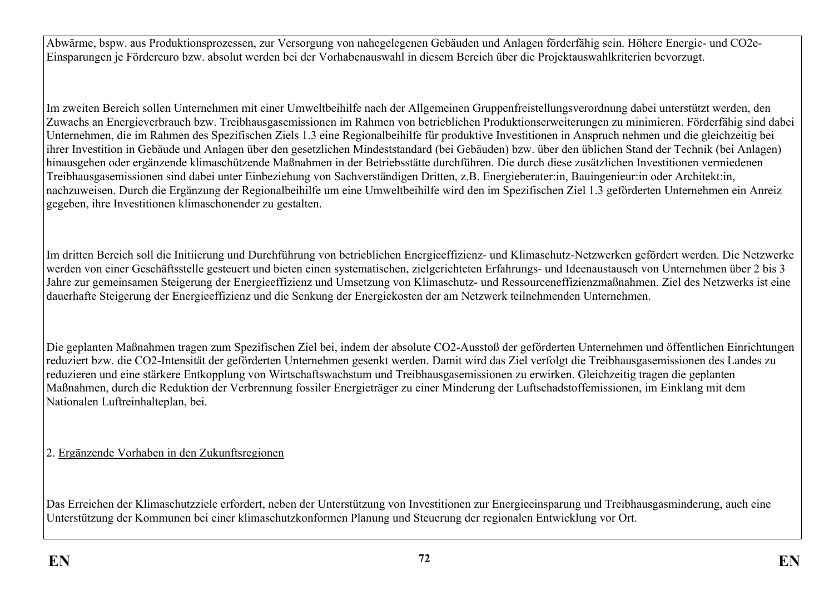Abwärme, bspw. aus Produktionsprozessen, zur Versorgung von nahegelegenen Gebäuden und Anlagen förderfähig sein. Höhere Energie- und CO2e-Einsparungen je Fördereuro bzw. absolut werden bei der Vorhabenauswahl in diesem Bereich über die Projektauswahlkriterien bevorzugt.

Im zweiten Bereich sollen Unternehmen mit einer Umweltbeihilfe nach der Allgemeinen Gruppenfreistellungsverordnung dabei unterstützt werden, den Zuwachs an Energieverbrauch bzw. Treibhausgasemissionen im Rahmen von betrieblichen Produktionserweiterungen zu minimieren. Förderfähig sind dabei Unternehmen, die im Rahmen des Spezifischen Ziels 1.3 eine Regionalbeihilfe für produktive Investitionen in Anspruch nehmen und die gleichzeitig bei ihrer Investition in Gebäude und Anlagen über den gesetzlichen Mindeststandard (bei Gebäuden) bzw. über den üblichen Stand der Technik (bei Anlagen) hinausgehen oder ergänzende klimaschützende Maßnahmen in der Betriebsstätte durchführen. Die durch diese zusätzlichen Investitionen vermiedenen Treibhausgasemissionen sind dabei unter Einbeziehung von Sachverständigen Dritten, z.B. Energieberater:in, Bauingenieur:in oder Architekt:in, nachzuweisen. Durch die Ergänzung der Regionalbeihilfe um eine Umweltbeihilfe wird den im Spezifischen Ziel 1.3 geförderten Unternehmen ein Anreiz gegeben, ihre Investitionen klimaschonender zu gestalten.

Im dritten Bereich soll die Initiierung und Durchführung von betrieblichen Energieeffizienz- und Klimaschutz-Netzwerken gefördert werden. Die Netzwerke werden von einer Geschäftsstelle gesteuert und bieten einen systematischen, zielgerichteten Erfahrungs- und Ideenaustausch von Unternehmen über 2 bis 3 Jahre zur gemeinsamen Steigerung der Energieeffizienz und Umsetzung von Klimaschutz- und Ressourceneffizienzmaßnahmen. Ziel des Netzwerks ist eine dauerhafte Steigerung der Energieeffizienz und die Senkung der Energiekosten der am Netzwerk teilnehmenden Unternehmen.

Die geplanten Maßnahmen tragen zum Spezifischen Ziel bei, indem der absolute CO2-Ausstoß der geförderten Unternehmen und öffentlichen Einrichtungen reduziert bzw. die CO2-Intensität der geförderten Unternehmen gesenkt werden. Damit wird das Ziel verfolgt die Treibhausgasemissionen des Landes zu reduzieren und eine stärkere Entkopplung von Wirtschaftswachstum und Treibhausgasemissionen zu erwirken. Gleichzeitig tragen die geplanten Maßnahmen, durch die Reduktion der Verbrennung fossiler Energieträger zu einer Minderung der Luftschadstoffemissionen, im Einklang mit dem Nationalen Luftreinhalteplan, bei.

2. Ergänzende Vorhaben in den Zukunftsregionen

Das Erreichen der Klimaschutzziele erfordert, neben der Unterstützung von Investitionen zur Energieeinsparung und Treibhausgasminderung, auch eine Unterstützung der Kommunen bei einer klimaschutzkonformen Planung und Steuerung der regionalen Entwicklung vor Ort.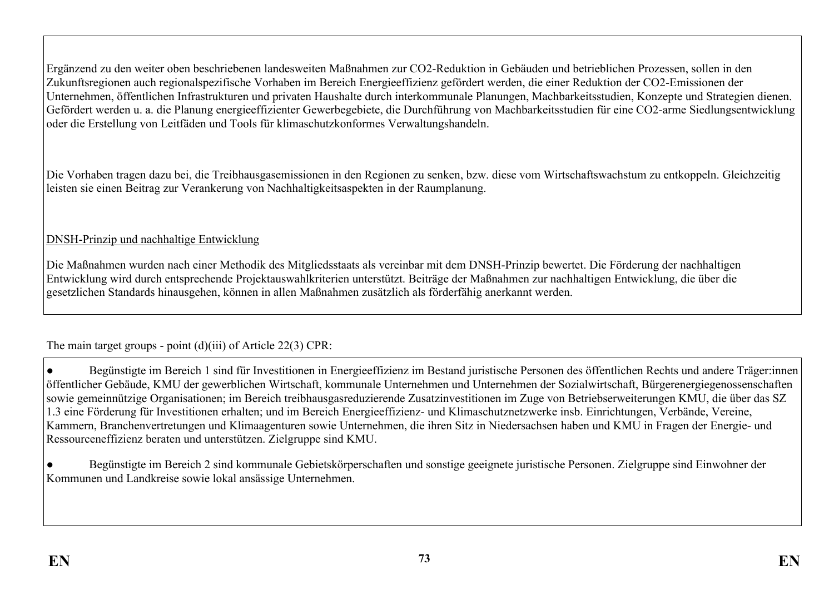Ergänzend zu den weiter oben beschriebenen landesweiten Maßnahmen zur CO2-Reduktion in Gebäuden und betrieblichen Prozessen, sollen in den Zukunftsregionen auch regionalspezifische Vorhaben im Bereich Energieeffizienz gefördert werden, die einer Reduktion der CO2-Emissionen der Unternehmen, öffentlichen Infrastrukturen und privaten Haushalte durch interkommunale Planungen, Machbarkeitsstudien, Konzepte und Strategien dienen. Gefördert werden u. a. die Planung energieeffizienter Gewerbegebiete, die Durchführung von Machbarkeitsstudien für eine CO2-arme Siedlungsentwicklung oder die Erstellung von Leitfäden und Tools für klimaschutzkonformes Verwaltungshandeln.

Die Vorhaben tragen dazu bei, die Treibhausgasemissionen in den Regionen zu senken, bzw. diese vom Wirtschaftswachstum zu entkoppeln. Gleichzeitig leisten sie einen Beitrag zur Verankerung von Nachhaltigkeitsaspekten in der Raumplanung.

## DNSH-Prinzip und nachhaltige Entwicklung

Die Maßnahmen wurden nach einer Methodik des Mitgliedsstaats als vereinbar mit dem DNSH-Prinzip bewertet. Die Förderung der nachhaltigen Entwicklung wird durch entsprechende Projektauswahlkriterien unterstützt. Beiträge der Maßnahmen zur nachhaltigen Entwicklung, die über die gesetzlichen Standards hinausgehen, können in allen Maßnahmen zusätzlich als förderfähig anerkannt werden.

# The main target groups - point (d)(iii) of Article 22(3) CPR:

● Begünstigte im Bereich 1 sind für Investitionen in Energieeffizienz im Bestand juristische Personen des öffentlichen Rechts und andere Träger:innen öffentlicher Gebäude, KMU der gewerblichen Wirtschaft, kommunale Unternehmen und Unternehmen der Sozialwirtschaft, Bürgerenergiegenossenschaften sowie gemeinnützige Organisationen; im Bereich treibhausgasreduzierende Zusatzinvestitionen im Zuge von Betriebserweiterungen KMU, die über das SZ 1.3 eine Förderung für Investitionen erhalten; und im Bereich Energieeffizienz- und Klimaschutznetzwerke insb. Einrichtungen, Verbände, Vereine, Kammern, Branchenvertretungen und Klimaagenturen sowie Unternehmen, die ihren Sitz in Niedersachsen haben und KMU in Fragen der Energie- und Ressourceneffizienz beraten und unterstützen. Zielgruppe sind KMU.

● Begünstigte im Bereich 2 sind kommunale Gebietskörperschaften und sonstige geeignete juristische Personen. Zielgruppe sind Einwohner der Kommunen und Landkreise sowie lokal ansässige Unternehmen.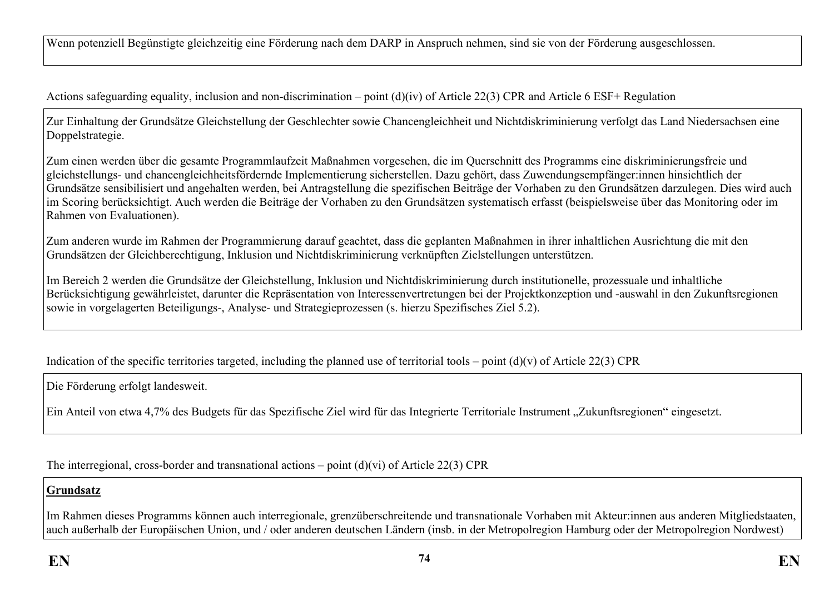Wenn potenziell Begünstigte gleichzeitig eine Förderung nach dem DARP in Anspruch nehmen, sind sie von der Förderung ausgeschlossen.

Actions safeguarding equality, inclusion and non-discrimination – point (d)(iv) of Article 22(3) CPR and Article 6 ESF+ Regulation

Zur Einhaltung der Grundsätze Gleichstellung der Geschlechter sowie Chancengleichheit und Nichtdiskriminierung verfolgt das Land Niedersachsen eine Doppelstrategie.

Zum einen werden über die gesamte Programmlaufzeit Maßnahmen vorgesehen, die im Querschnitt des Programms eine diskriminierungsfreie und gleichstellungs- und chancengleichheitsfördernde Implementierung sicherstellen. Dazu gehört, dass Zuwendungsempfänger:innen hinsichtlich der Grundsätze sensibilisiert und angehalten werden, bei Antragstellung die spezifischen Beiträge der Vorhaben zu den Grundsätzen darzulegen. Dies wird auch im Scoring berücksichtigt. Auch werden die Beiträge der Vorhaben zu den Grundsätzen systematisch erfasst (beispielsweise über das Monitoring oder im Rahmen von Evaluationen).

Zum anderen wurde im Rahmen der Programmierung darauf geachtet, dass die geplanten Maßnahmen in ihrer inhaltlichen Ausrichtung die mit den Grundsätzen der Gleichberechtigung, Inklusion und Nichtdiskriminierung verknüpften Zielstellungen unterstützen.

Im Bereich 2 werden die Grundsätze der Gleichstellung, Inklusion und Nichtdiskriminierung durch institutionelle, prozessuale und inhaltliche Berücksichtigung gewährleistet, darunter die Repräsentation von Interessenvertretungen bei der Projektkonzeption und -auswahl in den Zukunftsregionen sowie in vorgelagerten Beteiligungs-, Analyse- und Strategieprozessen (s. hierzu Spezifisches Ziel 5.2).

Indication of the specific territories targeted, including the planned use of territorial tools – point  $(d)(v)$  of Article 22(3) CPR

Die Förderung erfolgt landesweit.

Ein Anteil von etwa 4,7% des Budgets für das Spezifische Ziel wird für das Integrierte Territoriale Instrument "Zukunftsregionen" eingesetzt.

The interregional, cross-border and transnational actions – point (d)(vi) of Article 22(3) CPR

#### **Grundsatz**

Im Rahmen dieses Programms können auch interregionale, grenzüberschreitende und transnationale Vorhaben mit Akteur:innen aus anderen Mitgliedstaaten, auch außerhalb der Europäischen Union, und / oder anderen deutschen Ländern (insb. in der Metropolregion Hamburg oder der Metropolregion Nordwest)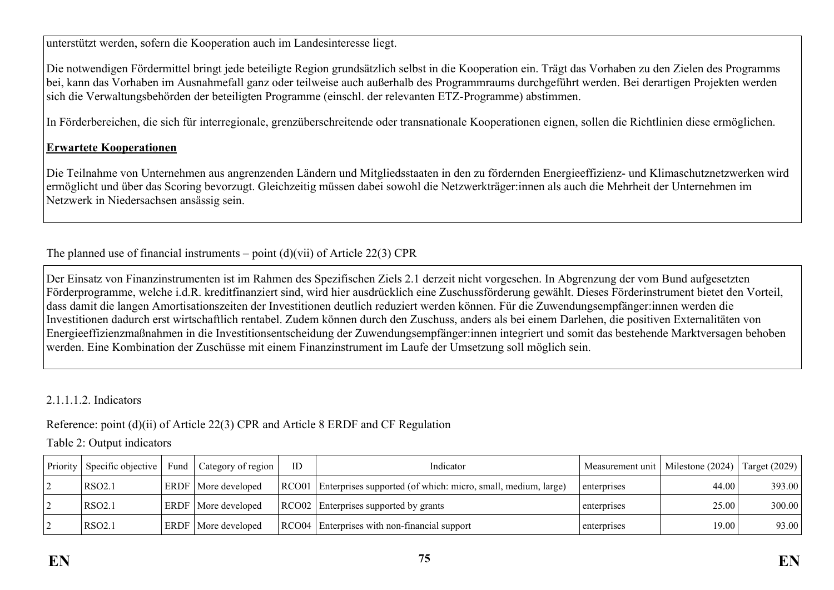unterstützt werden, sofern die Kooperation auch im Landesinteresse liegt.

Die notwendigen Fördermittel bringt jede beteiligte Region grundsätzlich selbst in die Kooperation ein. Trägt das Vorhaben zu den Zielen des Programms bei, kann das Vorhaben im Ausnahmefall ganz oder teilweise auch außerhalb des Programmraums durchgeführt werden. Bei derartigen Projekten werden sich die Verwaltungsbehörden der beteiligten Programme (einschl. der relevanten ETZ-Programme) abstimmen.

In Förderbereichen, die sich für interregionale, grenzüberschreitende oder transnationale Kooperationen eignen, sollen die Richtlinien diese ermöglichen.

#### **Erwartete Kooperationen**

Die Teilnahme von Unternehmen aus angrenzenden Ländern und Mitgliedsstaaten in den zu fördernden Energieeffizienz- und Klimaschutznetzwerken wird ermöglicht und über das Scoring bevorzugt. Gleichzeitig müssen dabei sowohl die Netzwerkträger:innen als auch die Mehrheit der Unternehmen im Netzwerk in Niedersachsen ansässig sein.

The planned use of financial instruments – point  $(d)(vii)$  of Article 22(3) CPR

Der Einsatz von Finanzinstrumenten ist im Rahmen des Spezifischen Ziels 2.1 derzeit nicht vorgesehen. In Abgrenzung der vom Bund aufgesetzten Förderprogramme, welche i.d.R. kreditfinanziert sind, wird hier ausdrücklich eine Zuschussförderung gewählt. Dieses Förderinstrument bietet den Vorteil, dass damit die langen Amortisationszeiten der Investitionen deutlich reduziert werden können. Für die Zuwendungsempfänger:innen werden die Investitionen dadurch erst wirtschaftlich rentabel. Zudem können durch den Zuschuss, anders als bei einem Darlehen, die positiven Externalitäten von Energieeffizienzmaßnahmen in die Investitionsentscheidung der Zuwendungsempfänger:innen integriert und somit das bestehende Marktversagen behoben werden. Eine Kombination der Zuschüsse mit einem Finanzinstrument im Laufe der Umsetzung soll möglich sein.

2.1.1.1.2. Indicators

Reference: point (d)(ii) of Article 22(3) CPR and Article 8 ERDF and CF Regulation

Table 2: Output indicators

| Priority | Specific objective | Fund | Category of region         | ID | Indicator                                                             | Measurement unit   Milestone (2024) |       | Target (2029) |
|----------|--------------------|------|----------------------------|----|-----------------------------------------------------------------------|-------------------------------------|-------|---------------|
|          | RSO2.1             |      | <b>ERDF</b> More developed |    | RCO01   Enterprises supported (of which: micro, small, medium, large) | enterprises                         | 44.00 | 393.00        |
|          | <b>RSO2.1</b>      |      | <b>ERDF</b> More developed |    | RCO02 Enterprises supported by grants                                 | enterprises                         | 25.00 | 300.00        |
|          | <b>RSO2.1</b>      |      | <b>ERDF</b> More developed |    | RCO04 Enterprises with non-financial support                          | enterprises                         | 19.00 | 93.00         |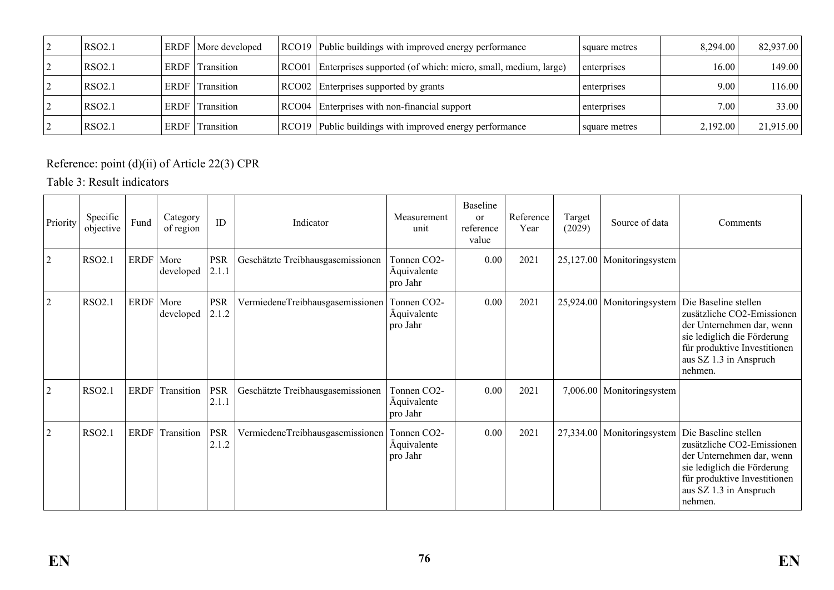| RSO2.1             |      | ERDF   More developed | RCO19 Public buildings with improved energy performance             | square metres | 8.294.00 | 82,937.00 |
|--------------------|------|-----------------------|---------------------------------------------------------------------|---------------|----------|-----------|
| RSO <sub>2.1</sub> | ERDF | Transition            | RCO01 Enterprises supported (of which: micro, small, medium, large) | enterprises   | 16.00    | 149.00    |
| RSO <sub>2.1</sub> | ERDF | Transition            | RCO02 Enterprises supported by grants                               | enterprises   | 9.00     | 116.00    |
| <b>RSO2.1</b>      | ERDF | Transition            | RCO04 Enterprises with non-financial support                        | enterprises   | 7.00     | 33.00     |
| RSO <sub>2.1</sub> | ERDF | Transition            | RCO19 Public buildings with improved energy performance             | square metres | 2,192.00 | 21,915.00 |

Reference: point (d)(ii) of Article 22(3) CPR

Table 3: Result indicators

| Priority       | Specific<br>objective | Fund        | Category<br>of region | ID                  | Indicator                         | Measurement<br>unit                                 | Baseline<br>$\alpha$<br>reference<br>value | Reference<br>Year | Target<br>(2029) | Source of data   | Comments                                                                                                                                                                            |
|----------------|-----------------------|-------------|-----------------------|---------------------|-----------------------------------|-----------------------------------------------------|--------------------------------------------|-------------------|------------------|------------------|-------------------------------------------------------------------------------------------------------------------------------------------------------------------------------------|
| $\overline{2}$ | RSO2.1                | ERDF        | More<br>developed     | <b>PSR</b><br>2.1.1 | Geschätzte Treibhausgasemissionen | Tonnen CO2-<br>Äquivalente<br>pro Jahr              | 0.00                                       | 2021              | 25,127.00        | Monitoringsystem |                                                                                                                                                                                     |
| $\overline{2}$ | RSO2.1                | <b>ERDF</b> | More<br>developed     | <b>PSR</b><br>2.1.2 | VermiedeneTreibhausgasemissionen  | Tonnen CO2-<br>Äquivalente<br>pro Jahr              | 0.00                                       | 2021              | 25,924.00        | Monitoringsystem | Die Baseline stellen<br>zusätzliche CO2-Emissionen<br>der Unternehmen dar, wenn<br>sie lediglich die Förderung<br>für produktive Investitionen<br>aus SZ 1.3 in Anspruch<br>nehmen. |
| $\overline{2}$ | RSO2.1                | <b>ERDF</b> | Transition            | <b>PSR</b><br>2.1.1 | Geschätzte Treibhausgasemissionen | Tonnen CO <sub>2</sub> -<br>Äquivalente<br>pro Jahr | 0.00                                       | 2021              | 7,006.00         | Monitoringsystem |                                                                                                                                                                                     |
| $\overline{2}$ | RSO2.1                | <b>ERDF</b> | Transition            | <b>PSR</b><br>2.1.2 | VermiedeneTreibhausgasemissionen  | Tonnen CO2-<br>Äquivalente<br>pro Jahr              | 0.00                                       | 2021              | 27,334.00        | Monitoringsystem | Die Baseline stellen<br>zusätzliche CO2-Emissionen<br>der Unternehmen dar, wenn<br>sie lediglich die Förderung<br>für produktive Investitionen<br>aus SZ 1.3 in Anspruch<br>nehmen. |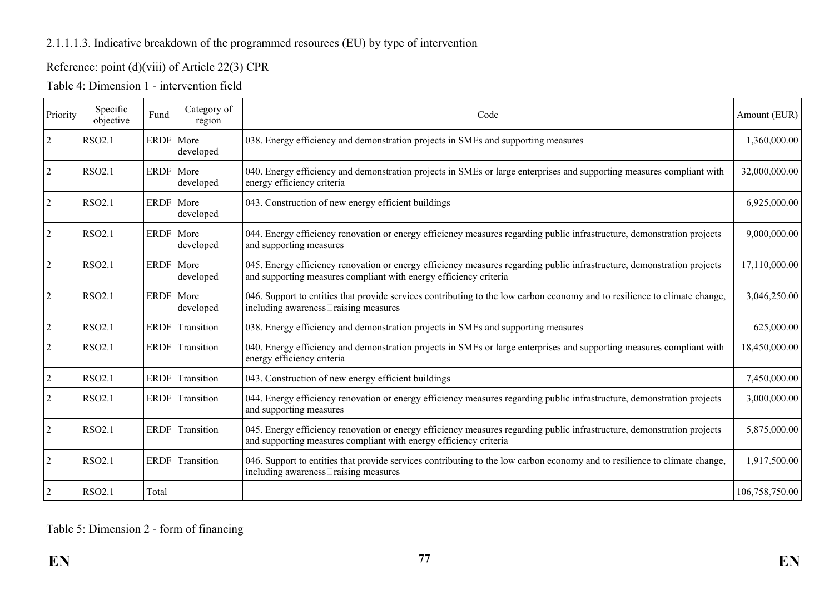## 2.1.1.1.3. Indicative breakdown of the programmed resources (EU) by type of intervention

# Reference: point (d)(viii) of Article 22(3) CPR

| Priority       | Specific<br>objective | Fund  | Category of<br>region    | Code                                                                                                                                                                                         | Amount (EUR)   |
|----------------|-----------------------|-------|--------------------------|----------------------------------------------------------------------------------------------------------------------------------------------------------------------------------------------|----------------|
| $\overline{2}$ | <b>RSO2.1</b>         |       | ERDF   More<br>developed | 038. Energy efficiency and demonstration projects in SMEs and supporting measures                                                                                                            | 1,360,000.00   |
| $\overline{2}$ | <b>RSO2.1</b>         |       | ERDF   More<br>developed | 040. Energy efficiency and demonstration projects in SMEs or large enterprises and supporting measures compliant with<br>energy efficiency criteria                                          | 32,000,000.00  |
| $\overline{2}$ | <b>RSO2.1</b>         |       | ERDF   More<br>developed | 043. Construction of new energy efficient buildings                                                                                                                                          | 6,925,000.00   |
| $\vert$ 2      | <b>RSO2.1</b>         |       | ERDF More<br>developed   | 044. Energy efficiency renovation or energy efficiency measures regarding public infrastructure, demonstration projects<br>and supporting measures                                           | 9,000,000.00   |
| $\overline{2}$ | <b>RSO2.1</b>         |       | ERDF   More<br>developed | 045. Energy efficiency renovation or energy efficiency measures regarding public infrastructure, demonstration projects<br>and supporting measures compliant with energy efficiency criteria | 17,110,000.00  |
| $\overline{2}$ | <b>RSO2.1</b>         |       | ERDF   More<br>developed | 046. Support to entities that provide services contributing to the low carbon economy and to resilience to climate change,<br>including awareness <sup>[1]</sup> raising measures            | 3,046,250.00   |
| $\overline{2}$ | <b>RSO2.1</b>         | ERDF  | Transition               | 038. Energy efficiency and demonstration projects in SMEs and supporting measures                                                                                                            | 625,000.00     |
| $\overline{2}$ | <b>RSO2.1</b>         |       | ERDF Transition          | 040. Energy efficiency and demonstration projects in SMEs or large enterprises and supporting measures compliant with<br>energy efficiency criteria                                          | 18,450,000.00  |
| $\overline{2}$ | <b>RSO2.1</b>         | ERDF  | Transition               | 043. Construction of new energy efficient buildings                                                                                                                                          | 7,450,000.00   |
| $\overline{2}$ | <b>RSO2.1</b>         |       | ERDF Transition          | 044. Energy efficiency renovation or energy efficiency measures regarding public infrastructure, demonstration projects<br>and supporting measures                                           | 3,000,000.00   |
| $\overline{2}$ | <b>RSO2.1</b>         |       | ERDF Transition          | 045. Energy efficiency renovation or energy efficiency measures regarding public infrastructure, demonstration projects<br>and supporting measures compliant with energy efficiency criteria | 5,875,000.00   |
| $\overline{2}$ | <b>RSO2.1</b>         | ERDF  | Transition               | 046. Support to entities that provide services contributing to the low carbon economy and to resilience to climate change,<br>including awareness <sup>[1]</sup> raising measures            | 1,917,500.00   |
| $\overline{2}$ | <b>RSO2.1</b>         | Total |                          |                                                                                                                                                                                              | 106,758,750.00 |

# Table 5: Dimension 2 - form of financing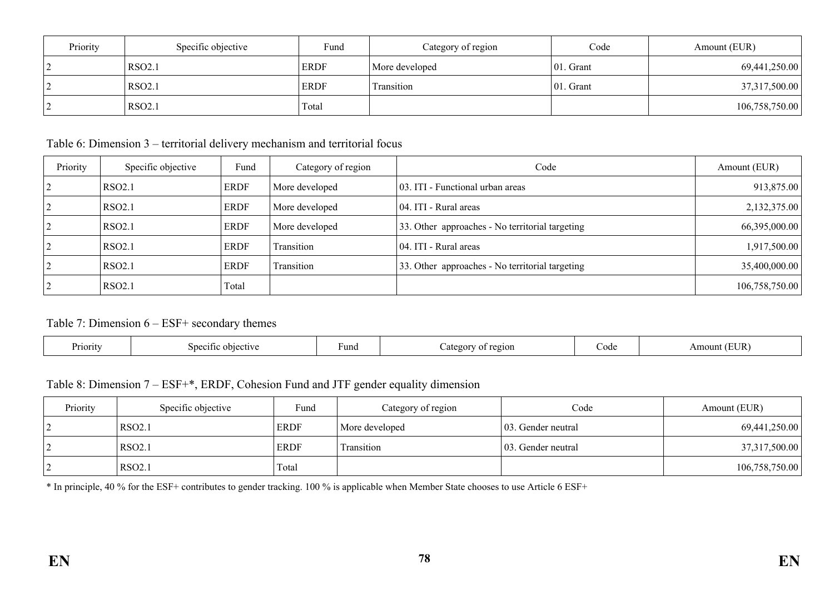| Priority | Specific objective | Fund        | Category of region | Code      | Amount (EUR)   |
|----------|--------------------|-------------|--------------------|-----------|----------------|
|          | <b>RSO2.1</b>      | <b>ERDF</b> | More developed     | 01. Grant | 69,441,250.00  |
|          | <b>RSO2.1</b>      | <b>ERDF</b> | <b>Transition</b>  | 01. Grant | 37,317,500.00  |
|          | <b>RSO2.1</b>      | Total       |                    |           | 106,758,750.00 |

Table 6: Dimension 3 – territorial delivery mechanism and territorial focus

| Priority | Specific objective | Fund        | Category of region | Code                                            | Amount (EUR)   |
|----------|--------------------|-------------|--------------------|-------------------------------------------------|----------------|
|          | <b>RSO2.1</b>      | <b>ERDF</b> | More developed     | 03. ITI - Functional urban areas                | 913,875.00     |
|          | <b>RSO2.1</b>      | <b>ERDF</b> | More developed     | 04. ITI - Rural areas                           | 2,132,375.00   |
|          | <b>RSO2.1</b>      | <b>ERDF</b> | More developed     | 33. Other approaches - No territorial targeting | 66,395,000.00  |
|          | <b>RSO2.1</b>      | <b>ERDF</b> | Transition         | 04. ITI - Rural areas                           | 1,917,500.00   |
|          | <b>RSO2.1</b>      | <b>ERDF</b> | Transition         | 33. Other approaches - No territorial targeting | 35,400,000.00  |
|          | <b>RSO2.1</b>      | Total       |                    |                                                 | 106,758,750.00 |

## Table 7: Dimension 6 – ESF+ secondary themes

| –<br>Priority<br>objective<br>Specific | <b>Fund</b> | region<br>ategor | .ode | EUR<br>Am<br>ount |
|----------------------------------------|-------------|------------------|------|-------------------|
|----------------------------------------|-------------|------------------|------|-------------------|

Table 8: Dimension 7 – ESF+\*, ERDF, Cohesion Fund and JTF gender equality dimension

| Priority | Specific objective | Fund        | Category of region | Code                | Amount (EUR)   |
|----------|--------------------|-------------|--------------------|---------------------|----------------|
| ∠        | RSO <sub>2.1</sub> | <b>ERDF</b> | More developed     | 103. Gender neutral | 69,441,250.00  |
| ∠        | <b>RSO2.1</b>      | ERDF        | Transition         | 103. Gender neutral | 37,317,500.00  |
| ∠        | RSO <sub>2.1</sub> | Total       |                    |                     | 106,758,750.00 |

\* In principle, 40 % for the ESF+ contributes to gender tracking. 100 % is applicable when Member State chooses to use Article 6 ESF+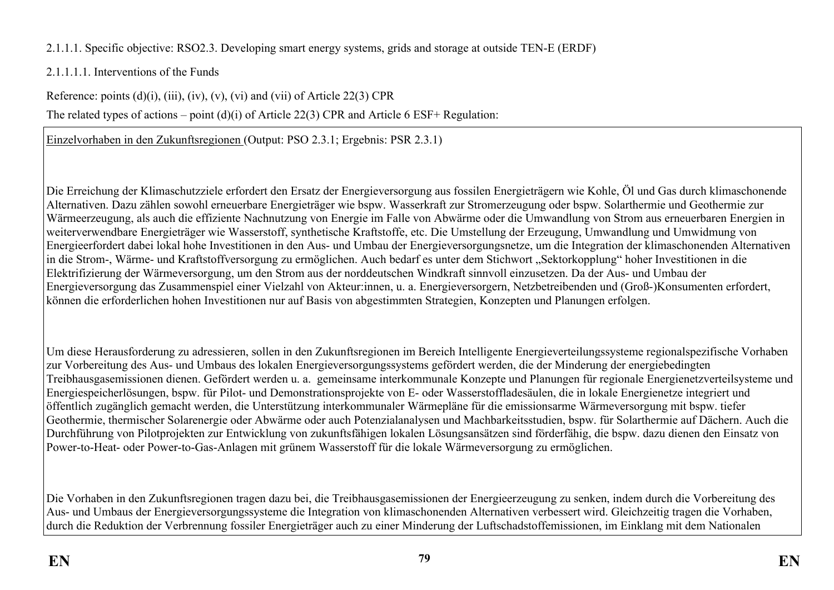# 2.1.1.1. Specific objective: RSO2.3. Developing smart energy systems, grids and storage at outside TEN-E (ERDF)

# 2.1.1.1.1. Interventions of the Funds

Reference: points  $(d)(i)$ ,  $(iii)$ ,  $(iv)$ ,  $(v)$ ,  $(vi)$  and  $(vii)$  of Article 22(3) CPR

The related types of actions – point (d)(i) of Article 22(3) CPR and Article 6 ESF+ Regulation:

Einzelvorhaben in den Zukunftsregionen (Output: PSO 2.3.1; Ergebnis: PSR 2.3.1)

Die Erreichung der Klimaschutzziele erfordert den Ersatz der Energieversorgung aus fossilen Energieträgern wie Kohle, Öl und Gas durch klimaschonende Alternativen. Dazu zählen sowohl erneuerbare Energieträger wie bspw. Wasserkraft zur Stromerzeugung oder bspw. Solarthermie und Geothermie zur Wärmeerzeugung, als auch die effiziente Nachnutzung von Energie im Falle von Abwärme oder die Umwandlung von Strom aus erneuerbaren Energien in weiterverwendbare Energieträger wie Wasserstoff, synthetische Kraftstoffe, etc. Die Umstellung der Erzeugung, Umwandlung und Umwidmung von Energieerfordert dabei lokal hohe Investitionen in den Aus- und Umbau der Energieversorgungsnetze, um die Integration der klimaschonenden Alternativen in die Strom-, Wärme- und Kraftstoffversorgung zu ermöglichen. Auch bedarf es unter dem Stichwort "Sektorkopplung" hoher Investitionen in die Elektrifizierung der Wärmeversorgung, um den Strom aus der norddeutschen Windkraft sinnvoll einzusetzen. Da der Aus- und Umbau der Energieversorgung das Zusammenspiel einer Vielzahl von Akteur:innen, u. a. Energieversorgern, Netzbetreibenden und (Groß-)Konsumenten erfordert, können die erforderlichen hohen Investitionen nur auf Basis von abgestimmten Strategien, Konzepten und Planungen erfolgen.

Um diese Herausforderung zu adressieren, sollen in den Zukunftsregionen im Bereich Intelligente Energieverteilungssysteme regionalspezifische Vorhaben zur Vorbereitung des Aus- und Umbaus des lokalen Energieversorgungssystems gefördert werden, die der Minderung der energiebedingten Treibhausgasemissionen dienen. Gefördert werden u. a. gemeinsame interkommunale Konzepte und Planungen für regionale Energienetzverteilsysteme und Energiespeicherlösungen, bspw. für Pilot- und Demonstrationsprojekte von E- oder Wasserstoffladesäulen, die in lokale Energienetze integriert und öffentlich zugänglich gemacht werden, die Unterstützung interkommunaler Wärmepläne für die emissionsarme Wärmeversorgung mit bspw. tiefer Geothermie, thermischer Solarenergie oder Abwärme oder auch Potenzialanalysen und Machbarkeitsstudien, bspw. für Solarthermie auf Dächern. Auch die Durchführung von Pilotprojekten zur Entwicklung von zukunftsfähigen lokalen Lösungsansätzen sind förderfähig, die bspw. dazu dienen den Einsatz von Power-to-Heat- oder Power-to-Gas-Anlagen mit grünem Wasserstoff für die lokale Wärmeversorgung zu ermöglichen.

Die Vorhaben in den Zukunftsregionen tragen dazu bei, die Treibhausgasemissionen der Energieerzeugung zu senken, indem durch die Vorbereitung des Aus- und Umbaus der Energieversorgungssysteme die Integration von klimaschonenden Alternativen verbessert wird. Gleichzeitig tragen die Vorhaben, durch die Reduktion der Verbrennung fossiler Energieträger auch zu einer Minderung der Luftschadstoffemissionen, im Einklang mit dem Nationalen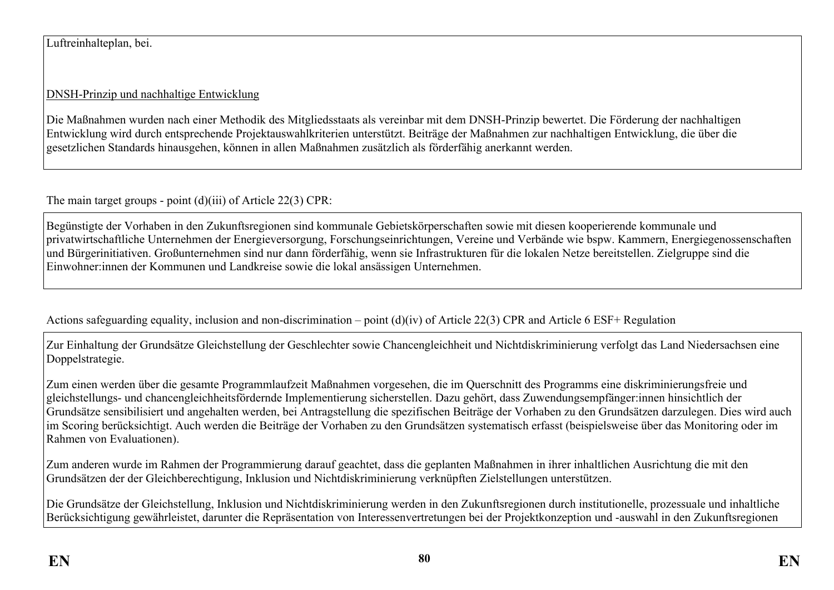## Luftreinhalteplan, bei.

# DNSH-Prinzip und nachhaltige Entwicklung

Die Maßnahmen wurden nach einer Methodik des Mitgliedsstaats als vereinbar mit dem DNSH-Prinzip bewertet. Die Förderung der nachhaltigen Entwicklung wird durch entsprechende Projektauswahlkriterien unterstützt. Beiträge der Maßnahmen zur nachhaltigen Entwicklung, die über die gesetzlichen Standards hinausgehen, können in allen Maßnahmen zusätzlich als förderfähig anerkannt werden.

The main target groups - point (d)(iii) of Article 22(3) CPR:

Begünstigte der Vorhaben in den Zukunftsregionen sind kommunale Gebietskörperschaften sowie mit diesen kooperierende kommunale und privatwirtschaftliche Unternehmen der Energieversorgung, Forschungseinrichtungen, Vereine und Verbände wie bspw. Kammern, Energiegenossenschaften und Bürgerinitiativen. Großunternehmen sind nur dann förderfähig, wenn sie Infrastrukturen für die lokalen Netze bereitstellen. Zielgruppe sind die Einwohner:innen der Kommunen und Landkreise sowie die lokal ansässigen Unternehmen.

Actions safeguarding equality, inclusion and non-discrimination – point (d)(iv) of Article 22(3) CPR and Article 6 ESF+ Regulation

Zur Einhaltung der Grundsätze Gleichstellung der Geschlechter sowie Chancengleichheit und Nichtdiskriminierung verfolgt das Land Niedersachsen eine Doppelstrategie.

Zum einen werden über die gesamte Programmlaufzeit Maßnahmen vorgesehen, die im Querschnitt des Programms eine diskriminierungsfreie und gleichstellungs- und chancengleichheitsfördernde Implementierung sicherstellen. Dazu gehört, dass Zuwendungsempfänger:innen hinsichtlich der Grundsätze sensibilisiert und angehalten werden, bei Antragstellung die spezifischen Beiträge der Vorhaben zu den Grundsätzen darzulegen. Dies wird auch im Scoring berücksichtigt. Auch werden die Beiträge der Vorhaben zu den Grundsätzen systematisch erfasst (beispielsweise über das Monitoring oder im Rahmen von Evaluationen).

Zum anderen wurde im Rahmen der Programmierung darauf geachtet, dass die geplanten Maßnahmen in ihrer inhaltlichen Ausrichtung die mit den Grundsätzen der der Gleichberechtigung, Inklusion und Nichtdiskriminierung verknüpften Zielstellungen unterstützen.

Die Grundsätze der Gleichstellung, Inklusion und Nichtdiskriminierung werden in den Zukunftsregionen durch institutionelle, prozessuale und inhaltliche Berücksichtigung gewährleistet, darunter die Repräsentation von Interessenvertretungen bei der Projektkonzeption und -auswahl in den Zukunftsregionen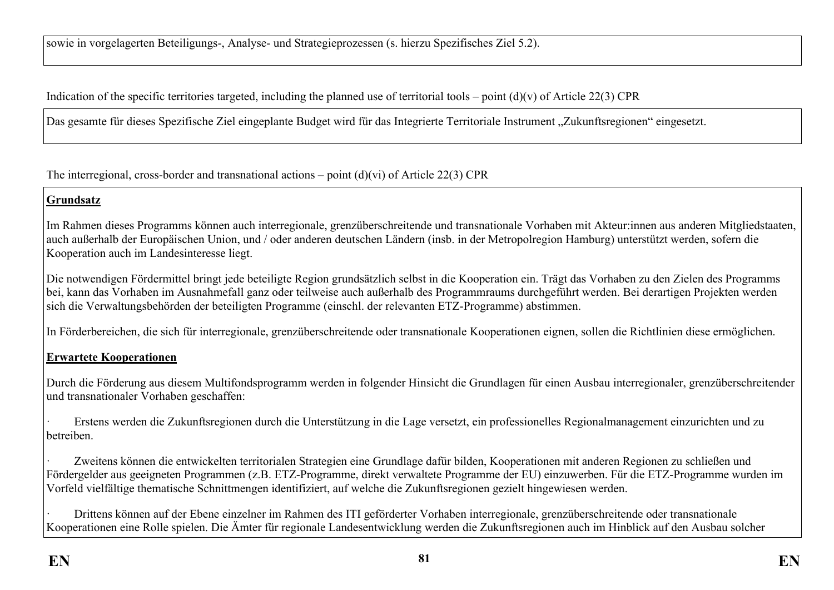Indication of the specific territories targeted, including the planned use of territorial tools – point  $(d)(v)$  of Article 22(3) CPR

Das gesamte für dieses Spezifische Ziel eingeplante Budget wird für das Integrierte Territoriale Instrument "Zukunftsregionen" eingesetzt.

The interregional, cross-border and transnational actions – point  $(d)(vi)$  of Article 22(3) CPR

## **Grundsatz**

Im Rahmen dieses Programms können auch interregionale, grenzüberschreitende und transnationale Vorhaben mit Akteur:innen aus anderen Mitgliedstaaten, auch außerhalb der Europäischen Union, und / oder anderen deutschen Ländern (insb. in der Metropolregion Hamburg) unterstützt werden, sofern die Kooperation auch im Landesinteresse liegt.

Die notwendigen Fördermittel bringt jede beteiligte Region grundsätzlich selbst in die Kooperation ein. Trägt das Vorhaben zu den Zielen des Programms bei, kann das Vorhaben im Ausnahmefall ganz oder teilweise auch außerhalb des Programmraums durchgeführt werden. Bei derartigen Projekten werden sich die Verwaltungsbehörden der beteiligten Programme (einschl. der relevanten ETZ-Programme) abstimmen.

In Förderbereichen, die sich für interregionale, grenzüberschreitende oder transnationale Kooperationen eignen, sollen die Richtlinien diese ermöglichen.

## **Erwartete Kooperationen**

Durch die Förderung aus diesem Multifondsprogramm werden in folgender Hinsicht die Grundlagen für einen Ausbau interregionaler, grenzüberschreitender und transnationaler Vorhaben geschaffen:

· Erstens werden die Zukunftsregionen durch die Unterstützung in die Lage versetzt, ein professionelles Regionalmanagement einzurichten und zu betreiben.

Zweitens können die entwickelten territorialen Strategien eine Grundlage dafür bilden, Kooperationen mit anderen Regionen zu schließen und Fördergelder aus geeigneten Programmen (z.B. ETZ-Programme, direkt verwaltete Programme der EU) einzuwerben. Für die ETZ-Programme wurden im Vorfeld vielfältige thematische Schnittmengen identifiziert, auf welche die Zukunftsregionen gezielt hingewiesen werden.

· Drittens können auf der Ebene einzelner im Rahmen des ITI geförderter Vorhaben interregionale, grenzüberschreitende oder transnationale Kooperationen eine Rolle spielen. Die Ämter für regionale Landesentwicklung werden die Zukunftsregionen auch im Hinblick auf den Ausbau solcher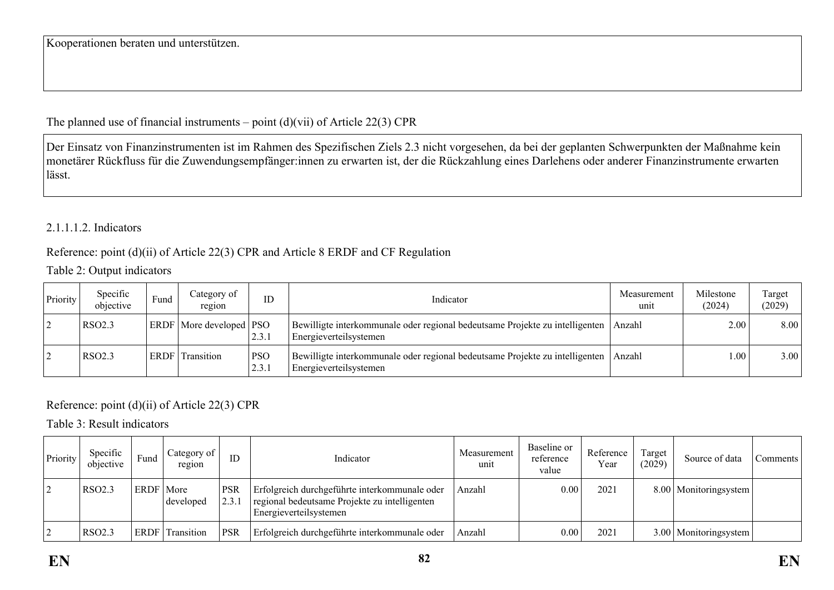The planned use of financial instruments – point  $(d)(\n{\rm vii})$  of Article 22(3) CPR

Der Einsatz von Finanzinstrumenten ist im Rahmen des Spezifischen Ziels 2.3 nicht vorgesehen, da bei der geplanten Schwerpunkten der Maßnahme kein monetärer Rückfluss für die Zuwendungsempfänger:innen zu erwarten ist, der die Rückzahlung eines Darlehens oder anderer Finanzinstrumente erwarten lässt.

## 2.1.1.1.2. Indicators

#### Reference: point (d)(ii) of Article 22(3) CPR and Article 8 ERDF and CF Regulation

#### Table 2: Output indicators

| Priority | Specific<br>objective | Fund | Category of<br>region              | ID                  | Indicator                                                                                              | Measurement<br>unit | Milestone<br>(2024) | Target<br>(2029) |
|----------|-----------------------|------|------------------------------------|---------------------|--------------------------------------------------------------------------------------------------------|---------------------|---------------------|------------------|
|          | RSO2.3                |      | <b>ERDF</b>   More developed   PSO | 2.3.1               | Bewilligte interkommunale oder regional bedeutsame Projekte zu intelligenten<br>Energieverteilsystemen | Anzahl              | 2.00                | 8.00             |
|          | RSO2.3                | ERDF | Transition                         | <b>PSO</b><br>2.3.1 | Bewilligte interkommunale oder regional bedeutsame Projekte zu intelligenten<br>Energieverteilsystemen | Anzahl              | 0.00                | 3.00             |

## Reference: point (d)(ii) of Article 22(3) CPR

Table 3: Result indicators

| Priority | Specific<br>objective | Fund        | Category of<br>region | ID                  | Indicator                                                                                                                | Measurement<br>unit | Baseline or<br>reference<br>value | Reference<br>Year | Target<br>(2029) | Source of data          | Comments |
|----------|-----------------------|-------------|-----------------------|---------------------|--------------------------------------------------------------------------------------------------------------------------|---------------------|-----------------------------------|-------------------|------------------|-------------------------|----------|
|          | <b>RSO2.3</b>         | ERDF   More | developed             | <b>PSR</b><br>2.3.1 | Erfolgreich durchgeführte interkommunale oder<br>regional bedeutsame Projekte zu intelligenten<br>Energieverteilsystemen | Anzahl              | 0.00                              | 2021              |                  | 8.00   Monitoringsystem |          |
|          | <b>RSO2.3</b>         | <b>ERDF</b> | Transition            | <b>PSR</b>          | Erfolgreich durchgeführte interkommunale oder                                                                            | Anzahl              | 0.00                              | 2021              |                  | 3.00   Monitoringsystem |          |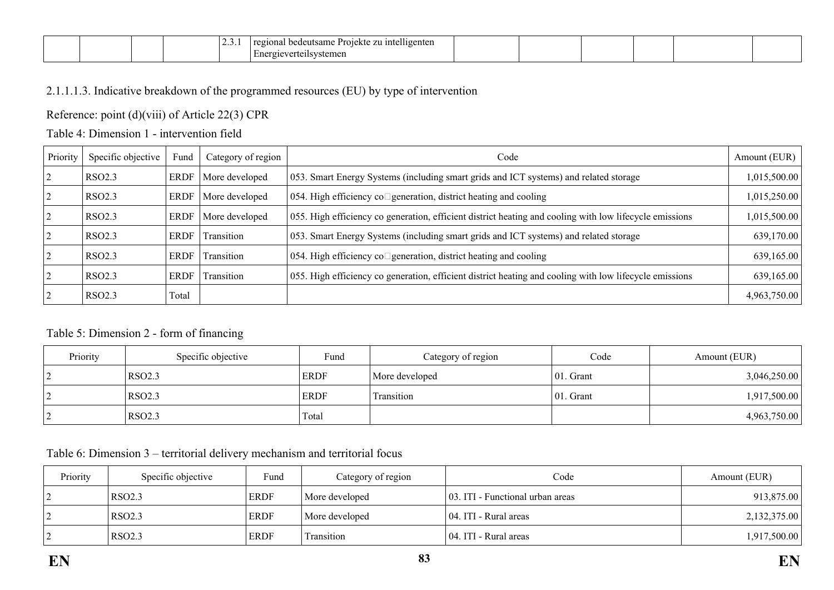| . د . ب | $\cdots$<br>Projektu<br>zu intelligenten<br>ueutsam<br>regional<br>$h^{\alpha}$<br>こしする<br>- 17 J J<br>teilsystemen |  |  |  |  |  |  |
|---------|---------------------------------------------------------------------------------------------------------------------|--|--|--|--|--|--|
|---------|---------------------------------------------------------------------------------------------------------------------|--|--|--|--|--|--|

## 2.1.1.1.3. Indicative breakdown of the programmed resources (EU) by type of intervention

#### Reference: point (d)(viii) of Article 22(3) CPR

## Table 4: Dimension 1 - intervention field

| Priority | Specific objective | Fund        | Category of region | Code                                                                                                    | Amount (EUR) |
|----------|--------------------|-------------|--------------------|---------------------------------------------------------------------------------------------------------|--------------|
|          | RSO <sub>2.3</sub> | <b>ERDF</b> | More developed     | 053. Smart Energy Systems (including smart grids and ICT systems) and related storage                   | 1,015,500.00 |
|          | RSO <sub>2.3</sub> | <b>ERDF</b> | More developed     | 054. High efficiency co□generation, district heating and cooling                                        | 1,015,250.00 |
|          | RSO <sub>2.3</sub> | ERDF        | More developed     | 055. High efficiency co generation, efficient district heating and cooling with low lifecycle emissions | 1,015,500.00 |
|          | RSO <sub>2.3</sub> | ERDF        | Transition         | 053. Smart Energy Systems (including smart grids and ICT systems) and related storage                   | 639,170.00   |
|          | RSO <sub>2.3</sub> | ERDF        | Transition         | 054. High efficiency co□generation, district heating and cooling                                        | 639,165.00   |
|          | RSO <sub>2.3</sub> | ERDF        | Transition         | 055. High efficiency co generation, efficient district heating and cooling with low lifecycle emissions | 639,165.00   |
|          | RSO <sub>2.3</sub> | Total       |                    |                                                                                                         | 4,963,750.00 |

#### Table 5: Dimension 2 - form of financing

| Priority | Specific objective | Fund        | Category of region | Code          | Amount (EUR) |
|----------|--------------------|-------------|--------------------|---------------|--------------|
| └        | <b>RSO2.3</b>      | <b>ERDF</b> | More developed     | $ 01$ . Grant | 3,046,250.00 |
| ∠        | <b>RSO2.3</b>      | <b>ERDF</b> | Transition         | $ 01$ . Grant | 1,917,500.00 |
|          | RSO <sub>2.3</sub> | Total       |                    |               | 4,963,750.00 |

Table 6: Dimension 3 – territorial delivery mechanism and territorial focus

| Priority | Specific objective | Fund        | Category of region | Code                             | Amount (EUR) |
|----------|--------------------|-------------|--------------------|----------------------------------|--------------|
|          | <b>RSO2.3</b>      | <b>ERDF</b> | More developed     | 03. ITI - Functional urban areas | 913,875.00   |
|          | RSO2.3             | ERDF        | More developed     | 04. ITI - Rural areas            | 2,132,375.00 |
|          | RSO <sub>2.3</sub> | <b>ERDF</b> | Transition         | 04. ITI - Rural areas            | 1,917,500.00 |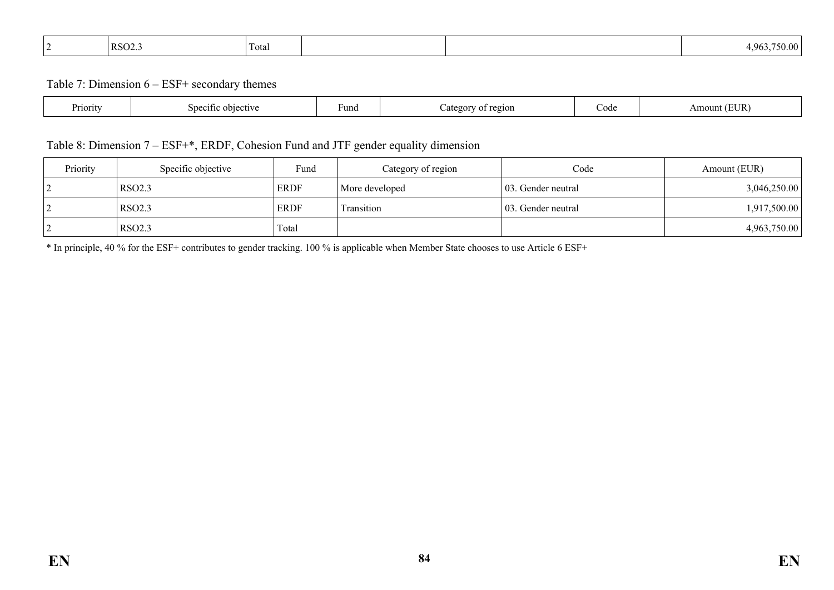| <b>RSO2.3</b><br>4 963<br>~<br>Total |  |
|--------------------------------------|--|
|--------------------------------------|--|

Table 7: Dimension 6 – ESF+ secondary themes

| Priority<br>nective<br>Specific | Fund | region<br>ategor | code | $T$ $\mathbf{R}$<br>Am<br>าบาท1 |
|---------------------------------|------|------------------|------|---------------------------------|
|---------------------------------|------|------------------|------|---------------------------------|

# Table 8: Dimension 7 – ESF+\*, ERDF, Cohesion Fund and JTF gender equality dimension

| Priority | Specific objective | Fund        | Category of region | Code                | Amount (EUR) |
|----------|--------------------|-------------|--------------------|---------------------|--------------|
|          | <b>RSO2.3</b>      | <b>ERDF</b> | More developed     | 103. Gender neutral | 3,046,250.00 |
| └        | RSO2.3             | <b>ERDF</b> | Transition         | 103. Gender neutral | 1,917,500.00 |
|          | <b>RSO2.3</b>      | Total       |                    |                     | 4,963,750.00 |

\* In principle, 40 % for the ESF+ contributes to gender tracking. 100 % is applicable when Member State chooses to use Article 6 ESF+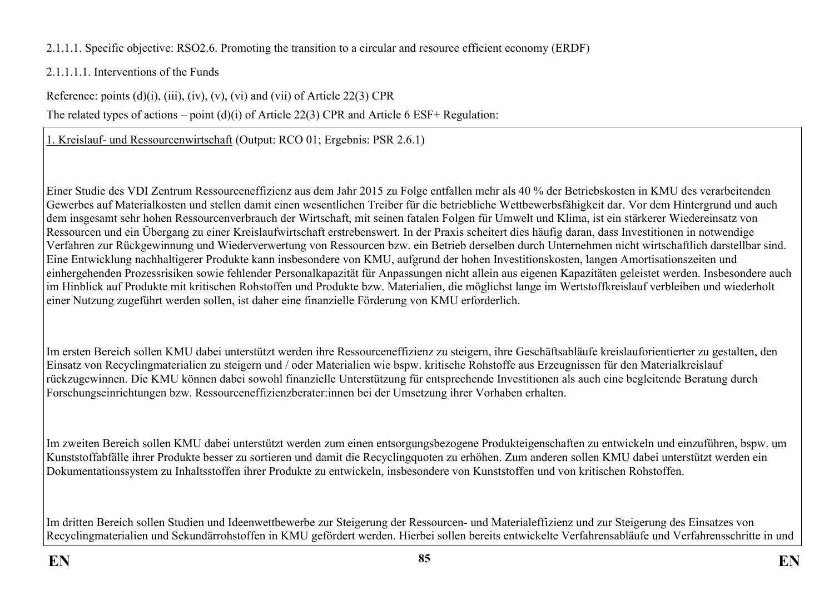2.1.1.1. Specific objective: RSO2.6. Promoting the transition to a circular and resource efficient economy (ERDF)

# 2.1.1.1.1. Interventions of the Funds

Reference: points  $(d)(i)$ ,  $(iii)$ ,  $(iv)$ ,  $(v)$ ,  $(vi)$  and  $(vii)$  of Article 22(3) CPR

The related types of actions – point (d)(i) of Article 22(3) CPR and Article 6 ESF+ Regulation:

1. Kreislauf- und Ressourcenwirtschaft (Output: RCO 01; Ergebnis: PSR 2.6.1)

Einer Studie des VDI Zentrum Ressourceneffizienz aus dem Jahr 2015 zu Folge entfallen mehr als 40 % der Betriebskosten in KMU des verarbeitenden Gewerbes auf Materialkosten und stellen damit einen wesentlichen Treiber für die betriebliche Wettbewerbsfähigkeit dar. Vor dem Hintergrund und auch dem insgesamt sehr hohen Ressourcenverbrauch der Wirtschaft, mit seinen fatalen Folgen für Umwelt und Klima, ist ein stärkerer Wiedereinsatz von Ressourcen und ein Übergang zu einer Kreislaufwirtschaft erstrebenswert. In der Praxis scheitert dies häufig daran, dass Investitionen in notwendige Verfahren zur Rückgewinnung und Wiederverwertung von Ressourcen bzw. ein Betrieb derselben durch Unternehmen nicht wirtschaftlich darstellbar sind. Eine Entwicklung nachhaltigerer Produkte kann insbesondere von KMU, aufgrund der hohen Investitionskosten, langen Amortisationszeiten und einhergehenden Prozessrisiken sowie fehlender Personalkapazität für Anpassungen nicht allein aus eigenen Kapazitäten geleistet werden. Insbesondere auch im Hinblick auf Produkte mit kritischen Rohstoffen und Produkte bzw. Materialien, die möglichst lange im Wertstoffkreislauf verbleiben und wiederholt einer Nutzung zugeführt werden sollen, ist daher eine finanzielle Förderung von KMU erforderlich.

Im ersten Bereich sollen KMU dabei unterstützt werden ihre Ressourceneffizienz zu steigern, ihre Geschäftsabläufe kreislauforientierter zu gestalten, den Einsatz von Recyclingmaterialien zu steigern und / oder Materialien wie bspw. kritische Rohstoffe aus Erzeugnissen für den Materialkreislauf rückzugewinnen. Die KMU können dabei sowohl finanzielle Unterstützung für entsprechende Investitionen als auch eine begleitende Beratung durch Forschungseinrichtungen bzw. Ressourceneffizienzberater:innen bei der Umsetzung ihrer Vorhaben erhalten.

Im zweiten Bereich sollen KMU dabei unterstützt werden zum einen entsorgungsbezogene Produkteigenschaften zu entwickeln und einzuführen, bspw. um Kunststoffabfälle ihrer Produkte besser zu sortieren und damit die Recyclingquoten zu erhöhen. Zum anderen sollen KMU dabei unterstützt werden ein Dokumentationssystem zu Inhaltsstoffen ihrer Produkte zu entwickeln, insbesondere von Kunststoffen und von kritischen Rohstoffen.

Im dritten Bereich sollen Studien und Ideenwettbewerbe zur Steigerung der Ressourcen- und Materialeffizienz und zur Steigerung des Einsatzes von Recyclingmaterialien und Sekundärrohstoffen in KMU gefördert werden. Hierbei sollen bereits entwickelte Verfahrensabläufe und Verfahrensschritte in und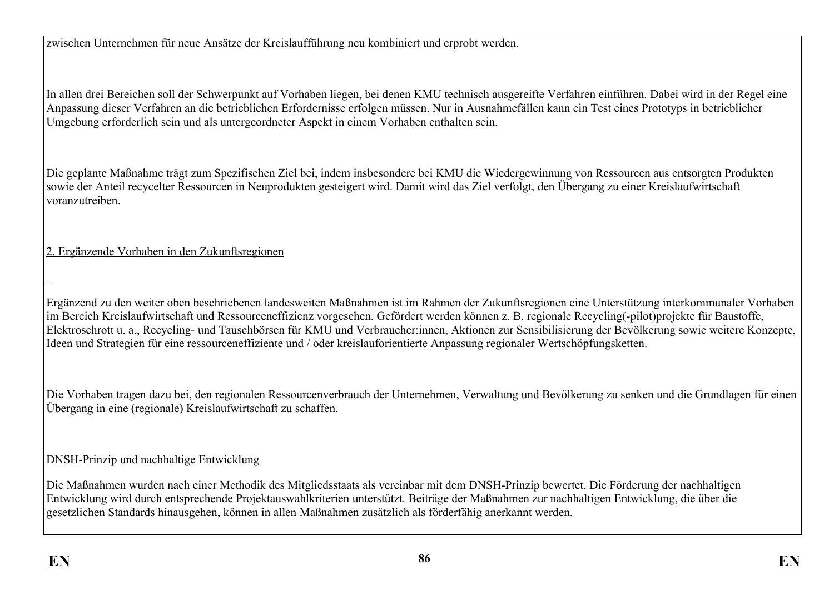zwischen Unternehmen für neue Ansätze der Kreislaufführung neu kombiniert und erprobt werden.

In allen drei Bereichen soll der Schwerpunkt auf Vorhaben liegen, bei denen KMU technisch ausgereifte Verfahren einführen. Dabei wird in der Regel eine Anpassung dieser Verfahren an die betrieblichen Erfordernisse erfolgen müssen. Nur in Ausnahmefällen kann ein Test eines Prototyps in betrieblicher Umgebung erforderlich sein und als untergeordneter Aspekt in einem Vorhaben enthalten sein.

Die geplante Maßnahme trägt zum Spezifischen Ziel bei, indem insbesondere bei KMU die Wiedergewinnung von Ressourcen aus entsorgten Produkten sowie der Anteil recycelter Ressourcen in Neuprodukten gesteigert wird. Damit wird das Ziel verfolgt, den Übergang zu einer Kreislaufwirtschaft voranzutreiben.

# 2. Ergänzende Vorhaben in den Zukunftsregionen

Ergänzend zu den weiter oben beschriebenen landesweiten Maßnahmen ist im Rahmen der Zukunftsregionen eine Unterstützung interkommunaler Vorhaben im Bereich Kreislaufwirtschaft und Ressourceneffizienz vorgesehen. Gefördert werden können z. B. regionale Recycling(-pilot)projekte für Baustoffe, Elektroschrott u. a., Recycling- und Tauschbörsen für KMU und Verbraucher:innen, Aktionen zur Sensibilisierung der Bevölkerung sowie weitere Konzepte, Ideen und Strategien für eine ressourceneffiziente und / oder kreislauforientierte Anpassung regionaler Wertschöpfungsketten.

Die Vorhaben tragen dazu bei, den regionalen Ressourcenverbrauch der Unternehmen, Verwaltung und Bevölkerung zu senken und die Grundlagen für einen Übergang in eine (regionale) Kreislaufwirtschaft zu schaffen.

## DNSH-Prinzip und nachhaltige Entwicklung

Die Maßnahmen wurden nach einer Methodik des Mitgliedsstaats als vereinbar mit dem DNSH-Prinzip bewertet. Die Förderung der nachhaltigen Entwicklung wird durch entsprechende Projektauswahlkriterien unterstützt. Beiträge der Maßnahmen zur nachhaltigen Entwicklung, die über die gesetzlichen Standards hinausgehen, können in allen Maßnahmen zusätzlich als förderfähig anerkannt werden.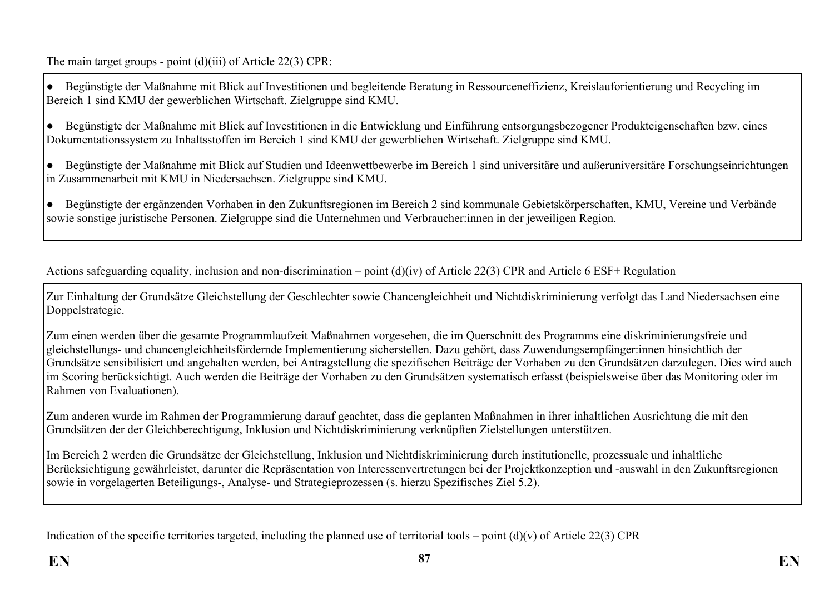The main target groups - point (d)(iii) of Article 22(3) CPR:

● Begünstigte der Maßnahme mit Blick auf Investitionen und begleitende Beratung in Ressourceneffizienz, Kreislauforientierung und Recycling im Bereich 1 sind KMU der gewerblichen Wirtschaft. Zielgruppe sind KMU.

● Begünstigte der Maßnahme mit Blick auf Investitionen in die Entwicklung und Einführung entsorgungsbezogener Produkteigenschaften bzw. eines Dokumentationssystem zu Inhaltsstoffen im Bereich 1 sind KMU der gewerblichen Wirtschaft. Zielgruppe sind KMU.

● Begünstigte der Maßnahme mit Blick auf Studien und Ideenwettbewerbe im Bereich 1 sind universitäre und außeruniversitäre Forschungseinrichtungen in Zusammenarbeit mit KMU in Niedersachsen. Zielgruppe sind KMU.

● Begünstigte der ergänzenden Vorhaben in den Zukunftsregionen im Bereich 2 sind kommunale Gebietskörperschaften, KMU, Vereine und Verbände sowie sonstige juristische Personen. Zielgruppe sind die Unternehmen und Verbraucher:innen in der jeweiligen Region.

Actions safeguarding equality, inclusion and non-discrimination – point (d)(iv) of Article 22(3) CPR and Article 6 ESF+ Regulation

Zur Einhaltung der Grundsätze Gleichstellung der Geschlechter sowie Chancengleichheit und Nichtdiskriminierung verfolgt das Land Niedersachsen eine Doppelstrategie.

Zum einen werden über die gesamte Programmlaufzeit Maßnahmen vorgesehen, die im Querschnitt des Programms eine diskriminierungsfreie und gleichstellungs- und chancengleichheitsfördernde Implementierung sicherstellen. Dazu gehört, dass Zuwendungsempfänger:innen hinsichtlich der Grundsätze sensibilisiert und angehalten werden, bei Antragstellung die spezifischen Beiträge der Vorhaben zu den Grundsätzen darzulegen. Dies wird auch im Scoring berücksichtigt. Auch werden die Beiträge der Vorhaben zu den Grundsätzen systematisch erfasst (beispielsweise über das Monitoring oder im Rahmen von Evaluationen).

Zum anderen wurde im Rahmen der Programmierung darauf geachtet, dass die geplanten Maßnahmen in ihrer inhaltlichen Ausrichtung die mit den Grundsätzen der der Gleichberechtigung, Inklusion und Nichtdiskriminierung verknüpften Zielstellungen unterstützen.

Im Bereich 2 werden die Grundsätze der Gleichstellung, Inklusion und Nichtdiskriminierung durch institutionelle, prozessuale und inhaltliche Berücksichtigung gewährleistet, darunter die Repräsentation von Interessenvertretungen bei der Projektkonzeption und -auswahl in den Zukunftsregionen sowie in vorgelagerten Beteiligungs-, Analyse- und Strategieprozessen (s. hierzu Spezifisches Ziel 5.2).

Indication of the specific territories targeted, including the planned use of territorial tools – point  $(d)(v)$  of Article 22(3) CPR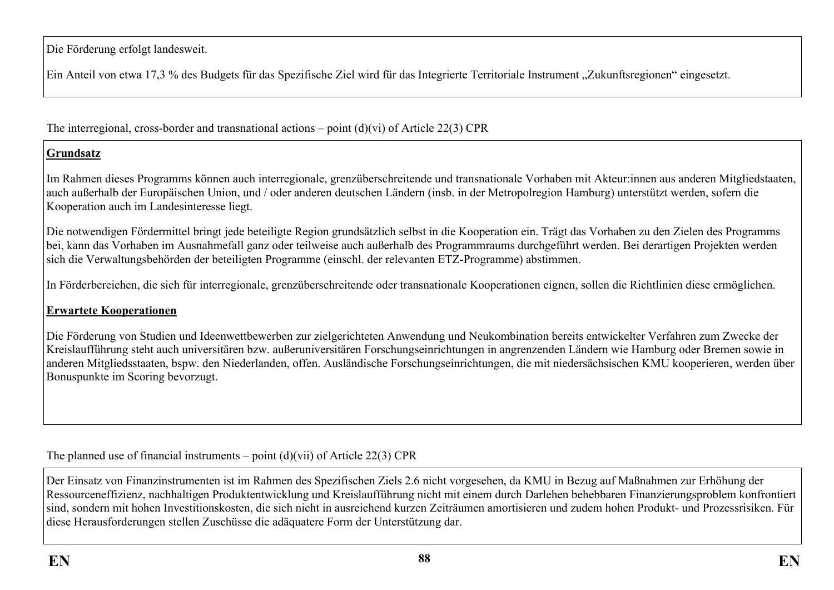Die Förderung erfolgt landesweit.

Ein Anteil von etwa 17,3 % des Budgets für das Spezifische Ziel wird für das Integrierte Territoriale Instrument "Zukunftsregionen" eingesetzt.

The interregional, cross-border and transnational actions – point (d)(vi) of Article 22(3) CPR

# **Grundsatz**

Im Rahmen dieses Programms können auch interregionale, grenzüberschreitende und transnationale Vorhaben mit Akteur:innen aus anderen Mitgliedstaaten, auch außerhalb der Europäischen Union, und / oder anderen deutschen Ländern (insb. in der Metropolregion Hamburg) unterstützt werden, sofern die Kooperation auch im Landesinteresse liegt.

Die notwendigen Fördermittel bringt jede beteiligte Region grundsätzlich selbst in die Kooperation ein. Trägt das Vorhaben zu den Zielen des Programms bei, kann das Vorhaben im Ausnahmefall ganz oder teilweise auch außerhalb des Programmraums durchgeführt werden. Bei derartigen Projekten werden sich die Verwaltungsbehörden der beteiligten Programme (einschl. der relevanten ETZ-Programme) abstimmen.

In Förderbereichen, die sich für interregionale, grenzüberschreitende oder transnationale Kooperationen eignen, sollen die Richtlinien diese ermöglichen.

## **Erwartete Kooperationen**

Die Förderung von Studien und Ideenwettbewerben zur zielgerichteten Anwendung und Neukombination bereits entwickelter Verfahren zum Zwecke der Kreislaufführung steht auch universitären bzw. außeruniversitären Forschungseinrichtungen in angrenzenden Ländern wie Hamburg oder Bremen sowie in anderen Mitgliedsstaaten, bspw. den Niederlanden, offen. Ausländische Forschungseinrichtungen, die mit niedersächsischen KMU kooperieren, werden über Bonuspunkte im Scoring bevorzugt.

The planned use of financial instruments – point  $(d)(\n{\rm vii})$  of Article 22(3) CPR

Der Einsatz von Finanzinstrumenten ist im Rahmen des Spezifischen Ziels 2.6 nicht vorgesehen, da KMU in Bezug auf Maßnahmen zur Erhöhung der Ressourceneffizienz, nachhaltigen Produktentwicklung und Kreislaufführung nicht mit einem durch Darlehen behebbaren Finanzierungsproblem konfrontiert sind, sondern mit hohen Investitionskosten, die sich nicht in ausreichend kurzen Zeiträumen amortisieren und zudem hohen Produkt- und Prozessrisiken. Für diese Herausforderungen stellen Zuschüsse die adäquatere Form der Unterstützung dar.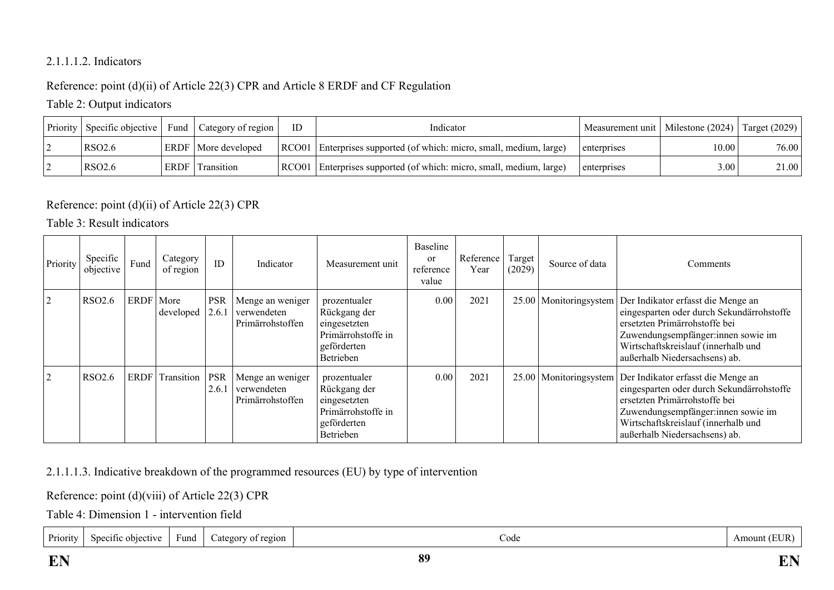## 2.1.1.1.2. Indicators

# Reference: point (d)(ii) of Article 22(3) CPR and Article 8 ERDF and CF Regulation

# Table 2: Output indicators

| Priority | Specific objective |      | Fund   Category of region    | ID | Indicator                                                             | Measurement unit   Milestone (2024) |       | Target $(2029)$ |
|----------|--------------------|------|------------------------------|----|-----------------------------------------------------------------------|-------------------------------------|-------|-----------------|
|          | RSO <sub>2.6</sub> |      | <b>ERDF</b>   More developed |    | RCO01   Enterprises supported (of which: micro, small, medium, large) | enterprises                         | 10.00 | 76.00           |
|          | RSO <sub>2.6</sub> | ERDF | Transition                   |    | RCO01   Enterprises supported (of which: micro, small, medium, large) | enterprises                         | 3.00  | 21.00           |

# Reference: point (d)(ii) of Article 22(3) CPR

## Table 3: Result indicators

| Priority       | Specific<br>objective | Fund        | Category<br>of region | ID                  | Indicator                                           | Measurement unit                                                                               | Baseline<br><sub>or</sub><br>reference<br>value | Reference<br>Year | Target<br>(2029) | Source of data           | Comments                                                                                                                                                                                                                                          |
|----------------|-----------------------|-------------|-----------------------|---------------------|-----------------------------------------------------|------------------------------------------------------------------------------------------------|-------------------------------------------------|-------------------|------------------|--------------------------|---------------------------------------------------------------------------------------------------------------------------------------------------------------------------------------------------------------------------------------------------|
| $\overline{2}$ | <b>RSO2.6</b>         | ERDF   More | developed             | <b>PSR</b><br>2.6.1 | Menge an weniger<br>verwendeten<br>Primärrohstoffen | prozentualer<br>Rückgang der<br>eingesetzten<br>Primärrohstoffe in<br>geförderten<br>Betrieben | 0.00                                            | 2021              | 25.00            |                          | Monitoringsystem   Der Indikator erfasst die Menge an<br>eingesparten oder durch Sekundärrohstoffe<br>ersetzten Primärrohstoffe bei<br>Zuwendungsempfänger:innen sowie im<br>Wirtschaftskreislauf (innerhalb und<br>außerhalb Niedersachsens) ab. |
| 2              | <b>RSO2.6</b>         |             | ERDF Transition       | <b>PSR</b><br>2.6.1 | Menge an weniger<br>verwendeten<br>Primärrohstoffen | prozentualer<br>Rückgang der<br>eingesetzten<br>Primärrohstoffe in<br>geförderten<br>Betrieben | 0.00                                            | 2021              |                  | 25.00   Monitoringsystem | Der Indikator erfasst die Menge an<br>eingesparten oder durch Sekundärrohstoffe<br>ersetzten Primärrohstoffe bei<br>Zuwendungsempfänger:innen sowie im<br>Wirtschaftskreislauf (innerhalb und<br>außerhalb Niedersachsens) ab.                    |

2.1.1.1.3. Indicative breakdown of the programmed resources (EU) by type of intervention

Reference: point (d)(viii) of Article 22(3) CPR

Table 4: Dimension 1 - intervention field

| $\overline{\phantom{0}}$<br>Priority<br>: objective<br>ategory<br>$\sim$ Specific<br>y of region<br>Fund<br>Code<br>$\cdots$ | 'EUR<br>Amount |
|------------------------------------------------------------------------------------------------------------------------------|----------------|
|------------------------------------------------------------------------------------------------------------------------------|----------------|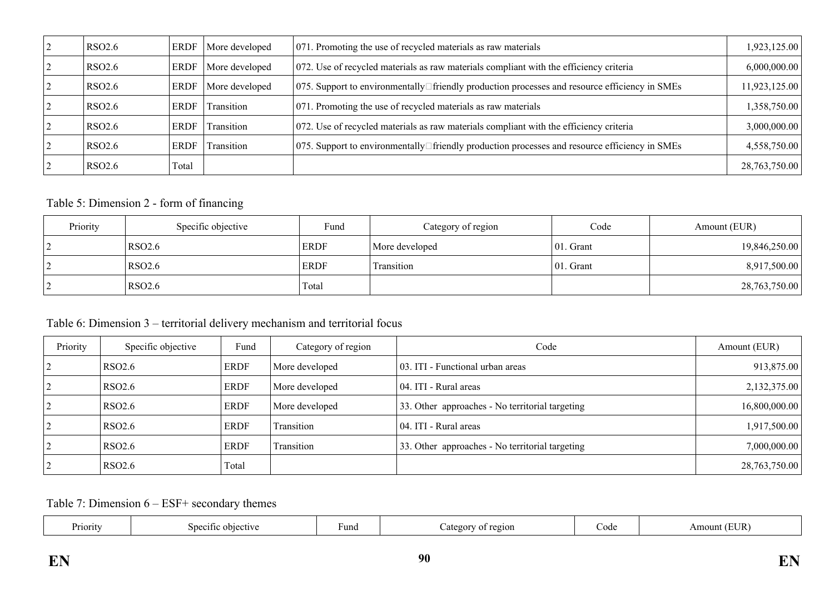| <b>RSO2.6</b> | ERDF        | More developed | 071. Promoting the use of recycled materials as raw materials                                        | 1,923,125.00  |
|---------------|-------------|----------------|------------------------------------------------------------------------------------------------------|---------------|
| <b>RSO2.6</b> | ERDF        | More developed | 072. Use of recycled materials as raw materials compliant with the efficiency criteria               | 6,000,000.00  |
| <b>RSO2.6</b> | ERDF        | More developed | 075. Support to environmentally□friendly production processes and resource efficiency in SMEs        | 11,923,125.00 |
| <b>RSO2.6</b> | ERDF        | Transition     | 071. Promoting the use of recycled materials as raw materials                                        | 1,358,750.00  |
| <b>RSO2.6</b> | ERDF        | Transition     | $072$ . Use of recycled materials as raw materials compliant with the efficiency criteria            | 3,000,000.00  |
| <b>RSO2.6</b> | <b>ERDF</b> | Transition     | 075. Support to environmentally $\Box$ friendly production processes and resource efficiency in SMEs | 4,558,750.00  |
| <b>RSO2.6</b> | Total       |                |                                                                                                      | 28,763,750.00 |

## Table 5: Dimension 2 - form of financing

| Priority | Specific objective | Fund        | Category of region | Code         | Amount (EUR)  |
|----------|--------------------|-------------|--------------------|--------------|---------------|
|          | <b>RSO2.6</b>      | <b>ERDF</b> | More developed     | $ 01.$ Grant | 19,846,250.00 |
|          | <b>RSO2.6</b>      | <b>ERDF</b> | Transition         | $ 01.$ Grant | 8,917,500.00  |
|          | <b>RSO2.6</b>      | Total       |                    |              | 28,763,750.00 |

## Table 6: Dimension 3 – territorial delivery mechanism and territorial focus

| Priority | Specific objective | Fund        | Category of region | Code                                            | Amount (EUR)  |
|----------|--------------------|-------------|--------------------|-------------------------------------------------|---------------|
|          | RSO <sub>2.6</sub> | <b>ERDF</b> | More developed     | 03. ITI - Functional urban areas                | 913,875.00    |
|          | RSO <sub>2.6</sub> | <b>ERDF</b> | More developed     | 04. ITI - Rural areas                           | 2,132,375.00  |
|          | RSO <sub>2.6</sub> | <b>ERDF</b> | More developed     | 33. Other approaches - No territorial targeting | 16,800,000.00 |
|          | RSO <sub>2.6</sub> | <b>ERDF</b> | Transition         | 04. ITI - Rural areas                           | 1,917,500.00  |
|          | RSO <sub>2.6</sub> | <b>ERDF</b> | Transition         | 33. Other approaches - No territorial targeting | 7,000,000.00  |
|          | RSO <sub>2.6</sub> | Total       |                    |                                                 | 28,763,750.00 |

Table 7: Dimension 6 – ESF+ secondary themes

| Priority<br>$S$ necitic<br>-objectiv | una <sup>.</sup> | ാ $q$ 101 | $\alpha$ $\alpha$<br>ww | ΙR |
|--------------------------------------|------------------|-----------|-------------------------|----|
|--------------------------------------|------------------|-----------|-------------------------|----|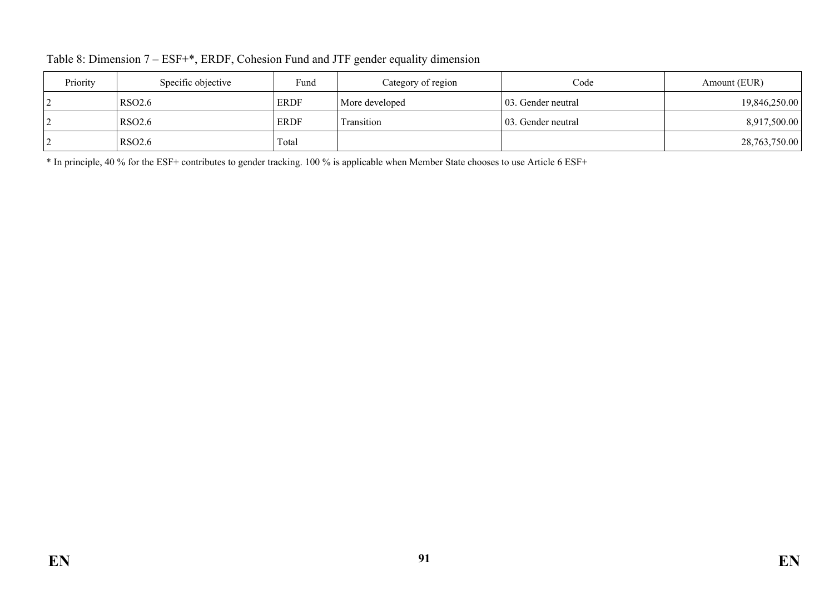| Priority | Specific objective | Fund        | Category of region | Code                | Amount (EUR)  |
|----------|--------------------|-------------|--------------------|---------------------|---------------|
|          | <b>RSO2.6</b>      | <b>ERDF</b> | More developed     | 103. Gender neutral | 19,846,250.00 |
|          | RSO <sub>2.6</sub> | <b>ERDF</b> | Transition         | 103. Gender neutral | 8,917,500.00  |
|          | <b>RSO2.6</b>      | Total       |                    |                     | 28,763,750.00 |

Table 8: Dimension 7 – ESF+\*, ERDF, Cohesion Fund and JTF gender equality dimension

\* In principle, 40 % for the ESF+ contributes to gender tracking. 100 % is applicable when Member State chooses to use Article 6 ESF+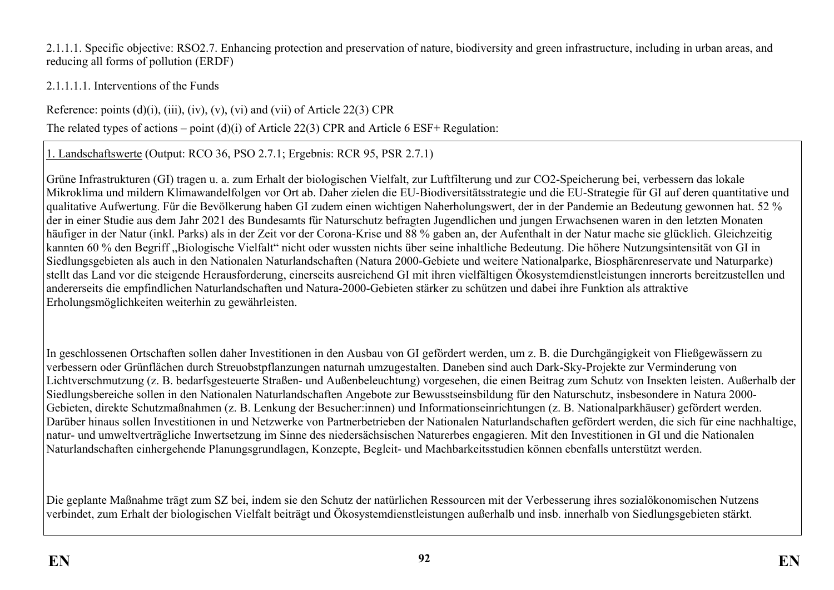2.1.1.1. Specific objective: RSO2.7. Enhancing protection and preservation of nature, biodiversity and green infrastructure, including in urban areas, and reducing all forms of pollution (ERDF)

2.1.1.1.1. Interventions of the Funds

Reference: points  $(d)(i)$ ,  $(iii)$ ,  $(iv)$ ,  $(v)$ ,  $(vi)$  and  $(vii)$  of Article 22(3) CPR

The related types of actions – point (d)(i) of Article 22(3) CPR and Article 6 ESF+ Regulation:

1. Landschaftswerte (Output: RCO 36, PSO 2.7.1; Ergebnis: RCR 95, PSR 2.7.1)

Grüne Infrastrukturen (GI) tragen u. a. zum Erhalt der biologischen Vielfalt, zur Luftfilterung und zur CO2-Speicherung bei, verbessern das lokale Mikroklima und mildern Klimawandelfolgen vor Ort ab. Daher zielen die EU-Biodiversitätsstrategie und die EU-Strategie für GI auf deren quantitative und qualitative Aufwertung. Für die Bevölkerung haben GI zudem einen wichtigen Naherholungswert, der in der Pandemie an Bedeutung gewonnen hat. 52 % der in einer Studie aus dem Jahr 2021 des Bundesamts für Naturschutz befragten Jugendlichen und jungen Erwachsenen waren in den letzten Monaten häufiger in der Natur (inkl. Parks) als in der Zeit vor der Corona-Krise und 88 % gaben an, der Aufenthalt in der Natur mache sie glücklich. Gleichzeitig kannten 60 % den Begriff "Biologische Vielfalt" nicht oder wussten nichts über seine inhaltliche Bedeutung. Die höhere Nutzungsintensität von GI in Siedlungsgebieten als auch in den Nationalen Naturlandschaften (Natura 2000-Gebiete und weitere Nationalparke, Biosphärenreservate und Naturparke) stellt das Land vor die steigende Herausforderung, einerseits ausreichend GI mit ihren vielfältigen Ökosystemdienstleistungen innerorts bereitzustellen und andererseits die empfindlichen Naturlandschaften und Natura-2000-Gebieten stärker zu schützen und dabei ihre Funktion als attraktive Erholungsmöglichkeiten weiterhin zu gewährleisten.

In geschlossenen Ortschaften sollen daher Investitionen in den Ausbau von GI gefördert werden, um z. B. die Durchgängigkeit von Fließgewässern zu verbessern oder Grünflächen durch Streuobstpflanzungen naturnah umzugestalten. Daneben sind auch Dark-Sky-Projekte zur Verminderung von Lichtverschmutzung (z. B. bedarfsgesteuerte Straßen- und Außenbeleuchtung) vorgesehen, die einen Beitrag zum Schutz von Insekten leisten. Außerhalb der Siedlungsbereiche sollen in den Nationalen Naturlandschaften Angebote zur Bewusstseinsbildung für den Naturschutz, insbesondere in Natura 2000- Gebieten, direkte Schutzmaßnahmen (z. B. Lenkung der Besucher:innen) und Informationseinrichtungen (z. B. Nationalparkhäuser) gefördert werden. Darüber hinaus sollen Investitionen in und Netzwerke von Partnerbetrieben der Nationalen Naturlandschaften gefördert werden, die sich für eine nachhaltige, natur- und umweltverträgliche Inwertsetzung im Sinne des niedersächsischen Naturerbes engagieren. Mit den Investitionen in GI und die Nationalen Naturlandschaften einhergehende Planungsgrundlagen, Konzepte, Begleit- und Machbarkeitsstudien können ebenfalls unterstützt werden.

Die geplante Maßnahme trägt zum SZ bei, indem sie den Schutz der natürlichen Ressourcen mit der Verbesserung ihres sozialökonomischen Nutzens verbindet, zum Erhalt der biologischen Vielfalt beiträgt und Ökosystemdienstleistungen außerhalb und insb. innerhalb von Siedlungsgebieten stärkt.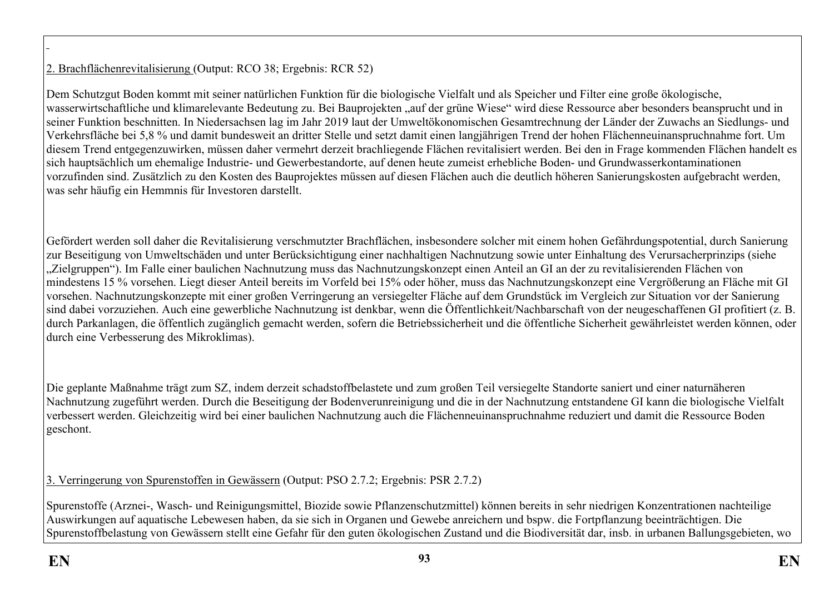# 2. Brachflächenrevitalisierung (Output: RCO 38; Ergebnis: RCR 52)

Dem Schutzgut Boden kommt mit seiner natürlichen Funktion für die biologische Vielfalt und als Speicher und Filter eine große ökologische, wasserwirtschaftliche und klimarelevante Bedeutung zu. Bei Bauprojekten "auf der grüne Wiese" wird diese Ressource aber besonders beansprucht und in seiner Funktion beschnitten. In Niedersachsen lag im Jahr 2019 laut der Umweltökonomischen Gesamtrechnung der Länder der Zuwachs an Siedlungs- und Verkehrsfläche bei 5,8 % und damit bundesweit an dritter Stelle und setzt damit einen langjährigen Trend der hohen Flächenneuinanspruchnahme fort. Um diesem Trend entgegenzuwirken, müssen daher vermehrt derzeit brachliegende Flächen revitalisiert werden. Bei den in Frage kommenden Flächen handelt es sich hauptsächlich um ehemalige Industrie- und Gewerbestandorte, auf denen heute zumeist erhebliche Boden- und Grundwasserkontaminationen vorzufinden sind. Zusätzlich zu den Kosten des Bauprojektes müssen auf diesen Flächen auch die deutlich höheren Sanierungskosten aufgebracht werden, was sehr häufig ein Hemmnis für Investoren darstellt.

Gefördert werden soll daher die Revitalisierung verschmutzter Brachflächen, insbesondere solcher mit einem hohen Gefährdungspotential, durch Sanierung zur Beseitigung von Umweltschäden und unter Berücksichtigung einer nachhaltigen Nachnutzung sowie unter Einhaltung des Verursacherprinzips (siehe "Zielgruppen"). Im Falle einer baulichen Nachnutzung muss das Nachnutzungskonzept einen Anteil an GI an der zu revitalisierenden Flächen von mindestens 15 % vorsehen. Liegt dieser Anteil bereits im Vorfeld bei 15% oder höher, muss das Nachnutzungskonzept eine Vergrößerung an Fläche mit GI vorsehen. Nachnutzungskonzepte mit einer großen Verringerung an versiegelter Fläche auf dem Grundstück im Vergleich zur Situation vor der Sanierung sind dabei vorzuziehen. Auch eine gewerbliche Nachnutzung ist denkbar, wenn die Öffentlichkeit/Nachbarschaft von der neugeschaffenen GI profitiert (z. B. durch Parkanlagen, die öffentlich zugänglich gemacht werden, sofern die Betriebssicherheit und die öffentliche Sicherheit gewährleistet werden können, oder durch eine Verbesserung des Mikroklimas).

Die geplante Maßnahme trägt zum SZ, indem derzeit schadstoffbelastete und zum großen Teil versiegelte Standorte saniert und einer naturnäheren Nachnutzung zugeführt werden. Durch die Beseitigung der Bodenverunreinigung und die in der Nachnutzung entstandene GI kann die biologische Vielfalt verbessert werden. Gleichzeitig wird bei einer baulichen Nachnutzung auch die Flächenneuinanspruchnahme reduziert und damit die Ressource Boden geschont.

3. Verringerung von Spurenstoffen in Gewässern (Output: PSO 2.7.2; Ergebnis: PSR 2.7.2)

Spurenstoffe (Arznei-, Wasch- und Reinigungsmittel, Biozide sowie Pflanzenschutzmittel) können bereits in sehr niedrigen Konzentrationen nachteilige Auswirkungen auf aquatische Lebewesen haben, da sie sich in Organen und Gewebe anreichern und bspw. die Fortpflanzung beeinträchtigen. Die Spurenstoffbelastung von Gewässern stellt eine Gefahr für den guten ökologischen Zustand und die Biodiversität dar, insb. in urbanen Ballungsgebieten, wo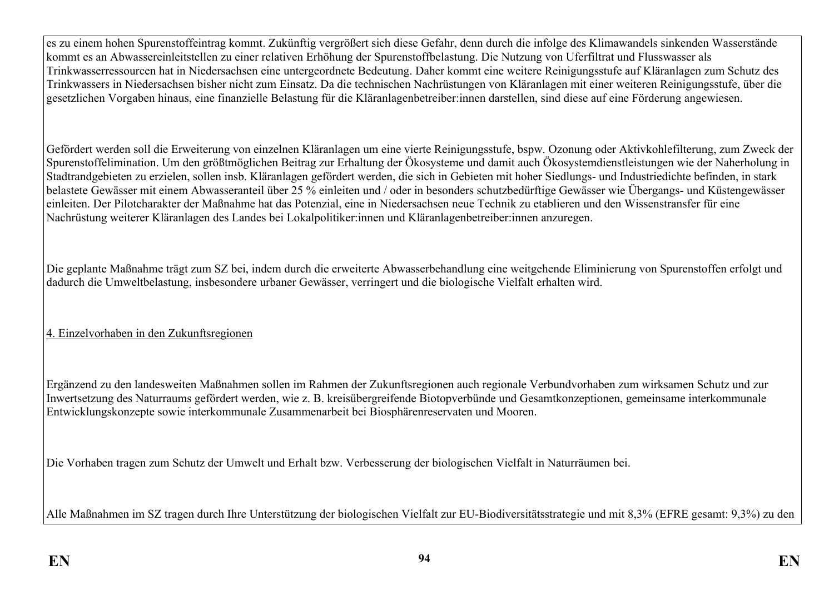es zu einem hohen Spurenstoffeintrag kommt. Zukünftig vergrößert sich diese Gefahr, denn durch die infolge des Klimawandels sinkenden Wasserstände kommt es an Abwassereinleitstellen zu einer relativen Erhöhung der Spurenstoffbelastung. Die Nutzung von Uferfiltrat und Flusswasser als Trinkwasserressourcen hat in Niedersachsen eine untergeordnete Bedeutung. Daher kommt eine weitere Reinigungsstufe auf Kläranlagen zum Schutz des Trinkwassers in Niedersachsen bisher nicht zum Einsatz. Da die technischen Nachrüstungen von Kläranlagen mit einer weiteren Reinigungsstufe, über die gesetzlichen Vorgaben hinaus, eine finanzielle Belastung für die Kläranlagenbetreiber:innen darstellen, sind diese auf eine Förderung angewiesen.

Gefördert werden soll die Erweiterung von einzelnen Kläranlagen um eine vierte Reinigungsstufe, bspw. Ozonung oder Aktivkohlefilterung, zum Zweck der Spurenstoffelimination. Um den größtmöglichen Beitrag zur Erhaltung der Ökosysteme und damit auch Ökosystemdienstleistungen wie der Naherholung in Stadtrandgebieten zu erzielen, sollen insb. Kläranlagen gefördert werden, die sich in Gebieten mit hoher Siedlungs- und Industriedichte befinden, in stark belastete Gewässer mit einem Abwasseranteil über 25 % einleiten und / oder in besonders schutzbedürftige Gewässer wie Übergangs- und Küstengewässer einleiten. Der Pilotcharakter der Maßnahme hat das Potenzial, eine in Niedersachsen neue Technik zu etablieren und den Wissenstransfer für eine Nachrüstung weiterer Kläranlagen des Landes bei Lokalpolitiker:innen und Kläranlagenbetreiber:innen anzuregen.

Die geplante Maßnahme trägt zum SZ bei, indem durch die erweiterte Abwasserbehandlung eine weitgehende Eliminierung von Spurenstoffen erfolgt und dadurch die Umweltbelastung, insbesondere urbaner Gewässer, verringert und die biologische Vielfalt erhalten wird.

# 4. Einzelvorhaben in den Zukunftsregionen

Ergänzend zu den landesweiten Maßnahmen sollen im Rahmen der Zukunftsregionen auch regionale Verbundvorhaben zum wirksamen Schutz und zur Inwertsetzung des Naturraums gefördert werden, wie z. B. kreisübergreifende Biotopverbünde und Gesamtkonzeptionen, gemeinsame interkommunale Entwicklungskonzepte sowie interkommunale Zusammenarbeit bei Biosphärenreservaten und Mooren.

Die Vorhaben tragen zum Schutz der Umwelt und Erhalt bzw. Verbesserung der biologischen Vielfalt in Naturräumen bei.

Alle Maßnahmen im SZ tragen durch Ihre Unterstützung der biologischen Vielfalt zur EU-Biodiversitätsstrategie und mit 8,3% (EFRE gesamt: 9,3%) zu den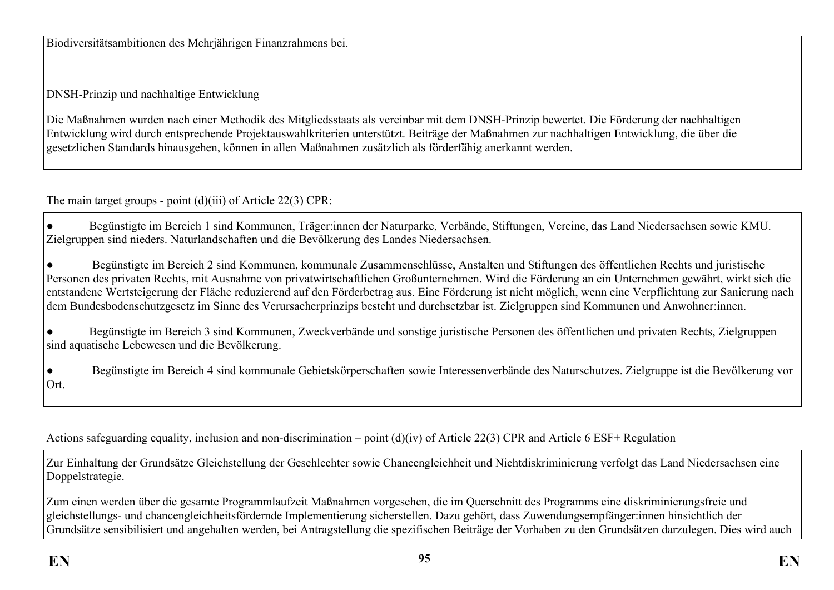Biodiversitätsambitionen des Mehrjährigen Finanzrahmens bei.

# DNSH-Prinzip und nachhaltige Entwicklung

Die Maßnahmen wurden nach einer Methodik des Mitgliedsstaats als vereinbar mit dem DNSH-Prinzip bewertet. Die Förderung der nachhaltigen Entwicklung wird durch entsprechende Projektauswahlkriterien unterstützt. Beiträge der Maßnahmen zur nachhaltigen Entwicklung, die über die gesetzlichen Standards hinausgehen, können in allen Maßnahmen zusätzlich als förderfähig anerkannt werden.

The main target groups - point (d)(iii) of Article 22(3) CPR:

● Begünstigte im Bereich 1 sind Kommunen, Träger:innen der Naturparke, Verbände, Stiftungen, Vereine, das Land Niedersachsen sowie KMU. Zielgruppen sind nieders. Naturlandschaften und die Bevölkerung des Landes Niedersachsen.

● Begünstigte im Bereich 2 sind Kommunen, kommunale Zusammenschlüsse, Anstalten und Stiftungen des öffentlichen Rechts und juristische Personen des privaten Rechts, mit Ausnahme von privatwirtschaftlichen Großunternehmen. Wird die Förderung an ein Unternehmen gewährt, wirkt sich die entstandene Wertsteigerung der Fläche reduzierend auf den Förderbetrag aus. Eine Förderung ist nicht möglich, wenn eine Verpflichtung zur Sanierung nach dem Bundesbodenschutzgesetz im Sinne des Verursacherprinzips besteht und durchsetzbar ist. Zielgruppen sind Kommunen und Anwohner:innen.

● Begünstigte im Bereich 3 sind Kommunen, Zweckverbände und sonstige juristische Personen des öffentlichen und privaten Rechts, Zielgruppen sind aquatische Lebewesen und die Bevölkerung.

● Begünstigte im Bereich 4 sind kommunale Gebietskörperschaften sowie Interessenverbände des Naturschutzes. Zielgruppe ist die Bevölkerung vor Ort.

Actions safeguarding equality, inclusion and non-discrimination – point (d)(iv) of Article 22(3) CPR and Article 6 ESF+ Regulation

Zur Einhaltung der Grundsätze Gleichstellung der Geschlechter sowie Chancengleichheit und Nichtdiskriminierung verfolgt das Land Niedersachsen eine Doppelstrategie.

Zum einen werden über die gesamte Programmlaufzeit Maßnahmen vorgesehen, die im Querschnitt des Programms eine diskriminierungsfreie und gleichstellungs- und chancengleichheitsfördernde Implementierung sicherstellen. Dazu gehört, dass Zuwendungsempfänger:innen hinsichtlich der Grundsätze sensibilisiert und angehalten werden, bei Antragstellung die spezifischen Beiträge der Vorhaben zu den Grundsätzen darzulegen. Dies wird auch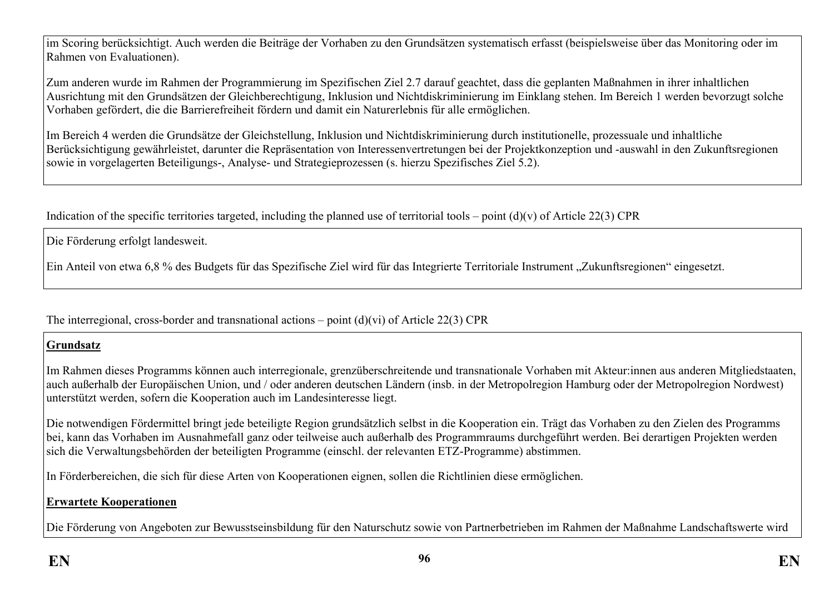im Scoring berücksichtigt. Auch werden die Beiträge der Vorhaben zu den Grundsätzen systematisch erfasst (beispielsweise über das Monitoring oder im Rahmen von Evaluationen).

Zum anderen wurde im Rahmen der Programmierung im Spezifischen Ziel 2.7 darauf geachtet, dass die geplanten Maßnahmen in ihrer inhaltlichen Ausrichtung mit den Grundsätzen der Gleichberechtigung, Inklusion und Nichtdiskriminierung im Einklang stehen. Im Bereich 1 werden bevorzugt solche Vorhaben gefördert, die die Barrierefreiheit fördern und damit ein Naturerlebnis für alle ermöglichen.

Im Bereich 4 werden die Grundsätze der Gleichstellung, Inklusion und Nichtdiskriminierung durch institutionelle, prozessuale und inhaltliche Berücksichtigung gewährleistet, darunter die Repräsentation von Interessenvertretungen bei der Projektkonzeption und -auswahl in den Zukunftsregionen sowie in vorgelagerten Beteiligungs-, Analyse- und Strategieprozessen (s. hierzu Spezifisches Ziel 5.2).

Indication of the specific territories targeted, including the planned use of territorial tools – point  $(d)(v)$  of Article 22(3) CPR

Die Förderung erfolgt landesweit.

Ein Anteil von etwa 6,8 % des Budgets für das Spezifische Ziel wird für das Integrierte Territoriale Instrument "Zukunftsregionen" eingesetzt.

The interregional, cross-border and transnational actions – point  $(d)(vi)$  of Article 22(3) CPR

## **Grundsatz**

Im Rahmen dieses Programms können auch interregionale, grenzüberschreitende und transnationale Vorhaben mit Akteur:innen aus anderen Mitgliedstaaten, auch außerhalb der Europäischen Union, und / oder anderen deutschen Ländern (insb. in der Metropolregion Hamburg oder der Metropolregion Nordwest) unterstützt werden, sofern die Kooperation auch im Landesinteresse liegt.

Die notwendigen Fördermittel bringt jede beteiligte Region grundsätzlich selbst in die Kooperation ein. Trägt das Vorhaben zu den Zielen des Programms bei, kann das Vorhaben im Ausnahmefall ganz oder teilweise auch außerhalb des Programmraums durchgeführt werden. Bei derartigen Projekten werden sich die Verwaltungsbehörden der beteiligten Programme (einschl. der relevanten ETZ-Programme) abstimmen.

In Förderbereichen, die sich für diese Arten von Kooperationen eignen, sollen die Richtlinien diese ermöglichen.

# **Erwartete Kooperationen**

Die Förderung von Angeboten zur Bewusstseinsbildung für den Naturschutz sowie von Partnerbetrieben im Rahmen der Maßnahme Landschaftswerte wird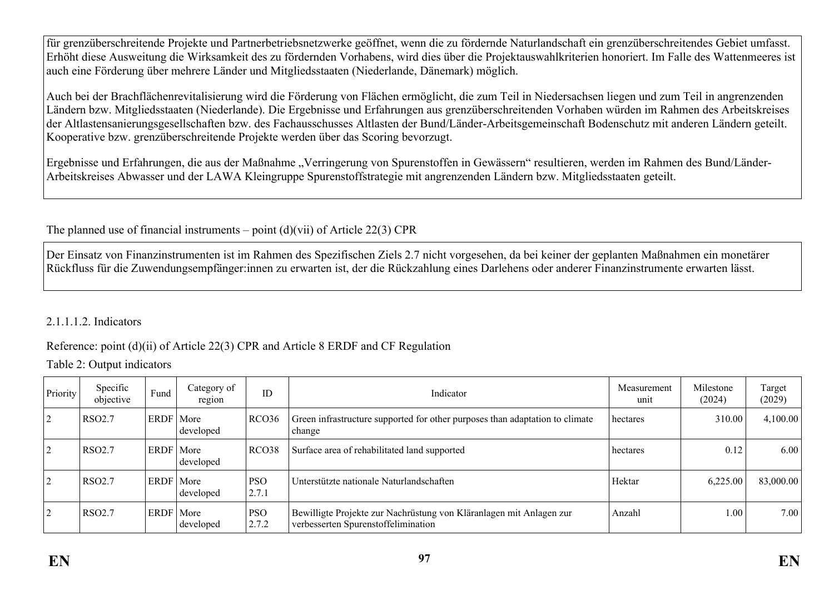für grenzüberschreitende Projekte und Partnerbetriebsnetzwerke geöffnet, wenn die zu fördernde Naturlandschaft ein grenzüberschreitendes Gebiet umfasst. Erhöht diese Ausweitung die Wirksamkeit des zu fördernden Vorhabens, wird dies über die Projektauswahlkriterien honoriert. Im Falle des Wattenmeeres ist auch eine Förderung über mehrere Länder und Mitgliedsstaaten (Niederlande, Dänemark) möglich.

Auch bei der Brachflächenrevitalisierung wird die Förderung von Flächen ermöglicht, die zum Teil in Niedersachsen liegen und zum Teil in angrenzenden Ländern bzw. Mitgliedsstaaten (Niederlande). Die Ergebnisse und Erfahrungen aus grenzüberschreitenden Vorhaben würden im Rahmen des Arbeitskreises der Altlastensanierungsgesellschaften bzw. des Fachausschusses Altlasten der Bund/Länder-Arbeitsgemeinschaft Bodenschutz mit anderen Ländern geteilt. Kooperative bzw. grenzüberschreitende Projekte werden über das Scoring bevorzugt.

Ergebnisse und Erfahrungen, die aus der Maßnahme "Verringerung von Spurenstoffen in Gewässern" resultieren, werden im Rahmen des Bund/Länder-Arbeitskreises Abwasser und der LAWA Kleingruppe Spurenstoffstrategie mit angrenzenden Ländern bzw. Mitgliedsstaaten geteilt.

The planned use of financial instruments – point  $(d)(vii)$  of Article 22(3) CPR

Der Einsatz von Finanzinstrumenten ist im Rahmen des Spezifischen Ziels 2.7 nicht vorgesehen, da bei keiner der geplanten Maßnahmen ein monetärer Rückfluss für die Zuwendungsempfänger:innen zu erwarten ist, der die Rückzahlung eines Darlehens oder anderer Finanzinstrumente erwarten lässt.

## 2.1.1.1.2. Indicators

## Reference: point (d)(ii) of Article 22(3) CPR and Article 8 ERDF and CF Regulation

Table 2: Output indicators

| Priority       | Specific<br>objective | Fund        | Category of<br>region | ID                  | Indicator                                                                                                  | Measurement<br>unit | Milestone<br>(2024) | Target<br>(2029) |
|----------------|-----------------------|-------------|-----------------------|---------------------|------------------------------------------------------------------------------------------------------------|---------------------|---------------------|------------------|
| $\overline{2}$ | <b>RSO2.7</b>         | ERDF   More | developed             | RCO36               | Green infrastructure supported for other purposes than adaptation to climate<br>change                     | hectares            | 310.00              | 4,100.00         |
|                | <b>RSO2.7</b>         | ERDF   More | developed             | RCO38               | Surface area of rehabilitated land supported                                                               | hectares            | 0.12                | 6.00             |
|                | <b>RSO2.7</b>         | ERDF   More | developed             | PSO<br>2.7.1        | Unterstützte nationale Naturlandschaften                                                                   | Hektar              | 6,225.00            | 83,000.00        |
| $\sqrt{2}$     | <b>RSO2.7</b>         | ERDF   More | developed             | <b>PSO</b><br>2.7.2 | Bewilligte Projekte zur Nachrüstung von Kläranlagen mit Anlagen zur<br>verbesserten Spurenstoffelimination | Anzahl              | 1.00                | 7.00             |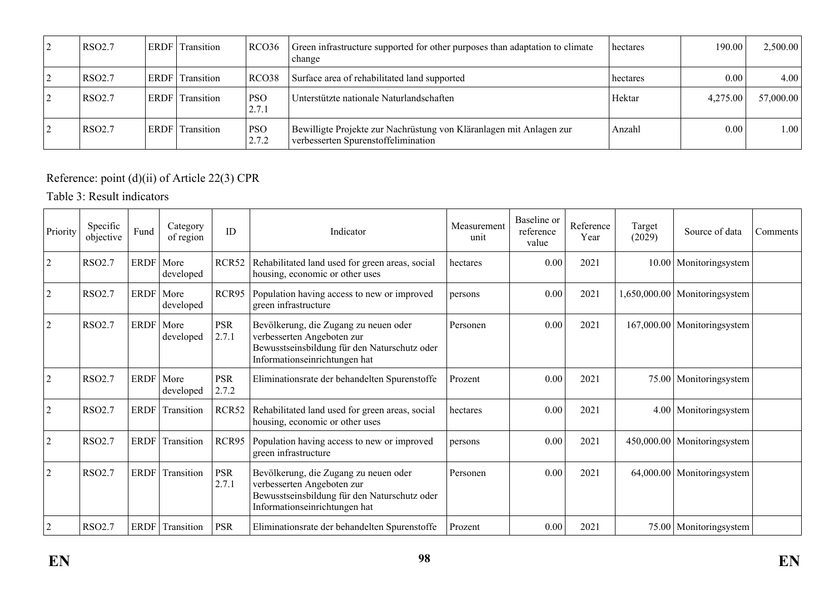| <b>RSO2.7</b>      | <b>ERDF</b> | Transition | RCO36               | Green infrastructure supported for other purposes than adaptation to climate<br>change                     | hectares | 190.00   | 2,500.00  |
|--------------------|-------------|------------|---------------------|------------------------------------------------------------------------------------------------------------|----------|----------|-----------|
| RSO <sub>2.7</sub> | <b>ERDF</b> | Transition | RCO38               | Surface area of rehabilitated land supported                                                               | hectares | 0.00     | 4.00'     |
| RSO <sub>2.7</sub> | <b>ERDF</b> | Transition | <b>PSO</b><br>2.7.1 | Unterstützte nationale Naturlandschaften                                                                   | Hektar   | 4,275.00 | 57,000.00 |
| RSO <sub>2.7</sub> | <b>ERDF</b> | Transition | <b>PSO</b><br>2.7.2 | Bewilligte Projekte zur Nachrüstung von Kläranlagen mit Anlagen zur<br>verbesserten Spurenstoffelimination | Anzahl   | $0.00\,$ | 1.00      |

# Reference: point (d)(ii) of Article 22(3) CPR

# Table 3: Result indicators

| Priority       | Specific<br>objective | Fund        | Category<br>of region | ID                  | Indicator                                                                                                                                            | Measurement<br>unit | Baseline or<br>reference<br>value | Reference<br>Year | Target<br>(2029) | Source of data                | Comments |
|----------------|-----------------------|-------------|-----------------------|---------------------|------------------------------------------------------------------------------------------------------------------------------------------------------|---------------------|-----------------------------------|-------------------|------------------|-------------------------------|----------|
| $\overline{2}$ | RSO2.7                | ERDF        | More<br>developed     | RCR52               | Rehabilitated land used for green areas, social<br>housing, economic or other uses                                                                   | hectares            | 0.00                              | 2021              |                  | 10.00 Monitoringsystem        |          |
| $\overline{2}$ | RSO2.7                | ERDF        | More<br>developed     | RCR95               | Population having access to new or improved<br>green infrastructure                                                                                  | persons             | $0.00\,$                          | 2021              |                  | 1,650,000.00 Monitoringsystem |          |
| $\overline{2}$ | RSO2.7                | <b>ERDF</b> | More<br>developed     | <b>PSR</b><br>2.7.1 | Bevölkerung, die Zugang zu neuen oder<br>verbesserten Angeboten zur<br>Bewusstseinsbildung für den Naturschutz oder<br>Informationseinrichtungen hat | Personen            | 0.00                              | 2021              |                  | 167,000.00 Monitoringsystem   |          |
| $\overline{2}$ | RSO2.7                | <b>ERDF</b> | More<br>developed     | <b>PSR</b><br>2.7.2 | Eliminationsrate der behandelten Spurenstoffe                                                                                                        | Prozent             | 0.00                              | 2021              |                  | 75.00 Monitoringsystem        |          |
| $\overline{2}$ | RSO2.7                | <b>ERDF</b> | Transition            | RCR52               | Rehabilitated land used for green areas, social<br>housing, economic or other uses                                                                   | hectares            | 0.00                              | 2021              |                  | 4.00 Monitoringsystem         |          |
| $\overline{2}$ | RSO2.7                | <b>ERDF</b> | Transition            | RCR95               | Population having access to new or improved<br>green infrastructure                                                                                  | persons             | $0.00\,$                          | 2021              |                  | 450,000.00 Monitoringsystem   |          |
| $\overline{2}$ | RSO2.7                | <b>ERDF</b> | Transition            | <b>PSR</b><br>2.7.1 | Bevölkerung, die Zugang zu neuen oder<br>verbesserten Angeboten zur<br>Bewusstseinsbildung für den Naturschutz oder<br>Informationseinrichtungen hat | Personen            | 0.00                              | 2021              |                  | 64,000.00 Monitoringsystem    |          |
| $\overline{2}$ | RSO2.7                | ERDF        | Transition            | <b>PSR</b>          | Eliminationsrate der behandelten Spurenstoffe                                                                                                        | Prozent             | 0.00                              | 2021              |                  | 75.00   Monitoringsystem      |          |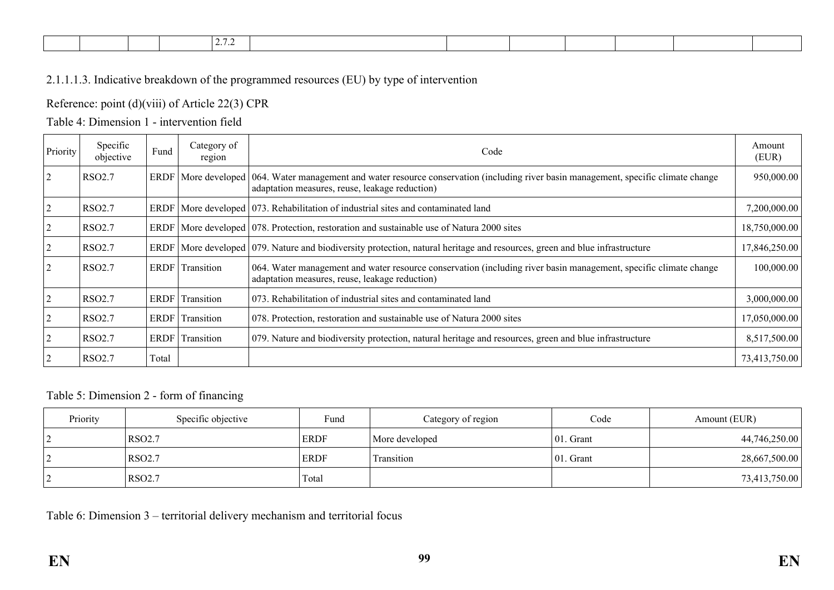| <i>.</i> |
|----------|
|----------|

## 2.1.1.1.3. Indicative breakdown of the programmed resources (EU) by type of intervention

#### Reference: point (d)(viii) of Article 22(3) CPR

## Table 4: Dimension 1 - intervention field

| Priority       | Specific<br>objective | Fund        | Category of<br>region | Code                                                                                                                                                                                       | Amount<br>(EUR) |
|----------------|-----------------------|-------------|-----------------------|--------------------------------------------------------------------------------------------------------------------------------------------------------------------------------------------|-----------------|
| $\overline{2}$ | <b>RSO2.7</b>         |             |                       | ERDF   More developed   064. Water management and water resource conservation (including river basin management, specific climate change<br>adaptation measures, reuse, leakage reduction) | 950,000.00      |
| $\overline{2}$ | <b>RSO2.7</b>         |             |                       | ERDF   More developed   073. Rehabilitation of industrial sites and contaminated land                                                                                                      | 7,200,000.00    |
|                | <b>RSO2.7</b>         |             |                       | $ERDF$ More developed 078. Protection, restoration and sustainable use of Natura 2000 sites                                                                                                | 18,750,000.00   |
|                | <b>RSO2.7</b>         |             |                       | ERDF   More developed   079. Nature and biodiversity protection, natural heritage and resources, green and blue infrastructure                                                             | 17,846,250.00   |
| $\overline{2}$ | <b>RSO2.7</b>         |             | ERDF Transition       | 064. Water management and water resource conservation (including river basin management, specific climate change<br>adaptation measures, reuse, leakage reduction)                         | 100,000.00      |
| $\overline{2}$ | <b>RSO2.7</b>         | ERDF        | Transition            | 073. Rehabilitation of industrial sites and contaminated land                                                                                                                              | 3,000,000.00    |
|                | <b>RSO2.7</b>         | ERDF        | Transition            | 078. Protection, restoration and sustainable use of Natura 2000 sites                                                                                                                      | 17,050,000.00   |
| 2              | RSO <sub>2.7</sub>    | <b>ERDF</b> | Transition            | 079. Nature and biodiversity protection, natural heritage and resources, green and blue infrastructure                                                                                     | 8,517,500.00    |
| 2              | RSO <sub>2.7</sub>    | Total       |                       |                                                                                                                                                                                            | 73,413,750.00   |

#### Table 5: Dimension 2 - form of financing

| Priority | Specific objective | Fund        | Category of region | Code         | Amount (EUR)  |
|----------|--------------------|-------------|--------------------|--------------|---------------|
|          | <b>RSO2.7</b>      | <b>ERDF</b> | More developed     | $ 01.$ Grant | 44,746,250.00 |
|          | RSO <sub>2.7</sub> | <b>ERDF</b> | Transition         | 01. Grant    | 28,667,500.00 |
|          | <b>RSO2.7</b>      | Total       |                    |              | 73,413,750.00 |

Table 6: Dimension 3 – territorial delivery mechanism and territorial focus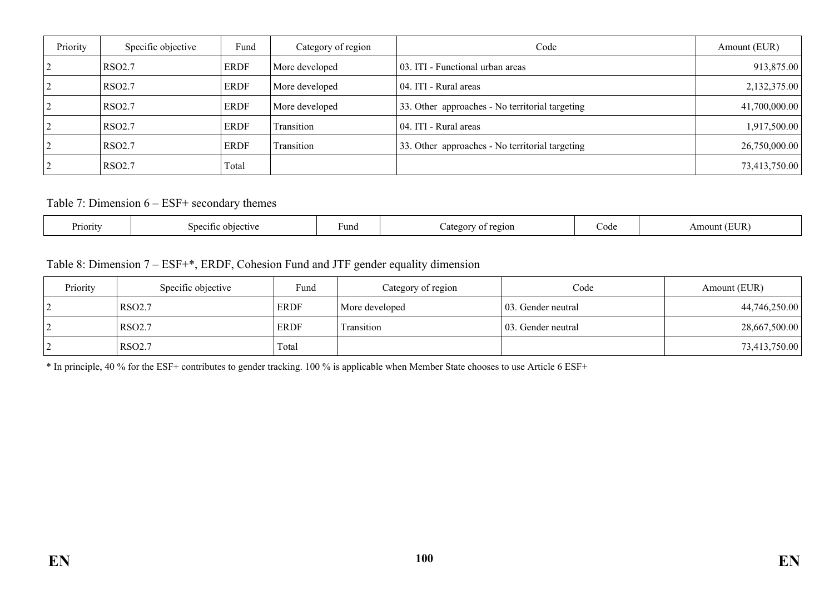| Priority | Specific objective | Fund        | Category of region | Code                                            | Amount (EUR)  |
|----------|--------------------|-------------|--------------------|-------------------------------------------------|---------------|
|          | RSO <sub>2.7</sub> | <b>ERDF</b> | More developed     | 03. ITI - Functional urban areas                | 913,875.00    |
|          | RSO2.7             | <b>ERDF</b> | More developed     | 04. ITI - Rural areas                           | 2,132,375.00  |
|          | RSO2.7             | <b>ERDF</b> | More developed     | 33. Other approaches - No territorial targeting | 41,700,000.00 |
|          | RSO <sub>2.7</sub> | <b>ERDF</b> | Transition         | 04. ITI - Rural areas                           | 1,917,500.00  |
|          | RSO2.7             | <b>ERDF</b> | Transition         | 33. Other approaches - No territorial targeting | 26,750,000.00 |
|          | RSO <sub>2.7</sub> | Total       |                    |                                                 | 73,413,750.00 |

#### Table 7: Dimension 6 – ESF+ secondary themes

| Priority<br>Fund<br>etiv<br>ecitic | region<br>90 L | ∂ode | JR<br>ווור<br>. |
|------------------------------------|----------------|------|-----------------|
|------------------------------------|----------------|------|-----------------|

## Table 8: Dimension 7 – ESF+\*, ERDF, Cohesion Fund and JTF gender equality dimension

| Priority | Specific objective | Fund        | Category of region | Code                | Amount (EUR)  |
|----------|--------------------|-------------|--------------------|---------------------|---------------|
| ∸        | <b>RSO2.7</b>      | <b>ERDF</b> | More developed     | 103. Gender neutral | 44,746,250.00 |
|          | <b>RSO2.7</b>      | <b>ERDF</b> | Fransition         | 103. Gender neutral | 28,667,500.00 |
| 2        | <b>RSO2.7</b>      | Total       |                    |                     | 73,413,750.00 |

\* In principle, 40 % for the ESF+ contributes to gender tracking. 100 % is applicable when Member State chooses to use Article 6 ESF+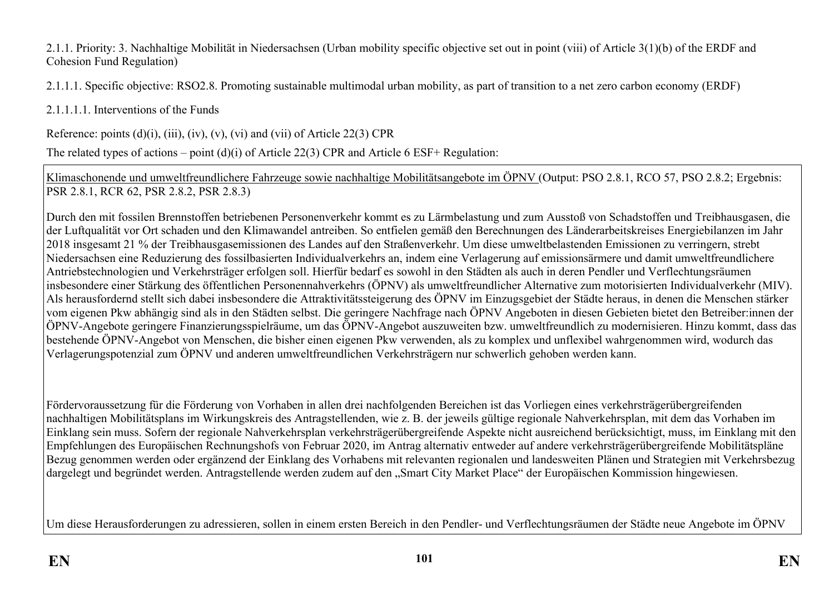#### 2.1.1. Priority: 3. Nachhaltige Mobilität in Niedersachsen (Urban mobility specific objective set out in point (viii) of Article 3(1)(b) of the ERDF and Cohesion Fund Regulation)

2.1.1.1. Specific objective: RSO2.8. Promoting sustainable multimodal urban mobility, as part of transition to a net zero carbon economy (ERDF)

2.1.1.1.1. Interventions of the Funds

Reference: points  $(d)(i)$ ,  $(iii)$ ,  $(iv)$ ,  $(v)$ ,  $(vi)$  and  $(vii)$  of Article 22(3) CPR

The related types of actions – point (d)(i) of Article 22(3) CPR and Article 6 ESF+ Regulation:

Klimaschonende und umweltfreundlichere Fahrzeuge sowie nachhaltige Mobilitätsangebote im ÖPNV (Output: PSO 2.8.1, RCO 57, PSO 2.8.2; Ergebnis: PSR 2.8.1, RCR 62, PSR 2.8.2, PSR 2.8.3)

Durch den mit fossilen Brennstoffen betriebenen Personenverkehr kommt es zu Lärmbelastung und zum Ausstoß von Schadstoffen und Treibhausgasen, die der Luftqualität vor Ort schaden und den Klimawandel antreiben. So entfielen gemäß den Berechnungen des Länderarbeitskreises Energiebilanzen im Jahr 2018 insgesamt 21 % der Treibhausgasemissionen des Landes auf den Straßenverkehr. Um diese umweltbelastenden Emissionen zu verringern, strebt Niedersachsen eine Reduzierung des fossilbasierten Individualverkehrs an, indem eine Verlagerung auf emissionsärmere und damit umweltfreundlichere Antriebstechnologien und Verkehrsträger erfolgen soll. Hierfür bedarf es sowohl in den Städten als auch in deren Pendler und Verflechtungsräumen insbesondere einer Stärkung des öffentlichen Personennahverkehrs (ÖPNV) als umweltfreundlicher Alternative zum motorisierten Individualverkehr (MIV). Als herausfordernd stellt sich dabei insbesondere die Attraktivitätssteigerung des ÖPNV im Einzugsgebiet der Städte heraus, in denen die Menschen stärker vom eigenen Pkw abhängig sind als in den Städten selbst. Die geringere Nachfrage nach ÖPNV Angeboten in diesen Gebieten bietet den Betreiber:innen der ÖPNV-Angebote geringere Finanzierungsspielräume, um das ÖPNV-Angebot auszuweiten bzw. umweltfreundlich zu modernisieren. Hinzu kommt, dass das bestehende ÖPNV-Angebot von Menschen, die bisher einen eigenen Pkw verwenden, als zu komplex und unflexibel wahrgenommen wird, wodurch das Verlagerungspotenzial zum ÖPNV und anderen umweltfreundlichen Verkehrsträgern nur schwerlich gehoben werden kann.

Fördervoraussetzung für die Förderung von Vorhaben in allen drei nachfolgenden Bereichen ist das Vorliegen eines verkehrsträgerübergreifenden nachhaltigen Mobilitätsplans im Wirkungskreis des Antragstellenden, wie z. B. der jeweils gültige regionale Nahverkehrsplan, mit dem das Vorhaben im Einklang sein muss. Sofern der regionale Nahverkehrsplan verkehrsträgerübergreifende Aspekte nicht ausreichend berücksichtigt, muss, im Einklang mit den Empfehlungen des Europäischen Rechnungshofs von Februar 2020, im Antrag alternativ entweder auf andere verkehrsträgerübergreifende Mobilitätspläne Bezug genommen werden oder ergänzend der Einklang des Vorhabens mit relevanten regionalen und landesweiten Plänen und Strategien mit Verkehrsbezug dargelegt und begründet werden. Antragstellende werden zudem auf den "Smart City Market Place" der Europäischen Kommission hingewiesen.

Um diese Herausforderungen zu adressieren, sollen in einem ersten Bereich in den Pendler- und Verflechtungsräumen der Städte neue Angebote im ÖPNV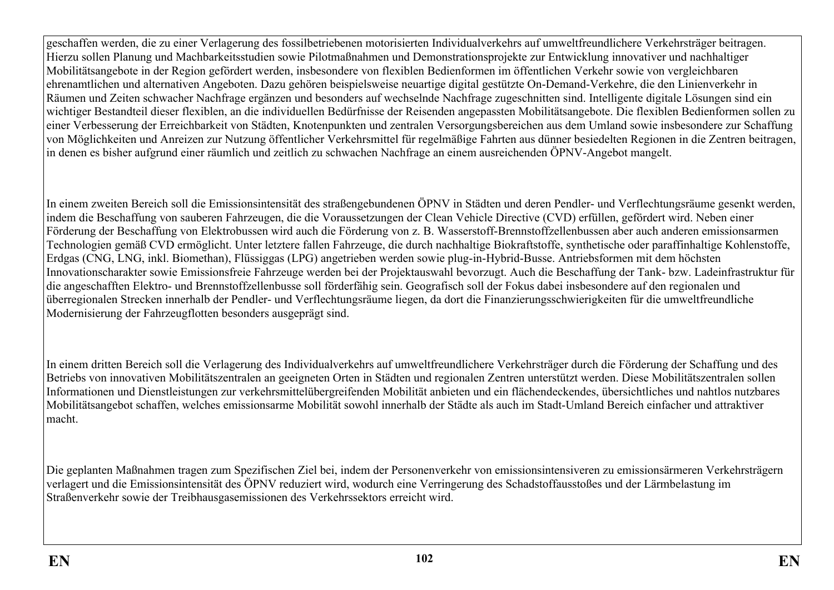geschaffen werden, die zu einer Verlagerung des fossilbetriebenen motorisierten Individualverkehrs auf umweltfreundlichere Verkehrsträger beitragen. Hierzu sollen Planung und Machbarkeitsstudien sowie Pilotmaßnahmen und Demonstrationsprojekte zur Entwicklung innovativer und nachhaltiger Mobilitätsangebote in der Region gefördert werden, insbesondere von flexiblen Bedienformen im öffentlichen Verkehr sowie von vergleichbaren ehrenamtlichen und alternativen Angeboten. Dazu gehören beispielsweise neuartige digital gestützte On-Demand-Verkehre, die den Linienverkehr in Räumen und Zeiten schwacher Nachfrage ergänzen und besonders auf wechselnde Nachfrage zugeschnitten sind. Intelligente digitale Lösungen sind ein wichtiger Bestandteil dieser flexiblen, an die individuellen Bedürfnisse der Reisenden angepassten Mobilitätsangebote. Die flexiblen Bedienformen sollen zu einer Verbesserung der Erreichbarkeit von Städten, Knotenpunkten und zentralen Versorgungsbereichen aus dem Umland sowie insbesondere zur Schaffung von Möglichkeiten und Anreizen zur Nutzung öffentlicher Verkehrsmittel für regelmäßige Fahrten aus dünner besiedelten Regionen in die Zentren beitragen, in denen es bisher aufgrund einer räumlich und zeitlich zu schwachen Nachfrage an einem ausreichenden ÖPNV-Angebot mangelt.

In einem zweiten Bereich soll die Emissionsintensität des straßengebundenen ÖPNV in Städten und deren Pendler- und Verflechtungsräume gesenkt werden, indem die Beschaffung von sauberen Fahrzeugen, die die Voraussetzungen der Clean Vehicle Directive (CVD) erfüllen, gefördert wird. Neben einer Förderung der Beschaffung von Elektrobussen wird auch die Förderung von z. B. Wasserstoff-Brennstoffzellenbussen aber auch anderen emissionsarmen Technologien gemäß CVD ermöglicht. Unter letztere fallen Fahrzeuge, die durch nachhaltige Biokraftstoffe, synthetische oder paraffinhaltige Kohlenstoffe, Erdgas (CNG, LNG, inkl. Biomethan), Flüssiggas (LPG) angetrieben werden sowie plug-in-Hybrid-Busse. Antriebsformen mit dem höchsten Innovationscharakter sowie Emissionsfreie Fahrzeuge werden bei der Projektauswahl bevorzugt. Auch die Beschaffung der Tank- bzw. Ladeinfrastruktur für die angeschafften Elektro- und Brennstoffzellenbusse soll förderfähig sein. Geografisch soll der Fokus dabei insbesondere auf den regionalen und überregionalen Strecken innerhalb der Pendler- und Verflechtungsräume liegen, da dort die Finanzierungsschwierigkeiten für die umweltfreundliche Modernisierung der Fahrzeugflotten besonders ausgeprägt sind.

In einem dritten Bereich soll die Verlagerung des Individualverkehrs auf umweltfreundlichere Verkehrsträger durch die Förderung der Schaffung und des Betriebs von innovativen Mobilitätszentralen an geeigneten Orten in Städten und regionalen Zentren unterstützt werden. Diese Mobilitätszentralen sollen Informationen und Dienstleistungen zur verkehrsmittelübergreifenden Mobilität anbieten und ein flächendeckendes, übersichtliches und nahtlos nutzbares Mobilitätsangebot schaffen, welches emissionsarme Mobilität sowohl innerhalb der Städte als auch im Stadt-Umland Bereich einfacher und attraktiver macht.

Die geplanten Maßnahmen tragen zum Spezifischen Ziel bei, indem der Personenverkehr von emissionsintensiveren zu emissionsärmeren Verkehrsträgern verlagert und die Emissionsintensität des ÖPNV reduziert wird, wodurch eine Verringerung des Schadstoffausstoßes und der Lärmbelastung im Straßenverkehr sowie der Treibhausgasemissionen des Verkehrssektors erreicht wird.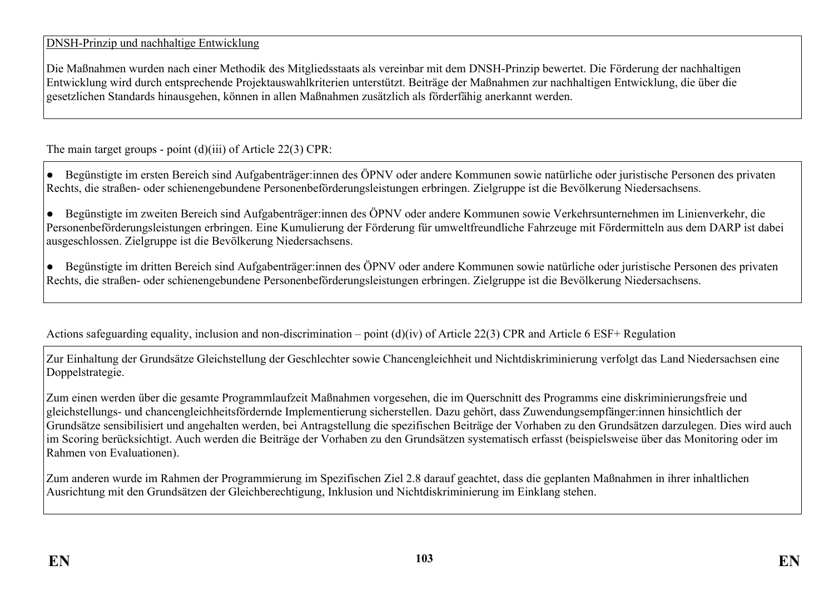# DNSH-Prinzip und nachhaltige Entwicklung

Die Maßnahmen wurden nach einer Methodik des Mitgliedsstaats als vereinbar mit dem DNSH-Prinzip bewertet. Die Förderung der nachhaltigen Entwicklung wird durch entsprechende Projektauswahlkriterien unterstützt. Beiträge der Maßnahmen zur nachhaltigen Entwicklung, die über die gesetzlichen Standards hinausgehen, können in allen Maßnahmen zusätzlich als förderfähig anerkannt werden.

The main target groups - point (d)(iii) of Article 22(3) CPR:

● Begünstigte im ersten Bereich sind Aufgabenträger:innen des ÖPNV oder andere Kommunen sowie natürliche oder juristische Personen des privaten Rechts, die straßen- oder schienengebundene Personenbeförderungsleistungen erbringen. Zielgruppe ist die Bevölkerung Niedersachsens.

● Begünstigte im zweiten Bereich sind Aufgabenträger:innen des ÖPNV oder andere Kommunen sowie Verkehrsunternehmen im Linienverkehr, die Personenbeförderungsleistungen erbringen. Eine Kumulierung der Förderung für umweltfreundliche Fahrzeuge mit Fördermitteln aus dem DARP ist dabei ausgeschlossen. Zielgruppe ist die Bevölkerung Niedersachsens.

● Begünstigte im dritten Bereich sind Aufgabenträger:innen des ÖPNV oder andere Kommunen sowie natürliche oder juristische Personen des privaten Rechts, die straßen- oder schienengebundene Personenbeförderungsleistungen erbringen. Zielgruppe ist die Bevölkerung Niedersachsens.

Actions safeguarding equality, inclusion and non-discrimination – point (d)(iv) of Article 22(3) CPR and Article 6 ESF+ Regulation

Zur Einhaltung der Grundsätze Gleichstellung der Geschlechter sowie Chancengleichheit und Nichtdiskriminierung verfolgt das Land Niedersachsen eine Doppelstrategie.

Zum einen werden über die gesamte Programmlaufzeit Maßnahmen vorgesehen, die im Querschnitt des Programms eine diskriminierungsfreie und gleichstellungs- und chancengleichheitsfördernde Implementierung sicherstellen. Dazu gehört, dass Zuwendungsempfänger:innen hinsichtlich der Grundsätze sensibilisiert und angehalten werden, bei Antragstellung die spezifischen Beiträge der Vorhaben zu den Grundsätzen darzulegen. Dies wird auch im Scoring berücksichtigt. Auch werden die Beiträge der Vorhaben zu den Grundsätzen systematisch erfasst (beispielsweise über das Monitoring oder im Rahmen von Evaluationen).

Zum anderen wurde im Rahmen der Programmierung im Spezifischen Ziel 2.8 darauf geachtet, dass die geplanten Maßnahmen in ihrer inhaltlichen Ausrichtung mit den Grundsätzen der Gleichberechtigung, Inklusion und Nichtdiskriminierung im Einklang stehen.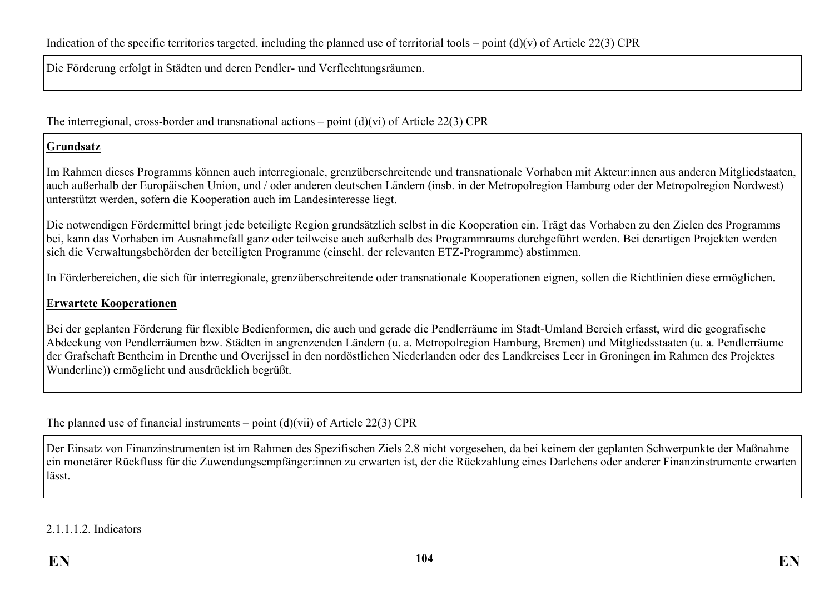Die Förderung erfolgt in Städten und deren Pendler- und Verflechtungsräumen.

The interregional, cross-border and transnational actions – point (d)(vi) of Article 22(3) CPR

#### **Grundsatz**

Im Rahmen dieses Programms können auch interregionale, grenzüberschreitende und transnationale Vorhaben mit Akteur:innen aus anderen Mitgliedstaaten, auch außerhalb der Europäischen Union, und / oder anderen deutschen Ländern (insb. in der Metropolregion Hamburg oder der Metropolregion Nordwest) unterstützt werden, sofern die Kooperation auch im Landesinteresse liegt.

Die notwendigen Fördermittel bringt jede beteiligte Region grundsätzlich selbst in die Kooperation ein. Trägt das Vorhaben zu den Zielen des Programms bei, kann das Vorhaben im Ausnahmefall ganz oder teilweise auch außerhalb des Programmraums durchgeführt werden. Bei derartigen Projekten werden sich die Verwaltungsbehörden der beteiligten Programme (einschl. der relevanten ETZ-Programme) abstimmen.

In Förderbereichen, die sich für interregionale, grenzüberschreitende oder transnationale Kooperationen eignen, sollen die Richtlinien diese ermöglichen.

## **Erwartete Kooperationen**

Bei der geplanten Förderung für flexible Bedienformen, die auch und gerade die Pendlerräume im Stadt-Umland Bereich erfasst, wird die geografische Abdeckung von Pendlerräumen bzw. Städten in angrenzenden Ländern (u. a. Metropolregion Hamburg, Bremen) und Mitgliedsstaaten (u. a. Pendlerräume der Grafschaft Bentheim in Drenthe und Overijssel in den nordöstlichen Niederlanden oder des Landkreises Leer in Groningen im Rahmen des Projektes Wunderline)) ermöglicht und ausdrücklich begrüßt.

The planned use of financial instruments – point  $(d)(\n{\rm vii})$  of Article 22(3) CPR

Der Einsatz von Finanzinstrumenten ist im Rahmen des Spezifischen Ziels 2.8 nicht vorgesehen, da bei keinem der geplanten Schwerpunkte der Maßnahme ein monetärer Rückfluss für die Zuwendungsempfänger:innen zu erwarten ist, der die Rückzahlung eines Darlehens oder anderer Finanzinstrumente erwarten lässt.

2.1.1.1.2. Indicators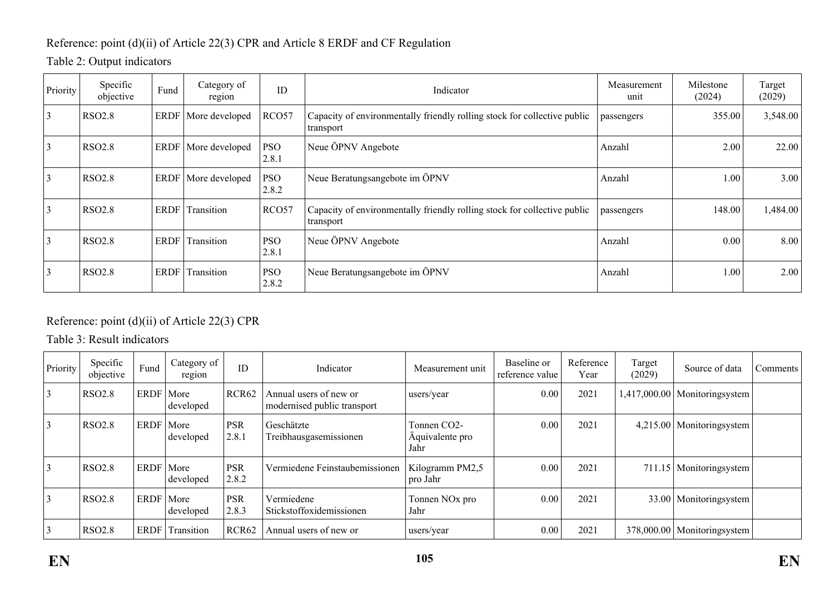# Reference: point (d)(ii) of Article 22(3) CPR and Article 8 ERDF and CF Regulation

# Table 2: Output indicators

| Priority        | Specific<br>objective | Fund        | Category of<br>region | ID                  | Indicator                                                                             | Measurement<br>unit | Milestone<br>(2024) | Target<br>(2029) |
|-----------------|-----------------------|-------------|-----------------------|---------------------|---------------------------------------------------------------------------------------|---------------------|---------------------|------------------|
| $\vert 3 \vert$ | <b>RSO2.8</b>         | <b>ERDF</b> | More developed        | RCO57               | Capacity of environmentally friendly rolling stock for collective public<br>transport | passengers          | 355.00              | 3,548.00         |
| 3               | <b>RSO2.8</b>         | <b>ERDF</b> | More developed        | <b>PSO</b><br>2.8.1 | Neue ÖPNV Angebote                                                                    | Anzahl              | 2.00                | 22.00            |
| 3               | <b>RSO2.8</b>         | <b>ERDF</b> | More developed        | <b>PSO</b><br>2.8.2 | Neue Beratungsangebote im ÖPNV                                                        | Anzahl              | 1.00                | 3.00             |
| 3               | <b>RSO2.8</b>         | <b>ERDF</b> | Transition            | RCO57               | Capacity of environmentally friendly rolling stock for collective public<br>transport | passengers          | 148.00              | 1,484.00         |
| 3               | <b>RSO2.8</b>         | <b>ERDF</b> | Transition            | <b>PSO</b><br>2.8.1 | Neue ÖPNV Angebote                                                                    | Anzahl              | 0.00                | 8.00             |
| 3               | <b>RSO2.8</b>         | <b>ERDF</b> | Transition            | <b>PSO</b><br>2.8.2 | Neue Beratungsangebote im ÖPNV                                                        | Anzahl              | 1.00                | 2.00             |

# Reference: point (d)(ii) of Article 22(3) CPR

Table 3: Result indicators

| Priority | Specific<br>objective | Fund        | Category of<br>region | ID                  | Indicator                                             | Measurement unit                       | Baseline or<br>reference value | Reference<br>Year | Target<br>(2029) | Source of data   | Comments |
|----------|-----------------------|-------------|-----------------------|---------------------|-------------------------------------------------------|----------------------------------------|--------------------------------|-------------------|------------------|------------------|----------|
|          | <b>RSO2.8</b>         | ERDF        | More<br>developed     | RCR62               | Annual users of new or<br>modernised public transport | users/year                             | 0.00                           | 2021              | 1,417,000.00     | Monitoringsystem |          |
|          | <b>RSO2.8</b>         | ERDF   More | developed             | <b>PSR</b><br>2.8.1 | Geschätzte<br>Treibhausgasemissionen                  | Tonnen CO2-<br>Äquivalente pro<br>Jahr | 0.00                           | 2021              | 4.215.00         | Monitoringsystem |          |
|          | <b>RSO2.8</b>         | ERDF   More | developed             | <b>PSR</b><br>2.8.2 | Vermiedene Feinstaubemissionen                        | Kilogramm PM2.5<br>pro Jahr            | 0.00                           | 2021              | 711.15           | Monitoringsystem |          |
|          | <b>RSO2.8</b>         | ERDF   More | developed             | <b>PSR</b><br>2.8.3 | Vermiedene<br>Stickstoffoxidemissionen                | Tonnen NO <sub>x</sub> pro<br>Jahr     | 0.00                           | 2021              | 33.00            | Monitoringsystem |          |
|          | <b>RSO2.8</b>         | ERDF        | Transition            | RCR <sub>62</sub>   | Annual users of new or                                | users/year                             | 0.00                           | 2021              | 378,000.00       | Monitoringsystem |          |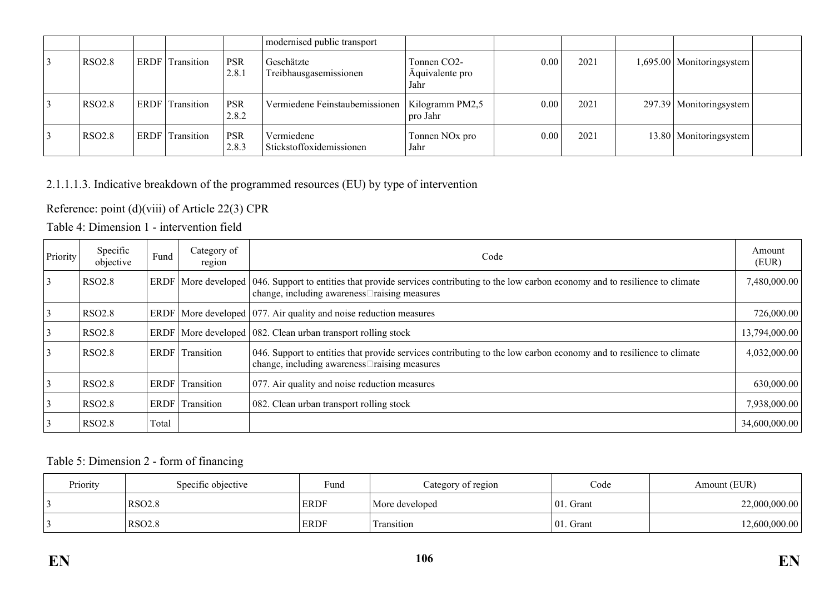|        |                        |                     | modernised public transport                      |                                        |      |      |                             |  |
|--------|------------------------|---------------------|--------------------------------------------------|----------------------------------------|------|------|-----------------------------|--|
| RSO2.8 | <b>ERDF</b> Transition | PSR<br>2.8.1        | Geschätzte<br>Treibhausgasemissionen             | Tonnen CO2-<br>Äquivalente pro<br>Jahr | 0.00 | 2021 | 1,695.00   Monitoringsystem |  |
| RSO2.8 | <b>ERDF</b> Transition | <b>PSR</b><br>2.8.2 | Vermiedene Feinstaubemissionen   Kilogramm PM2,5 | pro Jahr                               | 0.00 | 2021 | 297.39   Monitoringsystem   |  |
| RSO2.8 | <b>ERDF</b> Transition | <b>PSR</b><br>2.8.3 | Vermiedene<br>Stickstoffoxidemissionen           | Tonnen NO <sub>x</sub> pro<br>Jahr     | 0.00 | 2021 | 13.80   Monitoringsystem    |  |

# 2.1.1.1.3. Indicative breakdown of the programmed resources (EU) by type of intervention

Reference: point (d)(viii) of Article 22(3) CPR

Table 4: Dimension 1 - intervention field

| Priority | Specific<br>objective | Fund  | Category of<br>region  | Code                                                                                                                                                                                                 | Amount<br>(EUR) |
|----------|-----------------------|-------|------------------------|------------------------------------------------------------------------------------------------------------------------------------------------------------------------------------------------------|-----------------|
| 3        | <b>RSO2.8</b>         |       |                        | ERDF   More developed   046. Support to entities that provide services contributing to the low carbon economy and to resilience to climate<br>change, including awareness $\square$ raising measures | 7,480,000.00    |
| 3        | <b>RSO2.8</b>         |       |                        | ERDF   More developed   077. Air quality and noise reduction measures                                                                                                                                | 726,000.00      |
| 3        | <b>RSO2.8</b>         |       |                        | ERDF   More developed   082. Clean urban transport rolling stock                                                                                                                                     | 13,794,000.00   |
| 3        | <b>RSO2.8</b>         |       | ERDF Transition        | 046. Support to entities that provide services contributing to the low carbon economy and to resilience to climate<br>change, including awareness□raising measures                                   | 4,032,000.00    |
|          | <b>RSO2.8</b>         |       | ERDF Transition        | 077. Air quality and noise reduction measures                                                                                                                                                        | 630,000.00      |
| 3        | <b>RSO2.8</b>         |       | <b>ERDF</b> Transition | 082. Clean urban transport rolling stock                                                                                                                                                             | 7,938,000.00    |
| 3        | <b>RSO2.8</b>         | Total |                        |                                                                                                                                                                                                      | 34,600,000.00   |

## Table 5: Dimension 2 - form of financing

| Priority | Specific objective | $\blacksquare$<br>Fund | Category of region              | Code          | Amount (EUR)  |
|----------|--------------------|------------------------|---------------------------------|---------------|---------------|
|          | RSO <sub>2.8</sub> | <b>ERDF</b>            | More developed                  | 01<br>. Grant | 22,000,000.00 |
|          | RSO <sub>2.8</sub> | <b>ERDF</b>            | Transition<br><b>CONTRACTOR</b> | 01<br>. Grant | 12,600,000.00 |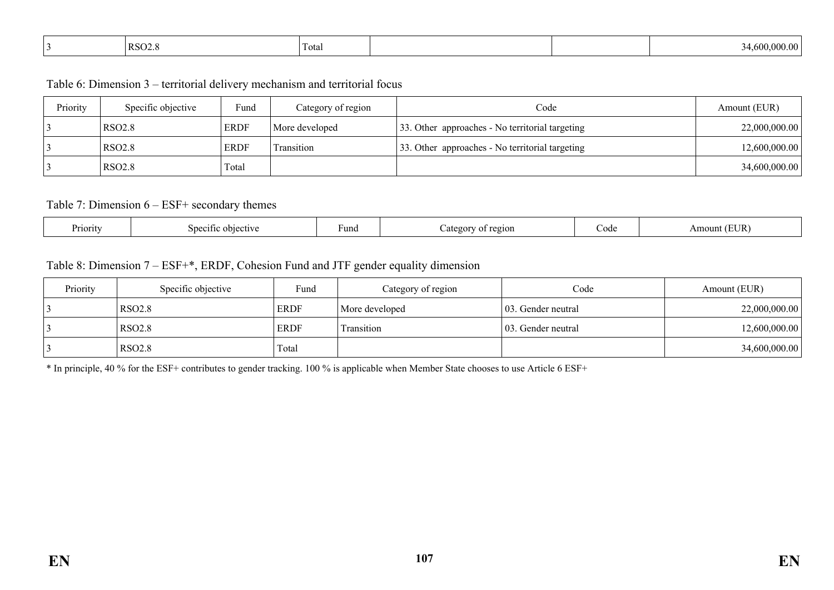|  | $ RSO2.\rangle$ | $\sim$<br>Total |  |  | $\epsilon$ as |
|--|-----------------|-----------------|--|--|---------------|
|--|-----------------|-----------------|--|--|---------------|

Table 6: Dimension 3 – territorial delivery mechanism and territorial focus

| Priority | Specific objective | Fund        | Category of region | Code                                            | Amount (EUR)  |
|----------|--------------------|-------------|--------------------|-------------------------------------------------|---------------|
|          | <b>RSO2.8</b>      | <b>ERDF</b> | More developed     | 33. Other approaches - No territorial targeting | 22,000,000.00 |
|          | <b>RSO2.8</b>      | <b>ERDF</b> | Transition         | 33. Other approaches - No territorial targeting | 12,600,000.00 |
|          | <b>RSO2.8</b>      | Total       |                    |                                                 | 34,600,000.00 |

#### Table 7: Dimension 6 – ESF+ secondary themes

| –<br>Priority<br>ective<br>Sner<br>21†1C | Fund | 2210N<br>-cror<br>. . | Code | 'EUR<br>Amount |
|------------------------------------------|------|-----------------------|------|----------------|
|------------------------------------------|------|-----------------------|------|----------------|

#### Table 8: Dimension 7 – ESF+\*, ERDF, Cohesion Fund and JTF gender equality dimension

| Priority | Specific objective | Fund        | Category of region | Code                | Amount (EUR)  |
|----------|--------------------|-------------|--------------------|---------------------|---------------|
|          | RSO2.8             | <b>ERDF</b> | More developed     | 103. Gender neutral | 22,000,000.00 |
|          | RSO2.8             | <b>ERDF</b> | Transition         | 103. Gender neutral | 12,600,000.00 |
|          | <b>RSO2.8</b>      | Total       |                    |                     | 34,600,000.00 |

\* In principle, 40 % for the ESF+ contributes to gender tracking. 100 % is applicable when Member State chooses to use Article 6 ESF+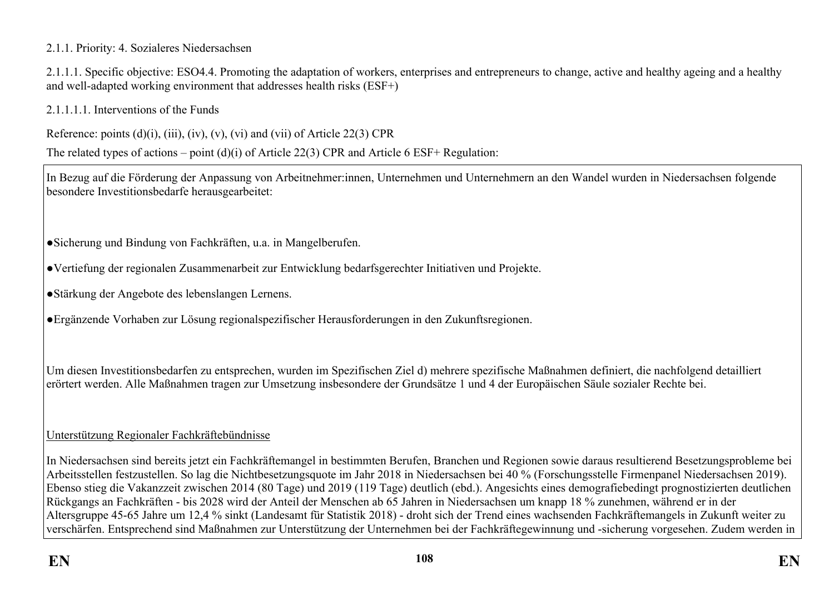## 2.1.1. Priority: 4. Sozialeres Niedersachsen

2.1.1.1. Specific objective: ESO4.4. Promoting the adaptation of workers, enterprises and entrepreneurs to change, active and healthy ageing and a healthy and well-adapted working environment that addresses health risks (ESF+)

2.1.1.1.1. Interventions of the Funds

Reference: points  $(d)(i)$ ,  $(iii)$ ,  $(iv)$ ,  $(v)$ ,  $(vi)$  and  $(vii)$  of Article 22(3) CPR

The related types of actions – point (d)(i) of Article 22(3) CPR and Article 6 ESF+ Regulation:

In Bezug auf die Förderung der Anpassung von Arbeitnehmer:innen, Unternehmen und Unternehmern an den Wandel wurden in Niedersachsen folgende besondere Investitionsbedarfe herausgearbeitet:

●Sicherung und Bindung von Fachkräften, u.a. in Mangelberufen.

●Vertiefung der regionalen Zusammenarbeit zur Entwicklung bedarfsgerechter Initiativen und Projekte.

●Stärkung der Angebote des lebenslangen Lernens.

●Ergänzende Vorhaben zur Lösung regionalspezifischer Herausforderungen in den Zukunftsregionen.

Um diesen Investitionsbedarfen zu entsprechen, wurden im Spezifischen Ziel d) mehrere spezifische Maßnahmen definiert, die nachfolgend detailliert erörtert werden. Alle Maßnahmen tragen zur Umsetzung insbesondere der Grundsätze 1 und 4 der Europäischen Säule sozialer Rechte bei.

## Unterstützung Regionaler Fachkräftebündnisse

In Niedersachsen sind bereits jetzt ein Fachkräftemangel in bestimmten Berufen, Branchen und Regionen sowie daraus resultierend Besetzungsprobleme bei Arbeitsstellen festzustellen. So lag die Nichtbesetzungsquote im Jahr 2018 in Niedersachsen bei 40 % (Forschungsstelle Firmenpanel Niedersachsen 2019). Ebenso stieg die Vakanzzeit zwischen 2014 (80 Tage) und 2019 (119 Tage) deutlich (ebd.). Angesichts eines demografiebedingt prognostizierten deutlichen Rückgangs an Fachkräften - bis 2028 wird der Anteil der Menschen ab 65 Jahren in Niedersachsen um knapp 18 % zunehmen, während er in der Altersgruppe 45-65 Jahre um 12,4 % sinkt (Landesamt für Statistik 2018) - droht sich der Trend eines wachsenden Fachkräftemangels in Zukunft weiter zu verschärfen. Entsprechend sind Maßnahmen zur Unterstützung der Unternehmen bei der Fachkräftegewinnung und -sicherung vorgesehen. Zudem werden in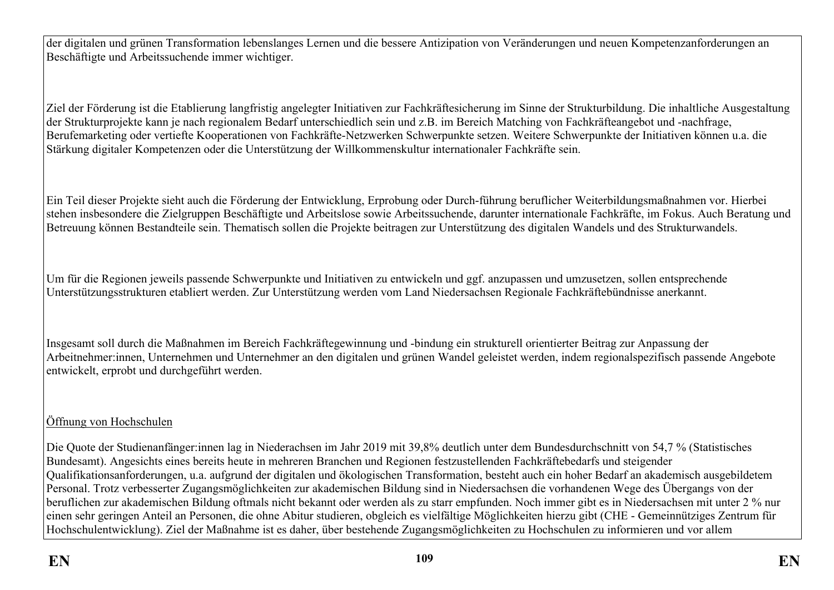der digitalen und grünen Transformation lebenslanges Lernen und die bessere Antizipation von Veränderungen und neuen Kompetenzanforderungen an Beschäftigte und Arbeitssuchende immer wichtiger.

Ziel der Förderung ist die Etablierung langfristig angelegter Initiativen zur Fachkräftesicherung im Sinne der Strukturbildung. Die inhaltliche Ausgestaltung der Strukturprojekte kann je nach regionalem Bedarf unterschiedlich sein und z.B. im Bereich Matching von Fachkräfteangebot und -nachfrage, Berufemarketing oder vertiefte Kooperationen von Fachkräfte-Netzwerken Schwerpunkte setzen. Weitere Schwerpunkte der Initiativen können u.a. die Stärkung digitaler Kompetenzen oder die Unterstützung der Willkommenskultur internationaler Fachkräfte sein.

Ein Teil dieser Projekte sieht auch die Förderung der Entwicklung, Erprobung oder Durch-führung beruflicher Weiterbildungsmaßnahmen vor. Hierbei stehen insbesondere die Zielgruppen Beschäftigte und Arbeitslose sowie Arbeitssuchende, darunter internationale Fachkräfte, im Fokus. Auch Beratung und Betreuung können Bestandteile sein. Thematisch sollen die Projekte beitragen zur Unterstützung des digitalen Wandels und des Strukturwandels.

Um für die Regionen jeweils passende Schwerpunkte und Initiativen zu entwickeln und ggf. anzupassen und umzusetzen, sollen entsprechende Unterstützungsstrukturen etabliert werden. Zur Unterstützung werden vom Land Niedersachsen Regionale Fachkräftebündnisse anerkannt.

Insgesamt soll durch die Maßnahmen im Bereich Fachkräftegewinnung und -bindung ein strukturell orientierter Beitrag zur Anpassung der Arbeitnehmer:innen, Unternehmen und Unternehmer an den digitalen und grünen Wandel geleistet werden, indem regionalspezifisch passende Angebote entwickelt, erprobt und durchgeführt werden.

## Öffnung von Hochschulen

Die Quote der Studienanfänger:innen lag in Niederachsen im Jahr 2019 mit 39,8% deutlich unter dem Bundesdurchschnitt von 54,7 % (Statistisches Bundesamt). Angesichts eines bereits heute in mehreren Branchen und Regionen festzustellenden Fachkräftebedarfs und steigender Qualifikationsanforderungen, u.a. aufgrund der digitalen und ökologischen Transformation, besteht auch ein hoher Bedarf an akademisch ausgebildetem Personal. Trotz verbesserter Zugangsmöglichkeiten zur akademischen Bildung sind in Niedersachsen die vorhandenen Wege des Übergangs von der beruflichen zur akademischen Bildung oftmals nicht bekannt oder werden als zu starr empfunden. Noch immer gibt es in Niedersachsen mit unter 2 % nur einen sehr geringen Anteil an Personen, die ohne Abitur studieren, obgleich es vielfältige Möglichkeiten hierzu gibt (CHE - Gemeinnütziges Zentrum für Hochschulentwicklung). Ziel der Maßnahme ist es daher, über bestehende Zugangsmöglichkeiten zu Hochschulen zu informieren und vor allem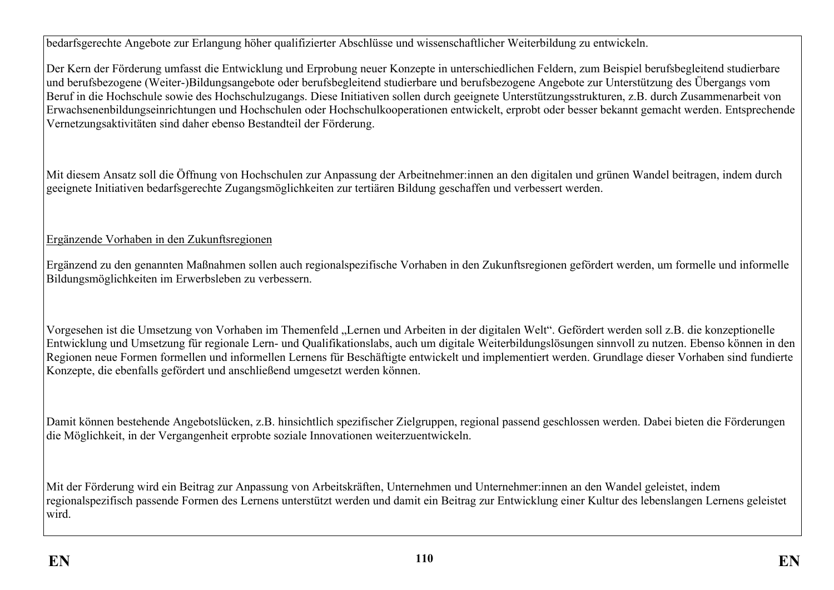bedarfsgerechte Angebote zur Erlangung höher qualifizierter Abschlüsse und wissenschaftlicher Weiterbildung zu entwickeln.

Der Kern der Förderung umfasst die Entwicklung und Erprobung neuer Konzepte in unterschiedlichen Feldern, zum Beispiel berufsbegleitend studierbare und berufsbezogene (Weiter-)Bildungsangebote oder berufsbegleitend studierbare und berufsbezogene Angebote zur Unterstützung des Übergangs vom Beruf in die Hochschule sowie des Hochschulzugangs. Diese Initiativen sollen durch geeignete Unterstützungsstrukturen, z.B. durch Zusammenarbeit von Erwachsenenbildungseinrichtungen und Hochschulen oder Hochschulkooperationen entwickelt, erprobt oder besser bekannt gemacht werden. Entsprechende Vernetzungsaktivitäten sind daher ebenso Bestandteil der Förderung.

Mit diesem Ansatz soll die Öffnung von Hochschulen zur Anpassung der Arbeitnehmer:innen an den digitalen und grünen Wandel beitragen, indem durch geeignete Initiativen bedarfsgerechte Zugangsmöglichkeiten zur tertiären Bildung geschaffen und verbessert werden.

## Ergänzende Vorhaben in den Zukunftsregionen

Ergänzend zu den genannten Maßnahmen sollen auch regionalspezifische Vorhaben in den Zukunftsregionen gefördert werden, um formelle und informelle Bildungsmöglichkeiten im Erwerbsleben zu verbessern.

Vorgesehen ist die Umsetzung von Vorhaben im Themenfeld "Lernen und Arbeiten in der digitalen Welt". Gefördert werden soll z.B. die konzeptionelle Entwicklung und Umsetzung für regionale Lern- und Qualifikationslabs, auch um digitale Weiterbildungslösungen sinnvoll zu nutzen. Ebenso können in den Regionen neue Formen formellen und informellen Lernens für Beschäftigte entwickelt und implementiert werden. Grundlage dieser Vorhaben sind fundierte Konzepte, die ebenfalls gefördert und anschließend umgesetzt werden können.

Damit können bestehende Angebotslücken, z.B. hinsichtlich spezifischer Zielgruppen, regional passend geschlossen werden. Dabei bieten die Förderungen die Möglichkeit, in der Vergangenheit erprobte soziale Innovationen weiterzuentwickeln.

Mit der Förderung wird ein Beitrag zur Anpassung von Arbeitskräften, Unternehmen und Unternehmer:innen an den Wandel geleistet, indem regionalspezifisch passende Formen des Lernens unterstützt werden und damit ein Beitrag zur Entwicklung einer Kultur des lebenslangen Lernens geleistet wird.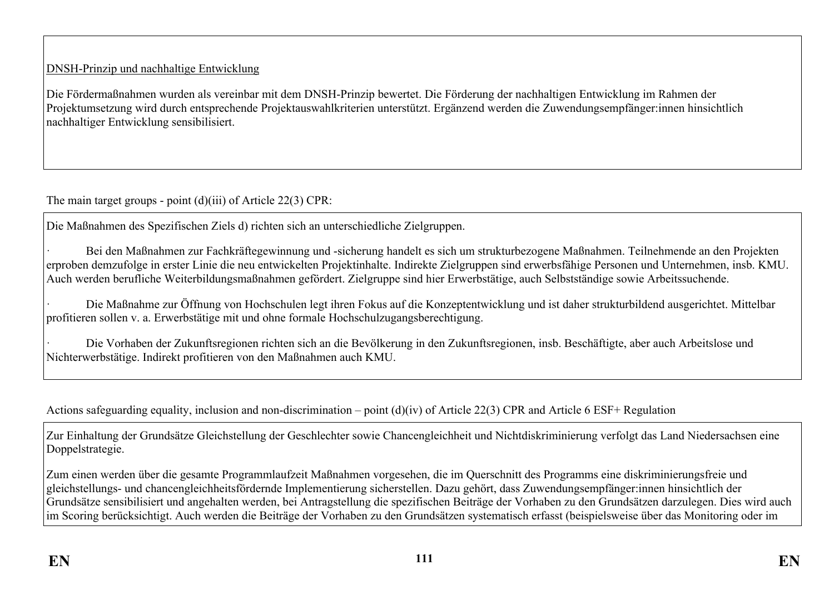## DNSH-Prinzip und nachhaltige Entwicklung

Die Fördermaßnahmen wurden als vereinbar mit dem DNSH-Prinzip bewertet. Die Förderung der nachhaltigen Entwicklung im Rahmen der Projektumsetzung wird durch entsprechende Projektauswahlkriterien unterstützt. Ergänzend werden die Zuwendungsempfänger:innen hinsichtlich nachhaltiger Entwicklung sensibilisiert.

The main target groups - point (d)(iii) of Article 22(3) CPR:

Die Maßnahmen des Spezifischen Ziels d) richten sich an unterschiedliche Zielgruppen.

· Bei den Maßnahmen zur Fachkräftegewinnung und -sicherung handelt es sich um strukturbezogene Maßnahmen. Teilnehmende an den Projekten erproben demzufolge in erster Linie die neu entwickelten Projektinhalte. Indirekte Zielgruppen sind erwerbsfähige Personen und Unternehmen, insb. KMU. Auch werden berufliche Weiterbildungsmaßnahmen gefördert. Zielgruppe sind hier Erwerbstätige, auch Selbstständige sowie Arbeitssuchende.

· Die Maßnahme zur Öffnung von Hochschulen legt ihren Fokus auf die Konzeptentwicklung und ist daher strukturbildend ausgerichtet. Mittelbar profitieren sollen v. a. Erwerbstätige mit und ohne formale Hochschulzugangsberechtigung.

· Die Vorhaben der Zukunftsregionen richten sich an die Bevölkerung in den Zukunftsregionen, insb. Beschäftigte, aber auch Arbeitslose und Nichterwerbstätige. Indirekt profitieren von den Maßnahmen auch KMU.

Actions safeguarding equality, inclusion and non-discrimination – point (d)(iv) of Article 22(3) CPR and Article 6 ESF+ Regulation

Zur Einhaltung der Grundsätze Gleichstellung der Geschlechter sowie Chancengleichheit und Nichtdiskriminierung verfolgt das Land Niedersachsen eine Doppelstrategie.

Zum einen werden über die gesamte Programmlaufzeit Maßnahmen vorgesehen, die im Querschnitt des Programms eine diskriminierungsfreie und gleichstellungs- und chancengleichheitsfördernde Implementierung sicherstellen. Dazu gehört, dass Zuwendungsempfänger:innen hinsichtlich der Grundsätze sensibilisiert und angehalten werden, bei Antragstellung die spezifischen Beiträge der Vorhaben zu den Grundsätzen darzulegen. Dies wird auch im Scoring berücksichtigt. Auch werden die Beiträge der Vorhaben zu den Grundsätzen systematisch erfasst (beispielsweise über das Monitoring oder im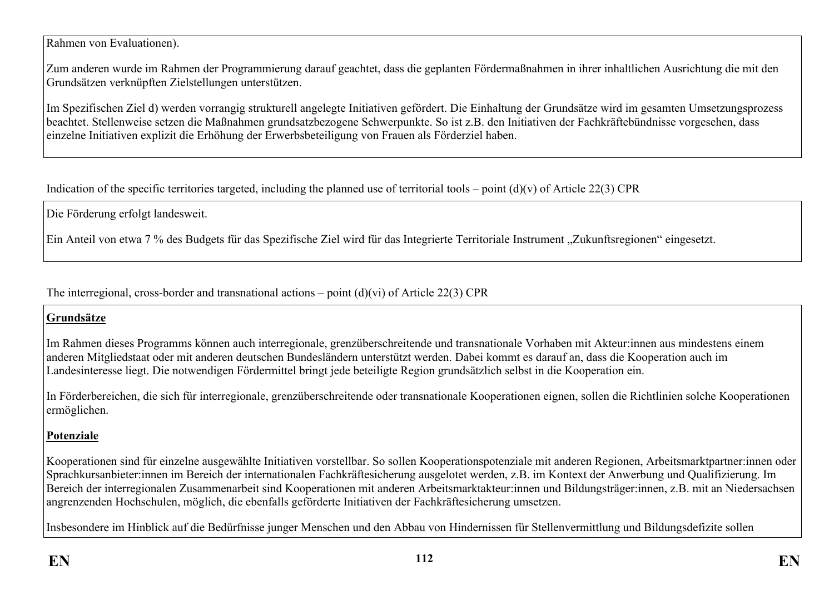Rahmen von Evaluationen).

Zum anderen wurde im Rahmen der Programmierung darauf geachtet, dass die geplanten Fördermaßnahmen in ihrer inhaltlichen Ausrichtung die mit den Grundsätzen verknüpften Zielstellungen unterstützen.

Im Spezifischen Ziel d) werden vorrangig strukturell angelegte Initiativen gefördert. Die Einhaltung der Grundsätze wird im gesamten Umsetzungsprozess beachtet. Stellenweise setzen die Maßnahmen grundsatzbezogene Schwerpunkte. So ist z.B. den Initiativen der Fachkräftebündnisse vorgesehen, dass einzelne Initiativen explizit die Erhöhung der Erwerbsbeteiligung von Frauen als Förderziel haben.

Indication of the specific territories targeted, including the planned use of territorial tools – point  $(d)(v)$  of Article 22(3) CPR

Die Förderung erfolgt landesweit.

Ein Anteil von etwa 7 % des Budgets für das Spezifische Ziel wird für das Integrierte Territoriale Instrument "Zukunftsregionen" eingesetzt.

The interregional, cross-border and transnational actions – point (d)(vi) of Article 22(3) CPR

### **Grundsätze**

Im Rahmen dieses Programms können auch interregionale, grenzüberschreitende und transnationale Vorhaben mit Akteur:innen aus mindestens einem anderen Mitgliedstaat oder mit anderen deutschen Bundesländern unterstützt werden. Dabei kommt es darauf an, dass die Kooperation auch im Landesinteresse liegt. Die notwendigen Fördermittel bringt jede beteiligte Region grundsätzlich selbst in die Kooperation ein.

In Förderbereichen, die sich für interregionale, grenzüberschreitende oder transnationale Kooperationen eignen, sollen die Richtlinien solche Kooperationen ermöglichen.

## **Potenziale**

Kooperationen sind für einzelne ausgewählte Initiativen vorstellbar. So sollen Kooperationspotenziale mit anderen Regionen, Arbeitsmarktpartner:innen oder Sprachkursanbieter:innen im Bereich der internationalen Fachkräftesicherung ausgelotet werden, z.B. im Kontext der Anwerbung und Qualifizierung. Im Bereich der interregionalen Zusammenarbeit sind Kooperationen mit anderen Arbeitsmarktakteur:innen und Bildungsträger:innen, z.B. mit an Niedersachsen angrenzenden Hochschulen, möglich, die ebenfalls geförderte Initiativen der Fachkräftesicherung umsetzen.

Insbesondere im Hinblick auf die Bedürfnisse junger Menschen und den Abbau von Hindernissen für Stellenvermittlung und Bildungsdefizite sollen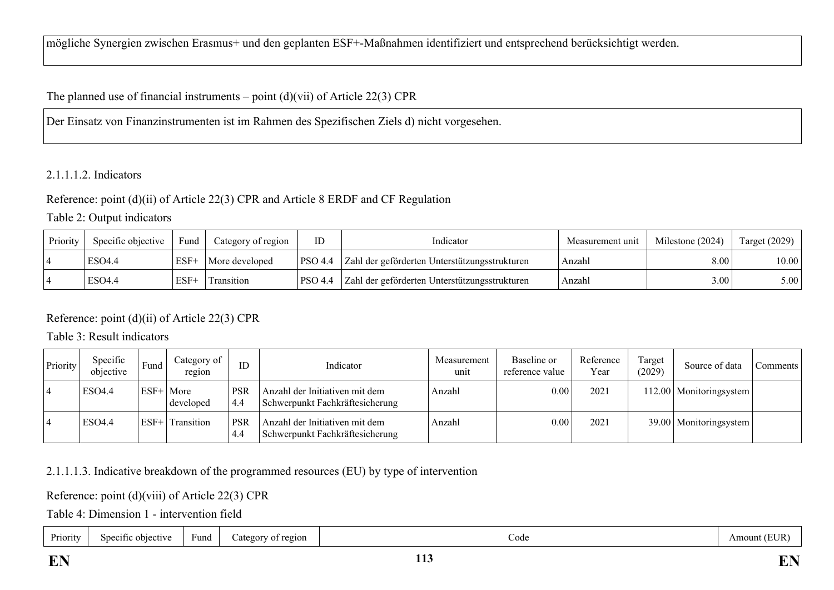mögliche Synergien zwischen Erasmus+ und den geplanten ESF+-Maßnahmen identifiziert und entsprechend berücksichtigt werden.

## The planned use of financial instruments – point  $(d)(vi)$  of Article 22(3) CPR

Der Einsatz von Finanzinstrumenten ist im Rahmen des Spezifischen Ziels d) nicht vorgesehen.

### 2.1.1.1.2. Indicators

### Reference: point (d)(ii) of Article 22(3) CPR and Article 8 ERDF and CF Regulation

Table 2: Output indicators

| Priority | Specific objective | Fund   | Category of region | ID             | Indicator                                     | Measurement unit | Milestone (2024) | Target $(2029)$ |
|----------|--------------------|--------|--------------------|----------------|-----------------------------------------------|------------------|------------------|-----------------|
|          | ESO4.4             | $ESF+$ | More developed     | <b>PSO 4.4</b> | Zahl der geförderten Unterstützungsstrukturen | Anzahl           | 8.00             | 10.00           |
|          | ESO4.4             | $ESF+$ | Transition         | <b>PSO 4.4</b> | Zahl der geförderten Unterstützungsstrukturen | Anzahl           | 3.00             | 5.00            |

## Reference: point (d)(ii) of Article 22(3) CPR

Table 3: Result indicators

| Priority | Specific<br>objective | Fund   | Category of<br>region |                    | Indicator                                                         | Measurement<br>unit | Baseline or<br>reference value | Reference<br>Year | Target<br>(2029) | Source of data           | Comments |
|----------|-----------------------|--------|-----------------------|--------------------|-------------------------------------------------------------------|---------------------|--------------------------------|-------------------|------------------|--------------------------|----------|
|          | <b>ESO4.4</b>         | $ESF+$ | More<br>developed     | <b>PSR</b><br>4.4  | Anzahl der Initiativen mit dem<br>Schwerpunkt Fachkräftesicherung | Anzahl              | 0.00                           | 2021              |                  | 12.00 Monitoringsystem   |          |
|          | <b>ESO4.4</b>         | $ESF+$ | Transition            | <b>PSR</b><br>-4.4 | Anzahl der Initiativen mit dem<br>Schwerpunkt Fachkräftesicherung | Anzahl              | 0.00                           | 2021              |                  | 39.00   Monitoringsystem |          |

### 2.1.1.1.3. Indicative breakdown of the programmed resources (EU) by type of intervention

Reference: point (d)(viii) of Article 22(3) CPR

Table 4: Dimension 1 - intervention field

| Priority<br>Amount<br>Fund<br>Specific objective<br>region<br>Code<br>categor<br>$\sim$ |  |  |  |  |  | <b>EUR</b> |
|-----------------------------------------------------------------------------------------|--|--|--|--|--|------------|
|-----------------------------------------------------------------------------------------|--|--|--|--|--|------------|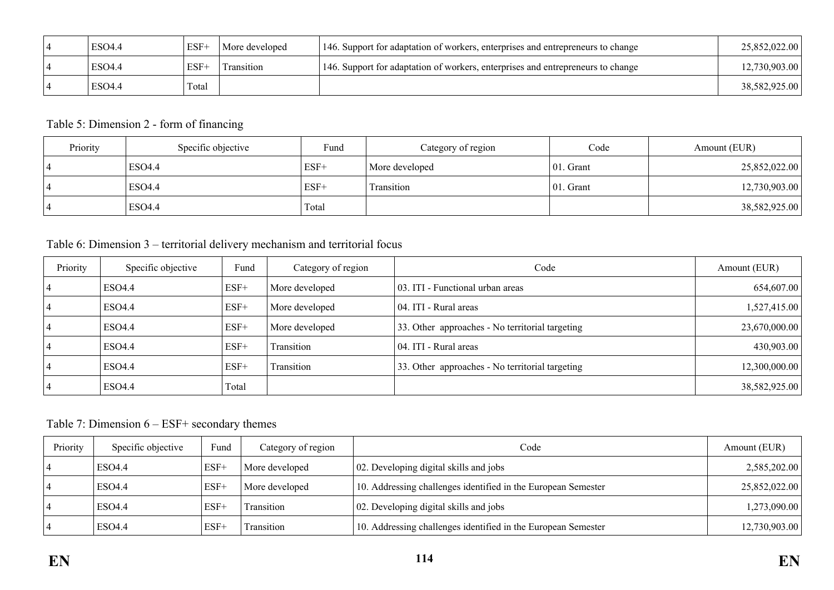| <b>ESO4.4</b> | $ESF+$ | More developed | 146. Support for adaptation of workers, enterprises and entrepreneurs to change | 25,852,022.00 |
|---------------|--------|----------------|---------------------------------------------------------------------------------|---------------|
| ESO4.4        | $ESF+$ | 'Transition    | 146. Support for adaptation of workers, enterprises and entrepreneurs to change | 12,730,903.00 |
| <b>ESO4.4</b> | Total  |                |                                                                                 | 38,582,925.00 |

## Table 5: Dimension 2 - form of financing

| Priority | Specific objective | Fund  | Category of region | Code          | Amount (EUR)  |
|----------|--------------------|-------|--------------------|---------------|---------------|
|          | ESO4.4             | ESF+  | More developed     | $ 01$ . Grant | 25,852,022.00 |
|          | ESO4.4             | ESF+  | Transition         | $ 01$ . Grant | 12,730,903.00 |
|          | ESO4.4             | Total |                    |               | 38,582,925.00 |

# Table 6: Dimension 3 – territorial delivery mechanism and territorial focus

| Priority | Specific objective | Fund   | Category of region | Code                                            | Amount (EUR)  |
|----------|--------------------|--------|--------------------|-------------------------------------------------|---------------|
|          | ESO4.4             | $ESF+$ | More developed     | 03. ITI - Functional urban areas                | 654,607.00    |
|          | ESO4.4             | $ESF+$ | More developed     | 04. ITI - Rural areas                           | 1,527,415.00  |
|          | <b>ESO4.4</b>      | $ESF+$ | More developed     | 33. Other approaches - No territorial targeting | 23,670,000.00 |
|          | ESO4.4             | $ESF+$ | Transition         | 04. ITI - Rural areas                           | 430,903.00    |
|          | ESO4.4             | $ESF+$ | <b>Transition</b>  | 33. Other approaches - No territorial targeting | 12,300,000.00 |
|          | ESO4.4             | Total  |                    |                                                 | 38,582,925.00 |

Table 7: Dimension 6 – ESF+ secondary themes

| Priority | Specific objective | Fund   | Category of region | Code                                                          | Amount (EUR)  |
|----------|--------------------|--------|--------------------|---------------------------------------------------------------|---------------|
|          | ESO4.4             | $ESF+$ | More developed     | 02. Developing digital skills and jobs                        | 2,585,202.00  |
|          | ESO4.4             | $ESF+$ | More developed     | 10. Addressing challenges identified in the European Semester | 25,852,022.00 |
|          | ESO <sub>4.4</sub> | $ESF+$ | <b>Transition</b>  | 02. Developing digital skills and jobs                        | 1,273,090.00  |
|          | ESO4.4             | $ESF+$ | Transition         | 10. Addressing challenges identified in the European Semester | 12,730,903.00 |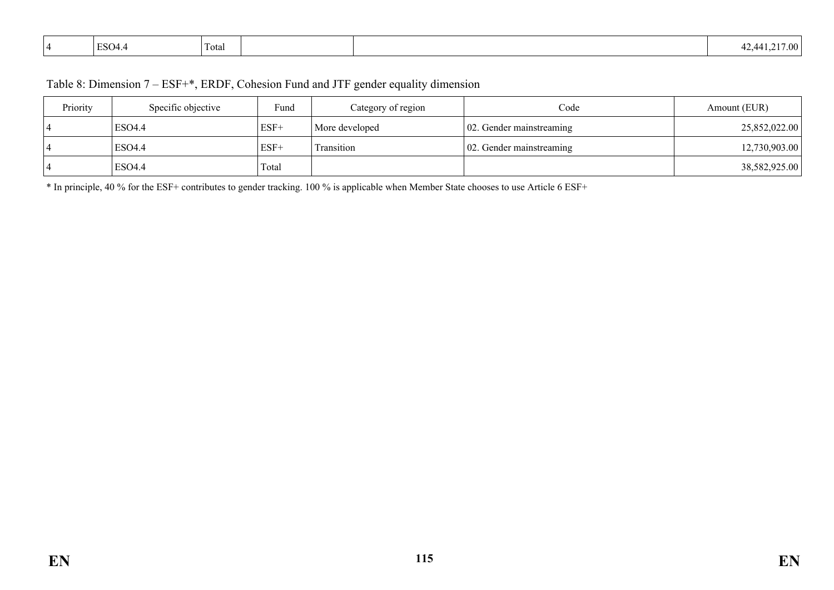|  | <b>ESO4.4</b> | $\sim$<br>Total |  |  | $\sim$<br>17.00 <sub>1</sub><br>7 A.A<br>т∠. |
|--|---------------|-----------------|--|--|----------------------------------------------|
|--|---------------|-----------------|--|--|----------------------------------------------|

| Priority | Specific objective | Fund   | Category of region | $\text{Code}$                     | Amount (EUR)  |
|----------|--------------------|--------|--------------------|-----------------------------------|---------------|
|          | ESO <sub>4</sub> 4 | $ESF+$ | More developed     | $\vert$ 02. Gender mainstreaming  | 25,852,022.00 |
|          | <b>ESO4.4</b>      | $ESF+$ | Transition         | $\vert 02$ . Gender mainstreaming | 12,730,903.00 |
|          | ESO <sub>4.4</sub> | Total  |                    |                                   | 38,582,925.00 |

\* In principle, 40 % for the ESF+ contributes to gender tracking. 100 % is applicable when Member State chooses to use Article 6 ESF+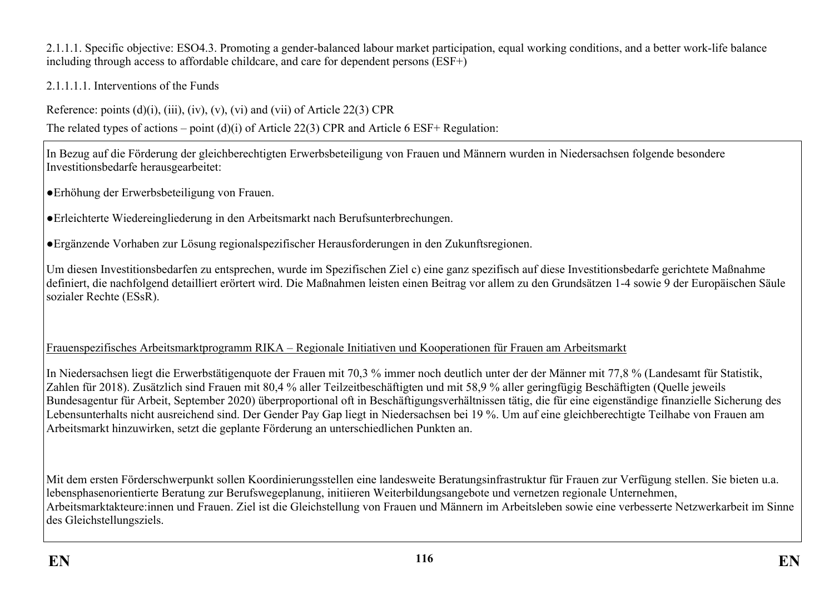2.1.1.1. Specific objective: ESO4.3. Promoting a gender-balanced labour market participation, equal working conditions, and a better work-life balance including through access to affordable childcare, and care for dependent persons (ESF+)

2.1.1.1.1. Interventions of the Funds

Reference: points  $(d)(i)$ ,  $(iii)$ ,  $(iv)$ ,  $(v)$ ,  $(vi)$  and  $(vii)$  of Article 22(3) CPR

The related types of actions – point (d)(i) of Article 22(3) CPR and Article 6 ESF+ Regulation:

In Bezug auf die Förderung der gleichberechtigten Erwerbsbeteiligung von Frauen und Männern wurden in Niedersachsen folgende besondere Investitionsbedarfe herausgearbeitet:

●Erhöhung der Erwerbsbeteiligung von Frauen.

●Erleichterte Wiedereingliederung in den Arbeitsmarkt nach Berufsunterbrechungen.

●Ergänzende Vorhaben zur Lösung regionalspezifischer Herausforderungen in den Zukunftsregionen.

Um diesen Investitionsbedarfen zu entsprechen, wurde im Spezifischen Ziel c) eine ganz spezifisch auf diese Investitionsbedarfe gerichtete Maßnahme definiert, die nachfolgend detailliert erörtert wird. Die Maßnahmen leisten einen Beitrag vor allem zu den Grundsätzen 1-4 sowie 9 der Europäischen Säule sozialer Rechte (ESsR).

Frauenspezifisches Arbeitsmarktprogramm RIKA – Regionale Initiativen und Kooperationen für Frauen am Arbeitsmarkt

In Niedersachsen liegt die Erwerbstätigenquote der Frauen mit 70,3 % immer noch deutlich unter der der Männer mit 77,8 % (Landesamt für Statistik, Zahlen für 2018). Zusätzlich sind Frauen mit 80,4 % aller Teilzeitbeschäftigten und mit 58,9 % aller geringfügig Beschäftigten (Quelle jeweils Bundesagentur für Arbeit, September 2020) überproportional oft in Beschäftigungsverhältnissen tätig, die für eine eigenständige finanzielle Sicherung des Lebensunterhalts nicht ausreichend sind. Der Gender Pay Gap liegt in Niedersachsen bei 19 %. Um auf eine gleichberechtigte Teilhabe von Frauen am Arbeitsmarkt hinzuwirken, setzt die geplante Förderung an unterschiedlichen Punkten an.

Mit dem ersten Förderschwerpunkt sollen Koordinierungsstellen eine landesweite Beratungsinfrastruktur für Frauen zur Verfügung stellen. Sie bieten u.a. lebensphasenorientierte Beratung zur Berufswegeplanung, initiieren Weiterbildungsangebote und vernetzen regionale Unternehmen, Arbeitsmarktakteure:innen und Frauen. Ziel ist die Gleichstellung von Frauen und Männern im Arbeitsleben sowie eine verbesserte Netzwerkarbeit im Sinne des Gleichstellungsziels.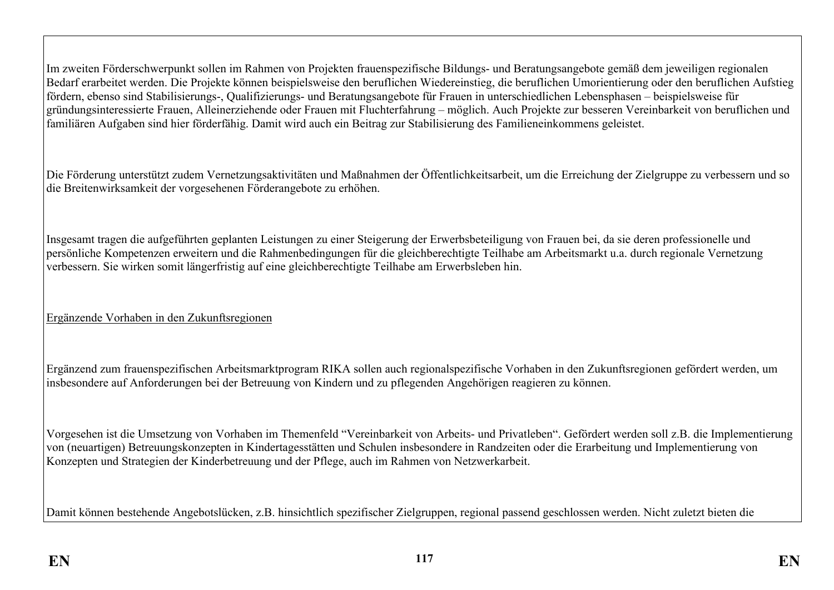Im zweiten Förderschwerpunkt sollen im Rahmen von Projekten frauenspezifische Bildungs- und Beratungsangebote gemäß dem jeweiligen regionalen Bedarf erarbeitet werden. Die Projekte können beispielsweise den beruflichen Wiedereinstieg, die beruflichen Umorientierung oder den beruflichen Aufstieg fördern, ebenso sind Stabilisierungs-, Qualifizierungs- und Beratungsangebote für Frauen in unterschiedlichen Lebensphasen – beispielsweise für gründungsinteressierte Frauen, Alleinerziehende oder Frauen mit Fluchterfahrung – möglich. Auch Projekte zur besseren Vereinbarkeit von beruflichen und familiären Aufgaben sind hier förderfähig. Damit wird auch ein Beitrag zur Stabilisierung des Familieneinkommens geleistet.

Die Förderung unterstützt zudem Vernetzungsaktivitäten und Maßnahmen der Öffentlichkeitsarbeit, um die Erreichung der Zielgruppe zu verbessern und so die Breitenwirksamkeit der vorgesehenen Förderangebote zu erhöhen.

Insgesamt tragen die aufgeführten geplanten Leistungen zu einer Steigerung der Erwerbsbeteiligung von Frauen bei, da sie deren professionelle und persönliche Kompetenzen erweitern und die Rahmenbedingungen für die gleichberechtigte Teilhabe am Arbeitsmarkt u.a. durch regionale Vernetzung verbessern. Sie wirken somit längerfristig auf eine gleichberechtigte Teilhabe am Erwerbsleben hin.

Ergänzende Vorhaben in den Zukunftsregionen

Ergänzend zum frauenspezifischen Arbeitsmarktprogram RIKA sollen auch regionalspezifische Vorhaben in den Zukunftsregionen gefördert werden, um insbesondere auf Anforderungen bei der Betreuung von Kindern und zu pflegenden Angehörigen reagieren zu können.

Vorgesehen ist die Umsetzung von Vorhaben im Themenfeld "Vereinbarkeit von Arbeits- und Privatleben". Gefördert werden soll z.B. die Implementierung von (neuartigen) Betreuungskonzepten in Kindertagesstätten und Schulen insbesondere in Randzeiten oder die Erarbeitung und Implementierung von Konzepten und Strategien der Kinderbetreuung und der Pflege, auch im Rahmen von Netzwerkarbeit.

Damit können bestehende Angebotslücken, z.B. hinsichtlich spezifischer Zielgruppen, regional passend geschlossen werden. Nicht zuletzt bieten die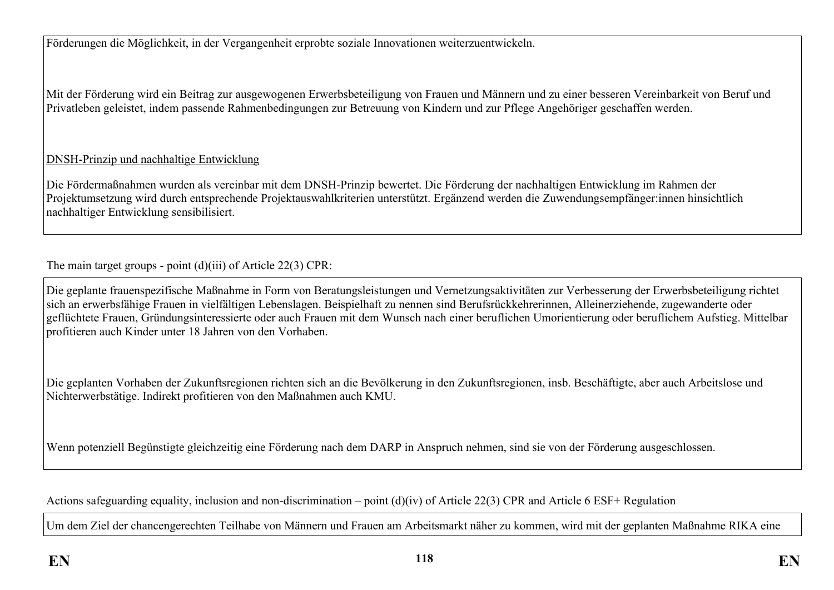Förderungen die Möglichkeit, in der Vergangenheit erprobte soziale Innovationen weiterzuentwickeln.

Mit der Förderung wird ein Beitrag zur ausgewogenen Erwerbsbeteiligung von Frauen und Männern und zu einer besseren Vereinbarkeit von Beruf und Privatleben geleistet, indem passende Rahmenbedingungen zur Betreuung von Kindern und zur Pflege Angehöriger geschaffen werden.

## DNSH-Prinzip und nachhaltige Entwicklung

Die Fördermaßnahmen wurden als vereinbar mit dem DNSH-Prinzip bewertet. Die Förderung der nachhaltigen Entwicklung im Rahmen der Projektumsetzung wird durch entsprechende Projektauswahlkriterien unterstützt. Ergänzend werden die Zuwendungsempfänger:innen hinsichtlich nachhaltiger Entwicklung sensibilisiert.

The main target groups - point (d)(iii) of Article 22(3) CPR:

Die geplante frauenspezifische Maßnahme in Form von Beratungsleistungen und Vernetzungsaktivitäten zur Verbesserung der Erwerbsbeteiligung richtet sich an erwerbsfähige Frauen in vielfältigen Lebenslagen. Beispielhaft zu nennen sind Berufsrückkehrerinnen, Alleinerziehende, zugewanderte oder geflüchtete Frauen, Gründungsinteressierte oder auch Frauen mit dem Wunsch nach einer beruflichen Umorientierung oder beruflichem Aufstieg. Mittelbar profitieren auch Kinder unter 18 Jahren von den Vorhaben.

Die geplanten Vorhaben der Zukunftsregionen richten sich an die Bevölkerung in den Zukunftsregionen, insb. Beschäftigte, aber auch Arbeitslose und Nichterwerbstätige. Indirekt profitieren von den Maßnahmen auch KMU.

Wenn potenziell Begünstigte gleichzeitig eine Förderung nach dem DARP in Anspruch nehmen, sind sie von der Förderung ausgeschlossen.

Actions safeguarding equality, inclusion and non-discrimination – point (d)(iv) of Article 22(3) CPR and Article 6 ESF+ Regulation

Um dem Ziel der chancengerechten Teilhabe von Männern und Frauen am Arbeitsmarkt näher zu kommen, wird mit der geplanten Maßnahme RIKA eine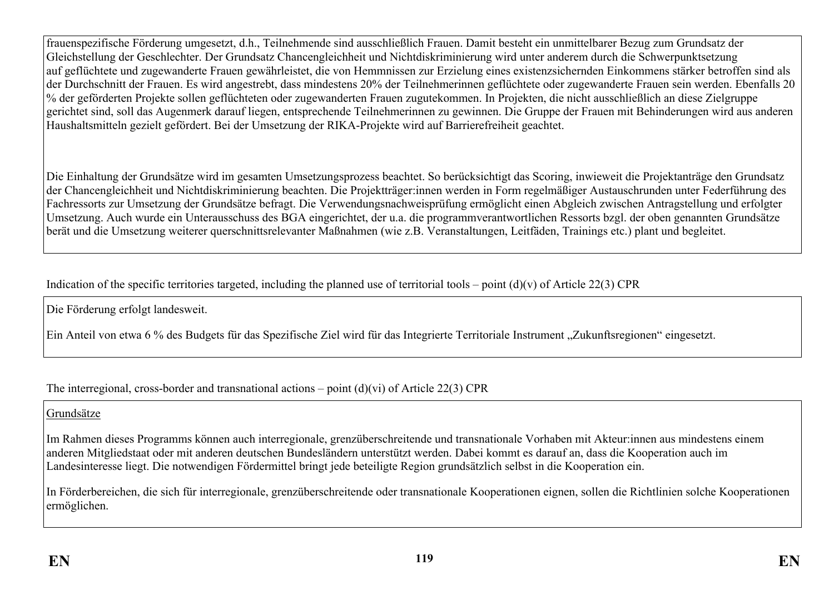frauenspezifische Förderung umgesetzt, d.h., Teilnehmende sind ausschließlich Frauen. Damit besteht ein unmittelbarer Bezug zum Grundsatz der Gleichstellung der Geschlechter. Der Grundsatz Chancengleichheit und Nichtdiskriminierung wird unter anderem durch die Schwerpunktsetzung auf geflüchtete und zugewanderte Frauen gewährleistet, die von Hemmnissen zur Erzielung eines existenzsichernden Einkommens stärker betroffen sind als der Durchschnitt der Frauen. Es wird angestrebt, dass mindestens 20% der Teilnehmerinnen geflüchtete oder zugewanderte Frauen sein werden. Ebenfalls 20 % der geförderten Projekte sollen geflüchteten oder zugewanderten Frauen zugutekommen. In Projekten, die nicht ausschließlich an diese Zielgruppe gerichtet sind, soll das Augenmerk darauf liegen, entsprechende Teilnehmerinnen zu gewinnen. Die Gruppe der Frauen mit Behinderungen wird aus anderen Haushaltsmitteln gezielt gefördert. Bei der Umsetzung der RIKA-Projekte wird auf Barrierefreiheit geachtet.

Die Einhaltung der Grundsätze wird im gesamten Umsetzungsprozess beachtet. So berücksichtigt das Scoring, inwieweit die Projektanträge den Grundsatz der Chancengleichheit und Nichtdiskriminierung beachten. Die Projektträger:innen werden in Form regelmäßiger Austauschrunden unter Federführung des Fachressorts zur Umsetzung der Grundsätze befragt. Die Verwendungsnachweisprüfung ermöglicht einen Abgleich zwischen Antragstellung und erfolgter Umsetzung. Auch wurde ein Unterausschuss des BGA eingerichtet, der u.a. die programmverantwortlichen Ressorts bzgl. der oben genannten Grundsätze berät und die Umsetzung weiterer querschnittsrelevanter Maßnahmen (wie z.B. Veranstaltungen, Leitfäden, Trainings etc.) plant und begleitet.

Indication of the specific territories targeted, including the planned use of territorial tools – point  $(d)(v)$  of Article 22(3) CPR

Die Förderung erfolgt landesweit.

Ein Anteil von etwa 6 % des Budgets für das Spezifische Ziel wird für das Integrierte Territoriale Instrument "Zukunftsregionen" eingesetzt.

The interregional, cross-border and transnational actions – point  $(d)(vi)$  of Article 22(3) CPR

Grundsätze

Im Rahmen dieses Programms können auch interregionale, grenzüberschreitende und transnationale Vorhaben mit Akteur:innen aus mindestens einem anderen Mitgliedstaat oder mit anderen deutschen Bundesländern unterstützt werden. Dabei kommt es darauf an, dass die Kooperation auch im Landesinteresse liegt. Die notwendigen Fördermittel bringt jede beteiligte Region grundsätzlich selbst in die Kooperation ein.

In Förderbereichen, die sich für interregionale, grenzüberschreitende oder transnationale Kooperationen eignen, sollen die Richtlinien solche Kooperationen ermöglichen.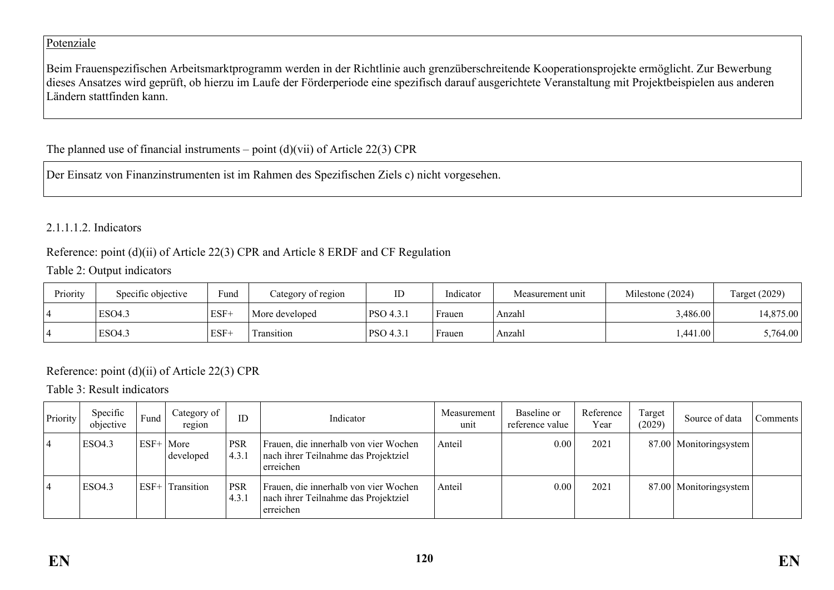### Potenziale

Beim Frauenspezifischen Arbeitsmarktprogramm werden in der Richtlinie auch grenzüberschreitende Kooperationsprojekte ermöglicht. Zur Bewerbung dieses Ansatzes wird geprüft, ob hierzu im Laufe der Förderperiode eine spezifisch darauf ausgerichtete Veranstaltung mit Projektbeispielen aus anderen Ländern stattfinden kann.

## The planned use of financial instruments – point  $(d)(vi)$  of Article 22(3) CPR

Der Einsatz von Finanzinstrumenten ist im Rahmen des Spezifischen Ziels c) nicht vorgesehen.

## 2.1.1.1.2. Indicators

### Reference: point (d)(ii) of Article 22(3) CPR and Article 8 ERDF and CF Regulation

### Table 2: Output indicators

| Priority | Specific objective | Fund   | Category of region | ப                      | Indicator | Measurement unit | Milestone (2024) | Target (2029) |  |
|----------|--------------------|--------|--------------------|------------------------|-----------|------------------|------------------|---------------|--|
|          | ESO4.3             | $ESF+$ | More developed     | PSO 4.3.1              | Frauen    | Anzahl           | ,486.00          | ا 4,875.00 ا  |  |
|          | ESO <sub>4.3</sub> | $ESF+$ | l ransıtıon        | <sup>1</sup> PSO 4.3.1 | Frauen    | Anzahl           | .441.00          | 5,764.00      |  |

## Reference: point (d)(ii) of Article 22(3) CPR

### Table 3: Result indicators

| Priority | Specific<br>objective | Fund        | Category of<br>region | ID                  | Indicator                                                                                  | Measurement<br>unit | Baseline or<br>reference value | Reference<br>Year | Target<br>(2029) | Source of data           | Comments |
|----------|-----------------------|-------------|-----------------------|---------------------|--------------------------------------------------------------------------------------------|---------------------|--------------------------------|-------------------|------------------|--------------------------|----------|
| 4        | <b>ESO4.3</b>         | $ESF+ More$ | developed             | <b>PSR</b><br>4.3.1 | Frauen, die innerhalb von vier Wochen<br>nach ihrer Teilnahme das Projektziel<br>erreichen | Anteil              | 0.00                           | 2021              |                  | 87.00   Monitoringsystem |          |
| 4        | ESO4.3                | $ESF+$      | Transition            | PSR<br>4.3.         | Frauen, die innerhalb von vier Wochen<br>nach ihrer Teilnahme das Projektziel<br>erreichen | Anteil              | 0.00                           | 2021              |                  | 87.00 Monitoringsystem   |          |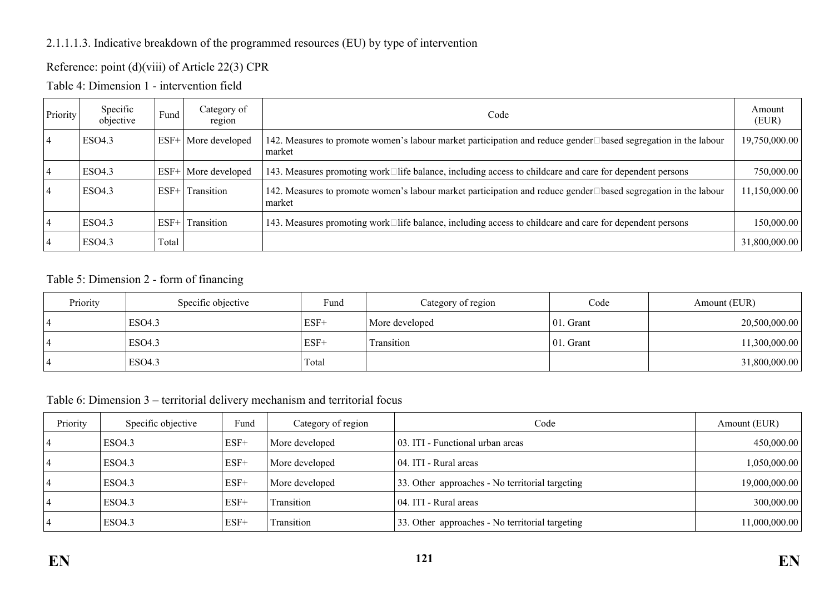## 2.1.1.1.3. Indicative breakdown of the programmed resources (EU) by type of intervention

## Reference: point (d)(viii) of Article 22(3) CPR

Table 4: Dimension 1 - intervention field

| Priority | Specific<br>objective | Fund   | Category of<br>region | Code                                                                                                                     | Amount<br>(EUR) |
|----------|-----------------------|--------|-----------------------|--------------------------------------------------------------------------------------------------------------------------|-----------------|
|          | ESO4.3                | $ESF+$ | More developed        | 142. Measures to promote women's labour market participation and reduce gender□based segregation in the labour<br>market | 19,750,000.00   |
|          | ESO4.3                | $ESF+$ | More developed        | 143. Measures promoting work□life balance, including access to childcare and care for dependent persons                  | 750,000.00      |
|          | <b>ESO4.3</b>         | $ESF+$ | Transition            | 142. Measures to promote women's labour market participation and reduce gender□based segregation in the labour<br>market | 11,150,000.00   |
|          | <b>ESO4.3</b>         | $ESF+$ | Transition            | 143. Measures promoting work□life balance, including access to childcare and care for dependent persons                  | 150,000.00      |
|          | <b>ESO4.3</b>         | Total  |                       |                                                                                                                          | 31,800,000.00   |

### Table 5: Dimension 2 - form of financing

| Priority | Specific objective | Fund   | Category of region | Code      | Amount (EUR)  |
|----------|--------------------|--------|--------------------|-----------|---------------|
|          | <b>ESO4.3</b>      | $ESF+$ | More developed     | 01. Grant | 20,500,000.00 |
|          | ESO4.3             | ESF+   | Transition         | 01. Grant | 11,300,000.00 |
|          | <b>ESO4.3</b>      | Total  |                    |           | 31,800,000.00 |

### Table 6: Dimension 3 – territorial delivery mechanism and territorial focus

| Priority | Specific objective | Fund   | Category of region | Code                                            | Amount (EUR)  |
|----------|--------------------|--------|--------------------|-------------------------------------------------|---------------|
|          | <b>ESO4.3</b>      | $ESF+$ | More developed     | 03. ITI - Functional urban areas                | 450,000.00    |
|          | ESO4.3             | $ESF+$ | More developed     | 04. ITI - Rural areas                           | 1,050,000.00  |
|          | <b>ESO4.3</b>      | $ESF+$ | More developed     | 33. Other approaches - No territorial targeting | 19,000,000.00 |
|          | <b>ESO4.3</b>      | $ESF+$ | Transition         | 04. ITI - Rural areas                           | 300,000.00    |
|          | <b>ESO4.3</b>      | $ESF+$ | Transition         | 33. Other approaches - No territorial targeting | 11,000,000.00 |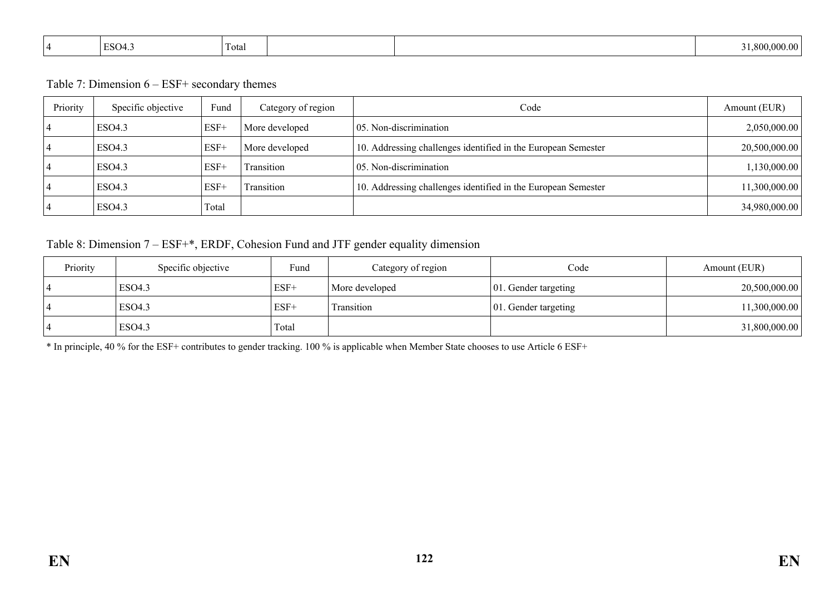| $\overline{\phantom{a}}$<br>$T_{\rm max}$<br>ESO4.3<br>Total<br>$\overline{\phantom{a}}$ |  | -800<br>) 000 00 i |
|------------------------------------------------------------------------------------------|--|--------------------|
|------------------------------------------------------------------------------------------|--|--------------------|

Table 7: Dimension 6 – ESF+ secondary themes

| Priority | Specific objective | Fund   | Category of region | Code                                                          | Amount (EUR)  |
|----------|--------------------|--------|--------------------|---------------------------------------------------------------|---------------|
|          | ESO <sub>4.3</sub> | $ESF+$ | More developed     | 05. Non-discrimination                                        | 2,050,000.00  |
|          | ESO4.3             | $ESF+$ | More developed     | 10. Addressing challenges identified in the European Semester | 20,500,000.00 |
|          | ESO <sub>4.3</sub> | $ESF+$ | Transition         | 05. Non-discrimination                                        | 1,130,000.00  |
|          | ESO <sub>4.3</sub> | $ESF+$ | Transition         | 10. Addressing challenges identified in the European Semester | 11,300,000.00 |
|          | ESO <sub>4.3</sub> | Total  |                    |                                                               | 34,980,000.00 |

Table 8: Dimension 7 – ESF+\*, ERDF, Cohesion Fund and JTF gender equality dimension

| Priority | Specific objective | Fund   | Category of region | Code                         | Amount (EUR)  |
|----------|--------------------|--------|--------------------|------------------------------|---------------|
|          | ESO4.3             | $ESF+$ | More developed     | $ 01$ . Gender targeting     | 20,500,000.00 |
|          | <b>ESO4.3</b>      | $ESF+$ | Transition         | $\vert$ 01. Gender targeting | 11,300,000.00 |
|          | <b>ESO4.3</b>      | Total  |                    |                              | 31,800,000.00 |

\* In principle, 40 % for the ESF+ contributes to gender tracking. 100 % is applicable when Member State chooses to use Article 6 ESF+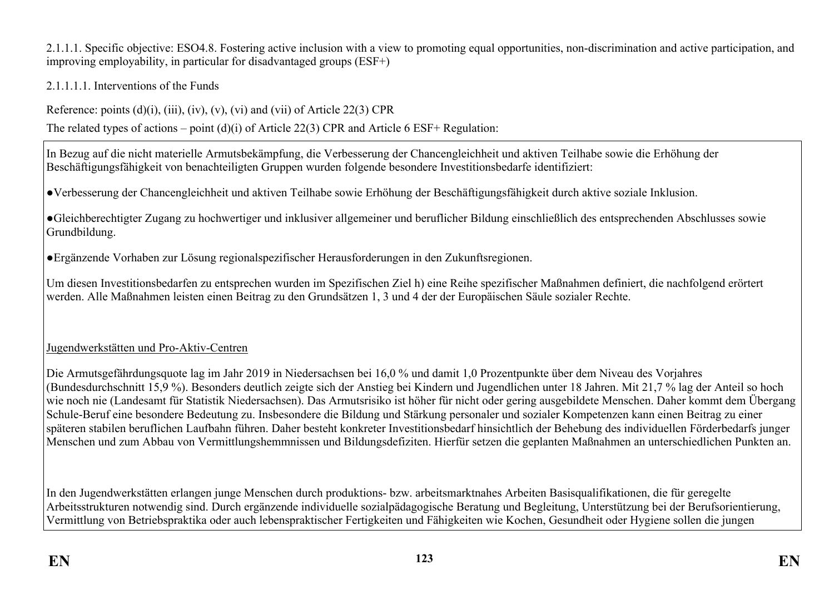2.1.1.1. Specific objective: ESO4.8. Fostering active inclusion with a view to promoting equal opportunities, non-discrimination and active participation, and improving employability, in particular for disadvantaged groups (ESF+)

2.1.1.1.1. Interventions of the Funds

Reference: points  $(d)(i)$ ,  $(iii)$ ,  $(iv)$ ,  $(v)$ ,  $(vi)$  and  $(vii)$  of Article 22(3) CPR

The related types of actions – point (d)(i) of Article 22(3) CPR and Article 6 ESF+ Regulation:

In Bezug auf die nicht materielle Armutsbekämpfung, die Verbesserung der Chancengleichheit und aktiven Teilhabe sowie die Erhöhung der Beschäftigungsfähigkeit von benachteiligten Gruppen wurden folgende besondere Investitionsbedarfe identifiziert:

●Verbesserung der Chancengleichheit und aktiven Teilhabe sowie Erhöhung der Beschäftigungsfähigkeit durch aktive soziale Inklusion.

●Gleichberechtigter Zugang zu hochwertiger und inklusiver allgemeiner und beruflicher Bildung einschließlich des entsprechenden Abschlusses sowie Grundbildung.

●Ergänzende Vorhaben zur Lösung regionalspezifischer Herausforderungen in den Zukunftsregionen.

Um diesen Investitionsbedarfen zu entsprechen wurden im Spezifischen Ziel h) eine Reihe spezifischer Maßnahmen definiert, die nachfolgend erörtert werden. Alle Maßnahmen leisten einen Beitrag zu den Grundsätzen 1, 3 und 4 der der Europäischen Säule sozialer Rechte.

## Jugendwerkstätten und Pro-Aktiv-Centren

Die Armutsgefährdungsquote lag im Jahr 2019 in Niedersachsen bei 16,0 % und damit 1,0 Prozentpunkte über dem Niveau des Vorjahres (Bundesdurchschnitt 15,9 %). Besonders deutlich zeigte sich der Anstieg bei Kindern und Jugendlichen unter 18 Jahren. Mit 21,7 % lag der Anteil so hoch wie noch nie (Landesamt für Statistik Niedersachsen). Das Armutsrisiko ist höher für nicht oder gering ausgebildete Menschen. Daher kommt dem Übergang Schule-Beruf eine besondere Bedeutung zu. Insbesondere die Bildung und Stärkung personaler und sozialer Kompetenzen kann einen Beitrag zu einer späteren stabilen beruflichen Laufbahn führen. Daher besteht konkreter Investitionsbedarf hinsichtlich der Behebung des individuellen Förderbedarfs junger Menschen und zum Abbau von Vermittlungshemmnissen und Bildungsdefiziten. Hierfür setzen die geplanten Maßnahmen an unterschiedlichen Punkten an.

In den Jugendwerkstätten erlangen junge Menschen durch produktions- bzw. arbeitsmarktnahes Arbeiten Basisqualifikationen, die für geregelte Arbeitsstrukturen notwendig sind. Durch ergänzende individuelle sozialpädagogische Beratung und Begleitung, Unterstützung bei der Berufsorientierung, Vermittlung von Betriebspraktika oder auch lebenspraktischer Fertigkeiten und Fähigkeiten wie Kochen, Gesundheit oder Hygiene sollen die jungen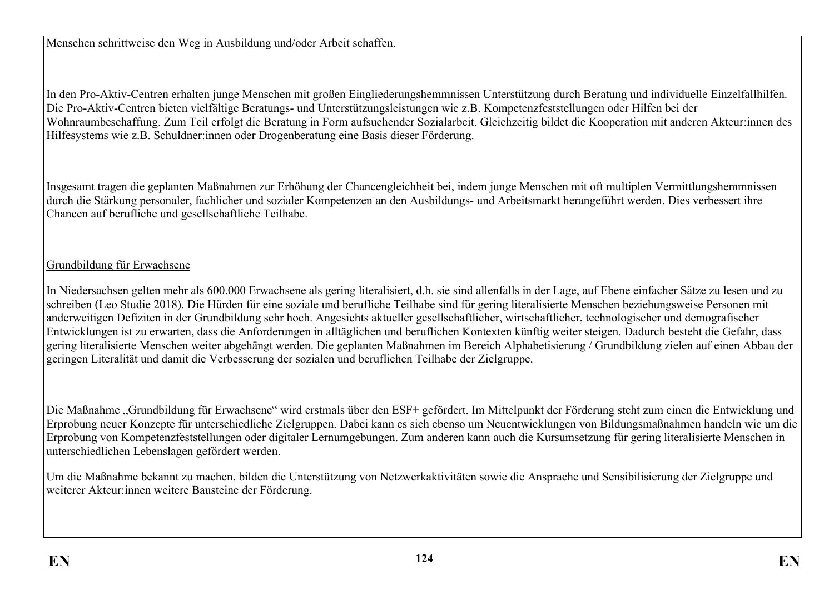Menschen schrittweise den Weg in Ausbildung und/oder Arbeit schaffen.

In den Pro-Aktiv-Centren erhalten junge Menschen mit großen Eingliederungshemmnissen Unterstützung durch Beratung und individuelle Einzelfallhilfen. Die Pro-Aktiv-Centren bieten vielfältige Beratungs- und Unterstützungsleistungen wie z.B. Kompetenzfeststellungen oder Hilfen bei der Wohnraumbeschaffung. Zum Teil erfolgt die Beratung in Form aufsuchender Sozialarbeit. Gleichzeitig bildet die Kooperation mit anderen Akteur:innen des Hilfesystems wie z.B. Schuldner:innen oder Drogenberatung eine Basis dieser Förderung.

Insgesamt tragen die geplanten Maßnahmen zur Erhöhung der Chancengleichheit bei, indem junge Menschen mit oft multiplen Vermittlungshemmnissen durch die Stärkung personaler, fachlicher und sozialer Kompetenzen an den Ausbildungs- und Arbeitsmarkt herangeführt werden. Dies verbessert ihre Chancen auf berufliche und gesellschaftliche Teilhabe.

### Grundbildung für Erwachsene

In Niedersachsen gelten mehr als 600.000 Erwachsene als gering literalisiert, d.h. sie sind allenfalls in der Lage, auf Ebene einfacher Sätze zu lesen und zu schreiben (Leo Studie 2018). Die Hürden für eine soziale und berufliche Teilhabe sind für gering literalisierte Menschen beziehungsweise Personen mit anderweitigen Defiziten in der Grundbildung sehr hoch. Angesichts aktueller gesellschaftlicher, wirtschaftlicher, technologischer und demografischer Entwicklungen ist zu erwarten, dass die Anforderungen in alltäglichen und beruflichen Kontexten künftig weiter steigen. Dadurch besteht die Gefahr, dass gering literalisierte Menschen weiter abgehängt werden. Die geplanten Maßnahmen im Bereich Alphabetisierung / Grundbildung zielen auf einen Abbau der geringen Literalität und damit die Verbesserung der sozialen und beruflichen Teilhabe der Zielgruppe.

Die Maßnahme "Grundbildung für Erwachsene" wird erstmals über den ESF+ gefördert. Im Mittelpunkt der Förderung steht zum einen die Entwicklung und Erprobung neuer Konzepte für unterschiedliche Zielgruppen. Dabei kann es sich ebenso um Neuentwicklungen von Bildungsmaßnahmen handeln wie um die Erprobung von Kompetenzfeststellungen oder digitaler Lernumgebungen. Zum anderen kann auch die Kursumsetzung für gering literalisierte Menschen in unterschiedlichen Lebenslagen gefördert werden.

Um die Maßnahme bekannt zu machen, bilden die Unterstützung von Netzwerkaktivitäten sowie die Ansprache und Sensibilisierung der Zielgruppe und weiterer Akteur:innen weitere Bausteine der Förderung.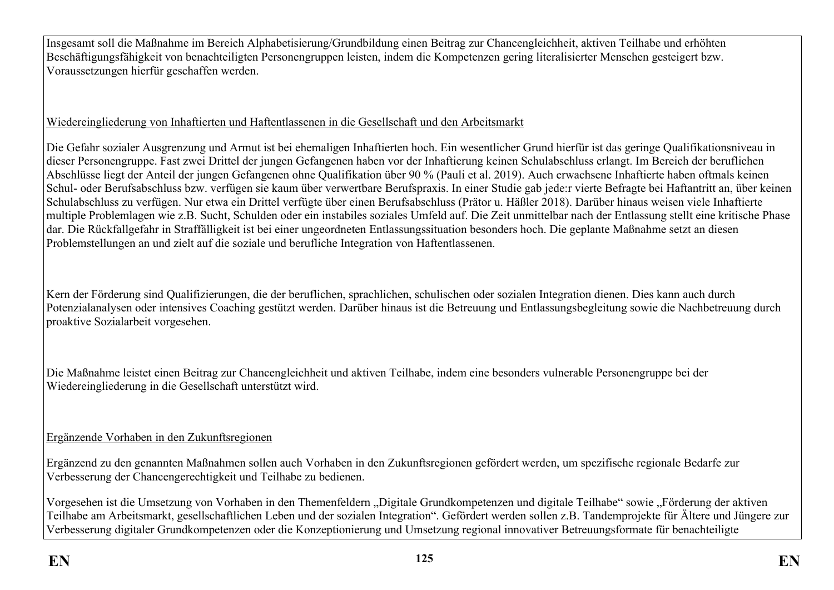Insgesamt soll die Maßnahme im Bereich Alphabetisierung/Grundbildung einen Beitrag zur Chancengleichheit, aktiven Teilhabe und erhöhten Beschäftigungsfähigkeit von benachteiligten Personengruppen leisten, indem die Kompetenzen gering literalisierter Menschen gesteigert bzw. Voraussetzungen hierfür geschaffen werden.

## Wiedereingliederung von Inhaftierten und Haftentlassenen in die Gesellschaft und den Arbeitsmarkt

Die Gefahr sozialer Ausgrenzung und Armut ist bei ehemaligen Inhaftierten hoch. Ein wesentlicher Grund hierfür ist das geringe Qualifikationsniveau in dieser Personengruppe. Fast zwei Drittel der jungen Gefangenen haben vor der Inhaftierung keinen Schulabschluss erlangt. Im Bereich der beruflichen Abschlüsse liegt der Anteil der jungen Gefangenen ohne Qualifikation über 90 % (Pauli et al. 2019). Auch erwachsene Inhaftierte haben oftmals keinen Schul- oder Berufsabschluss bzw. verfügen sie kaum über verwertbare Berufspraxis. In einer Studie gab jede:r vierte Befragte bei Haftantritt an, über keinen Schulabschluss zu verfügen. Nur etwa ein Drittel verfügte über einen Berufsabschluss (Prätor u. Häßler 2018). Darüber hinaus weisen viele Inhaftierte multiple Problemlagen wie z.B. Sucht, Schulden oder ein instabiles soziales Umfeld auf. Die Zeit unmittelbar nach der Entlassung stellt eine kritische Phase dar. Die Rückfallgefahr in Straffälligkeit ist bei einer ungeordneten Entlassungssituation besonders hoch. Die geplante Maßnahme setzt an diesen Problemstellungen an und zielt auf die soziale und berufliche Integration von Haftentlassenen.

Kern der Förderung sind Qualifizierungen, die der beruflichen, sprachlichen, schulischen oder sozialen Integration dienen. Dies kann auch durch Potenzialanalysen oder intensives Coaching gestützt werden. Darüber hinaus ist die Betreuung und Entlassungsbegleitung sowie die Nachbetreuung durch proaktive Sozialarbeit vorgesehen.

Die Maßnahme leistet einen Beitrag zur Chancengleichheit und aktiven Teilhabe, indem eine besonders vulnerable Personengruppe bei der Wiedereingliederung in die Gesellschaft unterstützt wird.

## Ergänzende Vorhaben in den Zukunftsregionen

Ergänzend zu den genannten Maßnahmen sollen auch Vorhaben in den Zukunftsregionen gefördert werden, um spezifische regionale Bedarfe zur Verbesserung der Chancengerechtigkeit und Teilhabe zu bedienen.

Vorgesehen ist die Umsetzung von Vorhaben in den Themenfeldern "Digitale Grundkompetenzen und digitale Teilhabe" sowie "Förderung der aktiven Teilhabe am Arbeitsmarkt, gesellschaftlichen Leben und der sozialen Integration". Gefördert werden sollen z.B. Tandemprojekte für Ältere und Jüngere zur Verbesserung digitaler Grundkompetenzen oder die Konzeptionierung und Umsetzung regional innovativer Betreuungsformate für benachteiligte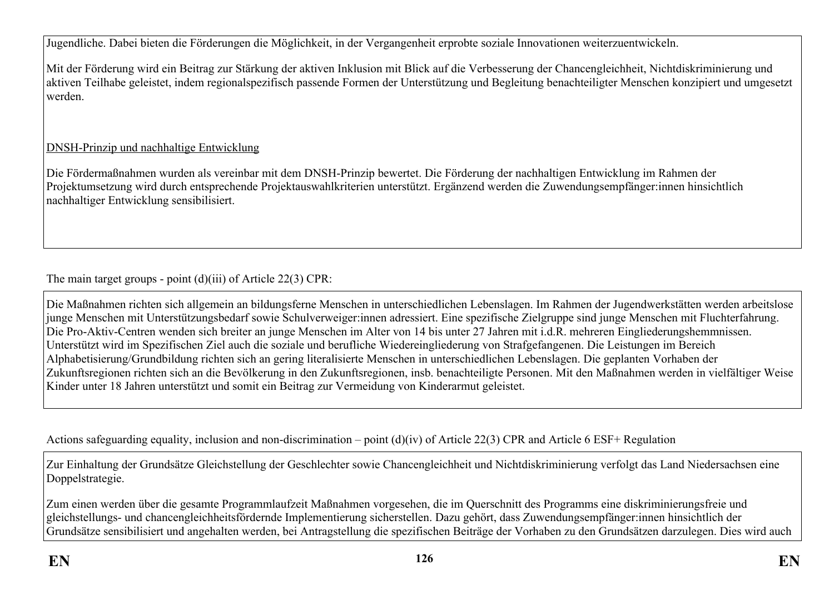Jugendliche. Dabei bieten die Förderungen die Möglichkeit, in der Vergangenheit erprobte soziale Innovationen weiterzuentwickeln.

Mit der Förderung wird ein Beitrag zur Stärkung der aktiven Inklusion mit Blick auf die Verbesserung der Chancengleichheit, Nichtdiskriminierung und aktiven Teilhabe geleistet, indem regionalspezifisch passende Formen der Unterstützung und Begleitung benachteiligter Menschen konzipiert und umgesetzt werden.

## DNSH-Prinzip und nachhaltige Entwicklung

Die Fördermaßnahmen wurden als vereinbar mit dem DNSH-Prinzip bewertet. Die Förderung der nachhaltigen Entwicklung im Rahmen der Projektumsetzung wird durch entsprechende Projektauswahlkriterien unterstützt. Ergänzend werden die Zuwendungsempfänger:innen hinsichtlich nachhaltiger Entwicklung sensibilisiert.

The main target groups - point (d)(iii) of Article 22(3) CPR:

Die Maßnahmen richten sich allgemein an bildungsferne Menschen in unterschiedlichen Lebenslagen. Im Rahmen der Jugendwerkstätten werden arbeitslose junge Menschen mit Unterstützungsbedarf sowie Schulverweiger:innen adressiert. Eine spezifische Zielgruppe sind junge Menschen mit Fluchterfahrung. Die Pro-Aktiv-Centren wenden sich breiter an junge Menschen im Alter von 14 bis unter 27 Jahren mit i.d.R. mehreren Eingliederungshemmnissen. Unterstützt wird im Spezifischen Ziel auch die soziale und berufliche Wiedereingliederung von Strafgefangenen. Die Leistungen im Bereich Alphabetisierung/Grundbildung richten sich an gering literalisierte Menschen in unterschiedlichen Lebenslagen. Die geplanten Vorhaben der Zukunftsregionen richten sich an die Bevölkerung in den Zukunftsregionen, insb. benachteiligte Personen. Mit den Maßnahmen werden in vielfältiger Weise Kinder unter 18 Jahren unterstützt und somit ein Beitrag zur Vermeidung von Kinderarmut geleistet.

Actions safeguarding equality, inclusion and non-discrimination – point (d)(iv) of Article 22(3) CPR and Article 6 ESF+ Regulation

Zur Einhaltung der Grundsätze Gleichstellung der Geschlechter sowie Chancengleichheit und Nichtdiskriminierung verfolgt das Land Niedersachsen eine Doppelstrategie.

Zum einen werden über die gesamte Programmlaufzeit Maßnahmen vorgesehen, die im Querschnitt des Programms eine diskriminierungsfreie und gleichstellungs- und chancengleichheitsfördernde Implementierung sicherstellen. Dazu gehört, dass Zuwendungsempfänger:innen hinsichtlich der Grundsätze sensibilisiert und angehalten werden, bei Antragstellung die spezifischen Beiträge der Vorhaben zu den Grundsätzen darzulegen. Dies wird auch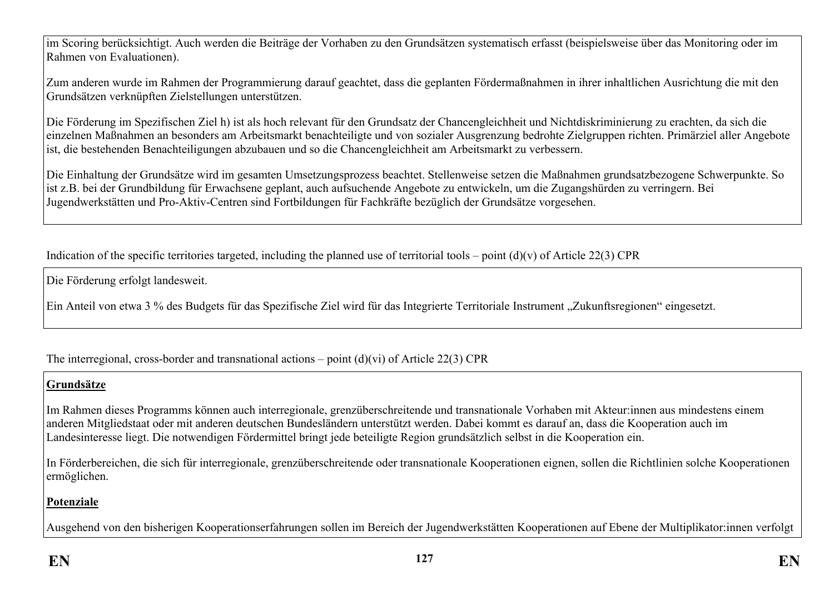im Scoring berücksichtigt. Auch werden die Beiträge der Vorhaben zu den Grundsätzen systematisch erfasst (beispielsweise über das Monitoring oder im Rahmen von Evaluationen).

Zum anderen wurde im Rahmen der Programmierung darauf geachtet, dass die geplanten Fördermaßnahmen in ihrer inhaltlichen Ausrichtung die mit den Grundsätzen verknüpften Zielstellungen unterstützen.

Die Förderung im Spezifischen Ziel h) ist als hoch relevant für den Grundsatz der Chancengleichheit und Nichtdiskriminierung zu erachten, da sich die einzelnen Maßnahmen an besonders am Arbeitsmarkt benachteiligte und von sozialer Ausgrenzung bedrohte Zielgruppen richten. Primärziel aller Angebote ist, die bestehenden Benachteiligungen abzubauen und so die Chancengleichheit am Arbeitsmarkt zu verbessern.

Die Einhaltung der Grundsätze wird im gesamten Umsetzungsprozess beachtet. Stellenweise setzen die Maßnahmen grundsatzbezogene Schwerpunkte. So ist z.B. bei der Grundbildung für Erwachsene geplant, auch aufsuchende Angebote zu entwickeln, um die Zugangshürden zu verringern. Bei Jugendwerkstätten und Pro-Aktiv-Centren sind Fortbildungen für Fachkräfte bezüglich der Grundsätze vorgesehen.

Indication of the specific territories targeted, including the planned use of territorial tools – point  $(d)(v)$  of Article 22(3) CPR

Die Förderung erfolgt landesweit.

Ein Anteil von etwa 3 % des Budgets für das Spezifische Ziel wird für das Integrierte Territoriale Instrument "Zukunftsregionen" eingesetzt.

The interregional, cross-border and transnational actions – point  $(d)(vi)$  of Article 22(3) CPR

### **Grundsätze**

Im Rahmen dieses Programms können auch interregionale, grenzüberschreitende und transnationale Vorhaben mit Akteur:innen aus mindestens einem anderen Mitgliedstaat oder mit anderen deutschen Bundesländern unterstützt werden. Dabei kommt es darauf an, dass die Kooperation auch im Landesinteresse liegt. Die notwendigen Fördermittel bringt jede beteiligte Region grundsätzlich selbst in die Kooperation ein.

In Förderbereichen, die sich für interregionale, grenzüberschreitende oder transnationale Kooperationen eignen, sollen die Richtlinien solche Kooperationen ermöglichen.

# **Potenziale**

Ausgehend von den bisherigen Kooperationserfahrungen sollen im Bereich der Jugendwerkstätten Kooperationen auf Ebene der Multiplikator:innen verfolgt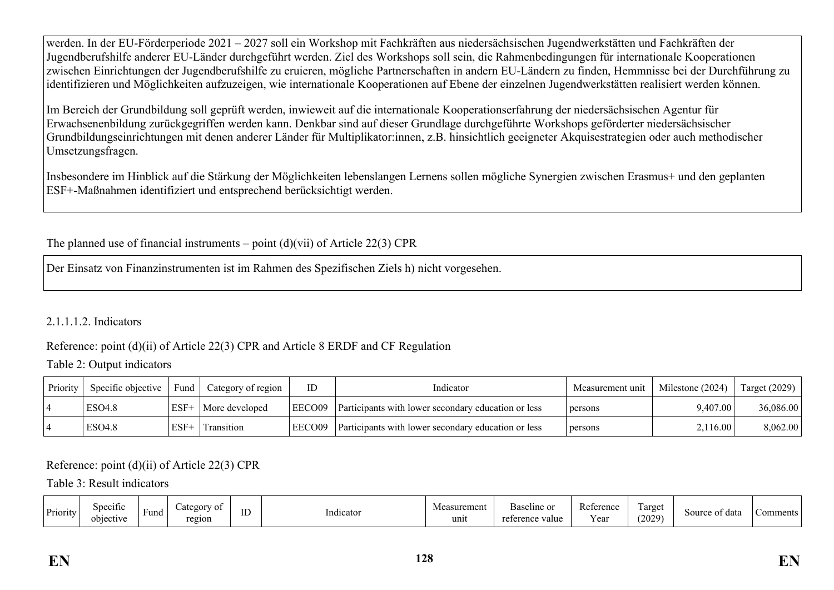werden. In der EU-Förderperiode 2021 – 2027 soll ein Workshop mit Fachkräften aus niedersächsischen Jugendwerkstätten und Fachkräften der Jugendberufshilfe anderer EU-Länder durchgeführt werden. Ziel des Workshops soll sein, die Rahmenbedingungen für internationale Kooperationen zwischen Einrichtungen der Jugendberufshilfe zu eruieren, mögliche Partnerschaften in andern EU-Ländern zu finden, Hemmnisse bei der Durchführung zu identifizieren und Möglichkeiten aufzuzeigen, wie internationale Kooperationen auf Ebene der einzelnen Jugendwerkstätten realisiert werden können.

Im Bereich der Grundbildung soll geprüft werden, inwieweit auf die internationale Kooperationserfahrung der niedersächsischen Agentur für Erwachsenenbildung zurückgegriffen werden kann. Denkbar sind auf dieser Grundlage durchgeführte Workshops geförderter niedersächsischer Grundbildungseinrichtungen mit denen anderer Länder für Multiplikator:innen, z.B. hinsichtlich geeigneter Akquisestrategien oder auch methodischer Umsetzungsfragen.

Insbesondere im Hinblick auf die Stärkung der Möglichkeiten lebenslangen Lernens sollen mögliche Synergien zwischen Erasmus+ und den geplanten ESF+-Maßnahmen identifiziert und entsprechend berücksichtigt werden.

The planned use of financial instruments – point  $(d)(vii)$  of Article 22(3) CPR

Der Einsatz von Finanzinstrumenten ist im Rahmen des Spezifischen Ziels h) nicht vorgesehen.

### 2.1.1.1.2. Indicators

### Reference: point (d)(ii) of Article 22(3) CPR and Article 8 ERDF and CF Regulation

### Table 2: Output indicators

| Priority | Specific objective | Fund   | Category of region | ID     | Indicator                                                  | Measurement unit | Milestone (2024) | <b>Target (2029)</b> |
|----------|--------------------|--------|--------------------|--------|------------------------------------------------------------|------------------|------------------|----------------------|
|          | <b>ESO4.8</b>      | $ESF+$ | More developed     | EECO09 | <b>Participants with lower secondary education or less</b> | persons          | 9.407.00         | 36,086.00            |
|          | <b>ESO4.8</b>      | $ESF+$ | Transition         | EECO09 | Participants with lower secondary education or less        | persons          | 2,116.00         | 8.062.00             |

Reference: point (d)(ii) of Article 22(3) CPR

Table 3: Result indicators

| Priority | Specific<br>rt1V6<br>، میم | $\overline{\phantom{0}}$<br>Fund | $\sim$ $\sim$<br>ot∩<br>-01<br>∠al⊏i<br>region | $\sim$<br> | . .<br>Indicator | surement<br>unit | $\overline{\phantom{a}}$<br>aline of<br>∼י<br>н.<br>value<br>יד ההמי | D<br>an o<br>ANGIV.<br>$ -$<br>Y ea | l'arget<br>(2029) | : data<br>source<br>$\sim$ | `omments |
|----------|----------------------------|----------------------------------|------------------------------------------------|------------|------------------|------------------|----------------------------------------------------------------------|-------------------------------------|-------------------|----------------------------|----------|
|----------|----------------------------|----------------------------------|------------------------------------------------|------------|------------------|------------------|----------------------------------------------------------------------|-------------------------------------|-------------------|----------------------------|----------|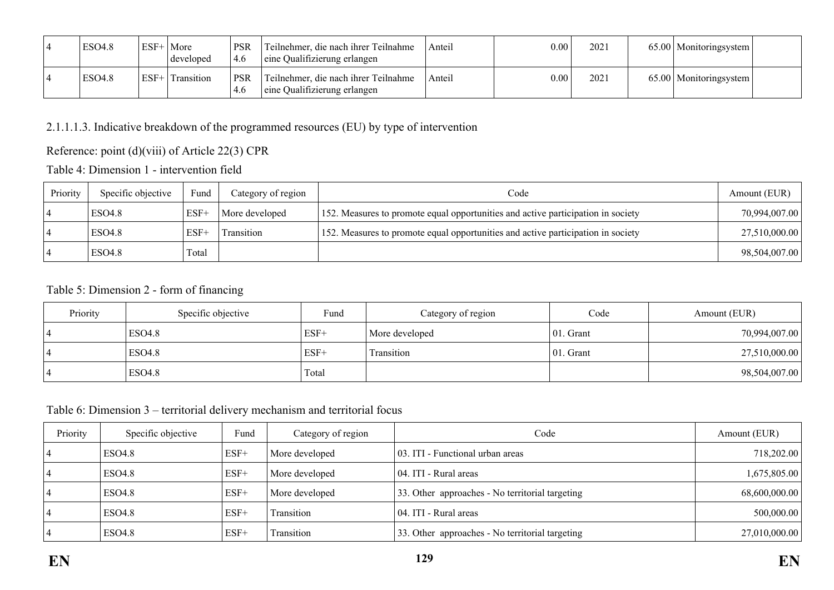| ESO <sub>4.8</sub> | $ESF+$ | More<br>developed | <b>PSR</b><br>4.6 | Teilnehmer, die nach ihrer Teilnahme<br>eine Qualifizierung erlangen | Anteil | $0.00\,$ | 202 | 65.00   Monitoringsystem   |  |
|--------------------|--------|-------------------|-------------------|----------------------------------------------------------------------|--------|----------|-----|----------------------------|--|
| <b>ESO4.8</b>      | $ESF+$ | Transition        | <b>PSR</b>        | Teilnehmer, die nach ihrer Teilnahme<br>eine Qualifizierung erlangen | Anteil | $0.00\,$ | 202 | $65.00$   Monitoringsystem |  |

2.1.1.1.3. Indicative breakdown of the programmed resources (EU) by type of intervention

Reference: point (d)(viii) of Article 22(3) CPR

Table 4: Dimension 1 - intervention field

| Priority | Specific objective | Fund             | Category of region | Code                                                                             | Amount (EUR)  |
|----------|--------------------|------------------|--------------------|----------------------------------------------------------------------------------|---------------|
|          | <b>ESO4.8</b>      | ESF <sup>+</sup> | More developed     | 152. Measures to promote equal opportunities and active participation in society | 70,994,007.00 |
|          | <b>ESO4.8</b>      | $ESF+$           | Transition         | 152. Measures to promote equal opportunities and active participation in society | 27,510,000.00 |
|          | <b>ESO4.8</b>      | Total            |                    |                                                                                  | 98,504,007.00 |

## Table 5: Dimension 2 - form of financing

| Priority | Specific objective | Fund   | Category of region | Code          | Amount (EUR)  |
|----------|--------------------|--------|--------------------|---------------|---------------|
|          | <b>ESO4.8</b>      | $ESF+$ | More developed     | $ 01.$ Grant  | 70,994,007.00 |
|          | <b>ESO4.8</b>      | $ESF+$ | Transition         | $ 01$ . Grant | 27,510,000.00 |
|          | <b>ESO4.8</b>      | Total  |                    |               | 98,504,007.00 |

### Table 6: Dimension 3 – territorial delivery mechanism and territorial focus

| Priority | Specific objective | Fund   | Category of region | Code                                            | Amount (EUR)  |
|----------|--------------------|--------|--------------------|-------------------------------------------------|---------------|
|          | ESO4.8             | $ESF+$ | More developed     | 03. ITI - Functional urban areas                | 718,202.00    |
|          | <b>ESO4.8</b>      | $ESF+$ | More developed     | 04. ITI - Rural areas                           | 1,675,805.00  |
|          | <b>ESO4.8</b>      | $ESF+$ | More developed     | 33. Other approaches - No territorial targeting | 68,600,000.00 |
|          | <b>ESO4.8</b>      | $ESF+$ | Transition         | 04. ITI - Rural areas                           | 500,000.00    |
|          | <b>ESO4.8</b>      | $ESF+$ | Transition         | 33. Other approaches - No territorial targeting | 27,010,000.00 |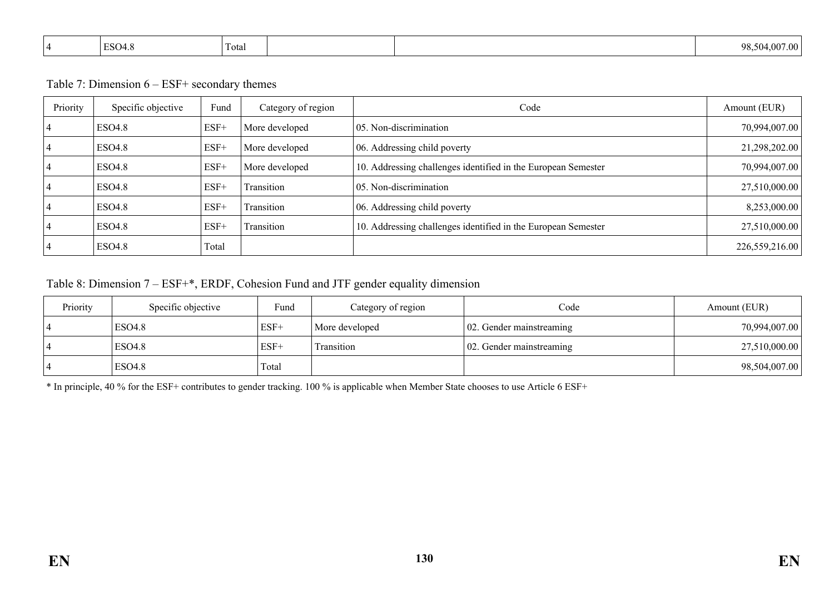| $\Gamma$ <sup><math>\cap</math><math>\cap</math></sup><br>LSO <sup>4</sup><br>. | $\sim$<br>1 otal |  | 98<br>7.00<br>- 007<br>. |
|---------------------------------------------------------------------------------|------------------|--|--------------------------|
|                                                                                 |                  |  |                          |

Table 7: Dimension 6 – ESF+ secondary themes

| Priority | Specific objective | Fund   | Category of region | Code                                                          | Amount (EUR)   |
|----------|--------------------|--------|--------------------|---------------------------------------------------------------|----------------|
|          | <b>ESO4.8</b>      | $ESF+$ | More developed     | 05. Non-discrimination                                        | 70,994,007.00  |
|          | <b>ESO4.8</b>      | $ESF+$ | More developed     | 06. Addressing child poverty                                  | 21,298,202.00  |
|          | <b>ESO4.8</b>      | $ESF+$ | More developed     | 10. Addressing challenges identified in the European Semester | 70,994,007.00  |
|          | <b>ESO4.8</b>      | $ESF+$ | Transition         | 05. Non-discrimination                                        | 27,510,000.00  |
|          | <b>ESO4.8</b>      | $ESF+$ | Transition         | 06. Addressing child poverty                                  | 8,253,000.00   |
|          | <b>ESO4.8</b>      | $ESF+$ | Transition         | 10. Addressing challenges identified in the European Semester | 27,510,000.00  |
|          | <b>ESO4.8</b>      | Total  |                    |                                                               | 226,559,216.00 |

# Table 8: Dimension 7 – ESF+\*, ERDF, Cohesion Fund and JTF gender equality dimension

| Priority | Specific objective | Fund   | Category of region | Code                              | Amount (EUR)  |
|----------|--------------------|--------|--------------------|-----------------------------------|---------------|
|          | ESO4.8             | $ESF+$ | More developed     | $\vert 02$ . Gender mainstreaming | 70,994,007.00 |
|          | ESO4.8             | $ESF+$ | Transition         | 02. Gender mainstreaming          | 27,510,000.00 |
|          | ESO <sub>4.8</sub> | Total  |                    |                                   | 98,504,007.00 |

\* In principle, 40 % for the ESF+ contributes to gender tracking. 100 % is applicable when Member State chooses to use Article 6 ESF+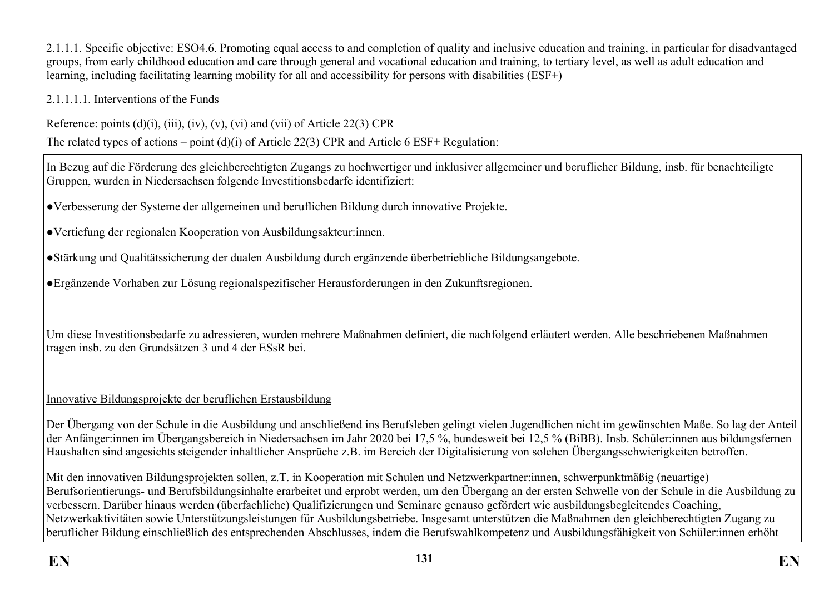2.1.1.1. Specific objective: ESO4.6. Promoting equal access to and completion of quality and inclusive education and training, in particular for disadvantaged groups, from early childhood education and care through general and vocational education and training, to tertiary level, as well as adult education and learning, including facilitating learning mobility for all and accessibility for persons with disabilities (ESF+)

2.1.1.1.1. Interventions of the Funds

Reference: points  $(d)(i)$ ,  $(iii)$ ,  $(iv)$ ,  $(v)$ ,  $(vi)$  and  $(vii)$  of Article 22(3) CPR

The related types of actions – point (d)(i) of Article 22(3) CPR and Article 6 ESF+ Regulation:

In Bezug auf die Förderung des gleichberechtigten Zugangs zu hochwertiger und inklusiver allgemeiner und beruflicher Bildung, insb. für benachteiligte Gruppen, wurden in Niedersachsen folgende Investitionsbedarfe identifiziert:

●Verbesserung der Systeme der allgemeinen und beruflichen Bildung durch innovative Projekte.

●Vertiefung der regionalen Kooperation von Ausbildungsakteur:innen.

●Stärkung und Qualitätssicherung der dualen Ausbildung durch ergänzende überbetriebliche Bildungsangebote.

●Ergänzende Vorhaben zur Lösung regionalspezifischer Herausforderungen in den Zukunftsregionen.

Um diese Investitionsbedarfe zu adressieren, wurden mehrere Maßnahmen definiert, die nachfolgend erläutert werden. Alle beschriebenen Maßnahmen tragen insb. zu den Grundsätzen 3 und 4 der ESsR bei.

## Innovative Bildungsprojekte der beruflichen Erstausbildung

Der Übergang von der Schule in die Ausbildung und anschließend ins Berufsleben gelingt vielen Jugendlichen nicht im gewünschten Maße. So lag der Anteil der Anfänger:innen im Übergangsbereich in Niedersachsen im Jahr 2020 bei 17,5 %, bundesweit bei 12,5 % (BiBB). Insb. Schüler:innen aus bildungsfernen Haushalten sind angesichts steigender inhaltlicher Ansprüche z.B. im Bereich der Digitalisierung von solchen Übergangsschwierigkeiten betroffen.

Mit den innovativen Bildungsprojekten sollen, z.T. in Kooperation mit Schulen und Netzwerkpartner:innen, schwerpunktmäßig (neuartige) Berufsorientierungs- und Berufsbildungsinhalte erarbeitet und erprobt werden, um den Übergang an der ersten Schwelle von der Schule in die Ausbildung zu verbessern. Darüber hinaus werden (überfachliche) Qualifizierungen und Seminare genauso gefördert wie ausbildungsbegleitendes Coaching, Netzwerkaktivitäten sowie Unterstützungsleistungen für Ausbildungsbetriebe. Insgesamt unterstützen die Maßnahmen den gleichberechtigten Zugang zu beruflicher Bildung einschließlich des entsprechenden Abschlusses, indem die Berufswahlkompetenz und Ausbildungsfähigkeit von Schüler:innen erhöht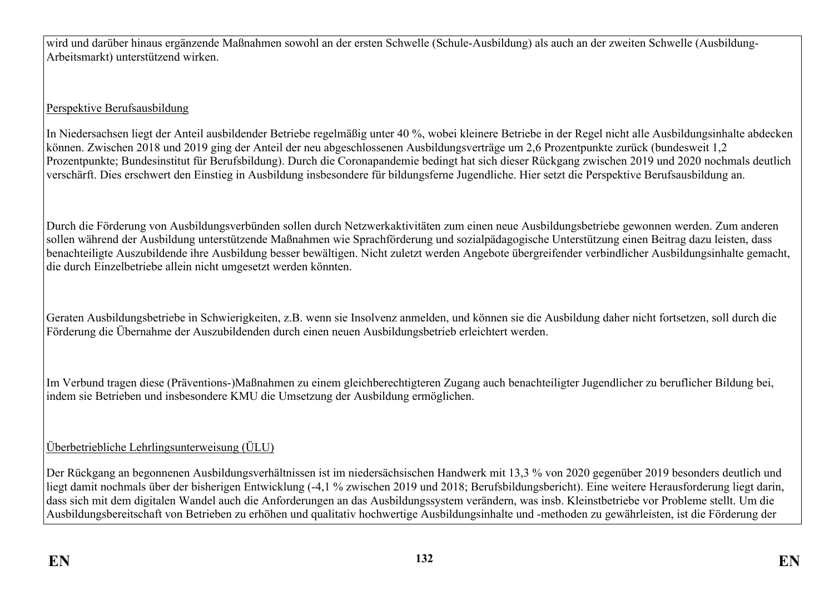wird und darüber hinaus ergänzende Maßnahmen sowohl an der ersten Schwelle (Schule-Ausbildung) als auch an der zweiten Schwelle (Ausbildung-Arbeitsmarkt) unterstützend wirken.

# Perspektive Berufsausbildung

In Niedersachsen liegt der Anteil ausbildender Betriebe regelmäßig unter 40 %, wobei kleinere Betriebe in der Regel nicht alle Ausbildungsinhalte abdecken können. Zwischen 2018 und 2019 ging der Anteil der neu abgeschlossenen Ausbildungsverträge um 2,6 Prozentpunkte zurück (bundesweit 1,2 Prozentpunkte; Bundesinstitut für Berufsbildung). Durch die Coronapandemie bedingt hat sich dieser Rückgang zwischen 2019 und 2020 nochmals deutlich verschärft. Dies erschwert den Einstieg in Ausbildung insbesondere für bildungsferne Jugendliche. Hier setzt die Perspektive Berufsausbildung an.

Durch die Förderung von Ausbildungsverbünden sollen durch Netzwerkaktivitäten zum einen neue Ausbildungsbetriebe gewonnen werden. Zum anderen sollen während der Ausbildung unterstützende Maßnahmen wie Sprachförderung und sozialpädagogische Unterstützung einen Beitrag dazu leisten, dass benachteiligte Auszubildende ihre Ausbildung besser bewältigen. Nicht zuletzt werden Angebote übergreifender verbindlicher Ausbildungsinhalte gemacht, die durch Einzelbetriebe allein nicht umgesetzt werden könnten.

Geraten Ausbildungsbetriebe in Schwierigkeiten, z.B. wenn sie Insolvenz anmelden, und können sie die Ausbildung daher nicht fortsetzen, soll durch die Förderung die Übernahme der Auszubildenden durch einen neuen Ausbildungsbetrieb erleichtert werden.

Im Verbund tragen diese (Präventions-)Maßnahmen zu einem gleichberechtigteren Zugang auch benachteiligter Jugendlicher zu beruflicher Bildung bei, indem sie Betrieben und insbesondere KMU die Umsetzung der Ausbildung ermöglichen.

# Überbetriebliche Lehrlingsunterweisung (ÜLU)

Der Rückgang an begonnenen Ausbildungsverhältnissen ist im niedersächsischen Handwerk mit 13,3 % von 2020 gegenüber 2019 besonders deutlich und liegt damit nochmals über der bisherigen Entwicklung (-4,1 % zwischen 2019 und 2018; Berufsbildungsbericht). Eine weitere Herausforderung liegt darin, dass sich mit dem digitalen Wandel auch die Anforderungen an das Ausbildungssystem verändern, was insb. Kleinstbetriebe vor Probleme stellt. Um die Ausbildungsbereitschaft von Betrieben zu erhöhen und qualitativ hochwertige Ausbildungsinhalte und -methoden zu gewährleisten, ist die Förderung der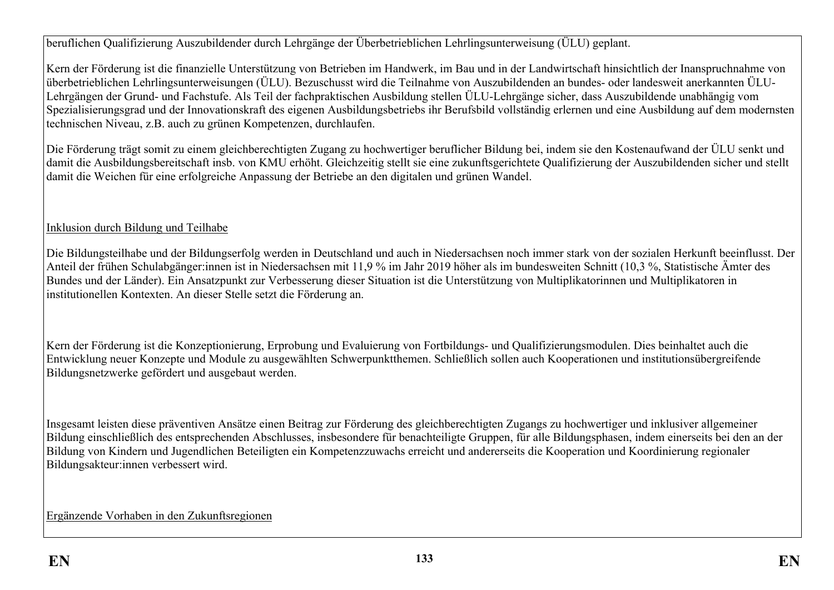beruflichen Qualifizierung Auszubildender durch Lehrgänge der Überbetrieblichen Lehrlingsunterweisung (ÜLU) geplant.

Kern der Förderung ist die finanzielle Unterstützung von Betrieben im Handwerk, im Bau und in der Landwirtschaft hinsichtlich der Inanspruchnahme von überbetrieblichen Lehrlingsunterweisungen (ÜLU). Bezuschusst wird die Teilnahme von Auszubildenden an bundes- oder landesweit anerkannten ÜLU-Lehrgängen der Grund- und Fachstufe. Als Teil der fachpraktischen Ausbildung stellen ÜLU-Lehrgänge sicher, dass Auszubildende unabhängig vom Spezialisierungsgrad und der Innovationskraft des eigenen Ausbildungsbetriebs ihr Berufsbild vollständig erlernen und eine Ausbildung auf dem modernsten technischen Niveau, z.B. auch zu grünen Kompetenzen, durchlaufen.

Die Förderung trägt somit zu einem gleichberechtigten Zugang zu hochwertiger beruflicher Bildung bei, indem sie den Kostenaufwand der ÜLU senkt und damit die Ausbildungsbereitschaft insb. von KMU erhöht. Gleichzeitig stellt sie eine zukunftsgerichtete Qualifizierung der Auszubildenden sicher und stellt damit die Weichen für eine erfolgreiche Anpassung der Betriebe an den digitalen und grünen Wandel.

# Inklusion durch Bildung und Teilhabe

Die Bildungsteilhabe und der Bildungserfolg werden in Deutschland und auch in Niedersachsen noch immer stark von der sozialen Herkunft beeinflusst. Der Anteil der frühen Schulabgänger:innen ist in Niedersachsen mit 11,9 % im Jahr 2019 höher als im bundesweiten Schnitt (10,3 %, Statistische Ämter des Bundes und der Länder). Ein Ansatzpunkt zur Verbesserung dieser Situation ist die Unterstützung von Multiplikatorinnen und Multiplikatoren in institutionellen Kontexten. An dieser Stelle setzt die Förderung an.

Kern der Förderung ist die Konzeptionierung, Erprobung und Evaluierung von Fortbildungs- und Qualifizierungsmodulen. Dies beinhaltet auch die Entwicklung neuer Konzepte und Module zu ausgewählten Schwerpunktthemen. Schließlich sollen auch Kooperationen und institutionsübergreifende Bildungsnetzwerke gefördert und ausgebaut werden.

Insgesamt leisten diese präventiven Ansätze einen Beitrag zur Förderung des gleichberechtigten Zugangs zu hochwertiger und inklusiver allgemeiner Bildung einschließlich des entsprechenden Abschlusses, insbesondere für benachteiligte Gruppen, für alle Bildungsphasen, indem einerseits bei den an der Bildung von Kindern und Jugendlichen Beteiligten ein Kompetenzzuwachs erreicht und andererseits die Kooperation und Koordinierung regionaler Bildungsakteur:innen verbessert wird.

Ergänzende Vorhaben in den Zukunftsregionen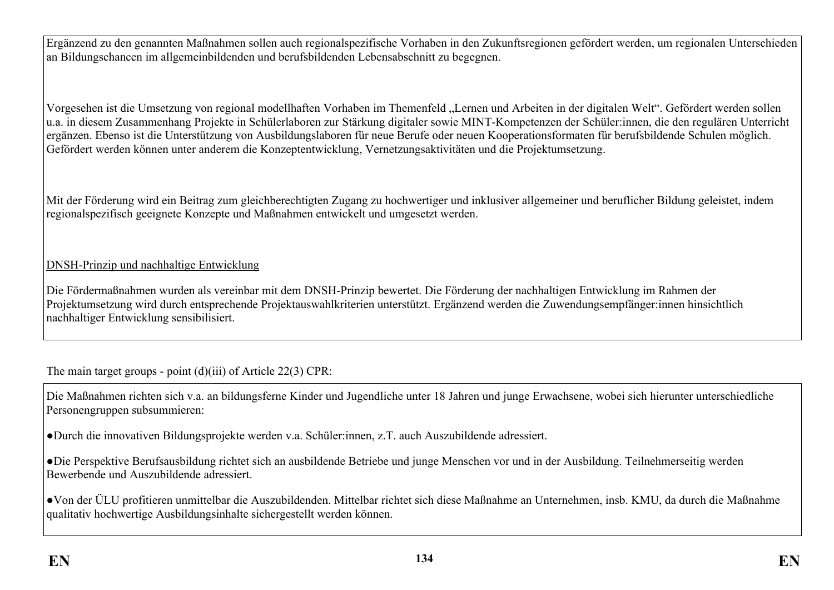Ergänzend zu den genannten Maßnahmen sollen auch regionalspezifische Vorhaben in den Zukunftsregionen gefördert werden, um regionalen Unterschieden an Bildungschancen im allgemeinbildenden und berufsbildenden Lebensabschnitt zu begegnen.

Vorgesehen ist die Umsetzung von regional modellhaften Vorhaben im Themenfeld "Lernen und Arbeiten in der digitalen Welt". Gefördert werden sollen u.a. in diesem Zusammenhang Projekte in Schülerlaboren zur Stärkung digitaler sowie MINT-Kompetenzen der Schüler:innen, die den regulären Unterricht ergänzen. Ebenso ist die Unterstützung von Ausbildungslaboren für neue Berufe oder neuen Kooperationsformaten für berufsbildende Schulen möglich. Gefördert werden können unter anderem die Konzeptentwicklung, Vernetzungsaktivitäten und die Projektumsetzung.

Mit der Förderung wird ein Beitrag zum gleichberechtigten Zugang zu hochwertiger und inklusiver allgemeiner und beruflicher Bildung geleistet, indem regionalspezifisch geeignete Konzepte und Maßnahmen entwickelt und umgesetzt werden.

## DNSH-Prinzip und nachhaltige Entwicklung

Die Fördermaßnahmen wurden als vereinbar mit dem DNSH-Prinzip bewertet. Die Förderung der nachhaltigen Entwicklung im Rahmen der Projektumsetzung wird durch entsprechende Projektauswahlkriterien unterstützt. Ergänzend werden die Zuwendungsempfänger:innen hinsichtlich nachhaltiger Entwicklung sensibilisiert.

The main target groups - point (d)(iii) of Article 22(3) CPR:

Die Maßnahmen richten sich v.a. an bildungsferne Kinder und Jugendliche unter 18 Jahren und junge Erwachsene, wobei sich hierunter unterschiedliche Personengruppen subsummieren:

●Durch die innovativen Bildungsprojekte werden v.a. Schüler:innen, z.T. auch Auszubildende adressiert.

●Die Perspektive Berufsausbildung richtet sich an ausbildende Betriebe und junge Menschen vor und in der Ausbildung. Teilnehmerseitig werden Bewerbende und Auszubildende adressiert.

●Von der ÜLU profitieren unmittelbar die Auszubildenden. Mittelbar richtet sich diese Maßnahme an Unternehmen, insb. KMU, da durch die Maßnahme qualitativ hochwertige Ausbildungsinhalte sichergestellt werden können.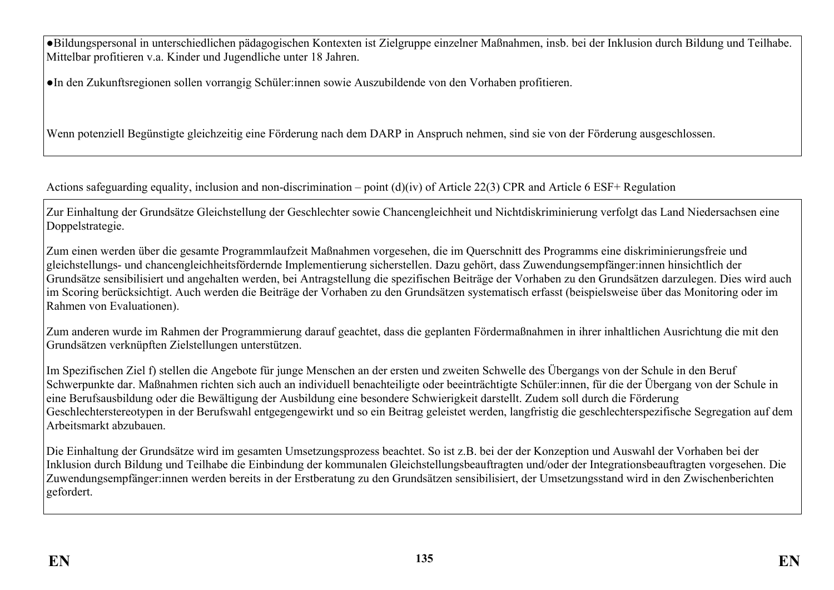●Bildungspersonal in unterschiedlichen pädagogischen Kontexten ist Zielgruppe einzelner Maßnahmen, insb. bei der Inklusion durch Bildung und Teilhabe. Mittelbar profitieren v.a. Kinder und Jugendliche unter 18 Jahren.

●In den Zukunftsregionen sollen vorrangig Schüler:innen sowie Auszubildende von den Vorhaben profitieren.

Wenn potenziell Begünstigte gleichzeitig eine Förderung nach dem DARP in Anspruch nehmen, sind sie von der Förderung ausgeschlossen.

Actions safeguarding equality, inclusion and non-discrimination – point (d)(iv) of Article 22(3) CPR and Article 6 ESF+ Regulation

Zur Einhaltung der Grundsätze Gleichstellung der Geschlechter sowie Chancengleichheit und Nichtdiskriminierung verfolgt das Land Niedersachsen eine Doppelstrategie.

Zum einen werden über die gesamte Programmlaufzeit Maßnahmen vorgesehen, die im Querschnitt des Programms eine diskriminierungsfreie und gleichstellungs- und chancengleichheitsfördernde Implementierung sicherstellen. Dazu gehört, dass Zuwendungsempfänger:innen hinsichtlich der Grundsätze sensibilisiert und angehalten werden, bei Antragstellung die spezifischen Beiträge der Vorhaben zu den Grundsätzen darzulegen. Dies wird auch im Scoring berücksichtigt. Auch werden die Beiträge der Vorhaben zu den Grundsätzen systematisch erfasst (beispielsweise über das Monitoring oder im Rahmen von Evaluationen).

Zum anderen wurde im Rahmen der Programmierung darauf geachtet, dass die geplanten Fördermaßnahmen in ihrer inhaltlichen Ausrichtung die mit den Grundsätzen verknüpften Zielstellungen unterstützen.

Im Spezifischen Ziel f) stellen die Angebote für junge Menschen an der ersten und zweiten Schwelle des Übergangs von der Schule in den Beruf Schwerpunkte dar. Maßnahmen richten sich auch an individuell benachteiligte oder beeinträchtigte Schüler:innen, für die der Übergang von der Schule in eine Berufsausbildung oder die Bewältigung der Ausbildung eine besondere Schwierigkeit darstellt. Zudem soll durch die Förderung Geschlechterstereotypen in der Berufswahl entgegengewirkt und so ein Beitrag geleistet werden, langfristig die geschlechterspezifische Segregation auf dem Arbeitsmarkt abzubauen.

Die Einhaltung der Grundsätze wird im gesamten Umsetzungsprozess beachtet. So ist z.B. bei der der Konzeption und Auswahl der Vorhaben bei der Inklusion durch Bildung und Teilhabe die Einbindung der kommunalen Gleichstellungsbeauftragten und/oder der Integrationsbeauftragten vorgesehen. Die Zuwendungsempfänger:innen werden bereits in der Erstberatung zu den Grundsätzen sensibilisiert, der Umsetzungsstand wird in den Zwischenberichten gefordert.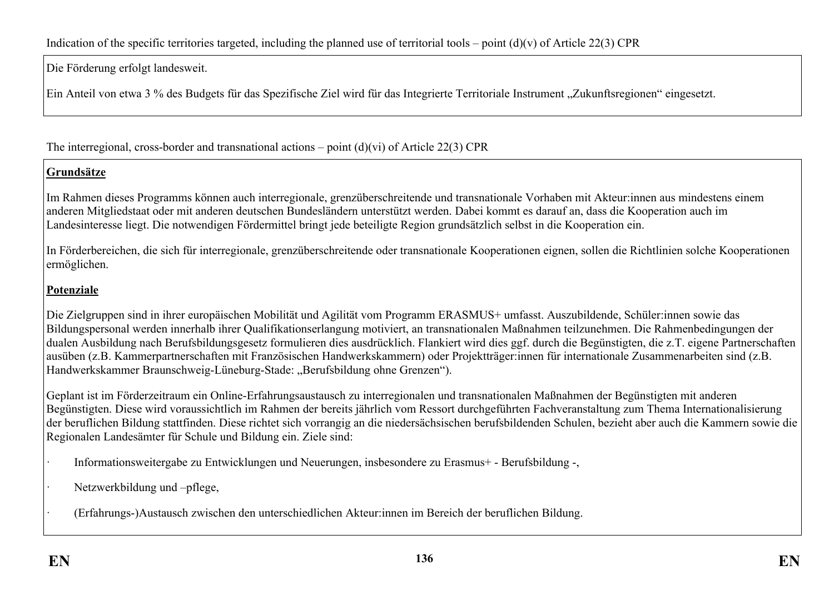Die Förderung erfolgt landesweit.

Ein Anteil von etwa 3 % des Budgets für das Spezifische Ziel wird für das Integrierte Territoriale Instrument "Zukunftsregionen" eingesetzt.

The interregional, cross-border and transnational actions – point  $(d)(vi)$  of Article 22(3) CPR

# **Grundsätze**

Im Rahmen dieses Programms können auch interregionale, grenzüberschreitende und transnationale Vorhaben mit Akteur:innen aus mindestens einem anderen Mitgliedstaat oder mit anderen deutschen Bundesländern unterstützt werden. Dabei kommt es darauf an, dass die Kooperation auch im Landesinteresse liegt. Die notwendigen Fördermittel bringt jede beteiligte Region grundsätzlich selbst in die Kooperation ein.

In Förderbereichen, die sich für interregionale, grenzüberschreitende oder transnationale Kooperationen eignen, sollen die Richtlinien solche Kooperationen ermöglichen.

## **Potenziale**

Die Zielgruppen sind in ihrer europäischen Mobilität und Agilität vom Programm ERASMUS+ umfasst. Auszubildende, Schüler:innen sowie das Bildungspersonal werden innerhalb ihrer Qualifikationserlangung motiviert, an transnationalen Maßnahmen teilzunehmen. Die Rahmenbedingungen der dualen Ausbildung nach Berufsbildungsgesetz formulieren dies ausdrücklich. Flankiert wird dies ggf. durch die Begünstigten, die z.T. eigene Partnerschaften ausüben (z.B. Kammerpartnerschaften mit Französischen Handwerkskammern) oder Projektträger:innen für internationale Zusammenarbeiten sind (z.B. Handwerkskammer Braunschweig-Lüneburg-Stade: ..Berufsbildung ohne Grenzen").

Geplant ist im Förderzeitraum ein Online-Erfahrungsaustausch zu interregionalen und transnationalen Maßnahmen der Begünstigten mit anderen Begünstigten. Diese wird voraussichtlich im Rahmen der bereits jährlich vom Ressort durchgeführten Fachveranstaltung zum Thema Internationalisierung der beruflichen Bildung stattfinden. Diese richtet sich vorrangig an die niedersächsischen berufsbildenden Schulen, bezieht aber auch die Kammern sowie die Regionalen Landesämter für Schule und Bildung ein. Ziele sind:

- · Informationsweitergabe zu Entwicklungen und Neuerungen, insbesondere zu Erasmus+ Berufsbildung -,
- Netzwerkbildung und –pflege,
- · (Erfahrungs-)Austausch zwischen den unterschiedlichen Akteur:innen im Bereich der beruflichen Bildung.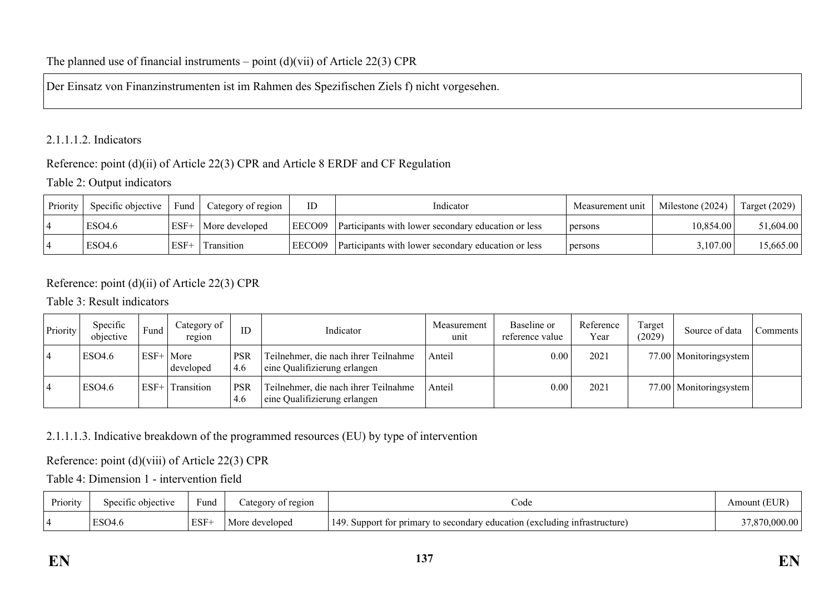### The planned use of financial instruments – point  $(d)(vi)$  of Article 22(3) CPR

Der Einsatz von Finanzinstrumenten ist im Rahmen des Spezifischen Ziels f) nicht vorgesehen.

### 2.1.1.1.2. Indicators

### Reference: point (d)(ii) of Article 22(3) CPR and Article 8 ERDF and CF Regulation

## Table 2: Output indicators

| Priority | Specific objective | Fund   | Category of region | ID     | Indicator                                                  | Measurement unit | Milestone (2024) | Target $(2029)$ |
|----------|--------------------|--------|--------------------|--------|------------------------------------------------------------|------------------|------------------|-----------------|
|          | ESO4.6             | $ESF+$ | More developed     | EECO09 | <b>Participants</b> with lower secondary education or less | persons          | 10.854.00        | 51,604.00       |
|          | ESO <sub>4.6</sub> | $ESF+$ | Transition         | EECO09 | Participants with lower secondary education or less        | persons          | 3,107.00         | 15,665.00       |

## Reference: point (d)(ii) of Article 22(3) CPR

### Table 3: Result indicators

| Priority | Specific<br>objective | Fund   | Category of<br>region | ID                | Indicator                                                            | Measurement<br>unit | Baseline or<br>reference value | Reference<br>Year | Target<br>(2029) | Source of data           | comments |
|----------|-----------------------|--------|-----------------------|-------------------|----------------------------------------------------------------------|---------------------|--------------------------------|-------------------|------------------|--------------------------|----------|
|          | ESO4.6                | $ESF+$ | More<br>developed     | <b>PSR</b><br>4.6 | Teilnehmer, die nach ihrer Teilnahme<br>eine Qualifizierung erlangen | Anteil              | 0.00                           | 2021              |                  | 77.00   Monitoringsystem |          |
|          | ESO4.6                | $ESF+$ | Transition            | <b>PSR</b><br>4.6 | Teilnehmer, die nach ihrer Teilnahme<br>eine Qualifizierung erlangen | Anteil              | 0.00                           | 2021              |                  | 77.00   Monitoringsystem |          |

### 2.1.1.1.3. Indicative breakdown of the programmed resources (EU) by type of intervention

### Reference: point (d)(viii) of Article 22(3) CPR

Table 4: Dimension 1 - intervention field

| Priority | Specific objective | $\sim$<br>Fund<br>$\sim$ $\sim$ $\sim$ $\sim$ | ategory of region | ∠ode                                                                                       | 'EUF<br>Amount |
|----------|--------------------|-----------------------------------------------|-------------------|--------------------------------------------------------------------------------------------|----------------|
|          | ESO4.6             | ESF+                                          | developed         | 149<br>/ education (excluding infrastructure)<br>t for primary to secondary o<br>). Suppor | 00             |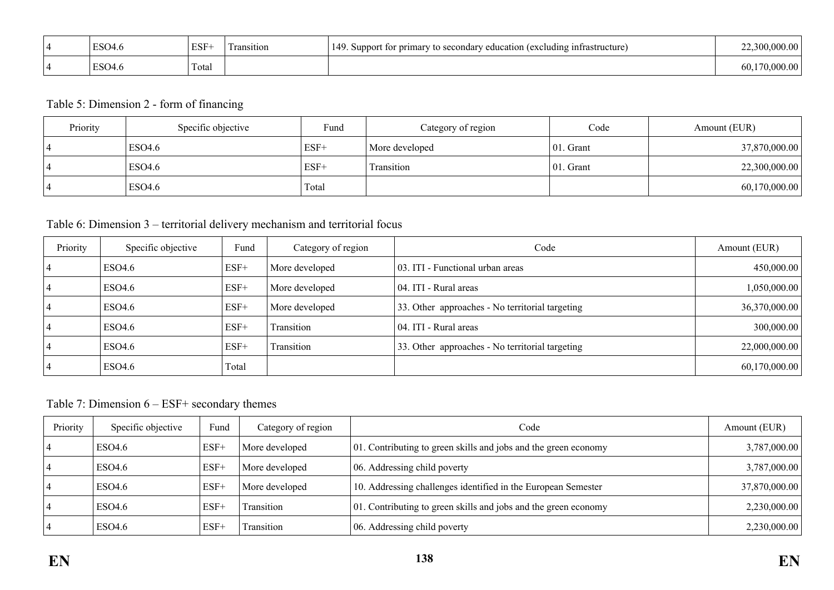| $\Gamma$ <sup><math>\cap</math><math>\cap</math></sup><br>:SU4.0 | ESF-  | ransition | 149<br>tor primary *<br>i (excluding infrastructure)<br>) secondary education<br>Suppor.<br>$+ \alpha$ |  |
|------------------------------------------------------------------|-------|-----------|--------------------------------------------------------------------------------------------------------|--|
| $\Gamma$ <sup><math>\cap</math><math>\cap</math></sup><br>504.0  | Total |           |                                                                                                        |  |

## Table 5: Dimension 2 - form of financing

| Priority | Specific objective | Fund   | Category of region | Code          | Amount (EUR)  |
|----------|--------------------|--------|--------------------|---------------|---------------|
|          | ESO4.6             | $ESF+$ | More developed     | $ 01$ . Grant | 37,870,000.00 |
|          | <b>ESO4.6</b>      | ESF+   | Transition         | $ 01$ . Grant | 22,300,000.00 |
|          | ESO4.6             | Total  |                    |               | 60,170,000.00 |

## Table 6: Dimension 3 – territorial delivery mechanism and territorial focus

| Priority | Specific objective | Fund   | Category of region | Code                                            | Amount (EUR)  |
|----------|--------------------|--------|--------------------|-------------------------------------------------|---------------|
|          | ESO4.6             | $ESF+$ | More developed     | 03. ITI - Functional urban areas                | 450,000.00    |
|          | <b>ESO4.6</b>      | $ESF+$ | More developed     | 04. ITI - Rural areas                           | 1,050,000.00  |
|          | ESO4.6             | $ESF+$ | More developed     | 33. Other approaches - No territorial targeting | 36,370,000.00 |
|          | ESO4.6             | $ESF+$ | Transition         | 04. ITI - Rural areas                           | 300,000.00    |
|          | ESO4.6             | $ESF+$ | Transition         | 33. Other approaches - No territorial targeting | 22,000,000.00 |
|          | ESO4.6             | Total  |                    |                                                 | 60,170,000.00 |

Table 7: Dimension 6 – ESF+ secondary themes

| Priority | Specific objective | Fund   | Category of region | Code                                                            | Amount (EUR)  |
|----------|--------------------|--------|--------------------|-----------------------------------------------------------------|---------------|
|          | ESO4.6             | $ESF+$ | More developed     | 01. Contributing to green skills and jobs and the green economy | 3,787,000.00  |
|          | ESO4.6             | $ESF+$ | More developed     | 06. Addressing child poverty                                    | 3,787,000.00  |
|          | ESO4.6             | $ESF+$ | More developed     | 10. Addressing challenges identified in the European Semester   | 37,870,000.00 |
|          | ESO4.6             | $ESF+$ | Transition         | 01. Contributing to green skills and jobs and the green economy | 2,230,000.00  |
|          | ESO4.6             | $ESF+$ | Transition         | 06. Addressing child poverty                                    | 2,230,000.00  |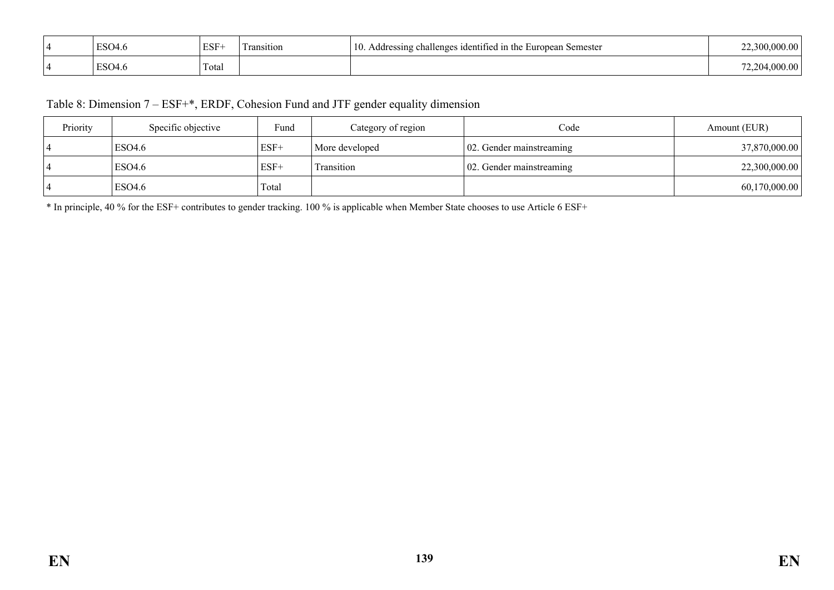| ESO4.6 | ESF-  | $\sim$<br>l ransıtıon<br>$-1$ and | 10.<br>Semester<br>$\frac{1}{2}$ identified in the $\frac{1}{2}$<br>challenges<br>Addressing<br>Luropean.<br>. п. н. | vvv.vv |
|--------|-------|-----------------------------------|----------------------------------------------------------------------------------------------------------------------|--------|
| ESO4.6 | Total |                                   |                                                                                                                      | vv.vv  |

## Table 8: Dimension 7 – ESF+\*, ERDF, Cohesion Fund and JTF gender equality dimension

| Priority | Specific objective | Fund   | Category of region | Code                             | Amount (EUR)  |
|----------|--------------------|--------|--------------------|----------------------------------|---------------|
|          | ESO4.6             | $ESF+$ | More developed     | $\vert$ 02. Gender mainstreaming | 37,870,000.00 |
|          | ESO <sub>4.6</sub> | $ESF+$ | Transition         | $\vert$ 02. Gender mainstreaming | 22,300,000.00 |
|          | <b>ESO4.6</b>      | Total  |                    |                                  | 60,170,000.00 |

\* In principle, 40 % for the ESF+ contributes to gender tracking. 100 % is applicable when Member State chooses to use Article 6 ESF+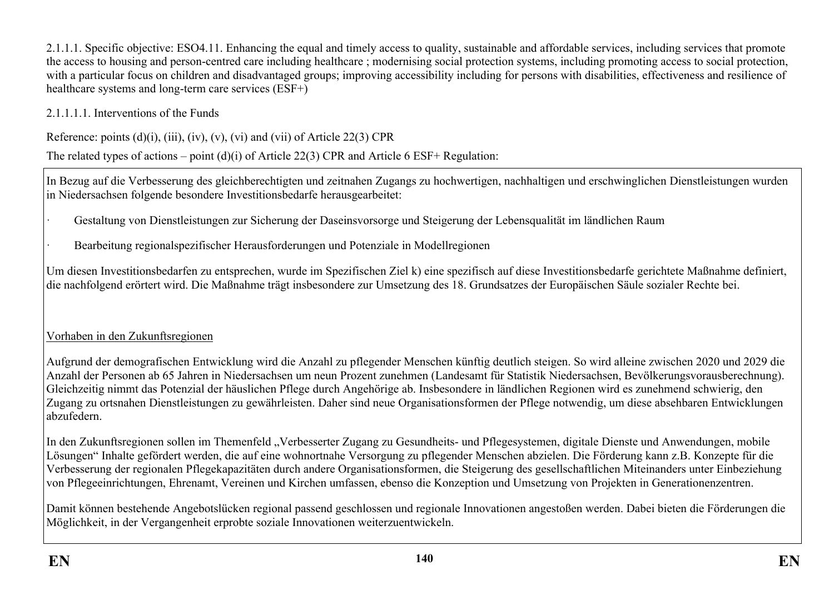2.1.1.1. Specific objective: ESO4.11. Enhancing the equal and timely access to quality, sustainable and affordable services, including services that promote the access to housing and person-centred care including healthcare ; modernising social protection systems, including promoting access to social protection, with a particular focus on children and disadvantaged groups; improving accessibility including for persons with disabilities, effectiveness and resilience of healthcare systems and long-term care services (ESF+)

2.1.1.1.1. Interventions of the Funds

Reference: points  $(d)(i)$ ,  $(iii)$ ,  $(iv)$ ,  $(v)$ ,  $(vi)$  and  $(vii)$  of Article 22(3) CPR

The related types of actions – point (d)(i) of Article 22(3) CPR and Article 6 ESF+ Regulation:

In Bezug auf die Verbesserung des gleichberechtigten und zeitnahen Zugangs zu hochwertigen, nachhaltigen und erschwinglichen Dienstleistungen wurden in Niedersachsen folgende besondere Investitionsbedarfe herausgearbeitet:

· Gestaltung von Dienstleistungen zur Sicherung der Daseinsvorsorge und Steigerung der Lebensqualität im ländlichen Raum

· Bearbeitung regionalspezifischer Herausforderungen und Potenziale in Modellregionen

Um diesen Investitionsbedarfen zu entsprechen, wurde im Spezifischen Ziel k) eine spezifisch auf diese Investitionsbedarfe gerichtete Maßnahme definiert, die nachfolgend erörtert wird. Die Maßnahme trägt insbesondere zur Umsetzung des 18. Grundsatzes der Europäischen Säule sozialer Rechte bei.

## Vorhaben in den Zukunftsregionen

Aufgrund der demografischen Entwicklung wird die Anzahl zu pflegender Menschen künftig deutlich steigen. So wird alleine zwischen 2020 und 2029 die Anzahl der Personen ab 65 Jahren in Niedersachsen um neun Prozent zunehmen (Landesamt für Statistik Niedersachsen, Bevölkerungsvorausberechnung). Gleichzeitig nimmt das Potenzial der häuslichen Pflege durch Angehörige ab. Insbesondere in ländlichen Regionen wird es zunehmend schwierig, den Zugang zu ortsnahen Dienstleistungen zu gewährleisten. Daher sind neue Organisationsformen der Pflege notwendig, um diese absehbaren Entwicklungen abzufedern.

In den Zukunftsregionen sollen im Themenfeld "Verbesserter Zugang zu Gesundheits- und Pflegesystemen, digitale Dienste und Anwendungen, mobile Lösungen" Inhalte gefördert werden, die auf eine wohnortnahe Versorgung zu pflegender Menschen abzielen. Die Förderung kann z.B. Konzepte für die Verbesserung der regionalen Pflegekapazitäten durch andere Organisationsformen, die Steigerung des gesellschaftlichen Miteinanders unter Einbeziehung von Pflegeeinrichtungen, Ehrenamt, Vereinen und Kirchen umfassen, ebenso die Konzeption und Umsetzung von Projekten in Generationenzentren.

Damit können bestehende Angebotslücken regional passend geschlossen und regionale Innovationen angestoßen werden. Dabei bieten die Förderungen die Möglichkeit, in der Vergangenheit erprobte soziale Innovationen weiterzuentwickeln.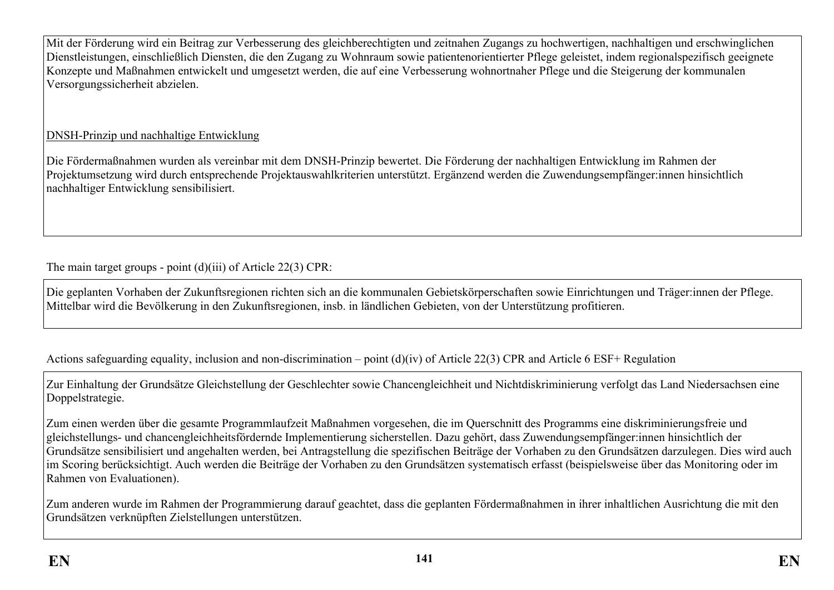Mit der Förderung wird ein Beitrag zur Verbesserung des gleichberechtigten und zeitnahen Zugangs zu hochwertigen, nachhaltigen und erschwinglichen Dienstleistungen, einschließlich Diensten, die den Zugang zu Wohnraum sowie patientenorientierter Pflege geleistet, indem regionalspezifisch geeignete Konzepte und Maßnahmen entwickelt und umgesetzt werden, die auf eine Verbesserung wohnortnaher Pflege und die Steigerung der kommunalen Versorgungssicherheit abzielen.

## DNSH-Prinzip und nachhaltige Entwicklung

Die Fördermaßnahmen wurden als vereinbar mit dem DNSH-Prinzip bewertet. Die Förderung der nachhaltigen Entwicklung im Rahmen der Projektumsetzung wird durch entsprechende Projektauswahlkriterien unterstützt. Ergänzend werden die Zuwendungsempfänger:innen hinsichtlich nachhaltiger Entwicklung sensibilisiert.

The main target groups - point (d)(iii) of Article 22(3) CPR:

Die geplanten Vorhaben der Zukunftsregionen richten sich an die kommunalen Gebietskörperschaften sowie Einrichtungen und Träger:innen der Pflege. Mittelbar wird die Bevölkerung in den Zukunftsregionen, insb. in ländlichen Gebieten, von der Unterstützung profitieren.

Actions safeguarding equality, inclusion and non-discrimination – point (d)(iv) of Article 22(3) CPR and Article 6 ESF+ Regulation

Zur Einhaltung der Grundsätze Gleichstellung der Geschlechter sowie Chancengleichheit und Nichtdiskriminierung verfolgt das Land Niedersachsen eine Doppelstrategie.

Zum einen werden über die gesamte Programmlaufzeit Maßnahmen vorgesehen, die im Querschnitt des Programms eine diskriminierungsfreie und gleichstellungs- und chancengleichheitsfördernde Implementierung sicherstellen. Dazu gehört, dass Zuwendungsempfänger:innen hinsichtlich der Grundsätze sensibilisiert und angehalten werden, bei Antragstellung die spezifischen Beiträge der Vorhaben zu den Grundsätzen darzulegen. Dies wird auch im Scoring berücksichtigt. Auch werden die Beiträge der Vorhaben zu den Grundsätzen systematisch erfasst (beispielsweise über das Monitoring oder im Rahmen von Evaluationen).

Zum anderen wurde im Rahmen der Programmierung darauf geachtet, dass die geplanten Fördermaßnahmen in ihrer inhaltlichen Ausrichtung die mit den Grundsätzen verknüpften Zielstellungen unterstützen.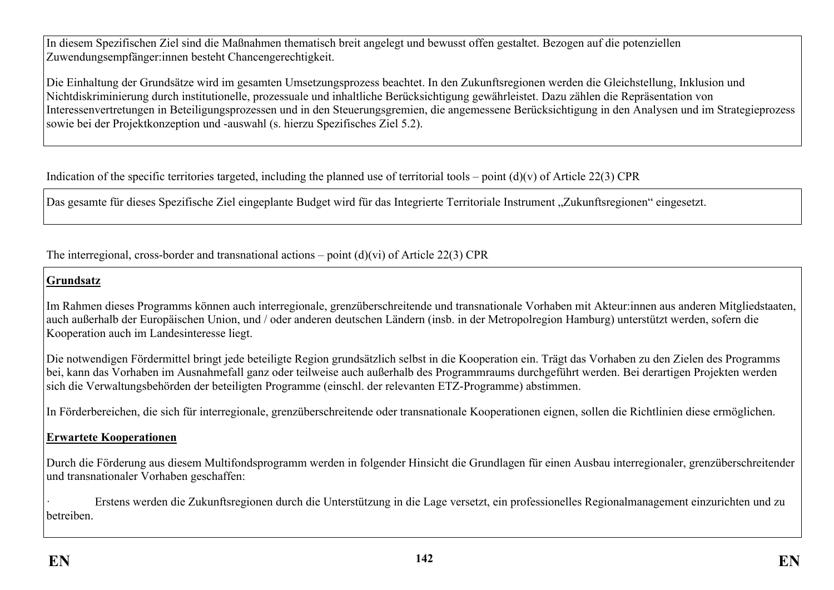In diesem Spezifischen Ziel sind die Maßnahmen thematisch breit angelegt und bewusst offen gestaltet. Bezogen auf die potenziellen Zuwendungsempfänger:innen besteht Chancengerechtigkeit.

Die Einhaltung der Grundsätze wird im gesamten Umsetzungsprozess beachtet. In den Zukunftsregionen werden die Gleichstellung, Inklusion und Nichtdiskriminierung durch institutionelle, prozessuale und inhaltliche Berücksichtigung gewährleistet. Dazu zählen die Repräsentation von Interessenvertretungen in Beteiligungsprozessen und in den Steuerungsgremien, die angemessene Berücksichtigung in den Analysen und im Strategieprozess sowie bei der Projektkonzeption und -auswahl (s. hierzu Spezifisches Ziel 5.2).

Indication of the specific territories targeted, including the planned use of territorial tools – point  $(d)(v)$  of Article 22(3) CPR

Das gesamte für dieses Spezifische Ziel eingeplante Budget wird für das Integrierte Territoriale Instrument "Zukunftsregionen" eingesetzt.

The interregional, cross-border and transnational actions – point  $(d)(vi)$  of Article 22(3) CPR

## **Grundsatz**

Im Rahmen dieses Programms können auch interregionale, grenzüberschreitende und transnationale Vorhaben mit Akteur:innen aus anderen Mitgliedstaaten, auch außerhalb der Europäischen Union, und / oder anderen deutschen Ländern (insb. in der Metropolregion Hamburg) unterstützt werden, sofern die Kooperation auch im Landesinteresse liegt.

Die notwendigen Fördermittel bringt jede beteiligte Region grundsätzlich selbst in die Kooperation ein. Trägt das Vorhaben zu den Zielen des Programms bei, kann das Vorhaben im Ausnahmefall ganz oder teilweise auch außerhalb des Programmraums durchgeführt werden. Bei derartigen Projekten werden sich die Verwaltungsbehörden der beteiligten Programme (einschl. der relevanten ETZ-Programme) abstimmen.

In Förderbereichen, die sich für interregionale, grenzüberschreitende oder transnationale Kooperationen eignen, sollen die Richtlinien diese ermöglichen.

### **Erwartete Kooperationen**

Durch die Förderung aus diesem Multifondsprogramm werden in folgender Hinsicht die Grundlagen für einen Ausbau interregionaler, grenzüberschreitender und transnationaler Vorhaben geschaffen:

· Erstens werden die Zukunftsregionen durch die Unterstützung in die Lage versetzt, ein professionelles Regionalmanagement einzurichten und zu betreiben.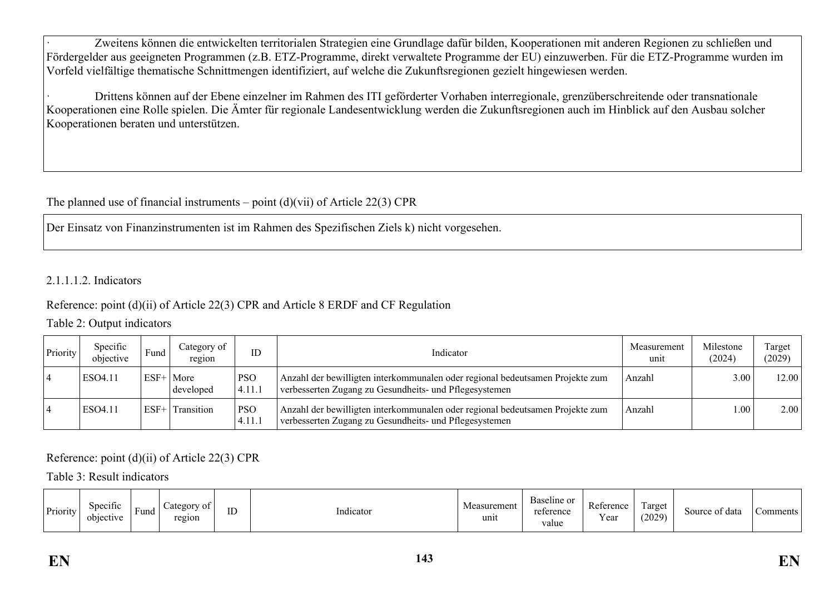Zweitens können die entwickelten territorialen Strategien eine Grundlage dafür bilden, Kooperationen mit anderen Regionen zu schließen und Fördergelder aus geeigneten Programmen (z.B. ETZ-Programme, direkt verwaltete Programme der EU) einzuwerben. Für die ETZ-Programme wurden im Vorfeld vielfältige thematische Schnittmengen identifiziert, auf welche die Zukunftsregionen gezielt hingewiesen werden.

· Drittens können auf der Ebene einzelner im Rahmen des ITI geförderter Vorhaben interregionale, grenzüberschreitende oder transnationale Kooperationen eine Rolle spielen. Die Ämter für regionale Landesentwicklung werden die Zukunftsregionen auch im Hinblick auf den Ausbau solcher Kooperationen beraten und unterstützen.

# The planned use of financial instruments – point  $(d)(\n{\rm vii})$  of Article 22(3) CPR

Der Einsatz von Finanzinstrumenten ist im Rahmen des Spezifischen Ziels k) nicht vorgesehen.

#### 2.1.1.1.2. Indicators

### Reference: point (d)(ii) of Article 22(3) CPR and Article 8 ERDF and CF Regulation

### Table 2: Output indicators

| Priority | Specific<br>objective | Fund   | Category of<br>region | ID                   | Measurement<br>Indicator                                                                                                                |        | Milestone<br>(2024) | Target<br>(2029) |
|----------|-----------------------|--------|-----------------------|----------------------|-----------------------------------------------------------------------------------------------------------------------------------------|--------|---------------------|------------------|
|          | ESO4.11               | $ESF+$ | More<br>developed     | <b>PSO</b><br>4.11.1 | Anzahl der bewilligten interkommunalen oder regional bedeutsamen Projekte zum<br>verbesserten Zugang zu Gesundheits- und Pflegesystemen | Anzahl | 3.00                | 12.00            |
|          | ESO4.11               | ESF-   | Transition            | <b>PSO</b><br>4.11.1 | Anzahl der bewilligten interkommunalen oder regional bedeutsamen Projekte zum<br>verbesserten Zugang zu Gesundheits- und Pflegesystemen | Anzahl | .00                 | 2.00             |

### Reference: point (d)(ii) of Article 22(3) CPR

### Table 3: Result indicators

| Priority | $\cdot$ $\sim$<br>Specific<br>$\text{Categorv}$<br>v of<br>ID<br><b>D</b><br>Funa<br>region<br>objective | Indicator | surement!<br>$\Delta$<br><b>IVIC</b><br>unit | Baseline or<br>reference<br>value | Reference<br>$\mathbf{r}$<br>Y ear | $\overline{\phantom{a}}$<br>Target<br>(2029) | data<br>Source of | $\mathsf{\sim}\text{omments}$ |
|----------|----------------------------------------------------------------------------------------------------------|-----------|----------------------------------------------|-----------------------------------|------------------------------------|----------------------------------------------|-------------------|-------------------------------|
|----------|----------------------------------------------------------------------------------------------------------|-----------|----------------------------------------------|-----------------------------------|------------------------------------|----------------------------------------------|-------------------|-------------------------------|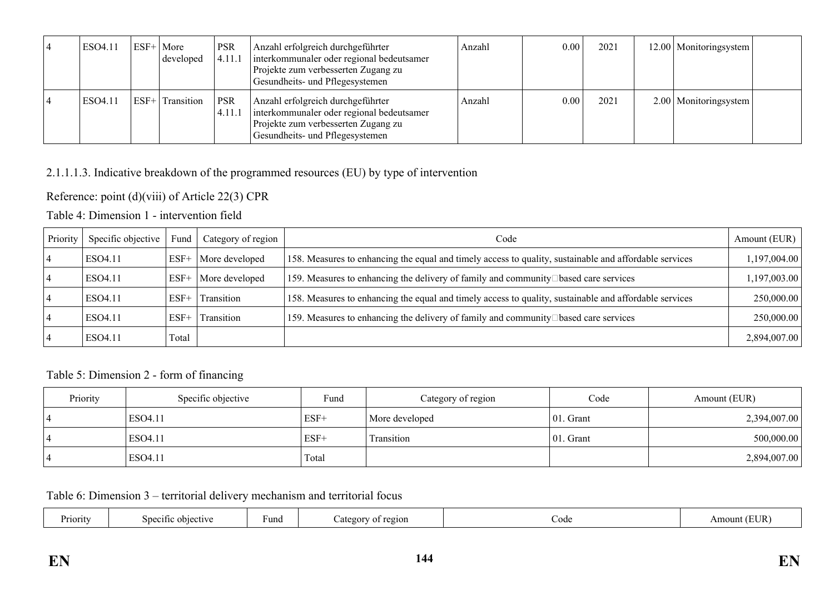| ESO4.11 | $ESF+ More$<br>developed | <b>PSR</b><br> 4.11.1 | Anzahl erfolgreich durchgeführter<br>interkommunaler oder regional bedeutsamer<br>Projekte zum verbesserten Zugang zu<br>Gesundheits- und Pflegesystemen | Anzahl | 0.00 | 2021 | 12.00   Monitoringsystem |  |
|---------|--------------------------|-----------------------|----------------------------------------------------------------------------------------------------------------------------------------------------------|--------|------|------|--------------------------|--|
| ESO4.11 | ESF+ Transition          | <b>PSR</b><br>4.11.1  | Anzahl erfolgreich durchgeführter<br>interkommunaler oder regional bedeutsamer<br>Projekte zum verbesserten Zugang zu<br>Gesundheits- und Pflegesystemen | Anzahl | 0.00 | 2021 | $2.00$ Monitoringsystem  |  |

## 2.1.1.1.3. Indicative breakdown of the programmed resources (EU) by type of intervention

Reference: point (d)(viii) of Article 22(3) CPR

Table 4: Dimension 1 - intervention field

| Priority | Specific objective | Fund   | Category of region    | Code                                                                                                   | Amount (EUR) |
|----------|--------------------|--------|-----------------------|--------------------------------------------------------------------------------------------------------|--------------|
|          | ESO4.11            | $ESF+$ | More developed        | 158. Measures to enhancing the equal and timely access to quality, sustainable and affordable services | 1,197,004.00 |
|          | ESO4.11            |        | $ESF+$ More developed | 159. Measures to enhancing the delivery of family and community $\Box$ based care services             | 1,197,003.00 |
|          | ESO4.11            | $ESF+$ | Transition            | 158. Measures to enhancing the equal and timely access to quality, sustainable and affordable services | 250,000.00   |
|          | ESO4.11            | $ESF+$ | Transition            | 159. Measures to enhancing the delivery of family and community Dased care services                    | 250,000.00   |
|          | ESO4.11            | Total  |                       |                                                                                                        | 2,894,007.00 |

## Table 5: Dimension 2 - form of financing

| Priority | Specific objective | Fund   | Category of region | Code          | Amount (EUR) |
|----------|--------------------|--------|--------------------|---------------|--------------|
|          | ESO4.11            | $ESF+$ | More developed     | $ 01$ . Grant | 2,394,007.00 |
|          | ESO4.11            | $ESF+$ | Transition         | $ 01$ . Grant | 500,000.00   |
|          | ESO4.11            | Total  |                    |               | 2,894,007.00 |

Table 6: Dimension 3 – territorial delivery mechanism and territorial focus

| Priority | Specific objective | Fund | of region<br>Categor<br>.<br>. . | Couc | $\neg$ T IT><br>าบทบ<br>. ו ו |
|----------|--------------------|------|----------------------------------|------|-------------------------------|
|----------|--------------------|------|----------------------------------|------|-------------------------------|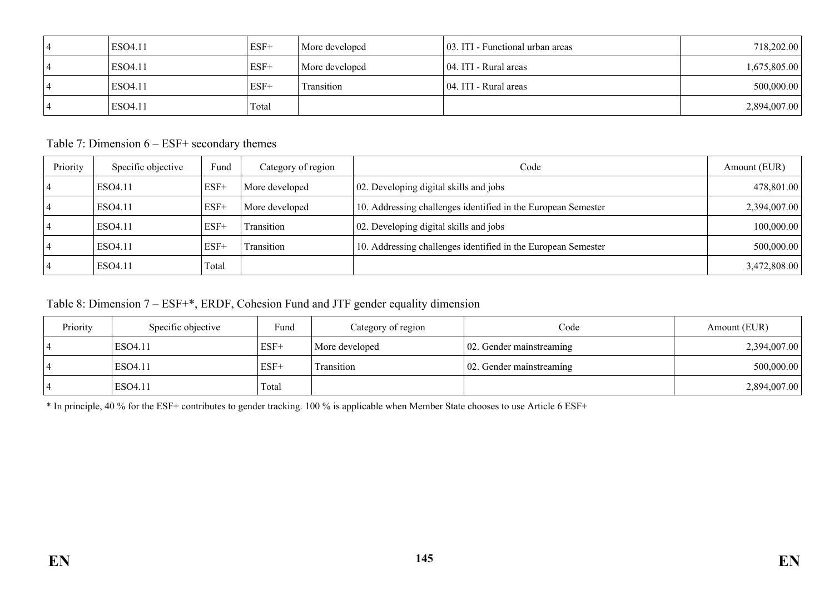| ESO4.11 | $ESF+$ | More developed | 103. ITI - Functional urban areas | 718,202.00   |
|---------|--------|----------------|-----------------------------------|--------------|
| ESO4.11 | $ESF+$ | More developed | 104. ITI - Rural areas            | 1,675,805.00 |
| ESO4.11 | $ESF+$ | Transition     | 104. ITI - Rural areas            | 500,000.00   |
| ESO4.11 | Total  |                |                                   | 2,894,007.00 |

Table 7: Dimension 6 – ESF+ secondary themes

| Priority | Specific objective | Fund   | Category of region | Code                                                          | Amount (EUR) |
|----------|--------------------|--------|--------------------|---------------------------------------------------------------|--------------|
|          | ESO4.11            | $ESF+$ | More developed     | 02. Developing digital skills and jobs                        | 478,801.00   |
|          | ESO4.11            | $ESF+$ | More developed     | 10. Addressing challenges identified in the European Semester | 2,394,007.00 |
|          | ESO4.11            | $ESF+$ | <b>Transition</b>  | 02. Developing digital skills and jobs                        | 100,000.00   |
|          | ESO4.11            | $ESF+$ | <b>Transition</b>  | 10. Addressing challenges identified in the European Semester | 500,000.00   |
|          | ESO4.11            | Total  |                    |                                                               | 3,472,808.00 |

Table 8: Dimension 7 – ESF+\*, ERDF, Cohesion Fund and JTF gender equality dimension

| Priority | Specific objective | Fund   | Category of region | Code                              | Amount (EUR) |
|----------|--------------------|--------|--------------------|-----------------------------------|--------------|
|          | ESO4.11            | $ESF+$ | More developed     | $\vert 02$ . Gender mainstreaming | 2,394,007.00 |
|          | ESO4.11            | $ESF+$ | Transition         | $\vert 02$ . Gender mainstreaming | 500,000.00   |
|          | ESO4.11            | Total  |                    |                                   | 2,894,007.00 |

\* In principle, 40 % for the ESF+ contributes to gender tracking. 100 % is applicable when Member State chooses to use Article 6 ESF+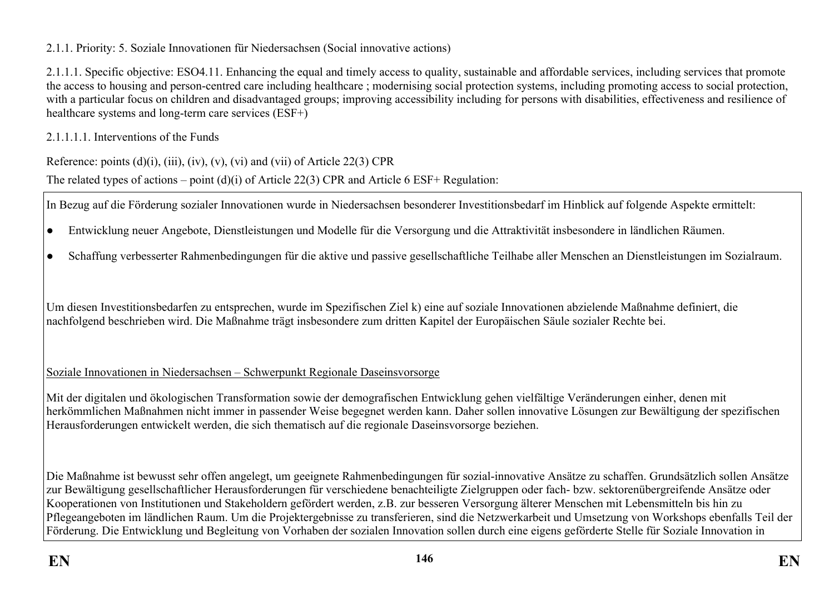2.1.1. Priority: 5. Soziale Innovationen für Niedersachsen (Social innovative actions)

2.1.1.1. Specific objective: ESO4.11. Enhancing the equal and timely access to quality, sustainable and affordable services, including services that promote the access to housing and person-centred care including healthcare ; modernising social protection systems, including promoting access to social protection, with a particular focus on children and disadvantaged groups; improving accessibility including for persons with disabilities, effectiveness and resilience of healthcare systems and long-term care services (ESF+)

2.1.1.1.1. Interventions of the Funds

Reference: points  $(d)(i)$ ,  $(iii)$ ,  $(iv)$ ,  $(v)$ ,  $(vi)$  and  $(vii)$  of Article 22(3) CPR

The related types of actions – point (d)(i) of Article 22(3) CPR and Article 6 ESF+ Regulation:

In Bezug auf die Förderung sozialer Innovationen wurde in Niedersachsen besonderer Investitionsbedarf im Hinblick auf folgende Aspekte ermittelt:

- Entwicklung neuer Angebote, Dienstleistungen und Modelle für die Versorgung und die Attraktivität insbesondere in ländlichen Räumen.
- Schaffung verbesserter Rahmenbedingungen für die aktive und passive gesellschaftliche Teilhabe aller Menschen an Dienstleistungen im Sozialraum.

Um diesen Investitionsbedarfen zu entsprechen, wurde im Spezifischen Ziel k) eine auf soziale Innovationen abzielende Maßnahme definiert, die nachfolgend beschrieben wird. Die Maßnahme trägt insbesondere zum dritten Kapitel der Europäischen Säule sozialer Rechte bei.

Soziale Innovationen in Niedersachsen – Schwerpunkt Regionale Daseinsvorsorge

Mit der digitalen und ökologischen Transformation sowie der demografischen Entwicklung gehen vielfältige Veränderungen einher, denen mit herkömmlichen Maßnahmen nicht immer in passender Weise begegnet werden kann. Daher sollen innovative Lösungen zur Bewältigung der spezifischen Herausforderungen entwickelt werden, die sich thematisch auf die regionale Daseinsvorsorge beziehen.

Die Maßnahme ist bewusst sehr offen angelegt, um geeignete Rahmenbedingungen für sozial-innovative Ansätze zu schaffen. Grundsätzlich sollen Ansätze zur Bewältigung gesellschaftlicher Herausforderungen für verschiedene benachteiligte Zielgruppen oder fach- bzw. sektorenübergreifende Ansätze oder Kooperationen von Institutionen und Stakeholdern gefördert werden, z.B. zur besseren Versorgung älterer Menschen mit Lebensmitteln bis hin zu Pflegeangeboten im ländlichen Raum. Um die Projektergebnisse zu transferieren, sind die Netzwerkarbeit und Umsetzung von Workshops ebenfalls Teil der Förderung. Die Entwicklung und Begleitung von Vorhaben der sozialen Innovation sollen durch eine eigens geförderte Stelle für Soziale Innovation in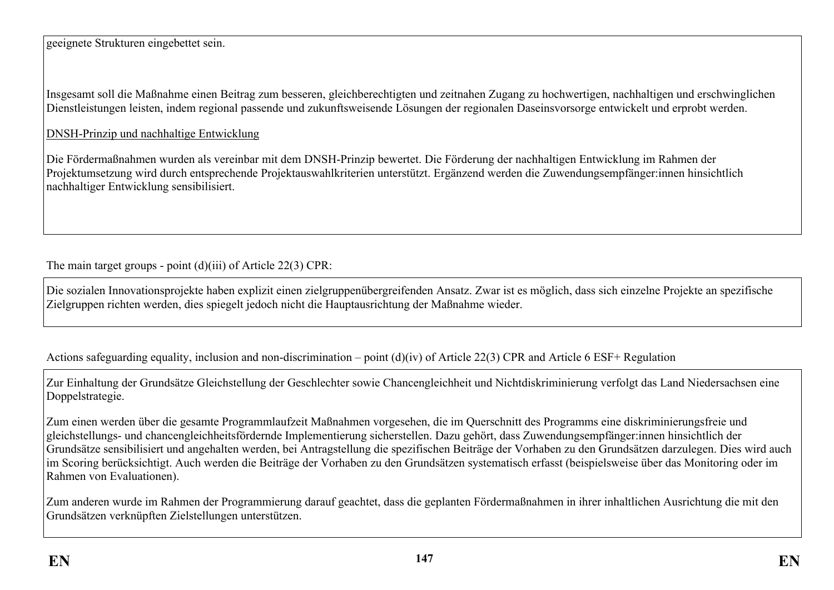geeignete Strukturen eingebettet sein.

Insgesamt soll die Maßnahme einen Beitrag zum besseren, gleichberechtigten und zeitnahen Zugang zu hochwertigen, nachhaltigen und erschwinglichen Dienstleistungen leisten, indem regional passende und zukunftsweisende Lösungen der regionalen Daseinsvorsorge entwickelt und erprobt werden.

DNSH-Prinzip und nachhaltige Entwicklung

Die Fördermaßnahmen wurden als vereinbar mit dem DNSH-Prinzip bewertet. Die Förderung der nachhaltigen Entwicklung im Rahmen der Projektumsetzung wird durch entsprechende Projektauswahlkriterien unterstützt. Ergänzend werden die Zuwendungsempfänger:innen hinsichtlich nachhaltiger Entwicklung sensibilisiert.

The main target groups - point (d)(iii) of Article 22(3) CPR:

Die sozialen Innovationsprojekte haben explizit einen zielgruppenübergreifenden Ansatz. Zwar ist es möglich, dass sich einzelne Projekte an spezifische Zielgruppen richten werden, dies spiegelt jedoch nicht die Hauptausrichtung der Maßnahme wieder.

Actions safeguarding equality, inclusion and non-discrimination – point (d)(iv) of Article 22(3) CPR and Article 6 ESF+ Regulation

Zur Einhaltung der Grundsätze Gleichstellung der Geschlechter sowie Chancengleichheit und Nichtdiskriminierung verfolgt das Land Niedersachsen eine Doppelstrategie.

Zum einen werden über die gesamte Programmlaufzeit Maßnahmen vorgesehen, die im Querschnitt des Programms eine diskriminierungsfreie und gleichstellungs- und chancengleichheitsfördernde Implementierung sicherstellen. Dazu gehört, dass Zuwendungsempfänger:innen hinsichtlich der Grundsätze sensibilisiert und angehalten werden, bei Antragstellung die spezifischen Beiträge der Vorhaben zu den Grundsätzen darzulegen. Dies wird auch im Scoring berücksichtigt. Auch werden die Beiträge der Vorhaben zu den Grundsätzen systematisch erfasst (beispielsweise über das Monitoring oder im Rahmen von Evaluationen).

Zum anderen wurde im Rahmen der Programmierung darauf geachtet, dass die geplanten Fördermaßnahmen in ihrer inhaltlichen Ausrichtung die mit den Grundsätzen verknüpften Zielstellungen unterstützen.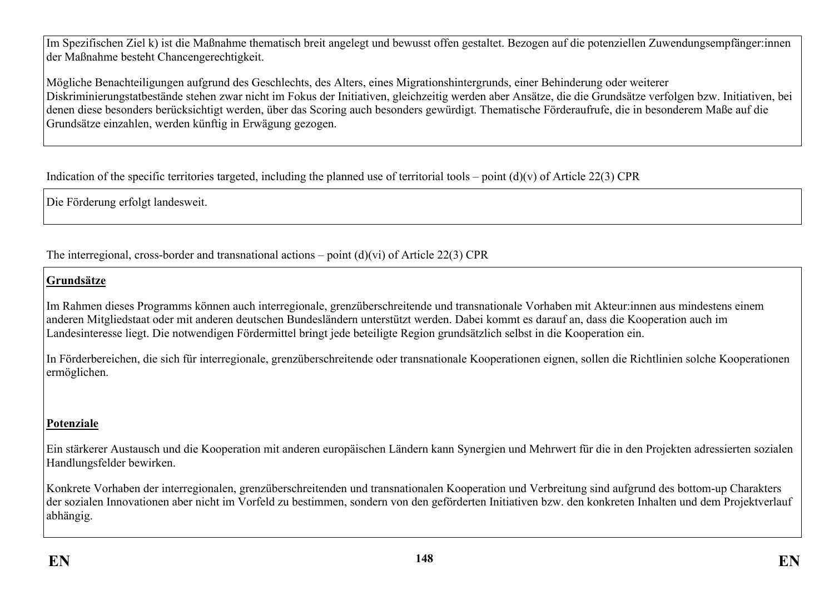Im Spezifischen Ziel k) ist die Maßnahme thematisch breit angelegt und bewusst offen gestaltet. Bezogen auf die potenziellen Zuwendungsempfänger:innen der Maßnahme besteht Chancengerechtigkeit.

Mögliche Benachteiligungen aufgrund des Geschlechts, des Alters, eines Migrationshintergrunds, einer Behinderung oder weiterer Diskriminierungstatbestände stehen zwar nicht im Fokus der Initiativen, gleichzeitig werden aber Ansätze, die die Grundsätze verfolgen bzw. Initiativen, bei denen diese besonders berücksichtigt werden, über das Scoring auch besonders gewürdigt. Thematische Förderaufrufe, die in besonderem Maße auf die Grundsätze einzahlen, werden künftig in Erwägung gezogen.

Indication of the specific territories targeted, including the planned use of territorial tools – point  $(d)(v)$  of Article 22(3) CPR

Die Förderung erfolgt landesweit.

The interregional, cross-border and transnational actions – point  $(d)(vi)$  of Article 22(3) CPR

# **Grundsätze**

Im Rahmen dieses Programms können auch interregionale, grenzüberschreitende und transnationale Vorhaben mit Akteur:innen aus mindestens einem anderen Mitgliedstaat oder mit anderen deutschen Bundesländern unterstützt werden. Dabei kommt es darauf an, dass die Kooperation auch im Landesinteresse liegt. Die notwendigen Fördermittel bringt jede beteiligte Region grundsätzlich selbst in die Kooperation ein.

In Förderbereichen, die sich für interregionale, grenzüberschreitende oder transnationale Kooperationen eignen, sollen die Richtlinien solche Kooperationen ermöglichen.

# **Potenziale**

Ein stärkerer Austausch und die Kooperation mit anderen europäischen Ländern kann Synergien und Mehrwert für die in den Projekten adressierten sozialen Handlungsfelder bewirken.

Konkrete Vorhaben der interregionalen, grenzüberschreitenden und transnationalen Kooperation und Verbreitung sind aufgrund des bottom-up Charakters der sozialen Innovationen aber nicht im Vorfeld zu bestimmen, sondern von den geförderten Initiativen bzw. den konkreten Inhalten und dem Projektverlauf abhängig.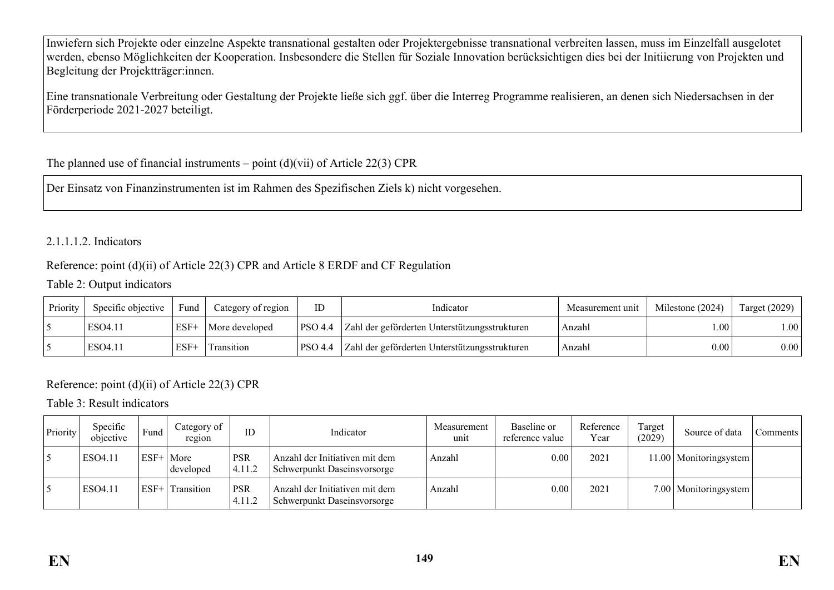Inwiefern sich Projekte oder einzelne Aspekte transnational gestalten oder Projektergebnisse transnational verbreiten lassen, muss im Einzelfall ausgelotet werden, ebenso Möglichkeiten der Kooperation. Insbesondere die Stellen für Soziale Innovation berücksichtigen dies bei der Initiierung von Projekten und Begleitung der Projektträger:innen.

Eine transnationale Verbreitung oder Gestaltung der Projekte ließe sich ggf. über die Interreg Programme realisieren, an denen sich Niedersachsen in der Förderperiode 2021-2027 beteiligt.

# The planned use of financial instruments – point  $(d)(vi)$  of Article 22(3) CPR

Der Einsatz von Finanzinstrumenten ist im Rahmen des Spezifischen Ziels k) nicht vorgesehen.

# 2.1.1.1.2. Indicators

# Reference: point (d)(ii) of Article 22(3) CPR and Article 8 ERDF and CF Regulation

### Table 2: Output indicators

| Priority | Specific objective | Fund   | Category of region | ID      | Indicator                                     | Measurement unit | Milestone (2024) | Target $(2029)$  |
|----------|--------------------|--------|--------------------|---------|-----------------------------------------------|------------------|------------------|------------------|
|          | ESO4.11            | $ESF+$ | More developed     | PSO 4.4 | Zahl der geförderten Unterstützungsstrukturen | Anzahl           | .00.             | $\vert 00 \vert$ |
|          | ESO4.11            | $ESF+$ | Transition         | PSO 4.4 | Zahl der geförderten Unterstützungsstrukturen | Anzahl           | 0.00             | 0.00             |

# Reference: point (d)(ii) of Article 22(3) CPR

Table 3: Result indicators

| Priority | Specific<br>objective | Fund   | Category of<br>region | ID                   | Indicator                                                     | Measurement<br>unit | Baseline or<br>reference value | Reference<br>Year | Target<br>(2029) | Source of data           | Comments |
|----------|-----------------------|--------|-----------------------|----------------------|---------------------------------------------------------------|---------------------|--------------------------------|-------------------|------------------|--------------------------|----------|
|          | ESO4.11               | $ESF+$ | ' More<br>developed   | <b>PSR</b><br>4.11.2 | Anzahl der Initiativen mit dem<br>Schwerpunkt Daseinsvorsorge | Anzahl              | 0.00                           | 2021              |                  | 11.00   Monitoringsystem |          |
|          | ESO4.11               | ESF-   | Transition            | <b>PSR</b><br>4.11.2 | Anzahl der Initiativen mit dem<br>Schwerpunkt Daseinsvorsorge | Anzahl              | 0.00                           | 2021              |                  | 7.00   Monitoringsystem  |          |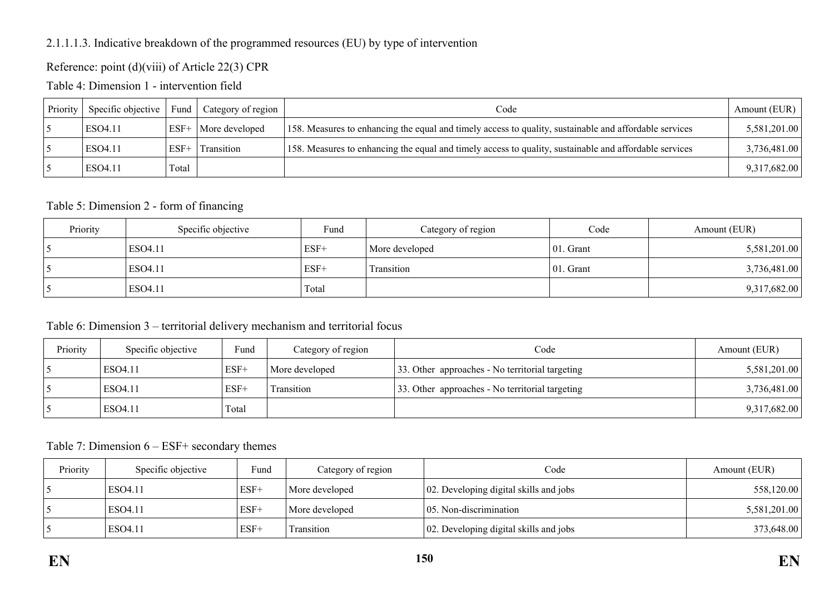## 2.1.1.1.3. Indicative breakdown of the programmed resources (EU) by type of intervention

## Reference: point (d)(viii) of Article 22(3) CPR

Table 4: Dimension 1 - intervention field

| Priority | Specific objective | Fund   | Category of region    | Code                                                                                                   | Amount (EUR) |
|----------|--------------------|--------|-----------------------|--------------------------------------------------------------------------------------------------------|--------------|
|          | ESO4.11            |        | ESF+   More developed | 158. Measures to enhancing the equal and timely access to quality, sustainable and affordable services | 5,581,201.00 |
|          | ESO4.11            | $ESF+$ | <b>Transition</b>     | 158. Measures to enhancing the equal and timely access to quality, sustainable and affordable services | 3,736,481.00 |
|          | ESO4.11            | Total  |                       |                                                                                                        | 9,317,682.00 |

#### Table 5: Dimension 2 - form of financing

| Priority | Specific objective | Fund   | Category of region | Code          | Amount (EUR) |
|----------|--------------------|--------|--------------------|---------------|--------------|
|          | ESO4.11            | $ESF+$ | More developed     | $ 01.$ Grant  | 5,581,201.00 |
|          | ESO4.11            | $ESF+$ | Transition         | $ 01$ . Grant | 3,736,481.00 |
|          | ESO4.11            | Total  |                    |               | 9,317,682.00 |

### Table 6: Dimension 3 – territorial delivery mechanism and territorial focus

| Priority | Specific objective | Fund   | Category of region | Code                                            | Amount (EUR) |
|----------|--------------------|--------|--------------------|-------------------------------------------------|--------------|
|          | ESO4.11            | $ESF+$ | More developed     | 33. Other approaches - No territorial targeting | 5,581,201.00 |
|          | ESO4.11            | $ESF+$ | Fransition         | 33. Other approaches - No territorial targeting | 3,736,481.00 |
|          | ESO4.11            | Total  |                    |                                                 | 9,317,682.00 |

Table 7: Dimension 6 – ESF+ secondary themes

| Priority | Specific objective | Fund   | Category of region | Code                                   | Amount (EUR) |
|----------|--------------------|--------|--------------------|----------------------------------------|--------------|
|          | ESO4.11            | $ESF+$ | More developed     | 02. Developing digital skills and jobs | 558,120.00   |
|          | ESO4.11            | $ESF+$ | More developed     | $\vert$ 05. Non-discrimination         | 5,581,201.00 |
|          | ESO4.11            | $ESF+$ | Transition         | 02. Developing digital skills and jobs | 373,648.00   |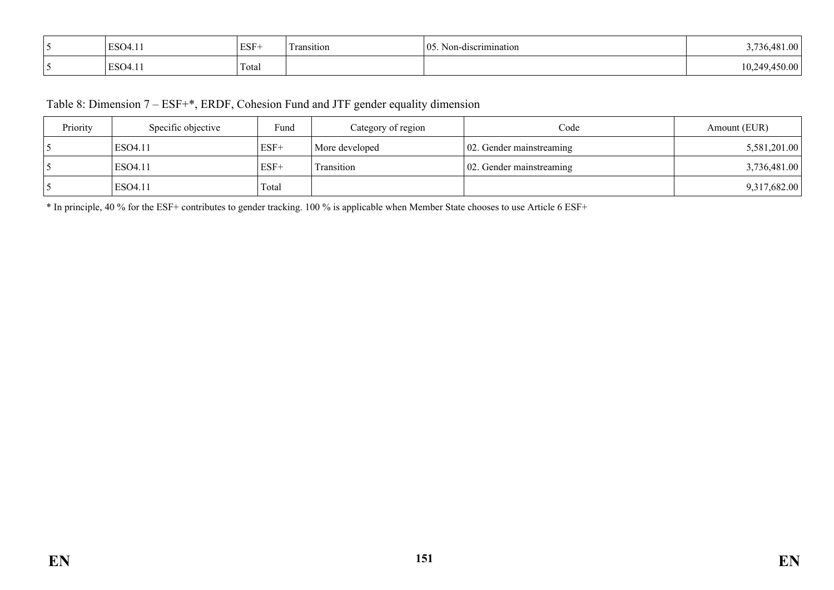| ESO4.11<br>$1.4 - 1.7$ | ESF-  | $\overline{\phantom{a}}$<br>ransition | 05<br>Non-discrimination | $\Omega$            |
|------------------------|-------|---------------------------------------|--------------------------|---------------------|
| ESO <sub>4.11</sub>    | Total |                                       |                          | 10.2<br>) ()(<br>лu |

# Table 8: Dimension 7 – ESF+\*, ERDF, Cohesion Fund and JTF gender equality dimension

| Priority | Specific objective | Fund   | Category of region | Code                              | Amount (EUR) |
|----------|--------------------|--------|--------------------|-----------------------------------|--------------|
|          | ESO4.11            | $ESF+$ | More developed     | $\vert 02$ . Gender mainstreaming | 5,581,201.00 |
|          | ESO4.11            | $ESF+$ | Transition         | $\vert$ 02. Gender mainstreaming  | 3,736,481.00 |
|          | ESO4.11            | Total  |                    |                                   | 9,317,682.00 |

\* In principle, 40 % for the ESF+ contributes to gender tracking. 100 % is applicable when Member State chooses to use Article 6 ESF+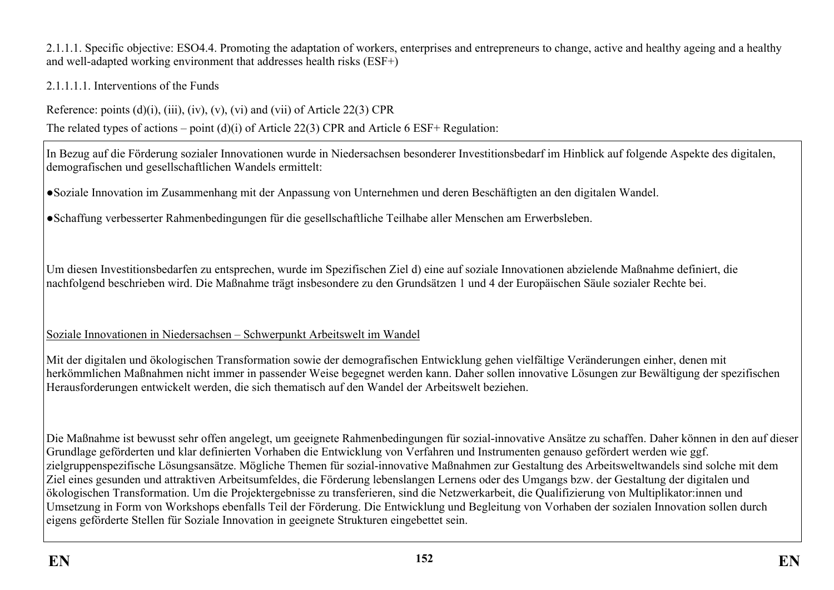2.1.1.1. Specific objective: ESO4.4. Promoting the adaptation of workers, enterprises and entrepreneurs to change, active and healthy ageing and a healthy and well-adapted working environment that addresses health risks (ESF+)

2.1.1.1.1. Interventions of the Funds

Reference: points  $(d)(i)$ ,  $(iii)$ ,  $(iv)$ ,  $(v)$ ,  $(vi)$  and  $(vii)$  of Article 22(3) CPR

The related types of actions – point (d)(i) of Article 22(3) CPR and Article 6 ESF+ Regulation:

In Bezug auf die Förderung sozialer Innovationen wurde in Niedersachsen besonderer Investitionsbedarf im Hinblick auf folgende Aspekte des digitalen, demografischen und gesellschaftlichen Wandels ermittelt:

●Soziale Innovation im Zusammenhang mit der Anpassung von Unternehmen und deren Beschäftigten an den digitalen Wandel.

●Schaffung verbesserter Rahmenbedingungen für die gesellschaftliche Teilhabe aller Menschen am Erwerbsleben.

Um diesen Investitionsbedarfen zu entsprechen, wurde im Spezifischen Ziel d) eine auf soziale Innovationen abzielende Maßnahme definiert, die nachfolgend beschrieben wird. Die Maßnahme trägt insbesondere zu den Grundsätzen 1 und 4 der Europäischen Säule sozialer Rechte bei.

Soziale Innovationen in Niedersachsen – Schwerpunkt Arbeitswelt im Wandel

Mit der digitalen und ökologischen Transformation sowie der demografischen Entwicklung gehen vielfältige Veränderungen einher, denen mit herkömmlichen Maßnahmen nicht immer in passender Weise begegnet werden kann. Daher sollen innovative Lösungen zur Bewältigung der spezifischen Herausforderungen entwickelt werden, die sich thematisch auf den Wandel der Arbeitswelt beziehen.

Die Maßnahme ist bewusst sehr offen angelegt, um geeignete Rahmenbedingungen für sozial-innovative Ansätze zu schaffen. Daher können in den auf dieser Grundlage geförderten und klar definierten Vorhaben die Entwicklung von Verfahren und Instrumenten genauso gefördert werden wie ggf. zielgruppenspezifische Lösungsansätze. Mögliche Themen für sozial-innovative Maßnahmen zur Gestaltung des Arbeitsweltwandels sind solche mit dem Ziel eines gesunden und attraktiven Arbeitsumfeldes, die Förderung lebenslangen Lernens oder des Umgangs bzw. der Gestaltung der digitalen und ökologischen Transformation. Um die Projektergebnisse zu transferieren, sind die Netzwerkarbeit, die Qualifizierung von Multiplikator:innen und Umsetzung in Form von Workshops ebenfalls Teil der Förderung. Die Entwicklung und Begleitung von Vorhaben der sozialen Innovation sollen durch eigens geförderte Stellen für Soziale Innovation in geeignete Strukturen eingebettet sein.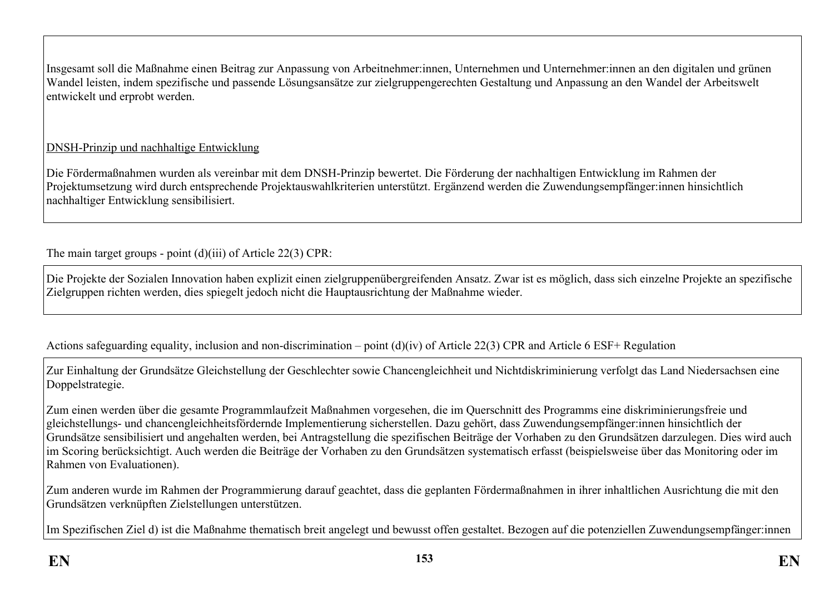Insgesamt soll die Maßnahme einen Beitrag zur Anpassung von Arbeitnehmer:innen, Unternehmen und Unternehmer:innen an den digitalen und grünen Wandel leisten, indem spezifische und passende Lösungsansätze zur zielgruppengerechten Gestaltung und Anpassung an den Wandel der Arbeitswelt entwickelt und erprobt werden.

# DNSH-Prinzip und nachhaltige Entwicklung

Die Fördermaßnahmen wurden als vereinbar mit dem DNSH-Prinzip bewertet. Die Förderung der nachhaltigen Entwicklung im Rahmen der Projektumsetzung wird durch entsprechende Projektauswahlkriterien unterstützt. Ergänzend werden die Zuwendungsempfänger:innen hinsichtlich nachhaltiger Entwicklung sensibilisiert.

The main target groups - point (d)(iii) of Article 22(3) CPR:

Die Projekte der Sozialen Innovation haben explizit einen zielgruppenübergreifenden Ansatz. Zwar ist es möglich, dass sich einzelne Projekte an spezifische Zielgruppen richten werden, dies spiegelt jedoch nicht die Hauptausrichtung der Maßnahme wieder.

Actions safeguarding equality, inclusion and non-discrimination – point (d)(iv) of Article 22(3) CPR and Article 6 ESF+ Regulation

Zur Einhaltung der Grundsätze Gleichstellung der Geschlechter sowie Chancengleichheit und Nichtdiskriminierung verfolgt das Land Niedersachsen eine Doppelstrategie.

Zum einen werden über die gesamte Programmlaufzeit Maßnahmen vorgesehen, die im Querschnitt des Programms eine diskriminierungsfreie und gleichstellungs- und chancengleichheitsfördernde Implementierung sicherstellen. Dazu gehört, dass Zuwendungsempfänger:innen hinsichtlich der Grundsätze sensibilisiert und angehalten werden, bei Antragstellung die spezifischen Beiträge der Vorhaben zu den Grundsätzen darzulegen. Dies wird auch im Scoring berücksichtigt. Auch werden die Beiträge der Vorhaben zu den Grundsätzen systematisch erfasst (beispielsweise über das Monitoring oder im Rahmen von Evaluationen).

Zum anderen wurde im Rahmen der Programmierung darauf geachtet, dass die geplanten Fördermaßnahmen in ihrer inhaltlichen Ausrichtung die mit den Grundsätzen verknüpften Zielstellungen unterstützen.

Im Spezifischen Ziel d) ist die Maßnahme thematisch breit angelegt und bewusst offen gestaltet. Bezogen auf die potenziellen Zuwendungsempfänger:innen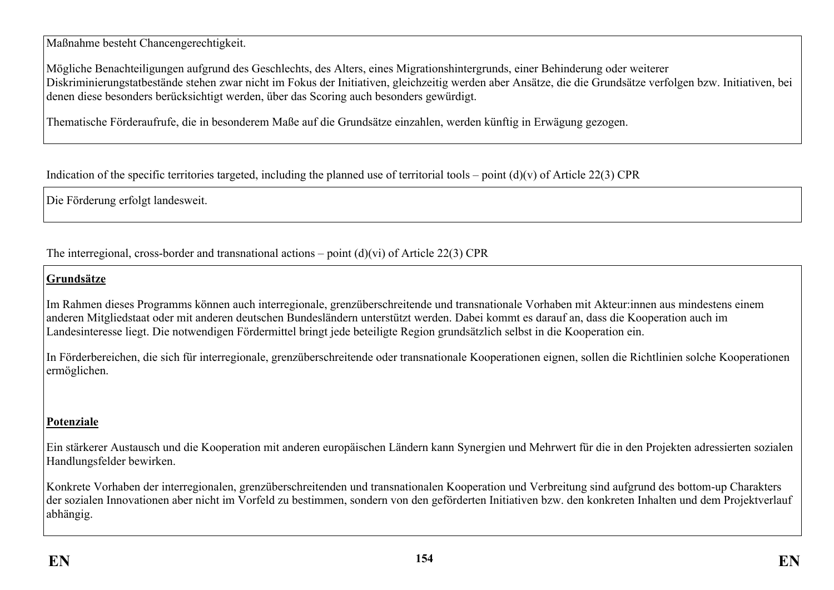Maßnahme besteht Chancengerechtigkeit.

Mögliche Benachteiligungen aufgrund des Geschlechts, des Alters, eines Migrationshintergrunds, einer Behinderung oder weiterer Diskriminierungstatbestände stehen zwar nicht im Fokus der Initiativen, gleichzeitig werden aber Ansätze, die die Grundsätze verfolgen bzw. Initiativen, bei denen diese besonders berücksichtigt werden, über das Scoring auch besonders gewürdigt.

Thematische Förderaufrufe, die in besonderem Maße auf die Grundsätze einzahlen, werden künftig in Erwägung gezogen.

Indication of the specific territories targeted, including the planned use of territorial tools – point  $(d)(v)$  of Article 22(3) CPR

Die Förderung erfolgt landesweit.

The interregional, cross-border and transnational actions – point (d)(vi) of Article 22(3) CPR

# **Grundsätze**

Im Rahmen dieses Programms können auch interregionale, grenzüberschreitende und transnationale Vorhaben mit Akteur:innen aus mindestens einem anderen Mitgliedstaat oder mit anderen deutschen Bundesländern unterstützt werden. Dabei kommt es darauf an, dass die Kooperation auch im Landesinteresse liegt. Die notwendigen Fördermittel bringt jede beteiligte Region grundsätzlich selbst in die Kooperation ein.

In Förderbereichen, die sich für interregionale, grenzüberschreitende oder transnationale Kooperationen eignen, sollen die Richtlinien solche Kooperationen ermöglichen.

# **Potenziale**

Ein stärkerer Austausch und die Kooperation mit anderen europäischen Ländern kann Synergien und Mehrwert für die in den Projekten adressierten sozialen Handlungsfelder bewirken.

Konkrete Vorhaben der interregionalen, grenzüberschreitenden und transnationalen Kooperation und Verbreitung sind aufgrund des bottom-up Charakters der sozialen Innovationen aber nicht im Vorfeld zu bestimmen, sondern von den geförderten Initiativen bzw. den konkreten Inhalten und dem Projektverlauf abhängig.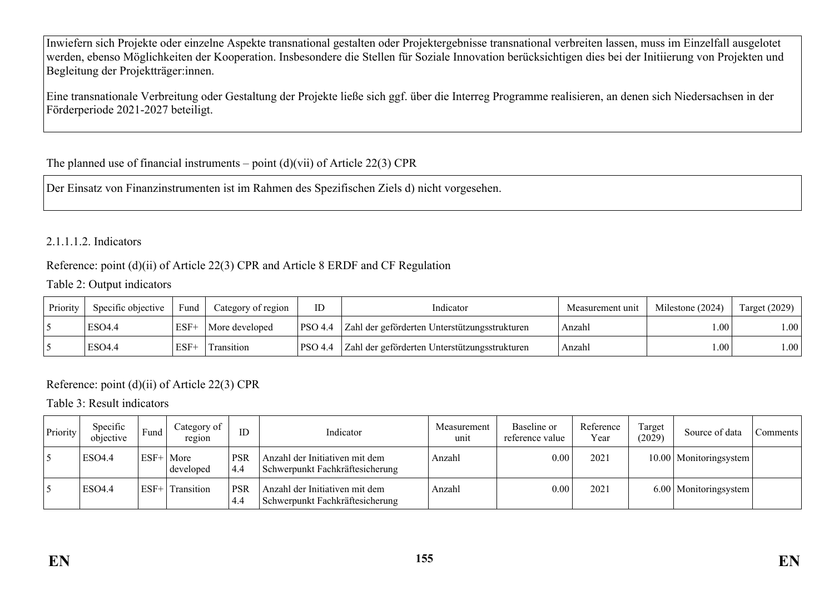Inwiefern sich Projekte oder einzelne Aspekte transnational gestalten oder Projektergebnisse transnational verbreiten lassen, muss im Einzelfall ausgelotet werden, ebenso Möglichkeiten der Kooperation. Insbesondere die Stellen für Soziale Innovation berücksichtigen dies bei der Initiierung von Projekten und Begleitung der Projektträger:innen.

Eine transnationale Verbreitung oder Gestaltung der Projekte ließe sich ggf. über die Interreg Programme realisieren, an denen sich Niedersachsen in der Förderperiode 2021-2027 beteiligt.

# The planned use of financial instruments – point  $(d)(vi)$  of Article 22(3) CPR

Der Einsatz von Finanzinstrumenten ist im Rahmen des Spezifischen Ziels d) nicht vorgesehen.

## 2.1.1.1.2. Indicators

## Reference: point (d)(ii) of Article 22(3) CPR and Article 8 ERDF and CF Regulation

#### Table 2: Output indicators

| Priority | Specific objective | Fund   | Category of region | ID      | Indicator                                     | Measurement unit | Milestone (2024) | Target $(2029)$       |
|----------|--------------------|--------|--------------------|---------|-----------------------------------------------|------------------|------------------|-----------------------|
|          | ESO4.4             | 'ESF+  | More developed     | PSO 4.4 | Zahl der geförderten Unterstützungsstrukturen | Anzahl           | .00.             | $\lfloor .00 \rfloor$ |
|          | ESO4.4             | $ESF+$ | Transition         | PSO 4.4 | Zahl der geförderten Unterstützungsstrukturen | Anzahl           | .00.             | $\vert 00 \vert$      |

# Reference: point (d)(ii) of Article 22(3) CPR

Table 3: Result indicators

| Priority | Specific<br>objective | Fund   | Category of<br>region | ID                | Indicator                                                         | Measurement<br>unit | Baseline or<br>reference value | Reference<br>Year | Target<br>(2029) | Source of data           | Comments |
|----------|-----------------------|--------|-----------------------|-------------------|-------------------------------------------------------------------|---------------------|--------------------------------|-------------------|------------------|--------------------------|----------|
|          | <b>ESO4.4</b>         | $ESF+$ | More<br>developed     | <b>PSR</b><br>4.4 | Anzahl der Initiativen mit dem<br>Schwerpunkt Fachkräftesicherung | Anzahl              | 0.00                           | 202               |                  | 10.00   Monitoringsystem |          |
|          | <b>ESO4.4</b>         | $ESF+$ | Transition            | <b>PSR</b><br>4.4 | Anzahl der Initiativen mit dem<br>Schwerpunkt Fachkräftesicherung | Anzahl              | 0.00                           | 2021              |                  | 6.00   Monitoringsystem  |          |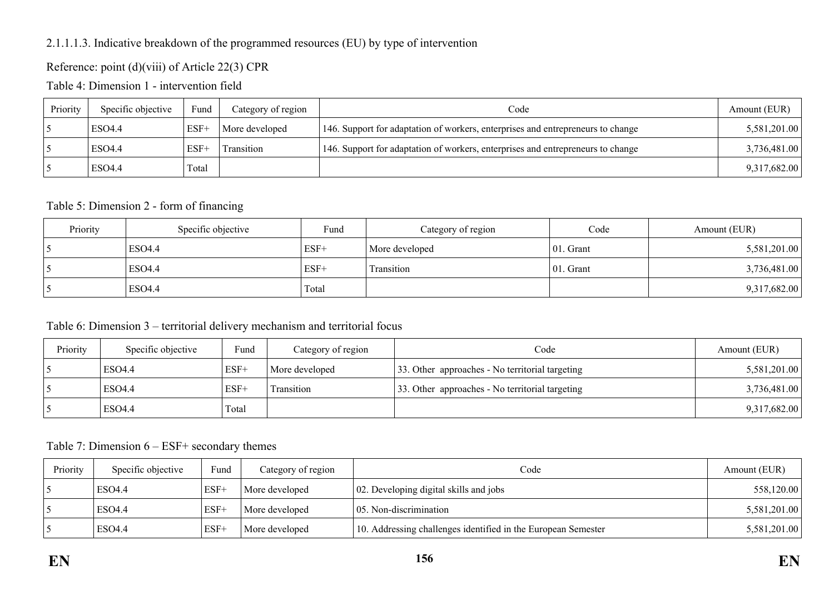## 2.1.1.1.3. Indicative breakdown of the programmed resources (EU) by type of intervention

# Reference: point (d)(viii) of Article 22(3) CPR

Table 4: Dimension 1 - intervention field

| Priority | Specific objective | Fund   | Category of region | Code                                                                            | Amount (EUR) |
|----------|--------------------|--------|--------------------|---------------------------------------------------------------------------------|--------------|
|          | ESO4.4             | ESF-   | More developed     | 146. Support for adaptation of workers, enterprises and entrepreneurs to change | 5,581,201.00 |
|          | ESO4.4             | $ESF+$ | Transition         | 146. Support for adaptation of workers, enterprises and entrepreneurs to change | 3,736,481.00 |
|          | ESO4.4             | Fotal  |                    |                                                                                 | 9,317,682.00 |

### Table 5: Dimension 2 - form of financing

| Priority | Specific objective | Fund   | Category of region | Code          | Amount (EUR) |
|----------|--------------------|--------|--------------------|---------------|--------------|
|          | ESO4.4             | $ESF+$ | More developed     | $ 01.$ Grant  | 5,581,201.00 |
|          | ESO4.4             | $ESF+$ | Transition         | $ 01$ . Grant | 3,736,481.00 |
|          | ESO4.4             | Total  |                    |               | 9,317,682.00 |

### Table 6: Dimension 3 – territorial delivery mechanism and territorial focus

| Priority | Specific objective | Fund   | Category of region | Code                                            | Amount (EUR) |
|----------|--------------------|--------|--------------------|-------------------------------------------------|--------------|
|          | <b>ESO4.4</b>      | $ESF+$ | More developed     | 33. Other approaches - No territorial targeting | 5,581,201.00 |
|          | <b>ESO4.4</b>      | $ESF+$ | Fransition         | 33. Other approaches - No territorial targeting | 3,736,481.00 |
|          | ESO <sub>4.4</sub> | Total  |                    |                                                 | 9,317,682.00 |

Table 7: Dimension 6 – ESF+ secondary themes

| Priority | Specific objective | Fund   | Category of region | Code                                                          | Amount (EUR) |
|----------|--------------------|--------|--------------------|---------------------------------------------------------------|--------------|
|          | ESO4.4             | $ESF+$ | More developed     | $\vert$ 02. Developing digital skills and jobs                | 558,120.00   |
|          | ESO4.4             | $ESF+$ | More developed     | 05. Non-discrimination                                        | 5,581,201.00 |
|          | ESO4.4             | $ESF+$ | More developed     | 10. Addressing challenges identified in the European Semester | 5,581,201.00 |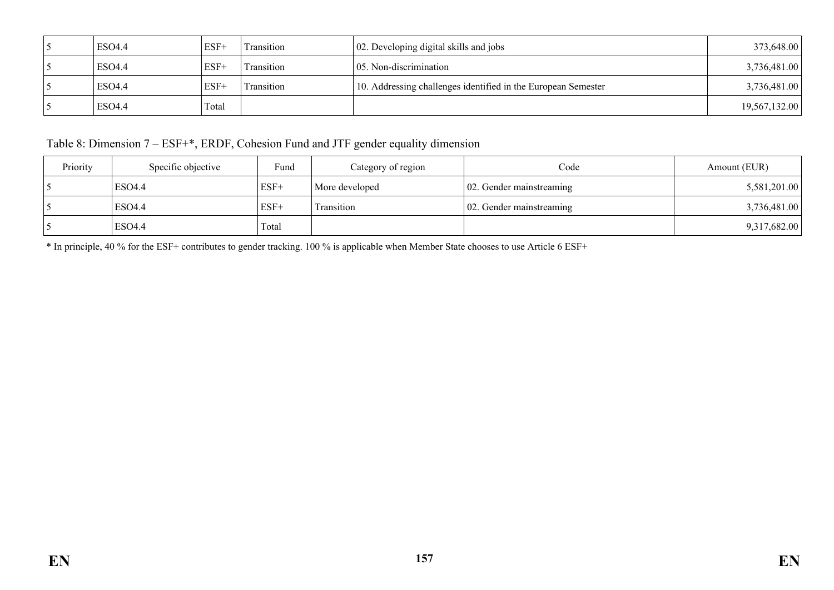| ESO4.4 | $ESF+$ | Transition | 02. Developing digital skills and jobs                        | 373,648.00    |
|--------|--------|------------|---------------------------------------------------------------|---------------|
| ESO4.4 | $ESF+$ | Transition | 05. Non-discrimination                                        | 3,736,481.00  |
| ESO4.4 | $ESF+$ | Transition | 10. Addressing challenges identified in the European Semester | 3,736,481.00  |
| ESO4.4 | Total  |            |                                                               | 19,567,132.00 |

Table 8: Dimension 7 – ESF+\*, ERDF, Cohesion Fund and JTF gender equality dimension

| Priority | Specific objective | Fund   | Category of region | Code                             | Amount (EUR) |
|----------|--------------------|--------|--------------------|----------------------------------|--------------|
|          | ESO4.4             | $ESF+$ | More developed     | $\vert$ 02. Gender mainstreaming | 5,581,201.00 |
|          | ESO4.4             | $ESF+$ | Transition         | $\vert$ 02. Gender mainstreaming | 3,736,481.00 |
|          | ESO4.4             | Total  |                    |                                  | 9,317,682.00 |

\* In principle, 40 % for the ESF+ contributes to gender tracking. 100 % is applicable when Member State chooses to use Article 6 ESF+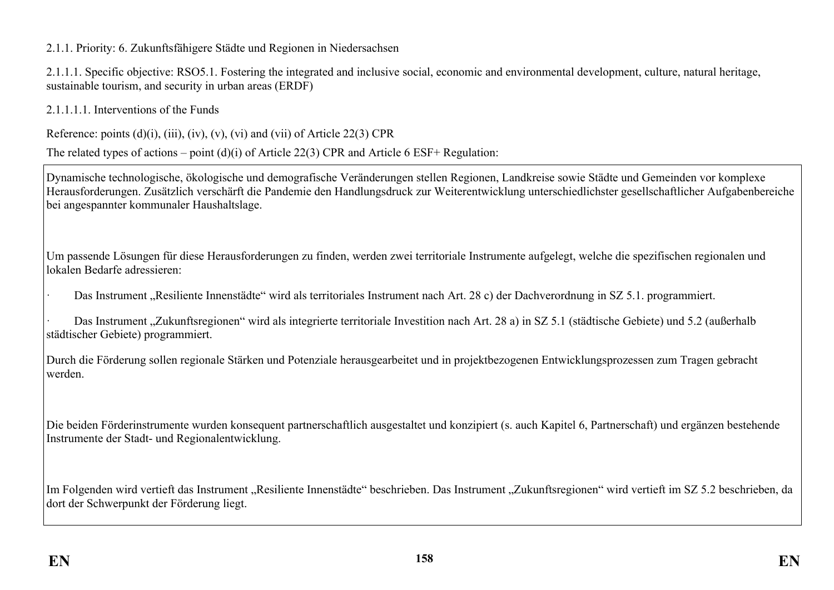2.1.1. Priority: 6. Zukunftsfähigere Städte und Regionen in Niedersachsen

2.1.1.1. Specific objective: RSO5.1. Fostering the integrated and inclusive social, economic and environmental development, culture, natural heritage, sustainable tourism, and security in urban areas (ERDF)

2.1.1.1.1. Interventions of the Funds

Reference: points  $(d)(i)$ ,  $(iii)$ ,  $(iv)$ ,  $(v)$ ,  $(vi)$  and  $(vii)$  of Article 22(3) CPR

The related types of actions – point (d)(i) of Article 22(3) CPR and Article 6 ESF+ Regulation:

Dynamische technologische, ökologische und demografische Veränderungen stellen Regionen, Landkreise sowie Städte und Gemeinden vor komplexe Herausforderungen. Zusätzlich verschärft die Pandemie den Handlungsdruck zur Weiterentwicklung unterschiedlichster gesellschaftlicher Aufgabenbereiche bei angespannter kommunaler Haushaltslage.

Um passende Lösungen für diese Herausforderungen zu finden, werden zwei territoriale Instrumente aufgelegt, welche die spezifischen regionalen und lokalen Bedarfe adressieren:

Das Instrument "Resiliente Innenstädte" wird als territoriales Instrument nach Art. 28 c) der Dachverordnung in SZ 5.1. programmiert.

Das Instrument "Zukunftsregionen" wird als integrierte territoriale Investition nach Art. 28 a) in SZ 5.1 (städtische Gebiete) und 5.2 (außerhalb städtischer Gebiete) programmiert.

Durch die Förderung sollen regionale Stärken und Potenziale herausgearbeitet und in projektbezogenen Entwicklungsprozessen zum Tragen gebracht werden.

Die beiden Förderinstrumente wurden konsequent partnerschaftlich ausgestaltet und konzipiert (s. auch Kapitel 6, Partnerschaft) und ergänzen bestehende Instrumente der Stadt- und Regionalentwicklung.

Im Folgenden wird vertieft das Instrument "Resiliente Innenstädte" beschrieben. Das Instrument "Zukunftsregionen" wird vertieft im SZ 5.2 beschrieben, da dort der Schwerpunkt der Förderung liegt.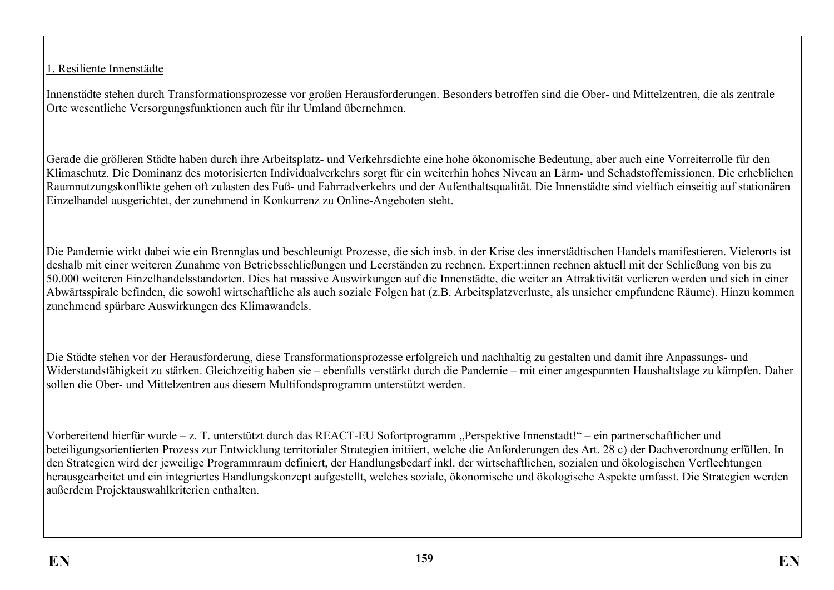1. Resiliente Innenstädte

Innenstädte stehen durch Transformationsprozesse vor großen Herausforderungen. Besonders betroffen sind die Ober- und Mittelzentren, die als zentrale Orte wesentliche Versorgungsfunktionen auch für ihr Umland übernehmen.

Gerade die größeren Städte haben durch ihre Arbeitsplatz- und Verkehrsdichte eine hohe ökonomische Bedeutung, aber auch eine Vorreiterrolle für den Klimaschutz. Die Dominanz des motorisierten Individualverkehrs sorgt für ein weiterhin hohes Niveau an Lärm- und Schadstoffemissionen. Die erheblichen Raumnutzungskonflikte gehen oft zulasten des Fuß- und Fahrradverkehrs und der Aufenthaltsqualität. Die Innenstädte sind vielfach einseitig auf stationären Einzelhandel ausgerichtet, der zunehmend in Konkurrenz zu Online-Angeboten steht.

Die Pandemie wirkt dabei wie ein Brennglas und beschleunigt Prozesse, die sich insb. in der Krise des innerstädtischen Handels manifestieren. Vielerorts ist deshalb mit einer weiteren Zunahme von Betriebsschließungen und Leerständen zu rechnen. Expert:innen rechnen aktuell mit der Schließung von bis zu 50.000 weiteren Einzelhandelsstandorten. Dies hat massive Auswirkungen auf die Innenstädte, die weiter an Attraktivität verlieren werden und sich in einer Abwärtsspirale befinden, die sowohl wirtschaftliche als auch soziale Folgen hat (z.B. Arbeitsplatzverluste, als unsicher empfundene Räume). Hinzu kommen zunehmend spürbare Auswirkungen des Klimawandels.

Die Städte stehen vor der Herausforderung, diese Transformationsprozesse erfolgreich und nachhaltig zu gestalten und damit ihre Anpassungs- und Widerstandsfähigkeit zu stärken. Gleichzeitig haben sie – ebenfalls verstärkt durch die Pandemie – mit einer angespannten Haushaltslage zu kämpfen. Daher sollen die Ober- und Mittelzentren aus diesem Multifondsprogramm unterstützt werden.

Vorbereitend hierfür wurde – z. T. unterstützt durch das REACT-EU Sofortprogramm "Perspektive Innenstadt!" – ein partnerschaftlicher und beteiligungsorientierten Prozess zur Entwicklung territorialer Strategien initiiert, welche die Anforderungen des Art. 28 c) der Dachverordnung erfüllen. In den Strategien wird der jeweilige Programmraum definiert, der Handlungsbedarf inkl. der wirtschaftlichen, sozialen und ökologischen Verflechtungen herausgearbeitet und ein integriertes Handlungskonzept aufgestellt, welches soziale, ökonomische und ökologische Aspekte umfasst. Die Strategien werden außerdem Projektauswahlkriterien enthalten.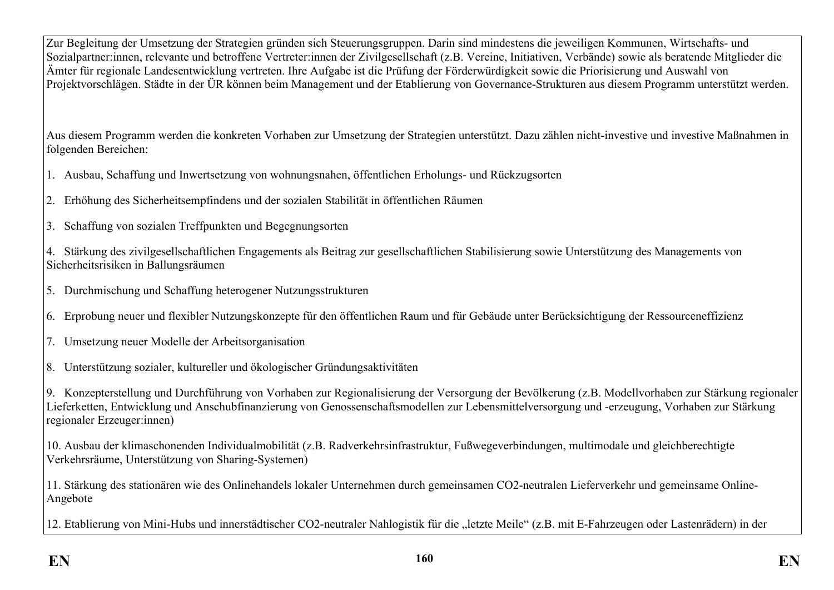Zur Begleitung der Umsetzung der Strategien gründen sich Steuerungsgruppen. Darin sind mindestens die jeweiligen Kommunen, Wirtschafts- und Sozialpartner:innen, relevante und betroffene Vertreter:innen der Zivilgesellschaft (z.B. Vereine, Initiativen, Verbände) sowie als beratende Mitglieder die Ämter für regionale Landesentwicklung vertreten. Ihre Aufgabe ist die Prüfung der Förderwürdigkeit sowie die Priorisierung und Auswahl von Projektvorschlägen. Städte in der ÜR können beim Management und der Etablierung von Governance-Strukturen aus diesem Programm unterstützt werden.

Aus diesem Programm werden die konkreten Vorhaben zur Umsetzung der Strategien unterstützt. Dazu zählen nicht-investive und investive Maßnahmen in folgenden Bereichen:

- 1. Ausbau, Schaffung und Inwertsetzung von wohnungsnahen, öffentlichen Erholungs- und Rückzugsorten
- 2. Erhöhung des Sicherheitsempfindens und der sozialen Stabilität in öffentlichen Räumen
- 3. Schaffung von sozialen Treffpunkten und Begegnungsorten

4. Stärkung des zivilgesellschaftlichen Engagements als Beitrag zur gesellschaftlichen Stabilisierung sowie Unterstützung des Managements von Sicherheitsrisiken in Ballungsräumen

- 5. Durchmischung und Schaffung heterogener Nutzungsstrukturen
- 6. Erprobung neuer und flexibler Nutzungskonzepte für den öffentlichen Raum und für Gebäude unter Berücksichtigung der Ressourceneffizienz
- 7. Umsetzung neuer Modelle der Arbeitsorganisation
- 8. Unterstützung sozialer, kultureller und ökologischer Gründungsaktivitäten

9. Konzepterstellung und Durchführung von Vorhaben zur Regionalisierung der Versorgung der Bevölkerung (z.B. Modellvorhaben zur Stärkung regionaler Lieferketten, Entwicklung und Anschubfinanzierung von Genossenschaftsmodellen zur Lebensmittelversorgung und -erzeugung, Vorhaben zur Stärkung regionaler Erzeuger:innen)

10. Ausbau der klimaschonenden Individualmobilität (z.B. Radverkehrsinfrastruktur, Fußwegeverbindungen, multimodale und gleichberechtigte Verkehrsräume, Unterstützung von Sharing-Systemen)

11. Stärkung des stationären wie des Onlinehandels lokaler Unternehmen durch gemeinsamen CO2-neutralen Lieferverkehr und gemeinsame Online-Angebote

12. Etablierung von Mini-Hubs und innerstädtischer CO2-neutraler Nahlogistik für die "letzte Meile" (z.B. mit E-Fahrzeugen oder Lastenrädern) in der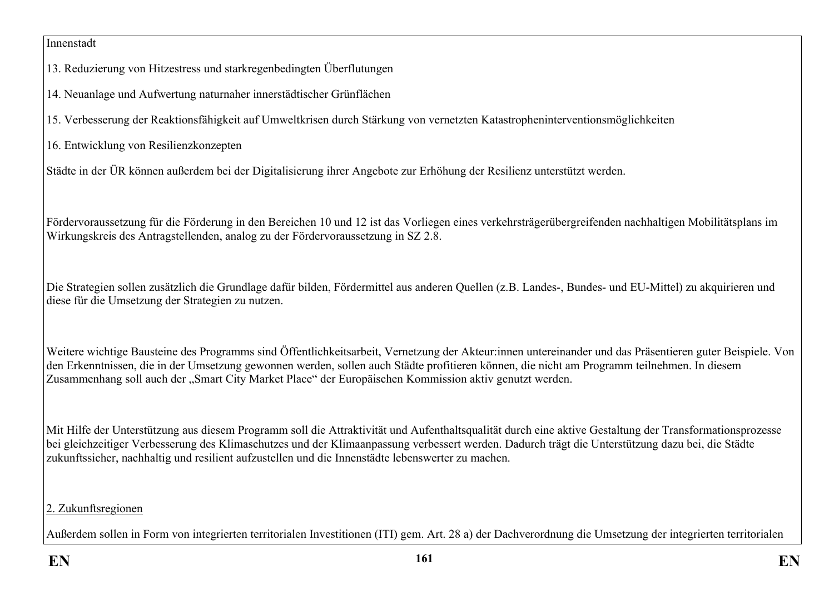### Innenstadt

13. Reduzierung von Hitzestress und starkregenbedingten Überflutungen

14. Neuanlage und Aufwertung naturnaher innerstädtischer Grünflächen

15. Verbesserung der Reaktionsfähigkeit auf Umweltkrisen durch Stärkung von vernetzten Katastropheninterventionsmöglichkeiten

16. Entwicklung von Resilienzkonzepten

Städte in der ÜR können außerdem bei der Digitalisierung ihrer Angebote zur Erhöhung der Resilienz unterstützt werden.

Fördervoraussetzung für die Förderung in den Bereichen 10 und 12 ist das Vorliegen eines verkehrsträgerübergreifenden nachhaltigen Mobilitätsplans im Wirkungskreis des Antragstellenden, analog zu der Fördervoraussetzung in SZ 2.8.

Die Strategien sollen zusätzlich die Grundlage dafür bilden, Fördermittel aus anderen Quellen (z.B. Landes-, Bundes- und EU-Mittel) zu akquirieren und diese für die Umsetzung der Strategien zu nutzen.

Weitere wichtige Bausteine des Programms sind Öffentlichkeitsarbeit, Vernetzung der Akteur:innen untereinander und das Präsentieren guter Beispiele. Von den Erkenntnissen, die in der Umsetzung gewonnen werden, sollen auch Städte profitieren können, die nicht am Programm teilnehmen. In diesem Zusammenhang soll auch der "Smart City Market Place" der Europäischen Kommission aktiv genutzt werden.

Mit Hilfe der Unterstützung aus diesem Programm soll die Attraktivität und Aufenthaltsqualität durch eine aktive Gestaltung der Transformationsprozesse bei gleichzeitiger Verbesserung des Klimaschutzes und der Klimaanpassung verbessert werden. Dadurch trägt die Unterstützung dazu bei, die Städte zukunftssicher, nachhaltig und resilient aufzustellen und die Innenstädte lebenswerter zu machen.

# 2. Zukunftsregionen

Außerdem sollen in Form von integrierten territorialen Investitionen (ITI) gem. Art. 28 a) der Dachverordnung die Umsetzung der integrierten territorialen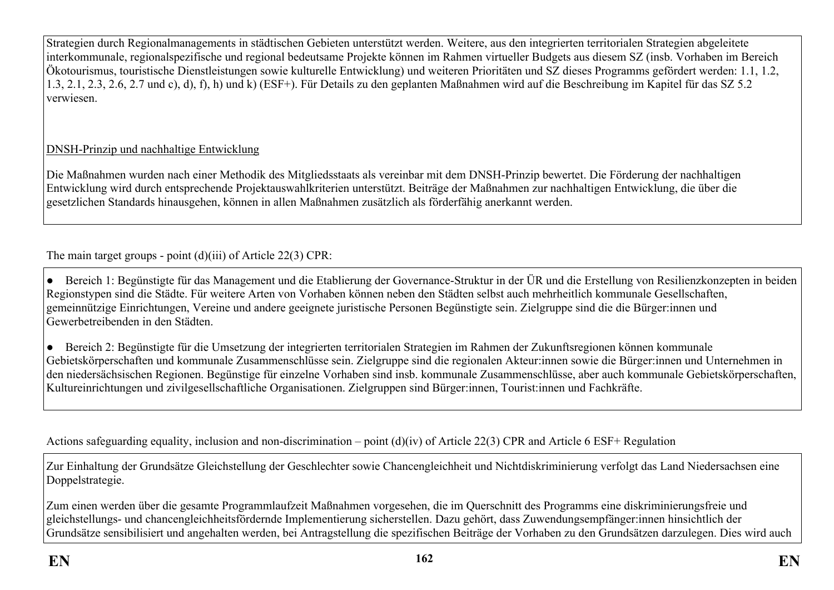Strategien durch Regionalmanagements in städtischen Gebieten unterstützt werden. Weitere, aus den integrierten territorialen Strategien abgeleitete interkommunale, regionalspezifische und regional bedeutsame Projekte können im Rahmen virtueller Budgets aus diesem SZ (insb. Vorhaben im Bereich Ökotourismus, touristische Dienstleistungen sowie kulturelle Entwicklung) und weiteren Prioritäten und SZ dieses Programms gefördert werden: 1.1, 1.2, 1.3, 2.1, 2.3, 2.6, 2.7 und c), d), f), h) und k) (ESF+). Für Details zu den geplanten Maßnahmen wird auf die Beschreibung im Kapitel für das SZ 5.2 verwiesen.

# DNSH-Prinzip und nachhaltige Entwicklung

Die Maßnahmen wurden nach einer Methodik des Mitgliedsstaats als vereinbar mit dem DNSH-Prinzip bewertet. Die Förderung der nachhaltigen Entwicklung wird durch entsprechende Projektauswahlkriterien unterstützt. Beiträge der Maßnahmen zur nachhaltigen Entwicklung, die über die gesetzlichen Standards hinausgehen, können in allen Maßnahmen zusätzlich als förderfähig anerkannt werden.

The main target groups - point (d)(iii) of Article 22(3) CPR:

● Bereich 1: Begünstigte für das Management und die Etablierung der Governance-Struktur in der ÜR und die Erstellung von Resilienzkonzepten in beiden Regionstypen sind die Städte. Für weitere Arten von Vorhaben können neben den Städten selbst auch mehrheitlich kommunale Gesellschaften, gemeinnützige Einrichtungen, Vereine und andere geeignete juristische Personen Begünstigte sein. Zielgruppe sind die die Bürger:innen und Gewerbetreibenden in den Städten.

● Bereich 2: Begünstigte für die Umsetzung der integrierten territorialen Strategien im Rahmen der Zukunftsregionen können kommunale Gebietskörperschaften und kommunale Zusammenschlüsse sein. Zielgruppe sind die regionalen Akteur:innen sowie die Bürger:innen und Unternehmen in den niedersächsischen Regionen. Begünstige für einzelne Vorhaben sind insb. kommunale Zusammenschlüsse, aber auch kommunale Gebietskörperschaften, Kultureinrichtungen und zivilgesellschaftliche Organisationen. Zielgruppen sind Bürger:innen, Tourist:innen und Fachkräfte.

Actions safeguarding equality, inclusion and non-discrimination – point (d)(iv) of Article 22(3) CPR and Article 6 ESF+ Regulation

Zur Einhaltung der Grundsätze Gleichstellung der Geschlechter sowie Chancengleichheit und Nichtdiskriminierung verfolgt das Land Niedersachsen eine Doppelstrategie.

Zum einen werden über die gesamte Programmlaufzeit Maßnahmen vorgesehen, die im Querschnitt des Programms eine diskriminierungsfreie und gleichstellungs- und chancengleichheitsfördernde Implementierung sicherstellen. Dazu gehört, dass Zuwendungsempfänger:innen hinsichtlich der Grundsätze sensibilisiert und angehalten werden, bei Antragstellung die spezifischen Beiträge der Vorhaben zu den Grundsätzen darzulegen. Dies wird auch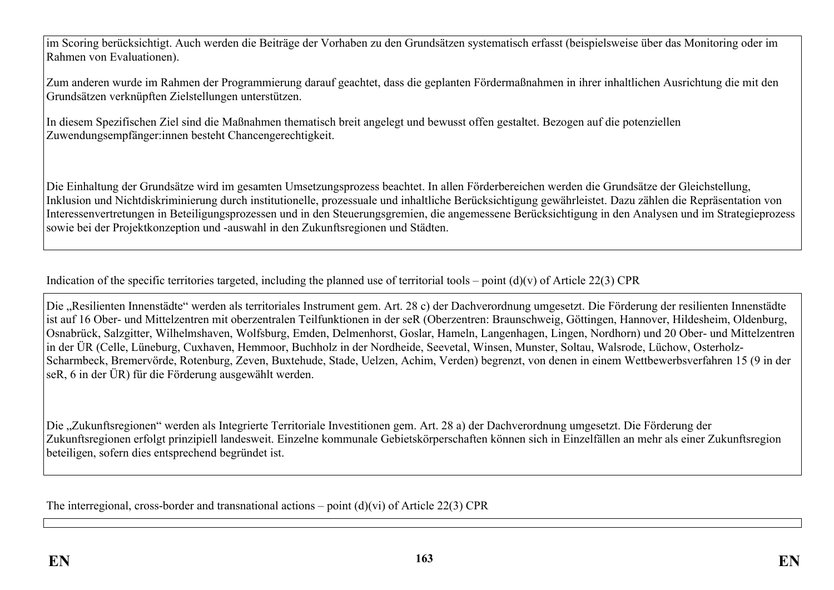im Scoring berücksichtigt. Auch werden die Beiträge der Vorhaben zu den Grundsätzen systematisch erfasst (beispielsweise über das Monitoring oder im Rahmen von Evaluationen).

Zum anderen wurde im Rahmen der Programmierung darauf geachtet, dass die geplanten Fördermaßnahmen in ihrer inhaltlichen Ausrichtung die mit den Grundsätzen verknüpften Zielstellungen unterstützen.

In diesem Spezifischen Ziel sind die Maßnahmen thematisch breit angelegt und bewusst offen gestaltet. Bezogen auf die potenziellen Zuwendungsempfänger:innen besteht Chancengerechtigkeit.

Die Einhaltung der Grundsätze wird im gesamten Umsetzungsprozess beachtet. In allen Förderbereichen werden die Grundsätze der Gleichstellung, Inklusion und Nichtdiskriminierung durch institutionelle, prozessuale und inhaltliche Berücksichtigung gewährleistet. Dazu zählen die Repräsentation von Interessenvertretungen in Beteiligungsprozessen und in den Steuerungsgremien, die angemessene Berücksichtigung in den Analysen und im Strategieprozess sowie bei der Projektkonzeption und -auswahl in den Zukunftsregionen und Städten.

Indication of the specific territories targeted, including the planned use of territorial tools – point  $(d)(v)$  of Article 22(3) CPR

Die "Resilienten Innenstädte" werden als territoriales Instrument gem. Art. 28 c) der Dachverordnung umgesetzt. Die Förderung der resilienten Innenstädte ist auf 16 Ober- und Mittelzentren mit oberzentralen Teilfunktionen in der seR (Oberzentren: Braunschweig, Göttingen, Hannover, Hildesheim, Oldenburg, Osnabrück, Salzgitter, Wilhelmshaven, Wolfsburg, Emden, Delmenhorst, Goslar, Hameln, Langenhagen, Lingen, Nordhorn) und 20 Ober- und Mittelzentren in der ÜR (Celle, Lüneburg, Cuxhaven, Hemmoor, Buchholz in der Nordheide, Seevetal, Winsen, Munster, Soltau, Walsrode, Lüchow, Osterholz-Scharmbeck, Bremervörde, Rotenburg, Zeven, Buxtehude, Stade, Uelzen, Achim, Verden) begrenzt, von denen in einem Wettbewerbsverfahren 15 (9 in der seR, 6 in der ÜR) für die Förderung ausgewählt werden.

Die "Zukunftsregionen" werden als Integrierte Territoriale Investitionen gem. Art. 28 a) der Dachverordnung umgesetzt. Die Förderung der Zukunftsregionen erfolgt prinzipiell landesweit. Einzelne kommunale Gebietskörperschaften können sich in Einzelfällen an mehr als einer Zukunftsregion beteiligen, sofern dies entsprechend begründet ist.

The interregional, cross-border and transnational actions – point (d)(vi) of Article 22(3) CPR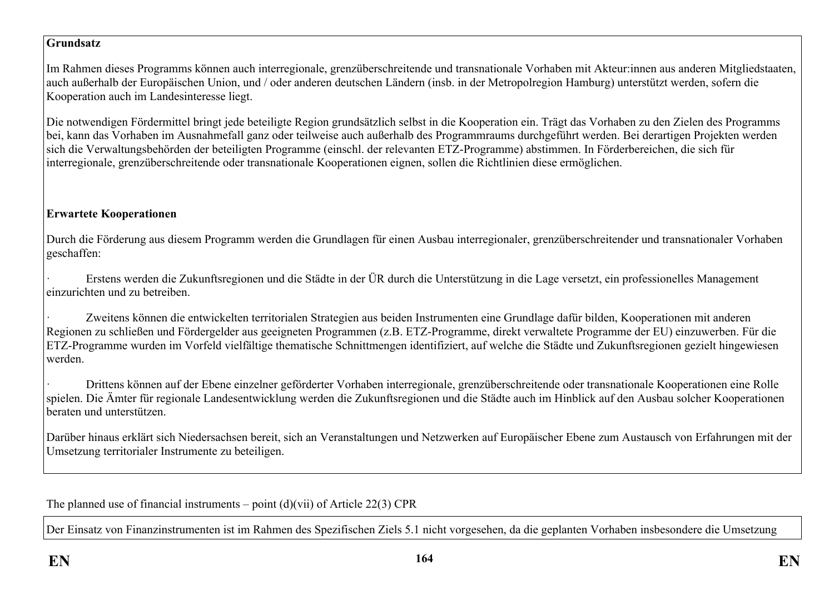### **Grundsatz**

Im Rahmen dieses Programms können auch interregionale, grenzüberschreitende und transnationale Vorhaben mit Akteur:innen aus anderen Mitgliedstaaten, auch außerhalb der Europäischen Union, und / oder anderen deutschen Ländern (insb. in der Metropolregion Hamburg) unterstützt werden, sofern die Kooperation auch im Landesinteresse liegt.

Die notwendigen Fördermittel bringt jede beteiligte Region grundsätzlich selbst in die Kooperation ein. Trägt das Vorhaben zu den Zielen des Programms bei, kann das Vorhaben im Ausnahmefall ganz oder teilweise auch außerhalb des Programmraums durchgeführt werden. Bei derartigen Projekten werden sich die Verwaltungsbehörden der beteiligten Programme (einschl. der relevanten ETZ-Programme) abstimmen. In Förderbereichen, die sich für interregionale, grenzüberschreitende oder transnationale Kooperationen eignen, sollen die Richtlinien diese ermöglichen.

# **Erwartete Kooperationen**

Durch die Förderung aus diesem Programm werden die Grundlagen für einen Ausbau interregionaler, grenzüberschreitender und transnationaler Vorhaben geschaffen:

· Erstens werden die Zukunftsregionen und die Städte in der ÜR durch die Unterstützung in die Lage versetzt, ein professionelles Management einzurichten und zu betreiben.

Zweitens können die entwickelten territorialen Strategien aus beiden Instrumenten eine Grundlage dafür bilden, Kooperationen mit anderen Regionen zu schließen und Fördergelder aus geeigneten Programmen (z.B. ETZ-Programme, direkt verwaltete Programme der EU) einzuwerben. Für die ETZ-Programme wurden im Vorfeld vielfältige thematische Schnittmengen identifiziert, auf welche die Städte und Zukunftsregionen gezielt hingewiesen werden.

· Drittens können auf der Ebene einzelner geförderter Vorhaben interregionale, grenzüberschreitende oder transnationale Kooperationen eine Rolle spielen. Die Ämter für regionale Landesentwicklung werden die Zukunftsregionen und die Städte auch im Hinblick auf den Ausbau solcher Kooperationen beraten und unterstützen.

Darüber hinaus erklärt sich Niedersachsen bereit, sich an Veranstaltungen und Netzwerken auf Europäischer Ebene zum Austausch von Erfahrungen mit der Umsetzung territorialer Instrumente zu beteiligen.

The planned use of financial instruments – point  $(d)(vii)$  of Article 22(3) CPR

Der Einsatz von Finanzinstrumenten ist im Rahmen des Spezifischen Ziels 5.1 nicht vorgesehen, da die geplanten Vorhaben insbesondere die Umsetzung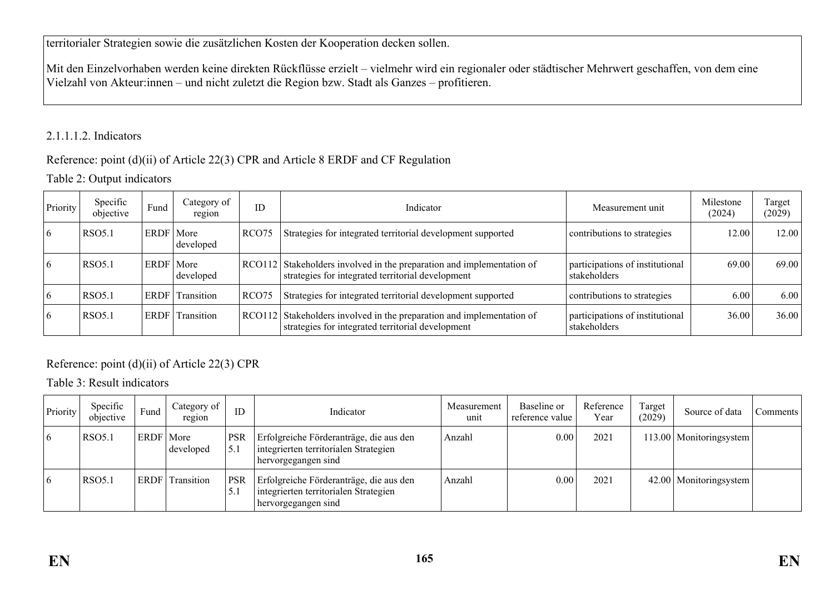territorialer Strategien sowie die zusätzlichen Kosten der Kooperation decken sollen.

Mit den Einzelvorhaben werden keine direkten Rückflüsse erzielt – vielmehr wird ein regionaler oder städtischer Mehrwert geschaffen, von dem eine Vielzahl von Akteur:innen – und nicht zuletzt die Region bzw. Stadt als Ganzes – profitieren.

# 2.1.1.1.2. Indicators

# Reference: point (d)(ii) of Article 22(3) CPR and Article 8 ERDF and CF Regulation

# Table 2: Output indicators

| Priority | Specific<br>objective | Fund        | Category of<br>region | ID                | Indicator                                                                                                                  | Measurement unit                                | Milestone<br>(2024) | Target<br>(2029) |
|----------|-----------------------|-------------|-----------------------|-------------------|----------------------------------------------------------------------------------------------------------------------------|-------------------------------------------------|---------------------|------------------|
| 6        | <b>RSO5.1</b>         | ERDF        | More<br>developed     | RCO <sub>75</sub> | Strategies for integrated territorial development supported                                                                | contributions to strategies                     | 12.00               | 12.00            |
| 6        | <b>RSO5.1</b>         | <b>ERDF</b> | More<br>developed     |                   | RCO112 Stakeholders involved in the preparation and implementation of<br>strategies for integrated territorial development | participations of institutional<br>stakeholders | 69.00               | 69.00            |
| 6        | <b>RSO5.1</b>         | <b>ERDF</b> | Transition            | RCO <sub>75</sub> | Strategies for integrated territorial development supported                                                                | contributions to strategies                     | 6.00                | 6.00             |
| 6        | <b>RSO5.1</b>         | <b>ERDF</b> | Transition            |                   | RCO112 Stakeholders involved in the preparation and implementation of<br>strategies for integrated territorial development | participations of institutional<br>stakeholders | 36.00               | 36.00            |

# Reference: point (d)(ii) of Article 22(3) CPR

Table 3: Result indicators

| Priority | Specific<br>objective | Fund        | Category of<br>region | ID                | Indicator                                                                                               | Measurement<br>unit | Baseline or<br>reference value | Reference<br>Year | Target<br>(2029) | Source of data            | Comments |
|----------|-----------------------|-------------|-----------------------|-------------------|---------------------------------------------------------------------------------------------------------|---------------------|--------------------------------|-------------------|------------------|---------------------------|----------|
| 16       | <b>RSO5.1</b>         | ERDF   More | developed             | <b>PSR</b><br>5.1 | Erfolgreiche Förderanträge, die aus den<br>integrierten territorialen Strategien<br>hervorgegangen sind | Anzahl              | 0.00                           | 2021              |                  | 113.00   Monitoringsystem |          |
| 16       | <b>RSO5.1</b>         | ERDF        | Transition            | <b>PSR</b><br>J.I | Erfolgreiche Förderanträge, die aus den<br>integrierten territorialen Strategien<br>hervorgegangen sind | Anzahl              | 0.00                           | 2021              |                  | 42.00   Monitoringsystem  |          |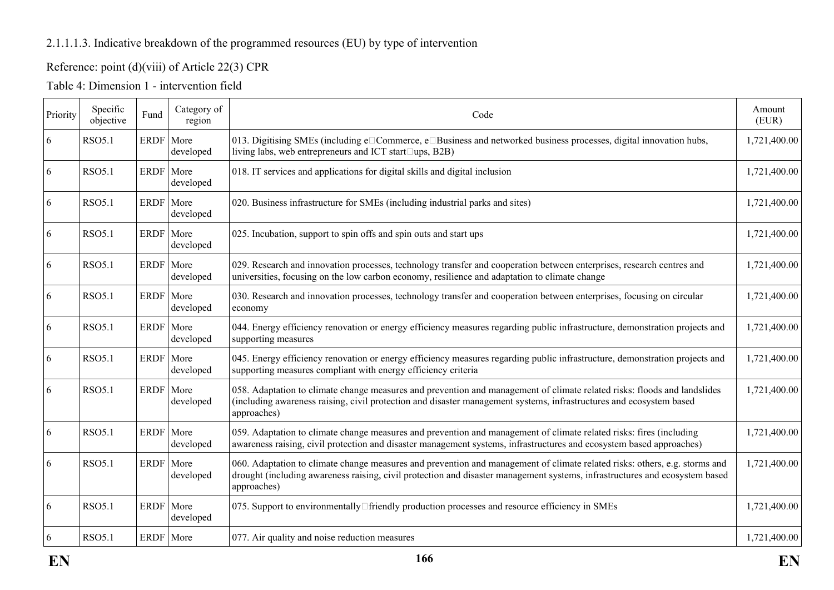# 2.1.1.1.3. Indicative breakdown of the programmed resources (EU) by type of intervention

# Reference: point (d)(viii) of Article 22(3) CPR

| Priority | Specific<br>objective | Fund        | Category of<br>region | Code                                                                                                                                                                                                                                                                     | Amount<br>(EUR) |
|----------|-----------------------|-------------|-----------------------|--------------------------------------------------------------------------------------------------------------------------------------------------------------------------------------------------------------------------------------------------------------------------|-----------------|
| 6        | <b>RSO5.1</b>         | ERDF More   | developed             | 013. Digitising SMEs (including e□Commerce, e□Business and networked business processes, digital innovation hubs,<br>living labs, web entrepreneurs and ICT start□ups, B2B)                                                                                              | 1,721,400.00    |
| 6        | <b>RSO5.1</b>         | ERDF More   | developed             | 018. IT services and applications for digital skills and digital inclusion                                                                                                                                                                                               | 1,721,400.00    |
| 6        | <b>RSO5.1</b>         | ERDF More   | developed             | 020. Business infrastructure for SMEs (including industrial parks and sites)                                                                                                                                                                                             | 1,721,400.00    |
| 6        | <b>RSO5.1</b>         | ERDF More   | developed             | 025. Incubation, support to spin offs and spin outs and start ups                                                                                                                                                                                                        | 1,721,400.00    |
| 6        | <b>RSO5.1</b>         | <b>ERDF</b> | More<br>developed     | 029. Research and innovation processes, technology transfer and cooperation between enterprises, research centres and<br>universities, focusing on the low carbon economy, resilience and adaptation to climate change                                                   | 1,721,400.00    |
| 6        | <b>RSO5.1</b>         | ERDF   More | developed             | 030. Research and innovation processes, technology transfer and cooperation between enterprises, focusing on circular<br>economy                                                                                                                                         | 1,721,400.00    |
| 6        | <b>RSO5.1</b>         | ERDF More   | developed             | 044. Energy efficiency renovation or energy efficiency measures regarding public infrastructure, demonstration projects and<br>supporting measures                                                                                                                       | 1,721,400.00    |
| 6        | <b>RSO5.1</b>         | ERDF More   | developed             | 045. Energy efficiency renovation or energy efficiency measures regarding public infrastructure, demonstration projects and<br>supporting measures compliant with energy efficiency criteria                                                                             | 1,721,400.00    |
| 6        | <b>RSO5.1</b>         | <b>ERDF</b> | More<br>developed     | 058. Adaptation to climate change measures and prevention and management of climate related risks: floods and landslides<br>(including awareness raising, civil protection and disaster management systems, infrastructures and ecosystem based<br>approaches)           | 1,721,400.00    |
| 6        | <b>RSO5.1</b>         | ERDF   More | developed             | 059. Adaptation to climate change measures and prevention and management of climate related risks: fires (including<br>awareness raising, civil protection and disaster management systems, infrastructures and ecosystem based approaches)                              | 1,721,400.00    |
| 6        | <b>RSO5.1</b>         | ERDF More   | developed             | 060. Adaptation to climate change measures and prevention and management of climate related risks: others, e.g. storms and<br>drought (including awareness raising, civil protection and disaster management systems, infrastructures and ecosystem based<br>approaches) | 1,721,400.00    |
| 6        | <b>RSO5.1</b>         | <b>ERDF</b> | More<br>developed     | 075. Support to environmentally□friendly production processes and resource efficiency in SMEs                                                                                                                                                                            | 1,721,400.00    |
| 6        | <b>RSO5.1</b>         | ERDF More   |                       | 077. Air quality and noise reduction measures                                                                                                                                                                                                                            | 1,721,400.00    |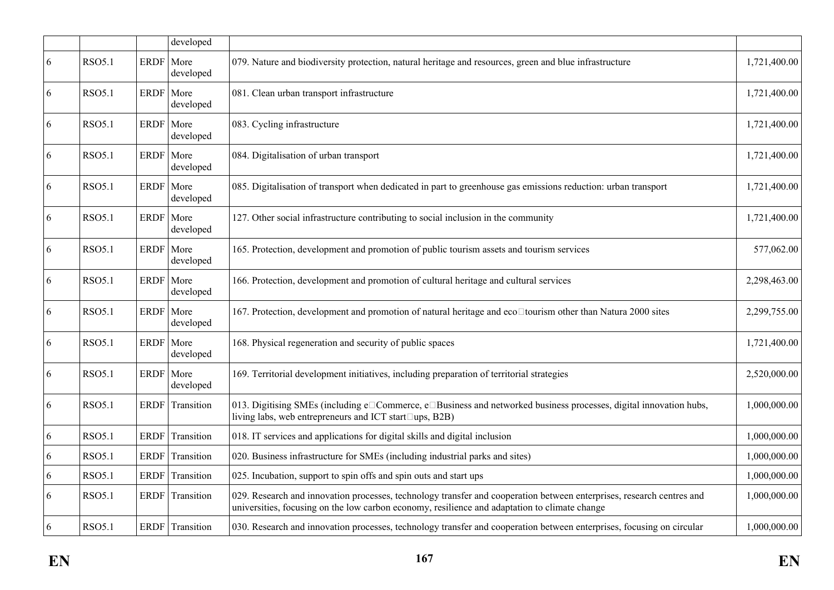|            |               |             | developed         |                                                                                                                                                                                                                        |              |
|------------|---------------|-------------|-------------------|------------------------------------------------------------------------------------------------------------------------------------------------------------------------------------------------------------------------|--------------|
| 6          | <b>RSO5.1</b> | <b>ERDF</b> | More<br>developed | 079. Nature and biodiversity protection, natural heritage and resources, green and blue infrastructure                                                                                                                 | 1,721,400.00 |
| 6          | <b>RSO5.1</b> | <b>ERDF</b> | More<br>developed | 081. Clean urban transport infrastructure                                                                                                                                                                              | 1,721,400.00 |
| 6          | <b>RSO5.1</b> | ERDF More   | developed         | 083. Cycling infrastructure                                                                                                                                                                                            | 1,721,400.00 |
| 6          | <b>RSO5.1</b> | <b>ERDF</b> | More<br>developed | 084. Digitalisation of urban transport                                                                                                                                                                                 | 1,721,400.00 |
| 6          | <b>RSO5.1</b> | <b>ERDF</b> | More<br>developed | 085. Digitalisation of transport when dedicated in part to greenhouse gas emissions reduction: urban transport                                                                                                         | 1,721,400.00 |
| 6          | <b>RSO5.1</b> | <b>ERDF</b> | More<br>developed | 127. Other social infrastructure contributing to social inclusion in the community                                                                                                                                     | 1,721,400.00 |
| 6          | <b>RSO5.1</b> | ERDF   More | developed         | 165. Protection, development and promotion of public tourism assets and tourism services                                                                                                                               | 577,062.00   |
| 6          | <b>RSO5.1</b> | <b>ERDF</b> | More<br>developed | 166. Protection, development and promotion of cultural heritage and cultural services                                                                                                                                  | 2,298,463.00 |
| 6          | <b>RSO5.1</b> | <b>ERDF</b> | More<br>developed | 167. Protection, development and promotion of natural heritage and eco□tourism other than Natura 2000 sites                                                                                                            | 2,299,755.00 |
| 6          | <b>RSO5.1</b> | ERDF   More | developed         | 168. Physical regeneration and security of public spaces                                                                                                                                                               | 1,721,400.00 |
| 6          | <b>RSO5.1</b> | <b>ERDF</b> | More<br>developed | 169. Territorial development initiatives, including preparation of territorial strategies                                                                                                                              | 2,520,000.00 |
| 6          | <b>RSO5.1</b> | <b>ERDF</b> | Transition        | 013. Digitising SMEs (including e□Commerce, e□Business and networked business processes, digital innovation hubs,<br>living labs, web entrepreneurs and ICT start□ups, B2B)                                            | 1,000,000.00 |
| 6          | <b>RSO5.1</b> | <b>ERDF</b> | Transition        | 018. IT services and applications for digital skills and digital inclusion                                                                                                                                             | 1,000,000.00 |
| 6          | <b>RSO5.1</b> | <b>ERDF</b> | Transition        | 020. Business infrastructure for SMEs (including industrial parks and sites)                                                                                                                                           | 1,000,000.00 |
| $\sqrt{6}$ | <b>RSO5.1</b> | <b>ERDF</b> | Transition        | 025. Incubation, support to spin offs and spin outs and start ups                                                                                                                                                      | 1,000,000.00 |
| 6          | <b>RSO5.1</b> | ERDF        | Transition        | 029. Research and innovation processes, technology transfer and cooperation between enterprises, research centres and<br>universities, focusing on the low carbon economy, resilience and adaptation to climate change | 1,000,000.00 |
| 6          | <b>RSO5.1</b> |             | ERDF Transition   | 030. Research and innovation processes, technology transfer and cooperation between enterprises, focusing on circular                                                                                                  | 1,000,000.00 |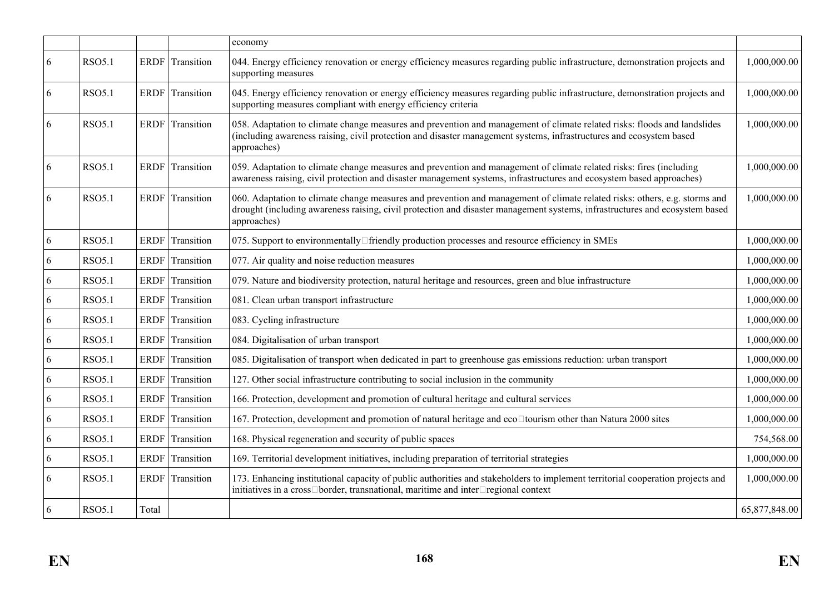|   |               |             |                 | economy                                                                                                                                                                                                                                                                  |               |
|---|---------------|-------------|-----------------|--------------------------------------------------------------------------------------------------------------------------------------------------------------------------------------------------------------------------------------------------------------------------|---------------|
| 6 | <b>RSO5.1</b> | <b>ERDF</b> | Transition      | 044. Energy efficiency renovation or energy efficiency measures regarding public infrastructure, demonstration projects and<br>supporting measures                                                                                                                       | 1,000,000.00  |
| 6 | <b>RSO5.1</b> |             | ERDF Transition | 045. Energy efficiency renovation or energy efficiency measures regarding public infrastructure, demonstration projects and<br>supporting measures compliant with energy efficiency criteria                                                                             | 1,000,000.00  |
| 6 | <b>RSO5.1</b> |             | ERDF Transition | 058. Adaptation to climate change measures and prevention and management of climate related risks: floods and landslides<br>(including awareness raising, civil protection and disaster management systems, infrastructures and ecosystem based<br>approaches)           | 1,000,000.00  |
| 6 | <b>RSO5.1</b> | <b>ERDF</b> | Transition      | 059. Adaptation to climate change measures and prevention and management of climate related risks: fires (including<br>awareness raising, civil protection and disaster management systems, infrastructures and ecosystem based approaches)                              | 1,000,000.00  |
| 6 | <b>RSO5.1</b> | <b>ERDF</b> | Transition      | 060. Adaptation to climate change measures and prevention and management of climate related risks: others, e.g. storms and<br>drought (including awareness raising, civil protection and disaster management systems, infrastructures and ecosystem based<br>approaches) | 1,000,000.00  |
| 6 | <b>RSO5.1</b> | ERDF        | Transition      | 075. Support to environmentally□friendly production processes and resource efficiency in SMEs                                                                                                                                                                            | 1,000,000.00  |
| 6 | <b>RSO5.1</b> | ERDF        | Transition      | 077. Air quality and noise reduction measures                                                                                                                                                                                                                            | 1,000,000.00  |
| 6 | <b>RSO5.1</b> | ERDF        | Transition      | 079. Nature and biodiversity protection, natural heritage and resources, green and blue infrastructure                                                                                                                                                                   | 1,000,000.00  |
| 6 | <b>RSO5.1</b> | ERDF        | Transition      | 081. Clean urban transport infrastructure                                                                                                                                                                                                                                | 1,000,000.00  |
| 6 | <b>RSO5.1</b> | ERDF        | Transition      | 083. Cycling infrastructure                                                                                                                                                                                                                                              | 1,000,000.00  |
| 6 | <b>RSO5.1</b> | ERDF        | Transition      | 084. Digitalisation of urban transport                                                                                                                                                                                                                                   | 1,000,000.00  |
| 6 | <b>RSO5.1</b> | ERDF        | Transition      | 085. Digitalisation of transport when dedicated in part to greenhouse gas emissions reduction: urban transport                                                                                                                                                           | 1,000,000.00  |
| 6 | <b>RSO5.1</b> | <b>ERDF</b> | Transition      | 127. Other social infrastructure contributing to social inclusion in the community                                                                                                                                                                                       | 1,000,000.00  |
| 6 | <b>RSO5.1</b> | <b>ERDF</b> | Transition      | 166. Protection, development and promotion of cultural heritage and cultural services                                                                                                                                                                                    | 1,000,000.00  |
| 6 | <b>RSO5.1</b> | <b>ERDF</b> | Transition      | 167. Protection, development and promotion of natural heritage and eco□tourism other than Natura 2000 sites                                                                                                                                                              | 1,000,000.00  |
| 6 | <b>RSO5.1</b> | <b>ERDF</b> | Transition      | 168. Physical regeneration and security of public spaces                                                                                                                                                                                                                 | 754,568.00    |
| 6 | <b>RSO5.1</b> | <b>ERDF</b> | Transition      | 169. Territorial development initiatives, including preparation of territorial strategies                                                                                                                                                                                | 1,000,000.00  |
| 6 | <b>RSO5.1</b> | <b>ERDF</b> | Transition      | 173. Enhancing institutional capacity of public authorities and stakeholders to implement territorial cooperation projects and<br>initiatives in a cross <sup>[1]</sup> border, transnational, maritime and inter <sup>[1]</sup> regional context                        | 1,000,000.00  |
| 6 | <b>RSO5.1</b> | Total       |                 |                                                                                                                                                                                                                                                                          | 65,877,848.00 |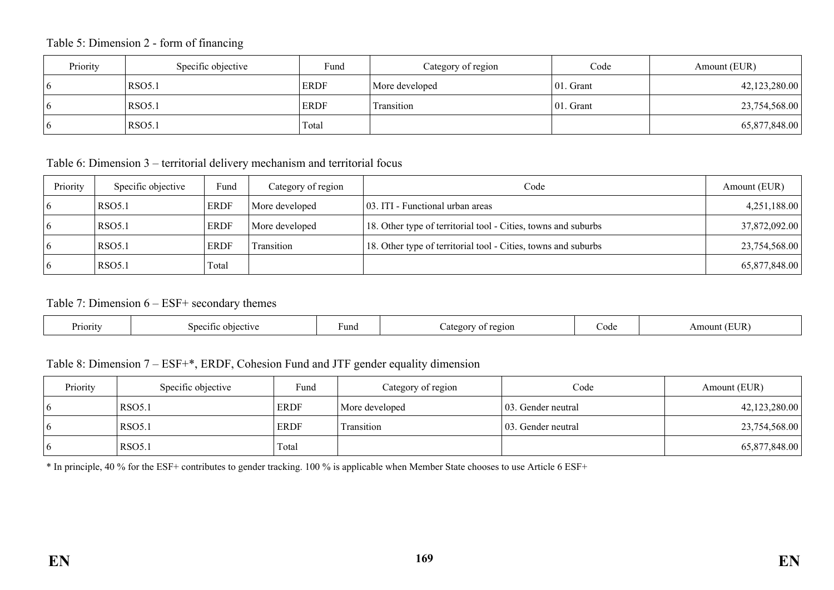Table 5: Dimension 2 - form of financing

| Priority     | Specific objective | Fund        | Category of region | Code          | Amount (EUR)  |
|--------------|--------------------|-------------|--------------------|---------------|---------------|
| $\mathbf{p}$ | <b>RSO5.1</b>      | <b>ERDF</b> | More developed     | $ 01$ . Grant | 42,123,280.00 |
|              | <b>RSO5.1</b>      | <b>ERDF</b> | Transition         | $ 01$ . Grant | 23,754,568.00 |
|              | <b>RSO5.1</b>      | Total       |                    |               | 65,877,848.00 |

Table 6: Dimension 3 – territorial delivery mechanism and territorial focus

| Priority | Specific objective | <b>Fund</b> | Category of region | Code                                                           | Amount (EUR)  |
|----------|--------------------|-------------|--------------------|----------------------------------------------------------------|---------------|
|          | RSO5.1             | <b>ERDF</b> | More developed     | 03. ITI - Functional urban areas                               | 4,251,188.00  |
|          | <b>RSO5.1</b>      | <b>ERDF</b> | More developed     | 18. Other type of territorial tool - Cities, towns and suburbs | 37,872,092.00 |
|          | RSO5.1             | <b>ERDF</b> | Transition         | 18. Other type of territorial tool - Cities, towns and suburbs | 23,754,568.00 |
|          | RSO5.1             | Total       |                    |                                                                | 65,877,848.00 |

# Table 7: Dimension 6 – ESF+ secondary themes

| TID.<br>Priority<br>Fund<br>Code<br>Am<br>sned<br>2210N<br>ettive∴<br>o 1 + 1<br>ount<br>ob 10<br>$\alpha$ |  |
|------------------------------------------------------------------------------------------------------------|--|
|------------------------------------------------------------------------------------------------------------|--|

## Table 8: Dimension 7 – ESF+\*, ERDF, Cohesion Fund and JTF gender equality dimension

| Priority       | Specific objective | Fund        | Category of region | Code                | Amount (EUR)  |
|----------------|--------------------|-------------|--------------------|---------------------|---------------|
| $\overline{6}$ | <b>RSO5.1</b>      | <b>ERDF</b> | More developed     | 103. Gender neutral | 42,123,280.00 |
| $\overline{6}$ | RSO <sub>5.1</sub> | <b>ERDF</b> | <b>Transition</b>  | 103. Gender neutral | 23,754,568.00 |
| 6              | <b>RSO5.1</b>      | Total       |                    |                     | 65,877,848.00 |

\* In principle, 40 % for the ESF+ contributes to gender tracking. 100 % is applicable when Member State chooses to use Article 6 ESF+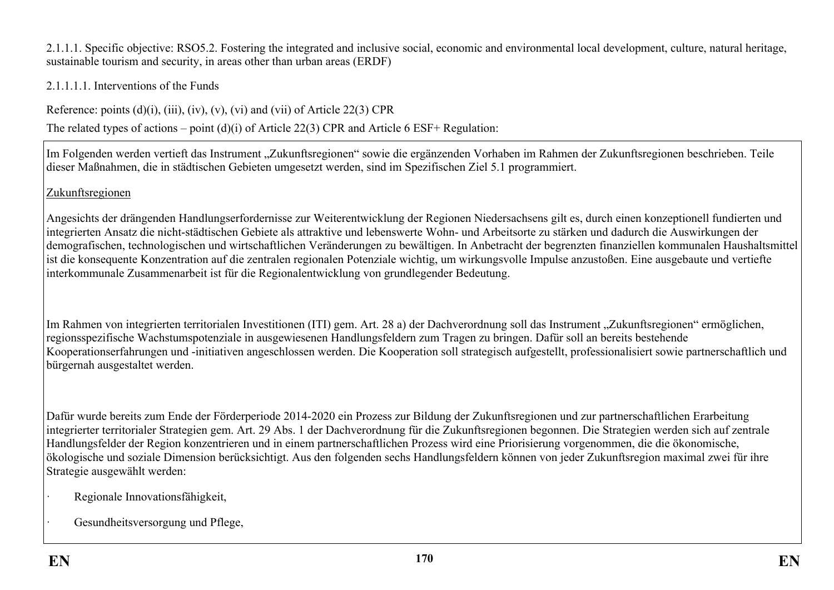2.1.1.1. Specific objective: RSO5.2. Fostering the integrated and inclusive social, economic and environmental local development, culture, natural heritage, sustainable tourism and security, in areas other than urban areas (ERDF)

2.1.1.1.1. Interventions of the Funds

Reference: points  $(d)(i)$ ,  $(iii)$ ,  $(iv)$ ,  $(v)$ ,  $(vi)$  and  $(vii)$  of Article 22(3) CPR

The related types of actions – point (d)(i) of Article 22(3) CPR and Article 6 ESF+ Regulation:

Im Folgenden werden vertieft das Instrument "Zukunftsregionen" sowie die ergänzenden Vorhaben im Rahmen der Zukunftsregionen beschrieben. Teile dieser Maßnahmen, die in städtischen Gebieten umgesetzt werden, sind im Spezifischen Ziel 5.1 programmiert.

Zukunftsregionen

Angesichts der drängenden Handlungserfordernisse zur Weiterentwicklung der Regionen Niedersachsens gilt es, durch einen konzeptionell fundierten und integrierten Ansatz die nicht-städtischen Gebiete als attraktive und lebenswerte Wohn- und Arbeitsorte zu stärken und dadurch die Auswirkungen der demografischen, technologischen und wirtschaftlichen Veränderungen zu bewältigen. In Anbetracht der begrenzten finanziellen kommunalen Haushaltsmittel ist die konsequente Konzentration auf die zentralen regionalen Potenziale wichtig, um wirkungsvolle Impulse anzustoßen. Eine ausgebaute und vertiefte interkommunale Zusammenarbeit ist für die Regionalentwicklung von grundlegender Bedeutung.

Im Rahmen von integrierten territorialen Investitionen (ITI) gem. Art. 28 a) der Dachverordnung soll das Instrument "Zukunftsregionen" ermöglichen, regionsspezifische Wachstumspotenziale in ausgewiesenen Handlungsfeldern zum Tragen zu bringen. Dafür soll an bereits bestehende Kooperationserfahrungen und -initiativen angeschlossen werden. Die Kooperation soll strategisch aufgestellt, professionalisiert sowie partnerschaftlich und bürgernah ausgestaltet werden.

Dafür wurde bereits zum Ende der Förderperiode 2014-2020 ein Prozess zur Bildung der Zukunftsregionen und zur partnerschaftlichen Erarbeitung integrierter territorialer Strategien gem. Art. 29 Abs. 1 der Dachverordnung für die Zukunftsregionen begonnen. Die Strategien werden sich auf zentrale Handlungsfelder der Region konzentrieren und in einem partnerschaftlichen Prozess wird eine Priorisierung vorgenommen, die die ökonomische, ökologische und soziale Dimension berücksichtigt. Aus den folgenden sechs Handlungsfeldern können von jeder Zukunftsregion maximal zwei für ihre Strategie ausgewählt werden:

- · Regionale Innovationsfähigkeit,
- Gesundheitsversorgung und Pflege,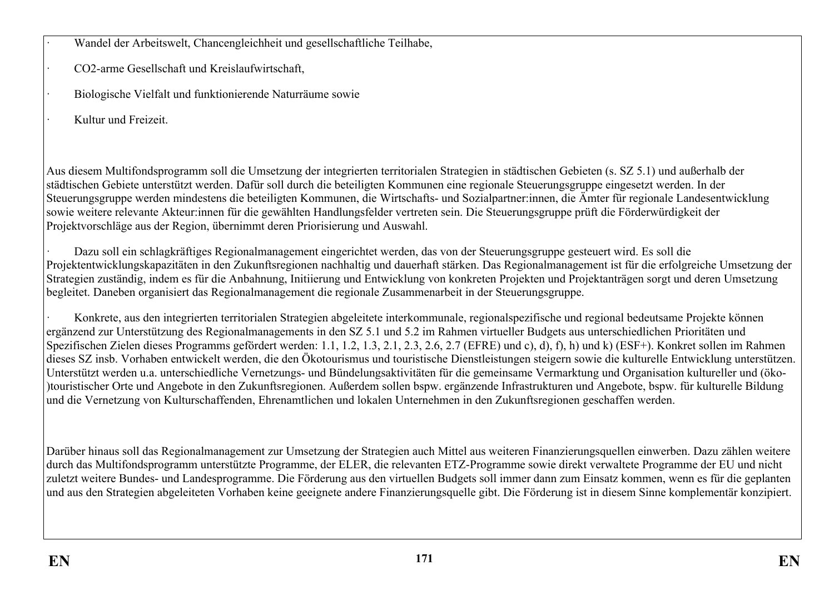· Wandel der Arbeitswelt, Chancengleichheit und gesellschaftliche Teilhabe,

- · CO2-arme Gesellschaft und Kreislaufwirtschaft,
- · Biologische Vielfalt und funktionierende Naturräume sowie
- · Kultur und Freizeit.

Aus diesem Multifondsprogramm soll die Umsetzung der integrierten territorialen Strategien in städtischen Gebieten (s. SZ 5.1) und außerhalb der städtischen Gebiete unterstützt werden. Dafür soll durch die beteiligten Kommunen eine regionale Steuerungsgruppe eingesetzt werden. In der Steuerungsgruppe werden mindestens die beteiligten Kommunen, die Wirtschafts- und Sozialpartner:innen, die Ämter für regionale Landesentwicklung sowie weitere relevante Akteur:innen für die gewählten Handlungsfelder vertreten sein. Die Steuerungsgruppe prüft die Förderwürdigkeit der Projektvorschläge aus der Region, übernimmt deren Priorisierung und Auswahl.

· Dazu soll ein schlagkräftiges Regionalmanagement eingerichtet werden, das von der Steuerungsgruppe gesteuert wird. Es soll die Projektentwicklungskapazitäten in den Zukunftsregionen nachhaltig und dauerhaft stärken. Das Regionalmanagement ist für die erfolgreiche Umsetzung der Strategien zuständig, indem es für die Anbahnung, Initiierung und Entwicklung von konkreten Projekten und Projektanträgen sorgt und deren Umsetzung begleitet. Daneben organisiert das Regionalmanagement die regionale Zusammenarbeit in der Steuerungsgruppe.

· Konkrete, aus den integrierten territorialen Strategien abgeleitete interkommunale, regionalspezifische und regional bedeutsame Projekte können ergänzend zur Unterstützung des Regionalmanagements in den SZ 5.1 und 5.2 im Rahmen virtueller Budgets aus unterschiedlichen Prioritäten und Spezifischen Zielen dieses Programms gefördert werden: 1.1, 1.2, 1.3, 2.1, 2.3, 2.6, 2.7 (EFRE) und c), d), f), h) und k) (ESF+). Konkret sollen im Rahmen dieses SZ insb. Vorhaben entwickelt werden, die den Ökotourismus und touristische Dienstleistungen steigern sowie die kulturelle Entwicklung unterstützen. Unterstützt werden u.a. unterschiedliche Vernetzungs- und Bündelungsaktivitäten für die gemeinsame Vermarktung und Organisation kultureller und (öko- )touristischer Orte und Angebote in den Zukunftsregionen. Außerdem sollen bspw. ergänzende Infrastrukturen und Angebote, bspw. für kulturelle Bildung und die Vernetzung von Kulturschaffenden, Ehrenamtlichen und lokalen Unternehmen in den Zukunftsregionen geschaffen werden.

Darüber hinaus soll das Regionalmanagement zur Umsetzung der Strategien auch Mittel aus weiteren Finanzierungsquellen einwerben. Dazu zählen weitere durch das Multifondsprogramm unterstützte Programme, der ELER, die relevanten ETZ-Programme sowie direkt verwaltete Programme der EU und nicht zuletzt weitere Bundes- und Landesprogramme. Die Förderung aus den virtuellen Budgets soll immer dann zum Einsatz kommen, wenn es für die geplanten und aus den Strategien abgeleiteten Vorhaben keine geeignete andere Finanzierungsquelle gibt. Die Förderung ist in diesem Sinne komplementär konzipiert.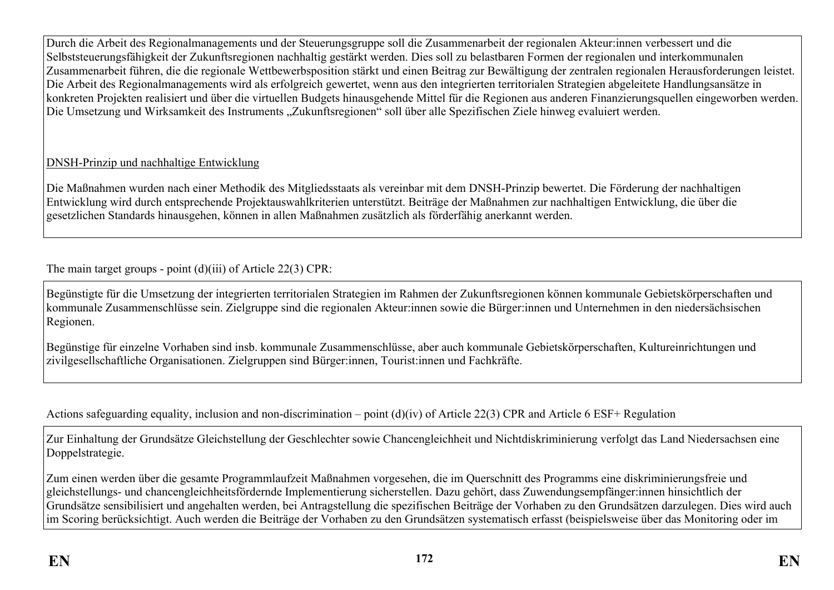Durch die Arbeit des Regionalmanagements und der Steuerungsgruppe soll die Zusammenarbeit der regionalen Akteur:innen verbessert und die Selbststeuerungsfähigkeit der Zukunftsregionen nachhaltig gestärkt werden. Dies soll zu belastbaren Formen der regionalen und interkommunalen Zusammenarbeit führen, die die regionale Wettbewerbsposition stärkt und einen Beitrag zur Bewältigung der zentralen regionalen Herausforderungen leistet. Die Arbeit des Regionalmanagements wird als erfolgreich gewertet, wenn aus den integrierten territorialen Strategien abgeleitete Handlungsansätze in konkreten Projekten realisiert und über die virtuellen Budgets hinausgehende Mittel für die Regionen aus anderen Finanzierungsquellen eingeworben werden. Die Umsetzung und Wirksamkeit des Instruments "Zukunftsregionen" soll über alle Spezifischen Ziele hinweg evaluiert werden.

# DNSH-Prinzip und nachhaltige Entwicklung

Die Maßnahmen wurden nach einer Methodik des Mitgliedsstaats als vereinbar mit dem DNSH-Prinzip bewertet. Die Förderung der nachhaltigen Entwicklung wird durch entsprechende Projektauswahlkriterien unterstützt. Beiträge der Maßnahmen zur nachhaltigen Entwicklung, die über die gesetzlichen Standards hinausgehen, können in allen Maßnahmen zusätzlich als förderfähig anerkannt werden.

The main target groups - point (d)(iii) of Article 22(3) CPR:

Begünstigte für die Umsetzung der integrierten territorialen Strategien im Rahmen der Zukunftsregionen können kommunale Gebietskörperschaften und kommunale Zusammenschlüsse sein. Zielgruppe sind die regionalen Akteur:innen sowie die Bürger:innen und Unternehmen in den niedersächsischen Regionen.

Begünstige für einzelne Vorhaben sind insb. kommunale Zusammenschlüsse, aber auch kommunale Gebietskörperschaften, Kultureinrichtungen und zivilgesellschaftliche Organisationen. Zielgruppen sind Bürger:innen, Tourist:innen und Fachkräfte.

Actions safeguarding equality, inclusion and non-discrimination – point (d)(iv) of Article 22(3) CPR and Article 6 ESF+ Regulation

Zur Einhaltung der Grundsätze Gleichstellung der Geschlechter sowie Chancengleichheit und Nichtdiskriminierung verfolgt das Land Niedersachsen eine Doppelstrategie.

Zum einen werden über die gesamte Programmlaufzeit Maßnahmen vorgesehen, die im Querschnitt des Programms eine diskriminierungsfreie und gleichstellungs- und chancengleichheitsfördernde Implementierung sicherstellen. Dazu gehört, dass Zuwendungsempfänger:innen hinsichtlich der Grundsätze sensibilisiert und angehalten werden, bei Antragstellung die spezifischen Beiträge der Vorhaben zu den Grundsätzen darzulegen. Dies wird auch im Scoring berücksichtigt. Auch werden die Beiträge der Vorhaben zu den Grundsätzen systematisch erfasst (beispielsweise über das Monitoring oder im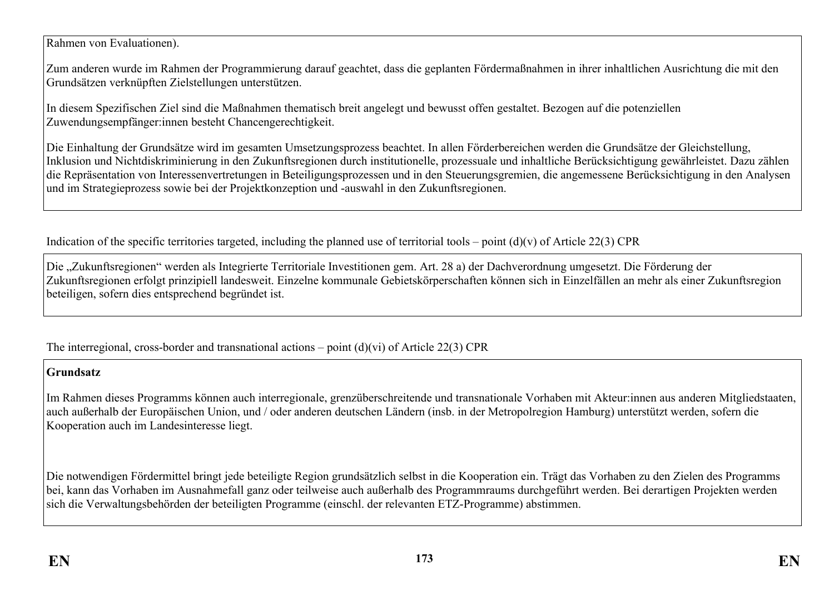Rahmen von Evaluationen).

Zum anderen wurde im Rahmen der Programmierung darauf geachtet, dass die geplanten Fördermaßnahmen in ihrer inhaltlichen Ausrichtung die mit den Grundsätzen verknüpften Zielstellungen unterstützen.

In diesem Spezifischen Ziel sind die Maßnahmen thematisch breit angelegt und bewusst offen gestaltet. Bezogen auf die potenziellen Zuwendungsempfänger:innen besteht Chancengerechtigkeit.

Die Einhaltung der Grundsätze wird im gesamten Umsetzungsprozess beachtet. In allen Förderbereichen werden die Grundsätze der Gleichstellung, Inklusion und Nichtdiskriminierung in den Zukunftsregionen durch institutionelle, prozessuale und inhaltliche Berücksichtigung gewährleistet. Dazu zählen die Repräsentation von Interessenvertretungen in Beteiligungsprozessen und in den Steuerungsgremien, die angemessene Berücksichtigung in den Analysen und im Strategieprozess sowie bei der Projektkonzeption und -auswahl in den Zukunftsregionen.

Indication of the specific territories targeted, including the planned use of territorial tools – point  $(d)(v)$  of Article 22(3) CPR

Die "Zukunftsregionen" werden als Integrierte Territoriale Investitionen gem. Art. 28 a) der Dachverordnung umgesetzt. Die Förderung der Zukunftsregionen erfolgt prinzipiell landesweit. Einzelne kommunale Gebietskörperschaften können sich in Einzelfällen an mehr als einer Zukunftsregion beteiligen, sofern dies entsprechend begründet ist.

The interregional, cross-border and transnational actions – point (d)(vi) of Article 22(3) CPR

### **Grundsatz**

Im Rahmen dieses Programms können auch interregionale, grenzüberschreitende und transnationale Vorhaben mit Akteur:innen aus anderen Mitgliedstaaten, auch außerhalb der Europäischen Union, und / oder anderen deutschen Ländern (insb. in der Metropolregion Hamburg) unterstützt werden, sofern die Kooperation auch im Landesinteresse liegt.

Die notwendigen Fördermittel bringt jede beteiligte Region grundsätzlich selbst in die Kooperation ein. Trägt das Vorhaben zu den Zielen des Programms bei, kann das Vorhaben im Ausnahmefall ganz oder teilweise auch außerhalb des Programmraums durchgeführt werden. Bei derartigen Projekten werden sich die Verwaltungsbehörden der beteiligten Programme (einschl. der relevanten ETZ-Programme) abstimmen.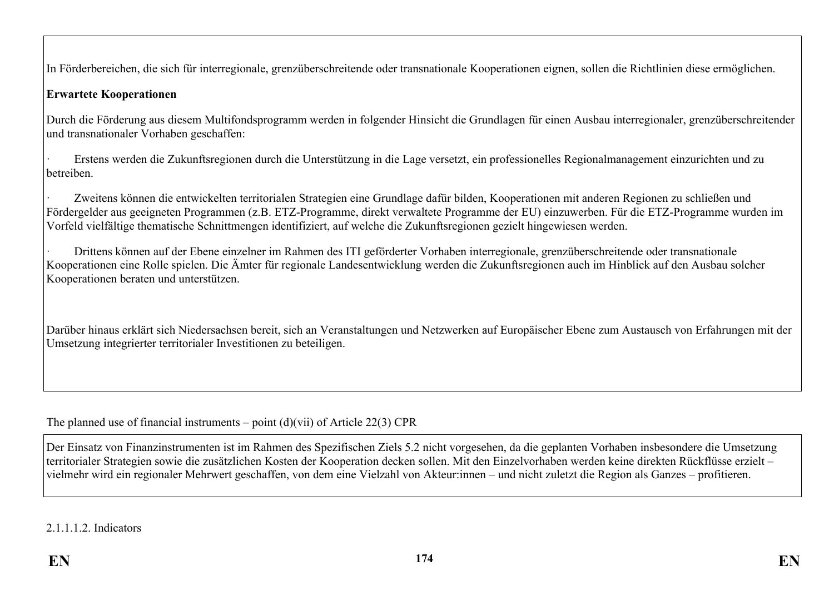In Förderbereichen, die sich für interregionale, grenzüberschreitende oder transnationale Kooperationen eignen, sollen die Richtlinien diese ermöglichen.

## **Erwartete Kooperationen**

Durch die Förderung aus diesem Multifondsprogramm werden in folgender Hinsicht die Grundlagen für einen Ausbau interregionaler, grenzüberschreitender und transnationaler Vorhaben geschaffen:

· Erstens werden die Zukunftsregionen durch die Unterstützung in die Lage versetzt, ein professionelles Regionalmanagement einzurichten und zu betreiben.

Zweitens können die entwickelten territorialen Strategien eine Grundlage dafür bilden, Kooperationen mit anderen Regionen zu schließen und Fördergelder aus geeigneten Programmen (z.B. ETZ-Programme, direkt verwaltete Programme der EU) einzuwerben. Für die ETZ-Programme wurden im Vorfeld vielfältige thematische Schnittmengen identifiziert, auf welche die Zukunftsregionen gezielt hingewiesen werden.

· Drittens können auf der Ebene einzelner im Rahmen des ITI geförderter Vorhaben interregionale, grenzüberschreitende oder transnationale Kooperationen eine Rolle spielen. Die Ämter für regionale Landesentwicklung werden die Zukunftsregionen auch im Hinblick auf den Ausbau solcher Kooperationen beraten und unterstützen.

Darüber hinaus erklärt sich Niedersachsen bereit, sich an Veranstaltungen und Netzwerken auf Europäischer Ebene zum Austausch von Erfahrungen mit der Umsetzung integrierter territorialer Investitionen zu beteiligen.

The planned use of financial instruments – point  $(d)(\n{\rm vii})$  of Article 22(3) CPR

Der Einsatz von Finanzinstrumenten ist im Rahmen des Spezifischen Ziels 5.2 nicht vorgesehen, da die geplanten Vorhaben insbesondere die Umsetzung territorialer Strategien sowie die zusätzlichen Kosten der Kooperation decken sollen. Mit den Einzelvorhaben werden keine direkten Rückflüsse erzielt – vielmehr wird ein regionaler Mehrwert geschaffen, von dem eine Vielzahl von Akteur:innen – und nicht zuletzt die Region als Ganzes – profitieren.

2.1.1.1.2. Indicators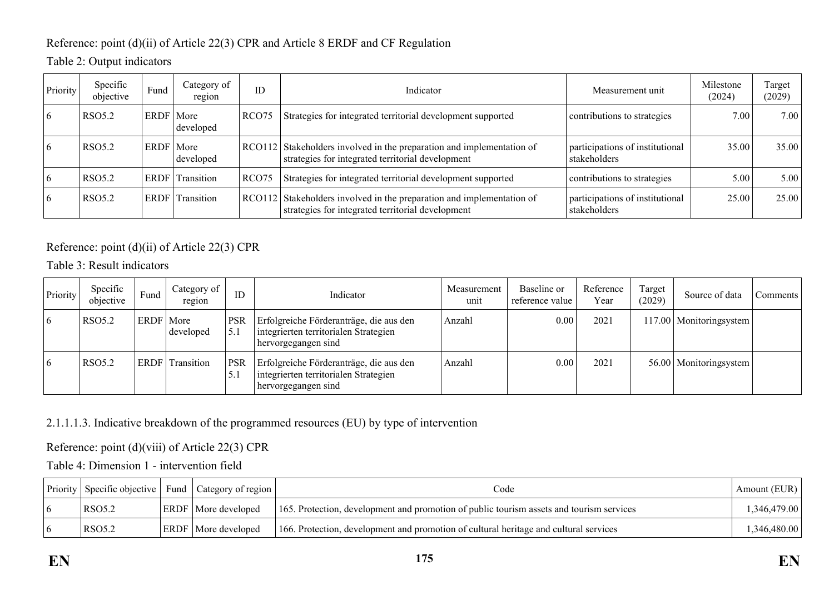# Reference: point (d)(ii) of Article 22(3) CPR and Article 8 ERDF and CF Regulation

# Table 2: Output indicators

| Priority       | Specific<br>objective | Fund        | Category of<br>region | ID                | Indicator<br>Measurement unit                                                                                              |                                                 | Milestone<br>(2024) | Target<br>(2029) |
|----------------|-----------------------|-------------|-----------------------|-------------------|----------------------------------------------------------------------------------------------------------------------------|-------------------------------------------------|---------------------|------------------|
| $\mathfrak{b}$ | <b>RSO5.2</b>         | ERDF   More | developed             | RCO <sub>75</sub> | Strategies for integrated territorial development supported<br>contributions to strategies                                 |                                                 | 7.00                | 7.00             |
|                | <b>RSO5.2</b>         | ERDF   More | developed             |                   | RCO112 Stakeholders involved in the preparation and implementation of<br>strategies for integrated territorial development | participations of institutional<br>stakeholders | 35.00               | 35.00            |
|                | <b>RSO5.2</b>         |             | ERDF Transition       | RCO <sub>75</sub> | Strategies for integrated territorial development supported                                                                | contributions to strategies                     | 5.00                | 5.00             |
|                | <b>RSO5.2</b>         | <b>ERDF</b> | Transition            |                   | RCO112 Stakeholders involved in the preparation and implementation of<br>strategies for integrated territorial development | participations of institutional<br>stakeholders | 25.00               | 25.00            |

# Reference: point (d)(ii) of Article 22(3) CPR

Table 3: Result indicators

| Priority | Specific<br>objective | Fund        | Category of<br>region | ID                 | Indicator                                                                                               | Measurement<br>unit | Baseline or<br>reference value | Reference<br>Year | Target<br>(2029) | Source of data            | Comments |
|----------|-----------------------|-------------|-----------------------|--------------------|---------------------------------------------------------------------------------------------------------|---------------------|--------------------------------|-------------------|------------------|---------------------------|----------|
| 16       | <b>RSO5.2</b>         | ERDF   More | developed             | <b>PSR</b><br>15.1 | Erfolgreiche Förderanträge, die aus den<br>integrierten territorialen Strategien<br>hervorgegangen sind | Anzahl              | 0.00                           | 2021              |                  | 117.00   Monitoringsystem |          |
| 16       | <b>RSO5.2</b>         | <b>ERDF</b> | Transition            | <b>PSR</b><br>5.1  | Erfolgreiche Förderanträge, die aus den<br>integrierten territorialen Strategien<br>hervorgegangen sind | Anzahl              | $0.00\,$                       | 2021              |                  | 56.00   Monitoringsystem  |          |

# 2.1.1.1.3. Indicative breakdown of the programmed resources (EU) by type of intervention

Reference: point (d)(viii) of Article 22(3) CPR

Table 4: Dimension 1 - intervention field

|        | Priority Specific objective Fund Category of region | Code                                                                                     | Amount (EUR) |
|--------|-----------------------------------------------------|------------------------------------------------------------------------------------------|--------------|
| RSO5.2 | <b>ERDF</b> More developed                          | 165. Protection, development and promotion of public tourism assets and tourism services | .346.479.00  |
| RSO5.2 | <b>ERDF</b> More developed                          | 166. Protection, development and promotion of cultural heritage and cultural services    | ,346,480.00  |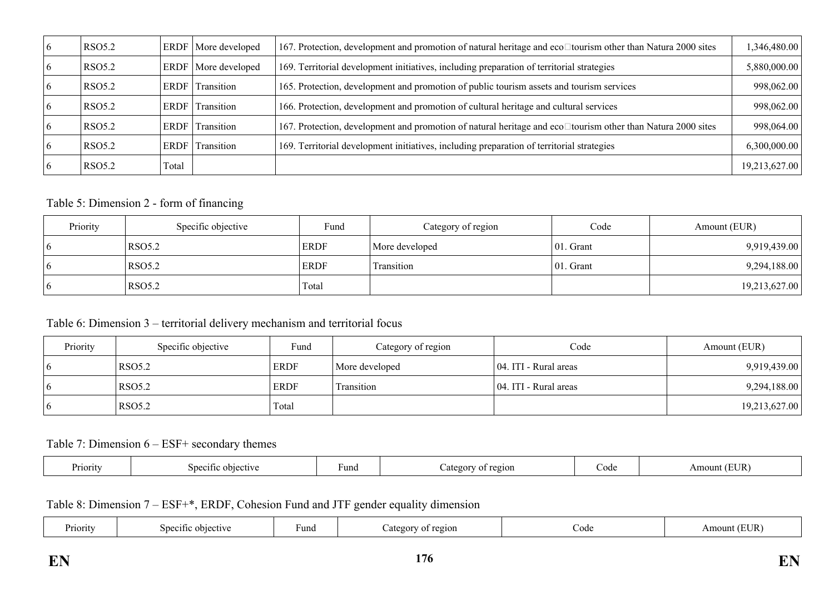| <b>RSO5.2</b> | ERDF        | More developed | 167. Protection, development and promotion of natural heritage and eco□tourism other than Natura 2000 sites | 1,346,480.00  |
|---------------|-------------|----------------|-------------------------------------------------------------------------------------------------------------|---------------|
| <b>RSO5.2</b> | <b>ERDF</b> | More developed | 169. Territorial development initiatives, including preparation of territorial strategies                   | 5,880,000.00  |
| <b>RSO5.2</b> | ERDF        | Transition     | 165. Protection, development and promotion of public tourism assets and tourism services                    | 998,062.00    |
| <b>RSO5.2</b> | ERDF        | Transition     | 166. Protection, development and promotion of cultural heritage and cultural services                       | 998,062.00    |
| <b>RSO5.2</b> | ERDF        | Transition     | 167. Protection, development and promotion of natural heritage and eco□tourism other than Natura 2000 sites | 998,064.00    |
| <b>RSO5.2</b> | ERDF        | Transition     | 169. Territorial development initiatives, including preparation of territorial strategies                   | 6,300,000.00  |
| <b>RSO5.2</b> | Total       |                |                                                                                                             | 19,213,627.00 |

#### Table 5: Dimension 2 - form of financing

| Priority     | Specific objective | Fund        | Category of region | Code         | Amount (EUR)  |
|--------------|--------------------|-------------|--------------------|--------------|---------------|
| $\mathbf{p}$ | <b>RSO5.2</b>      | <b>ERDF</b> | More developed     | $ 01.$ Grant | 9,919,439.00  |
| $\mathbf{p}$ | <b>RSO5.2</b>      | <b>ERDF</b> | Transition         | $ 01.$ Grant | 9,294,188.00  |
| $\mathbf b$  | <b>RSO5.2</b>      | Total       |                    |              | 19,213,627.00 |

# Table 6: Dimension 3 – territorial delivery mechanism and territorial focus

| Priority    | Specific objective | Fund        | Category of region | Code                  | Amount (EUR)  |
|-------------|--------------------|-------------|--------------------|-----------------------|---------------|
| $\mathbf b$ | RSO5.2             | <b>ERDF</b> | More developed     | 04. ITI - Rural areas | 9,919,439.00  |
| $\mathbf b$ | <b>RSO5.2</b>      | <b>ERDF</b> | Transition         | 04. ITI - Rural areas | 9,294,188.00  |
|             | <b>RSO5.2</b>      | Total       |                    |                       | 19,213,627.00 |

## Table 7: Dimension 6 – ESF+ secondary themes

| Priority | Specific.<br>objective | una- | region<br>. . | ode | 'UR.<br>וחוור<br>11 |
|----------|------------------------|------|---------------|-----|---------------------|
|----------|------------------------|------|---------------|-----|---------------------|

Table 8: Dimension 7 – ESF+\*, ERDF, Cohesion Fund and JTF gender equality dimension

| riority | $S$ decime $\alpha$<br>objective | ™und | Category<br>region | Code | $T$ $T$<br>Amount<br>UN. |
|---------|----------------------------------|------|--------------------|------|--------------------------|
|---------|----------------------------------|------|--------------------|------|--------------------------|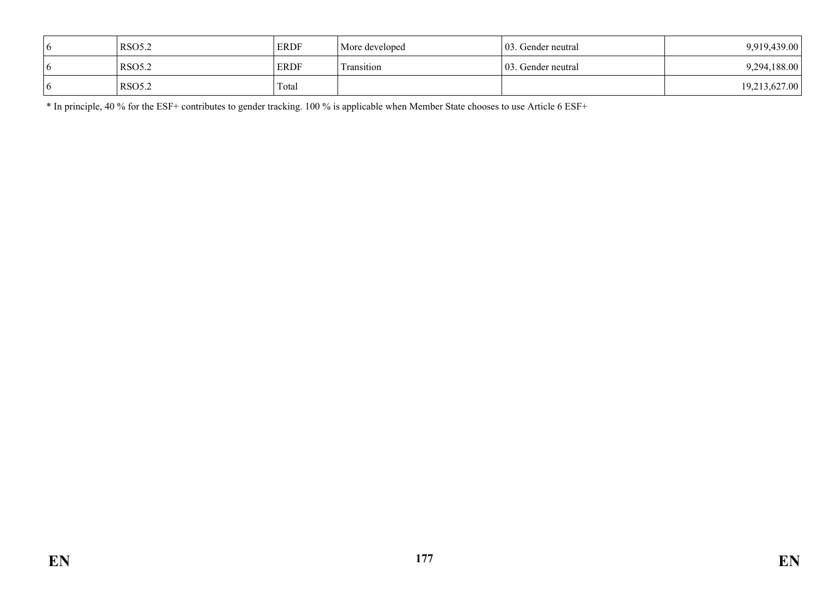| $\sigma$     | <b>RSO5.2</b> | <b>ERDF</b> | More developed | 103. Gender neutral | 9,919,439.00  |
|--------------|---------------|-------------|----------------|---------------------|---------------|
| <sub>0</sub> | <b>RSO5.2</b> | <b>ERDF</b> | Transition     | 103. Gender neutral | 9,294,188.00  |
| <sub>0</sub> | <b>RSO5.2</b> | Total       |                |                     | 19,213,627.00 |

\* In principle, 40 % for the ESF+ contributes to gender tracking. 100 % is applicable when Member State chooses to use Article 6 ESF+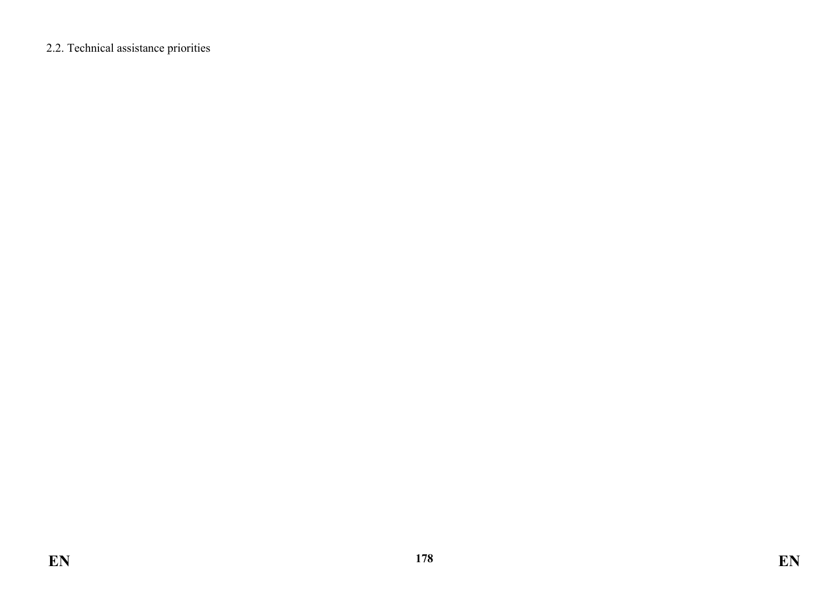2.2. Technical assistance priorities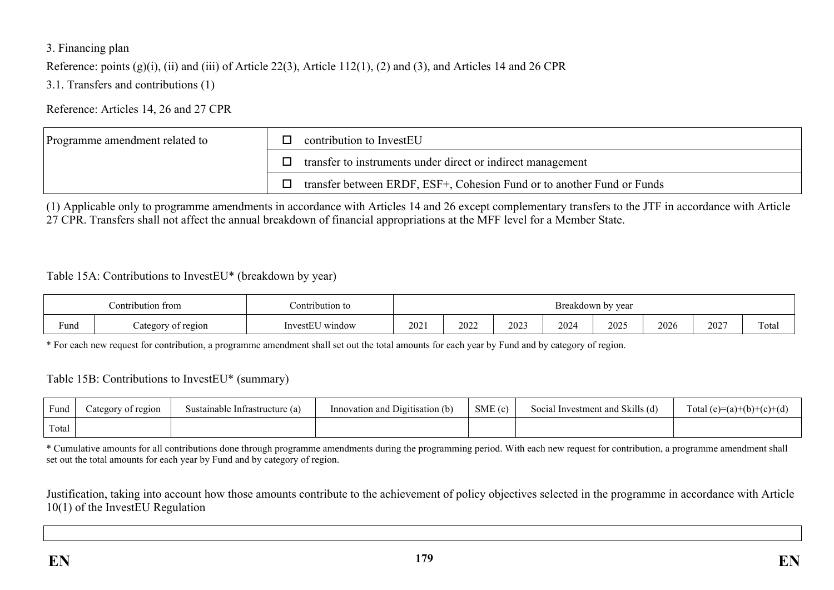### 3. Financing plan

Reference: points (g)(i), (ii) and (iii) of Article 22(3), Article 112(1), (2) and (3), and Articles 14 and 26 CPR

3.1. Transfers and contributions (1)

Reference: Articles 14, 26 and 27 CPR

| Programme amendment related to | contribution to InvestEU                                               |
|--------------------------------|------------------------------------------------------------------------|
|                                | transfer to instruments under direct or indirect management            |
|                                | transfer between ERDF, ESF+, Cohesion Fund or to another Fund or Funds |

(1) Applicable only to programme amendments in accordance with Articles 14 and 26 except complementary transfers to the JTF in accordance with Article 27 CPR. Transfers shall not affect the annual breakdown of financial appropriations at the MFF level for a Member State.

#### Table 15A: Contributions to InvestEU\* (breakdown by year)

| ontribution from |                                    | :ontribution to                                  | by year<br><b>Breakdown</b> |      |      |      |      |      |      |                 |  |
|------------------|------------------------------------|--------------------------------------------------|-----------------------------|------|------|------|------|------|------|-----------------|--|
| $\sim$<br>Fund   | v of region<br>ategor <sup>.</sup> | $\sim$ $\sim$ $\sim$ $\sim$<br>window<br>InvestE | 2021                        | 2022 | 2023 | 2024 | 2025 | 2026 | 2027 | $\sim$<br>Total |  |

\* For each new request for contribution, a programme amendment shall set out the total amounts for each year by Fund and by category of region.

#### Table 15B: Contributions to InvestEU\* (summary)

| Fund  | ategory of region | Sustainable Infrastructure (a) | SME(c)<br>Innovation and Digitisation (b) |  | Social Investment and Skills (d) | Total $(e)=(a)+(b)+(c)+(d)$ |  |  |
|-------|-------------------|--------------------------------|-------------------------------------------|--|----------------------------------|-----------------------------|--|--|
| Total |                   |                                |                                           |  |                                  |                             |  |  |

\* Cumulative amounts for all contributions done through programme amendments during the programming period. With each new request for contribution, a programme amendment shall set out the total amounts for each year by Fund and by category of region.

Justification, taking into account how those amounts contribute to the achievement of policy objectives selected in the programme in accordance with Article 10(1) of the InvestEU Regulation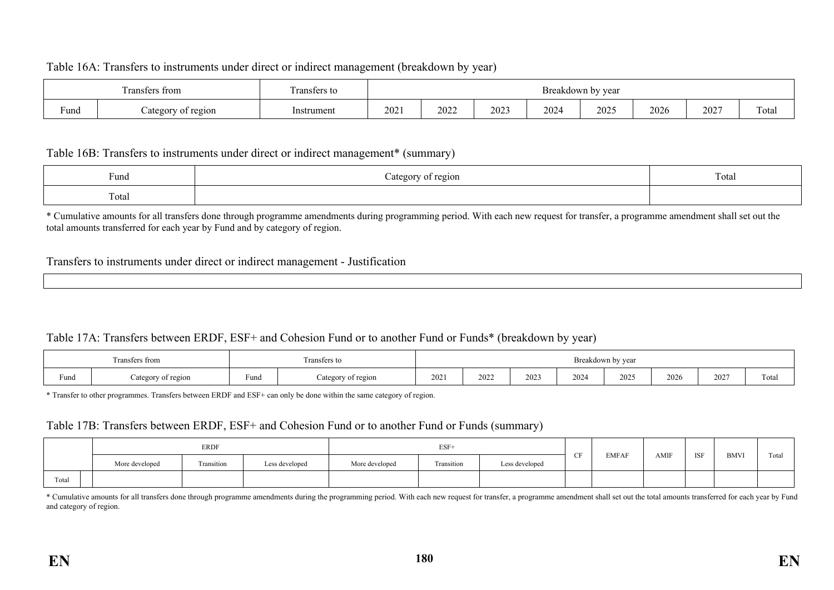#### Table 16A: Transfers to instruments under direct or indirect management (breakdown by year)

| Fransfers from         |                    | $\sim$<br>ransters to |     |      |      |      | <b>Breakdown</b><br>by year |      |               |                            |  |  |
|------------------------|--------------------|-----------------------|-----|------|------|------|-----------------------------|------|---------------|----------------------------|--|--|
| $\blacksquare$<br>Fund | region<br>ategory: | Instrument            | 202 | 2022 | 2023 | 2024 | 2025                        | 2026 | $202^{\circ}$ | <b>CONTRACTOR</b><br>l ota |  |  |

#### Table 16B: Transfers to instruments under direct or indirect management\* (summary)

| $\sim$<br>Fund             | $\sigma$<br>region<br>- U<br><u>،</u> | $\mathbf{r}$<br>$\sim$ + $\sim$<br>1 otal |
|----------------------------|---------------------------------------|-------------------------------------------|
| <b>CONTRACTOR</b><br>Total |                                       |                                           |

\* Cumulative amounts for all transfers done through programme amendments during programming period. With each new request for transfer, a programme amendment shall set out the total amounts transferred for each year by Fund and by category of region.

#### Transfers to instruments under direct or indirect management - Justification

#### Table 17A: Transfers between ERDF, ESF+ and Cohesion Fund or to another Fund or Funds\* (breakdown by year)

| Transfers from |                    | <b>CONTRACTOR</b><br>Fransfers to |                                | __<br>Breakdown by year |                                         |      |      |      |      |                |                                   |
|----------------|--------------------|-----------------------------------|--------------------------------|-------------------------|-----------------------------------------|------|------|------|------|----------------|-----------------------------------|
| Fund           | Category of region | $\sim$<br>Fund                    | of region<br>്ദ്ഭാവസം.<br>∍uા∪ | 2021                    | 2022<br>the contract of the contract of | 2023 | 2024 | 2025 | 2026 | 2027<br>$\sim$ | $\overline{\phantom{a}}$<br>Total |

\* Transfer to other programmes. Transfers between ERDF and ESF+ can only be done within the same category of region.

#### Table 17B: Transfers between ERDF, ESF+ and Cohesion Fund or to another Fund or Funds (summary)

|       | ERDF           |                   |                | $ESF+$         |            |                |   |              |      |            |             | $\sim$ |
|-------|----------------|-------------------|----------------|----------------|------------|----------------|---|--------------|------|------------|-------------|--------|
|       | More developed | <b>Transition</b> | Less developed | More developed | Transition | Less developed | ~ | <b>EMFAF</b> | AMIF | <b>ISF</b> | <b>BMVI</b> | Tota   |
| Total |                |                   |                |                |            |                |   |              |      |            |             |        |

\* Cumulative amounts for all transfers done through programme amendments during the programming period. With each new request for transfer, a programme amendment shall set out the total amounts transferred for each year by and category of region.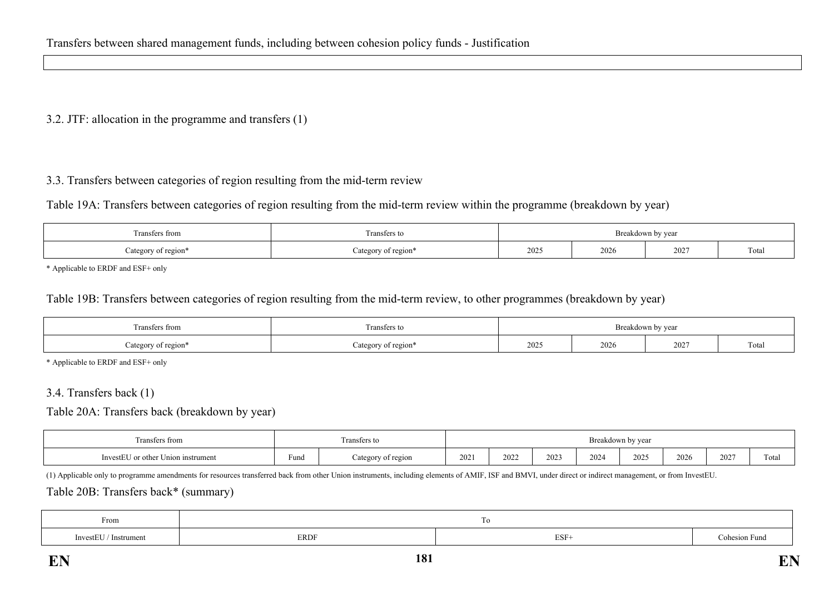### 3.2. JTF: allocation in the programme and transfers (1)

## 3.3. Transfers between categories of region resulting from the mid-term review

Table 19A: Transfers between categories of region resulting from the mid-term review within the programme (breakdown by year)

| Transfers from      | <b>CONTRACTOR</b><br>Fransfers to | Breakdown by year |      |      |                        |  |
|---------------------|-----------------------------------|-------------------|------|------|------------------------|--|
| Category of region* | Category of region*               | 2025              | 2026 | 2027 | <b>COLOR</b><br>i otal |  |

\* Applicable to ERDF and ESF+ only

### Table 19B: Transfers between categories of region resulting from the mid-term review, to other programmes (breakdown by year)

| Fransfers from      | Transfers to        | Breakdown by year |      |      |       |  |
|---------------------|---------------------|-------------------|------|------|-------|--|
| Category of region* | Category of region* | 2025              | 2026 | 2027 | Total |  |

\* Applicable to ERDF and ESF+ only

#### 3.4. Transfers back (1)

Table 20A: Transfers back (breakdown by year)

| <b>CONTRACTOR</b><br>Transfers to<br>*s from |                        |                   |      |      |     | <b>Breakdow</b> | n by year |      |      |       |
|----------------------------------------------|------------------------|-------------------|------|------|-----|-----------------|-----------|------|------|-------|
| --<br>or other Union instrument<br>InvestEU  | <b>Service</b><br>Fund | ategory of region | 2021 | 2022 | 202 | 2024            | 2025      | 2026 | 2027 | Total |

(1) Applicable only to programme amendments for resources transferred back from other Union instruments, including elements of AMIF, ISF and BMVI, under direct or indirect management, or from InvestEU.

#### Table 20B: Transfers back\* (summary)

| From                                    |              |      |            |
|-----------------------------------------|--------------|------|------------|
| <b>Service</b><br>Instrument<br>mvestEU | ${\rm ERDF}$ | ESF- | esion Funa |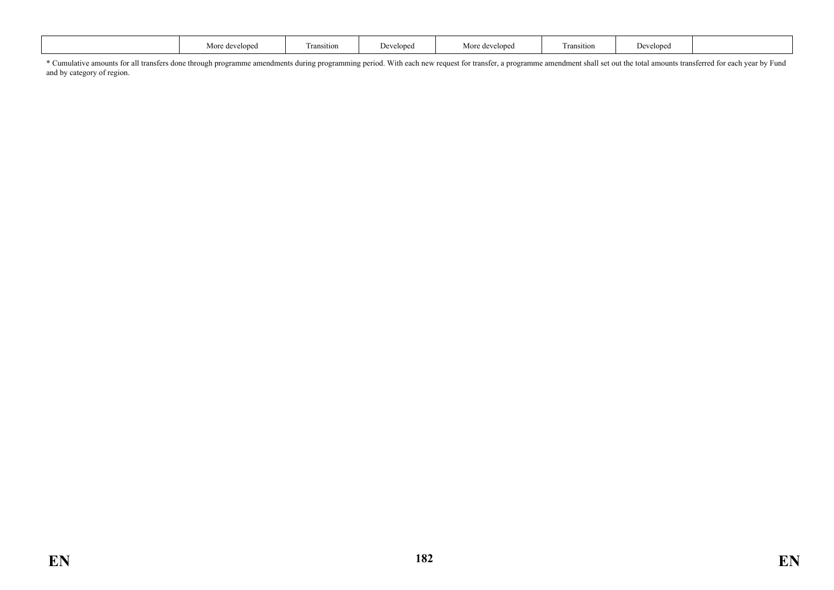|  |  | More developed | l ransıtıon | Developed | More developed | <b>COLOR</b><br>i ransition | T.<br>Developed |  |
|--|--|----------------|-------------|-----------|----------------|-----------------------------|-----------------|--|
|--|--|----------------|-------------|-----------|----------------|-----------------------------|-----------------|--|

\* Cumulative amounts for all transfers done through programme amendments during programming period. With each new request for transfer, a programme amendment shall set out the total amounts transferred for each year by Fund and by category of region.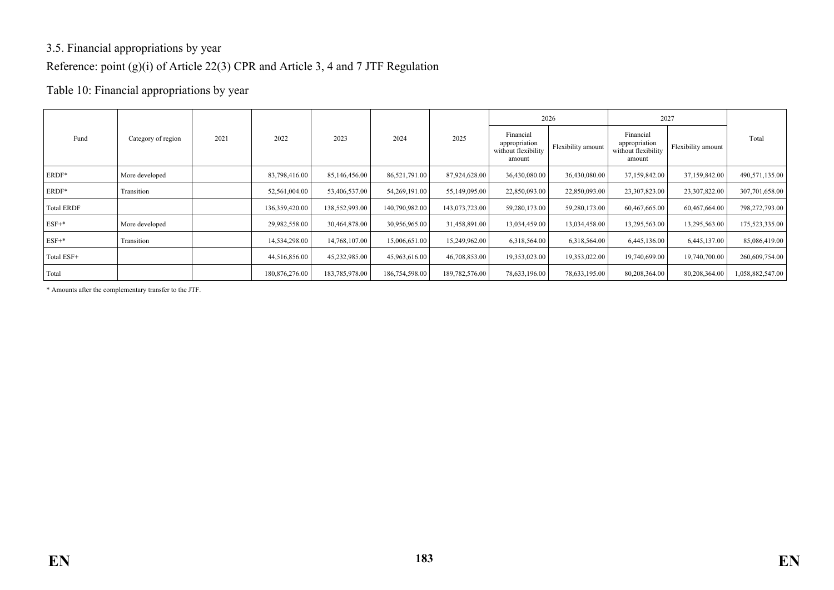## 3.5. Financial appropriations by year Reference: point (g)(i) of Article 22(3) CPR and Article 3, 4 and 7 JTF Regulation

## Table 10: Financial appropriations by year

|                   |                    |      |                |                |                |                |                                                             | 2026               | 2027                                                        |                    |                  |
|-------------------|--------------------|------|----------------|----------------|----------------|----------------|-------------------------------------------------------------|--------------------|-------------------------------------------------------------|--------------------|------------------|
| Fund              | Category of region | 2021 | 2022           | 2023           | 2024           | 2025           | Financial<br>appropriation<br>without flexibility<br>amount | Flexibility amount | Financial<br>appropriation<br>without flexibility<br>amount | Flexibility amount | Total            |
| ERDF*             | More developed     |      | 83,798,416.00  | 85,146,456.00  | 86,521,791.00  | 87,924,628.00  | 36,430,080.00                                               | 36,430,080.00      | 37,159,842.00                                               | 37,159,842.00      | 490,571,135.00   |
| ERDF*             | Transition         |      | 52,561,004.00  | 53,406,537.00  | 54,269,191.00  | 55,149,095.00  | 22,850,093.00                                               | 22,850,093.00      | 23,307,823.00                                               | 23,307,822.00      | 307,701,658.00   |
| <b>Total ERDF</b> |                    |      | 136,359,420.00 | 138,552,993.00 | 140,790,982.00 | 143,073,723.00 | 59,280,173.00                                               | 59,280,173.00      | 60,467,665.00                                               | 60,467,664.00      | 798,272,793.00   |
| $ESF+*$           | More developed     |      | 29,982,558.00  | 30,464,878.00  | 30,956,965.00  | 31,458,891.00  | 13,034,459.00                                               | 13,034,458.00      | 13,295,563.00                                               | 13,295,563.00      | 175,523,335.00   |
| $ESF+*$           | Transition         |      | 14,534,298.00  | 14,768,107.00  | 15,006,651.00  | 15,249,962.00  | 6,318,564.00                                                | 6,318,564.00       | 6,445,136.00                                                | 6,445,137.00       | 85,086,419.00    |
| Total ESF+        |                    |      | 44,516,856.00  | 45,232,985.00  | 45,963,616.00  | 46,708,853.00  | 19,353,023.00                                               | 19,353,022.00      | 19,740,699.00                                               | 19,740,700.00      | 260,609,754.00   |
| Total             |                    |      | 180,876,276.00 | 183,785,978.00 | 186,754,598.00 | 189,782,576.00 | 78,633,196.00                                               | 78,633,195.00      | 80,208,364.00                                               | 80,208,364.00      | 1,058,882,547.00 |

\* Amounts after the complementary transfer to the JTF.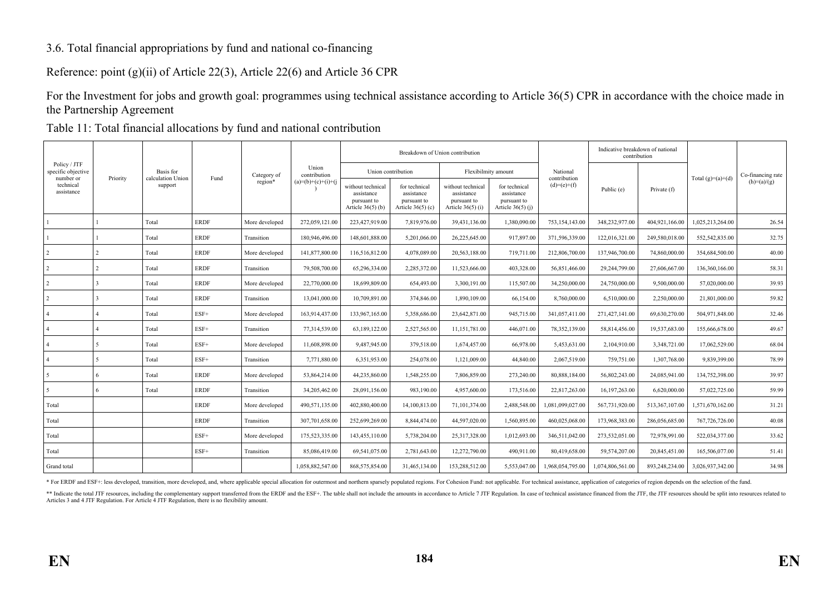## 3.6. Total financial appropriations by fund and national co-financing

Reference: point (g)(ii) of Article 22(3), Article 22(6) and Article 36 CPR

For the Investment for jobs and growth goal: programmes using technical assistance according to Article 36(5) CPR in accordance with the choice made in the Partnership Agreement

Table 11: Total financial allocations by fund and national contribution

|                                      |          |                              |             |                |                       |                                                                       | Breakdown of Union contribution                                   |                                                                       |                                                                   |                               | Indicative breakdown of national<br>contribution |                |                     |                   |
|--------------------------------------|----------|------------------------------|-------------|----------------|-----------------------|-----------------------------------------------------------------------|-------------------------------------------------------------------|-----------------------------------------------------------------------|-------------------------------------------------------------------|-------------------------------|--------------------------------------------------|----------------|---------------------|-------------------|
| Policy / JTF<br>specific objective   |          | Basis for                    | Fund        | Category of    | Union<br>contribution |                                                                       | Union contribution                                                | Flexibilmity amount                                                   |                                                                   | National                      |                                                  |                |                     | Co-financing rate |
| number or<br>technical<br>assistance | Priority | calculation Union<br>support |             | region*        | $(a)=(b)+(c)+(i)+(j$  | without technical<br>assistance<br>pursuant to<br>Article $36(5)$ (b) | for technical<br>assistance<br>pursuant to<br>Article $36(5)$ (c) | without technical<br>assistance<br>pursuant to<br>Article $36(5)$ (i) | for technical<br>assistance<br>pursuant to<br>Article $36(5)$ (i) | contribution<br>$(d)=(e)+(f)$ | Public (e)                                       | Private (f)    | Total $(g)=(a)+(d)$ | $(h)=(a)/(g)$     |
|                                      |          | Total                        | <b>ERDF</b> | More developed | 272,059,121.00        | 223,427,919.00                                                        | 7,819,976.00                                                      | 39,431,136.00                                                         | 1,380,090.00                                                      | 753,154,143.00                | 348,232,977.00                                   | 404,921,166.00 | 1,025,213,264.00    | 26.54             |
|                                      |          | Total                        | <b>ERDF</b> | Transition     | 180,946,496.00        | 148,601,888.00                                                        | 5,201,066.00                                                      | 26,225,645.00                                                         | 917,897.00                                                        | 371,596,339.00                | 122,016,321.00                                   | 249,580,018.00 | 552,542,835.00      | 32.75             |
| 2                                    | 2        | Total                        | <b>ERDF</b> | More developed | 141,877,800.00        | 116,516,812.00                                                        | 4.078.089.00                                                      | 20,563,188.00                                                         | 719.711.00                                                        | 212,806,700.00                | 137,946,700.00                                   | 74,860,000.00  | 354.684.500.00      | 40.00             |
| $\overline{2}$                       |          | Total                        | <b>ERDF</b> | Transition     | 79,508,700.00         | 65,296,334.00                                                         | 2.285.372.00                                                      | 11,523,666.00                                                         | 403.328.00                                                        | 56,851,466.00                 | 29,244,799.00                                    | 27,606,667.00  | 136.360.166.00      | 58.31             |
| $\overline{2}$                       |          | Total                        | <b>ERDF</b> | More developed | 22,770,000.00         | 18,699,809.00                                                         | 654,493.00                                                        | 3,300,191.00                                                          | 115,507.00                                                        | 34,250,000.00                 | 24,750,000.00                                    | 9,500,000.00   | 57,020,000.00       | 39.93             |
| $\overline{2}$                       |          | Total                        | <b>ERDF</b> | Transition     | 13.041.000.00         | 10.709.891.00                                                         | 374,846.00                                                        | 1.890.109.00                                                          | 66.154.00                                                         | 8.760.000.00                  | 6.510.000.00                                     | 2,250,000.00   | 21.801.000.00       | 59.82             |
| $\overline{4}$                       |          | Total                        | $ESF+$      | More developed | 163,914,437.00        | 133,967,165.00                                                        | 5,358,686.00                                                      | 23,642,871.00                                                         | 945,715.00                                                        | 341,057,411.00                | 271,427,141.00                                   | 69,630,270.00  | 504,971,848.00      | 32.46             |
| $\overline{4}$                       |          | Total                        | $ESF+$      | Transition     | 77,314,539.00         | 63,189,122.00                                                         | 2,527,565.00                                                      | 11,151,781.00                                                         | 446,071.00                                                        | 78,352,139.00                 | 58,814,456.00                                    | 19,537,683.00  | 155,666,678.00      | 49.67             |
|                                      |          | Total                        | $ESF+$      | More developed | 11,608,898.00         | 9,487,945.00                                                          | 379,518.00                                                        | 1,674,457.00                                                          | 66,978.00                                                         | 5,453,631.00                  | 2,104,910.00                                     | 3,348,721.00   | 17,062,529.00       | 68.04             |
|                                      | 5        | Total                        | $ESF+$      | Transition     | 7.771.880.00          | 6.351.953.00                                                          | 254,078.00                                                        | 1,121,009.00                                                          | 44.840.00                                                         | 2,067,519.00                  | 759,751.00                                       | 1,307,768.00   | 9.839.399.00        | 78.99             |
| 5                                    | 6        | Total                        | <b>ERDF</b> | More developed | 53.864.214.00         | 44.235.860.00                                                         | 1.548.255.00                                                      | 7,806,859.00                                                          | 273.240.00                                                        | 80.888.184.00                 | 56,802,243.00                                    | 24,085,941.00  | 134,752,398.00      | 39.97             |
| 5                                    | 6        | Total                        | <b>ERDF</b> | Transition     | 34,205,462.00         | 28,091,156.00                                                         | 983,190.00                                                        | 4,957,600.00                                                          | 173,516.00                                                        | 22,817,263.00                 | 16,197,263.00                                    | 6,620,000.00   | 57,022,725.00       | 59.99             |
| Total                                |          |                              | <b>ERDF</b> | More developed | 490,571,135.00        | 402,880,400.00                                                        | 14,100,813.00                                                     | 71,101,374.00                                                         | 2,488,548.00                                                      | 1,081,099,027.00              | 567,731,920.00                                   | 513,367,107.00 | 1,571,670,162.00    | 31.21             |
| Total                                |          |                              | <b>ERDF</b> | Transition     | 307,701,658.00        | 252,699,269.00                                                        | 8.844.474.00                                                      | 44.597.020.00                                                         | 1.560.895.00                                                      | 460,025,068.00                | 173.968.383.00                                   | 286,056,685.00 | 767,726,726.00      | 40.08             |
| Total                                |          |                              | $ESF+$      | More developed | 175,523,335.00        | 143,455,110.00                                                        | 5,738,204.00                                                      | 25,317,328.00                                                         | 1,012,693.00                                                      | 346,511,042.00                | 273,532,051.00                                   | 72,978,991.00  | 522,034,377.00      | 33.62             |
| Total                                |          |                              | $ESF+$      | Transition     | 85,086,419.00         | 69,541,075.00                                                         | 2,781,643.00                                                      | 12,272,790.00                                                         | 490,911.00                                                        | 80,419,658.00                 | 59,574,207.00                                    | 20,845,451.00  | 165,506,077.00      | 51.41             |
| Grand total                          |          |                              |             |                | 1,058,882,547.00      | 868,575,854.00                                                        | 31,465,134.00                                                     | 153,288,512.00                                                        | 5,553,047.00                                                      | 1,968,054,795.00              | 1,074,806,561.00                                 | 893,248,234.00 | 3,026,937,342.00    | 34.98             |

\* For ERDF and ESF+: less developed, transition, more developed, and, where applicable special allocation for outermost and northern sparsely populated regions. For Cohesion Fund: not applicable. For technical assistance,

\*\* Indicate the total JTF resources, including the complementary support transferred from the ERDF and the ERDF and the ESF+. The table shall not include the amounts in accordance to Article 7 JTF Regulation. In case of te Articles 3 and 4 JTF Regulation. For Article 4 JTF Regulation, there is no flexibility amount.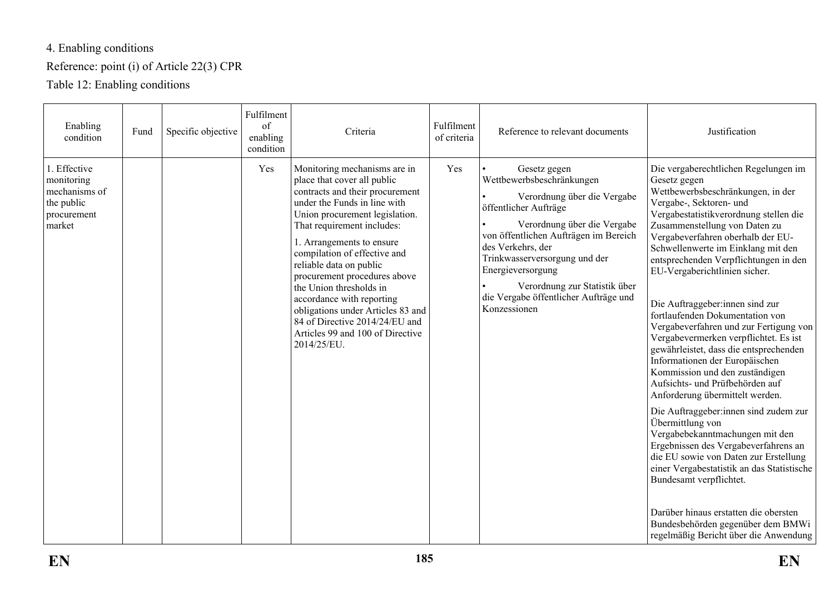# 4. Enabling conditions

## Reference: point (i) of Article 22(3) CPR

Table 12: Enabling conditions

| Enabling<br>condition                                                              | Fund | Specific objective | Fulfilment<br>of<br>enabling<br>condition | Criteria                                                                                                                                                                                                                                                                                                                                                                                                                                                                                                 | Fulfilment<br>of criteria | Reference to relevant documents                                                                                                                                                                                                                                                                                                                | Justification                                                                                                                                                                                                                                                                                                                                                                                                                                                                                                                                                                                                                                                                                                                                                                                                                                                                                                                                                                                                                                                                      |
|------------------------------------------------------------------------------------|------|--------------------|-------------------------------------------|----------------------------------------------------------------------------------------------------------------------------------------------------------------------------------------------------------------------------------------------------------------------------------------------------------------------------------------------------------------------------------------------------------------------------------------------------------------------------------------------------------|---------------------------|------------------------------------------------------------------------------------------------------------------------------------------------------------------------------------------------------------------------------------------------------------------------------------------------------------------------------------------------|------------------------------------------------------------------------------------------------------------------------------------------------------------------------------------------------------------------------------------------------------------------------------------------------------------------------------------------------------------------------------------------------------------------------------------------------------------------------------------------------------------------------------------------------------------------------------------------------------------------------------------------------------------------------------------------------------------------------------------------------------------------------------------------------------------------------------------------------------------------------------------------------------------------------------------------------------------------------------------------------------------------------------------------------------------------------------------|
| 1. Effective<br>monitoring<br>mechanisms of<br>the public<br>procurement<br>market |      |                    | Yes                                       | Monitoring mechanisms are in<br>place that cover all public<br>contracts and their procurement<br>under the Funds in line with<br>Union procurement legislation.<br>That requirement includes:<br>1. Arrangements to ensure<br>compilation of effective and<br>reliable data on public<br>procurement procedures above<br>the Union thresholds in<br>accordance with reporting<br>obligations under Articles 83 and<br>84 of Directive 2014/24/EU and<br>Articles 99 and 100 of Directive<br>2014/25/EU. | Yes                       | Gesetz gegen<br>Wettbewerbsbeschränkungen<br>Verordnung über die Vergabe<br>öffentlicher Aufträge<br>Verordnung über die Vergabe<br>von öffentlichen Aufträgen im Bereich<br>des Verkehrs, der<br>Trinkwasserversorgung und der<br>Energieversorgung<br>Verordnung zur Statistik über<br>die Vergabe öffentlicher Aufträge und<br>Konzessionen | Die vergaberechtlichen Regelungen im<br>Gesetz gegen<br>Wettbewerbsbeschränkungen, in der<br>Vergabe-, Sektoren- und<br>Vergabestatistikverordnung stellen die<br>Zusammenstellung von Daten zu<br>Vergabeverfahren oberhalb der EU-<br>Schwellenwerte im Einklang mit den<br>entsprechenden Verpflichtungen in den<br>EU-Vergaberichtlinien sicher.<br>Die Auftraggeber:innen sind zur<br>fortlaufenden Dokumentation von<br>Vergabeverfahren und zur Fertigung von<br>Vergabevermerken verpflichtet. Es ist<br>gewährleistet, dass die entsprechenden<br>Informationen der Europäischen<br>Kommission und den zuständigen<br>Aufsichts- und Prüfbehörden auf<br>Anforderung übermittelt werden.<br>Die Auftraggeber:innen sind zudem zur<br>Übermittlung von<br>Vergabebekanntmachungen mit den<br>Ergebnissen des Vergabeverfahrens an<br>die EU sowie von Daten zur Erstellung<br>einer Vergabestatistik an das Statistische<br>Bundesamt verpflichtet.<br>Darüber hinaus erstatten die obersten<br>Bundesbehörden gegenüber dem BMWi<br>regelmäßig Bericht über die Anwendung |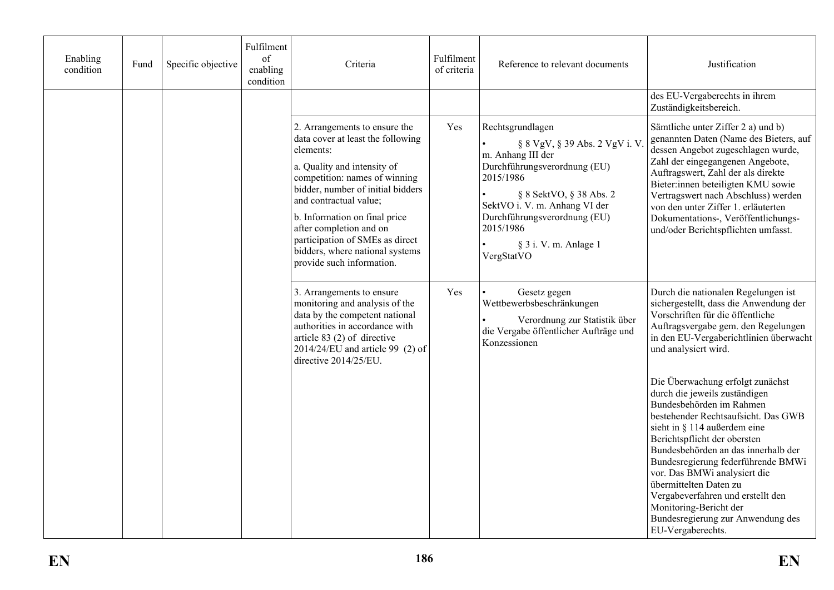| Enabling<br>condition | Fund | Specific objective | Fulfilment<br>of<br>enabling<br>condition | Criteria                                                                                                                                                                                                                                                                                                                                                                      | Fulfilment<br>of criteria | Reference to relevant documents                                                                                                                                                                                                                                      | Justification                                                                                                                                                                                                                                                                                                                                                                                                                                                        |
|-----------------------|------|--------------------|-------------------------------------------|-------------------------------------------------------------------------------------------------------------------------------------------------------------------------------------------------------------------------------------------------------------------------------------------------------------------------------------------------------------------------------|---------------------------|----------------------------------------------------------------------------------------------------------------------------------------------------------------------------------------------------------------------------------------------------------------------|----------------------------------------------------------------------------------------------------------------------------------------------------------------------------------------------------------------------------------------------------------------------------------------------------------------------------------------------------------------------------------------------------------------------------------------------------------------------|
|                       |      |                    |                                           |                                                                                                                                                                                                                                                                                                                                                                               |                           |                                                                                                                                                                                                                                                                      | des EU-Vergaberechts in ihrem<br>Zuständigkeitsbereich.                                                                                                                                                                                                                                                                                                                                                                                                              |
|                       |      |                    |                                           | 2. Arrangements to ensure the<br>data cover at least the following<br>elements:<br>a. Quality and intensity of<br>competition: names of winning<br>bidder, number of initial bidders<br>and contractual value;<br>b. Information on final price<br>after completion and on<br>participation of SMEs as direct<br>bidders, where national systems<br>provide such information. | Yes                       | Rechtsgrundlagen<br>§ 8 VgV, § 39 Abs. 2 VgV i. V.<br>m. Anhang III der<br>Durchführungsverordnung (EU)<br>2015/1986<br>§ 8 SektVO, § 38 Abs. 2<br>SektVO i. V. m. Anhang VI der<br>Durchführungsverordnung (EU)<br>2015/1986<br>§ 3 i. V. m. Anlage 1<br>VergStatVO | Sämtliche unter Ziffer 2 a) und b)<br>genannten Daten (Name des Bieters, auf<br>dessen Angebot zugeschlagen wurde,<br>Zahl der eingegangenen Angebote,<br>Auftragswert, Zahl der als direkte<br>Bieter:innen beteiligten KMU sowie<br>Vertragswert nach Abschluss) werden<br>von den unter Ziffer 1. erläuterten<br>Dokumentations-, Veröffentlichungs-<br>und/oder Berichtspflichten umfasst.                                                                       |
|                       |      |                    |                                           | 3. Arrangements to ensure<br>monitoring and analysis of the<br>data by the competent national<br>authorities in accordance with<br>article $83(2)$ of directive<br>$2014/24/EU$ and article 99 (2) of<br>directive 2014/25/EU.                                                                                                                                                | Yes                       | Gesetz gegen<br>Wettbewerbsbeschränkungen<br>Verordnung zur Statistik über<br>die Vergabe öffentlicher Aufträge und<br>Konzessionen                                                                                                                                  | Durch die nationalen Regelungen ist<br>sichergestellt, dass die Anwendung der<br>Vorschriften für die öffentliche<br>Auftragsvergabe gem. den Regelungen<br>in den EU-Vergaberichtlinien überwacht<br>und analysiert wird.                                                                                                                                                                                                                                           |
|                       |      |                    |                                           |                                                                                                                                                                                                                                                                                                                                                                               |                           |                                                                                                                                                                                                                                                                      | Die Überwachung erfolgt zunächst<br>durch die jeweils zuständigen<br>Bundesbehörden im Rahmen<br>bestehender Rechtsaufsicht. Das GWB<br>sieht in § 114 außerdem eine<br>Berichtspflicht der obersten<br>Bundesbehörden an das innerhalb der<br>Bundesregierung federführende BMWi<br>vor. Das BMWi analysiert die<br>übermittelten Daten zu<br>Vergabeverfahren und erstellt den<br>Monitoring-Bericht der<br>Bundesregierung zur Anwendung des<br>EU-Vergaberechts. |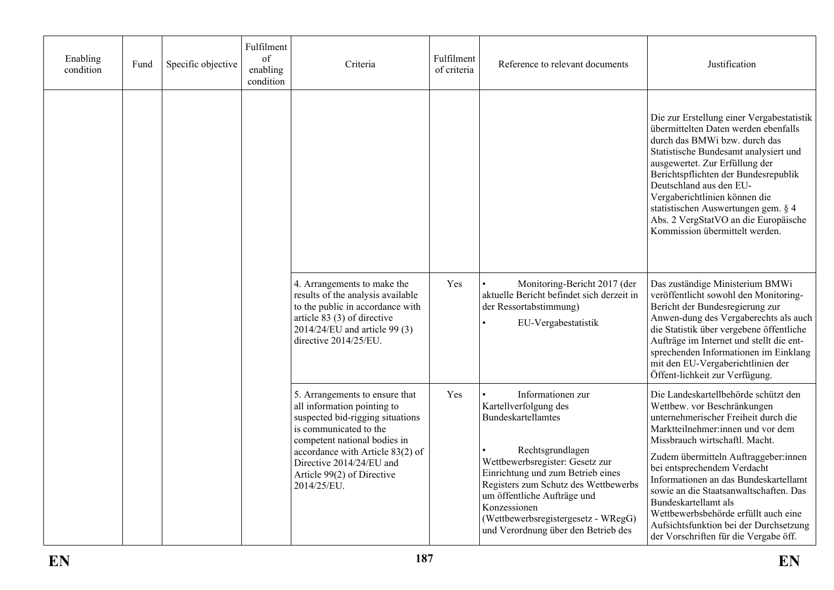| Enabling<br>condition | Fund | Specific objective | Fulfilment<br>of<br>enabling<br>condition | Criteria                                                                                                                                                                                                                                                                 | Fulfilment<br>of criteria | Reference to relevant documents                                                                                                                                                                                                                                                                                                          | Justification                                                                                                                                                                                                                                                                                                                                                                                                                                                                                   |
|-----------------------|------|--------------------|-------------------------------------------|--------------------------------------------------------------------------------------------------------------------------------------------------------------------------------------------------------------------------------------------------------------------------|---------------------------|------------------------------------------------------------------------------------------------------------------------------------------------------------------------------------------------------------------------------------------------------------------------------------------------------------------------------------------|-------------------------------------------------------------------------------------------------------------------------------------------------------------------------------------------------------------------------------------------------------------------------------------------------------------------------------------------------------------------------------------------------------------------------------------------------------------------------------------------------|
|                       |      |                    |                                           |                                                                                                                                                                                                                                                                          |                           |                                                                                                                                                                                                                                                                                                                                          | Die zur Erstellung einer Vergabestatistik<br>übermittelten Daten werden ebenfalls<br>durch das BMWi bzw. durch das<br>Statistische Bundesamt analysiert und<br>ausgewertet. Zur Erfüllung der<br>Berichtspflichten der Bundesrepublik<br>Deutschland aus den EU-<br>Vergaberichtlinien können die<br>statistischen Auswertungen gem. § 4<br>Abs. 2 VergStatVO an die Europäische<br>Kommission übermittelt werden.                                                                              |
|                       |      |                    |                                           | 4. Arrangements to make the<br>results of the analysis available<br>to the public in accordance with<br>article 83 (3) of directive<br>2014/24/EU and article 99 (3)<br>directive 2014/25/EU.                                                                            | Yes                       | Monitoring-Bericht 2017 (der<br>aktuelle Bericht befindet sich derzeit in<br>der Ressortabstimmung)<br>EU-Vergabestatistik                                                                                                                                                                                                               | Das zuständige Ministerium BMWi<br>veröffentlicht sowohl den Monitoring-<br>Bericht der Bundesregierung zur<br>Anwen-dung des Vergaberechts als auch<br>die Statistik über vergebene öffentliche<br>Aufträge im Internet und stellt die ent-<br>sprechenden Informationen im Einklang<br>mit den EU-Vergaberichtlinien der<br>Öffent-lichkeit zur Verfügung.                                                                                                                                    |
|                       |      |                    |                                           | 5. Arrangements to ensure that<br>all information pointing to<br>suspected bid-rigging situations<br>is communicated to the<br>competent national bodies in<br>accordance with Article 83(2) of<br>Directive 2014/24/EU and<br>Article 99(2) of Directive<br>2014/25/EU. | Yes                       | Informationen zur<br>Kartellverfolgung des<br><b>Bundeskartellamtes</b><br>Rechtsgrundlagen<br>Wettbewerbsregister: Gesetz zur<br>Einrichtung und zum Betrieb eines<br>Registers zum Schutz des Wettbewerbs<br>um öffentliche Aufträge und<br>Konzessionen<br>(Wettbewerbsregistergesetz - WRegG)<br>und Verordnung über den Betrieb des | Die Landeskartellbehörde schützt den<br>Wettbew. vor Beschränkungen<br>unternehmerischer Freiheit durch die<br>Marktteilnehmer:innen und vor dem<br>Missbrauch wirtschaftl. Macht.<br>Zudem übermitteln Auftraggeber:innen<br>bei entsprechendem Verdacht<br>Informationen an das Bundeskartellamt<br>sowie an die Staatsanwaltschaften. Das<br>Bundeskartellamt als<br>Wettbewerbsbehörde erfüllt auch eine<br>Aufsichtsfunktion bei der Durchsetzung<br>der Vorschriften für die Vergabe öff. |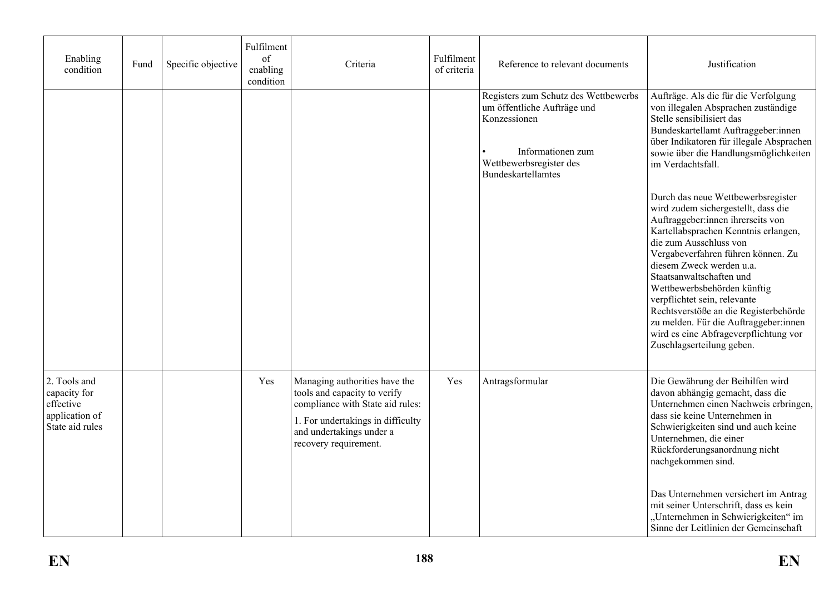| Enabling<br>condition                                                          | Fund | Specific objective | Fulfilment<br>of<br>enabling<br>condition | Criteria                                                                                                                                                                                    | Fulfilment<br>of criteria | Reference to relevant documents                                                                                                                           | Justification                                                                                                                                                                                                                                                                                                                                                                                                                                                                                         |
|--------------------------------------------------------------------------------|------|--------------------|-------------------------------------------|---------------------------------------------------------------------------------------------------------------------------------------------------------------------------------------------|---------------------------|-----------------------------------------------------------------------------------------------------------------------------------------------------------|-------------------------------------------------------------------------------------------------------------------------------------------------------------------------------------------------------------------------------------------------------------------------------------------------------------------------------------------------------------------------------------------------------------------------------------------------------------------------------------------------------|
|                                                                                |      |                    |                                           |                                                                                                                                                                                             |                           | Registers zum Schutz des Wettbewerbs<br>um öffentliche Aufträge und<br>Konzessionen<br>Informationen zum<br>Wettbewerbsregister des<br>Bundeskartellamtes | Aufträge. Als die für die Verfolgung<br>von illegalen Absprachen zuständige<br>Stelle sensibilisiert das<br>Bundeskartellamt Auftraggeber:innen<br>über Indikatoren für illegale Absprachen<br>sowie über die Handlungsmöglichkeiten<br>im Verdachtsfall.                                                                                                                                                                                                                                             |
|                                                                                |      |                    |                                           |                                                                                                                                                                                             |                           |                                                                                                                                                           | Durch das neue Wettbewerbsregister<br>wird zudem sichergestellt, dass die<br>Auftraggeber:innen ihrerseits von<br>Kartellabsprachen Kenntnis erlangen,<br>die zum Ausschluss von<br>Vergabeverfahren führen können. Zu<br>diesem Zweck werden u.a.<br>Staatsanwaltschaften und<br>Wettbewerbsbehörden künftig<br>verpflichtet sein, relevante<br>Rechtsverstöße an die Registerbehörde<br>zu melden. Für die Auftraggeber:innen<br>wird es eine Abfrageverpflichtung vor<br>Zuschlagserteilung geben. |
| 2. Tools and<br>capacity for<br>effective<br>application of<br>State aid rules |      |                    | Yes                                       | Managing authorities have the<br>tools and capacity to verify<br>compliance with State aid rules:<br>1. For undertakings in difficulty<br>and undertakings under a<br>recovery requirement. | Yes                       | Antragsformular                                                                                                                                           | Die Gewährung der Beihilfen wird<br>davon abhängig gemacht, dass die<br>Unternehmen einen Nachweis erbringen,<br>dass sie keine Unternehmen in<br>Schwierigkeiten sind und auch keine<br>Unternehmen, die einer<br>Rückforderungsanordnung nicht<br>nachgekommen sind.<br>Das Unternehmen versichert im Antrag<br>mit seiner Unterschrift, dass es kein<br>"Unternehmen in Schwierigkeiten" im                                                                                                        |
|                                                                                |      |                    |                                           |                                                                                                                                                                                             |                           |                                                                                                                                                           | Sinne der Leitlinien der Gemeinschaft                                                                                                                                                                                                                                                                                                                                                                                                                                                                 |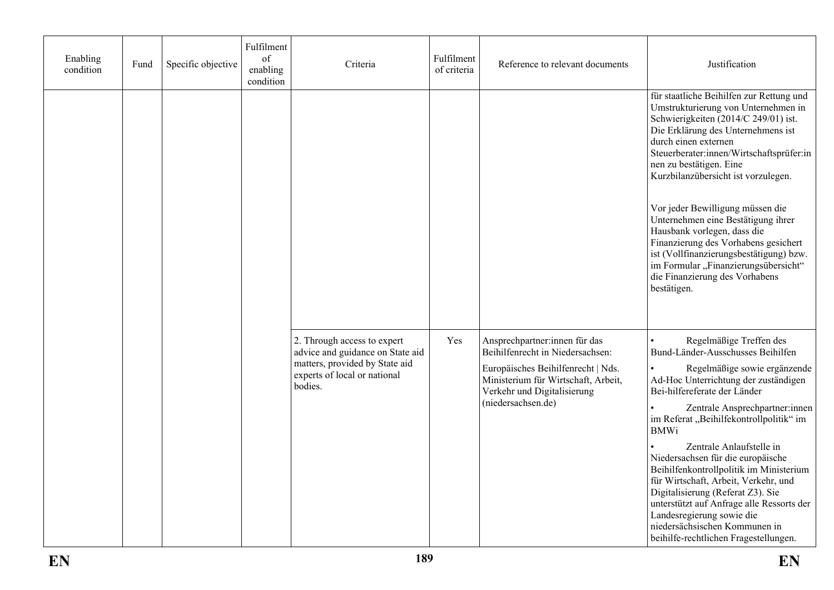| Enabling<br>condition | Fund | Specific objective | Fulfilment<br>$% \left( \mathcal{M}\right)$ of<br>enabling<br>condition | Criteria                                                                                                                                     | Fulfilment<br>of criteria | Reference to relevant documents                                                                                                                                                                     | Justification                                                                                                                                                                                                                                                                                                                                                                                                                                                                                                                                                                                                 |
|-----------------------|------|--------------------|-------------------------------------------------------------------------|----------------------------------------------------------------------------------------------------------------------------------------------|---------------------------|-----------------------------------------------------------------------------------------------------------------------------------------------------------------------------------------------------|---------------------------------------------------------------------------------------------------------------------------------------------------------------------------------------------------------------------------------------------------------------------------------------------------------------------------------------------------------------------------------------------------------------------------------------------------------------------------------------------------------------------------------------------------------------------------------------------------------------|
|                       |      |                    |                                                                         |                                                                                                                                              |                           |                                                                                                                                                                                                     | für staatliche Beihilfen zur Rettung und<br>Umstrukturierung von Unternehmen in<br>Schwierigkeiten (2014/C 249/01) ist.<br>Die Erklärung des Unternehmens ist<br>durch einen externen<br>Steuerberater:innen/Wirtschaftsprüfer:in<br>nen zu bestätigen. Eine<br>Kurzbilanzübersicht ist vorzulegen.                                                                                                                                                                                                                                                                                                           |
|                       |      |                    |                                                                         |                                                                                                                                              |                           |                                                                                                                                                                                                     | Vor jeder Bewilligung müssen die<br>Unternehmen eine Bestätigung ihrer<br>Hausbank vorlegen, dass die<br>Finanzierung des Vorhabens gesichert<br>ist (Vollfinanzierungsbestätigung) bzw.<br>im Formular "Finanzierungsübersicht"<br>die Finanzierung des Vorhabens<br>bestätigen.                                                                                                                                                                                                                                                                                                                             |
|                       |      |                    |                                                                         | 2. Through access to expert<br>advice and guidance on State aid<br>matters, provided by State aid<br>experts of local or national<br>bodies. | Yes                       | Ansprechpartner:innen für das<br>Beihilfenrecht in Niedersachsen:<br>Europäisches Beihilfenrecht   Nds.<br>Ministerium für Wirtschaft, Arbeit,<br>Verkehr und Digitalisierung<br>(niedersachsen.de) | Regelmäßige Treffen des<br>Bund-Länder-Ausschusses Beihilfen<br>Regelmäßige sowie ergänzende<br>Ad-Hoc Unterrichtung der zuständigen<br>Bei-hilfereferate der Länder<br>Zentrale Ansprechpartner:innen<br>im Referat "Beihilfekontrollpolitik" im<br><b>BMWi</b><br>Zentrale Anlaufstelle in<br>Niedersachsen für die europäische<br>Beihilfenkontrollpolitik im Ministerium<br>für Wirtschaft, Arbeit, Verkehr, und<br>Digitalisierung (Referat Z3). Sie<br>unterstützt auf Anfrage alle Ressorts der<br>Landesregierung sowie die<br>niedersächsischen Kommunen in<br>beihilfe-rechtlichen Fragestellungen. |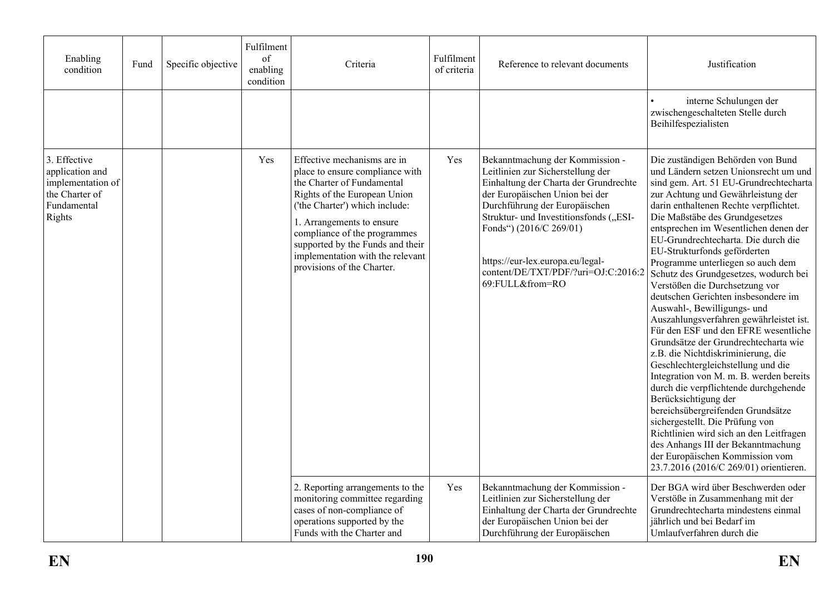| Enabling<br>condition                                                                           | Fund | Specific objective | Fulfilment<br>of<br>enabling<br>condition | Criteria                                                                                                                                                                                                                                                                                                                          | Fulfilment<br>of criteria | Reference to relevant documents                                                                                                                                                                                                                                                                                                                     | Justification                                                                                                                                                                                                                                                                                                                                                                                                                                                                                                                                                                                                                                                                                                                                                                                                                                                                                                                                                                                                                                                                                         |
|-------------------------------------------------------------------------------------------------|------|--------------------|-------------------------------------------|-----------------------------------------------------------------------------------------------------------------------------------------------------------------------------------------------------------------------------------------------------------------------------------------------------------------------------------|---------------------------|-----------------------------------------------------------------------------------------------------------------------------------------------------------------------------------------------------------------------------------------------------------------------------------------------------------------------------------------------------|-------------------------------------------------------------------------------------------------------------------------------------------------------------------------------------------------------------------------------------------------------------------------------------------------------------------------------------------------------------------------------------------------------------------------------------------------------------------------------------------------------------------------------------------------------------------------------------------------------------------------------------------------------------------------------------------------------------------------------------------------------------------------------------------------------------------------------------------------------------------------------------------------------------------------------------------------------------------------------------------------------------------------------------------------------------------------------------------------------|
|                                                                                                 |      |                    |                                           |                                                                                                                                                                                                                                                                                                                                   |                           |                                                                                                                                                                                                                                                                                                                                                     | interne Schulungen der<br>zwischengeschalteten Stelle durch<br>Beihilfespezialisten                                                                                                                                                                                                                                                                                                                                                                                                                                                                                                                                                                                                                                                                                                                                                                                                                                                                                                                                                                                                                   |
| 3. Effective<br>application and<br>implementation of<br>the Charter of<br>Fundamental<br>Rights |      |                    | Yes                                       | Effective mechanisms are in<br>place to ensure compliance with<br>the Charter of Fundamental<br>Rights of the European Union<br>('the Charter') which include:<br>1. Arrangements to ensure<br>compliance of the programmes<br>supported by the Funds and their<br>implementation with the relevant<br>provisions of the Charter. | Yes                       | Bekanntmachung der Kommission -<br>Leitlinien zur Sicherstellung der<br>Einhaltung der Charta der Grundrechte<br>der Europäischen Union bei der<br>Durchführung der Europäischen<br>Struktur- und Investitionsfonds ("ESI-<br>Fonds") (2016/C 269/01)<br>https://eur-lex.europa.eu/legal-<br>content/DE/TXT/PDF/?uri=OJ:C:2016:2<br>69:FULL&from=RO | Die zuständigen Behörden von Bund<br>und Ländern setzen Unionsrecht um und<br>sind gem. Art. 51 EU-Grundrechtecharta<br>zur Achtung und Gewährleistung der<br>darin enthaltenen Rechte verpflichtet.<br>Die Maßstäbe des Grundgesetzes<br>entsprechen im Wesentlichen denen der<br>EU-Grundrechtecharta. Die durch die<br>EU-Strukturfonds geförderten<br>Programme unterliegen so auch dem<br>Schutz des Grundgesetzes, wodurch bei<br>Verstößen die Durchsetzung vor<br>deutschen Gerichten insbesondere im<br>Auswahl-, Bewilligungs- und<br>Auszahlungsverfahren gewährleistet ist.<br>Für den ESF und den EFRE wesentliche<br>Grundsätze der Grundrechtecharta wie<br>z.B. die Nichtdiskriminierung, die<br>Geschlechtergleichstellung und die<br>Integration von M. m. B. werden bereits<br>durch die verpflichtende durchgehende<br>Berücksichtigung der<br>bereichsübergreifenden Grundsätze<br>sichergestellt. Die Prüfung von<br>Richtlinien wird sich an den Leitfragen<br>des Anhangs III der Bekanntmachung<br>der Europäischen Kommission vom<br>23.7.2016 (2016/C 269/01) orientieren. |
|                                                                                                 |      |                    |                                           | 2. Reporting arrangements to the<br>monitoring committee regarding<br>cases of non-compliance of<br>operations supported by the<br>Funds with the Charter and                                                                                                                                                                     | Yes                       | Bekanntmachung der Kommission -<br>Leitlinien zur Sicherstellung der<br>Einhaltung der Charta der Grundrechte<br>der Europäischen Union bei der<br>Durchführung der Europäischen                                                                                                                                                                    | Der BGA wird über Beschwerden oder<br>Verstöße in Zusammenhang mit der<br>Grundrechtecharta mindestens einmal<br>jährlich und bei Bedarf im<br>Umlaufverfahren durch die                                                                                                                                                                                                                                                                                                                                                                                                                                                                                                                                                                                                                                                                                                                                                                                                                                                                                                                              |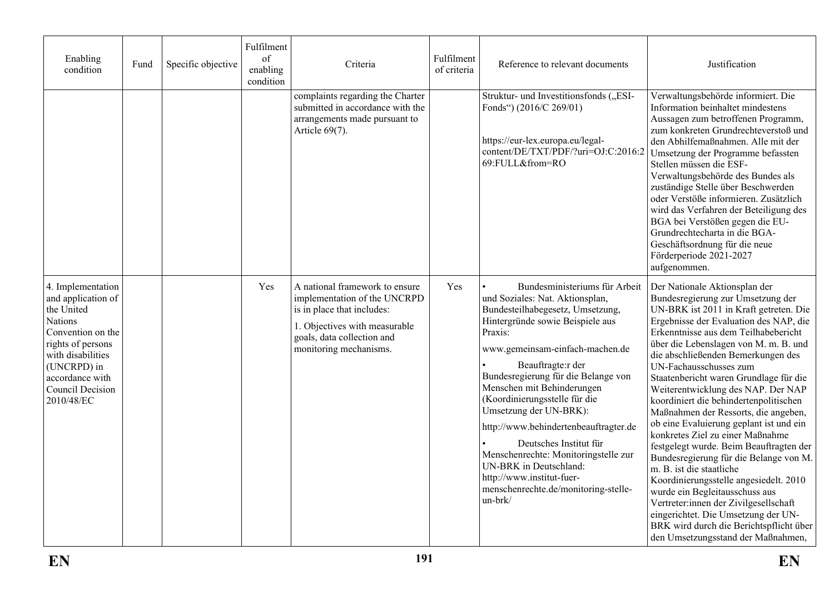| Enabling<br>condition                                                                                                                                                                               | Fund | Specific objective | Fulfilment<br>of<br>enabling<br>condition | Criteria                                                                                                                                                                              | Fulfilment<br>of criteria | Reference to relevant documents                                                                                                                                                                                                                                                                                                                                                                                                                                                                                                                                  | Justification                                                                                                                                                                                                                                                                                                                                                                                                                                                                                                                                                                                                                                                                                                                                                                                                                                                                                                          |
|-----------------------------------------------------------------------------------------------------------------------------------------------------------------------------------------------------|------|--------------------|-------------------------------------------|---------------------------------------------------------------------------------------------------------------------------------------------------------------------------------------|---------------------------|------------------------------------------------------------------------------------------------------------------------------------------------------------------------------------------------------------------------------------------------------------------------------------------------------------------------------------------------------------------------------------------------------------------------------------------------------------------------------------------------------------------------------------------------------------------|------------------------------------------------------------------------------------------------------------------------------------------------------------------------------------------------------------------------------------------------------------------------------------------------------------------------------------------------------------------------------------------------------------------------------------------------------------------------------------------------------------------------------------------------------------------------------------------------------------------------------------------------------------------------------------------------------------------------------------------------------------------------------------------------------------------------------------------------------------------------------------------------------------------------|
|                                                                                                                                                                                                     |      |                    |                                           | complaints regarding the Charter<br>submitted in accordance with the<br>arrangements made pursuant to<br>Article 69(7).                                                               |                           | Struktur- und Investitionsfonds ("ESI-<br>Fonds") (2016/C 269/01)<br>https://eur-lex.europa.eu/legal-<br>content/DE/TXT/PDF/?uri=OJ:C:2016:2<br>69:FULL&from=RO                                                                                                                                                                                                                                                                                                                                                                                                  | Verwaltungsbehörde informiert. Die<br>Information beinhaltet mindestens<br>Aussagen zum betroffenen Programm,<br>zum konkreten Grundrechteverstoß und<br>den Abhilfemaßnahmen. Alle mit der<br>Umsetzung der Programme befassten<br>Stellen müssen die ESF-<br>Verwaltungsbehörde des Bundes als<br>zuständige Stelle über Beschwerden<br>oder Verstöße informieren. Zusätzlich<br>wird das Verfahren der Beteiligung des<br>BGA bei Verstößen gegen die EU-<br>Grundrechtecharta in die BGA-<br>Geschäftsordnung für die neue<br>Förderperiode 2021-2027<br>aufgenommen.                                                                                                                                                                                                                                                                                                                                              |
| 4. Implementation<br>and application of<br>the United<br>Nations<br>Convention on the<br>rights of persons<br>with disabilities<br>(UNCRPD) in<br>accordance with<br>Council Decision<br>2010/48/EC |      |                    | Yes                                       | A national framework to ensure<br>implementation of the UNCRPD<br>is in place that includes:<br>1. Objectives with measurable<br>goals, data collection and<br>monitoring mechanisms. | Yes                       | Bundesministeriums für Arbeit<br>und Soziales: Nat. Aktionsplan,<br>Bundesteilhabegesetz, Umsetzung,<br>Hintergründe sowie Beispiele aus<br>Praxis:<br>www.gemeinsam-einfach-machen.de<br>Beauftragte:r der<br>Bundesregierung für die Belange von<br>Menschen mit Behinderungen<br>(Koordinierungsstelle für die<br>Umsetzung der UN-BRK):<br>http://www.behindertenbeauftragter.de<br>Deutsches Institut für<br>Menschenrechte: Monitoringstelle zur<br>UN-BRK in Deutschland:<br>http://www.institut-fuer-<br>menschenrechte.de/monitoring-stelle-<br>un-brk/ | Der Nationale Aktionsplan der<br>Bundesregierung zur Umsetzung der<br>UN-BRK ist 2011 in Kraft getreten. Die<br>Ergebnisse der Evaluation des NAP, die<br>Erkenntnisse aus dem Teilhabebericht<br>über die Lebenslagen von M. m. B. und<br>die abschließenden Bemerkungen des<br>UN-Fachausschusses zum<br>Staatenbericht waren Grundlage für die<br>Weiterentwicklung des NAP. Der NAP<br>koordiniert die behindertenpolitischen<br>Maßnahmen der Ressorts, die angeben,<br>ob eine Evaluierung geplant ist und ein<br>konkretes Ziel zu einer Maßnahme<br>festgelegt wurde. Beim Beauftragten der<br>Bundesregierung für die Belange von M.<br>m. B. ist die staatliche<br>Koordinierungsstelle angesiedelt. 2010<br>wurde ein Begleitausschuss aus<br>Vertreter:innen der Zivilgesellschaft<br>eingerichtet. Die Umsetzung der UN-<br>BRK wird durch die Berichtspflicht über<br>den Umsetzungsstand der Maßnahmen, |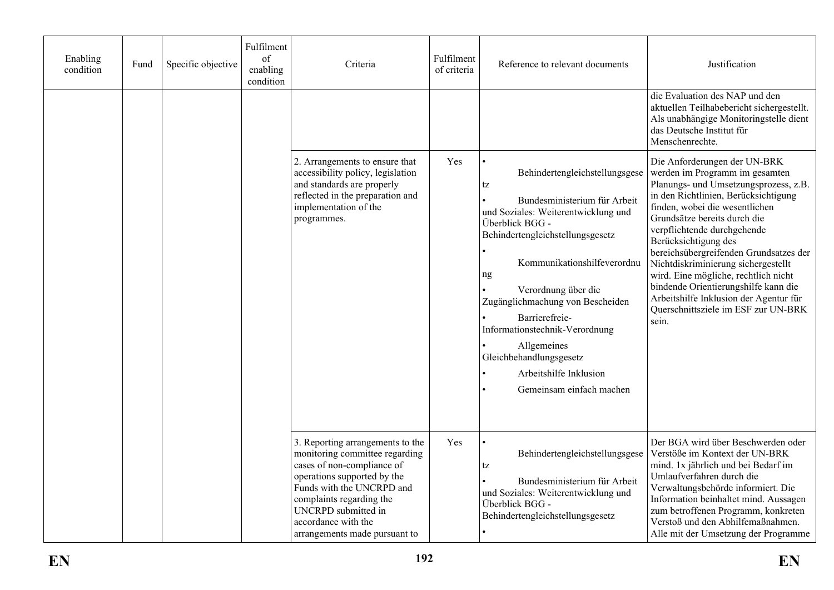| Enabling<br>condition | Fund | Specific objective | Fulfilment<br>of<br>enabling<br>condition | Criteria                                                                                                                                                                                                                                                                       | Fulfilment<br>of criteria | Reference to relevant documents                                                                                                                                                                                                                                                                                                                                                                                        | Justification                                                                                                                                                                                                                                                                                                                                                                                                                                                                                                                       |
|-----------------------|------|--------------------|-------------------------------------------|--------------------------------------------------------------------------------------------------------------------------------------------------------------------------------------------------------------------------------------------------------------------------------|---------------------------|------------------------------------------------------------------------------------------------------------------------------------------------------------------------------------------------------------------------------------------------------------------------------------------------------------------------------------------------------------------------------------------------------------------------|-------------------------------------------------------------------------------------------------------------------------------------------------------------------------------------------------------------------------------------------------------------------------------------------------------------------------------------------------------------------------------------------------------------------------------------------------------------------------------------------------------------------------------------|
|                       |      |                    |                                           |                                                                                                                                                                                                                                                                                |                           |                                                                                                                                                                                                                                                                                                                                                                                                                        | die Evaluation des NAP und den<br>aktuellen Teilhabebericht sichergestellt.<br>Als unabhängige Monitoringstelle dient<br>das Deutsche Institut für<br>Menschenrechte.                                                                                                                                                                                                                                                                                                                                                               |
|                       |      |                    |                                           | 2. Arrangements to ensure that<br>accessibility policy, legislation<br>and standards are properly<br>reflected in the preparation and<br>implementation of the<br>programmes.                                                                                                  | Yes                       | Behindertengleichstellungsgese<br>tz<br>Bundesministerium für Arbeit<br>und Soziales: Weiterentwicklung und<br>Überblick BGG -<br>Behindertengleichstellungsgesetz<br>Kommunikationshilfeverordnu<br>ng<br>Verordnung über die<br>Zugänglichmachung von Bescheiden<br>Barrierefreie-<br>Informationstechnik-Verordnung<br>Allgemeines<br>Gleichbehandlungsgesetz<br>Arbeitshilfe Inklusion<br>Gemeinsam einfach machen | Die Anforderungen der UN-BRK<br>werden im Programm im gesamten<br>Planungs- und Umsetzungsprozess, z.B.<br>in den Richtlinien, Berücksichtigung<br>finden, wobei die wesentlichen<br>Grundsätze bereits durch die<br>verpflichtende durchgehende<br>Berücksichtigung des<br>bereichsübergreifenden Grundsatzes der<br>Nichtdiskriminierung sichergestellt<br>wird. Eine mögliche, rechtlich nicht<br>bindende Orientierungshilfe kann die<br>Arbeitshilfe Inklusion der Agentur für<br>Querschnittsziele im ESF zur UN-BRK<br>sein. |
|                       |      |                    |                                           | 3. Reporting arrangements to the<br>monitoring committee regarding<br>cases of non-compliance of<br>operations supported by the<br>Funds with the UNCRPD and<br>complaints regarding the<br><b>UNCRPD</b> submitted in<br>accordance with the<br>arrangements made pursuant to | Yes                       | Behindertengleichstellungsgese<br>tz<br>Bundesministerium für Arbeit<br>und Soziales: Weiterentwicklung und<br>Überblick BGG -<br>Behindertengleichstellungsgesetz                                                                                                                                                                                                                                                     | Der BGA wird über Beschwerden oder<br>Verstöße im Kontext der UN-BRK<br>mind. 1x jährlich und bei Bedarf im<br>Umlaufverfahren durch die<br>Verwaltungsbehörde informiert. Die<br>Information beinhaltet mind. Aussagen<br>zum betroffenen Programm, konkreten<br>Verstoß und den Abhilfemaßnahmen.<br>Alle mit der Umsetzung der Programme                                                                                                                                                                                         |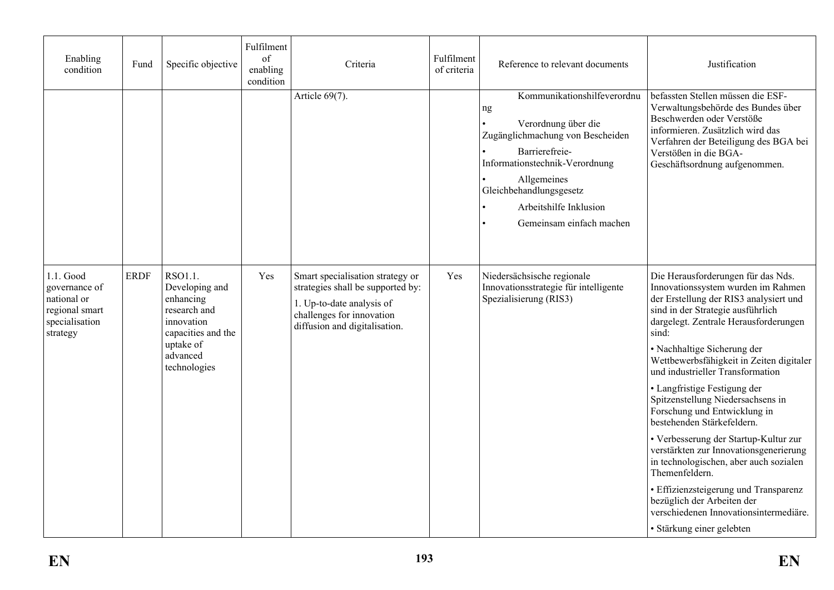| Enabling<br>condition                                                                     | Fund        | Specific objective                                                                                      | Fulfilment<br>of<br>enabling<br>condition | Criteria                                                                                                                                                         | Fulfilment<br>of criteria | Reference to relevant documents                                                                                                                                                                                                                  | Justification                                                                                                                                                                                                                               |
|-------------------------------------------------------------------------------------------|-------------|---------------------------------------------------------------------------------------------------------|-------------------------------------------|------------------------------------------------------------------------------------------------------------------------------------------------------------------|---------------------------|--------------------------------------------------------------------------------------------------------------------------------------------------------------------------------------------------------------------------------------------------|---------------------------------------------------------------------------------------------------------------------------------------------------------------------------------------------------------------------------------------------|
|                                                                                           |             |                                                                                                         |                                           | Article 69(7).                                                                                                                                                   |                           | Kommunikationshilfeverordnu<br>ng<br>Verordnung über die<br>Zugänglichmachung von Bescheiden<br>Barrierefreie-<br>Informationstechnik-Verordnung<br>Allgemeines<br>Gleichbehandlungsgesetz<br>Arbeitshilfe Inklusion<br>Gemeinsam einfach machen | befassten Stellen müssen die ESF-<br>Verwaltungsbehörde des Bundes über<br>Beschwerden oder Verstöße<br>informieren. Zusätzlich wird das<br>Verfahren der Beteiligung des BGA bei<br>Verstößen in die BGA-<br>Geschäftsordnung aufgenommen. |
| 1.1. Good<br>governance of<br>national or<br>regional smart<br>specialisation<br>strategy | <b>ERDF</b> | RSO1.1.<br>Developing and<br>enhancing<br>research and<br>innovation<br>capacities and the<br>uptake of | Yes                                       | Smart specialisation strategy or<br>strategies shall be supported by:<br>1. Up-to-date analysis of<br>challenges for innovation<br>diffusion and digitalisation. | Yes                       | Niedersächsische regionale<br>Innovationsstrategie für intelligente<br>Spezialisierung (RIS3)                                                                                                                                                    | Die Herausforderungen für das Nds.<br>Innovationssystem wurden im Rahmen<br>der Erstellung der RIS3 analysiert und<br>sind in der Strategie ausführlich<br>dargelegt. Zentrale Herausforderungen<br>sind:                                   |
|                                                                                           |             | advanced<br>technologies                                                                                |                                           |                                                                                                                                                                  |                           |                                                                                                                                                                                                                                                  | • Nachhaltige Sicherung der<br>Wettbewerbsfähigkeit in Zeiten digitaler<br>und industrieller Transformation                                                                                                                                 |
|                                                                                           |             |                                                                                                         |                                           |                                                                                                                                                                  |                           |                                                                                                                                                                                                                                                  | • Langfristige Festigung der<br>Spitzenstellung Niedersachsens in<br>Forschung und Entwicklung in<br>bestehenden Stärkefeldern.                                                                                                             |
|                                                                                           |             |                                                                                                         |                                           |                                                                                                                                                                  |                           |                                                                                                                                                                                                                                                  | • Verbesserung der Startup-Kultur zur<br>verstärkten zur Innovationsgenerierung<br>in technologischen, aber auch sozialen<br>Themenfeldern.                                                                                                 |
|                                                                                           |             |                                                                                                         |                                           |                                                                                                                                                                  |                           |                                                                                                                                                                                                                                                  | · Effizienzsteigerung und Transparenz<br>bezüglich der Arbeiten der<br>verschiedenen Innovationsintermediäre.                                                                                                                               |
|                                                                                           |             |                                                                                                         |                                           |                                                                                                                                                                  |                           |                                                                                                                                                                                                                                                  | · Stärkung einer gelebten                                                                                                                                                                                                                   |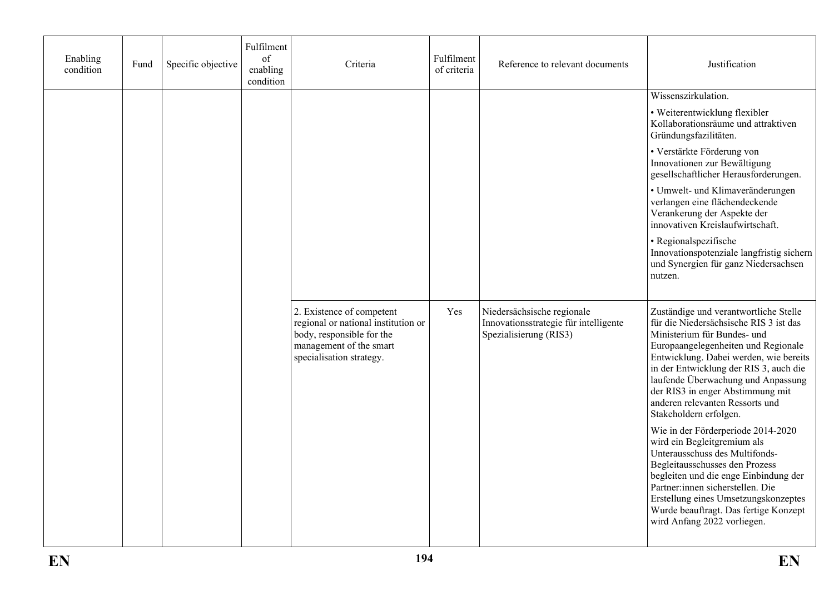| Enabling<br>condition | Fund | Specific objective | Fulfilment<br>of<br>enabling<br>condition | Criteria                                                                                                                                             | Fulfilment<br>of criteria | Reference to relevant documents                                                               | Justification                                                                                                                                                                                                                                                                                                                                                                    |
|-----------------------|------|--------------------|-------------------------------------------|------------------------------------------------------------------------------------------------------------------------------------------------------|---------------------------|-----------------------------------------------------------------------------------------------|----------------------------------------------------------------------------------------------------------------------------------------------------------------------------------------------------------------------------------------------------------------------------------------------------------------------------------------------------------------------------------|
|                       |      |                    |                                           |                                                                                                                                                      |                           |                                                                                               | Wissenszirkulation.                                                                                                                                                                                                                                                                                                                                                              |
|                       |      |                    |                                           |                                                                                                                                                      |                           |                                                                                               | • Weiterentwicklung flexibler<br>Kollaborationsräume und attraktiven<br>Gründungsfazilitäten.                                                                                                                                                                                                                                                                                    |
|                       |      |                    |                                           |                                                                                                                                                      |                           |                                                                                               | • Verstärkte Förderung von<br>Innovationen zur Bewältigung<br>gesellschaftlicher Herausforderungen.                                                                                                                                                                                                                                                                              |
|                       |      |                    |                                           |                                                                                                                                                      |                           |                                                                                               | • Umwelt- und Klimaveränderungen<br>verlangen eine flächendeckende<br>Verankerung der Aspekte der<br>innovativen Kreislaufwirtschaft.                                                                                                                                                                                                                                            |
|                       |      |                    |                                           |                                                                                                                                                      |                           |                                                                                               | · Regionalspezifische<br>Innovationspotenziale langfristig sichern<br>und Synergien für ganz Niedersachsen<br>nutzen.                                                                                                                                                                                                                                                            |
|                       |      |                    |                                           | 2. Existence of competent<br>regional or national institution or<br>body, responsible for the<br>management of the smart<br>specialisation strategy. | Yes                       | Niedersächsische regionale<br>Innovationsstrategie für intelligente<br>Spezialisierung (RIS3) | Zuständige und verantwortliche Stelle<br>für die Niedersächsische RIS 3 ist das<br>Ministerium für Bundes- und<br>Europaangelegenheiten und Regionale<br>Entwicklung. Dabei werden, wie bereits<br>in der Entwicklung der RIS 3, auch die<br>laufende Überwachung und Anpassung<br>der RIS3 in enger Abstimmung mit<br>anderen relevanten Ressorts und<br>Stakeholdern erfolgen. |
|                       |      |                    |                                           |                                                                                                                                                      |                           |                                                                                               | Wie in der Förderperiode 2014-2020<br>wird ein Begleitgremium als<br>Unterausschuss des Multifonds-<br>Begleitausschusses den Prozess<br>begleiten und die enge Einbindung der<br>Partner:innen sicherstellen. Die<br>Erstellung eines Umsetzungskonzeptes<br>Wurde beauftragt. Das fertige Konzept<br>wird Anfang 2022 vorliegen.                                               |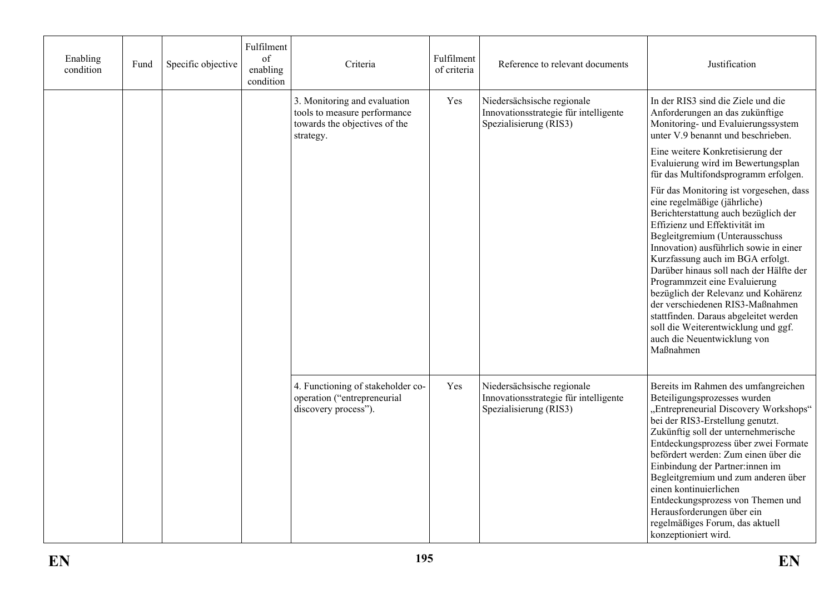| Enabling<br>condition | Fund | Specific objective | Fulfilment<br>of<br>enabling<br>condition | Criteria                                                                                                   | Fulfilment<br>of criteria | Reference to relevant documents                                                               | Justification                                                                                                                                                                                                                                                                                                                                                                                                                                                                                                                                       |
|-----------------------|------|--------------------|-------------------------------------------|------------------------------------------------------------------------------------------------------------|---------------------------|-----------------------------------------------------------------------------------------------|-----------------------------------------------------------------------------------------------------------------------------------------------------------------------------------------------------------------------------------------------------------------------------------------------------------------------------------------------------------------------------------------------------------------------------------------------------------------------------------------------------------------------------------------------------|
|                       |      |                    |                                           | 3. Monitoring and evaluation<br>tools to measure performance<br>towards the objectives of the<br>strategy. | Yes                       | Niedersächsische regionale<br>Innovationsstrategie für intelligente<br>Spezialisierung (RIS3) | In der RIS3 sind die Ziele und die<br>Anforderungen an das zukünftige<br>Monitoring- und Evaluierungssystem<br>unter V.9 benannt und beschrieben.                                                                                                                                                                                                                                                                                                                                                                                                   |
|                       |      |                    |                                           |                                                                                                            |                           |                                                                                               | Eine weitere Konkretisierung der<br>Evaluierung wird im Bewertungsplan<br>für das Multifondsprogramm erfolgen.                                                                                                                                                                                                                                                                                                                                                                                                                                      |
|                       |      |                    |                                           |                                                                                                            |                           |                                                                                               | Für das Monitoring ist vorgesehen, dass<br>eine regelmäßige (jährliche)<br>Berichterstattung auch bezüglich der<br>Effizienz und Effektivität im<br>Begleitgremium (Unterausschuss<br>Innovation) ausführlich sowie in einer<br>Kurzfassung auch im BGA erfolgt.<br>Darüber hinaus soll nach der Hälfte der<br>Programmzeit eine Evaluierung<br>bezüglich der Relevanz und Kohärenz<br>der verschiedenen RIS3-Maßnahmen<br>stattfinden. Daraus abgeleitet werden<br>soll die Weiterentwicklung und ggf.<br>auch die Neuentwicklung von<br>Maßnahmen |
|                       |      |                    |                                           | 4. Functioning of stakeholder co-<br>operation ("entrepreneurial<br>discovery process").                   | Yes                       | Niedersächsische regionale<br>Innovationsstrategie für intelligente<br>Spezialisierung (RIS3) | Bereits im Rahmen des umfangreichen<br>Beteiligungsprozesses wurden<br>"Entrepreneurial Discovery Workshops"<br>bei der RIS3-Erstellung genutzt.<br>Zukünftig soll der unternehmerische<br>Entdeckungsprozess über zwei Formate<br>befördert werden: Zum einen über die<br>Einbindung der Partner:innen im<br>Begleitgremium und zum anderen über<br>einen kontinuierlichen<br>Entdeckungsprozess von Themen und<br>Herausforderungen über ein<br>regelmäßiges Forum, das aktuell<br>konzeptioniert wird.                                           |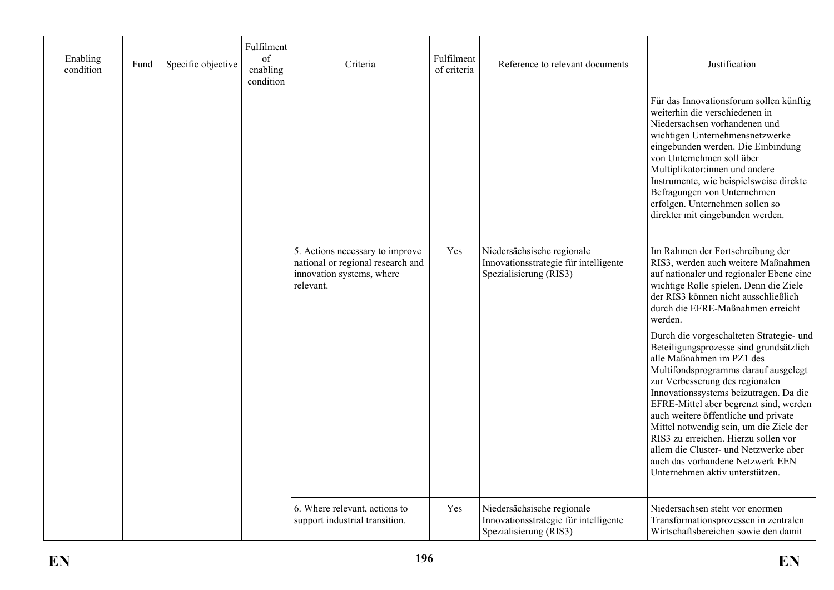| Enabling<br>condition | Fund | Specific objective | Fulfilment<br>of<br>enabling<br>condition | Criteria                                                                                                       | Fulfilment<br>of criteria | Reference to relevant documents                                                               | Justification                                                                                                                                                                                                                                                                                                                                                                                                                                                                                                              |
|-----------------------|------|--------------------|-------------------------------------------|----------------------------------------------------------------------------------------------------------------|---------------------------|-----------------------------------------------------------------------------------------------|----------------------------------------------------------------------------------------------------------------------------------------------------------------------------------------------------------------------------------------------------------------------------------------------------------------------------------------------------------------------------------------------------------------------------------------------------------------------------------------------------------------------------|
|                       |      |                    |                                           |                                                                                                                |                           |                                                                                               | Für das Innovationsforum sollen künftig<br>weiterhin die verschiedenen in<br>Niedersachsen vorhandenen und<br>wichtigen Unternehmensnetzwerke<br>eingebunden werden. Die Einbindung<br>von Unternehmen soll über<br>Multiplikator:innen und andere<br>Instrumente, wie beispielsweise direkte<br>Befragungen von Unternehmen<br>erfolgen. Unternehmen sollen so<br>direkter mit eingebunden werden.                                                                                                                        |
|                       |      |                    |                                           | 5. Actions necessary to improve<br>national or regional research and<br>innovation systems, where<br>relevant. | Yes                       | Niedersächsische regionale<br>Innovationsstrategie für intelligente<br>Spezialisierung (RIS3) | Im Rahmen der Fortschreibung der<br>RIS3, werden auch weitere Maßnahmen<br>auf nationaler und regionaler Ebene eine<br>wichtige Rolle spielen. Denn die Ziele<br>der RIS3 können nicht ausschließlich<br>durch die EFRE-Maßnahmen erreicht<br>werden.                                                                                                                                                                                                                                                                      |
|                       |      |                    |                                           |                                                                                                                |                           |                                                                                               | Durch die vorgeschalteten Strategie- und<br>Beteiligungsprozesse sind grundsätzlich<br>alle Maßnahmen im PZ1 des<br>Multifondsprogramms darauf ausgelegt<br>zur Verbesserung des regionalen<br>Innovationssystems beizutragen. Da die<br>EFRE-Mittel aber begrenzt sind, werden<br>auch weitere öffentliche und private<br>Mittel notwendig sein, um die Ziele der<br>RIS3 zu erreichen. Hierzu sollen vor<br>allem die Cluster- und Netzwerke aber<br>auch das vorhandene Netzwerk EEN<br>Unternehmen aktiv unterstützen. |
|                       |      |                    |                                           | 6. Where relevant, actions to<br>support industrial transition.                                                | Yes                       | Niedersächsische regionale<br>Innovationsstrategie für intelligente<br>Spezialisierung (RIS3) | Niedersachsen steht vor enormen<br>Transformationsprozessen in zentralen<br>Wirtschaftsbereichen sowie den damit                                                                                                                                                                                                                                                                                                                                                                                                           |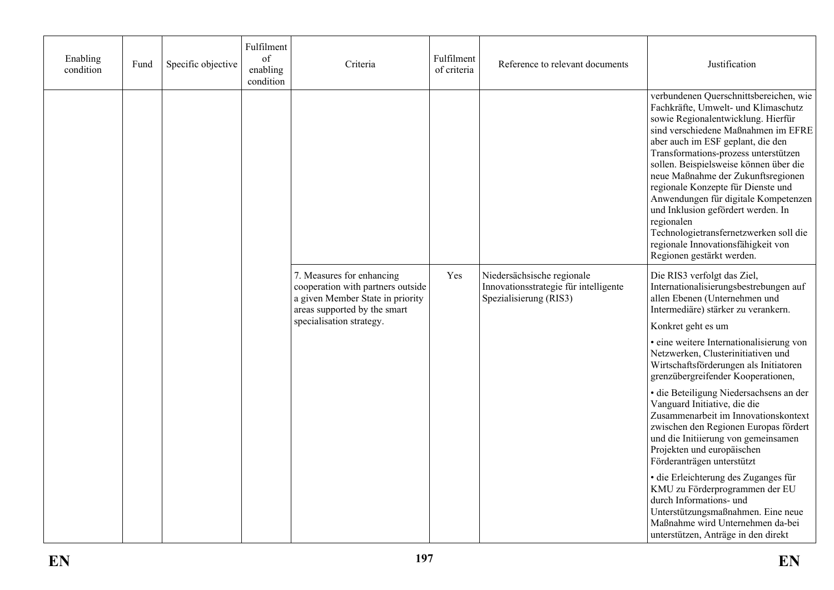| Enabling<br>condition | Fund | Specific objective | Fulfilment<br>of<br>enabling<br>condition | Criteria                                                                                                                           | Fulfilment<br>of criteria | Reference to relevant documents                                                               | Justification                                                                                                                                                                                                                                                                                                                                                                                                                                                                                                                                                          |
|-----------------------|------|--------------------|-------------------------------------------|------------------------------------------------------------------------------------------------------------------------------------|---------------------------|-----------------------------------------------------------------------------------------------|------------------------------------------------------------------------------------------------------------------------------------------------------------------------------------------------------------------------------------------------------------------------------------------------------------------------------------------------------------------------------------------------------------------------------------------------------------------------------------------------------------------------------------------------------------------------|
|                       |      |                    |                                           |                                                                                                                                    |                           |                                                                                               | verbundenen Querschnittsbereichen, wie<br>Fachkräfte, Umwelt- und Klimaschutz<br>sowie Regionalentwicklung. Hierfür<br>sind verschiedene Maßnahmen im EFRE<br>aber auch im ESF geplant, die den<br>Transformations-prozess unterstützen<br>sollen. Beispielsweise können über die<br>neue Maßnahme der Zukunftsregionen<br>regionale Konzepte für Dienste und<br>Anwendungen für digitale Kompetenzen<br>und Inklusion gefördert werden. In<br>regionalen<br>Technologietransfernetzwerken soll die<br>regionale Innovationsfähigkeit von<br>Regionen gestärkt werden. |
|                       |      |                    |                                           | 7. Measures for enhancing<br>cooperation with partners outside<br>a given Member State in priority<br>areas supported by the smart | Yes                       | Niedersächsische regionale<br>Innovationsstrategie für intelligente<br>Spezialisierung (RIS3) | Die RIS3 verfolgt das Ziel,<br>Internationalisierungsbestrebungen auf<br>allen Ebenen (Unternehmen und<br>Intermediäre) stärker zu verankern.                                                                                                                                                                                                                                                                                                                                                                                                                          |
|                       |      |                    |                                           | specialisation strategy.                                                                                                           |                           |                                                                                               | Konkret geht es um                                                                                                                                                                                                                                                                                                                                                                                                                                                                                                                                                     |
|                       |      |                    |                                           |                                                                                                                                    |                           |                                                                                               | · eine weitere Internationalisierung von<br>Netzwerken, Clusterinitiativen und<br>Wirtschaftsförderungen als Initiatoren<br>grenzübergreifender Kooperationen,                                                                                                                                                                                                                                                                                                                                                                                                         |
|                       |      |                    |                                           |                                                                                                                                    |                           |                                                                                               | · die Beteiligung Niedersachsens an der<br>Vanguard Initiative, die die<br>Zusammenarbeit im Innovationskontext<br>zwischen den Regionen Europas fördert<br>und die Initiierung von gemeinsamen<br>Projekten und europäischen<br>Förderanträgen unterstützt                                                                                                                                                                                                                                                                                                            |
|                       |      |                    |                                           |                                                                                                                                    |                           |                                                                                               | · die Erleichterung des Zuganges für<br>KMU zu Förderprogrammen der EU<br>durch Informations- und<br>Unterstützungsmaßnahmen. Eine neue<br>Maßnahme wird Unternehmen da-bei<br>unterstützen, Anträge in den direkt                                                                                                                                                                                                                                                                                                                                                     |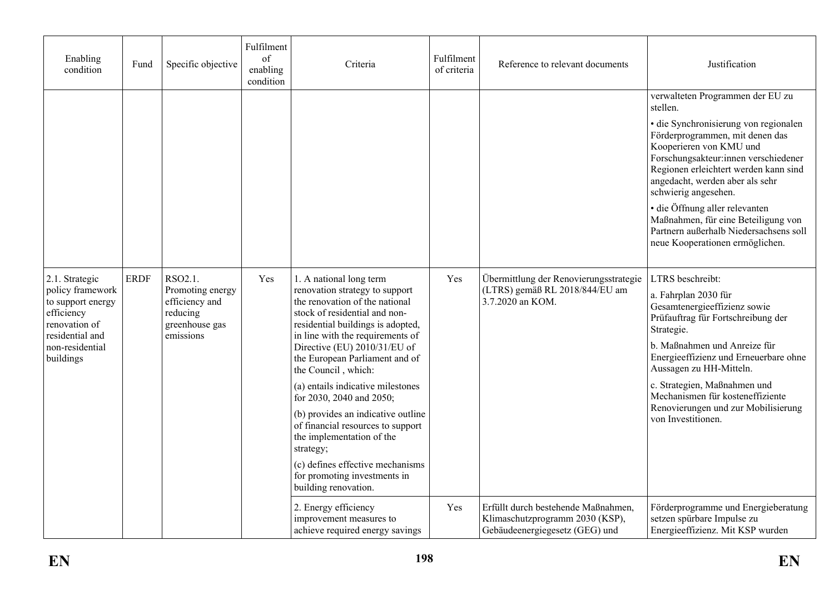| Enabling<br>condition                                                                                                                     | Fund        | Specific objective                                                                       | Fulfilment<br>of<br>enabling<br>condition | Criteria                                                                                                                                                                                                                                                                                                                                                                                                                                                                                                                                                                         | Fulfilment<br>of criteria | Reference to relevant documents                                                                          | Justification                                                                                                                                                                                                                                                                                                                                                     |
|-------------------------------------------------------------------------------------------------------------------------------------------|-------------|------------------------------------------------------------------------------------------|-------------------------------------------|----------------------------------------------------------------------------------------------------------------------------------------------------------------------------------------------------------------------------------------------------------------------------------------------------------------------------------------------------------------------------------------------------------------------------------------------------------------------------------------------------------------------------------------------------------------------------------|---------------------------|----------------------------------------------------------------------------------------------------------|-------------------------------------------------------------------------------------------------------------------------------------------------------------------------------------------------------------------------------------------------------------------------------------------------------------------------------------------------------------------|
|                                                                                                                                           |             |                                                                                          |                                           |                                                                                                                                                                                                                                                                                                                                                                                                                                                                                                                                                                                  |                           |                                                                                                          | verwalteten Programmen der EU zu<br>stellen.                                                                                                                                                                                                                                                                                                                      |
|                                                                                                                                           |             |                                                                                          |                                           |                                                                                                                                                                                                                                                                                                                                                                                                                                                                                                                                                                                  |                           |                                                                                                          | · die Synchronisierung von regionalen<br>Förderprogrammen, mit denen das<br>Kooperieren von KMU und<br>Forschungsakteur:innen verschiedener<br>Regionen erleichtert werden kann sind<br>angedacht, werden aber als sehr<br>schwierig angesehen.                                                                                                                   |
|                                                                                                                                           |             |                                                                                          |                                           |                                                                                                                                                                                                                                                                                                                                                                                                                                                                                                                                                                                  |                           |                                                                                                          | · die Öffnung aller relevanten<br>Maßnahmen, für eine Beteiligung von<br>Partnern außerhalb Niedersachsens soll<br>neue Kooperationen ermöglichen.                                                                                                                                                                                                                |
| 2.1. Strategic<br>policy framework<br>to support energy<br>efficiency<br>renovation of<br>residential and<br>non-residential<br>buildings | <b>ERDF</b> | RSO2.1.<br>Promoting energy<br>efficiency and<br>reducing<br>greenhouse gas<br>emissions | Yes                                       | 1. A national long term<br>renovation strategy to support<br>the renovation of the national<br>stock of residential and non-<br>residential buildings is adopted,<br>in line with the requirements of<br>Directive (EU) 2010/31/EU of<br>the European Parliament and of<br>the Council, which:<br>(a) entails indicative milestones<br>for 2030, 2040 and 2050;<br>(b) provides an indicative outline<br>of financial resources to support<br>the implementation of the<br>strategy;<br>(c) defines effective mechanisms<br>for promoting investments in<br>building renovation. | Yes                       | Übermittlung der Renovierungsstrategie<br>(LTRS) gemäß RL 2018/844/EU am<br>3.7.2020 an KOM.             | LTRS beschreibt:<br>a. Fahrplan 2030 für<br>Gesamtenergieeffizienz sowie<br>Prüfauftrag für Fortschreibung der<br>Strategie.<br>b. Maßnahmen und Anreize für<br>Energieeffizienz und Erneuerbare ohne<br>Aussagen zu HH-Mitteln.<br>c. Strategien, Maßnahmen und<br>Mechanismen für kosteneffiziente<br>Renovierungen und zur Mobilisierung<br>von Investitionen. |
|                                                                                                                                           |             |                                                                                          |                                           | 2. Energy efficiency<br>improvement measures to<br>achieve required energy savings                                                                                                                                                                                                                                                                                                                                                                                                                                                                                               | Yes                       | Erfüllt durch bestehende Maßnahmen,<br>Klimaschutzprogramm 2030 (KSP),<br>Gebäudeenergiegesetz (GEG) und | Förderprogramme und Energieberatung<br>setzen spürbare Impulse zu<br>Energieeffizienz. Mit KSP wurden                                                                                                                                                                                                                                                             |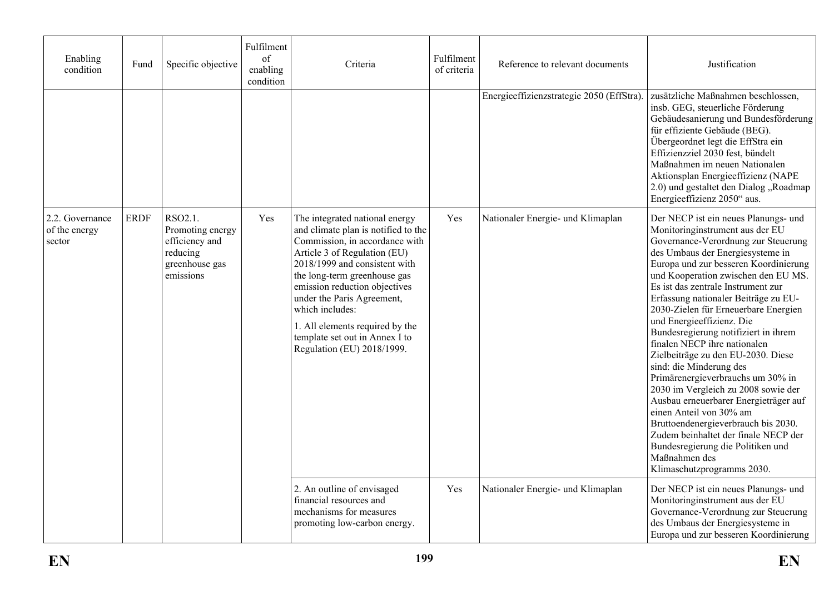| Enabling<br>condition                        | Fund        | Specific objective                                                                       | Fulfilment<br>of<br>enabling<br>condition | Criteria                                                                                                                                                                                                                                                                                                                                                                                      | Fulfilment<br>of criteria | Reference to relevant documents           | Justification                                                                                                                                                                                                                                                                                                                                                                                                                                                                                                                                                                                                                                                                                                                                                                                                                                     |
|----------------------------------------------|-------------|------------------------------------------------------------------------------------------|-------------------------------------------|-----------------------------------------------------------------------------------------------------------------------------------------------------------------------------------------------------------------------------------------------------------------------------------------------------------------------------------------------------------------------------------------------|---------------------------|-------------------------------------------|---------------------------------------------------------------------------------------------------------------------------------------------------------------------------------------------------------------------------------------------------------------------------------------------------------------------------------------------------------------------------------------------------------------------------------------------------------------------------------------------------------------------------------------------------------------------------------------------------------------------------------------------------------------------------------------------------------------------------------------------------------------------------------------------------------------------------------------------------|
|                                              |             |                                                                                          |                                           |                                                                                                                                                                                                                                                                                                                                                                                               |                           | Energieeffizienzstrategie 2050 (EffStra). | zusätzliche Maßnahmen beschlossen,<br>insb. GEG, steuerliche Förderung<br>Gebäudesanierung und Bundesförderung<br>für effiziente Gebäude (BEG).<br>Übergeordnet legt die EffStra ein<br>Effizienzziel 2030 fest, bündelt<br>Maßnahmen im neuen Nationalen<br>Aktionsplan Energieeffizienz (NAPE<br>2.0) und gestaltet den Dialog "Roadmap<br>Energieeffizienz 2050" aus.                                                                                                                                                                                                                                                                                                                                                                                                                                                                          |
| $2.2.$ Governance<br>of the energy<br>sector | <b>ERDF</b> | RSO2.1.<br>Promoting energy<br>efficiency and<br>reducing<br>greenhouse gas<br>emissions | Yes                                       | The integrated national energy<br>and climate plan is notified to the<br>Commission, in accordance with<br>Article 3 of Regulation (EU)<br>2018/1999 and consistent with<br>the long-term greenhouse gas<br>emission reduction objectives<br>under the Paris Agreement,<br>which includes:<br>1. All elements required by the<br>template set out in Annex I to<br>Regulation (EU) 2018/1999. | Yes                       | Nationaler Energie- und Klimaplan         | Der NECP ist ein neues Planungs- und<br>Monitoringinstrument aus der EU<br>Governance-Verordnung zur Steuerung<br>des Umbaus der Energiesysteme in<br>Europa und zur besseren Koordinierung<br>und Kooperation zwischen den EU MS.<br>Es ist das zentrale Instrument zur<br>Erfassung nationaler Beiträge zu EU-<br>2030-Zielen für Erneuerbare Energien<br>und Energieeffizienz. Die<br>Bundesregierung notifiziert in ihrem<br>finalen NECP ihre nationalen<br>Zielbeiträge zu den EU-2030. Diese<br>sind: die Minderung des<br>Primärenergieverbrauchs um 30% in<br>2030 im Vergleich zu 2008 sowie der<br>Ausbau erneuerbarer Energieträger auf<br>einen Anteil von 30% am<br>Bruttoendenergieverbrauch bis 2030.<br>Zudem beinhaltet der finale NECP der<br>Bundesregierung die Politiken und<br>Maßnahmen des<br>Klimaschutzprogramms 2030. |
|                                              |             |                                                                                          |                                           | 2. An outline of envisaged<br>financial resources and<br>mechanisms for measures<br>promoting low-carbon energy.                                                                                                                                                                                                                                                                              | Yes                       | Nationaler Energie- und Klimaplan         | Der NECP ist ein neues Planungs- und<br>Monitoringinstrument aus der EU<br>Governance-Verordnung zur Steuerung<br>des Umbaus der Energiesysteme in<br>Europa und zur besseren Koordinierung                                                                                                                                                                                                                                                                                                                                                                                                                                                                                                                                                                                                                                                       |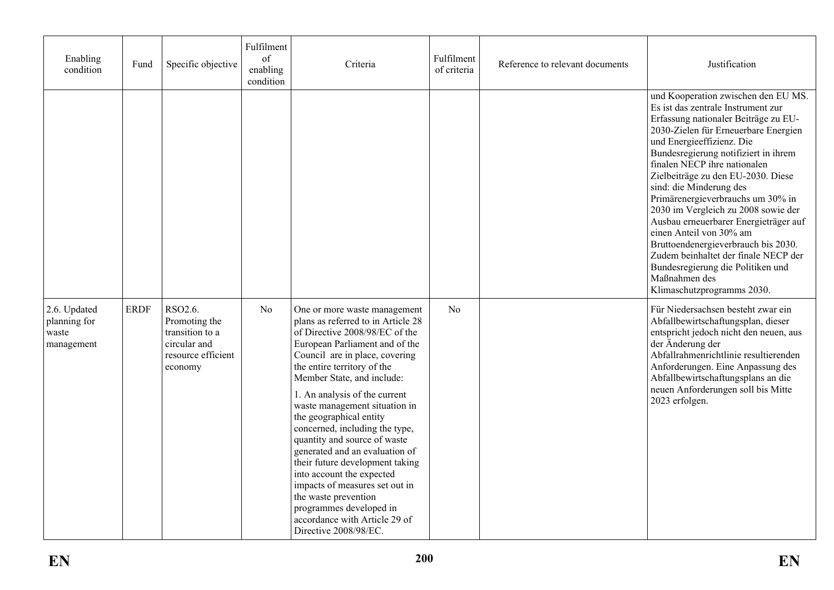| Enabling<br>condition                               | Fund        | Specific objective                                                                           | Fulfilment<br>of<br>enabling<br>condition | Criteria                                                                                                                                                                                                                                                                                                                                                                                                                                                                                                                                                                                                                                              | Fulfilment<br>of criteria | Reference to relevant documents | Justification                                                                                                                                                                                                                                                                                                                                                                                                                                                                                                                                                                                                                                      |
|-----------------------------------------------------|-------------|----------------------------------------------------------------------------------------------|-------------------------------------------|-------------------------------------------------------------------------------------------------------------------------------------------------------------------------------------------------------------------------------------------------------------------------------------------------------------------------------------------------------------------------------------------------------------------------------------------------------------------------------------------------------------------------------------------------------------------------------------------------------------------------------------------------------|---------------------------|---------------------------------|----------------------------------------------------------------------------------------------------------------------------------------------------------------------------------------------------------------------------------------------------------------------------------------------------------------------------------------------------------------------------------------------------------------------------------------------------------------------------------------------------------------------------------------------------------------------------------------------------------------------------------------------------|
|                                                     |             |                                                                                              |                                           |                                                                                                                                                                                                                                                                                                                                                                                                                                                                                                                                                                                                                                                       |                           |                                 | und Kooperation zwischen den EU MS.<br>Es ist das zentrale Instrument zur<br>Erfassung nationaler Beiträge zu EU-<br>2030-Zielen für Erneuerbare Energien<br>und Energieeffizienz. Die<br>Bundesregierung notifiziert in ihrem<br>finalen NECP ihre nationalen<br>Zielbeiträge zu den EU-2030. Diese<br>sind: die Minderung des<br>Primärenergieverbrauchs um 30% in<br>2030 im Vergleich zu 2008 sowie der<br>Ausbau erneuerbarer Energieträger auf<br>einen Anteil von 30% am<br>Bruttoendenergieverbrauch bis 2030.<br>Zudem beinhaltet der finale NECP der<br>Bundesregierung die Politiken und<br>Maßnahmen des<br>Klimaschutzprogramms 2030. |
| 2.6. Updated<br>planning for<br>waste<br>management | <b>ERDF</b> | RSO2.6.<br>Promoting the<br>transition to a<br>circular and<br>resource efficient<br>economy | N <sub>o</sub>                            | One or more waste management<br>plans as referred to in Article 28<br>of Directive 2008/98/EC of the<br>European Parliament and of the<br>Council are in place, covering<br>the entire territory of the<br>Member State, and include:<br>1. An analysis of the current<br>waste management situation in<br>the geographical entity<br>concerned, including the type,<br>quantity and source of waste<br>generated and an evaluation of<br>their future development taking<br>into account the expected<br>impacts of measures set out in<br>the waste prevention<br>programmes developed in<br>accordance with Article 29 of<br>Directive 2008/98/EC. | N <sub>0</sub>            |                                 | Für Niedersachsen besteht zwar ein<br>Abfallbewirtschaftungsplan, dieser<br>entspricht jedoch nicht den neuen, aus<br>der Änderung der<br>Abfallrahmenrichtlinie resultierenden<br>Anforderungen. Eine Anpassung des<br>Abfallbewirtschaftungsplans an die<br>neuen Anforderungen soll bis Mitte<br>2023 erfolgen.                                                                                                                                                                                                                                                                                                                                 |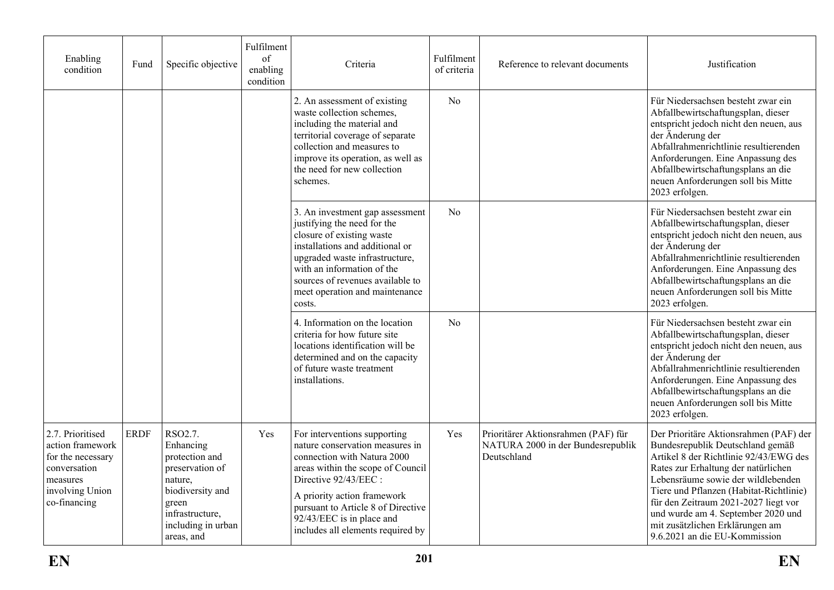| Enabling<br>condition                                                                                                    | Fund        | Specific objective                                                                                                                                       | Fulfilment<br>of<br>enabling<br>condition | Criteria                                                                                                                                                                                                                                                                                           | Fulfilment<br>of criteria | Reference to relevant documents                                                         | Justification                                                                                                                                                                                                                                                                                                                                                                                  |
|--------------------------------------------------------------------------------------------------------------------------|-------------|----------------------------------------------------------------------------------------------------------------------------------------------------------|-------------------------------------------|----------------------------------------------------------------------------------------------------------------------------------------------------------------------------------------------------------------------------------------------------------------------------------------------------|---------------------------|-----------------------------------------------------------------------------------------|------------------------------------------------------------------------------------------------------------------------------------------------------------------------------------------------------------------------------------------------------------------------------------------------------------------------------------------------------------------------------------------------|
|                                                                                                                          |             |                                                                                                                                                          |                                           | 2. An assessment of existing<br>waste collection schemes,<br>including the material and<br>territorial coverage of separate<br>collection and measures to<br>improve its operation, as well as<br>the need for new collection<br>schemes.                                                          | N <sub>o</sub>            |                                                                                         | Für Niedersachsen besteht zwar ein<br>Abfallbewirtschaftungsplan, dieser<br>entspricht jedoch nicht den neuen, aus<br>der Änderung der<br>Abfallrahmenrichtlinie resultierenden<br>Anforderungen. Eine Anpassung des<br>Abfallbewirtschaftungsplans an die<br>neuen Anforderungen soll bis Mitte<br>2023 erfolgen.                                                                             |
|                                                                                                                          |             |                                                                                                                                                          |                                           | 3. An investment gap assessment<br>justifying the need for the<br>closure of existing waste<br>installations and additional or<br>upgraded waste infrastructure,<br>with an information of the<br>sources of revenues available to<br>meet operation and maintenance<br>costs.                     | N <sub>0</sub>            |                                                                                         | Für Niedersachsen besteht zwar ein<br>Abfallbewirtschaftungsplan, dieser<br>entspricht jedoch nicht den neuen, aus<br>der Änderung der<br>Abfallrahmenrichtlinie resultierenden<br>Anforderungen. Eine Anpassung des<br>Abfallbewirtschaftungsplans an die<br>neuen Anforderungen soll bis Mitte<br>2023 erfolgen.                                                                             |
|                                                                                                                          |             |                                                                                                                                                          |                                           | 4. Information on the location<br>criteria for how future site<br>locations identification will be<br>determined and on the capacity<br>of future waste treatment<br>installations.                                                                                                                | N <sub>o</sub>            |                                                                                         | Für Niedersachsen besteht zwar ein<br>Abfallbewirtschaftungsplan, dieser<br>entspricht jedoch nicht den neuen, aus<br>der Änderung der<br>Abfallrahmenrichtlinie resultierenden<br>Anforderungen. Eine Anpassung des<br>Abfallbewirtschaftungsplans an die<br>neuen Anforderungen soll bis Mitte<br>2023 erfolgen.                                                                             |
| 2.7. Prioritised<br>action framework<br>for the necessary<br>conversation<br>measures<br>involving Union<br>co-financing | <b>ERDF</b> | RSO2.7.<br>Enhancing<br>protection and<br>preservation of<br>nature,<br>biodiversity and<br>green<br>infrastructure,<br>including in urban<br>areas, and | Yes                                       | For interventions supporting<br>nature conservation measures in<br>connection with Natura 2000<br>areas within the scope of Council<br>Directive 92/43/EEC:<br>A priority action framework<br>pursuant to Article 8 of Directive<br>92/43/EEC is in place and<br>includes all elements required by | Yes                       | Prioritärer Aktionsrahmen (PAF) für<br>NATURA 2000 in der Bundesrepublik<br>Deutschland | Der Prioritäre Aktionsrahmen (PAF) der<br>Bundesrepublik Deutschland gemäß<br>Artikel 8 der Richtlinie 92/43/EWG des<br>Rates zur Erhaltung der natürlichen<br>Lebensräume sowie der wildlebenden<br>Tiere und Pflanzen (Habitat-Richtlinie)<br>für den Zeitraum 2021-2027 liegt vor<br>und wurde am 4. September 2020 und<br>mit zusätzlichen Erklärungen am<br>9.6.2021 an die EU-Kommission |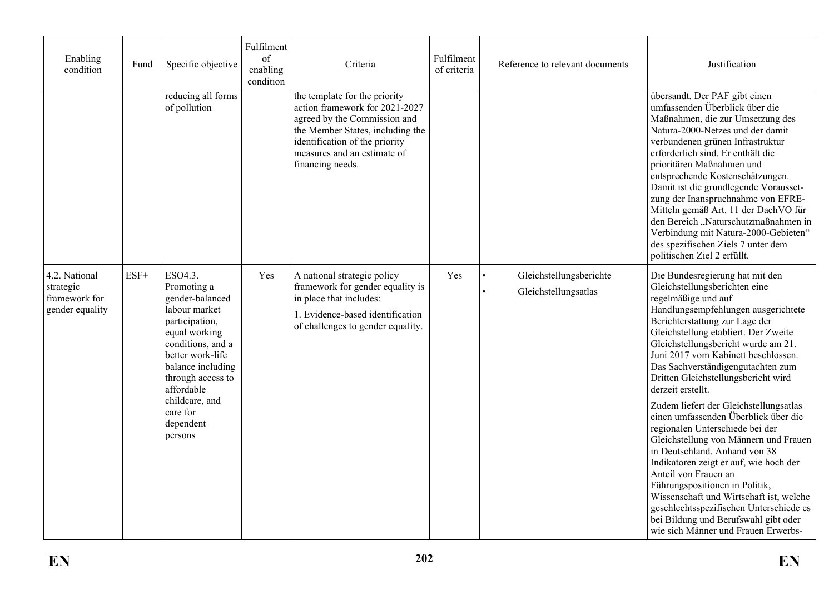| Enabling<br>condition                                          | Fund   | Specific objective                                                                                                                                                                                                                                   | Fulfilment<br>of<br>enabling<br>condition | Criteria                                                                                                                                                                                                                 | Fulfilment<br>of criteria | Reference to relevant documents                 | Justification                                                                                                                                                                                                                                                                                                                                                                                                                                                                                                                                                                                                                                                                                                                                                                                                                                                   |
|----------------------------------------------------------------|--------|------------------------------------------------------------------------------------------------------------------------------------------------------------------------------------------------------------------------------------------------------|-------------------------------------------|--------------------------------------------------------------------------------------------------------------------------------------------------------------------------------------------------------------------------|---------------------------|-------------------------------------------------|-----------------------------------------------------------------------------------------------------------------------------------------------------------------------------------------------------------------------------------------------------------------------------------------------------------------------------------------------------------------------------------------------------------------------------------------------------------------------------------------------------------------------------------------------------------------------------------------------------------------------------------------------------------------------------------------------------------------------------------------------------------------------------------------------------------------------------------------------------------------|
|                                                                |        | reducing all forms<br>of pollution                                                                                                                                                                                                                   |                                           | the template for the priority<br>action framework for 2021-2027<br>agreed by the Commission and<br>the Member States, including the<br>identification of the priority<br>measures and an estimate of<br>financing needs. |                           |                                                 | übersandt. Der PAF gibt einen<br>umfassenden Überblick über die<br>Maßnahmen, die zur Umsetzung des<br>Natura-2000-Netzes und der damit<br>verbundenen grünen Infrastruktur<br>erforderlich sind. Er enthält die<br>prioritären Maßnahmen und<br>entsprechende Kostenschätzungen.<br>Damit ist die grundlegende Vorausset-<br>zung der Inanspruchnahme von EFRE-<br>Mitteln gemäß Art. 11 der DachVO für<br>den Bereich "Naturschutzmaßnahmen in<br>Verbindung mit Natura-2000-Gebieten"<br>des spezifischen Ziels 7 unter dem<br>politischen Ziel 2 erfüllt.                                                                                                                                                                                                                                                                                                   |
| 4.2. National<br>strategic<br>framework for<br>gender equality | $ESF+$ | ESO4.3.<br>Promoting a<br>gender-balanced<br>labour market<br>participation,<br>equal working<br>conditions, and a<br>better work-life<br>balance including<br>through access to<br>affordable<br>childcare, and<br>care for<br>dependent<br>persons | Yes                                       | A national strategic policy<br>framework for gender equality is<br>in place that includes:<br>1. Evidence-based identification<br>of challenges to gender equality.                                                      | Yes                       | Gleichstellungsberichte<br>Gleichstellungsatlas | Die Bundesregierung hat mit den<br>Gleichstellungsberichten eine<br>regelmäßige und auf<br>Handlungsempfehlungen ausgerichtete<br>Berichterstattung zur Lage der<br>Gleichstellung etabliert. Der Zweite<br>Gleichstellungsbericht wurde am 21.<br>Juni 2017 vom Kabinett beschlossen.<br>Das Sachverständigengutachten zum<br>Dritten Gleichstellungsbericht wird<br>derzeit erstellt.<br>Zudem liefert der Gleichstellungsatlas<br>einen umfassenden Überblick über die<br>regionalen Unterschiede bei der<br>Gleichstellung von Männern und Frauen<br>in Deutschland. Anhand von 38<br>Indikatoren zeigt er auf, wie hoch der<br>Anteil von Frauen an<br>Führungspositionen in Politik,<br>Wissenschaft und Wirtschaft ist, welche<br>geschlechtsspezifischen Unterschiede es<br>bei Bildung und Berufswahl gibt oder<br>wie sich Männer und Frauen Erwerbs- |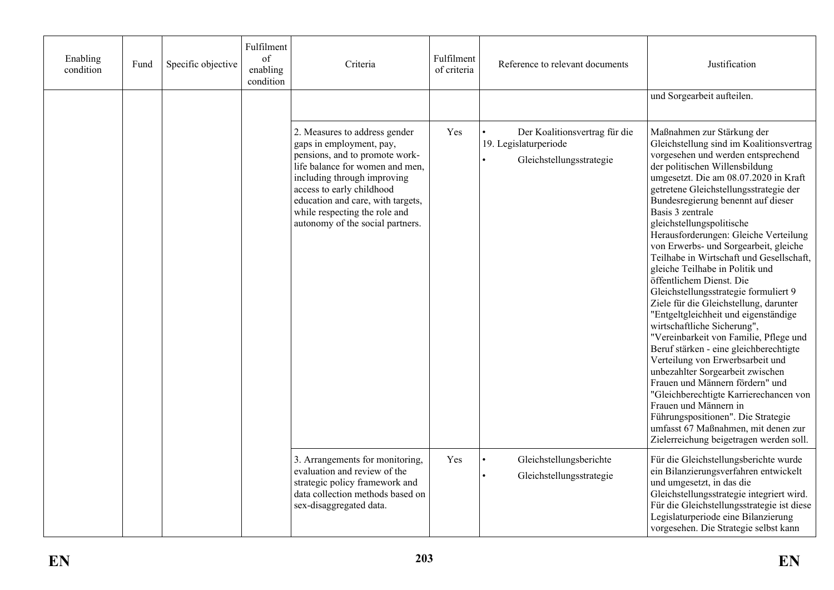| Enabling<br>condition | Fund | Specific objective | Fulfilment<br>of<br>enabling<br>condition | Criteria                                                                                                                                                                                                                                                                                             | Fulfilment<br>of criteria | Reference to relevant documents                                                    | Justification                                                                                                                                                                                                                                                                                                                                                                                                                                                                                                                                                                                                                                                                                                                                                                                                                                                                                                                                                                                                                                                             |
|-----------------------|------|--------------------|-------------------------------------------|------------------------------------------------------------------------------------------------------------------------------------------------------------------------------------------------------------------------------------------------------------------------------------------------------|---------------------------|------------------------------------------------------------------------------------|---------------------------------------------------------------------------------------------------------------------------------------------------------------------------------------------------------------------------------------------------------------------------------------------------------------------------------------------------------------------------------------------------------------------------------------------------------------------------------------------------------------------------------------------------------------------------------------------------------------------------------------------------------------------------------------------------------------------------------------------------------------------------------------------------------------------------------------------------------------------------------------------------------------------------------------------------------------------------------------------------------------------------------------------------------------------------|
|                       |      |                    |                                           |                                                                                                                                                                                                                                                                                                      |                           |                                                                                    | und Sorgearbeit aufteilen.                                                                                                                                                                                                                                                                                                                                                                                                                                                                                                                                                                                                                                                                                                                                                                                                                                                                                                                                                                                                                                                |
|                       |      |                    |                                           | 2. Measures to address gender<br>gaps in employment, pay,<br>pensions, and to promote work-<br>life balance for women and men,<br>including through improving<br>access to early childhood<br>education and care, with targets,<br>while respecting the role and<br>autonomy of the social partners. | Yes                       | Der Koalitionsvertrag für die<br>19. Legislaturperiode<br>Gleichstellungsstrategie | Maßnahmen zur Stärkung der<br>Gleichstellung sind im Koalitionsvertrag<br>vorgesehen und werden entsprechend<br>der politischen Willensbildung<br>umgesetzt. Die am 08.07.2020 in Kraft<br>getretene Gleichstellungsstrategie der<br>Bundesregierung benennt auf dieser<br>Basis 3 zentrale<br>gleichstellungspolitische<br>Herausforderungen: Gleiche Verteilung<br>von Erwerbs- und Sorgearbeit, gleiche<br>Teilhabe in Wirtschaft und Gesellschaft,<br>gleiche Teilhabe in Politik und<br>öffentlichem Dienst. Die<br>Gleichstellungsstrategie formuliert 9<br>Ziele für die Gleichstellung, darunter<br>"Entgeltgleichheit und eigenständige<br>wirtschaftliche Sicherung",<br>"Vereinbarkeit von Familie, Pflege und<br>Beruf stärken - eine gleichberechtigte<br>Verteilung von Erwerbsarbeit und<br>unbezahlter Sorgearbeit zwischen<br>Frauen und Männern fördern" und<br>"Gleichberechtigte Karrierechancen von<br>Frauen und Männern in<br>Führungspositionen". Die Strategie<br>umfasst 67 Maßnahmen, mit denen zur<br>Zielerreichung beigetragen werden soll. |
|                       |      |                    |                                           | 3. Arrangements for monitoring,<br>evaluation and review of the<br>strategic policy framework and<br>data collection methods based on<br>sex-disaggregated data.                                                                                                                                     | Yes                       | Gleichstellungsberichte<br>Gleichstellungsstrategie                                | Für die Gleichstellungsberichte wurde<br>ein Bilanzierungsverfahren entwickelt<br>und umgesetzt, in das die<br>Gleichstellungsstrategie integriert wird.<br>Für die Gleichstellungsstrategie ist diese<br>Legislaturperiode eine Bilanzierung<br>vorgesehen. Die Strategie selbst kann                                                                                                                                                                                                                                                                                                                                                                                                                                                                                                                                                                                                                                                                                                                                                                                    |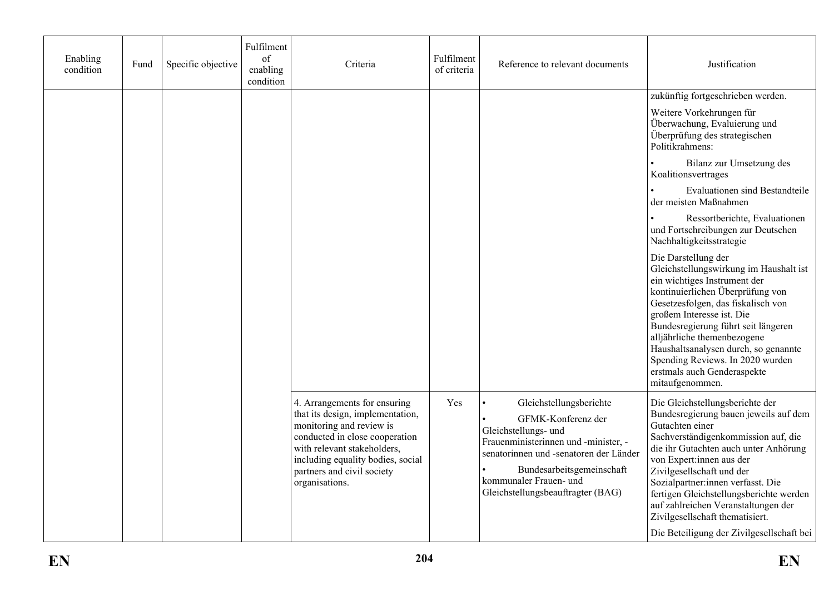| Enabling<br>condition | Fund | Specific objective | Fulfilment<br>of<br>enabling<br>condition | Criteria                                                                                                                                                                                                                                           | Fulfilment<br>of criteria | Reference to relevant documents                                                                                                                                                                                                                     | Justification                                                                                                                                                                                                                                                                                                                                                                                                                               |
|-----------------------|------|--------------------|-------------------------------------------|----------------------------------------------------------------------------------------------------------------------------------------------------------------------------------------------------------------------------------------------------|---------------------------|-----------------------------------------------------------------------------------------------------------------------------------------------------------------------------------------------------------------------------------------------------|---------------------------------------------------------------------------------------------------------------------------------------------------------------------------------------------------------------------------------------------------------------------------------------------------------------------------------------------------------------------------------------------------------------------------------------------|
|                       |      |                    |                                           |                                                                                                                                                                                                                                                    |                           |                                                                                                                                                                                                                                                     | zukünftig fortgeschrieben werden.                                                                                                                                                                                                                                                                                                                                                                                                           |
|                       |      |                    |                                           |                                                                                                                                                                                                                                                    |                           |                                                                                                                                                                                                                                                     | Weitere Vorkehrungen für<br>Überwachung, Evaluierung und<br>Überprüfung des strategischen<br>Politikrahmens:                                                                                                                                                                                                                                                                                                                                |
|                       |      |                    |                                           |                                                                                                                                                                                                                                                    |                           |                                                                                                                                                                                                                                                     | Bilanz zur Umsetzung des<br>Koalitionsvertrages                                                                                                                                                                                                                                                                                                                                                                                             |
|                       |      |                    |                                           |                                                                                                                                                                                                                                                    |                           |                                                                                                                                                                                                                                                     | Evaluationen sind Bestandteile<br>der meisten Maßnahmen                                                                                                                                                                                                                                                                                                                                                                                     |
|                       |      |                    |                                           |                                                                                                                                                                                                                                                    |                           |                                                                                                                                                                                                                                                     | Ressortberichte, Evaluationen<br>und Fortschreibungen zur Deutschen<br>Nachhaltigkeitsstrategie                                                                                                                                                                                                                                                                                                                                             |
|                       |      |                    |                                           |                                                                                                                                                                                                                                                    |                           |                                                                                                                                                                                                                                                     | Die Darstellung der<br>Gleichstellungswirkung im Haushalt ist<br>ein wichtiges Instrument der<br>kontinuierlichen Überprüfung von<br>Gesetzesfolgen, das fiskalisch von<br>großem Interesse ist. Die<br>Bundesregierung führt seit längeren<br>alljährliche themenbezogene<br>Haushaltsanalysen durch, so genannte<br>Spending Reviews. In 2020 wurden<br>erstmals auch Genderaspekte<br>mitaufgenommen.                                    |
|                       |      |                    |                                           | 4. Arrangements for ensuring<br>that its design, implementation,<br>monitoring and review is<br>conducted in close cooperation<br>with relevant stakeholders,<br>including equality bodies, social<br>partners and civil society<br>organisations. | Yes                       | Gleichstellungsberichte<br>GFMK-Konferenz der<br>Gleichstellungs- und<br>Frauenministerinnen und -minister, -<br>senatorinnen und -senatoren der Länder<br>Bundesarbeitsgemeinschaft<br>kommunaler Frauen- und<br>Gleichstellungsbeauftragter (BAG) | Die Gleichstellungsberichte der<br>Bundesregierung bauen jeweils auf dem<br>Gutachten einer<br>Sachverständigenkommission auf, die<br>die ihr Gutachten auch unter Anhörung<br>von Expert:innen aus der<br>Zivilgesellschaft und der<br>Sozialpartner:innen verfasst. Die<br>fertigen Gleichstellungsberichte werden<br>auf zahlreichen Veranstaltungen der<br>Zivilgesellschaft thematisiert.<br>Die Beteiligung der Zivilgesellschaft bei |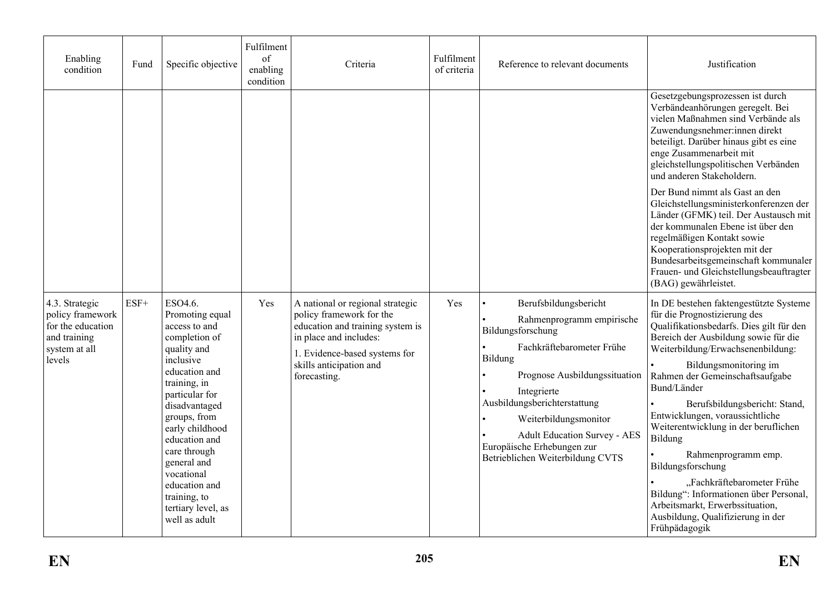| Enabling<br>condition                                                                              | Fund   | Specific objective                                                                                                                                                                                                                                                                                                                    | Fulfilment<br>of<br>enabling<br>condition | Criteria                                                                                                                                                                                               | Fulfilment<br>of criteria | Reference to relevant documents                                                                                                                                                                                                                                                                                                   | Justification                                                                                                                                                                                                                                                                                                                                                                                                                                                                                                                                                                                                  |
|----------------------------------------------------------------------------------------------------|--------|---------------------------------------------------------------------------------------------------------------------------------------------------------------------------------------------------------------------------------------------------------------------------------------------------------------------------------------|-------------------------------------------|--------------------------------------------------------------------------------------------------------------------------------------------------------------------------------------------------------|---------------------------|-----------------------------------------------------------------------------------------------------------------------------------------------------------------------------------------------------------------------------------------------------------------------------------------------------------------------------------|----------------------------------------------------------------------------------------------------------------------------------------------------------------------------------------------------------------------------------------------------------------------------------------------------------------------------------------------------------------------------------------------------------------------------------------------------------------------------------------------------------------------------------------------------------------------------------------------------------------|
|                                                                                                    |        |                                                                                                                                                                                                                                                                                                                                       |                                           |                                                                                                                                                                                                        |                           |                                                                                                                                                                                                                                                                                                                                   | Gesetzgebungsprozessen ist durch<br>Verbändeanhörungen geregelt. Bei<br>vielen Maßnahmen sind Verbände als<br>Zuwendungsnehmer:innen direkt<br>beteiligt. Darüber hinaus gibt es eine<br>enge Zusammenarbeit mit<br>gleichstellungspolitischen Verbänden<br>und anderen Stakeholdern.                                                                                                                                                                                                                                                                                                                          |
|                                                                                                    |        |                                                                                                                                                                                                                                                                                                                                       |                                           |                                                                                                                                                                                                        |                           |                                                                                                                                                                                                                                                                                                                                   | Der Bund nimmt als Gast an den<br>Gleichstellungsministerkonferenzen der<br>Länder (GFMK) teil. Der Austausch mit<br>der kommunalen Ebene ist über den<br>regelmäßigen Kontakt sowie<br>Kooperationsprojekten mit der<br>Bundesarbeitsgemeinschaft kommunaler<br>Frauen- und Gleichstellungsbeauftragter<br>(BAG) gewährleistet.                                                                                                                                                                                                                                                                               |
| 4.3. Strategic<br>policy framework<br>for the education<br>and training<br>system at all<br>levels | $ESF+$ | ESO4.6.<br>Promoting equal<br>access to and<br>completion of<br>quality and<br>inclusive<br>education and<br>training, in<br>particular for<br>disadvantaged<br>groups, from<br>early childhood<br>education and<br>care through<br>general and<br>vocational<br>education and<br>training, to<br>tertiary level, as<br>well as adult | Yes                                       | A national or regional strategic<br>policy framework for the<br>education and training system is<br>in place and includes:<br>1. Evidence-based systems for<br>skills anticipation and<br>forecasting. | Yes                       | Berufsbildungsbericht<br>Rahmenprogramm empirische<br>Bildungsforschung<br>Fachkräftebarometer Frühe<br>Bildung<br>Prognose Ausbildungssituation<br>Integrierte<br>Ausbildungsberichterstattung<br>Weiterbildungsmonitor<br><b>Adult Education Survey - AES</b><br>Europäische Erhebungen zur<br>Betrieblichen Weiterbildung CVTS | In DE bestehen faktengestützte Systeme<br>für die Prognostizierung des<br>Qualifikationsbedarfs. Dies gilt für den<br>Bereich der Ausbildung sowie für die<br>Weiterbildung/Erwachsenenbildung:<br>Bildungsmonitoring im<br>Rahmen der Gemeinschaftsaufgabe<br>Bund/Länder<br>Berufsbildungsbericht: Stand,<br>Entwicklungen, voraussichtliche<br>Weiterentwicklung in der beruflichen<br>Bildung<br>Rahmenprogramm emp.<br>Bildungsforschung<br>"Fachkräftebarometer Frühe<br>Bildung": Informationen über Personal,<br>Arbeitsmarkt, Erwerbssituation,<br>Ausbildung, Qualifizierung in der<br>Frühpädagogik |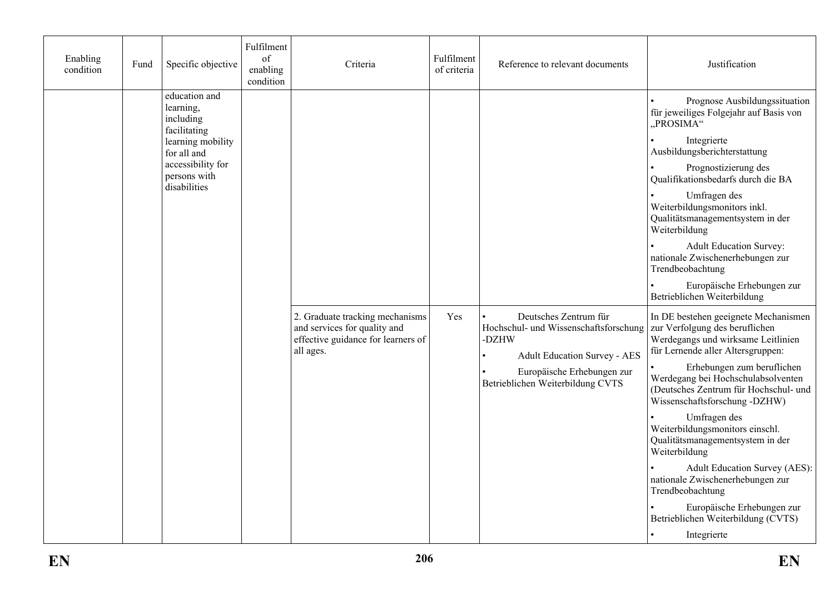| Enabling<br>condition | Fund | Specific objective                                                                                                                               | Fulfilment<br>of<br>enabling<br>condition | Criteria                                                                                                           | Fulfilment<br>of criteria | Reference to relevant documents                                                                                                                                                  | Justification                                                                                                                                                                                                                                                                                                                                                                                                                                                                                                                                                                              |
|-----------------------|------|--------------------------------------------------------------------------------------------------------------------------------------------------|-------------------------------------------|--------------------------------------------------------------------------------------------------------------------|---------------------------|----------------------------------------------------------------------------------------------------------------------------------------------------------------------------------|--------------------------------------------------------------------------------------------------------------------------------------------------------------------------------------------------------------------------------------------------------------------------------------------------------------------------------------------------------------------------------------------------------------------------------------------------------------------------------------------------------------------------------------------------------------------------------------------|
|                       |      | education and<br>learning,<br>including<br>facilitating<br>learning mobility<br>for all and<br>accessibility for<br>persons with<br>disabilities |                                           |                                                                                                                    |                           |                                                                                                                                                                                  | Prognose Ausbildungssituation<br>für jeweiliges Folgejahr auf Basis von<br>"PROSIMA"<br>Integrierte<br>Ausbildungsberichterstattung<br>Prognostizierung des<br>Qualifikationsbedarfs durch die BA<br>Umfragen des<br>Weiterbildungsmonitors inkl.<br>Qualitätsmanagementsystem in der<br>Weiterbildung<br><b>Adult Education Survey:</b><br>nationale Zwischenerhebungen zur<br>Trendbeobachtung<br>Europäische Erhebungen zur<br>Betrieblichen Weiterbildung                                                                                                                              |
|                       |      |                                                                                                                                                  |                                           | 2. Graduate tracking mechanisms<br>and services for quality and<br>effective guidance for learners of<br>all ages. | Yes                       | Deutsches Zentrum für<br>Hochschul- und Wissenschaftsforschung<br>-DZHW<br><b>Adult Education Survey - AES</b><br>Europäische Erhebungen zur<br>Betrieblichen Weiterbildung CVTS | In DE bestehen geeignete Mechanismen<br>zur Verfolgung des beruflichen<br>Werdegangs und wirksame Leitlinien<br>für Lernende aller Altersgruppen:<br>Erhebungen zum beruflichen<br>Werdegang bei Hochschulabsolventen<br>(Deutsches Zentrum für Hochschul- und<br>Wissenschaftsforschung -DZHW)<br>Umfragen des<br>Weiterbildungsmonitors einschl.<br>Qualitätsmanagementsystem in der<br>Weiterbildung<br><b>Adult Education Survey (AES):</b><br>nationale Zwischenerhebungen zur<br>Trendbeobachtung<br>Europäische Erhebungen zur<br>Betrieblichen Weiterbildung (CVTS)<br>Integrierte |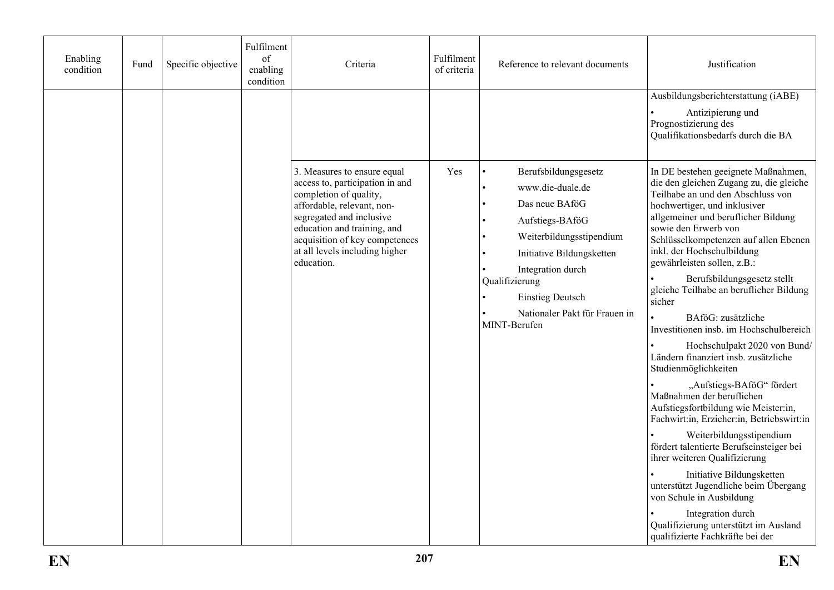| Enabling<br>condition | Fund | Specific objective | Fulfilment<br>of<br>enabling<br>condition | Criteria                                                                                                                                                                                                                                                            | Fulfilment<br>of criteria | Reference to relevant documents                                                                                                                                                                                                                           | Justification                                                                                                                                                                                                                                                                                                                                                                                                                                                                                                                                                                                                                                                                                                                                                                                                                                                                                                                                                                                                                             |
|-----------------------|------|--------------------|-------------------------------------------|---------------------------------------------------------------------------------------------------------------------------------------------------------------------------------------------------------------------------------------------------------------------|---------------------------|-----------------------------------------------------------------------------------------------------------------------------------------------------------------------------------------------------------------------------------------------------------|-------------------------------------------------------------------------------------------------------------------------------------------------------------------------------------------------------------------------------------------------------------------------------------------------------------------------------------------------------------------------------------------------------------------------------------------------------------------------------------------------------------------------------------------------------------------------------------------------------------------------------------------------------------------------------------------------------------------------------------------------------------------------------------------------------------------------------------------------------------------------------------------------------------------------------------------------------------------------------------------------------------------------------------------|
|                       |      |                    |                                           |                                                                                                                                                                                                                                                                     |                           |                                                                                                                                                                                                                                                           | Ausbildungsberichterstattung (iABE)<br>Antizipierung und<br>Prognostizierung des<br>Qualifikationsbedarfs durch die BA                                                                                                                                                                                                                                                                                                                                                                                                                                                                                                                                                                                                                                                                                                                                                                                                                                                                                                                    |
|                       |      |                    |                                           | 3. Measures to ensure equal<br>access to, participation in and<br>completion of quality,<br>affordable, relevant, non-<br>segregated and inclusive<br>education and training, and<br>acquisition of key competences<br>at all levels including higher<br>education. | Yes                       | Berufsbildungsgesetz<br>www.die-duale.de<br>Das neue BAföG<br>Aufstiegs-BAföG<br>Weiterbildungsstipendium<br>Initiative Bildungsketten<br>Integration durch<br>Qualifizierung<br><b>Einstieg Deutsch</b><br>Nationaler Pakt für Frauen in<br>MINT-Berufen | In DE bestehen geeignete Maßnahmen,<br>die den gleichen Zugang zu, die gleiche<br>Teilhabe an und den Abschluss von<br>hochwertiger, und inklusiver<br>allgemeiner und beruflicher Bildung<br>sowie den Erwerb von<br>Schlüsselkompetenzen auf allen Ebenen<br>inkl. der Hochschulbildung<br>gewährleisten sollen, z.B.:<br>Berufsbildungsgesetz stellt<br>gleiche Teilhabe an beruflicher Bildung<br>sicher<br>BAföG: zusätzliche<br>Investitionen insb. im Hochschulbereich<br>Hochschulpakt 2020 von Bund/<br>Ländern finanziert insb. zusätzliche<br>Studienmöglichkeiten<br>"Aufstiegs-BAföG" fördert<br>Maßnahmen der beruflichen<br>Aufstiegsfortbildung wie Meister:in,<br>Fachwirt:in, Erzieher:in, Betriebswirt:in<br>Weiterbildungsstipendium<br>fördert talentierte Berufseinsteiger bei<br>ihrer weiteren Qualifizierung<br>Initiative Bildungsketten<br>unterstützt Jugendliche beim Übergang<br>von Schule in Ausbildung<br>Integration durch<br>Qualifizierung unterstützt im Ausland<br>qualifizierte Fachkräfte bei der |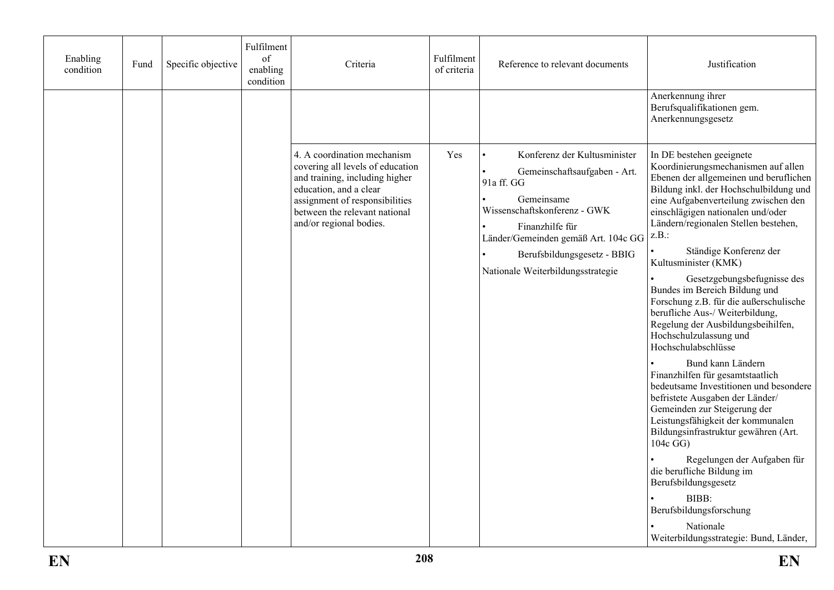| Enabling<br>condition | Fund | Specific objective | Fulfilment<br>of<br>enabling<br>condition | Criteria                                                                                                                                                                                                                  | Fulfilment<br>of criteria | Reference to relevant documents                                                                                                                                                                                                                        | Justification                                                                                                                                                                                                                                                                                                                                                                                                                                                                                                                                                                                                                                                                                                                                                                                                                                                                                                                                                                                                           |
|-----------------------|------|--------------------|-------------------------------------------|---------------------------------------------------------------------------------------------------------------------------------------------------------------------------------------------------------------------------|---------------------------|--------------------------------------------------------------------------------------------------------------------------------------------------------------------------------------------------------------------------------------------------------|-------------------------------------------------------------------------------------------------------------------------------------------------------------------------------------------------------------------------------------------------------------------------------------------------------------------------------------------------------------------------------------------------------------------------------------------------------------------------------------------------------------------------------------------------------------------------------------------------------------------------------------------------------------------------------------------------------------------------------------------------------------------------------------------------------------------------------------------------------------------------------------------------------------------------------------------------------------------------------------------------------------------------|
|                       |      |                    |                                           |                                                                                                                                                                                                                           |                           |                                                                                                                                                                                                                                                        | Anerkennung ihrer<br>Berufsqualifikationen gem.<br>Anerkennungsgesetz                                                                                                                                                                                                                                                                                                                                                                                                                                                                                                                                                                                                                                                                                                                                                                                                                                                                                                                                                   |
|                       |      |                    |                                           | 4. A coordination mechanism<br>covering all levels of education<br>and training, including higher<br>education, and a clear<br>assignment of responsibilities<br>between the relevant national<br>and/or regional bodies. | Yes                       | Konferenz der Kultusminister<br>Gemeinschaftsaufgaben - Art.<br>91a ff. GG<br>Gemeinsame<br>Wissenschaftskonferenz - GWK<br>Finanzhilfe für<br>Länder/Gemeinden gemäß Art. 104c GG<br>Berufsbildungsgesetz - BBIG<br>Nationale Weiterbildungsstrategie | In DE bestehen geeignete<br>Koordinierungsmechanismen auf allen<br>Ebenen der allgemeinen und beruflichen<br>Bildung inkl. der Hochschulbildung und<br>eine Aufgabenverteilung zwischen den<br>einschlägigen nationalen und/oder<br>Ländern/regionalen Stellen bestehen,<br>z.B.:<br>Ständige Konferenz der<br>Kultusminister (KMK)<br>Gesetzgebungsbefugnisse des<br>Bundes im Bereich Bildung und<br>Forschung z.B. für die außerschulische<br>berufliche Aus-/ Weiterbildung,<br>Regelung der Ausbildungsbeihilfen,<br>Hochschulzulassung und<br>Hochschulabschlüsse<br>Bund kann Ländern<br>Finanzhilfen für gesamtstaatlich<br>bedeutsame Investitionen und besondere<br>befristete Ausgaben der Länder/<br>Gemeinden zur Steigerung der<br>Leistungsfähigkeit der kommunalen<br>Bildungsinfrastruktur gewähren (Art.<br>$104c$ GG)<br>Regelungen der Aufgaben für<br>die berufliche Bildung im<br>Berufsbildungsgesetz<br>BIBB:<br>Berufsbildungsforschung<br>Nationale<br>Weiterbildungsstrategie: Bund, Länder, |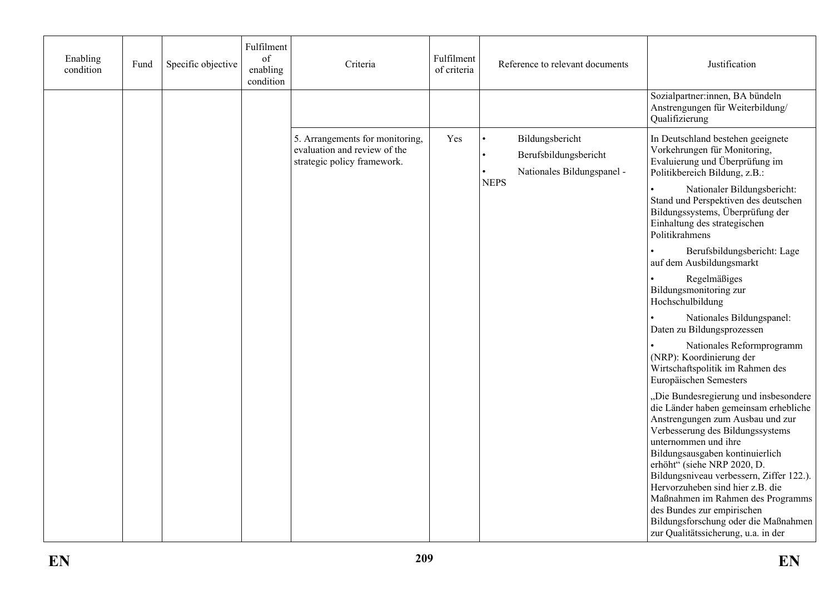| Enabling<br>condition | Fund | Specific objective | Fulfilment<br>of<br>enabling<br>condition | Criteria                                                                                       | Fulfilment<br>of criteria | Reference to relevant documents                                        | Justification                                                                                                                                                                                                                                                                                                                                                                                                                                                                      |
|-----------------------|------|--------------------|-------------------------------------------|------------------------------------------------------------------------------------------------|---------------------------|------------------------------------------------------------------------|------------------------------------------------------------------------------------------------------------------------------------------------------------------------------------------------------------------------------------------------------------------------------------------------------------------------------------------------------------------------------------------------------------------------------------------------------------------------------------|
|                       |      |                    |                                           |                                                                                                |                           |                                                                        | Sozialpartner:innen, BA bündeln<br>Anstrengungen für Weiterbildung/<br>Qualifizierung                                                                                                                                                                                                                                                                                                                                                                                              |
|                       |      |                    |                                           | 5. Arrangements for monitoring,<br>evaluation and review of the<br>strategic policy framework. | Yes                       | Bildungsbericht<br>Berufsbildungsbericht<br>Nationales Bildungspanel - | In Deutschland bestehen geeignete<br>Vorkehrungen für Monitoring,<br>Evaluierung und Überprüfung im<br>Politikbereich Bildung, z.B.:                                                                                                                                                                                                                                                                                                                                               |
|                       |      |                    |                                           |                                                                                                |                           | <b>NEPS</b>                                                            | Nationaler Bildungsbericht:<br>Stand und Perspektiven des deutschen<br>Bildungssystems, Überprüfung der<br>Einhaltung des strategischen<br>Politikrahmens                                                                                                                                                                                                                                                                                                                          |
|                       |      |                    |                                           |                                                                                                |                           |                                                                        | Berufsbildungsbericht: Lage<br>auf dem Ausbildungsmarkt                                                                                                                                                                                                                                                                                                                                                                                                                            |
|                       |      |                    |                                           |                                                                                                |                           |                                                                        | Regelmäßiges<br>Bildungsmonitoring zur<br>Hochschulbildung                                                                                                                                                                                                                                                                                                                                                                                                                         |
|                       |      |                    |                                           |                                                                                                |                           |                                                                        | Nationales Bildungspanel:<br>Daten zu Bildungsprozessen                                                                                                                                                                                                                                                                                                                                                                                                                            |
|                       |      |                    |                                           |                                                                                                |                           |                                                                        | Nationales Reformprogramm<br>(NRP): Koordinierung der<br>Wirtschaftspolitik im Rahmen des<br>Europäischen Semesters                                                                                                                                                                                                                                                                                                                                                                |
|                       |      |                    |                                           |                                                                                                |                           |                                                                        | "Die Bundesregierung und insbesondere<br>die Länder haben gemeinsam erhebliche<br>Anstrengungen zum Ausbau und zur<br>Verbesserung des Bildungssystems<br>unternommen und ihre<br>Bildungsausgaben kontinuierlich<br>erhöht" (siehe NRP 2020, D.<br>Bildungsniveau verbessern, Ziffer 122.).<br>Hervorzuheben sind hier z.B. die<br>Maßnahmen im Rahmen des Programms<br>des Bundes zur empirischen<br>Bildungsforschung oder die Maßnahmen<br>zur Qualitätssicherung, u.a. in der |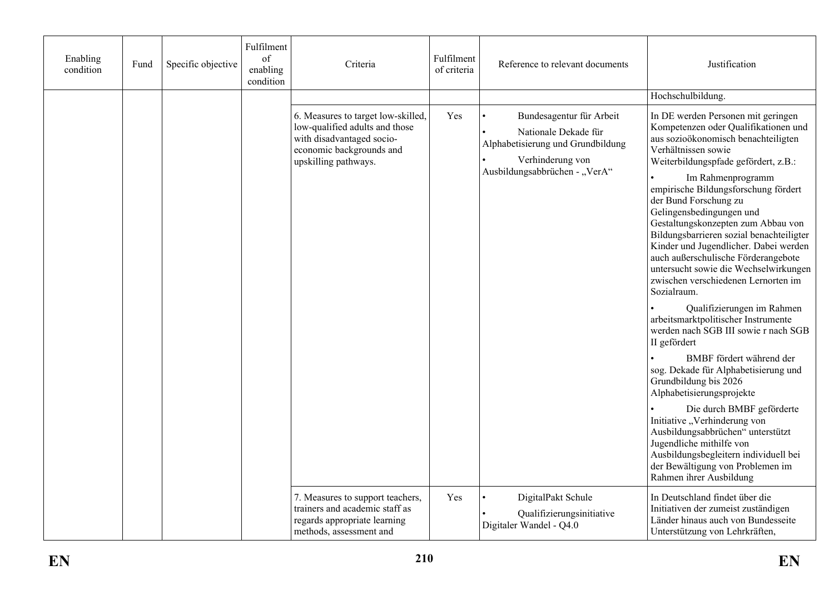| Enabling<br>condition | Fund | Specific objective | Fulfilment<br>of<br>enabling<br>condition | Criteria                                                                                                                                              | Fulfilment<br>of criteria | Reference to relevant documents                                                                                                            | Justification                                                                                                                                                                                                                                                                                                                                                                                                                                                                                                                                                                                                                                                                                                                                                                                                                                                                                                                                                                                                                         |
|-----------------------|------|--------------------|-------------------------------------------|-------------------------------------------------------------------------------------------------------------------------------------------------------|---------------------------|--------------------------------------------------------------------------------------------------------------------------------------------|---------------------------------------------------------------------------------------------------------------------------------------------------------------------------------------------------------------------------------------------------------------------------------------------------------------------------------------------------------------------------------------------------------------------------------------------------------------------------------------------------------------------------------------------------------------------------------------------------------------------------------------------------------------------------------------------------------------------------------------------------------------------------------------------------------------------------------------------------------------------------------------------------------------------------------------------------------------------------------------------------------------------------------------|
|                       |      |                    |                                           |                                                                                                                                                       |                           |                                                                                                                                            | Hochschulbildung.                                                                                                                                                                                                                                                                                                                                                                                                                                                                                                                                                                                                                                                                                                                                                                                                                                                                                                                                                                                                                     |
|                       |      |                    |                                           | 6. Measures to target low-skilled,<br>low-qualified adults and those<br>with disadvantaged socio-<br>economic backgrounds and<br>upskilling pathways. | Yes                       | Bundesagentur für Arbeit<br>Nationale Dekade für<br>Alphabetisierung und Grundbildung<br>Verhinderung von<br>Ausbildungsabbrüchen - "VerA" | In DE werden Personen mit geringen<br>Kompetenzen oder Qualifikationen und<br>aus sozioökonomisch benachteiligten<br>Verhältnissen sowie<br>Weiterbildungspfade gefördert, z.B.:<br>Im Rahmenprogramm<br>empirische Bildungsforschung fördert<br>der Bund Forschung zu<br>Gelingensbedingungen und<br>Gestaltungskonzepten zum Abbau von<br>Bildungsbarrieren sozial benachteiligter<br>Kinder und Jugendlicher. Dabei werden<br>auch außerschulische Förderangebote<br>untersucht sowie die Wechselwirkungen<br>zwischen verschiedenen Lernorten im<br>Sozialraum.<br>Qualifizierungen im Rahmen<br>arbeitsmarktpolitischer Instrumente<br>werden nach SGB III sowie r nach SGB<br>II gefördert<br>BMBF fördert während der<br>sog. Dekade für Alphabetisierung und<br>Grundbildung bis 2026<br>Alphabetisierungsprojekte<br>Die durch BMBF geförderte<br>Initiative "Verhinderung von<br>Ausbildungsabbrüchen" unterstützt<br>Jugendliche mithilfe von<br>Ausbildungsbegleitern individuell bei<br>der Bewältigung von Problemen im |
|                       |      |                    |                                           | 7. Measures to support teachers,<br>trainers and academic staff as<br>regards appropriate learning<br>methods, assessment and                         | Yes                       | DigitalPakt Schule<br>Qualifizierungsinitiative<br>Digitaler Wandel - Q4.0                                                                 | Rahmen ihrer Ausbildung<br>In Deutschland findet über die<br>Initiativen der zumeist zuständigen<br>Länder hinaus auch von Bundesseite<br>Unterstützung von Lehrkräften,                                                                                                                                                                                                                                                                                                                                                                                                                                                                                                                                                                                                                                                                                                                                                                                                                                                              |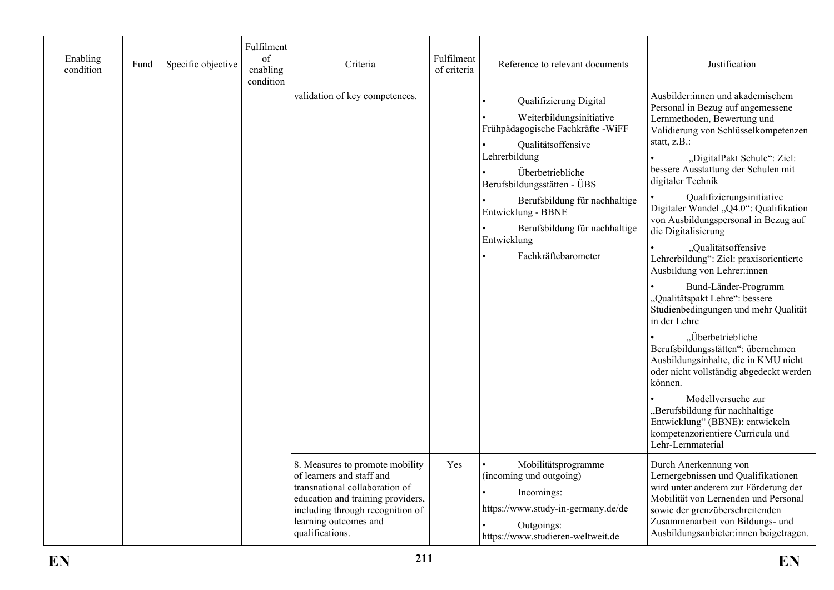| Enabling<br>condition | Fund | Specific objective | Fulfilment<br>of<br>enabling<br>condition | Criteria                                                                                                                                                                                                            | Fulfilment<br>of criteria | Reference to relevant documents                                                                                                                                                                                                                                                                                  | Justification                                                                                                                                                                                                                                                                                                                                                                                                                                                                                                                                                                                                                                                                                                                                                                                                                                                                                                                  |
|-----------------------|------|--------------------|-------------------------------------------|---------------------------------------------------------------------------------------------------------------------------------------------------------------------------------------------------------------------|---------------------------|------------------------------------------------------------------------------------------------------------------------------------------------------------------------------------------------------------------------------------------------------------------------------------------------------------------|--------------------------------------------------------------------------------------------------------------------------------------------------------------------------------------------------------------------------------------------------------------------------------------------------------------------------------------------------------------------------------------------------------------------------------------------------------------------------------------------------------------------------------------------------------------------------------------------------------------------------------------------------------------------------------------------------------------------------------------------------------------------------------------------------------------------------------------------------------------------------------------------------------------------------------|
|                       |      |                    |                                           | validation of key competences.                                                                                                                                                                                      |                           | Qualifizierung Digital<br>Weiterbildungsinitiative<br>Frühpädagogische Fachkräfte - WiFF<br>Qualitätsoffensive<br>Lehrerbildung<br>Überbetriebliche<br>Berufsbildungsstätten - ÜBS<br>Berufsbildung für nachhaltige<br>Entwicklung - BBNE<br>Berufsbildung für nachhaltige<br>Entwicklung<br>Fachkräftebarometer | Ausbilder:innen und akademischem<br>Personal in Bezug auf angemessene<br>Lernmethoden, Bewertung und<br>Validierung von Schlüsselkompetenzen<br>statt, z.B.:<br>"DigitalPakt Schule": Ziel:<br>bessere Ausstattung der Schulen mit<br>digitaler Technik<br>Qualifizierungsinitiative<br>Digitaler Wandel "Q4.0": Qualifikation<br>von Ausbildungspersonal in Bezug auf<br>die Digitalisierung<br>"Qualitätsoffensive<br>Lehrerbildung": Ziel: praxisorientierte<br>Ausbildung von Lehrer:innen<br>Bund-Länder-Programm<br>"Qualitätspakt Lehre": bessere<br>Studienbedingungen und mehr Qualität<br>in der Lehre<br>"Überbetriebliche<br>Berufsbildungsstätten": übernehmen<br>Ausbildungsinhalte, die in KMU nicht<br>oder nicht vollständig abgedeckt werden<br>können.<br>Modellversuche zur<br>"Berufsbildung für nachhaltige<br>Entwicklung" (BBNE): entwickeln<br>kompetenzorientiere Curricula und<br>Lehr-Lernmaterial |
|                       |      |                    |                                           | 8. Measures to promote mobility<br>of learners and staff and<br>transnational collaboration of<br>education and training providers,<br>including through recognition of<br>learning outcomes and<br>qualifications. | Yes                       | Mobilitätsprogramme<br>(incoming und outgoing)<br>Incomings:<br>https://www.study-in-germany.de/de<br>Outgoings:<br>https://www.studieren-weltweit.de                                                                                                                                                            | Durch Anerkennung von<br>Lernergebnissen und Qualifikationen<br>wird unter anderem zur Förderung der<br>Mobilität von Lernenden und Personal<br>sowie der grenzüberschreitenden<br>Zusammenarbeit von Bildungs- und<br>Ausbildungsanbieter:innen beigetragen.                                                                                                                                                                                                                                                                                                                                                                                                                                                                                                                                                                                                                                                                  |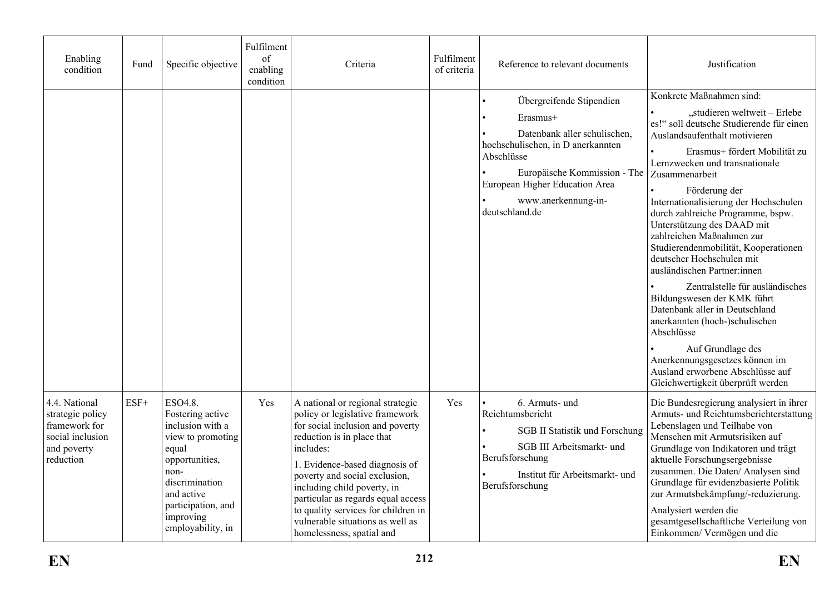| Enabling<br>condition                                                                              | Fund   | Specific objective                                                                                                                                                                              | Fulfilment<br>of<br>enabling<br>condition | Criteria                                                                                                                                                                                                                                                                                                                                                                                           | Fulfilment<br>of criteria | Reference to relevant documents                                                                                                                                                                                                    | Justification                                                                                                                                                                                                                                                                                                                                                                                                                                                                                                                                                                                                                                                                                                                                                                |
|----------------------------------------------------------------------------------------------------|--------|-------------------------------------------------------------------------------------------------------------------------------------------------------------------------------------------------|-------------------------------------------|----------------------------------------------------------------------------------------------------------------------------------------------------------------------------------------------------------------------------------------------------------------------------------------------------------------------------------------------------------------------------------------------------|---------------------------|------------------------------------------------------------------------------------------------------------------------------------------------------------------------------------------------------------------------------------|------------------------------------------------------------------------------------------------------------------------------------------------------------------------------------------------------------------------------------------------------------------------------------------------------------------------------------------------------------------------------------------------------------------------------------------------------------------------------------------------------------------------------------------------------------------------------------------------------------------------------------------------------------------------------------------------------------------------------------------------------------------------------|
|                                                                                                    |        |                                                                                                                                                                                                 |                                           |                                                                                                                                                                                                                                                                                                                                                                                                    |                           | Übergreifende Stipendien<br>Erasmus+<br>Datenbank aller schulischen,<br>hochschulischen, in D anerkannten<br>Abschlüsse<br>Europäische Kommission - The<br>European Higher Education Area<br>www.anerkennung-in-<br>deutschland.de | Konkrete Maßnahmen sind:<br>"studieren weltweit - Erlebe<br>es!" soll deutsche Studierende für einen<br>Auslandsaufenthalt motivieren<br>Erasmus+ fördert Mobilität zu<br>Lernzwecken und transnationale<br>Zusammenarbeit<br>Förderung der<br>Internationalisierung der Hochschulen<br>durch zahlreiche Programme, bspw.<br>Unterstützung des DAAD mit<br>zahlreichen Maßnahmen zur<br>Studierendenmobilität, Kooperationen<br>deutscher Hochschulen mit<br>ausländischen Partner:innen<br>Zentralstelle für ausländisches<br>Bildungswesen der KMK führt<br>Datenbank aller in Deutschland<br>anerkannten (hoch-)schulischen<br>Abschlüsse<br>Auf Grundlage des<br>Anerkennungsgesetzes können im<br>Ausland erworbene Abschlüsse auf<br>Gleichwertigkeit überprüft werden |
| 4.4. National<br>strategic policy<br>framework for<br>social inclusion<br>and poverty<br>reduction | $ESF+$ | ESO4.8.<br>Fostering active<br>inclusion with a<br>view to promoting<br>equal<br>opportunities,<br>non-<br>discrimination<br>and active<br>participation, and<br>improving<br>employability, in | Yes                                       | A national or regional strategic<br>policy or legislative framework<br>for social inclusion and poverty<br>reduction is in place that<br>includes:<br>1. Evidence-based diagnosis of<br>poverty and social exclusion,<br>including child poverty, in<br>particular as regards equal access<br>to quality services for children in<br>vulnerable situations as well as<br>homelessness, spatial and | Yes                       | 6. Armuts- und<br>Reichtumsbericht<br><b>SGB II Statistik und Forschung</b><br>SGB III Arbeitsmarkt- und<br>Berufsforschung<br>Institut für Arbeitsmarkt- und<br>Berufsforschung                                                   | Die Bundesregierung analysiert in ihrer<br>Armuts- und Reichtumsberichterstattung<br>Lebenslagen und Teilhabe von<br>Menschen mit Armutsrisiken auf<br>Grundlage von Indikatoren und trägt<br>aktuelle Forschungsergebnisse<br>zusammen. Die Daten/ Analysen sind<br>Grundlage für evidenzbasierte Politik<br>zur Armutsbekämpfung/-reduzierung.<br>Analysiert werden die<br>gesamtgesellschaftliche Verteilung von<br>Einkommen/Vermögen und die                                                                                                                                                                                                                                                                                                                            |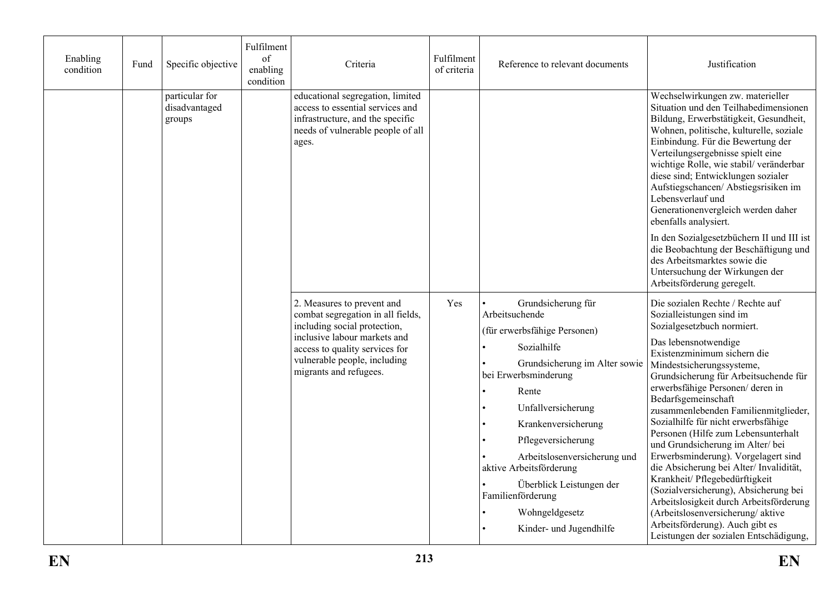| Enabling<br>condition | Fund | Specific objective                        | Fulfilment<br>of<br>enabling<br>condition | Criteria                                                                                                                                                                                                                    | Fulfilment<br>of criteria | Reference to relevant documents                                                                                                                                                                                                                                                                                                                                                   | Justification                                                                                                                                                                                                                                                                                                                                                                                                                                                                                                                                                                                                                                                                                                                                                       |
|-----------------------|------|-------------------------------------------|-------------------------------------------|-----------------------------------------------------------------------------------------------------------------------------------------------------------------------------------------------------------------------------|---------------------------|-----------------------------------------------------------------------------------------------------------------------------------------------------------------------------------------------------------------------------------------------------------------------------------------------------------------------------------------------------------------------------------|---------------------------------------------------------------------------------------------------------------------------------------------------------------------------------------------------------------------------------------------------------------------------------------------------------------------------------------------------------------------------------------------------------------------------------------------------------------------------------------------------------------------------------------------------------------------------------------------------------------------------------------------------------------------------------------------------------------------------------------------------------------------|
|                       |      | particular for<br>disadvantaged<br>groups |                                           | educational segregation, limited<br>access to essential services and<br>infrastructure, and the specific<br>needs of vulnerable people of all<br>ages.                                                                      |                           |                                                                                                                                                                                                                                                                                                                                                                                   | Wechselwirkungen zw. materieller<br>Situation und den Teilhabedimensionen<br>Bildung, Erwerbstätigkeit, Gesundheit,<br>Wohnen, politische, kulturelle, soziale<br>Einbindung. Für die Bewertung der<br>Verteilungsergebnisse spielt eine<br>wichtige Rolle, wie stabil/veränderbar<br>diese sind; Entwicklungen sozialer<br>Aufstiegschancen/ Abstiegsrisiken im<br>Lebensverlauf und<br>Generationenvergleich werden daher<br>ebenfalls analysiert.<br>In den Sozialgesetzbüchern II und III ist<br>die Beobachtung der Beschäftigung und<br>des Arbeitsmarktes sowie die<br>Untersuchung der Wirkungen der<br>Arbeitsförderung geregelt.                                                                                                                          |
|                       |      |                                           |                                           | 2. Measures to prevent and<br>combat segregation in all fields,<br>including social protection,<br>inclusive labour markets and<br>access to quality services for<br>vulnerable people, including<br>migrants and refugees. | Yes                       | Grundsicherung für<br>Arbeitsuchende<br>(für erwerbsfähige Personen)<br>Sozialhilfe<br>Grundsicherung im Alter sowie<br>bei Erwerbsminderung<br>Rente<br>Unfallversicherung<br>Krankenversicherung<br>Pflegeversicherung<br>Arbeitslosenversicherung und<br>aktive Arbeitsförderung<br>Überblick Leistungen der<br>Familienförderung<br>Wohngeldgesetz<br>Kinder- und Jugendhilfe | Die sozialen Rechte / Rechte auf<br>Sozialleistungen sind im<br>Sozialgesetzbuch normiert.<br>Das lebensnotwendige<br>Existenzminimum sichern die<br>Mindestsicherungssysteme,<br>Grundsicherung für Arbeitsuchende für<br>erwerbsfähige Personen/ deren in<br>Bedarfsgemeinschaft<br>zusammenlebenden Familienmitglieder,<br>Sozialhilfe für nicht erwerbsfähige<br>Personen (Hilfe zum Lebensunterhalt<br>und Grundsicherung im Alter/bei<br>Erwerbsminderung). Vorgelagert sind<br>die Absicherung bei Alter/Invalidität,<br>Krankheit/ Pflegebedürftigkeit<br>(Sozialversicherung), Absicherung bei<br>Arbeitslosigkeit durch Arbeitsförderung<br>(Arbeitslosenversicherung/aktive<br>Arbeitsförderung). Auch gibt es<br>Leistungen der sozialen Entschädigung, |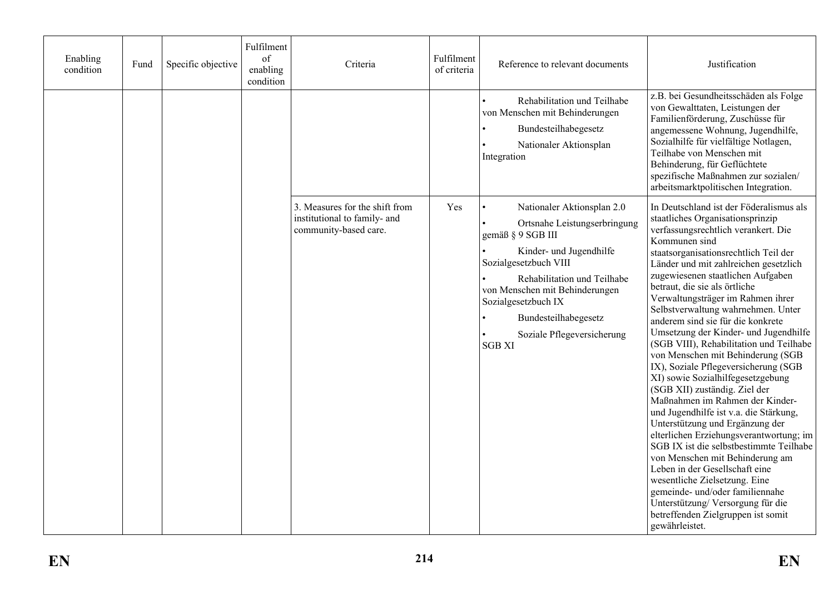| Enabling<br>condition | Fund | Specific objective | Fulfilment<br>of<br>enabling<br>condition | Criteria                                                                                | Fulfilment<br>of criteria | Reference to relevant documents                                                                                                                                                                                                                                                                    | Justification                                                                                                                                                                                                                                                                                                                                                                                                                                                                                                                                                                                                                                                                                                                                                                                                                                                                                                                                                                                                                                                                                 |
|-----------------------|------|--------------------|-------------------------------------------|-----------------------------------------------------------------------------------------|---------------------------|----------------------------------------------------------------------------------------------------------------------------------------------------------------------------------------------------------------------------------------------------------------------------------------------------|-----------------------------------------------------------------------------------------------------------------------------------------------------------------------------------------------------------------------------------------------------------------------------------------------------------------------------------------------------------------------------------------------------------------------------------------------------------------------------------------------------------------------------------------------------------------------------------------------------------------------------------------------------------------------------------------------------------------------------------------------------------------------------------------------------------------------------------------------------------------------------------------------------------------------------------------------------------------------------------------------------------------------------------------------------------------------------------------------|
|                       |      |                    |                                           |                                                                                         |                           | Rehabilitation und Teilhabe<br>von Menschen mit Behinderungen<br>Bundesteilhabegesetz<br>Nationaler Aktionsplan<br>Integration                                                                                                                                                                     | z.B. bei Gesundheitsschäden als Folge<br>von Gewalttaten, Leistungen der<br>Familienförderung, Zuschüsse für<br>angemessene Wohnung, Jugendhilfe,<br>Sozialhilfe für vielfältige Notlagen,<br>Teilhabe von Menschen mit<br>Behinderung, für Geflüchtete<br>spezifische Maßnahmen zur sozialen/<br>arbeitsmarktpolitischen Integration.                                                                                                                                                                                                                                                                                                                                                                                                                                                                                                                                                                                                                                                                                                                                                        |
|                       |      |                    |                                           | 3. Measures for the shift from<br>institutional to family- and<br>community-based care. | Yes                       | Nationaler Aktionsplan 2.0<br>Ortsnahe Leistungserbringung<br>gemäß § 9 SGB III<br>Kinder- und Jugendhilfe<br>Sozialgesetzbuch VIII<br>Rehabilitation und Teilhabe<br>von Menschen mit Behinderungen<br>Sozialgesetzbuch IX<br>Bundesteilhabegesetz<br>Soziale Pflegeversicherung<br><b>SGB XI</b> | In Deutschland ist der Föderalismus als<br>staatliches Organisationsprinzip<br>verfassungsrechtlich verankert. Die<br>Kommunen sind<br>staatsorganisationsrechtlich Teil der<br>Länder und mit zahlreichen gesetzlich<br>zugewiesenen staatlichen Aufgaben<br>betraut, die sie als örtliche<br>Verwaltungsträger im Rahmen ihrer<br>Selbstverwaltung wahrnehmen. Unter<br>anderem sind sie für die konkrete<br>Umsetzung der Kinder- und Jugendhilfe<br>(SGB VIII), Rehabilitation und Teilhabe<br>von Menschen mit Behinderung (SGB<br>IX), Soziale Pflegeversicherung (SGB<br>XI) sowie Sozialhilfegesetzgebung<br>(SGB XII) zuständig. Ziel der<br>Maßnahmen im Rahmen der Kinder-<br>und Jugendhilfe ist v.a. die Stärkung,<br>Unterstützung und Ergänzung der<br>elterlichen Erziehungsverantwortung; im<br>SGB IX ist die selbstbestimmte Teilhabe<br>von Menschen mit Behinderung am<br>Leben in der Gesellschaft eine<br>wesentliche Zielsetzung. Eine<br>gemeinde- und/oder familiennahe<br>Unterstützung/Versorgung für die<br>betreffenden Zielgruppen ist somit<br>gewährleistet. |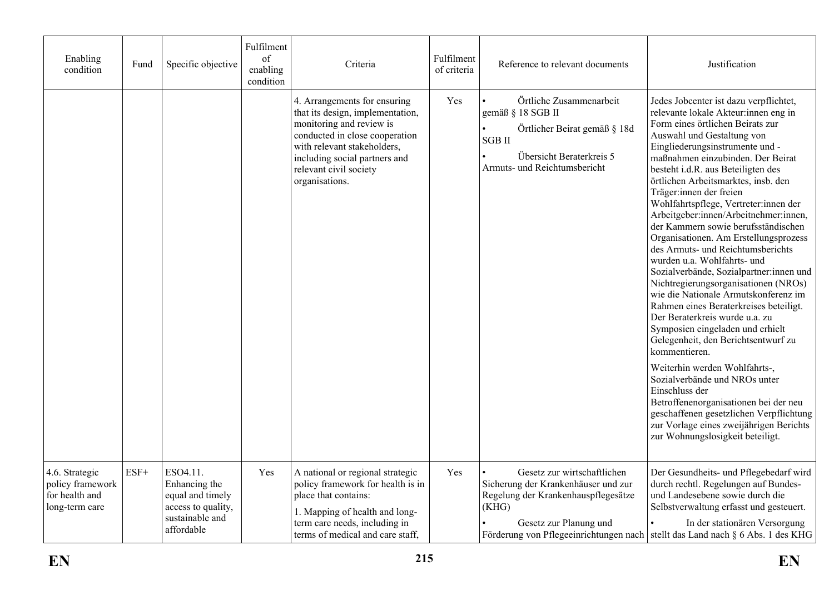| Enabling<br>condition                                                  | Fund   | Specific objective                                                                                   | Fulfilment<br>of<br>enabling<br>condition | Criteria                                                                                                                                                                                                                                   | Fulfilment<br>of criteria | Reference to relevant documents                                                                                                                           | Justification                                                                                                                                                                                                                                                                                                                                                                                                                                                                                                                                                                                                                                                                                                                                                                                                                                                                                                                                                                                                                                                                                                                     |
|------------------------------------------------------------------------|--------|------------------------------------------------------------------------------------------------------|-------------------------------------------|--------------------------------------------------------------------------------------------------------------------------------------------------------------------------------------------------------------------------------------------|---------------------------|-----------------------------------------------------------------------------------------------------------------------------------------------------------|-----------------------------------------------------------------------------------------------------------------------------------------------------------------------------------------------------------------------------------------------------------------------------------------------------------------------------------------------------------------------------------------------------------------------------------------------------------------------------------------------------------------------------------------------------------------------------------------------------------------------------------------------------------------------------------------------------------------------------------------------------------------------------------------------------------------------------------------------------------------------------------------------------------------------------------------------------------------------------------------------------------------------------------------------------------------------------------------------------------------------------------|
|                                                                        |        |                                                                                                      |                                           | 4. Arrangements for ensuring<br>that its design, implementation,<br>monitoring and review is<br>conducted in close cooperation<br>with relevant stakeholders,<br>including social partners and<br>relevant civil society<br>organisations. | Yes                       | Örtliche Zusammenarbeit<br>gemäß § 18 SGB II<br>Örtlicher Beirat gemäß § 18d<br><b>SGB II</b><br>Übersicht Beraterkreis 5<br>Armuts- und Reichtumsbericht | Jedes Jobcenter ist dazu verpflichtet,<br>relevante lokale Akteur:innen eng in<br>Form eines örtlichen Beirats zur<br>Auswahl und Gestaltung von<br>Eingliederungsinstrumente und -<br>maßnahmen einzubinden. Der Beirat<br>besteht i.d.R. aus Beteiligten des<br>örtlichen Arbeitsmarktes, insb. den<br>Träger: innen der freien<br>Wohlfahrtspflege, Vertreter:innen der<br>Arbeitgeber:innen/Arbeitnehmer:innen,<br>der Kammern sowie berufsständischen<br>Organisationen. Am Erstellungsprozess<br>des Armuts- und Reichtumsberichts<br>wurden u.a. Wohlfahrts- und<br>Sozialverbände, Sozialpartner:innen und<br>Nichtregierungsorganisationen (NROs)<br>wie die Nationale Armutskonferenz im<br>Rahmen eines Beraterkreises beteiligt.<br>Der Beraterkreis wurde u.a. zu<br>Symposien eingeladen und erhielt<br>Gelegenheit, den Berichtsentwurf zu<br>kommentieren.<br>Weiterhin werden Wohlfahrts-,<br>Sozialverbände und NROs unter<br>Einschluss der<br>Betroffenenorganisationen bei der neu<br>geschaffenen gesetzlichen Verpflichtung<br>zur Vorlage eines zweijährigen Berichts<br>zur Wohnungslosigkeit beteiligt. |
| 4.6. Strategic<br>policy framework<br>for health and<br>long-term care | $ESF+$ | ESO4.11.<br>Enhancing the<br>equal and timely<br>access to quality,<br>sustainable and<br>affordable | Yes                                       | A national or regional strategic<br>policy framework for health is in<br>place that contains:<br>1. Mapping of health and long-<br>term care needs, including in<br>terms of medical and care staff,                                       | Yes                       | Gesetz zur wirtschaftlichen<br>Sicherung der Krankenhäuser und zur<br>Regelung der Krankenhauspflegesätze<br>(KHG)<br>Gesetz zur Planung und              | Der Gesundheits- und Pflegebedarf wird<br>durch rechtl. Regelungen auf Bundes-<br>und Landesebene sowie durch die<br>Selbstverwaltung erfasst und gesteuert.<br>In der stationären Versorgung<br>Förderung von Pflegeeinrichtungen nach stellt das Land nach § 6 Abs. 1 des KHG                                                                                                                                                                                                                                                                                                                                                                                                                                                                                                                                                                                                                                                                                                                                                                                                                                                   |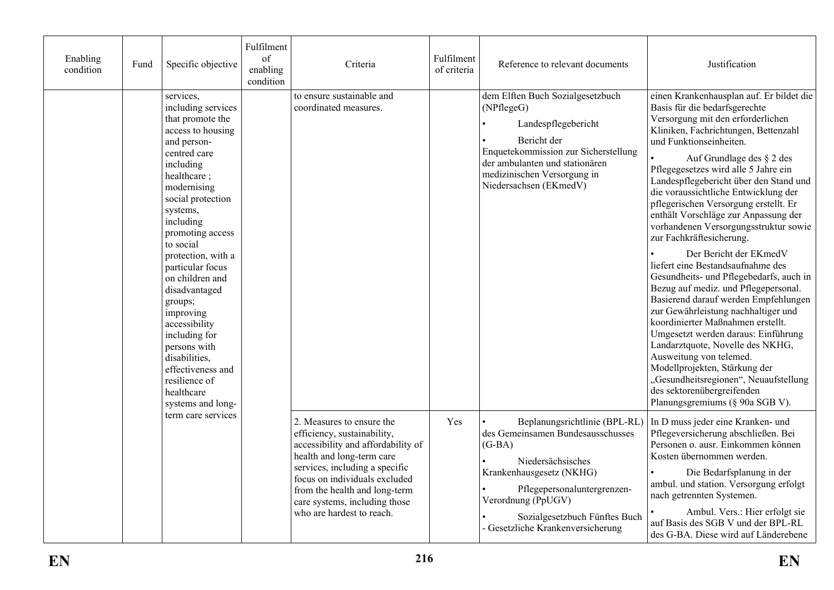| Enabling<br>condition | Fund               | Specific objective                                                                                                                                                                                                                                                                                                                                                                                                                                                                  | Fulfilment<br>of<br>enabling<br>condition          | Criteria                                                                                                                                                                                                                                                   | Fulfilment<br>of criteria                                                                                                                                                                                                                                                                                                                                       | Reference to relevant documents                                                                                                                                                                                                                                                                                                                                                                                                                                                                                                                                                                                                                                                                                                                                                                                                                                                                                                                                                                                       | Justification |
|-----------------------|--------------------|-------------------------------------------------------------------------------------------------------------------------------------------------------------------------------------------------------------------------------------------------------------------------------------------------------------------------------------------------------------------------------------------------------------------------------------------------------------------------------------|----------------------------------------------------|------------------------------------------------------------------------------------------------------------------------------------------------------------------------------------------------------------------------------------------------------------|-----------------------------------------------------------------------------------------------------------------------------------------------------------------------------------------------------------------------------------------------------------------------------------------------------------------------------------------------------------------|-----------------------------------------------------------------------------------------------------------------------------------------------------------------------------------------------------------------------------------------------------------------------------------------------------------------------------------------------------------------------------------------------------------------------------------------------------------------------------------------------------------------------------------------------------------------------------------------------------------------------------------------------------------------------------------------------------------------------------------------------------------------------------------------------------------------------------------------------------------------------------------------------------------------------------------------------------------------------------------------------------------------------|---------------|
|                       |                    | services,<br>including services<br>that promote the<br>access to housing<br>and person-<br>centred care<br>including<br>healthcare;<br>modernising<br>social protection<br>systems,<br>including<br>promoting access<br>to social<br>protection, with a<br>particular focus<br>on children and<br>disadvantaged<br>groups;<br>improving<br>accessibility<br>including for<br>persons with<br>disabilities,<br>effectiveness and<br>resilience of<br>healthcare<br>systems and long- | to ensure sustainable and<br>coordinated measures. |                                                                                                                                                                                                                                                            | dem Elften Buch Sozialgesetzbuch<br>(NPflegeG)<br>Landespflegebericht<br>Bericht der<br>Enquetekommission zur Sicherstellung<br>der ambulanten und stationären<br>medizinischen Versorgung in<br>Niedersachsen (EKmedV)                                                                                                                                         | einen Krankenhausplan auf. Er bildet die<br>Basis für die bedarfsgerechte<br>Versorgung mit den erforderlichen<br>Kliniken, Fachrichtungen, Bettenzahl<br>und Funktionseinheiten.<br>Auf Grundlage des § 2 des<br>Pflegegesetzes wird alle 5 Jahre ein<br>Landespflegebericht über den Stand und<br>die voraussichtliche Entwicklung der<br>pflegerischen Versorgung erstellt. Er<br>enthält Vorschläge zur Anpassung der<br>vorhandenen Versorgungsstruktur sowie<br>zur Fachkräftesicherung.<br>Der Bericht der EKmedV<br>liefert eine Bestandsaufnahme des<br>Gesundheits- und Pflegebedarfs, auch in<br>Bezug auf mediz. und Pflegepersonal.<br>Basierend darauf werden Empfehlungen<br>zur Gewährleistung nachhaltiger und<br>koordinierter Maßnahmen erstellt.<br>Umgesetzt werden daraus: Einführung<br>Landarztquote, Novelle des NKHG,<br>Ausweitung von telemed.<br>Modellprojekten, Stärkung der<br>"Gesundheitsregionen", Neuaufstellung<br>des sektorenübergreifenden<br>Planungsgremiums (§ 90a SGB V). |               |
|                       | term care services | 2. Measures to ensure the<br>efficiency, sustainability,<br>accessibility and affordability of<br>health and long-term care<br>services, including a specific<br>focus on individuals excluded<br>from the health and long-term<br>care systems, including those<br>who are hardest to reach.                                                                                                                                                                                       | Yes                                                | Beplanungsrichtlinie (BPL-RL)<br>des Gemeinsamen Bundesausschusses<br>$(G-BA)$<br>Niedersächsisches<br>Krankenhausgesetz (NKHG)<br>Pflegepersonaluntergrenzen-<br>Verordnung (PpUGV)<br>Sozialgesetzbuch Fünftes Buch<br>- Gesetzliche Krankenversicherung | In D muss jeder eine Kranken- und<br>Pflegeversicherung abschließen. Bei<br>Personen o. ausr. Einkommen können<br>Kosten übernommen werden.<br>Die Bedarfsplanung in der<br>ambul. und station. Versorgung erfolgt<br>nach getrennten Systemen.<br>Ambul. Vers.: Hier erfolgt sie<br>auf Basis des SGB V und der BPL-RL<br>des G-BA. Diese wird auf Länderebene |                                                                                                                                                                                                                                                                                                                                                                                                                                                                                                                                                                                                                                                                                                                                                                                                                                                                                                                                                                                                                       |               |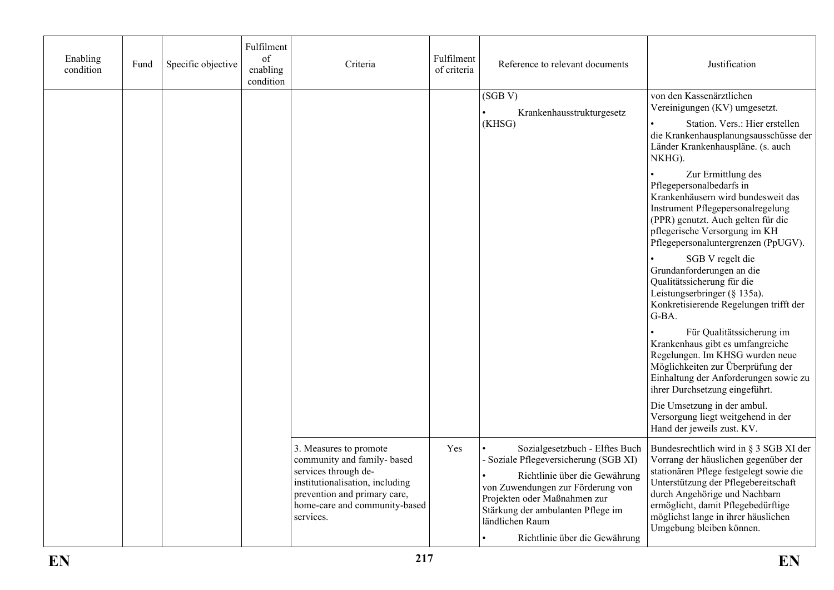| Enabling<br>condition | Fund | Specific objective | Fulfilment<br>of<br>enabling<br>condition | Criteria                                                                                                                                                                                       | Fulfilment<br>of criteria | Reference to relevant documents                                                                                                                                                                                                                                        | Justification                                                                                                                                                                                                                                                                                                                                                                                                                                                                                                                                                                                                                                                                                                                                                                                                                                                                                                           |
|-----------------------|------|--------------------|-------------------------------------------|------------------------------------------------------------------------------------------------------------------------------------------------------------------------------------------------|---------------------------|------------------------------------------------------------------------------------------------------------------------------------------------------------------------------------------------------------------------------------------------------------------------|-------------------------------------------------------------------------------------------------------------------------------------------------------------------------------------------------------------------------------------------------------------------------------------------------------------------------------------------------------------------------------------------------------------------------------------------------------------------------------------------------------------------------------------------------------------------------------------------------------------------------------------------------------------------------------------------------------------------------------------------------------------------------------------------------------------------------------------------------------------------------------------------------------------------------|
|                       |      |                    |                                           |                                                                                                                                                                                                |                           | (SGB V)<br>Krankenhausstrukturgesetz<br>(KHSG)                                                                                                                                                                                                                         | von den Kassenärztlichen<br>Vereinigungen (KV) umgesetzt.<br>Station. Vers.: Hier erstellen<br>die Krankenhausplanungsausschüsse der<br>Länder Krankenhauspläne. (s. auch<br>NKHG).<br>Zur Ermittlung des<br>Pflegepersonalbedarfs in<br>Krankenhäusern wird bundesweit das<br>Instrument Pflegepersonalregelung<br>(PPR) genutzt. Auch gelten für die<br>pflegerische Versorgung im KH<br>Pflegepersonaluntergrenzen (PpUGV).<br>SGB V regelt die<br>Grundanforderungen an die<br>Qualitätssicherung für die<br>Leistungserbringer (§ 135a).<br>Konkretisierende Regelungen trifft der<br>G-BA.<br>Für Qualitätssicherung im<br>Krankenhaus gibt es umfangreiche<br>Regelungen. Im KHSG wurden neue<br>Möglichkeiten zur Überprüfung der<br>Einhaltung der Anforderungen sowie zu<br>ihrer Durchsetzung eingeführt.<br>Die Umsetzung in der ambul.<br>Versorgung liegt weitgehend in der<br>Hand der jeweils zust. KV. |
|                       |      |                    |                                           | 3. Measures to promote<br>community and family- based<br>services through de-<br>institutionalisation, including<br>prevention and primary care,<br>home-care and community-based<br>services. | Yes                       | Sozialgesetzbuch - Elftes Buch<br>- Soziale Pflegeversicherung (SGB XI)<br>Richtlinie über die Gewährung<br>von Zuwendungen zur Förderung von<br>Projekten oder Maßnahmen zur<br>Stärkung der ambulanten Pflege im<br>ländlichen Raum<br>Richtlinie über die Gewährung | Bundesrechtlich wird in § 3 SGB XI der<br>Vorrang der häuslichen gegenüber der<br>stationären Pflege festgelegt sowie die<br>Unterstützung der Pflegebereitschaft<br>durch Angehörige und Nachbarn<br>ermöglicht, damit Pflegebedürftige<br>möglichst lange in ihrer häuslichen<br>Umgebung bleiben können.                                                                                                                                                                                                                                                                                                                                                                                                                                                                                                                                                                                                             |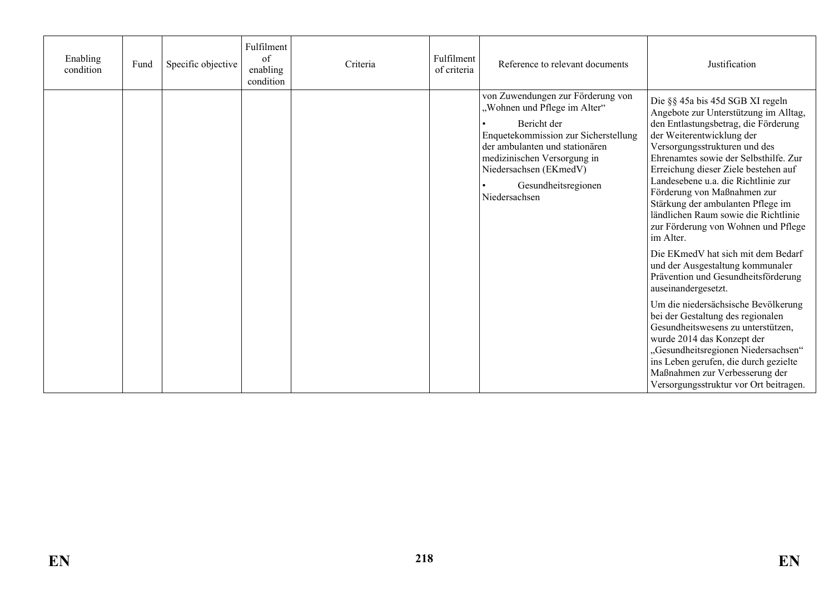| Enabling<br>condition | Fund | Specific objective | Fulfilment<br>of<br>enabling<br>condition | Criteria | Fulfilment<br>of criteria | Reference to relevant documents                                                                                                                                                                                                                             | Justification                                                                                                                                                                                                                                                                                                                                                                                                                                                                                                                                                                                                                                                                                                                                                                                                                                                                                                               |
|-----------------------|------|--------------------|-------------------------------------------|----------|---------------------------|-------------------------------------------------------------------------------------------------------------------------------------------------------------------------------------------------------------------------------------------------------------|-----------------------------------------------------------------------------------------------------------------------------------------------------------------------------------------------------------------------------------------------------------------------------------------------------------------------------------------------------------------------------------------------------------------------------------------------------------------------------------------------------------------------------------------------------------------------------------------------------------------------------------------------------------------------------------------------------------------------------------------------------------------------------------------------------------------------------------------------------------------------------------------------------------------------------|
|                       |      |                    |                                           |          |                           | von Zuwendungen zur Förderung von<br>"Wohnen und Pflege im Alter"<br>Bericht der<br>Enquetekommission zur Sicherstellung<br>der ambulanten und stationären<br>medizinischen Versorgung in<br>Niedersachsen (EKmedV)<br>Gesundheitsregionen<br>Niedersachsen | Die §§ 45a bis 45d SGB XI regeln<br>Angebote zur Unterstützung im Alltag,<br>den Entlastungsbetrag, die Förderung<br>der Weiterentwicklung der<br>Versorgungsstrukturen und des<br>Ehrenamtes sowie der Selbsthilfe. Zur<br>Erreichung dieser Ziele bestehen auf<br>Landesebene u.a. die Richtlinie zur<br>Förderung von Maßnahmen zur<br>Stärkung der ambulanten Pflege im<br>ländlichen Raum sowie die Richtlinie<br>zur Förderung von Wohnen und Pflege<br>im Alter.<br>Die EKmedV hat sich mit dem Bedarf<br>und der Ausgestaltung kommunaler<br>Prävention und Gesundheitsförderung<br>auseinandergesetzt.<br>Um die niedersächsische Bevölkerung<br>bei der Gestaltung des regionalen<br>Gesundheitswesens zu unterstützen,<br>wurde 2014 das Konzept der<br>"Gesundheitsregionen Niedersachsen"<br>ins Leben gerufen, die durch gezielte<br>Maßnahmen zur Verbesserung der<br>Versorgungsstruktur vor Ort beitragen. |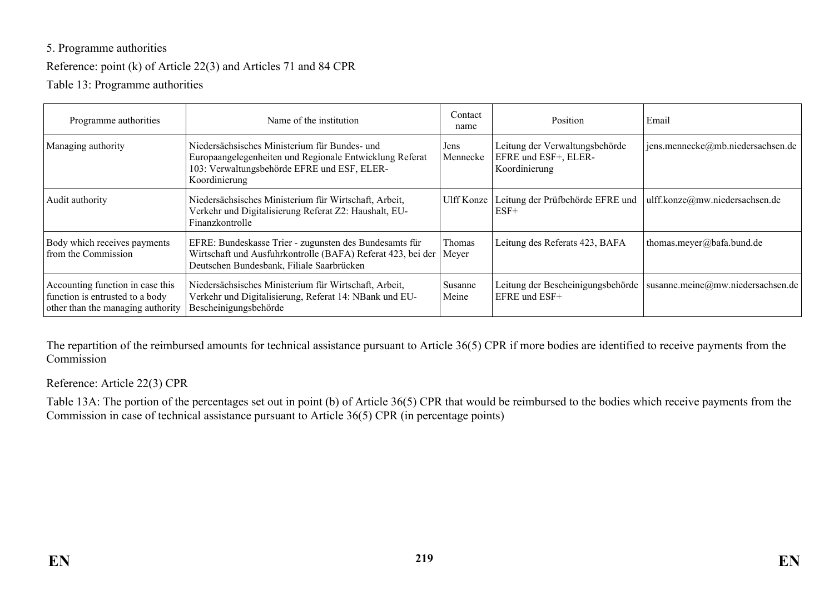#### 5. Programme authorities

#### Reference: point (k) of Article 22(3) and Articles 71 and 84 CPR

Table 13: Programme authorities

| Programme authorities                                                                                    | Name of the institution                                                                                                                                                  | Contact<br>name  | Position                                                                | Email                             |
|----------------------------------------------------------------------------------------------------------|--------------------------------------------------------------------------------------------------------------------------------------------------------------------------|------------------|-------------------------------------------------------------------------|-----------------------------------|
| Managing authority                                                                                       | Niedersächsisches Ministerium für Bundes- und<br>Europaangelegenheiten und Regionale Entwicklung Referat<br>103: Verwaltungsbehörde EFRE und ESF, ELER-<br>Koordinierung | Jens<br>Mennecke | Leitung der Verwaltungsbehörde<br>EFRE und ESF+, ELER-<br>Koordinierung | jens.mennecke@mb.niedersachsen.de |
| Audit authority                                                                                          | Niedersächsisches Ministerium für Wirtschaft, Arbeit,<br>Verkehr und Digitalisierung Referat Z2: Haushalt, EU-<br>Finanzkontrolle                                        | Ulff Konze       | Leitung der Prüfbehörde EFRE und<br>$ESF+$                              | ulff.konze@mw.niedersachsen.de    |
| Body which receives payments<br>from the Commission                                                      | EFRE: Bundeskasse Trier - zugunsten des Bundesamts für<br>Wirtschaft und Ausfuhrkontrolle (BAFA) Referat 423, bei der<br>Deutschen Bundesbank, Filiale Saarbrücken       | Thomas<br>Meyer  | Leitung des Referats 423, BAFA                                          | thomas.meyer@bafa.bund.de         |
| Accounting function in case this<br>function is entrusted to a body<br>other than the managing authority | Niedersächsisches Ministerium für Wirtschaft, Arbeit,<br>Verkehr und Digitalisierung, Referat 14: NBank und EU-<br>Bescheinigungsbehörde                                 | Susanne<br>Meine | Leitung der Bescheinigungsbehörde<br>EFRE und ESF+                      | susanne.meine@mw.niedersachsen.de |

The repartition of the reimbursed amounts for technical assistance pursuant to Article 36(5) CPR if more bodies are identified to receive payments from the Commission

Reference: Article 22(3) CPR

Table 13A: The portion of the percentages set out in point (b) of Article 36(5) CPR that would be reimbursed to the bodies which receive payments from the Commission in case of technical assistance pursuant to Article 36(5) CPR (in percentage points)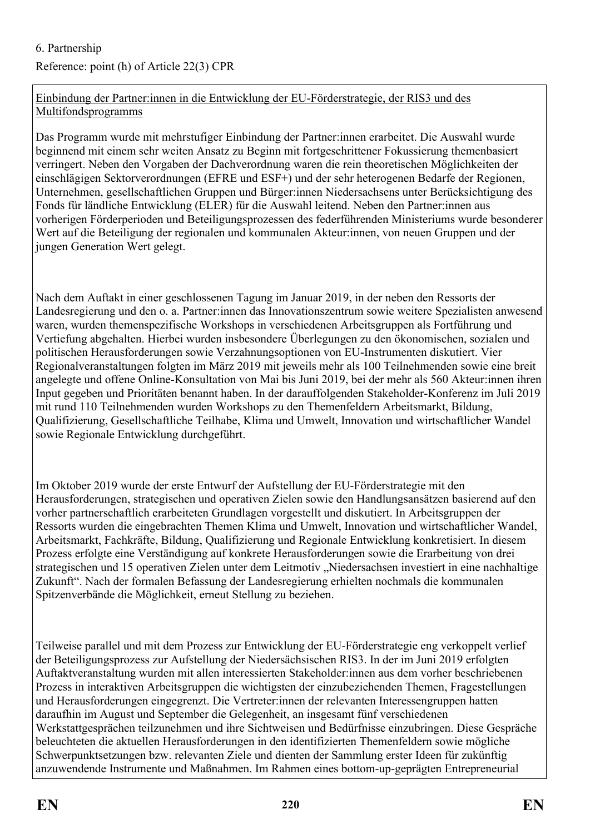# Reference: point (h) of Article 22(3) CPR

#### Einbindung der Partner:innen in die Entwicklung der EU-Förderstrategie, der RIS3 und des Multifondsprogramms

Das Programm wurde mit mehrstufiger Einbindung der Partner:innen erarbeitet. Die Auswahl wurde beginnend mit einem sehr weiten Ansatz zu Beginn mit fortgeschrittener Fokussierung themenbasiert verringert. Neben den Vorgaben der Dachverordnung waren die rein theoretischen Möglichkeiten der einschlägigen Sektorverordnungen (EFRE und ESF+) und der sehr heterogenen Bedarfe der Regionen, Unternehmen, gesellschaftlichen Gruppen und Bürger:innen Niedersachsens unter Berücksichtigung des Fonds für ländliche Entwicklung (ELER) für die Auswahl leitend. Neben den Partner:innen aus vorherigen Förderperioden und Beteiligungsprozessen des federführenden Ministeriums wurde besonderer Wert auf die Beteiligung der regionalen und kommunalen Akteur:innen, von neuen Gruppen und der jungen Generation Wert gelegt.

Nach dem Auftakt in einer geschlossenen Tagung im Januar 2019, in der neben den Ressorts der Landesregierung und den o. a. Partner:innen das Innovationszentrum sowie weitere Spezialisten anwesend waren, wurden themenspezifische Workshops in verschiedenen Arbeitsgruppen als Fortführung und Vertiefung abgehalten. Hierbei wurden insbesondere Überlegungen zu den ökonomischen, sozialen und politischen Herausforderungen sowie Verzahnungsoptionen von EU-Instrumenten diskutiert. Vier Regionalveranstaltungen folgten im März 2019 mit jeweils mehr als 100 Teilnehmenden sowie eine breit angelegte und offene Online-Konsultation von Mai bis Juni 2019, bei der mehr als 560 Akteur:innen ihren Input gegeben und Prioritäten benannt haben. In der darauffolgenden Stakeholder-Konferenz im Juli 2019 mit rund 110 Teilnehmenden wurden Workshops zu den Themenfeldern Arbeitsmarkt, Bildung, Qualifizierung, Gesellschaftliche Teilhabe, Klima und Umwelt, Innovation und wirtschaftlicher Wandel sowie Regionale Entwicklung durchgeführt.

Im Oktober 2019 wurde der erste Entwurf der Aufstellung der EU-Förderstrategie mit den Herausforderungen, strategischen und operativen Zielen sowie den Handlungsansätzen basierend auf den vorher partnerschaftlich erarbeiteten Grundlagen vorgestellt und diskutiert. In Arbeitsgruppen der Ressorts wurden die eingebrachten Themen Klima und Umwelt, Innovation und wirtschaftlicher Wandel, Arbeitsmarkt, Fachkräfte, Bildung, Qualifizierung und Regionale Entwicklung konkretisiert. In diesem Prozess erfolgte eine Verständigung auf konkrete Herausforderungen sowie die Erarbeitung von drei strategischen und 15 operativen Zielen unter dem Leitmotiv "Niedersachsen investiert in eine nachhaltige Zukunft". Nach der formalen Befassung der Landesregierung erhielten nochmals die kommunalen Spitzenverbände die Möglichkeit, erneut Stellung zu beziehen.

Teilweise parallel und mit dem Prozess zur Entwicklung der EU-Förderstrategie eng verkoppelt verlief der Beteiligungsprozess zur Aufstellung der Niedersächsischen RIS3. In der im Juni 2019 erfolgten Auftaktveranstaltung wurden mit allen interessierten Stakeholder:innen aus dem vorher beschriebenen Prozess in interaktiven Arbeitsgruppen die wichtigsten der einzubeziehenden Themen, Fragestellungen und Herausforderungen eingegrenzt. Die Vertreter:innen der relevanten Interessengruppen hatten daraufhin im August und September die Gelegenheit, an insgesamt fünf verschiedenen Werkstattgesprächen teilzunehmen und ihre Sichtweisen und Bedürfnisse einzubringen. Diese Gespräche beleuchteten die aktuellen Herausforderungen in den identifizierten Themenfeldern sowie mögliche Schwerpunktsetzungen bzw. relevanten Ziele und dienten der Sammlung erster Ideen für zukünftig anzuwendende Instrumente und Maßnahmen. Im Rahmen eines bottom-up-geprägten Entrepreneurial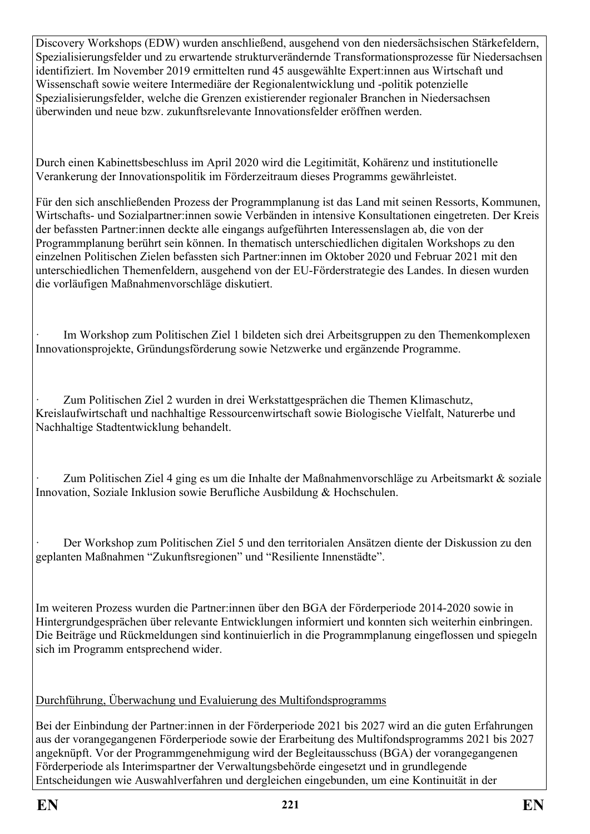Discovery Workshops (EDW) wurden anschließend, ausgehend von den niedersächsischen Stärkefeldern, Spezialisierungsfelder und zu erwartende strukturverändernde Transformationsprozesse für Niedersachsen identifiziert. Im November 2019 ermittelten rund 45 ausgewählte Expert:innen aus Wirtschaft und Wissenschaft sowie weitere Intermediäre der Regionalentwicklung und -politik potenzielle Spezialisierungsfelder, welche die Grenzen existierender regionaler Branchen in Niedersachsen überwinden und neue bzw. zukunftsrelevante Innovationsfelder eröffnen werden.

Durch einen Kabinettsbeschluss im April 2020 wird die Legitimität, Kohärenz und institutionelle Verankerung der Innovationspolitik im Förderzeitraum dieses Programms gewährleistet.

Für den sich anschließenden Prozess der Programmplanung ist das Land mit seinen Ressorts, Kommunen, Wirtschafts- und Sozialpartner:innen sowie Verbänden in intensive Konsultationen eingetreten. Der Kreis der befassten Partner:innen deckte alle eingangs aufgeführten Interessenslagen ab, die von der Programmplanung berührt sein können. In thematisch unterschiedlichen digitalen Workshops zu den einzelnen Politischen Zielen befassten sich Partner:innen im Oktober 2020 und Februar 2021 mit den unterschiedlichen Themenfeldern, ausgehend von der EU-Förderstrategie des Landes. In diesen wurden die vorläufigen Maßnahmenvorschläge diskutiert.

Im Workshop zum Politischen Ziel 1 bildeten sich drei Arbeitsgruppen zu den Themenkomplexen Innovationsprojekte, Gründungsförderung sowie Netzwerke und ergänzende Programme.

· Zum Politischen Ziel 2 wurden in drei Werkstattgesprächen die Themen Klimaschutz, Kreislaufwirtschaft und nachhaltige Ressourcenwirtschaft sowie Biologische Vielfalt, Naturerbe und Nachhaltige Stadtentwicklung behandelt.

Zum Politischen Ziel 4 ging es um die Inhalte der Maßnahmenvorschläge zu Arbeitsmarkt & soziale Innovation, Soziale Inklusion sowie Berufliche Ausbildung & Hochschulen.

· Der Workshop zum Politischen Ziel 5 und den territorialen Ansätzen diente der Diskussion zu den geplanten Maßnahmen "Zukunftsregionen" und "Resiliente Innenstädte".

Im weiteren Prozess wurden die Partner:innen über den BGA der Förderperiode 2014-2020 sowie in Hintergrundgesprächen über relevante Entwicklungen informiert und konnten sich weiterhin einbringen. Die Beiträge und Rückmeldungen sind kontinuierlich in die Programmplanung eingeflossen und spiegeln sich im Programm entsprechend wider.

## Durchführung, Überwachung und Evaluierung des Multifondsprogramms

Bei der Einbindung der Partner:innen in der Förderperiode 2021 bis 2027 wird an die guten Erfahrungen aus der vorangegangenen Förderperiode sowie der Erarbeitung des Multifondsprogramms 2021 bis 2027 angeknüpft. Vor der Programmgenehmigung wird der Begleitausschuss (BGA) der vorangegangenen Förderperiode als Interimspartner der Verwaltungsbehörde eingesetzt und in grundlegende Entscheidungen wie Auswahlverfahren und dergleichen eingebunden, um eine Kontinuität in der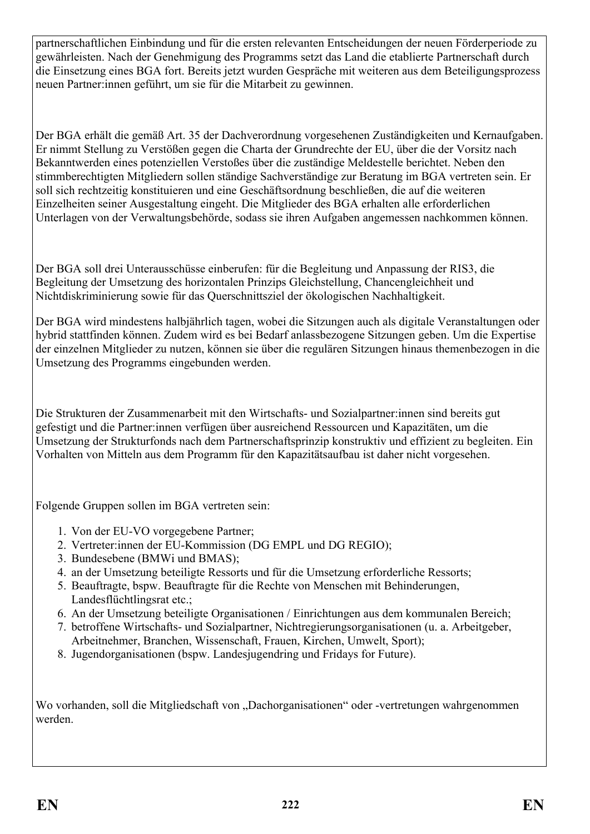partnerschaftlichen Einbindung und für die ersten relevanten Entscheidungen der neuen Förderperiode zu gewährleisten. Nach der Genehmigung des Programms setzt das Land die etablierte Partnerschaft durch die Einsetzung eines BGA fort. Bereits jetzt wurden Gespräche mit weiteren aus dem Beteiligungsprozess neuen Partner:innen geführt, um sie für die Mitarbeit zu gewinnen.

Der BGA erhält die gemäß Art. 35 der Dachverordnung vorgesehenen Zuständigkeiten und Kernaufgaben. Er nimmt Stellung zu Verstößen gegen die Charta der Grundrechte der EU, über die der Vorsitz nach Bekanntwerden eines potenziellen Verstoßes über die zuständige Meldestelle berichtet. Neben den stimmberechtigten Mitgliedern sollen ständige Sachverständige zur Beratung im BGA vertreten sein. Er soll sich rechtzeitig konstituieren und eine Geschäftsordnung beschließen, die auf die weiteren Einzelheiten seiner Ausgestaltung eingeht. Die Mitglieder des BGA erhalten alle erforderlichen Unterlagen von der Verwaltungsbehörde, sodass sie ihren Aufgaben angemessen nachkommen können.

Der BGA soll drei Unterausschüsse einberufen: für die Begleitung und Anpassung der RIS3, die Begleitung der Umsetzung des horizontalen Prinzips Gleichstellung, Chancengleichheit und Nichtdiskriminierung sowie für das Querschnittsziel der ökologischen Nachhaltigkeit.

Der BGA wird mindestens halbjährlich tagen, wobei die Sitzungen auch als digitale Veranstaltungen oder hybrid stattfinden können. Zudem wird es bei Bedarf anlassbezogene Sitzungen geben. Um die Expertise der einzelnen Mitglieder zu nutzen, können sie über die regulären Sitzungen hinaus themenbezogen in die Umsetzung des Programms eingebunden werden.

Die Strukturen der Zusammenarbeit mit den Wirtschafts- und Sozialpartner:innen sind bereits gut gefestigt und die Partner:innen verfügen über ausreichend Ressourcen und Kapazitäten, um die Umsetzung der Strukturfonds nach dem Partnerschaftsprinzip konstruktiv und effizient zu begleiten. Ein Vorhalten von Mitteln aus dem Programm für den Kapazitätsaufbau ist daher nicht vorgesehen.

Folgende Gruppen sollen im BGA vertreten sein:

- 1. Von der EU-VO vorgegebene Partner;
- 2. Vertreter:innen der EU-Kommission (DG EMPL und DG REGIO);
- 3. Bundesebene (BMWi und BMAS);
- 4. an der Umsetzung beteiligte Ressorts und für die Umsetzung erforderliche Ressorts;
- 5. Beauftragte, bspw. Beauftragte für die Rechte von Menschen mit Behinderungen, Landesflüchtlingsrat etc.;
- 6. An der Umsetzung beteiligte Organisationen / Einrichtungen aus dem kommunalen Bereich;
- 7. betroffene Wirtschafts- und Sozialpartner, Nichtregierungsorganisationen (u. a. Arbeitgeber, Arbeitnehmer, Branchen, Wissenschaft, Frauen, Kirchen, Umwelt, Sport);
- 8. Jugendorganisationen (bspw. Landesjugendring und Fridays for Future).

Wo vorhanden, soll die Mitgliedschaft von "Dachorganisationen" oder -vertretungen wahrgenommen werden.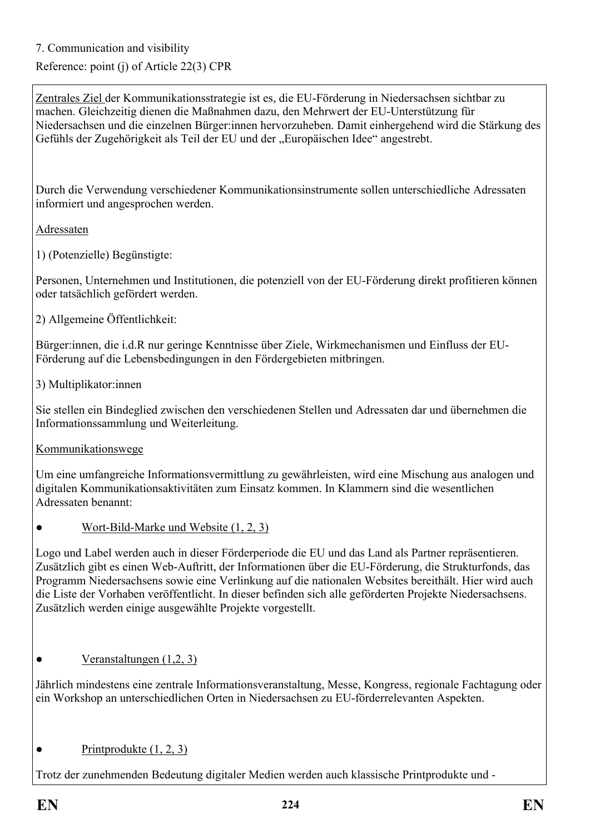7. Communication and visibility

# Reference: point (j) of Article 22(3) CPR

Zentrales Ziel der Kommunikationsstrategie ist es, die EU-Förderung in Niedersachsen sichtbar zu machen. Gleichzeitig dienen die Maßnahmen dazu, den Mehrwert der EU-Unterstützung für Niedersachsen und die einzelnen Bürger:innen hervorzuheben. Damit einhergehend wird die Stärkung des Gefühls der Zugehörigkeit als Teil der EU und der "Europäischen Idee" angestrebt.

Durch die Verwendung verschiedener Kommunikationsinstrumente sollen unterschiedliche Adressaten informiert und angesprochen werden.

Adressaten

1) (Potenzielle) Begünstigte:

Personen, Unternehmen und Institutionen, die potenziell von der EU-Förderung direkt profitieren können oder tatsächlich gefördert werden.

2) Allgemeine Öffentlichkeit:

Bürger:innen, die i.d.R nur geringe Kenntnisse über Ziele, Wirkmechanismen und Einfluss der EU-Förderung auf die Lebensbedingungen in den Fördergebieten mitbringen.

3) Multiplikator:innen

Sie stellen ein Bindeglied zwischen den verschiedenen Stellen und Adressaten dar und übernehmen die Informationssammlung und Weiterleitung.

Kommunikationswege

Um eine umfangreiche Informationsvermittlung zu gewährleisten, wird eine Mischung aus analogen und digitalen Kommunikationsaktivitäten zum Einsatz kommen. In Klammern sind die wesentlichen Adressaten benannt:

• Wort-Bild-Marke und Website  $(1, 2, 3)$ 

Logo und Label werden auch in dieser Förderperiode die EU und das Land als Partner repräsentieren. Zusätzlich gibt es einen Web-Auftritt, der Informationen über die EU-Förderung, die Strukturfonds, das Programm Niedersachsens sowie eine Verlinkung auf die nationalen Websites bereithält. Hier wird auch die Liste der Vorhaben veröffentlicht. In dieser befinden sich alle geförderten Projekte Niedersachsens. Zusätzlich werden einige ausgewählte Projekte vorgestellt.

• Veranstaltungen  $(1,2, 3)$ 

Jährlich mindestens eine zentrale Informationsveranstaltung, Messe, Kongress, regionale Fachtagung oder ein Workshop an unterschiedlichen Orten in Niedersachsen zu EU-förderrelevanten Aspekten.

## $\bullet$  Printprodukte  $(1, 2, 3)$

Trotz der zunehmenden Bedeutung digitaler Medien werden auch klassische Printprodukte und -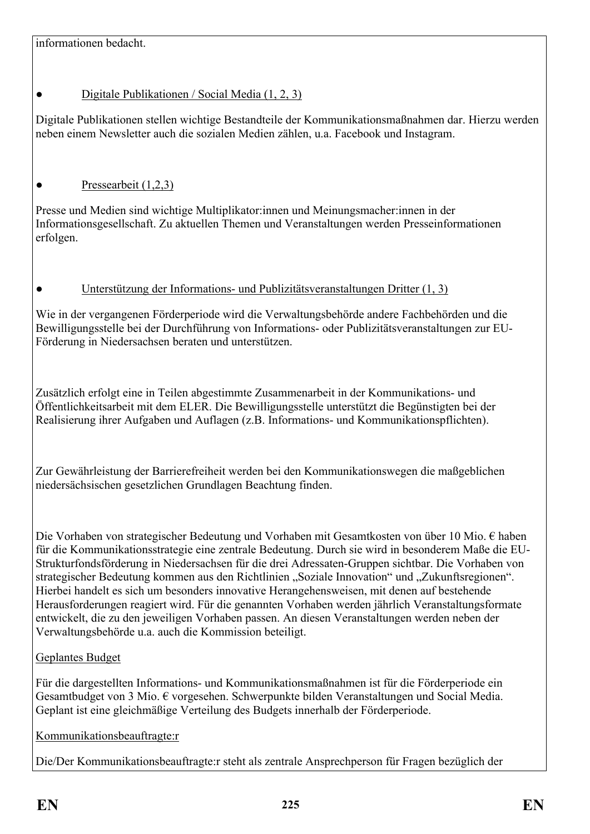# ● Digitale Publikationen / Social Media (1, 2, 3)

Digitale Publikationen stellen wichtige Bestandteile der Kommunikationsmaßnahmen dar. Hierzu werden neben einem Newsletter auch die sozialen Medien zählen, u.a. Facebook und Instagram.

# $\bullet$  Pressearbeit (1,2,3)

Presse und Medien sind wichtige Multiplikator:innen und Meinungsmacher:innen in der Informationsgesellschaft. Zu aktuellen Themen und Veranstaltungen werden Presseinformationen erfolgen.

## Unterstützung der Informations- und Publizitätsveranstaltungen Dritter (1, 3)

Wie in der vergangenen Förderperiode wird die Verwaltungsbehörde andere Fachbehörden und die Bewilligungsstelle bei der Durchführung von Informations- oder Publizitätsveranstaltungen zur EU-Förderung in Niedersachsen beraten und unterstützen.

Zusätzlich erfolgt eine in Teilen abgestimmte Zusammenarbeit in der Kommunikations- und Öffentlichkeitsarbeit mit dem ELER. Die Bewilligungsstelle unterstützt die Begünstigten bei der Realisierung ihrer Aufgaben und Auflagen (z.B. Informations- und Kommunikationspflichten).

Zur Gewährleistung der Barrierefreiheit werden bei den Kommunikationswegen die maßgeblichen niedersächsischen gesetzlichen Grundlagen Beachtung finden.

Die Vorhaben von strategischer Bedeutung und Vorhaben mit Gesamtkosten von über 10 Mio. € haben für die Kommunikationsstrategie eine zentrale Bedeutung. Durch sie wird in besonderem Maße die EU-Strukturfondsförderung in Niedersachsen für die drei Adressaten-Gruppen sichtbar. Die Vorhaben von strategischer Bedeutung kommen aus den Richtlinien "Soziale Innovation" und "Zukunftsregionen". Hierbei handelt es sich um besonders innovative Herangehensweisen, mit denen auf bestehende Herausforderungen reagiert wird. Für die genannten Vorhaben werden jährlich Veranstaltungsformate entwickelt, die zu den jeweiligen Vorhaben passen. An diesen Veranstaltungen werden neben der Verwaltungsbehörde u.a. auch die Kommission beteiligt.

# Geplantes Budget

Für die dargestellten Informations- und Kommunikationsmaßnahmen ist für die Förderperiode ein Gesamtbudget von 3 Mio. € vorgesehen. Schwerpunkte bilden Veranstaltungen und Social Media. Geplant ist eine gleichmäßige Verteilung des Budgets innerhalb der Förderperiode.

Kommunikationsbeauftragte:r

Die/Der Kommunikationsbeauftragte:r steht als zentrale Ansprechperson für Fragen bezüglich der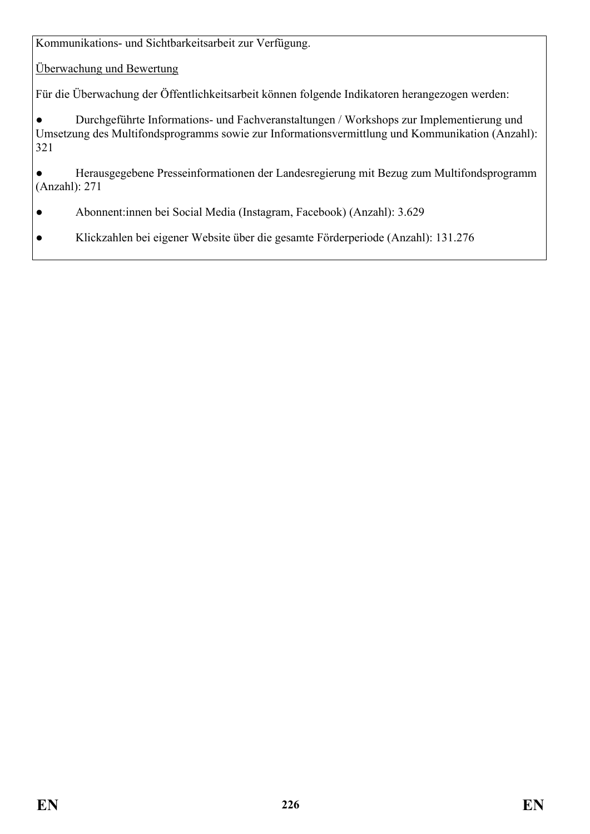Kommunikations- und Sichtbarkeitsarbeit zur Verfügung.

Überwachung und Bewertung

Für die Überwachung der Öffentlichkeitsarbeit können folgende Indikatoren herangezogen werden:

● Durchgeführte Informations- und Fachveranstaltungen / Workshops zur Implementierung und Umsetzung des Multifondsprogramms sowie zur Informationsvermittlung und Kommunikation (Anzahl): 321

● Herausgegebene Presseinformationen der Landesregierung mit Bezug zum Multifondsprogramm (Anzahl): 271

- Abonnent:innen bei Social Media (Instagram, Facebook) (Anzahl): 3.629
- Klickzahlen bei eigener Website über die gesamte Förderperiode (Anzahl): 131.276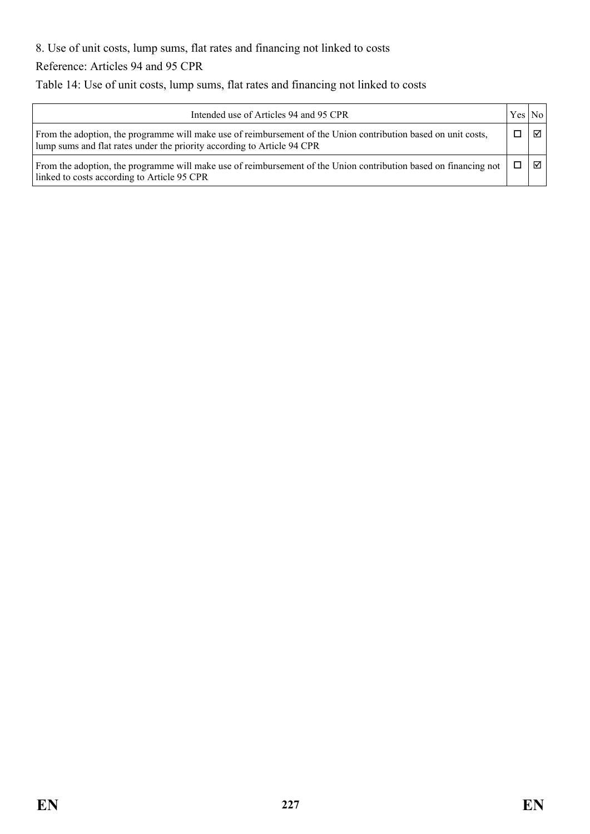8. Use of unit costs, lump sums, flat rates and financing not linked to costs

Reference: Articles 94 and 95 CPR

Table 14: Use of unit costs, lump sums, flat rates and financing not linked to costs

| Intended use of Articles 94 and 95 CPR                                                                                                                                                    |  |       |  |  |  |  |
|-------------------------------------------------------------------------------------------------------------------------------------------------------------------------------------------|--|-------|--|--|--|--|
| From the adoption, the programme will make use of reimbursement of the Union contribution based on unit costs,<br>lump sums and flat rates under the priority according to Article 94 CPR |  | ⊠ ।   |  |  |  |  |
| From the adoption, the programme will make use of reimbursement of the Union contribution based on financing not<br>linked to costs according to Article 95 CPR                           |  | न्न । |  |  |  |  |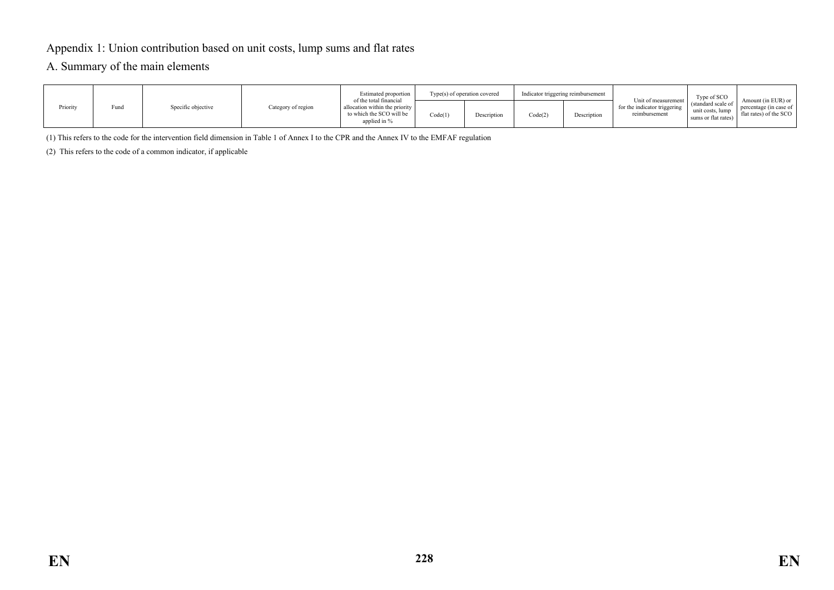#### Appendix 1: Union contribution based on unit costs, lump sums and flat rates

#### A. Summary of the main elements

|          |      |                    |                    | Estimated proportion                                                                                 | Type(s) of operation covered |             | Indicator triggering reimbursement |             | Unit of measurement 1                         | Type of SCO                                                   |                                                                        |
|----------|------|--------------------|--------------------|------------------------------------------------------------------------------------------------------|------------------------------|-------------|------------------------------------|-------------|-----------------------------------------------|---------------------------------------------------------------|------------------------------------------------------------------------|
| Priority | Fund | Specific objective | Category of region | of the total financial<br>allocation within the priority<br>to which the SCO will be<br>applied in % | Code(1)                      | Description | Code(2)                            | Description | for the indicator triggering<br>reimbursement | (standard scale of<br>unit costs, lump<br>sums or flat rates) | Amount (in EUR) or<br>percentage (in case of<br>flat rates) of the SCO |

(1) This refers to the code for the intervention field dimension in Table 1 of Annex I to the CPR and the Annex IV to the EMFAF regulation

(2) This refers to the code of a common indicator, if applicable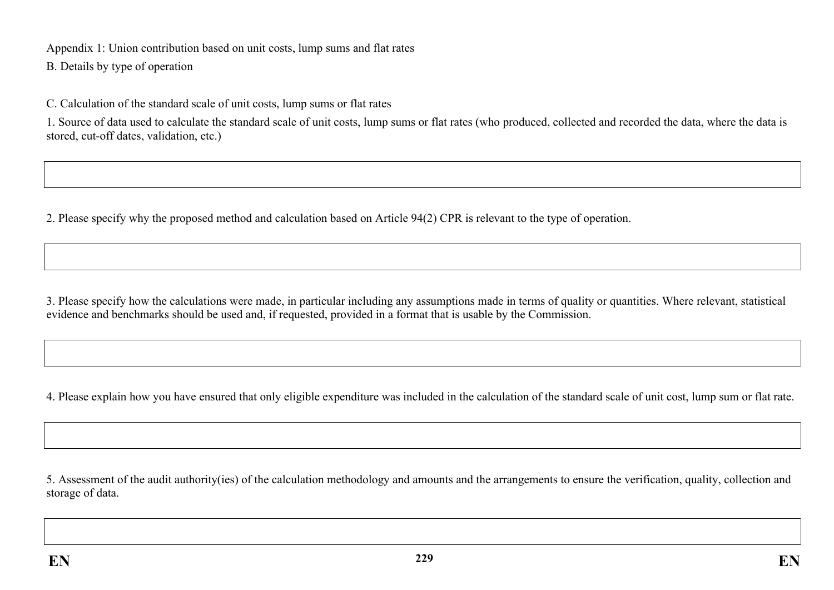Appendix 1: Union contribution based on unit costs, lump sums and flat rates

B. Details by type of operation

C. Calculation of the standard scale of unit costs, lump sums or flat rates

1. Source of data used to calculate the standard scale of unit costs, lump sums or flat rates (who produced, collected and recorded the data, where the data is stored, cut-off dates, validation, etc.)

2. Please specify why the proposed method and calculation based on Article 94(2) CPR is relevant to the type of operation.

3. Please specify how the calculations were made, in particular including any assumptions made in terms of quality or quantities. Where relevant, statistical evidence and benchmarks should be used and, if requested, provided in a format that is usable by the Commission.

4. Please explain how you have ensured that only eligible expenditure was included in the calculation of the standard scale of unit cost, lump sum or flat rate.

5. Assessment of the audit authority(ies) of the calculation methodology and amounts and the arrangements to ensure the verification, quality, collection and storage of data.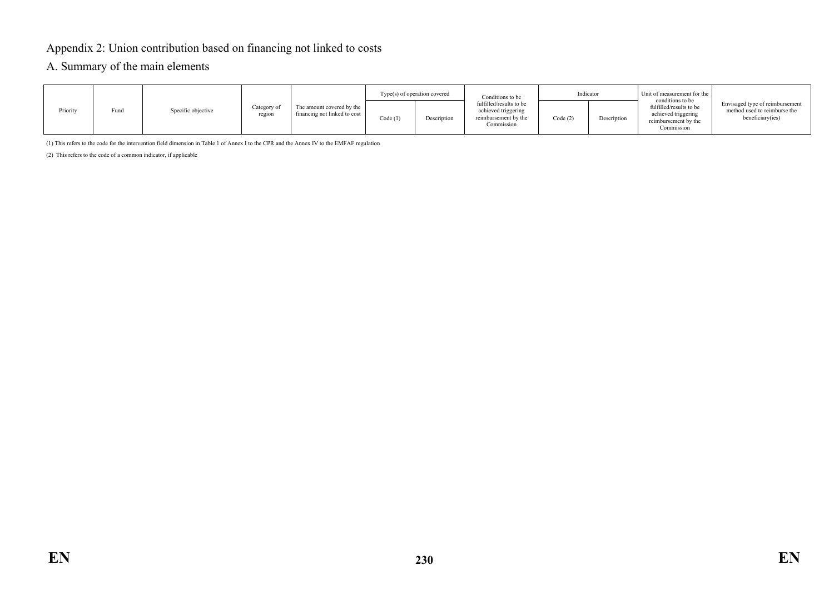### Appendix 2: Union contribution based on financing not linked to costs

#### A. Summary of the main elements

|          |      |                    |                       |                                                           | Type(s) of operation covered |             | Conditions to be                                                                     | Indicator |             | Unit of measurement for the<br>conditions to be                                      |                                                                                     |
|----------|------|--------------------|-----------------------|-----------------------------------------------------------|------------------------------|-------------|--------------------------------------------------------------------------------------|-----------|-------------|--------------------------------------------------------------------------------------|-------------------------------------------------------------------------------------|
| Priority | Fund | Specific objective | Category of<br>region | The amount covered by the<br>financing not linked to cost | Code(1)                      | Description | fulfilled/results to be<br>achieved triggering<br>reimbursement by the<br>Commission | Code (2)  | Description | fulfilled/results to be<br>achieved triggering<br>reimbursement by the<br>Commission | Envisaged type of reimbursement<br>method used to reimburse the<br>beneficiary(ies) |

(1) This refers to the code for the intervention field dimension in Table 1 of Annex I to the CPR and the Annex IV to the EMFAF regulation

(2) This refers to the code of a common indicator, if applicable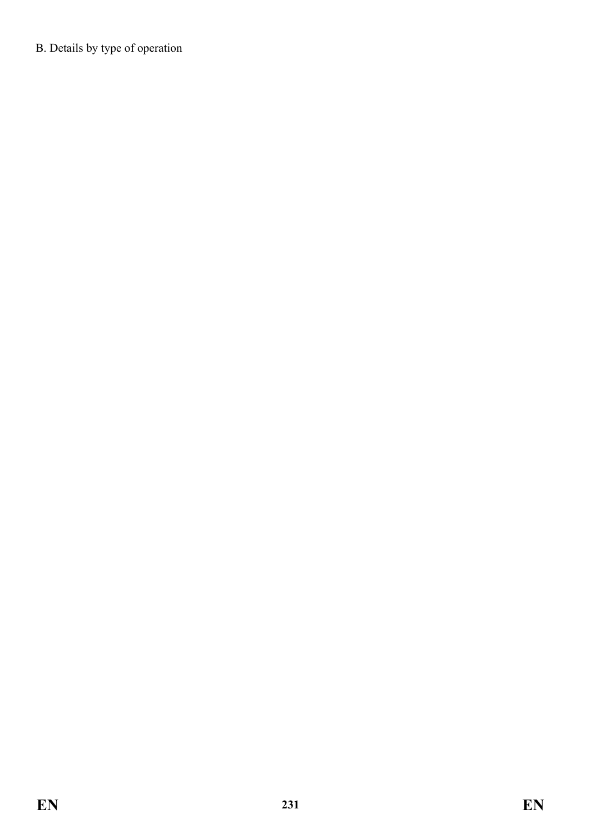B. Details by type of operation